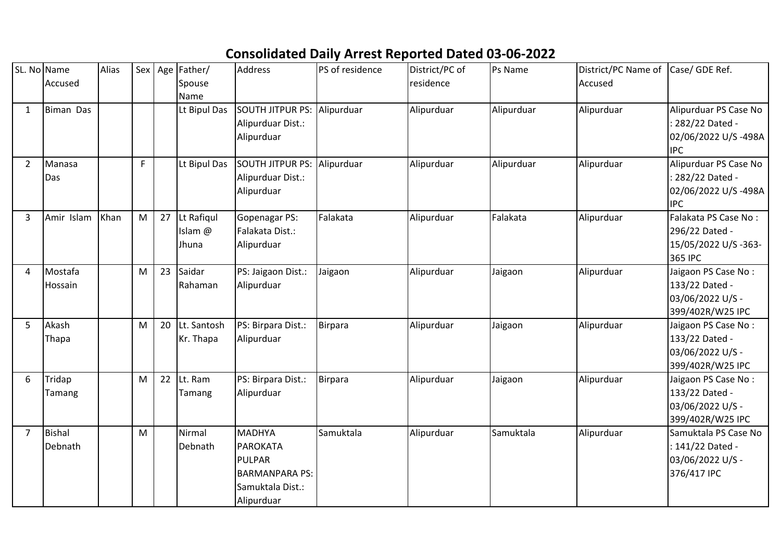## **Consolidated Daily Arrest Reported Dated 03-06-2022**

| SL. No Name    |                  | Alias | Sex         | Age | Father/      | Address                 | PS of residence | District/PC of | Ps Name    | District/PC Name of | Case/ GDE Ref.                          |
|----------------|------------------|-------|-------------|-----|--------------|-------------------------|-----------------|----------------|------------|---------------------|-----------------------------------------|
|                | Accused          |       |             |     | Spouse       |                         |                 | residence      |            | Accused             |                                         |
|                |                  |       |             |     | Name         | SOUTH JITPUR PS:        |                 |                |            |                     |                                         |
| 1              | <b>Biman Das</b> |       |             |     | Lt Bipul Das | Alipurduar Dist.:       | Alipurduar      | Alipurduar     | Alipurduar | Alipurduar          | Alipurduar PS Case No<br>282/22 Dated - |
|                |                  |       |             |     |              | Alipurduar              |                 |                |            |                     | 02/06/2022 U/S-498A                     |
|                |                  |       |             |     |              |                         |                 |                |            |                     | <b>IPC</b>                              |
| $\overline{2}$ | Manasa           |       | $\mathsf F$ |     | Lt Bipul Das | <b>SOUTH JITPUR PS:</b> | Alipurduar      | Alipurduar     | Alipurduar | Alipurduar          | Alipurduar PS Case No                   |
|                | Das              |       |             |     |              | Alipurduar Dist.:       |                 |                |            |                     | 282/22 Dated -                          |
|                |                  |       |             |     |              | Alipurduar              |                 |                |            |                     | 02/06/2022 U/S-498A                     |
|                |                  |       |             |     |              |                         |                 |                |            |                     | <b>IPC</b>                              |
| 3              | Amir Islam       | Khan  | M           | 27  | Lt Rafiqul   | Gopenagar PS:           | Falakata        | Alipurduar     | Falakata   | Alipurduar          | Falakata PS Case No:                    |
|                |                  |       |             |     | Islam @      | Falakata Dist.:         |                 |                |            |                     | 296/22 Dated -                          |
|                |                  |       |             |     | Jhuna        | Alipurduar              |                 |                |            |                     | 15/05/2022 U/S -363-                    |
|                |                  |       |             |     |              |                         |                 |                |            |                     | 365 IPC                                 |
| 4              | Mostafa          |       | M           | 23  | Saidar       | PS: Jaigaon Dist.:      | Jaigaon         | Alipurduar     | Jaigaon    | Alipurduar          | Jaigaon PS Case No:                     |
|                | Hossain          |       |             |     | Rahaman      | Alipurduar              |                 |                |            |                     | 133/22 Dated -                          |
|                |                  |       |             |     |              |                         |                 |                |            |                     | 03/06/2022 U/S -                        |
|                |                  |       |             |     |              |                         |                 |                |            |                     | 399/402R/W25 IPC                        |
| 5              | Akash            |       | M           | 20  | Lt. Santosh  | PS: Birpara Dist.:      | <b>Birpara</b>  | Alipurduar     | Jaigaon    | Alipurduar          | Jaigaon PS Case No:                     |
|                | Thapa            |       |             |     | Kr. Thapa    | Alipurduar              |                 |                |            |                     | 133/22 Dated -                          |
|                |                  |       |             |     |              |                         |                 |                |            |                     | 03/06/2022 U/S -                        |
|                |                  |       |             |     |              |                         |                 |                |            |                     | 399/402R/W25 IPC                        |
| 6              | Tridap           |       | M           | 22  | Lt. Ram      | PS: Birpara Dist.:      | <b>Birpara</b>  | Alipurduar     | Jaigaon    | Alipurduar          | Jaigaon PS Case No:                     |
|                | Tamang           |       |             |     | Tamang       | Alipurduar              |                 |                |            |                     | 133/22 Dated -                          |
|                |                  |       |             |     |              |                         |                 |                |            |                     | 03/06/2022 U/S -                        |
|                |                  |       |             |     |              |                         |                 |                |            |                     | 399/402R/W25 IPC                        |
| 7              | <b>Bishal</b>    |       | M           |     | Nirmal       | <b>MADHYA</b>           | Samuktala       | Alipurduar     | Samuktala  | Alipurduar          | Samuktala PS Case No                    |
|                | Debnath          |       |             |     | Debnath      | PAROKATA                |                 |                |            |                     | : 141/22 Dated -                        |
|                |                  |       |             |     |              | <b>PULPAR</b>           |                 |                |            |                     | 03/06/2022 U/S -                        |
|                |                  |       |             |     |              | <b>BARMANPARA PS:</b>   |                 |                |            |                     | 376/417 IPC                             |
|                |                  |       |             |     |              | Samuktala Dist.:        |                 |                |            |                     |                                         |
|                |                  |       |             |     |              | Alipurduar              |                 |                |            |                     |                                         |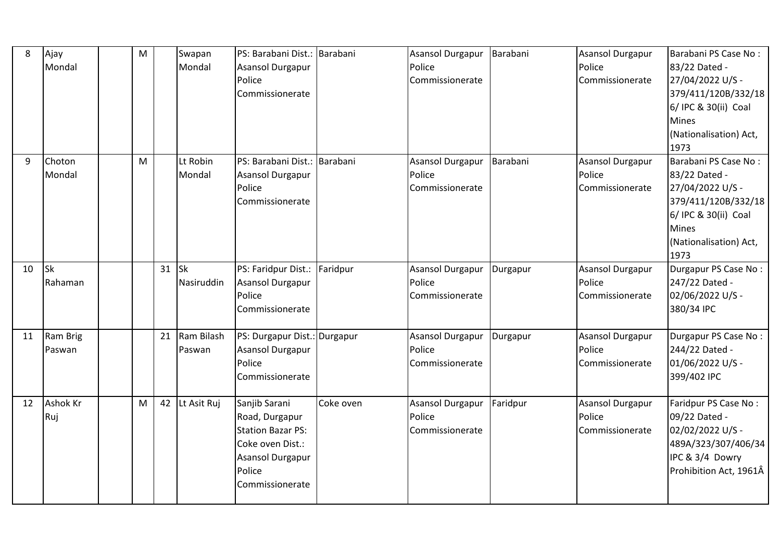| 8  | Ajay<br>Mondal         | M |    | Swapan<br>Mondal        | PS: Barabani Dist.: Barabani<br>Asansol Durgapur<br>Police<br>Commissionerate                                                           |           | Asansol Durgapur<br>Police<br>Commissionerate        | Barabani | Asansol Durgapur<br>Police<br>Commissionerate        | Barabani PS Case No:<br>83/22 Dated -<br>27/04/2022 U/S -<br>379/411/120B/332/18<br>6/ IPC & 30(ii) Coal<br><b>Mines</b><br>(Nationalisation) Act,<br>1973 |
|----|------------------------|---|----|-------------------------|-----------------------------------------------------------------------------------------------------------------------------------------|-----------|------------------------------------------------------|----------|------------------------------------------------------|------------------------------------------------------------------------------------------------------------------------------------------------------------|
| 9  | Choton<br>Mondal       | M |    | Lt Robin<br>Mondal      | PS: Barabani Dist.: Barabani<br>Asansol Durgapur<br>Police<br>Commissionerate                                                           |           | <b>Asansol Durgapur</b><br>Police<br>Commissionerate | Barabani | Asansol Durgapur<br>Police<br>Commissionerate        | Barabani PS Case No:<br>83/22 Dated -<br>27/04/2022 U/S -<br>379/411/120B/332/18<br>6/ IPC & 30(ii) Coal<br>Mines<br>(Nationalisation) Act,<br>1973        |
| 10 | <b>Sk</b><br>Rahaman   |   | 31 | <b>Sk</b><br>Nasiruddin | PS: Faridpur Dist.: Faridpur<br><b>Asansol Durgapur</b><br>Police<br>Commissionerate                                                    |           | <b>Asansol Durgapur</b><br>Police<br>Commissionerate | Durgapur | <b>Asansol Durgapur</b><br>Police<br>Commissionerate | Durgapur PS Case No:<br>247/22 Dated -<br>02/06/2022 U/S -<br>380/34 IPC                                                                                   |
| 11 | Ram Brig<br>Paswan     |   | 21 | Ram Bilash<br>Paswan    | PS: Durgapur Dist.: Durgapur<br>Asansol Durgapur<br>Police<br>Commissionerate                                                           |           | <b>Asansol Durgapur</b><br>Police<br>Commissionerate | Durgapur | <b>Asansol Durgapur</b><br>Police<br>Commissionerate | Durgapur PS Case No:<br>244/22 Dated -<br>01/06/2022 U/S -<br>399/402 IPC                                                                                  |
| 12 | <b>Ashok Kr</b><br>Ruj | M | 42 | Lt Asit Ruj             | Sanjib Sarani<br>Road, Durgapur<br><b>Station Bazar PS:</b><br>Coke oven Dist.:<br><b>Asansol Durgapur</b><br>Police<br>Commissionerate | Coke oven | Asansol Durgapur<br>Police<br>Commissionerate        | Faridpur | Asansol Durgapur<br>Police<br>Commissionerate        | Faridpur PS Case No:<br>09/22 Dated -<br>02/02/2022 U/S -<br>489A/323/307/406/34<br>IPC & 3/4 Dowry<br>Prohibition Act, 1961Â                              |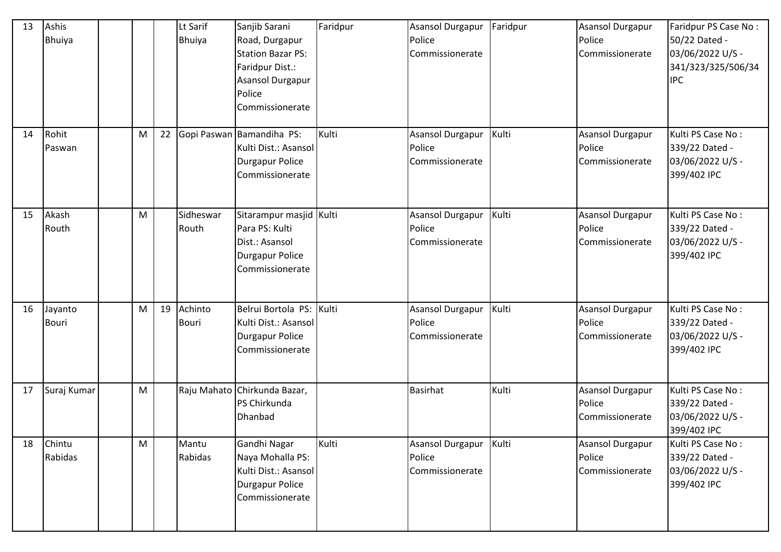| 13 | Ashis<br><b>Bhuiya</b> |   |    | Lt Sarif<br><b>Bhuiya</b> | Sanjib Sarani<br>Road, Durgapur<br><b>Station Bazar PS:</b><br>Faridpur Dist.:<br><b>Asansol Durgapur</b><br>Police<br>Commissionerate | Faridpur | <b>Asansol Durgapur</b><br>Police<br>Commissionerate | Faridpur | <b>Asansol Durgapur</b><br>Police<br>Commissionerate | Faridpur PS Case No:<br>50/22 Dated -<br>03/06/2022 U/S -<br>341/323/325/506/34<br><b>IPC</b> |
|----|------------------------|---|----|---------------------------|----------------------------------------------------------------------------------------------------------------------------------------|----------|------------------------------------------------------|----------|------------------------------------------------------|-----------------------------------------------------------------------------------------------|
| 14 | Rohit<br>Paswan        | M | 22 |                           | Gopi Paswan Bamandiha PS:<br>Kulti Dist.: Asansol<br><b>Durgapur Police</b><br>Commissionerate                                         | Kulti    | Asansol Durgapur<br>Police<br>Commissionerate        | Kulti    | Asansol Durgapur<br>Police<br>Commissionerate        | Kulti PS Case No:<br>339/22 Dated -<br>03/06/2022 U/S -<br>399/402 IPC                        |
| 15 | Akash<br>Routh         | M |    | Sidheswar<br>Routh        | Sitarampur masjid Kulti<br>Para PS: Kulti<br>Dist.: Asansol<br><b>Durgapur Police</b><br>Commissionerate                               |          | <b>Asansol Durgapur</b><br>Police<br>Commissionerate | Kulti    | <b>Asansol Durgapur</b><br>Police<br>Commissionerate | Kulti PS Case No:<br>339/22 Dated -<br>03/06/2022 U/S -<br>399/402 IPC                        |
| 16 | Jayanto<br>Bouri       | M | 19 | Achinto<br><b>Bouri</b>   | Belrui Bortola PS: Kulti<br>Kulti Dist.: Asansol<br><b>Durgapur Police</b><br>Commissionerate                                          |          | <b>Asansol Durgapur</b><br>Police<br>Commissionerate | Kulti    | <b>Asansol Durgapur</b><br>Police<br>Commissionerate | Kulti PS Case No:<br>339/22 Dated -<br>03/06/2022 U/S -<br>399/402 IPC                        |
| 17 | Suraj Kumar            | M |    |                           | Raju Mahato Chirkunda Bazar,<br>PS Chirkunda<br>Dhanbad                                                                                |          | <b>Basirhat</b>                                      | Kulti    | Asansol Durgapur<br>Police<br>Commissionerate        | Kulti PS Case No:<br>339/22 Dated -<br>03/06/2022 U/S -<br>399/402 IPC                        |
| 18 | Chintu<br>Rabidas      | M |    | Mantu<br>Rabidas          | Gandhi Nagar<br>Naya Mohalla PS:<br>Kulti Dist.: Asansol<br><b>Durgapur Police</b><br>Commissionerate                                  | Kulti    | Asansol Durgapur<br>Police<br>Commissionerate        | Kulti    | Asansol Durgapur<br>Police<br>Commissionerate        | Kulti PS Case No:<br>339/22 Dated -<br>03/06/2022 U/S -<br>399/402 IPC                        |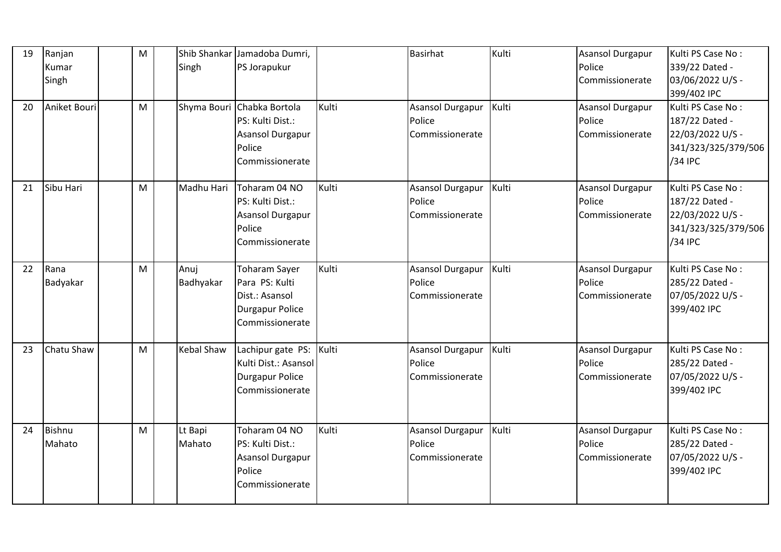| 19<br>20 | Ranjan<br>Kumar<br>Singh<br>Aniket Bouri | M<br>M | Singh             | Shib Shankar Jamadoba Dumri,<br>PS Jorapukur<br>Shyma Bouri Chabka Bortola<br>PS: Kulti Dist.:<br>Asansol Durgapur<br>Police | Kulti | Basirhat<br><b>Asansol Durgapur</b><br>Police<br>Commissionerate | Kulti<br>Kulti | <b>Asansol Durgapur</b><br>Police<br>Commissionerate<br><b>Asansol Durgapur</b><br>Police<br>Commissionerate | Kulti PS Case No:<br>339/22 Dated -<br>03/06/2022 U/S -<br>399/402 IPC<br>Kulti PS Case No:<br>187/22 Dated -<br>22/03/2022 U/S -<br>341/323/325/379/506 |
|----------|------------------------------------------|--------|-------------------|------------------------------------------------------------------------------------------------------------------------------|-------|------------------------------------------------------------------|----------------|--------------------------------------------------------------------------------------------------------------|----------------------------------------------------------------------------------------------------------------------------------------------------------|
| 21       | Sibu Hari                                | M      | Madhu Hari        | Commissionerate<br>Toharam 04 NO<br>PS: Kulti Dist.:<br><b>Asansol Durgapur</b><br>Police                                    | Kulti | Asansol Durgapur<br>Police<br>Commissionerate                    | Kulti          | <b>Asansol Durgapur</b><br>Police<br>Commissionerate                                                         | /34 IPC<br>Kulti PS Case No:<br>187/22 Dated -<br>22/03/2022 U/S -<br>341/323/325/379/506                                                                |
| 22       | Rana<br>Badyakar                         | M      | Anuj<br>Badhyakar | Commissionerate<br><b>Toharam Sayer</b><br>Para PS: Kulti<br>Dist.: Asansol<br><b>Durgapur Police</b><br>Commissionerate     | Kulti | <b>Asansol Durgapur</b><br>Police<br>Commissionerate             | Kulti          | Asansol Durgapur<br>Police<br>Commissionerate                                                                | /34 IPC<br>Kulti PS Case No:<br>285/22 Dated -<br>07/05/2022 U/S -<br>399/402 IPC                                                                        |
| 23       | Chatu Shaw                               | M      | Kebal Shaw        | Lachipur gate PS:<br>Kulti Dist.: Asansol<br><b>Durgapur Police</b><br>Commissionerate                                       | Kulti | <b>Asansol Durgapur</b><br>Police<br>Commissionerate             | Kulti          | <b>Asansol Durgapur</b><br>Police<br>Commissionerate                                                         | Kulti PS Case No:<br>285/22 Dated -<br>07/05/2022 U/S -<br>399/402 IPC                                                                                   |
| 24       | Bishnu<br>Mahato                         | M      | Lt Bapi<br>Mahato | Toharam 04 NO<br>PS: Kulti Dist.:<br>Asansol Durgapur<br>Police<br>Commissionerate                                           | Kulti | Asansol Durgapur<br>Police<br>Commissionerate                    | Kulti          | Asansol Durgapur<br>Police<br>Commissionerate                                                                | Kulti PS Case No:<br>285/22 Dated -<br>07/05/2022 U/S -<br>399/402 IPC                                                                                   |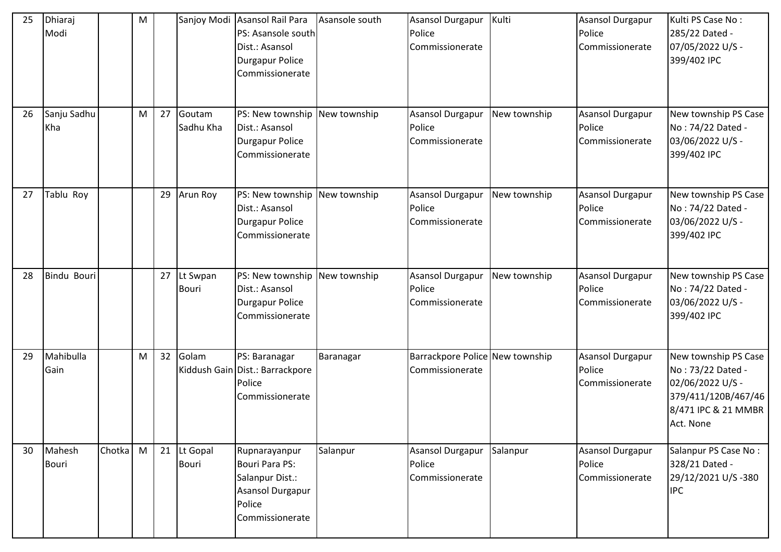| 25 | Dhiaraj<br>Modi        |        | M |    |                             | Sanjoy Modi Asansol Rail Para<br>PS: Asansole south<br>Dist.: Asansol<br><b>Durgapur Police</b><br>Commissionerate | Asansole south | Asansol Durgapur<br>Police<br>Commissionerate        | Kulti        | <b>Asansol Durgapur</b><br>Police<br>Commissionerate | Kulti PS Case No:<br>285/22 Dated -<br>07/05/2022 U/S -<br>399/402 IPC                                                   |
|----|------------------------|--------|---|----|-----------------------------|--------------------------------------------------------------------------------------------------------------------|----------------|------------------------------------------------------|--------------|------------------------------------------------------|--------------------------------------------------------------------------------------------------------------------------|
| 26 | Sanju Sadhu<br>Kha     |        | M | 27 | Goutam<br>Sadhu Kha         | PS: New township New township<br>Dist.: Asansol<br><b>Durgapur Police</b><br>Commissionerate                       |                | <b>Asansol Durgapur</b><br>Police<br>Commissionerate | New township | Asansol Durgapur<br>Police<br>Commissionerate        | New township PS Case<br>No: 74/22 Dated -<br>03/06/2022 U/S -<br>399/402 IPC                                             |
| 27 | Tablu Roy              |        |   | 29 | Arun Roy                    | PS: New township New township<br>Dist.: Asansol<br><b>Durgapur Police</b><br>Commissionerate                       |                | Asansol Durgapur<br>Police<br>Commissionerate        | New township | <b>Asansol Durgapur</b><br>Police<br>Commissionerate | New township PS Case<br>No: 74/22 Dated -<br>03/06/2022 U/S -<br>399/402 IPC                                             |
| 28 | Bindu Bouri            |        |   | 27 | Lt Swpan<br><b>Bouri</b>    | PS: New township New township<br>Dist.: Asansol<br><b>Durgapur Police</b><br>Commissionerate                       |                | Asansol Durgapur<br>Police<br>Commissionerate        | New township | <b>Asansol Durgapur</b><br>Police<br>Commissionerate | New township PS Case<br>No: 74/22 Dated -<br>03/06/2022 U/S -<br>399/402 IPC                                             |
| 29 | Mahibulla<br>Gain      |        | M | 32 | Golam                       | PS: Baranagar<br>Kiddush Gain Dist.: Barrackpore<br>Police<br>Commissionerate                                      | Baranagar      | Barrackpore Police New township<br>Commissionerate   |              | <b>Asansol Durgapur</b><br>Police<br>Commissionerate | New township PS Case<br>No: 73/22 Dated -<br>02/06/2022 U/S -<br>379/411/120B/467/46<br>8/471 IPC & 21 MMBR<br>Act. None |
| 30 | Mahesh<br><b>Bouri</b> | Chotka | M |    | 21 Lt Gopal<br><b>Bouri</b> | Rupnarayanpur<br>Bouri Para PS:<br>Salanpur Dist.:<br>Asansol Durgapur<br>Police<br>Commissionerate                | Salanpur       | Asansol Durgapur<br>Police<br>Commissionerate        | Salanpur     | <b>Asansol Durgapur</b><br>Police<br>Commissionerate | Salanpur PS Case No:<br>328/21 Dated -<br>29/12/2021 U/S-380<br><b>IPC</b>                                               |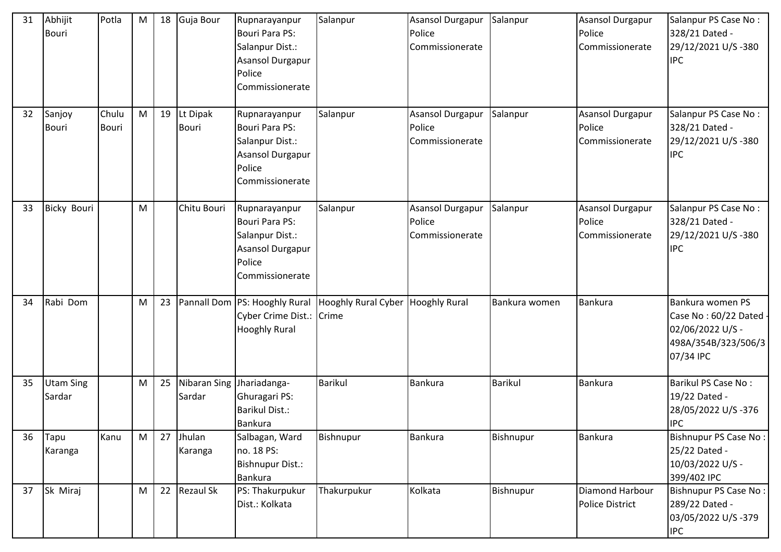| 31 | Abhijit<br><b>Bouri</b>    | Potla          | M | 18 | Guja Bour                | Rupnarayanpur<br><b>Bouri Para PS:</b><br>Salanpur Dist.:<br><b>Asansol Durgapur</b><br>Police<br>Commissionerate | Salanpur                                                              | Asansol Durgapur<br>Police<br>Commissionerate        | Salanpur       | <b>Asansol Durgapur</b><br>Police<br>Commissionerate | Salanpur PS Case No:<br>328/21 Dated -<br>29/12/2021 U/S-380<br><b>IPC</b>                       |
|----|----------------------------|----------------|---|----|--------------------------|-------------------------------------------------------------------------------------------------------------------|-----------------------------------------------------------------------|------------------------------------------------------|----------------|------------------------------------------------------|--------------------------------------------------------------------------------------------------|
| 32 | Sanjoy<br><b>Bouri</b>     | Chulu<br>Bouri | M | 19 | Lt Dipak<br><b>Bouri</b> | Rupnarayanpur<br><b>Bouri Para PS:</b><br>Salanpur Dist.:<br><b>Asansol Durgapur</b><br>Police<br>Commissionerate | Salanpur                                                              | <b>Asansol Durgapur</b><br>Police<br>Commissionerate | Salanpur       | <b>Asansol Durgapur</b><br>Police<br>Commissionerate | Salanpur PS Case No:<br>328/21 Dated -<br>29/12/2021 U/S-380<br><b>IPC</b>                       |
| 33 | <b>Bicky Bouri</b>         |                | M |    | Chitu Bouri              | Rupnarayanpur<br><b>Bouri Para PS:</b><br>Salanpur Dist.:<br><b>Asansol Durgapur</b><br>Police<br>Commissionerate | Salanpur                                                              | Asansol Durgapur<br>Police<br>Commissionerate        | Salanpur       | <b>Asansol Durgapur</b><br>Police<br>Commissionerate | Salanpur PS Case No:<br>328/21 Dated -<br>29/12/2021 U/S-380<br><b>IPC</b>                       |
| 34 | Rabi Dom                   |                | M | 23 |                          | Cyber Crime Dist.: Crime<br><b>Hooghly Rural</b>                                                                  | Pannall Dom   PS: Hooghly Rural   Hooghly Rural Cyber   Hooghly Rural |                                                      | Bankura women  | Bankura                                              | Bankura women PS<br>Case No: 60/22 Dated<br>02/06/2022 U/S -<br>498A/354B/323/506/3<br>07/34 IPC |
| 35 | <b>Utam Sing</b><br>Sardar |                | M | 25 | Sardar                   | Nibaran Sing Jhariadanga-<br>Ghuragari PS:<br><b>Barikul Dist.:</b><br>Bankura                                    | <b>Barikul</b>                                                        | Bankura                                              | <b>Barikul</b> | Bankura                                              | <b>Barikul PS Case No:</b><br>19/22 Dated -<br>28/05/2022 U/S-376<br><b>IPC</b>                  |
| 36 | Tapu<br>Karanga            | Kanu           | M | 27 | Jhulan<br>Karanga        | Salbagan, Ward<br>no. 18 PS:<br><b>Bishnupur Dist.:</b><br>Bankura                                                | Bishnupur                                                             | <b>Bankura</b>                                       | Bishnupur      | Bankura                                              | <b>Bishnupur PS Case No:</b><br>25/22 Dated -<br>10/03/2022 U/S -<br>399/402 IPC                 |
| 37 | Sk Miraj                   |                | M | 22 | Rezaul Sk                | PS: Thakurpukur<br>Dist.: Kolkata                                                                                 | Thakurpukur                                                           | Kolkata                                              | Bishnupur      | Diamond Harbour<br><b>Police District</b>            | <b>Bishnupur PS Case No:</b><br>289/22 Dated -<br>03/05/2022 U/S-379<br><b>IPC</b>               |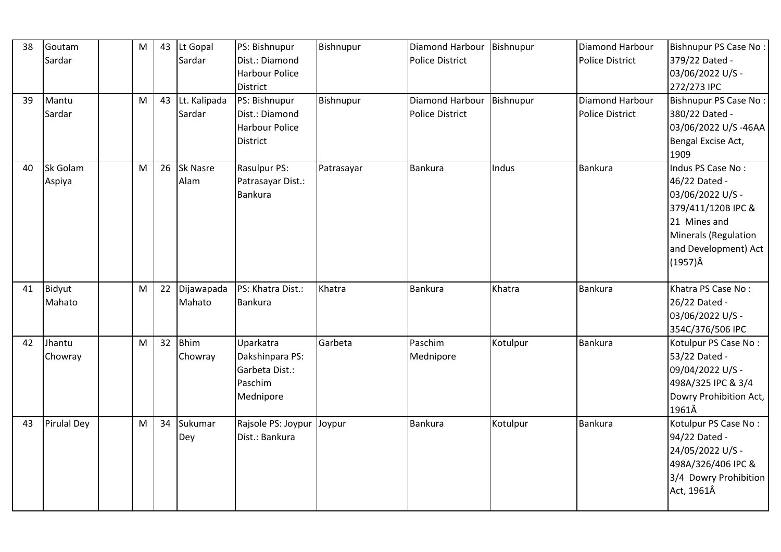| 38 | Goutam<br>Sardar   | M | 43 | Lt Gopal<br>Sardar     | PS: Bishnupur<br>Dist.: Diamond<br>Harbour Police<br>District               | Bishnupur  | Diamond Harbour Bishnupur<br><b>Police District</b>   |          | Diamond Harbour<br><b>Police District</b> | Bishnupur PS Case No:<br>379/22 Dated -<br>03/06/2022 U/S -<br>272/273 IPC                                                                                             |
|----|--------------------|---|----|------------------------|-----------------------------------------------------------------------------|------------|-------------------------------------------------------|----------|-------------------------------------------|------------------------------------------------------------------------------------------------------------------------------------------------------------------------|
| 39 | Mantu<br>Sardar    | M | 43 | Lt. Kalipada<br>Sardar | PS: Bishnupur<br>Dist.: Diamond<br><b>Harbour Police</b><br><b>District</b> | Bishnupur  | Diamond Harbour   Bishnupur<br><b>Police District</b> |          | Diamond Harbour<br>Police District        | <b>Bishnupur PS Case No:</b><br>380/22 Dated -<br>03/06/2022 U/S-46AA<br>Bengal Excise Act,<br>1909                                                                    |
| 40 | Sk Golam<br>Aspiya | M | 26 | Sk Nasre<br>Alam       | Rasulpur PS:<br>Patrasayar Dist.:<br><b>Bankura</b>                         | Patrasayar | <b>Bankura</b>                                        | Indus    | Bankura                                   | Indus PS Case No:<br>46/22 Dated -<br>03/06/2022 U/S -<br>379/411/120B IPC &<br>21 Mines and<br><b>Minerals (Regulation</b><br>and Development) Act<br>$(1957)\hat{A}$ |
| 41 | Bidyut<br>Mahato   | M | 22 | Dijawapada<br>Mahato   | PS: Khatra Dist.:<br>Bankura                                                | Khatra     | <b>Bankura</b>                                        | Khatra   | Bankura                                   | Khatra PS Case No:<br>26/22 Dated -<br>03/06/2022 U/S -<br>354C/376/506 IPC                                                                                            |
| 42 | Jhantu<br>Chowray  | M | 32 | <b>Bhim</b><br>Chowray | Uparkatra<br>Dakshinpara PS:<br>Garbeta Dist.:<br>Paschim<br>Mednipore      | Garbeta    | Paschim<br>Mednipore                                  | Kotulpur | Bankura                                   | Kotulpur PS Case No:<br>53/22 Dated -<br>09/04/2022 U/S -<br>498A/325 IPC & 3/4<br>Dowry Prohibition Act,<br>1961Â                                                     |
| 43 | <b>Pirulal Dey</b> | M | 34 | Sukumar<br>Dey         | Rajsole PS: Joypur<br>Dist.: Bankura                                        | Joypur     | Bankura                                               | Kotulpur | Bankura                                   | Kotulpur PS Case No:<br>94/22 Dated -<br>24/05/2022 U/S -<br>498A/326/406 IPC &<br>3/4 Dowry Prohibition<br>Act, 1961Â                                                 |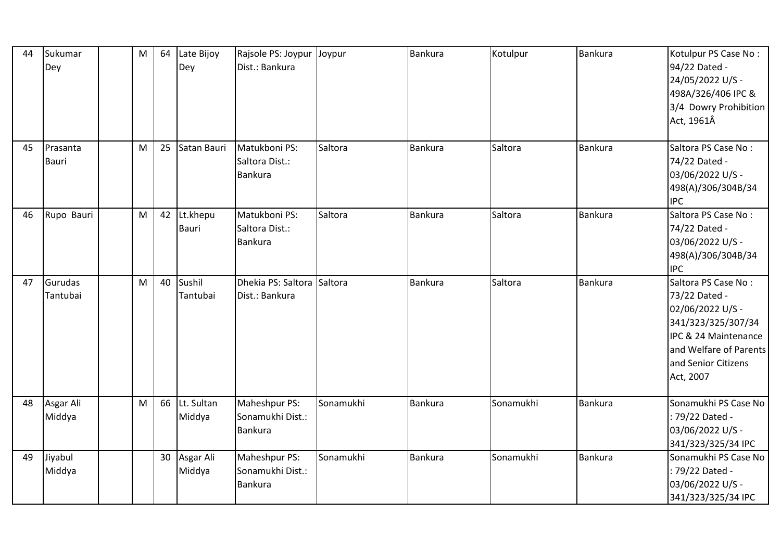| 44 | Sukumar<br>Dey           | M | 64              | Late Bijoy<br>Dey        | Rajsole PS: Joypur<br>Dist.: Bankura                | Joypur    | <b>Bankura</b> | Kotulpur  | <b>Bankura</b> | Kotulpur PS Case No:<br>94/22 Dated -<br>24/05/2022 U/S -<br>498A/326/406 IPC &<br>3/4 Dowry Prohibition<br>Act, 1961Â                                               |
|----|--------------------------|---|-----------------|--------------------------|-----------------------------------------------------|-----------|----------------|-----------|----------------|----------------------------------------------------------------------------------------------------------------------------------------------------------------------|
| 45 | Prasanta<br><b>Bauri</b> | M | 25              | Satan Bauri              | Matukboni PS:<br>Saltora Dist.:<br><b>Bankura</b>   | Saltora   | <b>Bankura</b> | Saltora   | <b>Bankura</b> | Saltora PS Case No:<br>74/22 Dated -<br>03/06/2022 U/S -<br>498(A)/306/304B/34<br><b>IPC</b>                                                                         |
| 46 | Rupo Bauri               | M | 42              | Lt.khepu<br><b>Bauri</b> | Matukboni PS:<br>Saltora Dist.:<br><b>Bankura</b>   | Saltora   | <b>Bankura</b> | Saltora   | <b>Bankura</b> | Saltora PS Case No:<br>74/22 Dated -<br>03/06/2022 U/S -<br>498(A)/306/304B/34<br><b>IPC</b>                                                                         |
| 47 | Gurudas<br>Tantubai      | M | 40              | Sushil<br>Tantubai       | Dhekia PS: Saltora<br>Dist.: Bankura                | Saltora   | <b>Bankura</b> | Saltora   | <b>Bankura</b> | Saltora PS Case No:<br>73/22 Dated -<br>02/06/2022 U/S -<br>341/323/325/307/34<br>IPC & 24 Maintenance<br>and Welfare of Parents<br>and Senior Citizens<br>Act, 2007 |
| 48 | Asgar Ali<br>Middya      | M | 66              | Lt. Sultan<br>Middya     | Maheshpur PS:<br>Sonamukhi Dist.:<br><b>Bankura</b> | Sonamukhi | Bankura        | Sonamukhi | <b>Bankura</b> | Sonamukhi PS Case No<br>: 79/22 Dated -<br>03/06/2022 U/S -<br>341/323/325/34 IPC                                                                                    |
| 49 | Jiyabul<br>Middya        |   | 30 <sup>°</sup> | Asgar Ali<br>Middya      | Maheshpur PS:<br>Sonamukhi Dist.:<br><b>Bankura</b> | Sonamukhi | <b>Bankura</b> | Sonamukhi | <b>Bankura</b> | Sonamukhi PS Case No<br>: 79/22 Dated -<br>03/06/2022 U/S -<br>341/323/325/34 IPC                                                                                    |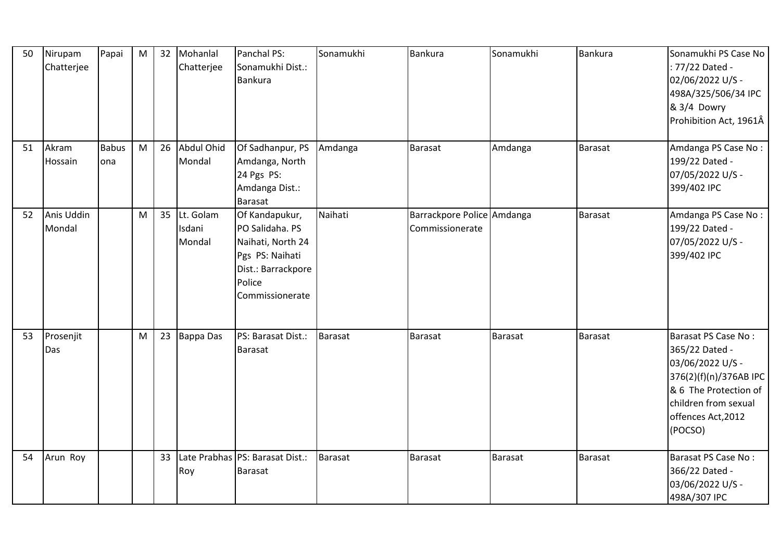| 50 | Nirupam<br>Chatterjee | Papai               | M | 32 | Mohanlal<br>Chatterjee        | Panchal PS:<br>Sonamukhi Dist.:<br><b>Bankura</b>                                                                            | Sonamukhi      | Bankura                                       | Sonamukhi | Bankura        | Sonamukhi PS Case No<br>: 77/22 Dated -<br>02/06/2022 U/S -<br>498A/325/506/34 IPC<br>& 3/4 Dowry<br>Prohibition Act, 1961Â                                           |
|----|-----------------------|---------------------|---|----|-------------------------------|------------------------------------------------------------------------------------------------------------------------------|----------------|-----------------------------------------------|-----------|----------------|-----------------------------------------------------------------------------------------------------------------------------------------------------------------------|
| 51 | Akram<br>Hossain      | <b>Babus</b><br>ona | M | 26 | Abdul Ohid<br>Mondal          | Of Sadhanpur, PS<br>Amdanga, North<br>24 Pgs PS:<br>Amdanga Dist.:<br><b>Barasat</b>                                         | Amdanga        | <b>Barasat</b>                                | Amdanga   | <b>Barasat</b> | Amdanga PS Case No:<br>199/22 Dated -<br>07/05/2022 U/S -<br>399/402 IPC                                                                                              |
| 52 | Anis Uddin<br>Mondal  |                     | M | 35 | Lt. Golam<br>Isdani<br>Mondal | Of Kandapukur,<br>PO Salidaha. PS<br>Naihati, North 24<br>Pgs PS: Naihati<br>Dist.: Barrackpore<br>Police<br>Commissionerate | Naihati        | Barrackpore Police Amdanga<br>Commissionerate |           | <b>Barasat</b> | Amdanga PS Case No:<br>199/22 Dated -<br>07/05/2022 U/S -<br>399/402 IPC                                                                                              |
| 53 | Prosenjit<br>Das      |                     | M | 23 | <b>Bappa Das</b>              | PS: Barasat Dist.:<br><b>Barasat</b>                                                                                         | <b>Barasat</b> | Barasat                                       | Barasat   | <b>Barasat</b> | Barasat PS Case No:<br>365/22 Dated -<br>03/06/2022 U/S -<br>376(2)(f)(n)/376AB IPC<br>& 6 The Protection of<br>children from sexual<br>offences Act, 2012<br>(POCSO) |
| 54 | Arun Roy              |                     |   | 33 | Roy                           | Late Prabhas PS: Barasat Dist.:<br><b>Barasat</b>                                                                            | <b>Barasat</b> | <b>Barasat</b>                                | Barasat   | <b>Barasat</b> | Barasat PS Case No:<br>366/22 Dated -<br>03/06/2022 U/S -<br>498A/307 IPC                                                                                             |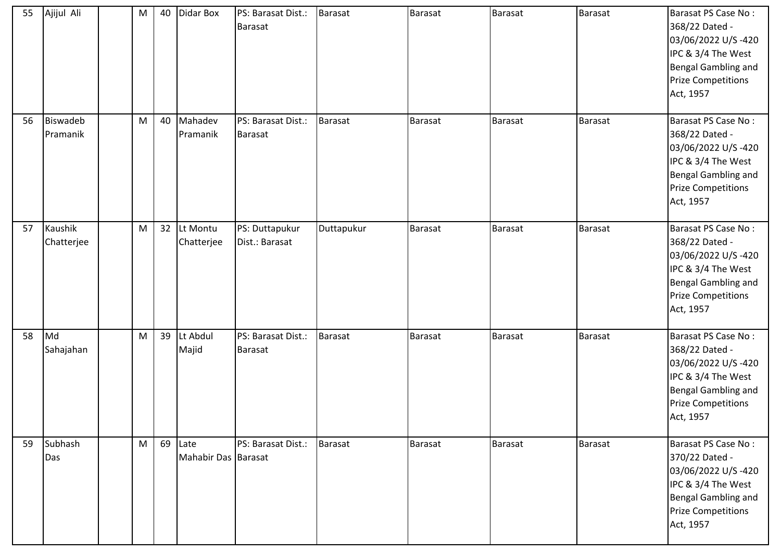| 55 | Ajijul Ali                  | M | 40 | Didar Box                   | PS: Barasat Dist.:<br>Barasat        | Barasat        | Barasat        | Barasat | Barasat        | Barasat PS Case No:<br>368/22 Dated -<br>03/06/2022 U/S-420<br>IPC & 3/4 The West<br><b>Bengal Gambling and</b><br><b>Prize Competitions</b><br>Act, 1957 |
|----|-----------------------------|---|----|-----------------------------|--------------------------------------|----------------|----------------|---------|----------------|-----------------------------------------------------------------------------------------------------------------------------------------------------------|
| 56 | <b>Biswadeb</b><br>Pramanik | M | 40 | Mahadev<br>Pramanik         | PS: Barasat Dist.:<br><b>Barasat</b> | <b>Barasat</b> | <b>Barasat</b> | Barasat | Barasat        | Barasat PS Case No:<br>368/22 Dated -<br>03/06/2022 U/S-420<br>IPC & 3/4 The West<br><b>Bengal Gambling and</b><br><b>Prize Competitions</b><br>Act, 1957 |
| 57 | Kaushik<br>Chatterjee       | M | 32 | Lt Montu<br>Chatterjee      | PS: Duttapukur<br>Dist.: Barasat     | Duttapukur     | Barasat        | Barasat | <b>Barasat</b> | Barasat PS Case No:<br>368/22 Dated -<br>03/06/2022 U/S-420<br>IPC & 3/4 The West<br><b>Bengal Gambling and</b><br><b>Prize Competitions</b><br>Act, 1957 |
| 58 | Md<br>Sahajahan             | M | 39 | Lt Abdul<br>Majid           | PS: Barasat Dist.:<br><b>Barasat</b> | <b>Barasat</b> | <b>Barasat</b> | Barasat | <b>Barasat</b> | Barasat PS Case No:<br>368/22 Dated -<br>03/06/2022 U/S-420<br>IPC & 3/4 The West<br>Bengal Gambling and<br><b>Prize Competitions</b><br>Act, 1957        |
| 59 | Subhash<br>Das              | M | 69 | Late<br>Mahabir Das Barasat | PS: Barasat Dist.:                   | Barasat        | <b>Barasat</b> | Barasat | Barasat        | Barasat PS Case No:<br>370/22 Dated -<br>03/06/2022 U/S-420<br>IPC & 3/4 The West<br>Bengal Gambling and<br><b>Prize Competitions</b><br>Act, 1957        |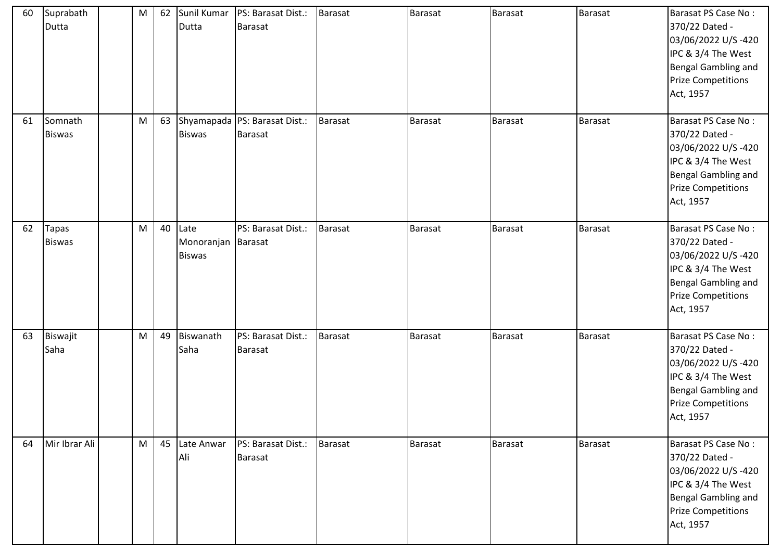| 60 | Suprabath<br>Dutta       | M | 62 | Dutta                                       | Sunil Kumar   PS: Barasat Dist.:<br>Barasat | Barasat        | <b>Barasat</b> | <b>Barasat</b> | <b>Barasat</b> | Barasat PS Case No:<br>370/22 Dated -<br>03/06/2022 U/S-420<br>IPC & 3/4 The West<br>Bengal Gambling and<br><b>Prize Competitions</b><br>Act, 1957 |
|----|--------------------------|---|----|---------------------------------------------|---------------------------------------------|----------------|----------------|----------------|----------------|----------------------------------------------------------------------------------------------------------------------------------------------------|
| 61 | Somnath<br><b>Biswas</b> | M | 63 | <b>Biswas</b>                               | Shyamapada PS: Barasat Dist.:<br>Barasat    | Barasat        | Barasat        | Barasat        | Barasat        | Barasat PS Case No:<br>370/22 Dated -<br>03/06/2022 U/S-420<br>IPC & 3/4 The West<br>Bengal Gambling and<br><b>Prize Competitions</b><br>Act, 1957 |
| 62 | Tapas<br><b>Biswas</b>   | M | 40 | Late<br>Monoranjan Barasat<br><b>Biswas</b> | PS: Barasat Dist.:                          | <b>Barasat</b> | Barasat        | Barasat        | <b>Barasat</b> | Barasat PS Case No:<br>370/22 Dated -<br>03/06/2022 U/S-420<br>IPC & 3/4 The West<br>Bengal Gambling and<br><b>Prize Competitions</b><br>Act, 1957 |
| 63 | Biswajit<br>Saha         | M | 49 | Biswanath<br>Saha                           | PS: Barasat Dist.:<br>Barasat               | <b>Barasat</b> | <b>Barasat</b> | Barasat        | <b>Barasat</b> | Barasat PS Case No:<br>370/22 Dated -<br>03/06/2022 U/S-420<br>IPC & 3/4 The West<br>Bengal Gambling and<br><b>Prize Competitions</b><br>Act, 1957 |
| 64 | Mir Ibrar Ali            | M | 45 | Late Anwar<br>Ali                           | PS: Barasat Dist.:<br>Barasat               | <b>Barasat</b> | <b>Barasat</b> | Barasat        | <b>Barasat</b> | Barasat PS Case No:<br>370/22 Dated -<br>03/06/2022 U/S-420<br>IPC & 3/4 The West<br>Bengal Gambling and<br><b>Prize Competitions</b><br>Act, 1957 |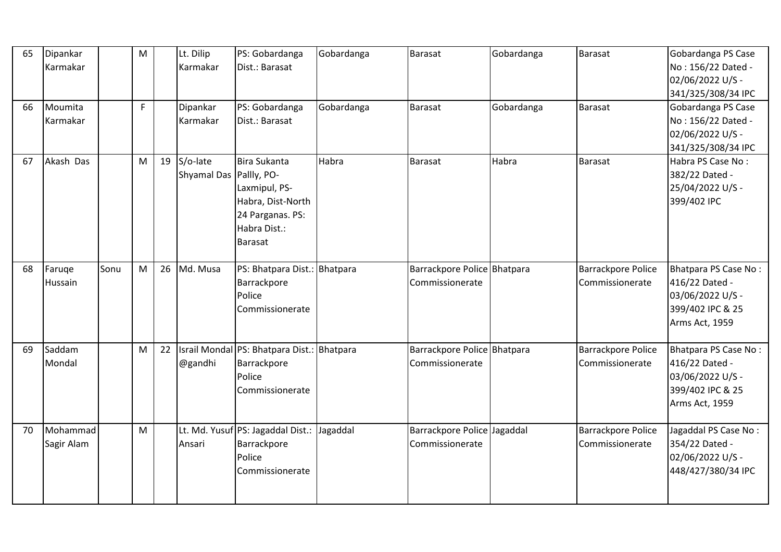| 65 | Dipankar<br>Karmakar   |      | M |    | Lt. Dilip<br>Karmakar               | PS: Gobardanga<br>Dist.: Barasat                                                                         | Gobardanga | <b>Barasat</b>                                 | Gobardanga | <b>Barasat</b>                               | Gobardanga PS Case<br>No: 156/22 Dated -<br>02/06/2022 U/S -<br>341/325/308/34 IPC               |
|----|------------------------|------|---|----|-------------------------------------|----------------------------------------------------------------------------------------------------------|------------|------------------------------------------------|------------|----------------------------------------------|--------------------------------------------------------------------------------------------------|
| 66 | Moumita<br>Karmakar    |      | F |    | Dipankar<br>Karmakar                | PS: Gobardanga<br>Dist.: Barasat                                                                         | Gobardanga | Barasat                                        | Gobardanga | Barasat                                      | Gobardanga PS Case<br>No: 156/22 Dated -<br>02/06/2022 U/S -<br>341/325/308/34 IPC               |
| 67 | Akash Das              |      | M | 19 | S/o-late<br>Shyamal Das Pallly, PO- | Bira Sukanta<br>Laxmipul, PS-<br>Habra, Dist-North<br>24 Parganas. PS:<br>Habra Dist.:<br><b>Barasat</b> | Habra      | Barasat                                        | Habra      | <b>Barasat</b>                               | Habra PS Case No:<br>382/22 Dated -<br>25/04/2022 U/S -<br>399/402 IPC                           |
| 68 | Faruge<br>Hussain      | Sonu | M | 26 | Md. Musa                            | PS: Bhatpara Dist.: Bhatpara<br>Barrackpore<br>Police<br>Commissionerate                                 |            | Barrackpore Police Bhatpara<br>Commissionerate |            | <b>Barrackpore Police</b><br>Commissionerate | Bhatpara PS Case No:<br>416/22 Dated -<br>03/06/2022 U/S -<br>399/402 IPC & 25<br>Arms Act, 1959 |
| 69 | Saddam<br>Mondal       |      | M | 22 | @gandhi                             | Israil Mondal PS: Bhatpara Dist.: Bhatpara<br>Barrackpore<br>Police<br>Commissionerate                   |            | Barrackpore Police Bhatpara<br>Commissionerate |            | Barrackpore Police<br>Commissionerate        | Bhatpara PS Case No:<br>416/22 Dated -<br>03/06/2022 U/S -<br>399/402 IPC & 25<br>Arms Act, 1959 |
| 70 | Mohammad<br>Sagir Alam |      | M |    | Ansari                              | Lt. Md. Yusuf PS: Jagaddal Dist.: Jagaddal<br>Barrackpore<br>Police<br>Commissionerate                   |            | Barrackpore Police Jagaddal<br>Commissionerate |            | Barrackpore Police<br>Commissionerate        | Jagaddal PS Case No:<br>354/22 Dated -<br>02/06/2022 U/S -<br>448/427/380/34 IPC                 |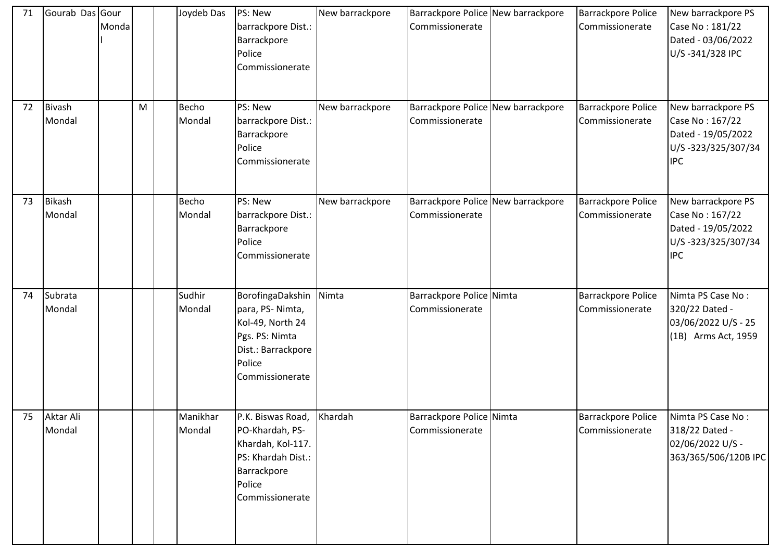| 71 | Gourab Das Gour         | Monda |   | Joydeb Das         | PS: New<br>barrackpore Dist.:<br>Barrackpore<br>Police<br>Commissionerate                                                    | New barrackpore | Barrackpore Police New barrackpore<br>Commissionerate | <b>Barrackpore Police</b><br>Commissionerate | New barrackpore PS<br>Case No: 181/22<br>Dated - 03/06/2022<br>U/S-341/328 IPC                  |
|----|-------------------------|-------|---|--------------------|------------------------------------------------------------------------------------------------------------------------------|-----------------|-------------------------------------------------------|----------------------------------------------|-------------------------------------------------------------------------------------------------|
| 72 | <b>Bivash</b><br>Mondal |       | M | Becho<br>Mondal    | PS: New<br>barrackpore Dist.:<br>Barrackpore<br>Police<br>Commissionerate                                                    | New barrackpore | Barrackpore Police New barrackpore<br>Commissionerate | <b>Barrackpore Police</b><br>Commissionerate | New barrackpore PS<br>Case No: 167/22<br>Dated - 19/05/2022<br>U/S-323/325/307/34<br><b>IPC</b> |
| 73 | Bikash<br>Mondal        |       |   | Becho<br>Mondal    | PS: New<br>barrackpore Dist.:<br>Barrackpore<br>Police<br>Commissionerate                                                    | New barrackpore | Barrackpore Police New barrackpore<br>Commissionerate | <b>Barrackpore Police</b><br>Commissionerate | New barrackpore PS<br>Case No: 167/22<br>Dated - 19/05/2022<br>U/S-323/325/307/34<br><b>IPC</b> |
| 74 | Subrata<br>Mondal       |       |   | Sudhir<br>Mondal   | BorofingaDakshin<br>para, PS-Nimta,<br>Kol-49, North 24<br>Pgs. PS: Nimta<br>Dist.: Barrackpore<br>Police<br>Commissionerate | Nimta           | Barrackpore Police Nimta<br>Commissionerate           | <b>Barrackpore Police</b><br>Commissionerate | Nimta PS Case No:<br>320/22 Dated -<br>03/06/2022 U/S - 25<br>(1B) Arms Act, 1959               |
| 75 | Aktar Ali<br>Mondal     |       |   | Manikhar<br>Mondal | P.K. Biswas Road,<br>PO-Khardah, PS-<br>Khardah, Kol-117.<br>PS: Khardah Dist.:<br>Barrackpore<br>Police<br>Commissionerate  | Khardah         | Barrackpore Police Nimta<br>Commissionerate           | <b>Barrackpore Police</b><br>Commissionerate | Nimta PS Case No:<br>318/22 Dated -<br>02/06/2022 U/S -<br>363/365/506/120B IPC                 |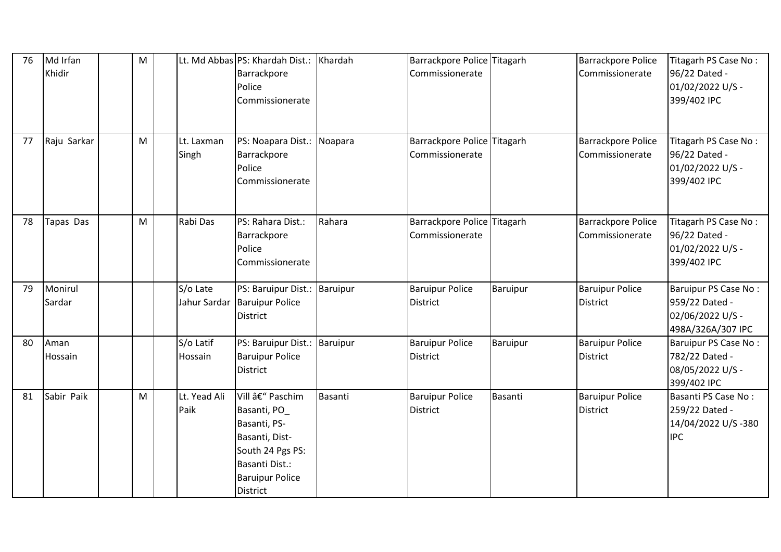| 76 | Md Irfan<br>Khidir | M |                      | Lt. Md Abbas PS: Khardah Dist.: Khardah<br>Barrackpore<br>Police<br>Commissionerate                                                                 |         | Barrackpore Police Titagarh<br>Commissionerate |          | <b>Barrackpore Police</b><br>Commissionerate | Titagarh PS Case No:<br>96/22 Dated -<br>01/02/2022 U/S -<br>399/402 IPC        |
|----|--------------------|---|----------------------|-----------------------------------------------------------------------------------------------------------------------------------------------------|---------|------------------------------------------------|----------|----------------------------------------------|---------------------------------------------------------------------------------|
| 77 | Raju Sarkar        | M | Lt. Laxman<br>Singh  | PS: Noapara Dist.: Noapara<br>Barrackpore<br>Police<br>Commissionerate                                                                              |         | Barrackpore Police Titagarh<br>Commissionerate |          | <b>Barrackpore Police</b><br>Commissionerate | Titagarh PS Case No:<br>96/22 Dated -<br>01/02/2022 U/S -<br>399/402 IPC        |
| 78 | Tapas Das          | M | Rabi Das             | PS: Rahara Dist.:<br>Barrackpore<br>Police<br>Commissionerate                                                                                       | Rahara  | Barrackpore Police Titagarh<br>Commissionerate |          | <b>Barrackpore Police</b><br>Commissionerate | Titagarh PS Case No:<br>96/22 Dated -<br>01/02/2022 U/S -<br>399/402 IPC        |
| 79 | Monirul<br>Sardar  |   | S/o Late             | PS: Baruipur Dist.: Baruipur<br>Jahur Sardar Baruipur Police<br><b>District</b>                                                                     |         | <b>Baruipur Police</b><br><b>District</b>      | Baruipur | <b>Baruipur Police</b><br><b>District</b>    | Baruipur PS Case No:<br>959/22 Dated -<br>02/06/2022 U/S -<br>498A/326A/307 IPC |
| 80 | Aman<br>Hossain    |   | S/o Latif<br>Hossain | PS: Baruipur Dist.: Baruipur<br><b>Baruipur Police</b><br><b>District</b>                                                                           |         | <b>Baruipur Police</b><br><b>District</b>      | Baruipur | <b>Baruipur Police</b><br><b>District</b>    | Baruipur PS Case No:<br>782/22 Dated -<br>08/05/2022 U/S -<br>399/402 IPC       |
| 81 | Sabir Paik         | M | Lt. Yead Ali<br>Paik | Vill – Paschim<br>Basanti, PO_<br>Basanti, PS-<br>Basanti, Dist-<br>South 24 Pgs PS:<br>Basanti Dist.:<br><b>Baruipur Police</b><br><b>District</b> | Basanti | <b>Baruipur Police</b><br><b>District</b>      | Basanti  | <b>Baruipur Police</b><br><b>District</b>    | Basanti PS Case No:<br>259/22 Dated -<br>14/04/2022 U/S-380<br><b>IPC</b>       |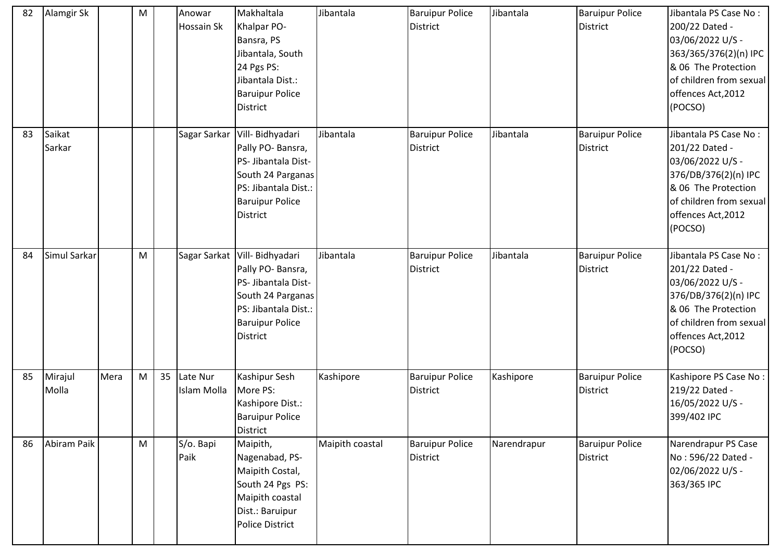| 82 | Alamgir Sk       |      | M |    | Anowar<br><b>Hossain Sk</b> | Makhaltala<br>Khalpar PO-<br>Bansra, PS<br>Jibantala, South<br>24 Pgs PS:<br>Jibantala Dist.:<br><b>Baruipur Police</b><br><b>District</b>                            | Jibantala       | <b>Baruipur Police</b><br><b>District</b> | Jibantala   | <b>Baruipur Police</b><br><b>District</b> | Jibantala PS Case No:<br>200/22 Dated -<br>03/06/2022 U/S -<br>363/365/376(2)(n) IPC<br>& 06 The Protection<br>of children from sexual<br>offences Act, 2012<br>(POCSO) |
|----|------------------|------|---|----|-----------------------------|-----------------------------------------------------------------------------------------------------------------------------------------------------------------------|-----------------|-------------------------------------------|-------------|-------------------------------------------|-------------------------------------------------------------------------------------------------------------------------------------------------------------------------|
| 83 | Saikat<br>Sarkar |      |   |    | Sagar Sarkar                | Vill- Bidhyadari<br>Pally PO- Bansra,<br>PS- Jibantala Dist-<br>South 24 Parganas<br>PS: Jibantala Dist.:<br><b>Baruipur Police</b><br><b>District</b>                | Jibantala       | <b>Baruipur Police</b><br><b>District</b> | Jibantala   | <b>Baruipur Police</b><br><b>District</b> | Jibantala PS Case No:<br>201/22 Dated -<br>03/06/2022 U/S -<br>376/DB/376(2)(n) IPC<br>& 06 The Protection<br>of children from sexual<br>offences Act, 2012<br>(POCSO)  |
| 84 | Simul Sarkar     |      | M |    |                             | Sagar Sarkat   Vill- Bidhyadari<br>Pally PO- Bansra,<br>PS- Jibantala Dist-<br>South 24 Parganas<br>PS: Jibantala Dist.:<br><b>Baruipur Police</b><br><b>District</b> | Jibantala       | <b>Baruipur Police</b><br><b>District</b> | Jibantala   | <b>Baruipur Police</b><br><b>District</b> | Jibantala PS Case No:<br>201/22 Dated -<br>03/06/2022 U/S -<br>376/DB/376(2)(n) IPC<br>& 06 The Protection<br>of children from sexual<br>offences Act, 2012<br>(POCSO)  |
| 85 | Mirajul<br>Molla | Mera | M | 35 | Late Nur<br>Islam Molla     | Kashipur Sesh<br>More PS:<br>Kashipore Dist.:<br><b>Baruipur Police</b><br>District                                                                                   | Kashipore       | <b>Baruipur Police</b><br><b>District</b> | Kashipore   | <b>Baruipur Police</b><br><b>District</b> | Kashipore PS Case No:<br>219/22 Dated -<br>16/05/2022 U/S -<br>399/402 IPC                                                                                              |
| 86 | Abiram Paik      |      | M |    | S/o. Bapi<br>Paik           | Maipith,<br>Nagenabad, PS-<br>Maipith Costal,<br>South 24 Pgs PS:<br>Maipith coastal<br>Dist.: Baruipur<br>Police District                                            | Maipith coastal | <b>Baruipur Police</b><br><b>District</b> | Narendrapur | <b>Baruipur Police</b><br><b>District</b> | Narendrapur PS Case<br>No: 596/22 Dated -<br>02/06/2022 U/S -<br>363/365 IPC                                                                                            |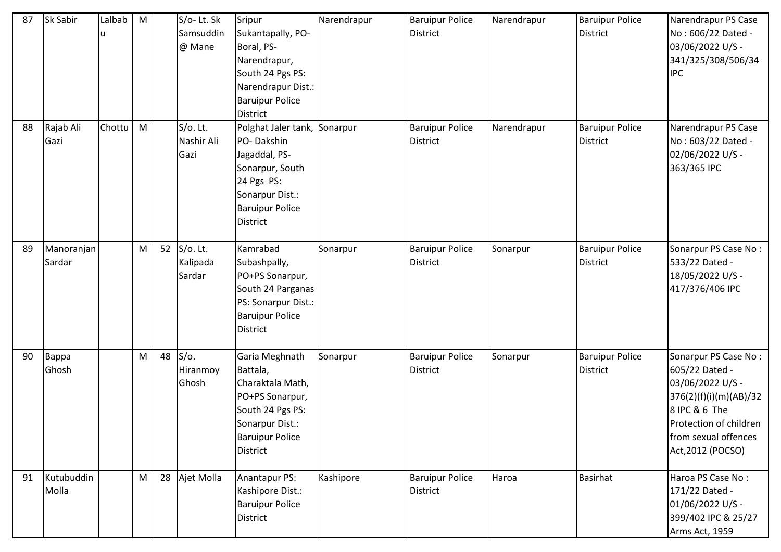| 87 | Sk Sabir             | Lalbab<br>u | M |    | S/o-Lt. Sk<br>Samsuddin<br>@ Mane | Sripur<br>Sukantapally, PO-<br>Boral, PS-<br>Narendrapur,<br>South 24 Pgs PS:<br>Narendrapur Dist.:<br><b>Baruipur Police</b><br><b>District</b>             | Narendrapur | <b>Baruipur Police</b><br>District        | Narendrapur | <b>Baruipur Police</b><br><b>District</b> | Narendrapur PS Case<br>No: 606/22 Dated -<br>03/06/2022 U/S -<br>341/325/308/506/34<br><b>IPC</b>                                                                            |
|----|----------------------|-------------|---|----|-----------------------------------|--------------------------------------------------------------------------------------------------------------------------------------------------------------|-------------|-------------------------------------------|-------------|-------------------------------------------|------------------------------------------------------------------------------------------------------------------------------------------------------------------------------|
| 88 | Rajab Ali<br>Gazi    | Chottu      | M |    | S/o. Lt.<br>Nashir Ali<br>Gazi    | Polghat Jaler tank, Sonarpur<br>PO-Dakshin<br>Jagaddal, PS-<br>Sonarpur, South<br>24 Pgs PS:<br>Sonarpur Dist.:<br><b>Baruipur Police</b><br><b>District</b> |             | <b>Baruipur Police</b><br><b>District</b> | Narendrapur | <b>Baruipur Police</b><br><b>District</b> | Narendrapur PS Case<br>No: 603/22 Dated -<br>02/06/2022 U/S -<br>363/365 IPC                                                                                                 |
| 89 | Manoranjan<br>Sardar |             | M | 52 | S/o. Lt.<br>Kalipada<br>Sardar    | Kamrabad<br>Subashpally,<br>PO+PS Sonarpur,<br>South 24 Parganas<br>PS: Sonarpur Dist.:<br><b>Baruipur Police</b><br><b>District</b>                         | Sonarpur    | <b>Baruipur Police</b><br><b>District</b> | Sonarpur    | <b>Baruipur Police</b><br><b>District</b> | Sonarpur PS Case No:<br>533/22 Dated -<br>18/05/2022 U/S -<br>417/376/406 IPC                                                                                                |
| 90 | Bappa<br>Ghosh       |             | M | 48 | $S/O$ .<br>Hiranmoy<br>Ghosh      | Garia Meghnath<br>Battala,<br>Charaktala Math,<br>PO+PS Sonarpur,<br>South 24 Pgs PS:<br>Sonarpur Dist.:<br><b>Baruipur Police</b><br><b>District</b>        | Sonarpur    | <b>Baruipur Police</b><br><b>District</b> | Sonarpur    | <b>Baruipur Police</b><br><b>District</b> | Sonarpur PS Case No:<br>605/22 Dated -<br>03/06/2022 U/S -<br>376(2)(f)(i)(m)(AB)/32<br>8 IPC & 6 The<br>Protection of children<br>from sexual offences<br>Act, 2012 (POCSO) |
| 91 | Kutubuddin<br>Molla  |             | M | 28 | Ajet Molla                        | Anantapur PS:<br>Kashipore Dist.:<br><b>Baruipur Police</b><br><b>District</b>                                                                               | Kashipore   | <b>Baruipur Police</b><br><b>District</b> | Haroa       | <b>Basirhat</b>                           | Haroa PS Case No:<br>171/22 Dated -<br>01/06/2022 U/S -<br>399/402 IPC & 25/27<br>Arms Act, 1959                                                                             |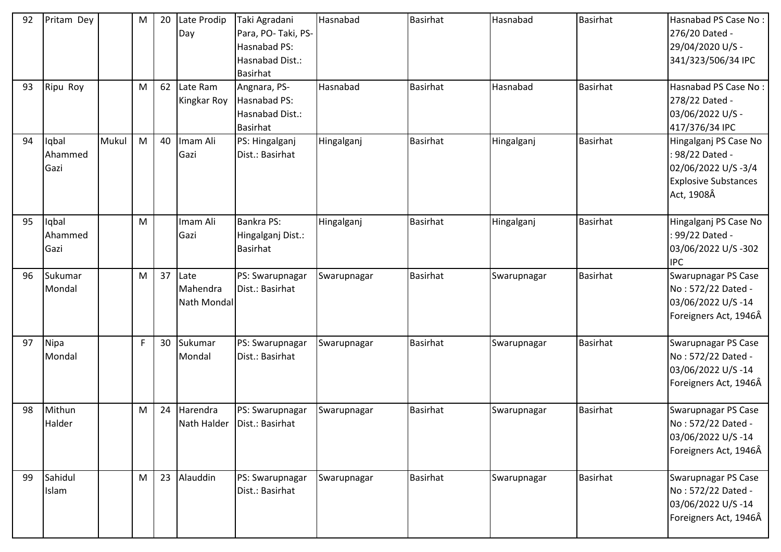| 92 | Pritam Dey               |       | M         | 20 | Late Prodip<br>Day              | Taki Agradani<br>Para, PO-Taki, PS-<br>Hasnabad PS:<br>Hasnabad Dist.:<br><b>Basirhat</b> | Hasnabad    | <b>Basirhat</b> | Hasnabad    | <b>Basirhat</b> | Hasnabad PS Case No:<br>276/20 Dated -<br>29/04/2020 U/S -<br>341/323/506/34 IPC                            |
|----|--------------------------|-------|-----------|----|---------------------------------|-------------------------------------------------------------------------------------------|-------------|-----------------|-------------|-----------------|-------------------------------------------------------------------------------------------------------------|
| 93 | Ripu Roy                 |       | M         | 62 | Late Ram<br>Kingkar Roy         | Angnara, PS-<br>Hasnabad PS:<br>Hasnabad Dist.:<br><b>Basirhat</b>                        | Hasnabad    | <b>Basirhat</b> | Hasnabad    | <b>Basirhat</b> | Hasnabad PS Case No:<br>278/22 Dated -<br>03/06/2022 U/S -<br>417/376/34 IPC                                |
| 94 | Iqbal<br>Ahammed<br>Gazi | Mukul | M         | 40 | Imam Ali<br>Gazi                | PS: Hingalganj<br>Dist.: Basirhat                                                         | Hingalganj  | <b>Basirhat</b> | Hingalganj  | <b>Basirhat</b> | Hingalganj PS Case No<br>: 98/22 Dated -<br>02/06/2022 U/S-3/4<br><b>Explosive Substances</b><br>Act, 1908Â |
| 95 | Iqbal<br>Ahammed<br>Gazi |       | M         |    | Imam Ali<br>Gazi                | <b>Bankra PS:</b><br>Hingalganj Dist.:<br><b>Basirhat</b>                                 | Hingalganj  | <b>Basirhat</b> | Hingalganj  | <b>Basirhat</b> | Hingalganj PS Case No<br>: 99/22 Dated -<br>03/06/2022 U/S-302<br><b>IPC</b>                                |
| 96 | Sukumar<br>Mondal        |       | M         | 37 | Late<br>Mahendra<br>Nath Mondal | PS: Swarupnagar<br>Dist.: Basirhat                                                        | Swarupnagar | <b>Basirhat</b> | Swarupnagar | <b>Basirhat</b> | Swarupnagar PS Case<br>No: 572/22 Dated -<br>03/06/2022 U/S-14<br>Foreigners Act, 1946Â                     |
| 97 | Nipa<br>Mondal           |       | F         | 30 | Sukumar<br>Mondal               | PS: Swarupnagar<br>Dist.: Basirhat                                                        | Swarupnagar | <b>Basirhat</b> | Swarupnagar | <b>Basirhat</b> | Swarupnagar PS Case<br>No: 572/22 Dated -<br>03/06/2022 U/S-14<br>Foreigners Act, 1946Â                     |
| 98 | Mithun<br>Halder         |       | ${\sf M}$ | 24 | Harendra                        | PS: Swarupnagar<br>Nath Halder   Dist.: Basirhat                                          | Swarupnagar | <b>Basirhat</b> | Swarupnagar | <b>Basirhat</b> | Swarupnagar PS Case<br>No: 572/22 Dated -<br>03/06/2022 U/S-14<br>Foreigners Act, 1946Â                     |
| 99 | Sahidul<br>Islam         |       | M         | 23 | Alauddin                        | PS: Swarupnagar<br>Dist.: Basirhat                                                        | Swarupnagar | <b>Basirhat</b> | Swarupnagar | <b>Basirhat</b> | Swarupnagar PS Case<br>No: 572/22 Dated -<br>03/06/2022 U/S-14<br>Foreigners Act, 1946Â                     |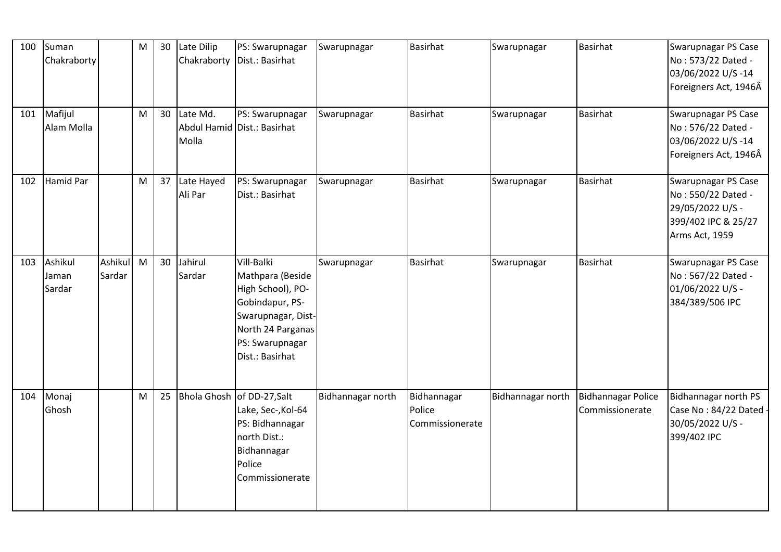| 100 | Suman<br>Chakraborty       |                   | M | 30 | Late Dilip            | PS: Swarupnagar<br>Chakraborty   Dist.: Basirhat                                                                                                        | Swarupnagar       | <b>Basirhat</b>                          | Swarupnagar       | Basirhat                                     | Swarupnagar PS Case<br>No: 573/22 Dated -<br>03/06/2022 U/S-14<br>Foreigners Act, 1946Â                |
|-----|----------------------------|-------------------|---|----|-----------------------|---------------------------------------------------------------------------------------------------------------------------------------------------------|-------------------|------------------------------------------|-------------------|----------------------------------------------|--------------------------------------------------------------------------------------------------------|
| 101 | Mafijul<br>Alam Molla      |                   | M | 30 | Late Md.<br>Molla     | PS: Swarupnagar<br>Abdul Hamid Dist.: Basirhat                                                                                                          | Swarupnagar       | <b>Basirhat</b>                          | Swarupnagar       | Basirhat                                     | Swarupnagar PS Case<br>No: 576/22 Dated -<br>03/06/2022 U/S-14<br>Foreigners Act, 1946Â                |
| 102 | Hamid Par                  |                   | M | 37 | Late Hayed<br>Ali Par | PS: Swarupnagar<br>Dist.: Basirhat                                                                                                                      | Swarupnagar       | <b>Basirhat</b>                          | Swarupnagar       | <b>Basirhat</b>                              | Swarupnagar PS Case<br>No: 550/22 Dated -<br>29/05/2022 U/S -<br>399/402 IPC & 25/27<br>Arms Act, 1959 |
| 103 | Ashikul<br>Jaman<br>Sardar | Ashikul<br>Sardar | M | 30 | Jahirul<br>Sardar     | Vill-Balki<br>Mathpara (Beside<br>High School), PO-<br>Gobindapur, PS-<br>Swarupnagar, Dist-<br>North 24 Parganas<br>PS: Swarupnagar<br>Dist.: Basirhat | Swarupnagar       | <b>Basirhat</b>                          | Swarupnagar       | Basirhat                                     | Swarupnagar PS Case<br>No: 567/22 Dated -<br>01/06/2022 U/S -<br>384/389/506 IPC                       |
| 104 | Monaj<br>Ghosh             |                   | M | 25 |                       | Bhola Ghosh of DD-27, Salt<br>Lake, Sec-, Kol-64<br>PS: Bidhannagar<br>north Dist.:<br>Bidhannagar<br>Police<br>Commissionerate                         | Bidhannagar north | Bidhannagar<br>Police<br>Commissionerate | Bidhannagar north | <b>Bidhannagar Police</b><br>Commissionerate | Bidhannagar north PS<br>Case No: 84/22 Dated<br>30/05/2022 U/S -<br>399/402 IPC                        |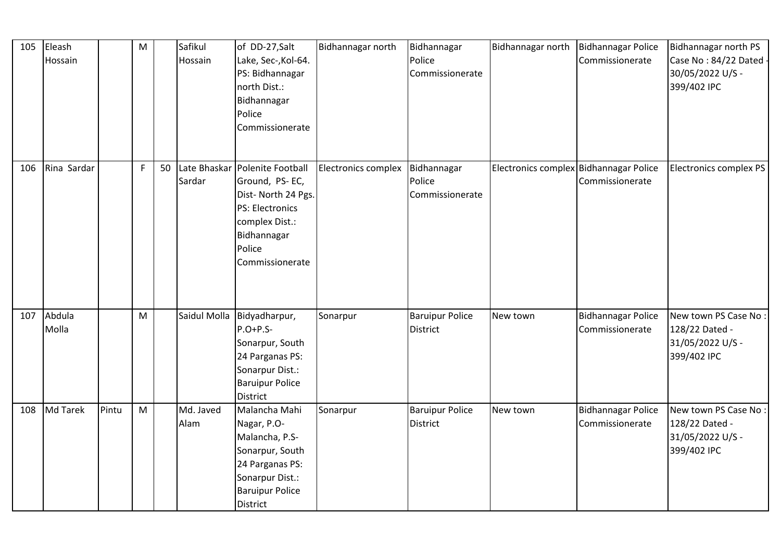| 105 | Eleash<br>Hossain |       | M           |    | Safikul<br>Hossain | of DD-27, Salt<br>Lake, Sec-, Kol-64.<br>PS: Bidhannagar<br>north Dist.:<br>Bidhannagar<br>Police<br>Commissionerate                                    | Bidhannagar north   | Bidhannagar<br>Police<br>Commissionerate  | Bidhannagar north                      | <b>Bidhannagar Police</b><br>Commissionerate | Bidhannagar north PS<br>Case No: 84/22 Dated<br>30/05/2022 U/S -<br>399/402 IPC |
|-----|-------------------|-------|-------------|----|--------------------|---------------------------------------------------------------------------------------------------------------------------------------------------------|---------------------|-------------------------------------------|----------------------------------------|----------------------------------------------|---------------------------------------------------------------------------------|
| 106 | Rina Sardar       |       | $\mathsf F$ | 50 | Sardar             | Late Bhaskar Polenite Football<br>Ground, PS-EC,<br>Dist-North 24 Pgs.<br>PS: Electronics<br>complex Dist.:<br>Bidhannagar<br>Police<br>Commissionerate | Electronics complex | Bidhannagar<br>Police<br>Commissionerate  | Electronics complex Bidhannagar Police | Commissionerate                              | Electronics complex PS                                                          |
| 107 | Abdula<br>Molla   |       | M           |    |                    | Saidul Molla Bidyadharpur,<br>$P.O+P.S-$<br>Sonarpur, South<br>24 Parganas PS:<br>Sonarpur Dist.:<br><b>Baruipur Police</b><br>District                 | Sonarpur            | <b>Baruipur Police</b><br><b>District</b> | New town                               | <b>Bidhannagar Police</b><br>Commissionerate | New town PS Case No:<br>128/22 Dated -<br>31/05/2022 U/S -<br>399/402 IPC       |
| 108 | <b>Md Tarek</b>   | Pintu | M           |    | Md. Javed<br>Alam  | Malancha Mahi<br>Nagar, P.O-<br>Malancha, P.S-<br>Sonarpur, South<br>24 Parganas PS:<br>Sonarpur Dist.:<br><b>Baruipur Police</b><br><b>District</b>    | Sonarpur            | <b>Baruipur Police</b><br><b>District</b> | New town                               | <b>Bidhannagar Police</b><br>Commissionerate | New town PS Case No:<br>128/22 Dated -<br>31/05/2022 U/S -<br>399/402 IPC       |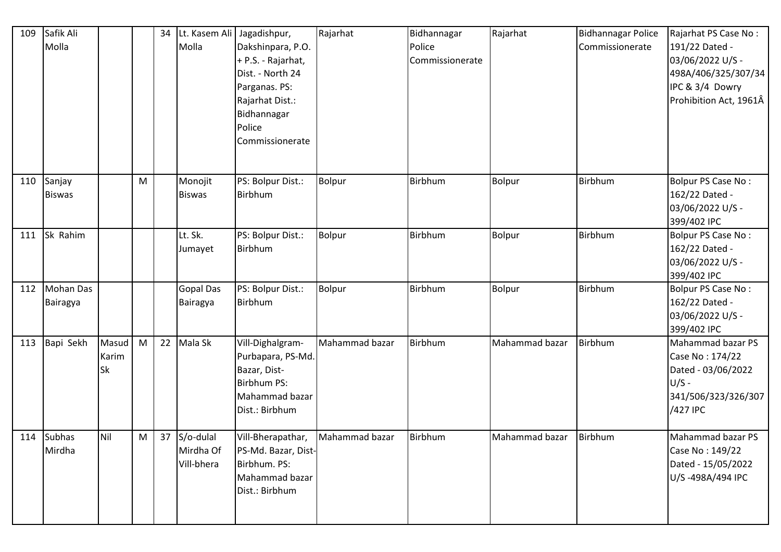| 109 | Safik Ali<br>Molla      |                      |   | 34 | Lt. Kasem Ali<br>Molla                  | Jagadishpur,<br>Dakshinpara, P.O.<br>+ P.S. - Rajarhat,<br>Dist. - North 24<br>Parganas. PS:<br>Rajarhat Dist.:<br>Bidhannagar<br>Police<br>Commissionerate | Rajarhat       | Bidhannagar<br>Police<br>Commissionerate | Rajarhat       | <b>Bidhannagar Police</b><br>Commissionerate | Rajarhat PS Case No:<br>191/22 Dated -<br>03/06/2022 U/S -<br>498A/406/325/307/34<br>IPC & 3/4 Dowry<br>Prohibition Act, 1961Â |
|-----|-------------------------|----------------------|---|----|-----------------------------------------|-------------------------------------------------------------------------------------------------------------------------------------------------------------|----------------|------------------------------------------|----------------|----------------------------------------------|--------------------------------------------------------------------------------------------------------------------------------|
| 110 | Sanjay<br><b>Biswas</b> |                      | M |    | Monojit<br><b>Biswas</b>                | PS: Bolpur Dist.:<br>Birbhum                                                                                                                                | Bolpur         | Birbhum                                  | <b>Bolpur</b>  | <b>Birbhum</b>                               | Bolpur PS Case No:<br>162/22 Dated -<br>03/06/2022 U/S -<br>399/402 IPC                                                        |
| 111 | Sk Rahim                |                      |   |    | Lt. Sk.<br>Jumayet                      | PS: Bolpur Dist.:<br>Birbhum                                                                                                                                | Bolpur         | Birbhum                                  | <b>Bolpur</b>  | Birbhum                                      | Bolpur PS Case No:<br>162/22 Dated -<br>03/06/2022 U/S -<br>399/402 IPC                                                        |
| 112 | Mohan Das<br>Bairagya   |                      |   |    | <b>Gopal Das</b><br>Bairagya            | PS: Bolpur Dist.:<br>Birbhum                                                                                                                                | <b>Bolpur</b>  | Birbhum                                  | Bolpur         | Birbhum                                      | Bolpur PS Case No:<br>162/22 Dated -<br>03/06/2022 U/S -<br>399/402 IPC                                                        |
| 113 | Bapi Sekh               | Masud<br>Karim<br>Sk | M | 22 | Mala Sk                                 | Vill-Dighalgram-<br>Purbapara, PS-Md.<br>Bazar, Dist-<br>Birbhum PS:<br>Mahammad bazar<br>Dist.: Birbhum                                                    | Mahammad bazar | Birbhum                                  | Mahammad bazar | <b>Birbhum</b>                               | Mahammad bazar PS<br>Case No: 174/22<br>Dated - 03/06/2022<br>$U/S -$<br>341/506/323/326/307<br>/427 IPC                       |
|     | 114 Subhas<br>Mirdha    | Nil                  | M |    | 37 S/o-dulal<br>Mirdha Of<br>Vill-bhera | Vill-Bherapathar,<br>PS-Md. Bazar, Dist-<br>Birbhum. PS:<br>Mahammad bazar<br>Dist.: Birbhum                                                                | Mahammad bazar | Birbhum                                  | Mahammad bazar | Birbhum                                      | Mahammad bazar PS<br>Case No: 149/22<br>Dated - 15/05/2022<br>U/S-498A/494 IPC                                                 |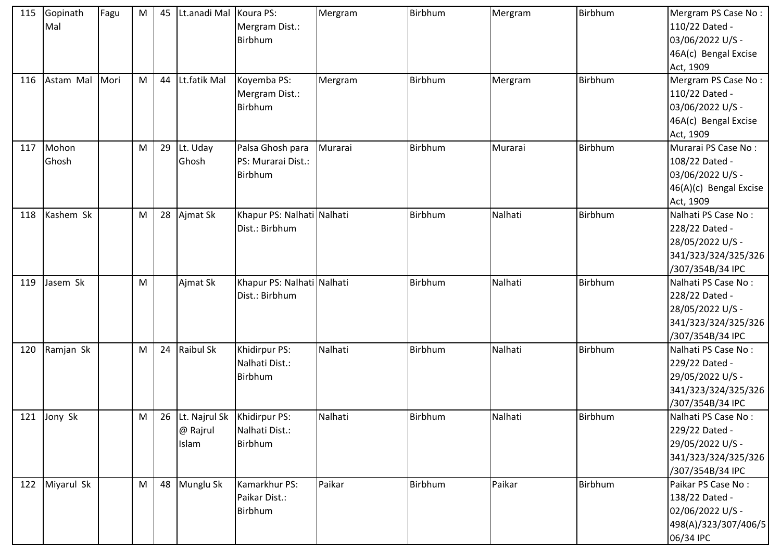| 115 | Gopinath<br>Mal | Fagu | M | 45 | Lt.anadi Mal Koura PS: | Mergram Dist.:<br>Birbhum                                  | Mergram | Birbhum | Mergram | Birbhum | Mergram PS Case No:<br>110/22 Dated -<br>03/06/2022 U/S -<br>46A(c) Bengal Excise<br>Act, 1909       |
|-----|-----------------|------|---|----|------------------------|------------------------------------------------------------|---------|---------|---------|---------|------------------------------------------------------------------------------------------------------|
| 116 | Astam Mal       | Mori | M | 44 | Lt.fatik Mal           | Koyemba PS:<br>Mergram Dist.:<br>Birbhum                   | Mergram | Birbhum | Mergram | Birbhum | Mergram PS Case No:<br>110/22 Dated -<br>03/06/2022 U/S -<br>46A(c) Bengal Excise<br>Act, 1909       |
| 117 | Mohon<br>Ghosh  |      | M | 29 | Lt. Uday<br>Ghosh      | Palsa Ghosh para<br>PS: Murarai Dist.:<br>Birbhum          | Murarai | Birbhum | Murarai | Birbhum | Murarai PS Case No:<br>108/22 Dated -<br>03/06/2022 U/S -<br>46(A)(c) Bengal Excise<br>Act, 1909     |
| 118 | Kashem Sk       |      | M | 28 | Ajmat Sk               | Khapur PS: Nalhati Nalhati<br>Dist.: Birbhum               |         | Birbhum | Nalhati | Birbhum | Nalhati PS Case No:<br>228/22 Dated -<br>28/05/2022 U/S -<br>341/323/324/325/326<br>/307/354B/34 IPC |
| 119 | Jasem Sk        |      | M |    | Ajmat Sk               | Khapur PS: Nalhati Nalhati<br>Dist.: Birbhum               |         | Birbhum | Nalhati | Birbhum | Nalhati PS Case No:<br>228/22 Dated -<br>28/05/2022 U/S -<br>341/323/324/325/326<br>/307/354B/34 IPC |
| 120 | Ramjan Sk       |      | M | 24 | <b>Raibul Sk</b>       | Khidirpur PS:<br>Nalhati Dist.:<br>Birbhum                 | Nalhati | Birbhum | Nalhati | Birbhum | Nalhati PS Case No:<br>229/22 Dated -<br>29/05/2022 U/S -<br>341/323/324/325/326<br>/307/354B/34 IPC |
|     | 121 Jony Sk     |      | M | 26 | @ Rajrul<br>Islam      | Lt. Najrul Sk   Khidirpur PS:<br>Nalhati Dist.:<br>Birbhum | Nalhati | Birbhum | Nalhati | Birbhum | Nalhati PS Case No:<br>229/22 Dated -<br>29/05/2022 U/S -<br>341/323/324/325/326<br>/307/354B/34 IPC |
|     | 122 Miyarul Sk  |      | M | 48 | Munglu Sk              | Kamarkhur PS:<br>Paikar Dist.:<br>Birbhum                  | Paikar  | Birbhum | Paikar  | Birbhum | Paikar PS Case No:<br>138/22 Dated -<br>02/06/2022 U/S -<br>498(A)/323/307/406/5<br>06/34 IPC        |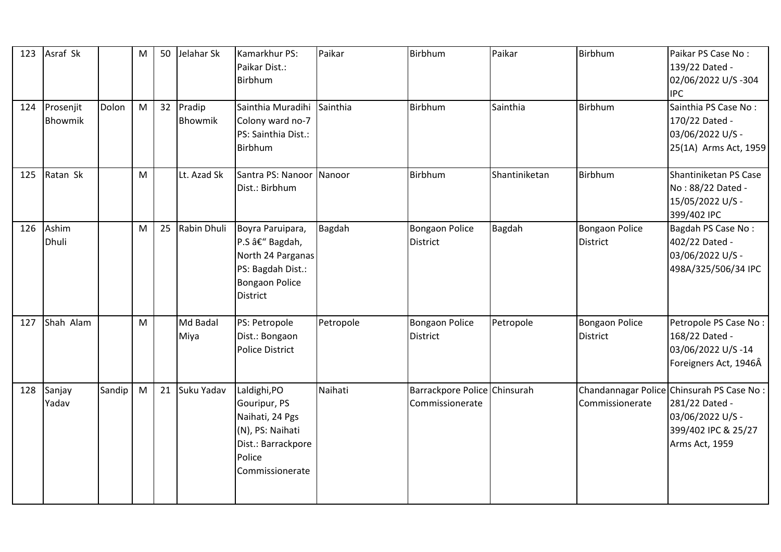| 123 | Asraf Sk             |        | M | 50 | Jelahar Sk           | Kamarkhur PS:<br>Paikar Dist.:<br><b>Birbhum</b>                                                                        | Paikar    | Birbhum                                         | Paikar        | Birbhum                                  | Paikar PS Case No:<br>139/22 Dated -<br>02/06/2022 U/S-304<br><b>IPC</b>                                                 |
|-----|----------------------|--------|---|----|----------------------|-------------------------------------------------------------------------------------------------------------------------|-----------|-------------------------------------------------|---------------|------------------------------------------|--------------------------------------------------------------------------------------------------------------------------|
| 124 | Prosenjit<br>Bhowmik | Dolon  | M |    | 32 Pradip<br>Bhowmik | Sainthia Muradihi<br>Colony ward no-7<br>PS: Sainthia Dist.:<br><b>Birbhum</b>                                          | Sainthia  | Birbhum                                         | Sainthia      | Birbhum                                  | Sainthia PS Case No:<br>170/22 Dated -<br>03/06/2022 U/S -<br>25(1A) Arms Act, 1959                                      |
| 125 | Ratan Sk             |        | M |    | Lt. Azad Sk          | Santra PS: Nanoor Nanoor<br>Dist.: Birbhum                                                                              |           | Birbhum                                         | Shantiniketan | Birbhum                                  | Shantiniketan PS Case<br>No: 88/22 Dated -<br>15/05/2022 U/S -<br>399/402 IPC                                            |
| 126 | Ashim<br>Dhuli       |        | M | 25 | Rabin Dhuli          | Boyra Paruipara,<br>P.S – Bagdah,<br>North 24 Parganas<br>PS: Bagdah Dist.:<br><b>Bongaon Police</b><br><b>District</b> | Bagdah    | <b>Bongaon Police</b><br><b>District</b>        | Bagdah        | <b>Bongaon Police</b><br><b>District</b> | Bagdah PS Case No:<br>402/22 Dated -<br>03/06/2022 U/S -<br>498A/325/506/34 IPC                                          |
| 127 | Shah Alam            |        | M |    | Md Badal<br>Miya     | PS: Petropole<br>Dist.: Bongaon<br><b>Police District</b>                                                               | Petropole | <b>Bongaon Police</b><br><b>District</b>        | Petropole     | <b>Bongaon Police</b><br><b>District</b> | Petropole PS Case No :<br>168/22 Dated -<br>03/06/2022 U/S-14<br>Foreigners Act, 1946Â                                   |
| 128 | Sanjay<br>Yadav      | Sandip | M | 21 | Suku Yadav           | Laldighi, PO<br>Gouripur, PS<br>Naihati, 24 Pgs<br>(N), PS: Naihati<br>Dist.: Barrackpore<br>Police<br>Commissionerate  | Naihati   | Barrackpore Police Chinsurah<br>Commissionerate |               | Commissionerate                          | Chandannagar Police Chinsurah PS Case No:<br>281/22 Dated -<br>03/06/2022 U/S -<br>399/402 IPC & 25/27<br>Arms Act, 1959 |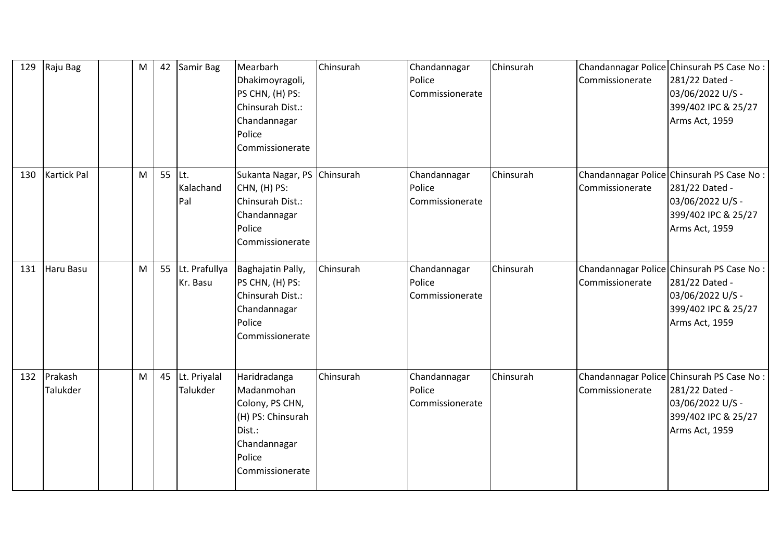| 129 | Raju Bag                   | M | 42     | Samir Bag                   | Mearbarh<br>Dhakimoyragoli,<br>PS CHN, (H) PS:<br>Chinsurah Dist.:<br>Chandannagar<br>Police<br>Commissionerate           | Chinsurah | Chandannagar<br>Police<br>Commissionerate | Chinsurah | Commissionerate | Chandannagar Police Chinsurah PS Case No:<br>281/22 Dated -<br>03/06/2022 U/S -<br>399/402 IPC & 25/27<br>Arms Act, 1959 |
|-----|----------------------------|---|--------|-----------------------------|---------------------------------------------------------------------------------------------------------------------------|-----------|-------------------------------------------|-----------|-----------------|--------------------------------------------------------------------------------------------------------------------------|
| 130 | <b>Kartick Pal</b>         | M | 55 Lt. | Kalachand<br>Pal            | Sukanta Nagar, PS Chinsurah<br>CHN, (H) PS:<br>Chinsurah Dist.:<br>Chandannagar<br>Police<br>Commissionerate              |           | Chandannagar<br>Police<br>Commissionerate | Chinsurah | Commissionerate | Chandannagar Police Chinsurah PS Case No:<br>281/22 Dated -<br>03/06/2022 U/S -<br>399/402 IPC & 25/27<br>Arms Act, 1959 |
| 131 | Haru Basu                  | M | 55     | Lt. Prafullya<br>Kr. Basu   | Baghajatin Pally,<br>PS CHN, (H) PS:<br>Chinsurah Dist.:<br>Chandannagar<br>Police<br>Commissionerate                     | Chinsurah | Chandannagar<br>Police<br>Commissionerate | Chinsurah | Commissionerate | Chandannagar Police Chinsurah PS Case No:<br>281/22 Dated -<br>03/06/2022 U/S -<br>399/402 IPC & 25/27<br>Arms Act, 1959 |
| 132 | Prakash<br><b>Talukder</b> | M |        | 45 Lt. Priyalal<br>Talukder | Haridradanga<br>Madanmohan<br>Colony, PS CHN,<br>(H) PS: Chinsurah<br>Dist.:<br>Chandannagar<br>Police<br>Commissionerate | Chinsurah | Chandannagar<br>Police<br>Commissionerate | Chinsurah | Commissionerate | Chandannagar Police Chinsurah PS Case No:<br>281/22 Dated -<br>03/06/2022 U/S -<br>399/402 IPC & 25/27<br>Arms Act, 1959 |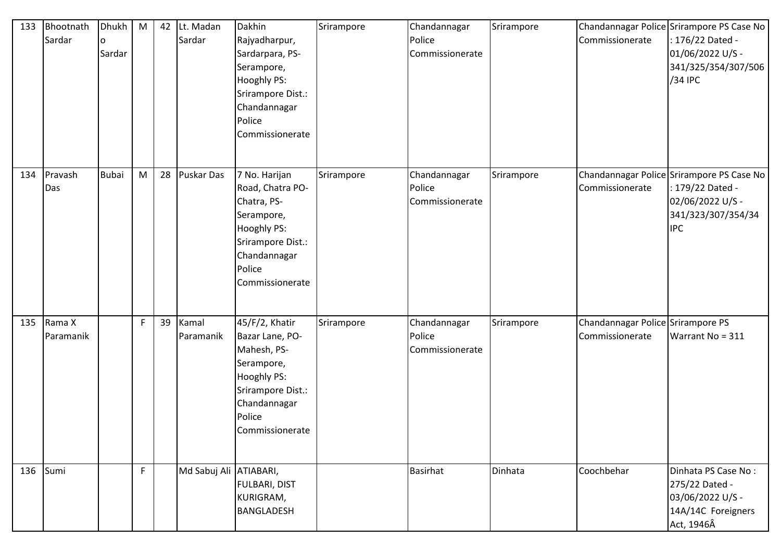| 133 | Bhootnath<br>Sardar | Dhukh<br>O<br>Sardar | M | 42 | Lt. Madan<br>Sardar    | Dakhin<br>Rajyadharpur,<br>Sardarpara, PS-<br>Serampore,<br>Hooghly PS:<br>Srirampore Dist.:<br>Chandannagar<br>Police<br>Commissionerate       | Srirampore | Chandannagar<br>Police<br>Commissionerate | Srirampore | Commissionerate                                      | Chandannagar Police Srirampore PS Case No<br>: 176/22 Dated -<br>01/06/2022 U/S -<br>341/325/354/307/506<br>/34 IPC   |
|-----|---------------------|----------------------|---|----|------------------------|-------------------------------------------------------------------------------------------------------------------------------------------------|------------|-------------------------------------------|------------|------------------------------------------------------|-----------------------------------------------------------------------------------------------------------------------|
| 134 | Pravash<br>Das      | <b>Bubai</b>         | M | 28 | <b>Puskar Das</b>      | 7 No. Harijan<br>Road, Chatra PO-<br>Chatra, PS-<br>Serampore,<br>Hooghly PS:<br>Srirampore Dist.:<br>Chandannagar<br>Police<br>Commissionerate | Srirampore | Chandannagar<br>Police<br>Commissionerate | Srirampore | Commissionerate                                      | Chandannagar Police Srirampore PS Case No<br>: 179/22 Dated -<br>02/06/2022 U/S -<br>341/323/307/354/34<br><b>IPC</b> |
| 135 | Rama X<br>Paramanik |                      | F | 39 | Kamal<br>Paramanik     | 45/F/2, Khatir<br>Bazar Lane, PO-<br>Mahesh, PS-<br>Serampore,<br>Hooghly PS:<br>Srirampore Dist.:<br>Chandannagar<br>Police<br>Commissionerate | Srirampore | Chandannagar<br>Police<br>Commissionerate | Srirampore | Chandannagar Police Srirampore PS<br>Commissionerate | Warrant No = 311                                                                                                      |
| 136 | Sumi                |                      | F |    | Md Sabuj Ali ATIABARI, | <b>FULBARI, DIST</b><br>KURIGRAM,<br><b>BANGLADESH</b>                                                                                          |            | <b>Basirhat</b>                           | Dinhata    | Coochbehar                                           | Dinhata PS Case No:<br>275/22 Dated -<br>03/06/2022 U/S -<br>14A/14C Foreigners<br>Act, 1946Â                         |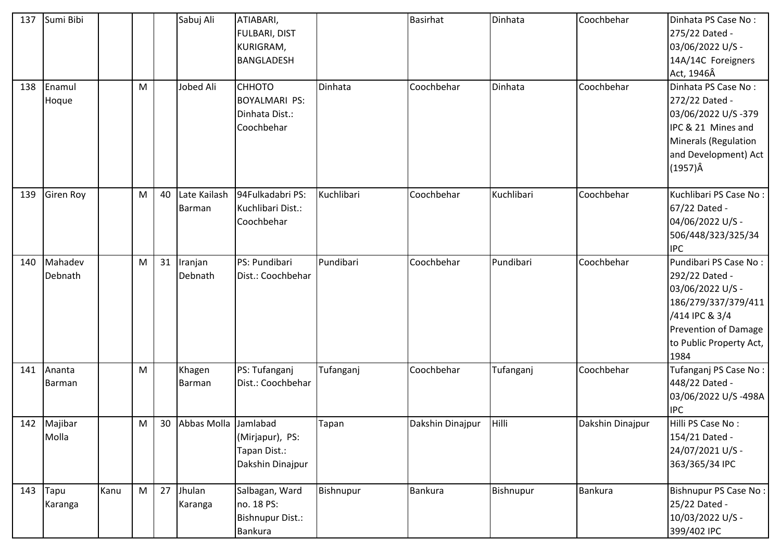| 137 | Sumi Bibi              |      |   |    | Sabuj Ali              | ATIABARI,<br><b>FULBARI, DIST</b><br><b>KURIGRAM,</b><br><b>BANGLADESH</b> |            | <b>Basirhat</b>  | Dinhata    | Coochbehar       | Dinhata PS Case No:<br>275/22 Dated -<br>03/06/2022 U/S -<br>14A/14C Foreigners<br>Act, 1946Â                                                                   |
|-----|------------------------|------|---|----|------------------------|----------------------------------------------------------------------------|------------|------------------|------------|------------------|-----------------------------------------------------------------------------------------------------------------------------------------------------------------|
| 138 | Enamul<br>Hoque        |      | M |    | Jobed Ali              | СННОТО<br><b>BOYALMARI PS:</b><br>Dinhata Dist.:<br>Coochbehar             | Dinhata    | Coochbehar       | Dinhata    | Coochbehar       | Dinhata PS Case No:<br>272/22 Dated -<br>03/06/2022 U/S-379<br>IPC & 21 Mines and<br><b>Minerals (Regulation</b><br>and Development) Act<br>$(1957)\hat{A}$     |
| 139 | <b>Giren Roy</b>       |      | M | 40 | Late Kailash<br>Barman | 94Fulkadabri PS:<br>Kuchlibari Dist.:<br>Coochbehar                        | Kuchlibari | Coochbehar       | Kuchlibari | Coochbehar       | Kuchlibari PS Case No:<br>67/22 Dated -<br>04/06/2022 U/S -<br>506/448/323/325/34<br><b>IPC</b>                                                                 |
| 140 | Mahadev<br>Debnath     |      | M | 31 | Iranjan<br>Debnath     | PS: Pundibari<br>Dist.: Coochbehar                                         | Pundibari  | Coochbehar       | Pundibari  | Coochbehar       | Pundibari PS Case No:<br>292/22 Dated -<br>03/06/2022 U/S -<br>186/279/337/379/411<br>/414 IPC & 3/4<br>Prevention of Damage<br>to Public Property Act,<br>1984 |
| 141 | Ananta<br>Barman       |      | M |    | Khagen<br>Barman       | PS: Tufanganj<br>Dist.: Coochbehar                                         | Tufanganj  | Coochbehar       | Tufanganj  | Coochbehar       | Tufanganj PS Case No:<br>448/22 Dated -<br>03/06/2022 U/S-498A<br><b>IPC</b>                                                                                    |
| 142 | Majibar<br>Molla       |      | M | 30 | Abbas Molla Jamlabad   | (Mirjapur), PS:<br>Tapan Dist.:<br>Dakshin Dinajpur                        | Tapan      | Dakshin Dinajpur | Hilli      | Dakshin Dinajpur | Hilli PS Case No:<br>154/21 Dated -<br>24/07/2021 U/S -<br>363/365/34 IPC                                                                                       |
| 143 | <b>Tapu</b><br>Karanga | Kanu | M | 27 | Jhulan<br>Karanga      | Salbagan, Ward<br>no. 18 PS:<br>Bishnupur Dist.:<br>Bankura                | Bishnupur  | <b>Bankura</b>   | Bishnupur  | <b>Bankura</b>   | <b>Bishnupur PS Case No:</b><br>25/22 Dated -<br>10/03/2022 U/S -<br>399/402 IPC                                                                                |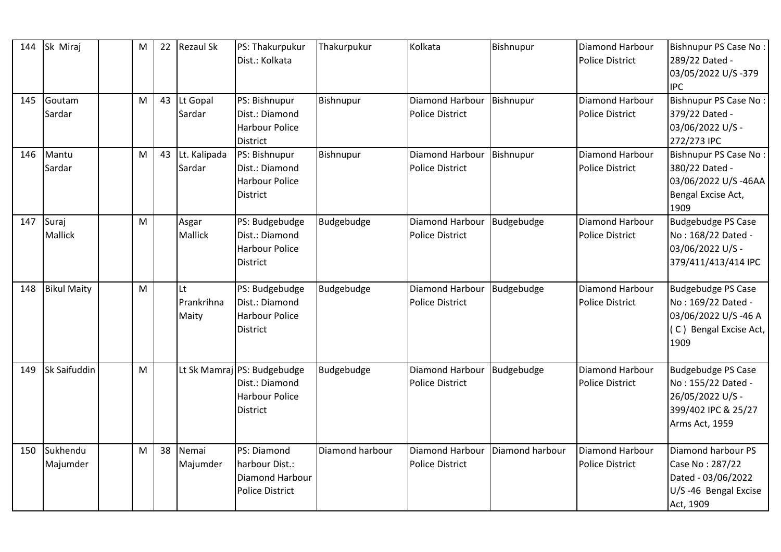| 144 | Sk Miraj                | M | 22 | <b>Rezaul Sk</b>          | PS: Thakurpukur<br>Dist.: Kolkata                                                         | Thakurpukur     | Kolkata                                   | Bishnupur       | Diamond Harbour<br><b>Police District</b> | <b>Bishnupur PS Case No:</b><br>289/22 Dated -<br>03/05/2022 U/S-379<br><b>IPC</b>                           |
|-----|-------------------------|---|----|---------------------------|-------------------------------------------------------------------------------------------|-----------------|-------------------------------------------|-----------------|-------------------------------------------|--------------------------------------------------------------------------------------------------------------|
| 145 | Goutam<br>Sardar        | M | 43 | Lt Gopal<br>Sardar        | PS: Bishnupur<br>Dist.: Diamond<br><b>Harbour Police</b><br><b>District</b>               | Bishnupur       | Diamond Harbour<br>Police District        | Bishnupur       | Diamond Harbour<br><b>Police District</b> | <b>Bishnupur PS Case No:</b><br>379/22 Dated -<br>03/06/2022 U/S -<br>272/273 IPC                            |
| 146 | Mantu<br>Sardar         | M | 43 | Lt. Kalipada<br>Sardar    | PS: Bishnupur<br>Dist.: Diamond<br><b>Harbour Police</b><br><b>District</b>               | Bishnupur       | Diamond Harbour<br><b>Police District</b> | Bishnupur       | Diamond Harbour<br><b>Police District</b> | <b>Bishnupur PS Case No:</b><br>380/22 Dated -<br>03/06/2022 U/S-46AA<br>Bengal Excise Act,<br>1909          |
| 147 | Suraj<br><b>Mallick</b> | M |    | Asgar<br><b>Mallick</b>   | PS: Budgebudge<br>Dist.: Diamond<br><b>Harbour Police</b><br><b>District</b>              | Budgebudge      | Diamond Harbour<br><b>Police District</b> | Budgebudge      | Diamond Harbour<br><b>Police District</b> | <b>Budgebudge PS Case</b><br>No: 168/22 Dated -<br>03/06/2022 U/S -<br>379/411/413/414 IPC                   |
| 148 | <b>Bikul Maity</b>      | M |    | Lt<br>Prankrihna<br>Maity | PS: Budgebudge<br>Dist.: Diamond<br><b>Harbour Police</b><br><b>District</b>              | Budgebudge      | Diamond Harbour<br>Police District        | Budgebudge      | Diamond Harbour<br><b>Police District</b> | <b>Budgebudge PS Case</b><br>No: 169/22 Dated -<br>03/06/2022 U/S-46 A<br>C) Bengal Excise Act,<br>1909      |
| 149 | Sk Saifuddin            | M |    |                           | Lt Sk Mamraj PS: Budgebudge<br>Dist.: Diamond<br><b>Harbour Police</b><br><b>District</b> | Budgebudge      | Diamond Harbour<br>Police District        | Budgebudge      | Diamond Harbour<br><b>Police District</b> | <b>Budgebudge PS Case</b><br>No: 155/22 Dated -<br>26/05/2022 U/S -<br>399/402 IPC & 25/27<br>Arms Act, 1959 |
| 150 | Sukhendu<br>Majumder    | M | 38 | Nemai<br>Majumder         | PS: Diamond<br>harbour Dist.:<br>Diamond Harbour<br><b>Police District</b>                | Diamond harbour | Diamond Harbour<br><b>Police District</b> | Diamond harbour | Diamond Harbour<br><b>Police District</b> | Diamond harbour PS<br>Case No: 287/22<br>Dated - 03/06/2022<br>U/S-46 Bengal Excise<br>Act, 1909             |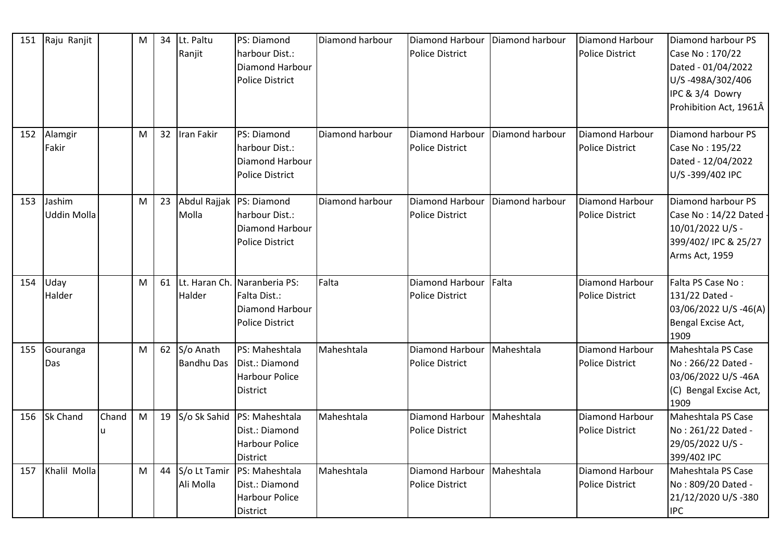| 151 | Raju Ranjit           |            | M | 34 | Lt. Paltu<br>Ranjit            | PS: Diamond<br>harbour Dist.:<br>Diamond Harbour<br><b>Police District</b>                | Diamond harbour | Diamond Harbour<br><b>Police District</b>              | Diamond harbour | <b>Diamond Harbour</b><br><b>Police District</b> | Diamond harbour PS<br>Case No: 170/22<br>Dated - 01/04/2022<br>U/S-498A/302/406<br>IPC & 3/4 Dowry<br>Prohibition Act, 1961Â |
|-----|-----------------------|------------|---|----|--------------------------------|-------------------------------------------------------------------------------------------|-----------------|--------------------------------------------------------|-----------------|--------------------------------------------------|------------------------------------------------------------------------------------------------------------------------------|
| 152 | Alamgir<br>Fakir      |            | M | 32 | Iran Fakir                     | PS: Diamond<br>harbour Dist.:<br>Diamond Harbour<br><b>Police District</b>                | Diamond harbour | Diamond Harbour<br><b>Police District</b>              | Diamond harbour | Diamond Harbour<br><b>Police District</b>        | Diamond harbour PS<br>Case No: 195/22<br>Dated - 12/04/2022<br>U/S-399/402 IPC                                               |
| 153 | Jashim<br>Uddin Molla |            | M | 23 | Molla                          | Abdul Rajjak   PS: Diamond<br>harbour Dist.:<br>Diamond Harbour<br><b>Police District</b> | Diamond harbour | Diamond Harbour<br><b>Police District</b>              | Diamond harbour | Diamond Harbour<br><b>Police District</b>        | Diamond harbour PS<br>Case No: 14/22 Dated<br>10/01/2022 U/S -<br>399/402/ IPC & 25/27<br>Arms Act, 1959                     |
| 154 | Uday<br>Halder        |            | M | 61 | Halder                         | Lt. Haran Ch. Naranberia PS:<br>Falta Dist.:<br>Diamond Harbour<br><b>Police District</b> | Falta           | Diamond Harbour<br>Police District                     | Falta           | Diamond Harbour<br><b>Police District</b>        | Falta PS Case No:<br>131/22 Dated -<br>03/06/2022 U/S-46(A)<br>Bengal Excise Act,<br>1909                                    |
| 155 | Gouranga<br>Das       |            | M | 62 | S/o Anath<br><b>Bandhu Das</b> | PS: Maheshtala<br>Dist.: Diamond<br><b>Harbour Police</b><br>District                     | Maheshtala      | Diamond Harbour   Maheshtala<br><b>Police District</b> |                 | Diamond Harbour<br><b>Police District</b>        | Maheshtala PS Case<br>No: 266/22 Dated -<br>03/06/2022 U/S-46A<br>(C) Bengal Excise Act,<br>1909                             |
| 156 | <b>Sk Chand</b>       | Chand<br>u | M | 19 | S/o Sk Sahid                   | PS: Maheshtala<br>Dist.: Diamond<br><b>Harbour Police</b><br>District                     | Maheshtala      | Diamond Harbour<br><b>Police District</b>              | Maheshtala      | Diamond Harbour<br><b>Police District</b>        | Maheshtala PS Case<br>No: 261/22 Dated -<br>29/05/2022 U/S -<br>399/402 IPC                                                  |
| 157 | Khalil Molla          |            | M | 44 | S/o Lt Tamir<br>Ali Molla      | PS: Maheshtala<br>Dist.: Diamond<br><b>Harbour Police</b><br>District                     | Maheshtala      | Diamond Harbour<br><b>Police District</b>              | Maheshtala      | Diamond Harbour<br><b>Police District</b>        | Maheshtala PS Case<br>No: 809/20 Dated -<br>21/12/2020 U/S-380<br><b>IPC</b>                                                 |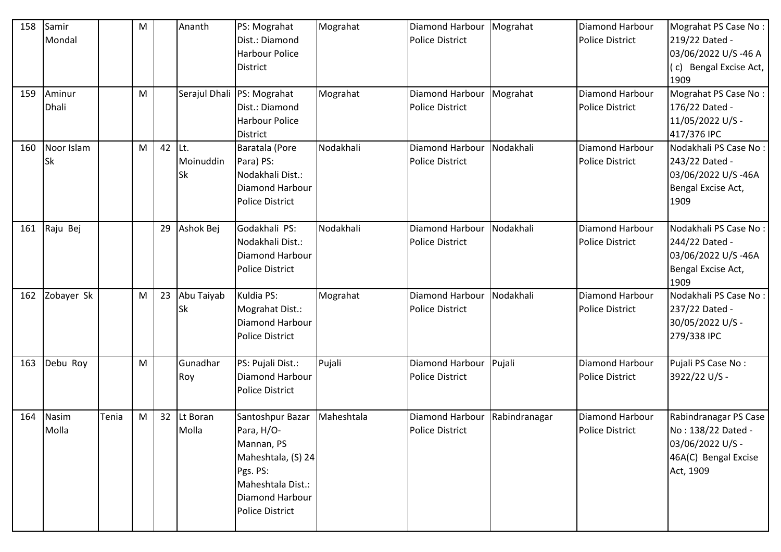| 158 | Samir<br>Mondal         |       | M |    | Ananth                        | PS: Mograhat<br>Dist.: Diamond<br><b>Harbour Police</b><br><b>District</b>                                                                | Mograhat   | Diamond Harbour<br><b>Police District</b>        | Mograhat      | Diamond Harbour<br><b>Police District</b> | Mograhat PS Case No:<br>219/22 Dated -<br>03/06/2022 U/S-46 A<br>(c) Bengal Excise Act,<br>1909      |
|-----|-------------------------|-------|---|----|-------------------------------|-------------------------------------------------------------------------------------------------------------------------------------------|------------|--------------------------------------------------|---------------|-------------------------------------------|------------------------------------------------------------------------------------------------------|
| 159 | Aminur<br><b>Dhali</b>  |       | M |    |                               | Serajul Dhali   PS: Mograhat<br>Dist.: Diamond<br><b>Harbour Police</b><br><b>District</b>                                                | Mograhat   | Diamond Harbour<br><b>Police District</b>        | Mograhat      | Diamond Harbour<br><b>Police District</b> | Mograhat PS Case No:<br>176/22 Dated -<br>11/05/2022 U/S -<br>417/376 IPC                            |
| 160 | Noor Islam<br><b>Sk</b> |       | M | 42 | Lt.<br>Moinuddin<br><b>Sk</b> | Baratala (Pore<br>Para) PS:<br>Nodakhali Dist.:<br>Diamond Harbour<br><b>Police District</b>                                              | Nodakhali  | Diamond Harbour<br><b>Police District</b>        | Nodakhali     | Diamond Harbour<br><b>Police District</b> | Nodakhali PS Case No:<br>243/22 Dated -<br>03/06/2022 U/S-46A<br>Bengal Excise Act,<br>1909          |
| 161 | Raju Bej                |       |   | 29 | Ashok Bej                     | Godakhali PS:<br>Nodakhali Dist.:<br>Diamond Harbour<br><b>Police District</b>                                                            | Nodakhali  | Diamond Harbour<br><b>Police District</b>        | Nodakhali     | Diamond Harbour<br><b>Police District</b> | Nodakhali PS Case No:<br>244/22 Dated -<br>03/06/2022 U/S-46A<br>Bengal Excise Act,<br>1909          |
| 162 | Zobayer Sk              |       | M | 23 | Abu Taiyab<br>Sk              | Kuldia PS:<br>Mograhat Dist.:<br>Diamond Harbour<br><b>Police District</b>                                                                | Mograhat   | Diamond Harbour<br><b>Police District</b>        | Nodakhali     | Diamond Harbour<br><b>Police District</b> | Nodakhali PS Case No:<br>237/22 Dated -<br>30/05/2022 U/S -<br>279/338 IPC                           |
| 163 | Debu Roy                |       | M |    | Gunadhar<br>Roy               | PS: Pujali Dist.:<br><b>Diamond Harbour</b><br><b>Police District</b>                                                                     | Pujali     | Diamond Harbour Pujali<br><b>Police District</b> |               | Diamond Harbour<br><b>Police District</b> | Pujali PS Case No:<br>3922/22 U/S -                                                                  |
| 164 | Nasim<br>Molla          | Tenia | M | 32 | Lt Boran<br>Molla             | Santoshpur Bazar<br>Para, H/O-<br>Mannan, PS<br>Maheshtala, (S) 24<br>Pgs. PS:<br>Maheshtala Dist.:<br>Diamond Harbour<br>Police District | Maheshtala | Diamond Harbour<br><b>Police District</b>        | Rabindranagar | Diamond Harbour<br><b>Police District</b> | Rabindranagar PS Case<br>No: 138/22 Dated -<br>03/06/2022 U/S -<br>46A(C) Bengal Excise<br>Act, 1909 |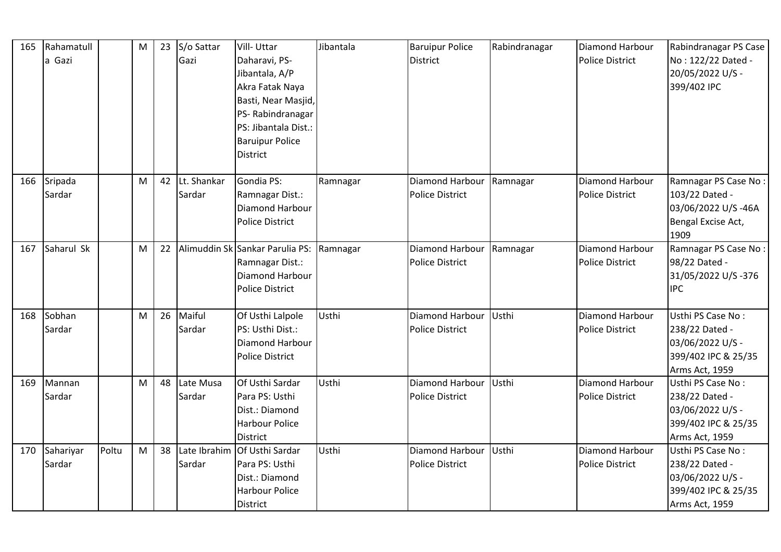| 165 | Rahamatull<br>a Gazi |       | M | 23 | S/o Sattar<br>Gazi     | Vill-Uttar<br>Daharavi, PS-<br>Jibantala, A/P<br>Akra Fatak Naya<br>Basti, Near Masjid,<br>PS-Rabindranagar<br>PS: Jibantala Dist.:<br><b>Baruipur Police</b><br><b>District</b> | Jibantala | <b>Baruipur Police</b><br><b>District</b>          | Rabindranagar | Diamond Harbour<br><b>Police District</b> | Rabindranagar PS Case<br>No: 122/22 Dated -<br>20/05/2022 U/S -<br>399/402 IPC                   |
|-----|----------------------|-------|---|----|------------------------|----------------------------------------------------------------------------------------------------------------------------------------------------------------------------------|-----------|----------------------------------------------------|---------------|-------------------------------------------|--------------------------------------------------------------------------------------------------|
| 166 | Sripada<br>Sardar    |       | M | 42 | Lt. Shankar<br>Sardar  | Gondia PS:<br>Ramnagar Dist.:<br>Diamond Harbour<br><b>Police District</b>                                                                                                       | Ramnagar  | Diamond Harbour Ramnagar<br><b>Police District</b> |               | Diamond Harbour<br><b>Police District</b> | Ramnagar PS Case No:<br>103/22 Dated -<br>03/06/2022 U/S-46A<br>Bengal Excise Act,<br>1909       |
| 167 | Saharul Sk           |       | M | 22 |                        | Alimuddin Sk Sankar Parulia PS:<br>Ramnagar Dist.:<br><b>Diamond Harbour</b><br><b>Police District</b>                                                                           | Ramnagar  | Diamond Harbour Ramnagar<br><b>Police District</b> |               | Diamond Harbour<br><b>Police District</b> | Ramnagar PS Case No:<br>98/22 Dated -<br>31/05/2022 U/S-376<br><b>IPC</b>                        |
| 168 | Sobhan<br>Sardar     |       | M | 26 | Maiful<br>Sardar       | Of Usthi Lalpole<br>PS: Usthi Dist.:<br>Diamond Harbour<br><b>Police District</b>                                                                                                | Usthi     | Diamond Harbour<br><b>Police District</b>          | Usthi         | Diamond Harbour<br><b>Police District</b> | Usthi PS Case No:<br>238/22 Dated -<br>03/06/2022 U/S -<br>399/402 IPC & 25/35<br>Arms Act, 1959 |
| 169 | Mannan<br>Sardar     |       | M | 48 | Late Musa<br>Sardar    | Of Usthi Sardar<br>Para PS: Usthi<br>Dist.: Diamond<br><b>Harbour Police</b><br><b>District</b>                                                                                  | Usthi     | Diamond Harbour<br><b>Police District</b>          | Usthi         | Diamond Harbour<br><b>Police District</b> | Usthi PS Case No:<br>238/22 Dated -<br>03/06/2022 U/S -<br>399/402 IPC & 25/35<br>Arms Act, 1959 |
| 170 | Sahariyar<br>Sardar  | Poltu | M | 38 | Late Ibrahim<br>Sardar | Of Usthi Sardar<br>Para PS: Usthi<br>Dist.: Diamond<br><b>Harbour Police</b><br><b>District</b>                                                                                  | Usthi     | Diamond Harbour<br><b>Police District</b>          | Usthi         | Diamond Harbour<br><b>Police District</b> | Usthi PS Case No:<br>238/22 Dated -<br>03/06/2022 U/S -<br>399/402 IPC & 25/35<br>Arms Act, 1959 |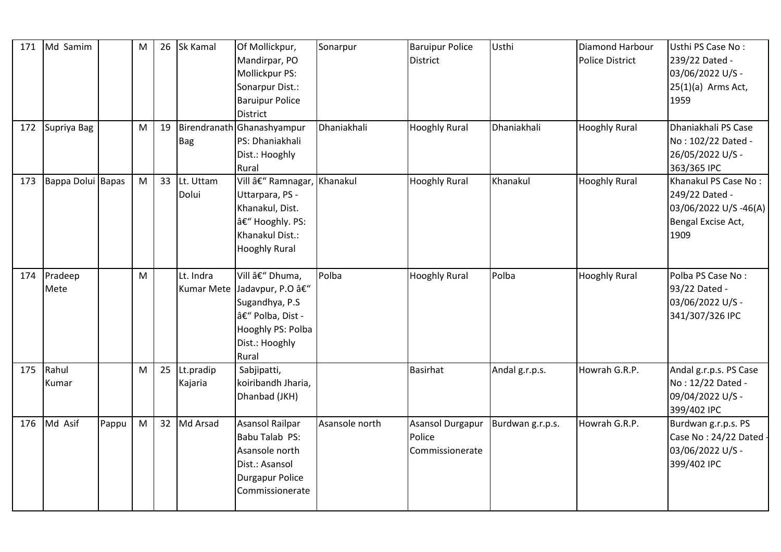| 171 | Md Samim          |       | M | 26 | Sk Kamal             | Of Mollickpur,<br>Mandirpar, PO<br>Mollickpur PS:<br>Sonarpur Dist.:<br><b>Baruipur Police</b><br><b>District</b>                   | Sonarpur       | <b>Baruipur Police</b><br>District            | Usthi            | Diamond Harbour<br><b>Police District</b> | Usthi PS Case No:<br>239/22 Dated -<br>03/06/2022 U/S -<br>$25(1)(a)$ Arms Act,<br>1959      |
|-----|-------------------|-------|---|----|----------------------|-------------------------------------------------------------------------------------------------------------------------------------|----------------|-----------------------------------------------|------------------|-------------------------------------------|----------------------------------------------------------------------------------------------|
| 172 | Supriya Bag       |       | M | 19 | Bag                  | Birendranath Ghanashyampur<br>PS: Dhaniakhali<br>Dist.: Hooghly<br>Rural                                                            | Dhaniakhali    | <b>Hooghly Rural</b>                          | Dhaniakhali      | <b>Hooghly Rural</b>                      | Dhaniakhali PS Case<br>No: 102/22 Dated -<br>26/05/2022 U/S -<br>363/365 IPC                 |
| 173 | Bappa Dolui Bapas |       | M | 33 | Lt. Uttam<br>Dolui   | Vill â€" Ramnagar, Khanakul<br>Uttarpara, PS -<br>Khanakul, Dist.<br>– Hooghly. PS:<br>Khanakul Dist.:<br><b>Hooghly Rural</b>      |                | <b>Hooghly Rural</b>                          | Khanakul         | <b>Hooghly Rural</b>                      | Khanakul PS Case No:<br>249/22 Dated -<br>03/06/2022 U/S-46(A)<br>Bengal Excise Act,<br>1909 |
| 174 | Pradeep<br>Mete   |       | M |    | Lt. Indra            | Vill – Dhuma,<br>Kumar Mete Jadavpur, P.O –<br>Sugandhya, P.S.<br>â€" Polba, Dist -<br>Hooghly PS: Polba<br>Dist.: Hooghly<br>Rural | Polba          | <b>Hooghly Rural</b>                          | Polba            | <b>Hooghly Rural</b>                      | Polba PS Case No:<br>93/22 Dated -<br>03/06/2022 U/S -<br>341/307/326 IPC                    |
| 175 | Rahul<br>Kumar    |       | M | 25 | Lt.pradip<br>Kajaria | Sabjipatti,<br>koiribandh Jharia,<br>Dhanbad (JKH)                                                                                  |                | <b>Basirhat</b>                               | Andal g.r.p.s.   | Howrah G.R.P.                             | Andal g.r.p.s. PS Case<br>No: 12/22 Dated -<br>09/04/2022 U/S -<br>399/402 IPC               |
| 176 | Md Asif           | Pappu | M | 32 | Md Arsad             | Asansol Railpar<br>Babu Talab PS:<br>Asansole north<br>Dist.: Asansol<br><b>Durgapur Police</b><br>Commissionerate                  | Asansole north | Asansol Durgapur<br>Police<br>Commissionerate | Burdwan g.r.p.s. | Howrah G.R.P.                             | Burdwan g.r.p.s. PS<br>Case No: 24/22 Dated<br>03/06/2022 U/S -<br>399/402 IPC               |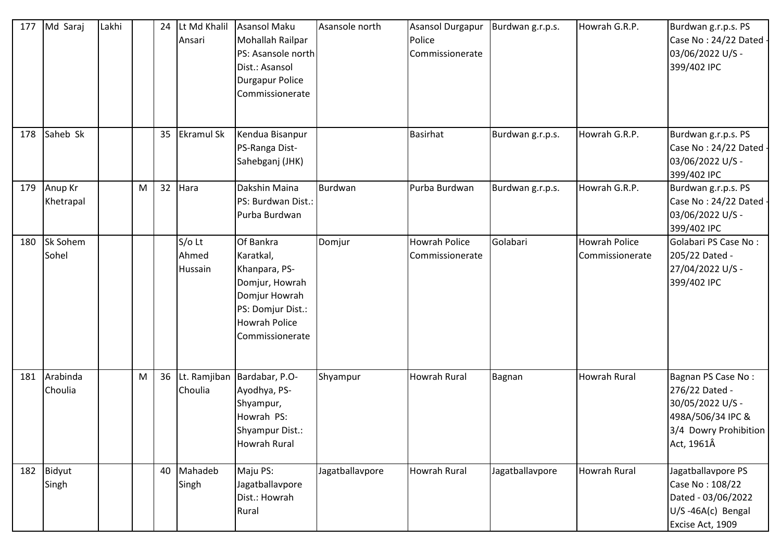| 177 | Md Saraj             | Lakhi |   | 24 | Lt Md Khalil<br>Ansari       | Asansol Maku<br>Mohallah Railpar<br>PS: Asansole north<br>Dist.: Asansol<br><b>Durgapur Police</b><br>Commissionerate                      | Asansole north  | <b>Asansol Durgapur</b><br>Police<br>Commissionerate | Burdwan g.r.p.s. | Howrah G.R.P.                           | Burdwan g.r.p.s. PS<br>Case No: 24/22 Dated<br>03/06/2022 U/S -<br>399/402 IPC                                       |
|-----|----------------------|-------|---|----|------------------------------|--------------------------------------------------------------------------------------------------------------------------------------------|-----------------|------------------------------------------------------|------------------|-----------------------------------------|----------------------------------------------------------------------------------------------------------------------|
| 178 | Saheb Sk             |       |   | 35 | <b>Ekramul Sk</b>            | Kendua Bisanpur<br>PS-Ranga Dist-<br>Sahebganj (JHK)                                                                                       |                 | <b>Basirhat</b>                                      | Burdwan g.r.p.s. | Howrah G.R.P.                           | Burdwan g.r.p.s. PS<br>Case No: 24/22 Dated<br>03/06/2022 U/S -<br>399/402 IPC                                       |
| 179 | Anup Kr<br>Khetrapal |       | M | 32 | Hara                         | Dakshin Maina<br>PS: Burdwan Dist.:<br>Purba Burdwan                                                                                       | Burdwan         | Purba Burdwan                                        | Burdwan g.r.p.s. | Howrah G.R.P.                           | Burdwan g.r.p.s. PS<br>Case No: 24/22 Dated<br>03/06/2022 U/S -<br>399/402 IPC                                       |
| 180 | Sk Sohem<br>Sohel    |       |   |    | $S/O$ Lt<br>Ahmed<br>Hussain | Of Bankra<br>Karatkal,<br>Khanpara, PS-<br>Domjur, Howrah<br>Domjur Howrah<br>PS: Domjur Dist.:<br><b>Howrah Police</b><br>Commissionerate | Domjur          | <b>Howrah Police</b><br>Commissionerate              | Golabari         | <b>Howrah Police</b><br>Commissionerate | <b>Golabari PS Case No:</b><br>205/22 Dated -<br>27/04/2022 U/S -<br>399/402 IPC                                     |
| 181 | Arabinda<br>Choulia  |       | M | 36 | Choulia                      | Lt. Ramjiban Bardabar, P.O-<br>Ayodhya, PS-<br>Shyampur,<br>Howrah PS:<br>Shyampur Dist.:<br><b>Howrah Rural</b>                           | Shyampur        | <b>Howrah Rural</b>                                  | Bagnan           | <b>Howrah Rural</b>                     | Bagnan PS Case No:<br>276/22 Dated -<br>30/05/2022 U/S -<br>498A/506/34 IPC &<br>3/4 Dowry Prohibition<br>Act, 1961Â |
| 182 | Bidyut<br>Singh      |       |   | 40 | Mahadeb<br>Singh             | Maju PS:<br>Jagatballavpore<br>Dist.: Howrah<br>Rural                                                                                      | Jagatballavpore | <b>Howrah Rural</b>                                  | Jagatballavpore  | Howrah Rural                            | Jagatballavpore PS<br>Case No: 108/22<br>Dated - 03/06/2022<br>U/S-46A(c) Bengal<br>Excise Act, 1909                 |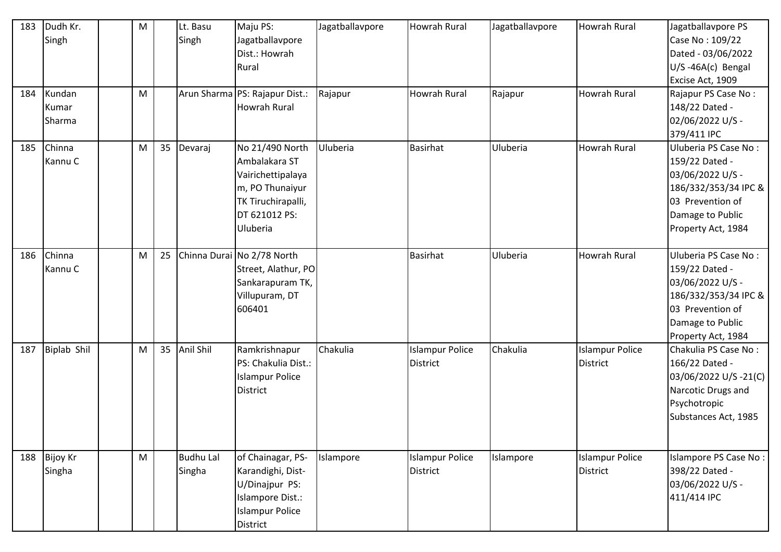| 183<br>184 | Dudh Kr.<br>Singh<br>Kundan<br>Kumar<br>Sharma | M<br>M |    | Lt. Basu<br>Singh          | Maju PS:<br>Jagatballavpore<br>Dist.: Howrah<br>Rural<br>Arun Sharma PS: Rajapur Dist.:<br><b>Howrah Rural</b>              | Jagatballavpore<br>Rajapur | Howrah Rural<br>Howrah Rural              | Jagatballavpore<br>Rajapur | Howrah Rural<br>Howrah Rural              | Jagatballavpore PS<br>Case No: 109/22<br>Dated - 03/06/2022<br>U/S-46A(c) Bengal<br>Excise Act, 1909<br>Rajapur PS Case No:<br>148/22 Dated -<br>02/06/2022 U/S -<br>379/411 IPC |
|------------|------------------------------------------------|--------|----|----------------------------|-----------------------------------------------------------------------------------------------------------------------------|----------------------------|-------------------------------------------|----------------------------|-------------------------------------------|----------------------------------------------------------------------------------------------------------------------------------------------------------------------------------|
| 185        | Chinna<br>Kannu C                              | M      | 35 | Devaraj                    | No 21/490 North<br>Ambalakara ST<br>Vairichettipalaya<br>m, PO Thunaiyur<br>TK Tiruchirapalli,<br>DT 621012 PS:<br>Uluberia | Uluberia                   | <b>Basirhat</b>                           | Uluberia                   | Howrah Rural                              | Uluberia PS Case No:<br>159/22 Dated -<br>03/06/2022 U/S -<br>186/332/353/34 IPC &<br>03 Prevention of<br>Damage to Public<br>Property Act, 1984                                 |
| 186        | Chinna<br>Kannu C                              | M      | 25 |                            | Chinna Durai No 2/78 North<br>Street, Alathur, PO<br>Sankarapuram TK,<br>Villupuram, DT<br>606401                           |                            | <b>Basirhat</b>                           | Uluberia                   | Howrah Rural                              | Uluberia PS Case No:<br>159/22 Dated -<br>03/06/2022 U/S -<br>186/332/353/34 IPC &<br>03 Prevention of<br>Damage to Public<br>Property Act, 1984                                 |
| 187        | <b>Biplab Shil</b>                             | M      | 35 | Anil Shil                  | Ramkrishnapur<br>PS: Chakulia Dist.:<br><b>Islampur Police</b><br><b>District</b>                                           | Chakulia                   | <b>Islampur Police</b><br><b>District</b> | Chakulia                   | <b>Islampur Police</b><br><b>District</b> | Chakulia PS Case No:<br>166/22 Dated -<br>03/06/2022 U/S-21(C)<br>Narcotic Drugs and<br>Psychotropic<br>Substances Act, 1985                                                     |
|            | 188 Bijoy Kr<br>Singha                         | M      |    | <b>Budhu Lal</b><br>Singha | of Chainagar, PS-<br>Karandighi, Dist-<br>U/Dinajpur PS:<br>Islampore Dist.:<br><b>Islampur Police</b><br>District          | Islampore                  | <b>Islampur Police</b><br><b>District</b> | Islampore                  | <b>Islampur Police</b><br><b>District</b> | Islampore PS Case No:<br>398/22 Dated -<br>03/06/2022 U/S -<br>411/414 IPC                                                                                                       |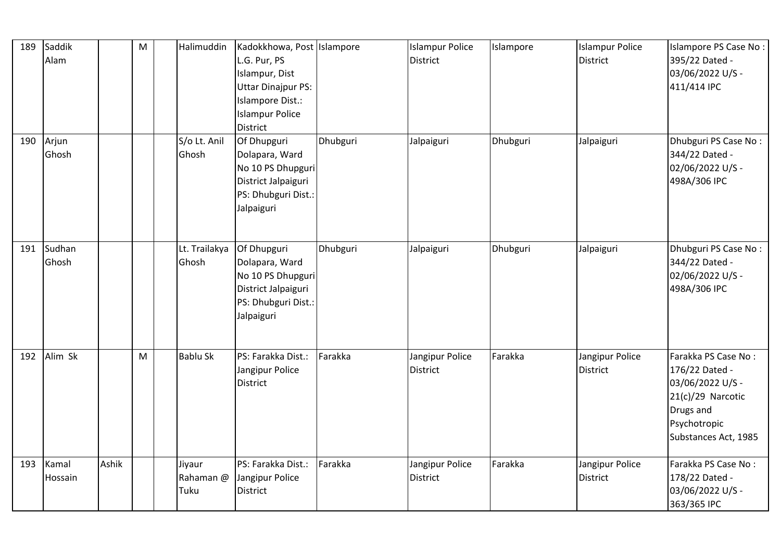| 189 | Saddik<br>Alam   |       | ${\sf M}$ | Halimuddin                  | Kadokkhowa, Post Islampore<br>L.G. Pur, PS<br>Islampur, Dist<br><b>Uttar Dinajpur PS:</b><br>Islampore Dist.:<br><b>Islampur Police</b><br>District |          | <b>Islampur Police</b><br><b>District</b> | Islampore | <b>Islampur Police</b><br><b>District</b> | Islampore PS Case No :<br>395/22 Dated -<br>03/06/2022 U/S -<br>411/414 IPC                                                           |
|-----|------------------|-------|-----------|-----------------------------|-----------------------------------------------------------------------------------------------------------------------------------------------------|----------|-------------------------------------------|-----------|-------------------------------------------|---------------------------------------------------------------------------------------------------------------------------------------|
| 190 | Arjun<br>Ghosh   |       |           | S/o Lt. Anil<br>Ghosh       | Of Dhupguri<br>Dolapara, Ward<br>No 10 PS Dhupguri<br>District Jalpaiguri<br>PS: Dhubguri Dist.:<br>Jalpaiguri                                      | Dhubguri | Jalpaiguri                                | Dhubguri  | Jalpaiguri                                | Dhubguri PS Case No:<br>344/22 Dated -<br>02/06/2022 U/S -<br>498A/306 IPC                                                            |
| 191 | Sudhan<br>Ghosh  |       |           | Lt. Trailakya<br>Ghosh      | Of Dhupguri<br>Dolapara, Ward<br>No 10 PS Dhupguri<br>District Jalpaiguri<br>PS: Dhubguri Dist.:<br>Jalpaiguri                                      | Dhubguri | Jalpaiguri                                | Dhubguri  | Jalpaiguri                                | Dhubguri PS Case No:<br>344/22 Dated -<br>02/06/2022 U/S -<br>498A/306 IPC                                                            |
| 192 | Alim Sk          |       | M         | <b>Bablu Sk</b>             | PS: Farakka Dist.:<br>Jangipur Police<br><b>District</b>                                                                                            | Farakka  | Jangipur Police<br><b>District</b>        | Farakka   | Jangipur Police<br>District               | Farakka PS Case No:<br>176/22 Dated -<br>03/06/2022 U/S -<br>$21(c)/29$ Narcotic<br>Drugs and<br>Psychotropic<br>Substances Act, 1985 |
| 193 | Kamal<br>Hossain | Ashik |           | Jiyaur<br>Rahaman @<br>Tuku | PS: Farakka Dist.:<br>Jangipur Police<br><b>District</b>                                                                                            | Farakka  | Jangipur Police<br><b>District</b>        | Farakka   | Jangipur Police<br><b>District</b>        | Farakka PS Case No:<br>178/22 Dated -<br>03/06/2022 U/S -<br>363/365 IPC                                                              |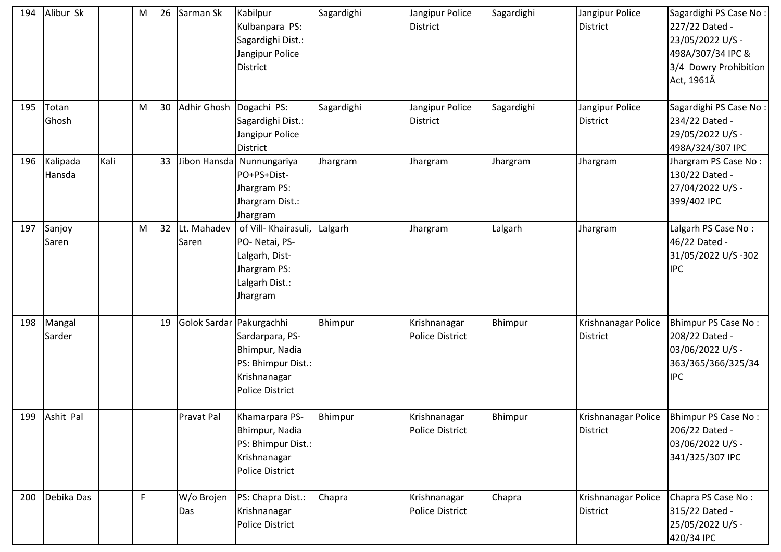| 194 | Alibur Sk          |      | M  | 26 | Sarman Sk                | Kabilpur<br>Kulbanpara PS:<br>Sagardighi Dist.:<br>Jangipur Police<br><b>District</b>                         | Sagardighi | Jangipur Police<br><b>District</b>     | Sagardighi | Jangipur Police<br>District        | Sagardighi PS Case No:<br>227/22 Dated -<br>23/05/2022 U/S -<br>498A/307/34 IPC &<br>3/4 Dowry Prohibition<br>Act, 1961Â |
|-----|--------------------|------|----|----|--------------------------|---------------------------------------------------------------------------------------------------------------|------------|----------------------------------------|------------|------------------------------------|--------------------------------------------------------------------------------------------------------------------------|
| 195 | Totan<br>Ghosh     |      | M  | 30 | Adhir Ghosh              | Dogachi PS:<br>Sagardighi Dist.:<br>Jangipur Police<br><b>District</b>                                        | Sagardighi | Jangipur Police<br><b>District</b>     | Sagardighi | Jangipur Police<br><b>District</b> | Sagardighi PS Case No:<br>234/22 Dated -<br>29/05/2022 U/S -<br>498A/324/307 IPC                                         |
| 196 | Kalipada<br>Hansda | Kali |    | 33 |                          | Jibon Hansda Nunnungariya<br>PO+PS+Dist-<br>Jhargram PS:<br>Jhargram Dist.:<br>Jhargram                       | Jhargram   | Jhargram                               | Jhargram   | Jhargram                           | Jhargram PS Case No:<br>130/22 Dated -<br>27/04/2022 U/S -<br>399/402 IPC                                                |
| 197 | Sanjoy<br>Saren    |      | M  | 32 | Lt. Mahadev<br>Saren     | of Vill- Khairasuli, Lalgarh<br>PO-Netai, PS-<br>Lalgarh, Dist-<br>Jhargram PS:<br>Lalgarh Dist.:<br>Jhargram |            | Jhargram                               | Lalgarh    | Jhargram                           | Lalgarh PS Case No:<br>46/22 Dated -<br>31/05/2022 U/S-302<br><b>IPC</b>                                                 |
| 198 | Mangal<br>Sarder   |      |    | 19 | Golok Sardar Pakurgachhi | Sardarpara, PS-<br>Bhimpur, Nadia<br>PS: Bhimpur Dist.:<br>Krishnanagar<br><b>Police District</b>             | Bhimpur    | Krishnanagar<br><b>Police District</b> | Bhimpur    | Krishnanagar Police<br>District    | <b>Bhimpur PS Case No:</b><br>208/22 Dated -<br>03/06/2022 U/S -<br>363/365/366/325/34<br><b>IPC</b>                     |
| 199 | Ashit Pal          |      |    |    | <b>Pravat Pal</b>        | Khamarpara PS-<br>Bhimpur, Nadia<br>PS: Bhimpur Dist.:<br>Krishnanagar<br>Police District                     | Bhimpur    | Krishnanagar<br>Police District        | Bhimpur    | Krishnanagar Police<br>District    | Bhimpur PS Case No:<br>206/22 Dated -<br>03/06/2022 U/S -<br>341/325/307 IPC                                             |
| 200 | Debika Das         |      | F. |    | W/o Brojen<br>Das        | PS: Chapra Dist.:<br>Krishnanagar<br><b>Police District</b>                                                   | Chapra     | Krishnanagar<br>Police District        | Chapra     | Krishnanagar Police<br>District    | Chapra PS Case No:<br>315/22 Dated -<br>25/05/2022 U/S -<br>420/34 IPC                                                   |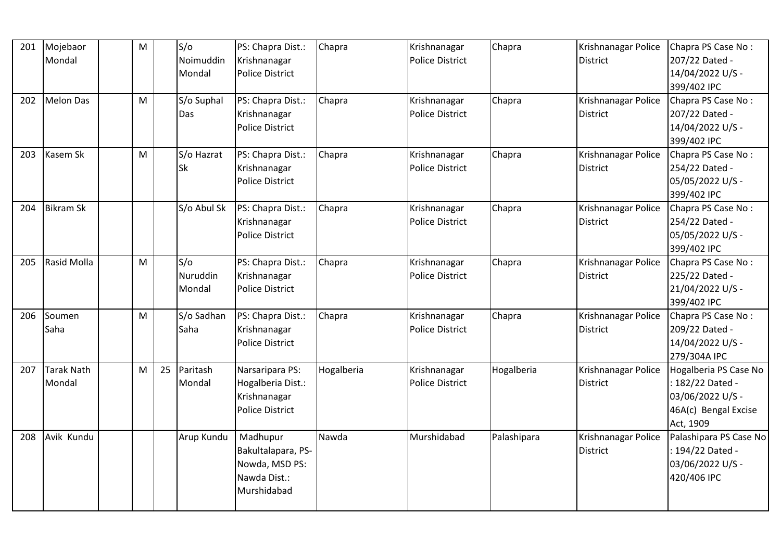| 201 | Mojebaor<br>Mondal                 | M |    | S/O<br>Noimuddin<br>Mondal | PS: Chapra Dist.:<br>Krishnanagar<br><b>Police District</b>                     | Chapra     | Krishnanagar<br><b>Police District</b> | Chapra      | Krishnanagar Police<br><b>District</b> | Chapra PS Case No:<br>207/22 Dated -<br>14/04/2022 U/S -<br>399/402 IPC                            |
|-----|------------------------------------|---|----|----------------------------|---------------------------------------------------------------------------------|------------|----------------------------------------|-------------|----------------------------------------|----------------------------------------------------------------------------------------------------|
| 202 | Melon Das                          | M |    | S/o Suphal<br>Das          | PS: Chapra Dist.:<br>Krishnanagar<br><b>Police District</b>                     | Chapra     | Krishnanagar<br><b>Police District</b> | Chapra      | Krishnanagar Police<br><b>District</b> | Chapra PS Case No:<br>207/22 Dated -<br>14/04/2022 U/S -<br>399/402 IPC                            |
| 203 | Kasem Sk                           | M |    | S/o Hazrat<br><b>Sk</b>    | PS: Chapra Dist.:<br>Krishnanagar<br><b>Police District</b>                     | Chapra     | Krishnanagar<br><b>Police District</b> | Chapra      | Krishnanagar Police<br><b>District</b> | Chapra PS Case No:<br>254/22 Dated -<br>05/05/2022 U/S -<br>399/402 IPC                            |
| 204 | <b>Bikram Sk</b>                   |   |    | S/o Abul Sk                | PS: Chapra Dist.:<br>Krishnanagar<br><b>Police District</b>                     | Chapra     | Krishnanagar<br><b>Police District</b> | Chapra      | Krishnanagar Police<br><b>District</b> | Chapra PS Case No:<br>254/22 Dated -<br>05/05/2022 U/S -<br>399/402 IPC                            |
| 205 | Rasid Molla                        | M |    | S/O<br>Nuruddin<br>Mondal  | PS: Chapra Dist.:<br>Krishnanagar<br><b>Police District</b>                     | Chapra     | Krishnanagar<br><b>Police District</b> | Chapra      | Krishnanagar Police<br><b>District</b> | Chapra PS Case No:<br>225/22 Dated -<br>21/04/2022 U/S -<br>399/402 IPC                            |
| 206 | Soumen<br>Saha                     | M |    | S/o Sadhan<br>Saha         | PS: Chapra Dist.:<br>Krishnanagar<br><b>Police District</b>                     | Chapra     | Krishnanagar<br><b>Police District</b> | Chapra      | Krishnanagar Police<br><b>District</b> | Chapra PS Case No:<br>209/22 Dated -<br>14/04/2022 U/S -<br>279/304A IPC                           |
| 207 | <b>Tarak Nath</b><br><b>Mondal</b> | M | 25 | Paritash<br>Mondal         | Narsaripara PS:<br>Hogalberia Dist.:<br>Krishnanagar<br><b>Police District</b>  | Hogalberia | Krishnanagar<br><b>Police District</b> | Hogalberia  | Krishnanagar Police<br><b>District</b> | Hogalberia PS Case No<br>: 182/22 Dated -<br>03/06/2022 U/S -<br>46A(c) Bengal Excise<br>Act, 1909 |
| 208 | Avik Kundu                         |   |    | Arup Kundu                 | Madhupur<br>Bakultalapara, PS-<br>Nowda, MSD PS:<br>Nawda Dist.:<br>Murshidabad | Nawda      | Murshidabad                            | Palashipara | Krishnanagar Police<br>District        | Palashipara PS Case No<br>: 194/22 Dated -<br>03/06/2022 U/S -<br>420/406 IPC                      |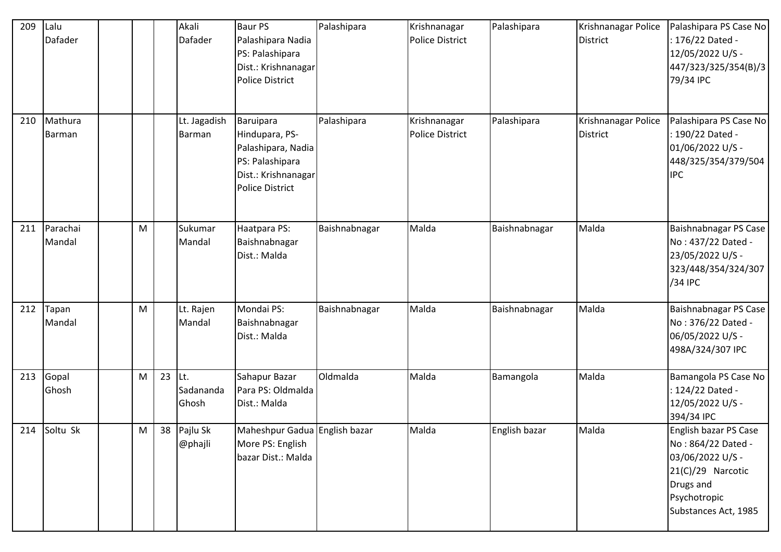| 209 | Lalu<br><b>Dafader</b> |   |    | Akali<br>Dafader              | <b>Baur PS</b><br>Palashipara Nadia<br>PS: Palashipara<br>Dist.: Krishnanagar<br><b>Police District</b>        | Palashipara   | Krishnanagar<br><b>Police District</b> | Palashipara   | Krishnanagar Police<br>District | Palashipara PS Case No<br>: 176/22 Dated -<br>12/05/2022 U/S -<br>447/323/325/354(B)/3<br>79/34 IPC                                       |
|-----|------------------------|---|----|-------------------------------|----------------------------------------------------------------------------------------------------------------|---------------|----------------------------------------|---------------|---------------------------------|-------------------------------------------------------------------------------------------------------------------------------------------|
| 210 | Mathura<br>Barman      |   |    | Lt. Jagadish<br><b>Barman</b> | Baruipara<br>Hindupara, PS-<br>Palashipara, Nadia<br>PS: Palashipara<br>Dist.: Krishnanagar<br>Police District | Palashipara   | Krishnanagar<br><b>Police District</b> | Palashipara   | Krishnanagar Police<br>District | Palashipara PS Case No<br>: 190/22 Dated -<br>01/06/2022 U/S -<br>448/325/354/379/504<br><b>IPC</b>                                       |
| 211 | Parachai<br>Mandal     | M |    | Sukumar<br>Mandal             | Haatpara PS:<br>Baishnabnagar<br>Dist.: Malda                                                                  | Baishnabnagar | Malda                                  | Baishnabnagar | Malda                           | Baishnabnagar PS Case<br>No: 437/22 Dated -<br>23/05/2022 U/S -<br>323/448/354/324/307<br>/34 IPC                                         |
| 212 | Tapan<br>Mandal        | M |    | Lt. Rajen<br>Mandal           | Mondai PS:<br>Baishnabnagar<br>Dist.: Malda                                                                    | Baishnabnagar | Malda                                  | Baishnabnagar | Malda                           | Baishnabnagar PS Case<br>No: 376/22 Dated -<br>06/05/2022 U/S -<br>498A/324/307 IPC                                                       |
| 213 | Gopal<br>Ghosh         | M | 23 | Lt.<br>Sadananda<br>Ghosh     | Sahapur Bazar<br>Para PS: Oldmalda<br>Dist.: Malda                                                             | Oldmalda      | Malda                                  | Bamangola     | Malda                           | Bamangola PS Case No<br>: 124/22 Dated -<br>12/05/2022 U/S -<br>394/34 IPC                                                                |
|     | 214 Soltu Sk           | M |    | 38 Pajlu Sk<br>@phajli        | Maheshpur Gadua English bazar<br>More PS: English<br>bazar Dist.: Malda                                        |               | Malda                                  | English bazar | Malda                           | English bazar PS Case<br>No: 864/22 Dated -<br>03/06/2022 U/S -<br>21(C)/29 Narcotic<br>Drugs and<br>Psychotropic<br>Substances Act, 1985 |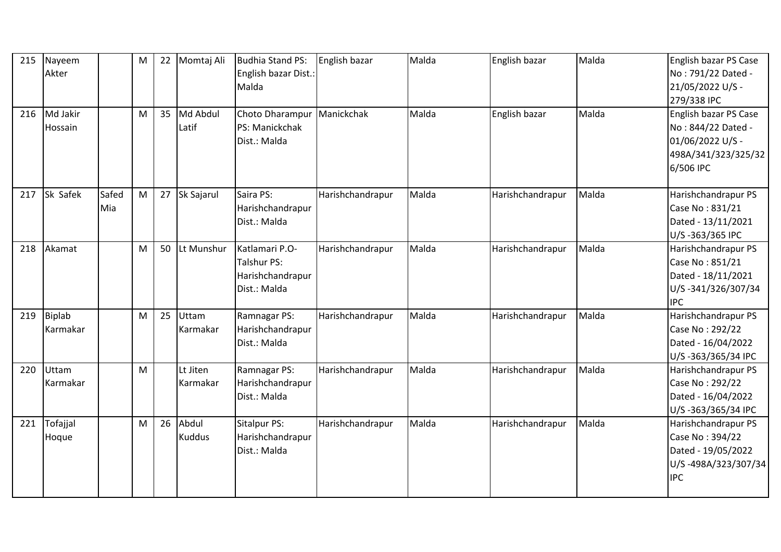| 215 | Nayeem<br>Akter           |              | M | 22 | Momtaj Ali             | <b>Budhia Stand PS:</b><br>English bazar Dist.:<br>Malda          | English bazar    | Malda | English bazar    | Malda | English bazar PS Case<br>No: 791/22 Dated -<br>21/05/2022 U/S -<br>279/338 IPC                      |
|-----|---------------------------|--------------|---|----|------------------------|-------------------------------------------------------------------|------------------|-------|------------------|-------|-----------------------------------------------------------------------------------------------------|
| 216 | Md Jakir<br>Hossain       |              | M | 35 | Md Abdul<br>Latif      | Choto Dharampur<br>PS: Manickchak<br>Dist.: Malda                 | Manickchak       | Malda | English bazar    | Malda | English bazar PS Case<br>No: 844/22 Dated -<br>01/06/2022 U/S -<br>498A/341/323/325/32<br>6/506 IPC |
| 217 | Sk Safek                  | Safed<br>Mia | M | 27 | Sk Sajarul             | Saira PS:<br>Harishchandrapur<br>Dist.: Malda                     | Harishchandrapur | Malda | Harishchandrapur | Malda | Harishchandrapur PS<br>Case No: 831/21<br>Dated - 13/11/2021<br>U/S-363/365 IPC                     |
| 218 | Akamat                    |              | M | 50 | Lt Munshur             | Katlamari P.O-<br>Talshur PS:<br>Harishchandrapur<br>Dist.: Malda | Harishchandrapur | Malda | Harishchandrapur | Malda | Harishchandrapur PS<br>Case No: 851/21<br>Dated - 18/11/2021<br>U/S-341/326/307/34<br><b>IPC</b>    |
| 219 | <b>Biplab</b><br>Karmakar |              | M | 25 | Uttam<br>Karmakar      | Ramnagar PS:<br>Harishchandrapur<br>Dist.: Malda                  | Harishchandrapur | Malda | Harishchandrapur | Malda | Harishchandrapur PS<br>Case No: 292/22<br>Dated - 16/04/2022<br>U/S-363/365/34 IPC                  |
| 220 | Uttam<br>Karmakar         |              | M |    | Lt Jiten<br>Karmakar   | Ramnagar PS:<br>Harishchandrapur<br>Dist.: Malda                  | Harishchandrapur | Malda | Harishchandrapur | Malda | Harishchandrapur PS<br>Case No: 292/22<br>Dated - 16/04/2022<br>U/S-363/365/34 IPC                  |
| 221 | Tofajjal<br>Hoque         |              | M | 26 | Abdul<br><b>Kuddus</b> | Sitalpur PS:<br>Harishchandrapur<br>Dist.: Malda                  | Harishchandrapur | Malda | Harishchandrapur | Malda | Harishchandrapur PS<br>Case No: 394/22<br>Dated - 19/05/2022<br>U/S-498A/323/307/34<br><b>IPC</b>   |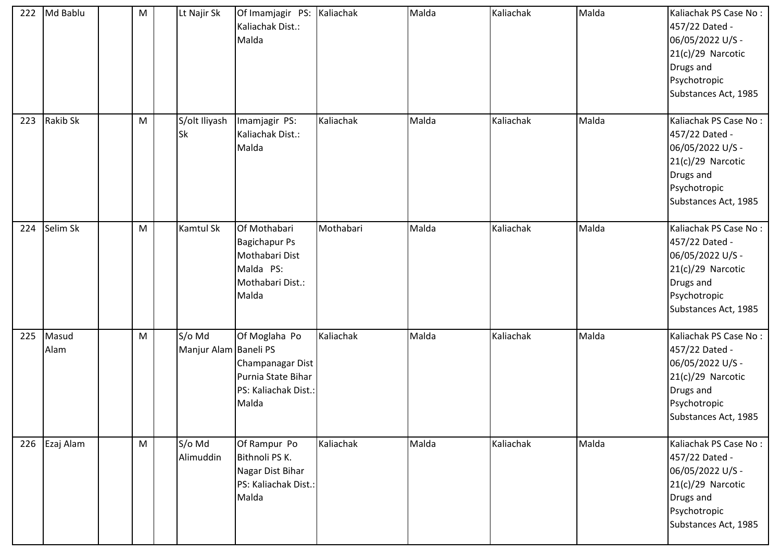| 222 | Md Bablu        | M | Lt Najir Sk                     | Of Imamjagir PS: Kaliachak<br>Kaliachak Dist.:<br>Malda                                          |           | Malda | Kaliachak | Malda | Kaliachak PS Case No:<br>457/22 Dated -<br>06/05/2022 U/S -<br>$21(c)/29$ Narcotic<br>Drugs and<br>Psychotropic<br>Substances Act, 1985 |
|-----|-----------------|---|---------------------------------|--------------------------------------------------------------------------------------------------|-----------|-------|-----------|-------|-----------------------------------------------------------------------------------------------------------------------------------------|
| 223 | <b>Rakib Sk</b> | M | S/olt Iliyash<br>Sk             | Imamjagir PS:<br>Kaliachak Dist.:<br>Malda                                                       | Kaliachak | Malda | Kaliachak | Malda | Kaliachak PS Case No:<br>457/22 Dated -<br>06/05/2022 U/S -<br>$21(c)/29$ Narcotic<br>Drugs and<br>Psychotropic<br>Substances Act, 1985 |
| 224 | Selim Sk        | M | Kamtul Sk                       | Of Mothabari<br><b>Bagichapur Ps</b><br>Mothabari Dist<br>Malda PS:<br>Mothabari Dist.:<br>Malda | Mothabari | Malda | Kaliachak | Malda | Kaliachak PS Case No:<br>457/22 Dated -<br>06/05/2022 U/S -<br>21(c)/29 Narcotic<br>Drugs and<br>Psychotropic<br>Substances Act, 1985   |
| 225 | Masud<br>Alam   | M | S/o Md<br>Manjur Alam Baneli PS | Of Moglaha Po<br>Champanagar Dist<br>Purnia State Bihar<br>PS: Kaliachak Dist.:<br>Malda         | Kaliachak | Malda | Kaliachak | Malda | Kaliachak PS Case No:<br>457/22 Dated -<br>06/05/2022 U/S -<br>$21(c)/29$ Narcotic<br>Drugs and<br>Psychotropic<br>Substances Act, 1985 |
|     | 226 Ezaj Alam   | M | S/o Md<br>Alimuddin             | Of Rampur Po<br>Bithnoli PS K.<br>Nagar Dist Bihar<br>PS: Kaliachak Dist.:<br>Malda              | Kaliachak | Malda | Kaliachak | Malda | Kaliachak PS Case No:<br>457/22 Dated -<br>06/05/2022 U/S -<br>$21(c)/29$ Narcotic<br>Drugs and<br>Psychotropic<br>Substances Act, 1985 |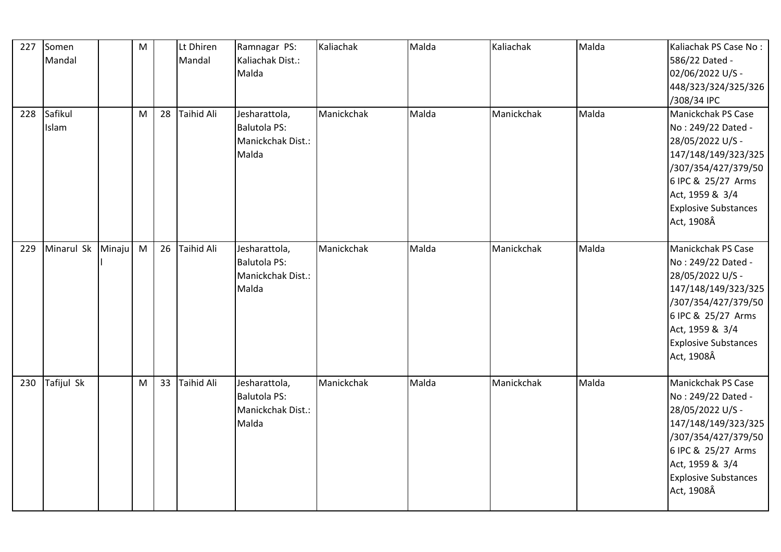| 227 | Somen<br>Mandal  |        | M |    | Lt Dhiren<br>Mandal | Ramnagar PS:<br>Kaliachak Dist.:<br>Malda                          | Kaliachak  | Malda | Kaliachak  | Malda | Kaliachak PS Case No:<br>586/22 Dated -<br>02/06/2022 U/S -<br>448/323/324/325/326<br>/308/34 IPC                                                                                                |
|-----|------------------|--------|---|----|---------------------|--------------------------------------------------------------------|------------|-------|------------|-------|--------------------------------------------------------------------------------------------------------------------------------------------------------------------------------------------------|
| 228 | Safikul<br>Islam |        | M | 28 | <b>Taihid Ali</b>   | Jesharattola,<br><b>Balutola PS:</b><br>Manickchak Dist.:<br>Malda | Manickchak | Malda | Manickchak | Malda | Manickchak PS Case<br>No: 249/22 Dated -<br>28/05/2022 U/S -<br>147/148/149/323/325<br>/307/354/427/379/50<br>6 IPC & 25/27 Arms<br>Act, 1959 & 3/4<br><b>Explosive Substances</b><br>Act, 1908Â |
| 229 | Minarul Sk       | Minaju | M | 26 | <b>Taihid Ali</b>   | Jesharattola,<br><b>Balutola PS:</b><br>Manickchak Dist.:<br>Malda | Manickchak | Malda | Manickchak | Malda | Manickchak PS Case<br>No: 249/22 Dated -<br>28/05/2022 U/S -<br>147/148/149/323/325<br>/307/354/427/379/50<br>6 IPC & 25/27 Arms<br>Act, 1959 & 3/4<br><b>Explosive Substances</b><br>Act, 1908Â |
| 230 | Tafijul Sk       |        | M | 33 | <b>Taihid Ali</b>   | Jesharattola,<br><b>Balutola PS:</b><br>Manickchak Dist.:<br>Malda | Manickchak | Malda | Manickchak | Malda | Manickchak PS Case<br>No: 249/22 Dated -<br>28/05/2022 U/S -<br>147/148/149/323/325<br>/307/354/427/379/50<br>6 IPC & 25/27 Arms<br>Act, 1959 & 3/4<br><b>Explosive Substances</b><br>Act, 1908Â |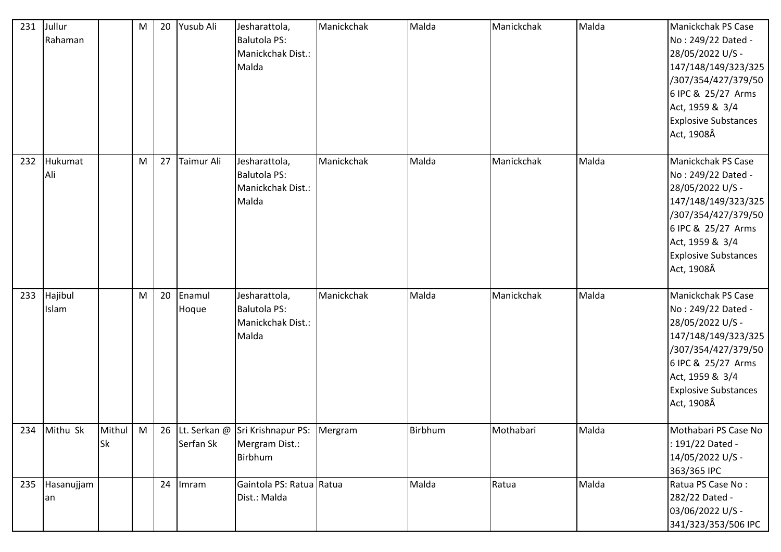| 231 | Jullur<br>Rahaman    |                     | M | 20 | Yusub Ali       | Jesharattola,<br><b>Balutola PS:</b><br>Manickchak Dist.:<br>Malda      | Manickchak | Malda   | Manickchak | Malda | Manickchak PS Case<br>No: 249/22 Dated -<br>28/05/2022 U/S -<br>147/148/149/323/325<br>/307/354/427/379/50<br>6 IPC & 25/27 Arms<br>Act, 1959 & 3/4<br><b>Explosive Substances</b><br>Act, 1908Â |
|-----|----------------------|---------------------|---|----|-----------------|-------------------------------------------------------------------------|------------|---------|------------|-------|--------------------------------------------------------------------------------------------------------------------------------------------------------------------------------------------------|
| 232 | Hukumat<br>Ali       |                     | M | 27 | Taimur Ali      | Jesharattola,<br><b>Balutola PS:</b><br>Manickchak Dist.:<br>Malda      | Manickchak | Malda   | Manickchak | Malda | Manickchak PS Case<br>No: 249/22 Dated -<br>28/05/2022 U/S -<br>147/148/149/323/325<br>/307/354/427/379/50<br>6 IPC & 25/27 Arms<br>Act, 1959 & 3/4<br><b>Explosive Substances</b><br>Act, 1908Â |
| 233 | Hajibul<br>Islam     |                     | M | 20 | Enamul<br>Hoque | Jesharattola,<br><b>Balutola PS:</b><br>Manickchak Dist.:<br>Malda      | Manickchak | Malda   | Manickchak | Malda | Manickchak PS Case<br>No: 249/22 Dated -<br>28/05/2022 U/S -<br>147/148/149/323/325<br>/307/354/427/379/50<br>6 IPC & 25/27 Arms<br>Act, 1959 & 3/4<br><b>Explosive Substances</b><br>Act, 1908Â |
|     | 234 Mithu Sk         | Mithul<br><b>Sk</b> | M |    | Serfan Sk       | 26 Lt. Serkan @ Sri Krishnapur PS: Mergram<br>Mergram Dist.:<br>Birbhum |            | Birbhum | Mothabari  | Malda | Mothabari PS Case No<br>: 191/22 Dated -<br>14/05/2022 U/S -<br>363/365 IPC                                                                                                                      |
|     | 235 Hasanujjam<br>an |                     |   | 24 | Imram           | Gaintola PS: Ratua Ratua<br>Dist.: Malda                                |            | Malda   | Ratua      | Malda | Ratua PS Case No:<br>282/22 Dated -<br>03/06/2022 U/S -<br>341/323/353/506 IPC                                                                                                                   |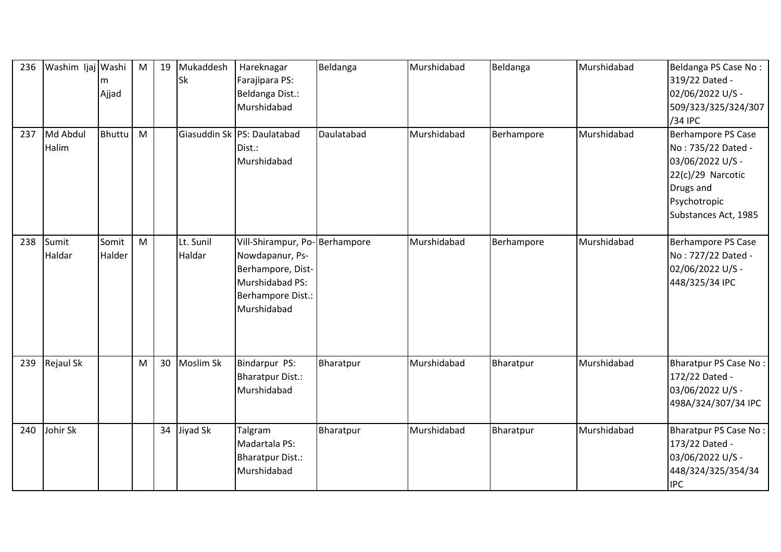| 236 | Washim Ijaj Washi | Ajjad           | M | 19 | Mukaddesh<br><b>Sk</b> | Hareknagar<br>Farajipara PS:<br>Beldanga Dist.:<br>Murshidabad                                                               | Beldanga   | Murshidabad | Beldanga   | Murshidabad | Beldanga PS Case No:<br>319/22 Dated -<br>02/06/2022 U/S -<br>509/323/325/324/307                                                      |
|-----|-------------------|-----------------|---|----|------------------------|------------------------------------------------------------------------------------------------------------------------------|------------|-------------|------------|-------------|----------------------------------------------------------------------------------------------------------------------------------------|
|     |                   |                 |   |    |                        |                                                                                                                              |            |             |            |             | /34 IPC                                                                                                                                |
| 237 | Md Abdul<br>Halim | <b>Bhuttu</b>   | M |    |                        | Giasuddin Sk PS: Daulatabad<br>Dist.:<br>Murshidabad                                                                         | Daulatabad | Murshidabad | Berhampore | Murshidabad | Berhampore PS Case<br>No: 735/22 Dated -<br>03/06/2022 U/S -<br>22(c)/29 Narcotic<br>Drugs and<br>Psychotropic<br>Substances Act, 1985 |
| 238 | Sumit<br>Haldar   | Somit<br>Halder | M |    | Lt. Sunil<br>Haldar    | Vill-Shirampur, Po-Berhampore<br>Nowdapanur, Ps-<br>Berhampore, Dist-<br>Murshidabad PS:<br>Berhampore Dist.:<br>Murshidabad |            | Murshidabad | Berhampore | Murshidabad | Berhampore PS Case<br>No: 727/22 Dated -<br>02/06/2022 U/S -<br>448/325/34 IPC                                                         |
| 239 | Rejaul Sk         |                 | M | 30 | Moslim Sk              | Bindarpur PS:<br><b>Bharatpur Dist.:</b><br>Murshidabad                                                                      | Bharatpur  | Murshidabad | Bharatpur  | Murshidabad | <b>Bharatpur PS Case No:</b><br>172/22 Dated -<br>03/06/2022 U/S -<br>498A/324/307/34 IPC                                              |
| 240 | Johir Sk          |                 |   | 34 | Jiyad Sk               | Talgram<br>Madartala PS:<br><b>Bharatpur Dist.:</b><br>Murshidabad                                                           | Bharatpur  | Murshidabad | Bharatpur  | Murshidabad | <b>Bharatpur PS Case No:</b><br>173/22 Dated -<br>03/06/2022 U/S -<br>448/324/325/354/34<br><b>IPC</b>                                 |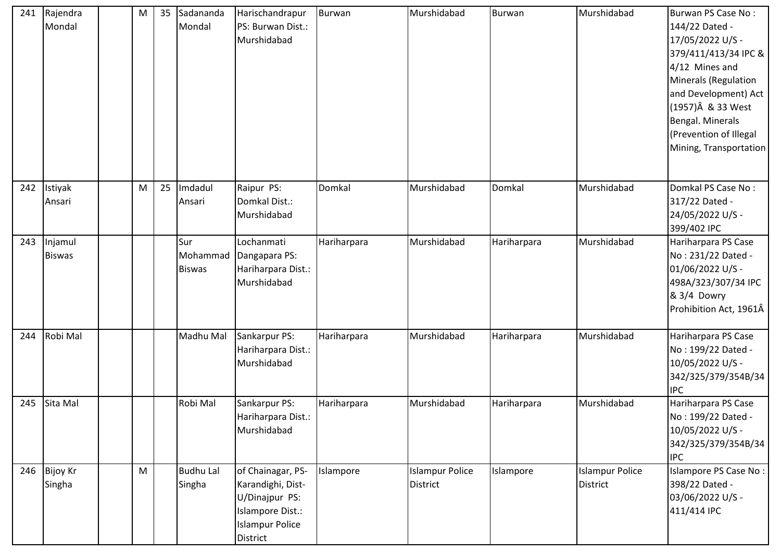| 241 | Rajendra<br>Mondal       | M | 35 | Sadananda<br>Mondal        | Harischandrapur<br>PS: Burwan Dist.:<br>Murshidabad                                                                | Burwan      | Murshidabad                               | Burwan      | Murshidabad                               | Burwan PS Case No:<br>144/22 Dated -<br>17/05/2022 U/S -<br>379/411/413/34 IPC &<br>4/12 Mines and<br>Minerals (Regulation<br>and Development) Act<br>(1957)Â & 33 West<br>Bengal. Minerals<br>(Prevention of Illegal<br>Mining, Transportation |
|-----|--------------------------|---|----|----------------------------|--------------------------------------------------------------------------------------------------------------------|-------------|-------------------------------------------|-------------|-------------------------------------------|-------------------------------------------------------------------------------------------------------------------------------------------------------------------------------------------------------------------------------------------------|
| 242 | Istiyak<br>Ansari        | M | 25 | Imdadul<br>Ansari          | Raipur PS:<br>Domkal Dist.:<br>Murshidabad                                                                         | Domkal      | Murshidabad                               | Domkal      | Murshidabad                               | Domkal PS Case No:<br>317/22 Dated -<br>24/05/2022 U/S -<br>399/402 IPC                                                                                                                                                                         |
| 243 | Injamul<br><b>Biswas</b> |   |    | Sur<br><b>Biswas</b>       | Lochanmati<br>Mohammad Dangapara PS:<br>Hariharpara Dist.:<br>Murshidabad                                          | Hariharpara | Murshidabad                               | Hariharpara | Murshidabad                               | Hariharpara PS Case<br>No: 231/22 Dated -<br>01/06/2022 U/S -<br>498A/323/307/34 IPC<br>& 3/4 Dowry<br>Prohibition Act, 1961Â                                                                                                                   |
| 244 | Robi Mal                 |   |    | Madhu Mal                  | Sankarpur PS:<br>Hariharpara Dist.:<br>Murshidabad                                                                 | Hariharpara | Murshidabad                               | Hariharpara | Murshidabad                               | Hariharpara PS Case<br>No: 199/22 Dated -<br>10/05/2022 U/S -<br>342/325/379/354B/34<br><b>IPC</b>                                                                                                                                              |
| 245 | Sita Mal                 |   |    | Robi Mal                   | Sankarpur PS:<br>Hariharpara Dist.:<br>Murshidabad                                                                 | Hariharpara | Murshidabad                               | Hariharpara | Murshidabad                               | Hariharpara PS Case<br>No: 199/22 Dated -<br>10/05/2022 U/S -<br>342/325/379/354B/34<br><b>IPC</b>                                                                                                                                              |
|     | 246 Bijoy Kr<br>Singha   | M |    | <b>Budhu Lal</b><br>Singha | of Chainagar, PS-<br>Karandighi, Dist-<br>U/Dinajpur PS:<br>Islampore Dist.:<br><b>Islampur Police</b><br>District | Islampore   | <b>Islampur Police</b><br><b>District</b> | Islampore   | <b>Islampur Police</b><br><b>District</b> | Islampore PS Case No:<br>398/22 Dated -<br>03/06/2022 U/S -<br>411/414 IPC                                                                                                                                                                      |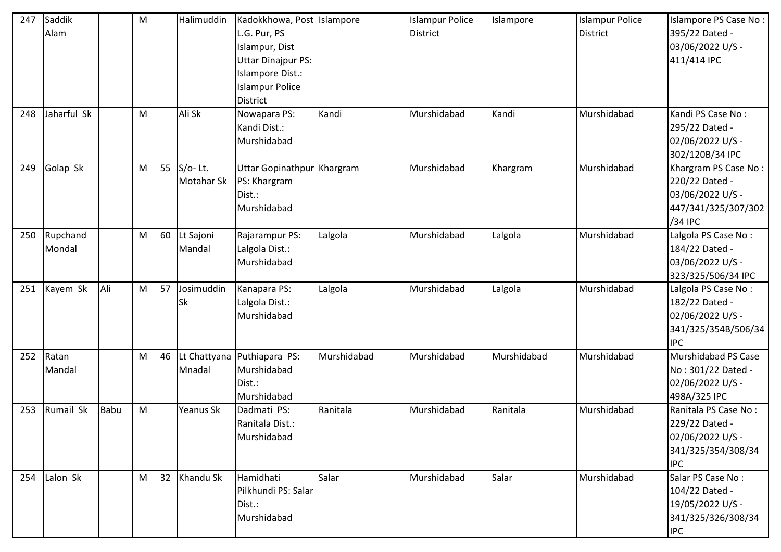| 247 | Saddik<br>Alam     |             | M |    | Halimuddin              | Kadokkhowa, Post Islampore<br>L.G. Pur, PS<br>Islampur, Dist<br>Uttar Dinajpur PS:<br>Islampore Dist.:<br><b>Islampur Police</b><br><b>District</b> |             | <b>Islampur Police</b><br><b>District</b> | Islampore   | <b>Islampur Police</b><br>District | Islampore PS Case No:<br>395/22 Dated -<br>03/06/2022 U/S -<br>411/414 IPC                     |
|-----|--------------------|-------------|---|----|-------------------------|-----------------------------------------------------------------------------------------------------------------------------------------------------|-------------|-------------------------------------------|-------------|------------------------------------|------------------------------------------------------------------------------------------------|
| 248 | Jaharful Sk        |             | M |    | Ali Sk                  | Nowapara PS:<br>Kandi Dist.:<br>Murshidabad                                                                                                         | Kandi       | Murshidabad                               | Kandi       | Murshidabad                        | Kandi PS Case No:<br>295/22 Dated -<br>02/06/2022 U/S -<br>302/120B/34 IPC                     |
| 249 | Golap Sk           |             | M | 55 | $S/O-Lt.$<br>Motahar Sk | Uttar Gopinathpur Khargram<br>PS: Khargram<br>Dist.:<br>Murshidabad                                                                                 |             | Murshidabad                               | Khargram    | Murshidabad                        | Khargram PS Case No:<br>220/22 Dated -<br>03/06/2022 U/S -<br>447/341/325/307/302<br>/34 IPC   |
| 250 | Rupchand<br>Mondal |             | M | 60 | Lt Sajoni<br>Mandal     | Rajarampur PS:<br>Lalgola Dist.:<br>Murshidabad                                                                                                     | Lalgola     | Murshidabad                               | Lalgola     | Murshidabad                        | Lalgola PS Case No:<br>184/22 Dated -<br>03/06/2022 U/S -<br>323/325/506/34 IPC                |
| 251 | Kayem Sk           | Ali         | M | 57 | Josimuddin<br>Sk        | Kanapara PS:<br>Lalgola Dist.:<br>Murshidabad                                                                                                       | Lalgola     | Murshidabad                               | Lalgola     | Murshidabad                        | Lalgola PS Case No:<br>182/22 Dated -<br>02/06/2022 U/S -<br>341/325/354B/506/34<br><b>IPC</b> |
| 252 | Ratan<br>Mandal    |             | M | 46 | Mnadal                  | Lt Chattyana Puthiapara PS:<br>Murshidabad<br>Dist.:<br>Murshidabad                                                                                 | Murshidabad | Murshidabad                               | Murshidabad | Murshidabad                        | Murshidabad PS Case<br>No: 301/22 Dated -<br>02/06/2022 U/S -<br>498A/325 IPC                  |
| 253 | Rumail Sk          | <b>Babu</b> | M |    | Yeanus Sk               | Dadmati PS:<br>Ranitala Dist.:<br>Murshidabad                                                                                                       | Ranitala    | Murshidabad                               | Ranitala    | Murshidabad                        | Ranitala PS Case No:<br>229/22 Dated -<br>02/06/2022 U/S -<br>341/325/354/308/34<br><b>IPC</b> |
| 254 | Lalon Sk           |             | M | 32 | Khandu Sk               | Hamidhati<br>Pilkhundi PS: Salar<br>Dist.:<br>Murshidabad                                                                                           | Salar       | Murshidabad                               | Salar       | Murshidabad                        | Salar PS Case No:<br>104/22 Dated -<br>19/05/2022 U/S -<br>341/325/326/308/34<br><b>IPC</b>    |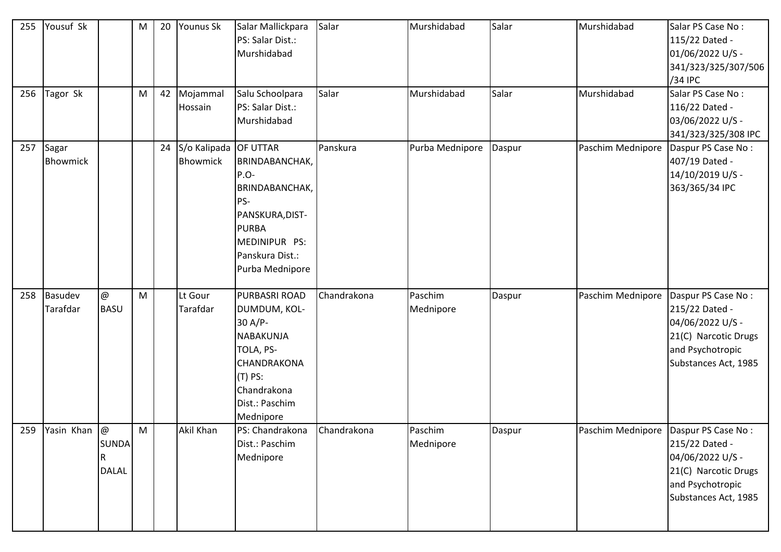| 255 | Yousuf Sk                |                                          | M | 20 | Younus Sk                                | Salar Mallickpara<br>PS: Salar Dist.:<br>Murshidabad                                                                                         | Salar       | Murshidabad          | Salar  | Murshidabad                             | Salar PS Case No:<br>115/22 Dated -<br>01/06/2022 U/S -<br>341/323/325/307/506<br>/34 IPC                                    |
|-----|--------------------------|------------------------------------------|---|----|------------------------------------------|----------------------------------------------------------------------------------------------------------------------------------------------|-------------|----------------------|--------|-----------------------------------------|------------------------------------------------------------------------------------------------------------------------------|
| 256 | Tagor Sk                 |                                          | M | 42 | Mojammal<br>Hossain                      | Salu Schoolpara<br>PS: Salar Dist.:<br>Murshidabad                                                                                           | Salar       | Murshidabad          | Salar  | Murshidabad                             | Salar PS Case No:<br>116/22 Dated -<br>03/06/2022 U/S -<br>341/323/325/308 IPC                                               |
| 257 | Sagar<br><b>Bhowmick</b> |                                          |   | 24 | S/o Kalipada OF UTTAR<br><b>Bhowmick</b> | BRINDABANCHAK,<br>$P.O-$<br>BRINDABANCHAK,<br>PS-<br>PANSKURA, DIST-<br><b>PURBA</b><br>MEDINIPUR PS:<br>Panskura Dist.:<br>Purba Mednipore  | Panskura    | Purba Mednipore      | Daspur | Paschim Mednipore                       | Daspur PS Case No:<br>407/19 Dated -<br>14/10/2019 U/S -<br>363/365/34 IPC                                                   |
| 258 | Basudev<br>Tarafdar      | $^\text{\textregistered}$<br><b>BASU</b> | M |    | Lt Gour<br>Tarafdar                      | PURBASRI ROAD<br>DUMDUM, KOL-<br>30 A/P-<br>NABAKUNJA<br>TOLA, PS-<br>CHANDRAKONA<br>$(T)$ PS:<br>Chandrakona<br>Dist.: Paschim<br>Mednipore | Chandrakona | Paschim<br>Mednipore | Daspur | Paschim Mednipore                       | Daspur PS Case No:<br>215/22 Dated -<br>04/06/2022 U/S -<br>21(C) Narcotic Drugs<br>and Psychotropic<br>Substances Act, 1985 |
|     | 259 Yasin Khan $\omega$  | <b>SUNDA</b><br>R<br><b>DALAL</b>        | M |    | Akil Khan                                | PS: Chandrakona<br>Dist.: Paschim<br>Mednipore                                                                                               | Chandrakona | Paschim<br>Mednipore | Daspur | Paschim Mednipore   Daspur PS Case No : | 215/22 Dated -<br>04/06/2022 U/S -<br>21(C) Narcotic Drugs<br>and Psychotropic<br>Substances Act, 1985                       |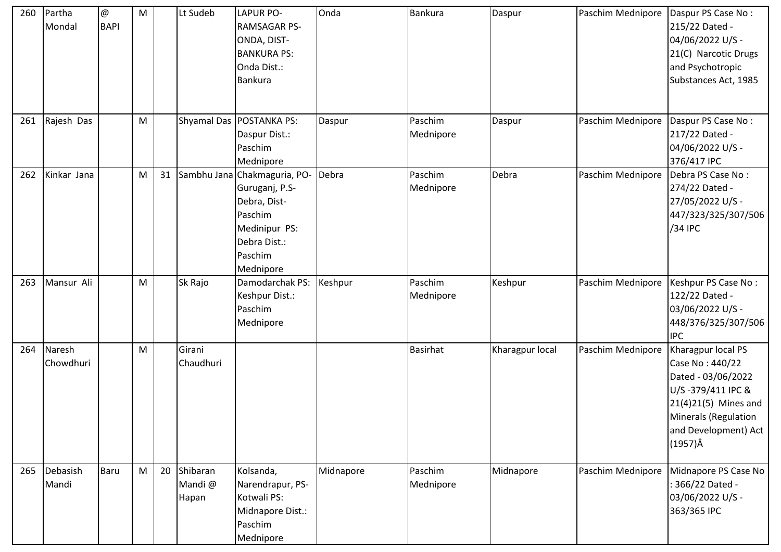| 260 | Partha<br>Mondal    | @<br><b>BAPI</b> | M |    | Lt Sudeb                    | <b>LAPUR PO-</b><br><b>RAMSAGAR PS-</b><br>ONDA, DIST-<br><b>BANKURA PS:</b><br>Onda Dist.:<br><b>Bankura</b>                      | Onda      | Bankura              | Daspur          | Paschim Mednipore | Daspur PS Case No:<br>215/22 Dated -<br>04/06/2022 U/S -<br>21(C) Narcotic Drugs<br>and Psychotropic<br>Substances Act, 1985                                                       |
|-----|---------------------|------------------|---|----|-----------------------------|------------------------------------------------------------------------------------------------------------------------------------|-----------|----------------------|-----------------|-------------------|------------------------------------------------------------------------------------------------------------------------------------------------------------------------------------|
| 261 | Rajesh Das          |                  | M |    |                             | Shyamal Das   POSTANKA PS:<br>Daspur Dist.:<br>Paschim<br>Mednipore                                                                | Daspur    | Paschim<br>Mednipore | Daspur          | Paschim Mednipore | Daspur PS Case No:<br>217/22 Dated -<br>04/06/2022 U/S -<br>376/417 IPC                                                                                                            |
| 262 | Kinkar Jana         |                  | M | 31 |                             | Sambhu Jana Chakmaguria, PO-<br>Guruganj, P.S-<br>Debra, Dist-<br>Paschim<br>Medinipur PS:<br>Debra Dist.:<br>Paschim<br>Mednipore | Debra     | Paschim<br>Mednipore | Debra           | Paschim Mednipore | Debra PS Case No:<br>274/22 Dated -<br>27/05/2022 U/S -<br>447/323/325/307/506<br>/34 IPC                                                                                          |
| 263 | Mansur Ali          |                  | M |    | Sk Rajo                     | Damodarchak PS:<br>Keshpur Dist.:<br>Paschim<br>Mednipore                                                                          | Keshpur   | Paschim<br>Mednipore | Keshpur         | Paschim Mednipore | Keshpur PS Case No:<br>122/22 Dated -<br>03/06/2022 U/S -<br>448/376/325/307/506<br><b>IPC</b>                                                                                     |
| 264 | Naresh<br>Chowdhuri |                  | M |    | Girani<br>Chaudhuri         |                                                                                                                                    |           | <b>Basirhat</b>      | Kharagpur local | Paschim Mednipore | Kharagpur local PS<br>Case No: 440/22<br>Dated - 03/06/2022<br>U/S-379/411 IPC &<br>21(4)21(5) Mines and<br><b>Minerals (Regulation</b><br>and Development) Act<br>$(1957)\hat{A}$ |
| 265 | Debasish<br>Mandi   | Baru             | M | 20 | Shibaran<br>Mandi@<br>Hapan | Kolsanda,<br>Narendrapur, PS-<br>Kotwali PS:<br>Midnapore Dist.:<br>Paschim<br>Mednipore                                           | Midnapore | Paschim<br>Mednipore | Midnapore       | Paschim Mednipore | Midnapore PS Case No<br>: 366/22 Dated -<br>03/06/2022 U/S -<br>363/365 IPC                                                                                                        |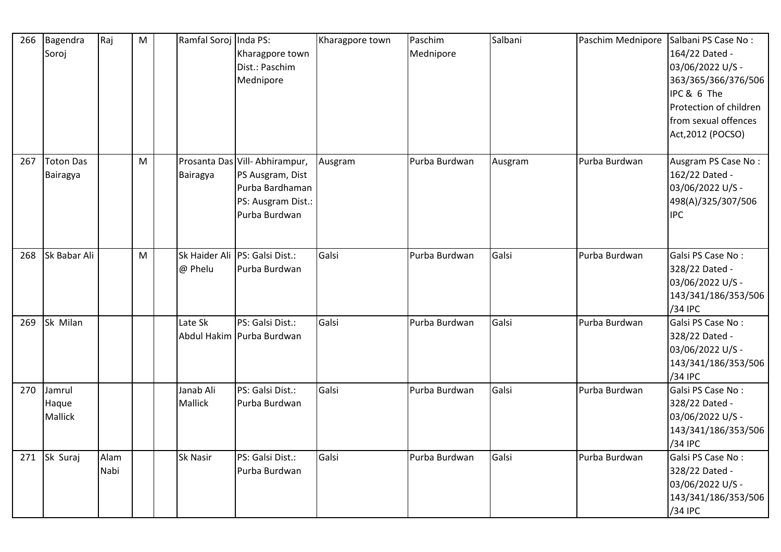| 266 | Bagendra<br>Soroj                 | Raj          | M | Ramfal Soroj Inda PS:       | Kharagpore town<br>Dist.: Paschim<br>Mednipore                                                              | Kharagpore town | Paschim<br>Mednipore | Salbani | Paschim Mednipore | Salbani PS Case No:<br>164/22 Dated -<br>03/06/2022 U/S -<br>363/365/366/376/506<br>IPC & 6 The<br>Protection of children<br>from sexual offences<br>Act, 2012 (POCSO) |
|-----|-----------------------------------|--------------|---|-----------------------------|-------------------------------------------------------------------------------------------------------------|-----------------|----------------------|---------|-------------------|------------------------------------------------------------------------------------------------------------------------------------------------------------------------|
| 267 | <b>Toton Das</b><br>Bairagya      |              | M | Bairagya                    | Prosanta Das Vill-Abhirampur,<br>PS Ausgram, Dist<br>Purba Bardhaman<br>PS: Ausgram Dist.:<br>Purba Burdwan | Ausgram         | Purba Burdwan        | Ausgram | Purba Burdwan     | Ausgram PS Case No:<br>162/22 Dated -<br>03/06/2022 U/S -<br>498(A)/325/307/506<br><b>IPC</b>                                                                          |
| 268 | Sk Babar Ali                      |              | M | @ Phelu                     | Sk Haider Ali PS: Galsi Dist.:<br>Purba Burdwan                                                             | Galsi           | Purba Burdwan        | Galsi   | Purba Burdwan     | Galsi PS Case No:<br>328/22 Dated -<br>03/06/2022 U/S -<br>143/341/186/353/506<br>/34 IPC                                                                              |
| 269 | Sk Milan                          |              |   | Late Sk                     | PS: Galsi Dist.:<br>Abdul Hakim Purba Burdwan                                                               | Galsi           | Purba Burdwan        | Galsi   | Purba Burdwan     | Galsi PS Case No:<br>328/22 Dated -<br>03/06/2022 U/S -<br>143/341/186/353/506<br>/34 IPC                                                                              |
| 270 | Jamrul<br>Haque<br><b>Mallick</b> |              |   | Janab Ali<br><b>Mallick</b> | PS: Galsi Dist.:<br>Purba Burdwan                                                                           | Galsi           | Purba Burdwan        | Galsi   | Purba Burdwan     | Galsi PS Case No:<br>328/22 Dated -<br>03/06/2022 U/S -<br>143/341/186/353/506<br>/34 IPC                                                                              |
| 271 | Sk Suraj                          | Alam<br>Nabi |   | <b>Sk Nasir</b>             | PS: Galsi Dist.:<br>Purba Burdwan                                                                           | Galsi           | Purba Burdwan        | Galsi   | Purba Burdwan     | Galsi PS Case No:<br>328/22 Dated -<br>03/06/2022 U/S -<br>143/341/186/353/506<br>/34 IPC                                                                              |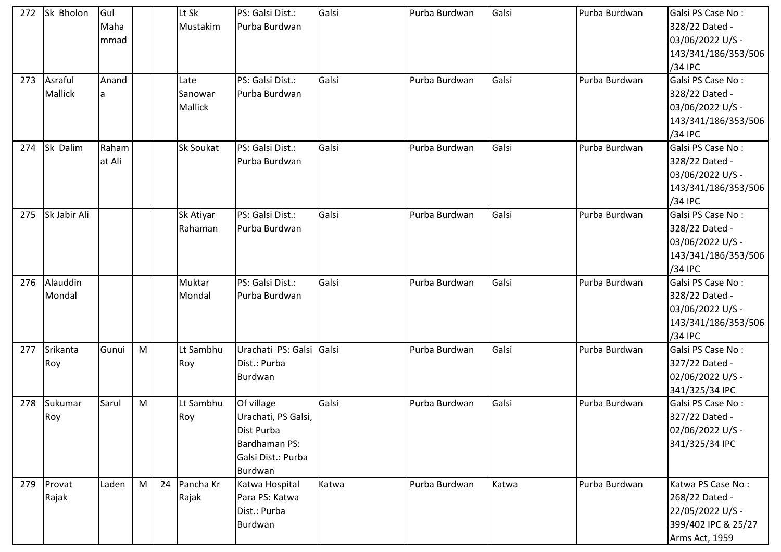| 272 | Sk Bholon      | Gul    |   |    | Lt Sk          | PS: Galsi Dist.:         | Galsi | Purba Burdwan | Galsi | Purba Burdwan | Galsi PS Case No:   |
|-----|----------------|--------|---|----|----------------|--------------------------|-------|---------------|-------|---------------|---------------------|
|     |                | Maha   |   |    | Mustakim       | Purba Burdwan            |       |               |       |               | 328/22 Dated -      |
|     |                | mmad   |   |    |                |                          |       |               |       |               | 03/06/2022 U/S -    |
|     |                |        |   |    |                |                          |       |               |       |               | 143/341/186/353/506 |
|     |                |        |   |    |                |                          |       |               |       |               | /34 IPC             |
| 273 | Asraful        | Anand  |   |    | Late           | PS: Galsi Dist.:         | Galsi | Purba Burdwan | Galsi | Purba Burdwan | Galsi PS Case No:   |
|     | <b>Mallick</b> | a      |   |    | Sanowar        | Purba Burdwan            |       |               |       |               | 328/22 Dated -      |
|     |                |        |   |    | <b>Mallick</b> |                          |       |               |       |               | 03/06/2022 U/S -    |
|     |                |        |   |    |                |                          |       |               |       |               | 143/341/186/353/506 |
|     |                |        |   |    |                |                          |       |               |       |               | /34 IPC             |
| 274 | Sk Dalim       | Raham  |   |    | Sk Soukat      | PS: Galsi Dist.:         | Galsi | Purba Burdwan | Galsi | Purba Burdwan | Galsi PS Case No:   |
|     |                | at Ali |   |    |                | Purba Burdwan            |       |               |       |               | 328/22 Dated -      |
|     |                |        |   |    |                |                          |       |               |       |               | 03/06/2022 U/S -    |
|     |                |        |   |    |                |                          |       |               |       |               | 143/341/186/353/506 |
|     |                |        |   |    |                |                          |       |               |       |               | /34 IPC             |
| 275 | Sk Jabir Ali   |        |   |    | Sk Atiyar      | PS: Galsi Dist.:         | Galsi | Purba Burdwan | Galsi | Purba Burdwan | Galsi PS Case No:   |
|     |                |        |   |    | Rahaman        | Purba Burdwan            |       |               |       |               | 328/22 Dated -      |
|     |                |        |   |    |                |                          |       |               |       |               | 03/06/2022 U/S -    |
|     |                |        |   |    |                |                          |       |               |       |               | 143/341/186/353/506 |
|     |                |        |   |    |                |                          |       |               |       |               | /34 IPC             |
| 276 | Alauddin       |        |   |    | Muktar         | PS: Galsi Dist.:         | Galsi | Purba Burdwan | Galsi | Purba Burdwan | Galsi PS Case No:   |
|     | Mondal         |        |   |    | Mondal         | Purba Burdwan            |       |               |       |               | 328/22 Dated -      |
|     |                |        |   |    |                |                          |       |               |       |               | 03/06/2022 U/S -    |
|     |                |        |   |    |                |                          |       |               |       |               | 143/341/186/353/506 |
|     |                |        |   |    |                |                          |       |               |       |               | /34 IPC             |
| 277 | Srikanta       | Gunui  | M |    | Lt Sambhu      | Urachati PS: Galsi Galsi |       | Purba Burdwan | Galsi | Purba Burdwan | Galsi PS Case No:   |
|     | Roy            |        |   |    | Roy            | Dist.: Purba             |       |               |       |               | 327/22 Dated -      |
|     |                |        |   |    |                | Burdwan                  |       |               |       |               | 02/06/2022 U/S -    |
|     |                |        |   |    |                |                          |       |               |       |               | 341/325/34 IPC      |
| 278 | Sukumar        | Sarul  | M |    | Lt Sambhu      | Of village               | Galsi | Purba Burdwan | Galsi | Purba Burdwan | Galsi PS Case No:   |
|     | Roy            |        |   |    | Roy            | Urachati, PS Galsi,      |       |               |       |               | 327/22 Dated -      |
|     |                |        |   |    |                | Dist Purba               |       |               |       |               | 02/06/2022 U/S -    |
|     |                |        |   |    |                | Bardhaman PS:            |       |               |       |               | 341/325/34 IPC      |
|     |                |        |   |    |                | Galsi Dist.: Purba       |       |               |       |               |                     |
|     |                |        |   |    |                | Burdwan                  |       |               |       |               |                     |
| 279 | Provat         | Laden  | M | 24 | Pancha Kr      | Katwa Hospital           | Katwa | Purba Burdwan | Katwa | Purba Burdwan | Katwa PS Case No:   |
|     | Rajak          |        |   |    | Rajak          | Para PS: Katwa           |       |               |       |               | 268/22 Dated -      |
|     |                |        |   |    |                | Dist.: Purba             |       |               |       |               | 22/05/2022 U/S -    |
|     |                |        |   |    |                | Burdwan                  |       |               |       |               | 399/402 IPC & 25/27 |
|     |                |        |   |    |                |                          |       |               |       |               | Arms Act, 1959      |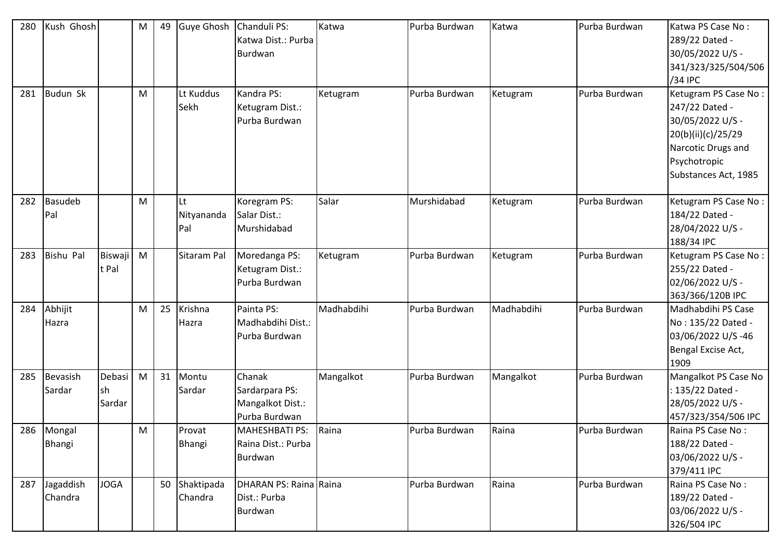| 280 | Kush Ghosh            |                         | M | 49 |                         | Guye Ghosh   Chanduli PS:<br>Katwa Dist.: Purba<br>Burdwan    | Katwa      | Purba Burdwan | Katwa      | Purba Burdwan | Katwa PS Case No:<br>289/22 Dated -<br>30/05/2022 U/S -<br>341/323/325/504/506<br>/34 IPC                                                      |
|-----|-----------------------|-------------------------|---|----|-------------------------|---------------------------------------------------------------|------------|---------------|------------|---------------|------------------------------------------------------------------------------------------------------------------------------------------------|
| 281 | <b>Budun Sk</b>       |                         | M |    | Lt Kuddus<br>Sekh       | Kandra PS:<br>Ketugram Dist.:<br>Purba Burdwan                | Ketugram   | Purba Burdwan | Ketugram   | Purba Burdwan | Ketugram PS Case No:<br>247/22 Dated -<br>30/05/2022 U/S -<br>20(b)(ii)(c)/25/29<br>Narcotic Drugs and<br>Psychotropic<br>Substances Act, 1985 |
| 282 | <b>Basudeb</b><br>Pal |                         | M |    | Lt<br>Nityananda<br>Pal | Koregram PS:<br>Salar Dist.:<br>Murshidabad                   | Salar      | Murshidabad   | Ketugram   | Purba Burdwan | Ketugram PS Case No:<br>184/22 Dated -<br>28/04/2022 U/S -<br>188/34 IPC                                                                       |
| 283 | <b>Bishu Pal</b>      | <b>Biswaji</b><br>t Pal | M |    | Sitaram Pal             | Moredanga PS:<br>Ketugram Dist.:<br>Purba Burdwan             | Ketugram   | Purba Burdwan | Ketugram   | Purba Burdwan | Ketugram PS Case No:<br>255/22 Dated -<br>02/06/2022 U/S -<br>363/366/120B IPC                                                                 |
| 284 | Abhijit<br>Hazra      |                         | M | 25 | Krishna<br>Hazra        | Painta PS:<br>Madhabdihi Dist.:<br>Purba Burdwan              | Madhabdihi | Purba Burdwan | Madhabdihi | Purba Burdwan | Madhabdihi PS Case<br>No: 135/22 Dated -<br>03/06/2022 U/S-46<br>Bengal Excise Act,<br>1909                                                    |
| 285 | Bevasish<br>Sardar    | Debasi<br>sh<br>Sardar  | M | 31 | Montu<br>Sardar         | Chanak<br>Sardarpara PS:<br>Mangalkot Dist.:<br>Purba Burdwan | Mangalkot  | Purba Burdwan | Mangalkot  | Purba Burdwan | Mangalkot PS Case No<br>: 135/22 Dated -<br>28/05/2022 U/S -<br>457/323/354/506 IPC                                                            |
| 286 | Mongal<br>Bhangi      |                         | M |    | Provat<br>Bhangi        | <b>MAHESHBATI PS:</b><br>Raina Dist.: Purba<br>Burdwan        | Raina      | Purba Burdwan | Raina      | Purba Burdwan | Raina PS Case No:<br>188/22 Dated -<br>03/06/2022 U/S -<br>379/411 IPC                                                                         |
| 287 | Jagaddish<br>Chandra  | <b>JOGA</b>             |   | 50 | Shaktipada<br>Chandra   | DHARAN PS: Raina Raina<br>Dist.: Purba<br>Burdwan             |            | Purba Burdwan | Raina      | Purba Burdwan | Raina PS Case No:<br>189/22 Dated -<br>03/06/2022 U/S -<br>326/504 IPC                                                                         |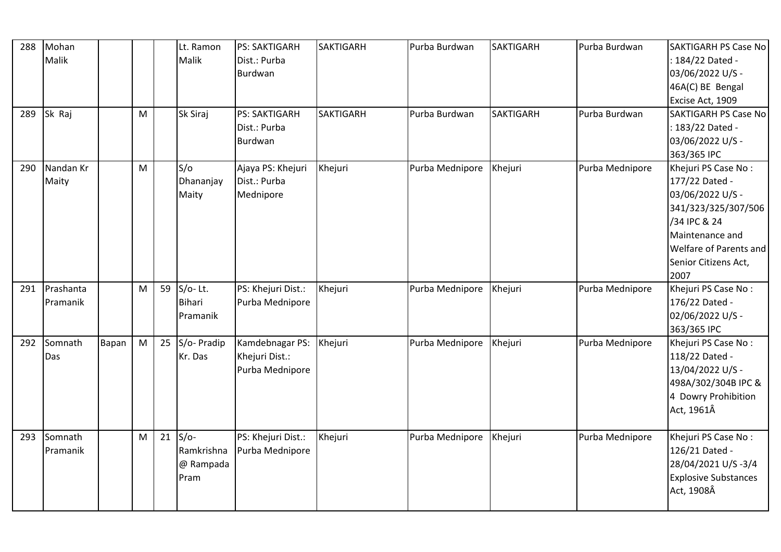| 288 | Mohan<br>Malik        |       |   |    | Lt. Ramon<br>Malik                        | <b>PS: SAKTIGARH</b><br>Dist.: Purba<br>Burdwan      | <b>SAKTIGARH</b> | Purba Burdwan   | <b>SAKTIGARH</b> | Purba Burdwan   | <b>SAKTIGARH PS Case No</b><br>: 184/22 Dated -<br>03/06/2022 U/S -<br>46A(C) BE Bengal<br>Excise Act, 1909                                                                   |
|-----|-----------------------|-------|---|----|-------------------------------------------|------------------------------------------------------|------------------|-----------------|------------------|-----------------|-------------------------------------------------------------------------------------------------------------------------------------------------------------------------------|
| 289 | Sk Raj                |       | M |    | Sk Siraj                                  | <b>PS: SAKTIGARH</b><br>Dist.: Purba<br>Burdwan      | <b>SAKTIGARH</b> | Purba Burdwan   | <b>SAKTIGARH</b> | Purba Burdwan   | <b>SAKTIGARH PS Case No</b><br>: 183/22 Dated -<br>03/06/2022 U/S -<br>363/365 IPC                                                                                            |
| 290 | Nandan Kr<br>Maity    |       | M |    | S/O<br>Dhananjay<br>Maity                 | Ajaya PS: Khejuri<br>Dist.: Purba<br>Mednipore       | Khejuri          | Purba Mednipore | Khejuri          | Purba Mednipore | Khejuri PS Case No:<br>177/22 Dated -<br>03/06/2022 U/S -<br>341/323/325/307/506<br>/34 IPC & 24<br>Maintenance and<br>Welfare of Parents and<br>Senior Citizens Act,<br>2007 |
| 291 | Prashanta<br>Pramanik |       | M | 59 | S/o-Lt.<br><b>Bihari</b><br>Pramanik      | PS: Khejuri Dist.:<br>Purba Mednipore                | Khejuri          | Purba Mednipore | Khejuri          | Purba Mednipore | Khejuri PS Case No:<br>176/22 Dated -<br>02/06/2022 U/S -<br>363/365 IPC                                                                                                      |
| 292 | Somnath<br>Das        | Bapan | M | 25 | S/o- Pradip<br>Kr. Das                    | Kamdebnagar PS:<br>Khejuri Dist.:<br>Purba Mednipore | Khejuri          | Purba Mednipore | Khejuri          | Purba Mednipore | Khejuri PS Case No:<br>118/22 Dated -<br>13/04/2022 U/S -<br>498A/302/304B IPC &<br>4 Dowry Prohibition<br>Act, 1961Â                                                         |
| 293 | Somnath<br>Pramanik   |       | M | 21 | $S/O-$<br>Ramkrishna<br>@ Rampada<br>Pram | PS: Khejuri Dist.:<br>Purba Mednipore                | Khejuri          | Purba Mednipore | Khejuri          | Purba Mednipore | Khejuri PS Case No:<br>126/21 Dated -<br>28/04/2021 U/S-3/4<br><b>Explosive Substances</b><br>Act, 1908Â                                                                      |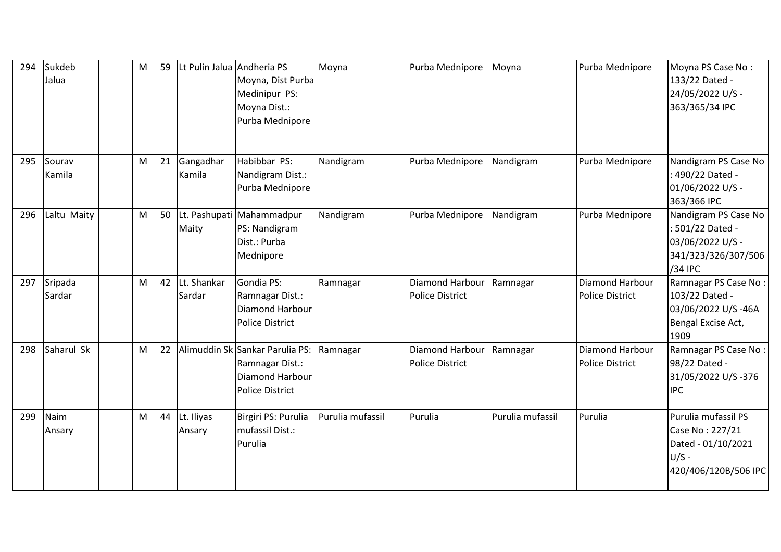| 294 | Sukdeb<br>Jalua   | М | 59 | Lt Pulin Jalua Andheria PS | Moyna, Dist Purba<br>Medinipur PS:<br>Moyna Dist.:<br>Purba Mednipore                           | Moyna            | Purba Mednipore                           | Moyna            | Purba Mednipore                           | Moyna PS Case No:<br>133/22 Dated -<br>24/05/2022 U/S -<br>363/365/34 IPC                       |
|-----|-------------------|---|----|----------------------------|-------------------------------------------------------------------------------------------------|------------------|-------------------------------------------|------------------|-------------------------------------------|-------------------------------------------------------------------------------------------------|
| 295 | Sourav<br>Kamila  | M | 21 | Gangadhar<br>Kamila        | Habibbar PS:<br>Nandigram Dist.:<br>Purba Mednipore                                             | Nandigram        | Purba Mednipore                           | Nandigram        | Purba Mednipore                           | Nandigram PS Case No<br>: 490/22 Dated -<br>01/06/2022 U/S -<br>363/366 IPC                     |
| 296 | Laltu Maity       | M | 50 | Maity                      | Lt. Pashupati Mahammadpur<br>PS: Nandigram<br>Dist.: Purba<br>Mednipore                         | Nandigram        | Purba Mednipore                           | Nandigram        | Purba Mednipore                           | Nandigram PS Case No<br>: 501/22 Dated -<br>03/06/2022 U/S -<br>341/323/326/307/506<br>/34 IPC  |
| 297 | Sripada<br>Sardar | M | 42 | Lt. Shankar<br>Sardar      | Gondia PS:<br>Ramnagar Dist.:<br>Diamond Harbour<br><b>Police District</b>                      | Ramnagar         | Diamond Harbour<br><b>Police District</b> | Ramnagar         | Diamond Harbour<br><b>Police District</b> | Ramnagar PS Case No:<br>103/22 Dated -<br>03/06/2022 U/S-46A<br>Bengal Excise Act,<br>1909      |
| 298 | Saharul Sk        | M | 22 |                            | Alimuddin Sk Sankar Parulia PS:<br>Ramnagar Dist.:<br>Diamond Harbour<br><b>Police District</b> | Ramnagar         | Diamond Harbour<br><b>Police District</b> | Ramnagar         | Diamond Harbour<br><b>Police District</b> | Ramnagar PS Case No:<br>98/22 Dated -<br>31/05/2022 U/S-376<br><b>IPC</b>                       |
| 299 | Naim<br>Ansary    | M | 44 | Lt. Iliyas<br>Ansary       | Birgiri PS: Purulia<br>mufassil Dist.:<br>Purulia                                               | Purulia mufassil | Purulia                                   | Purulia mufassil | Purulia                                   | Purulia mufassil PS<br>Case No: 227/21<br>Dated - 01/10/2021<br>$U/S -$<br>420/406/120B/506 IPC |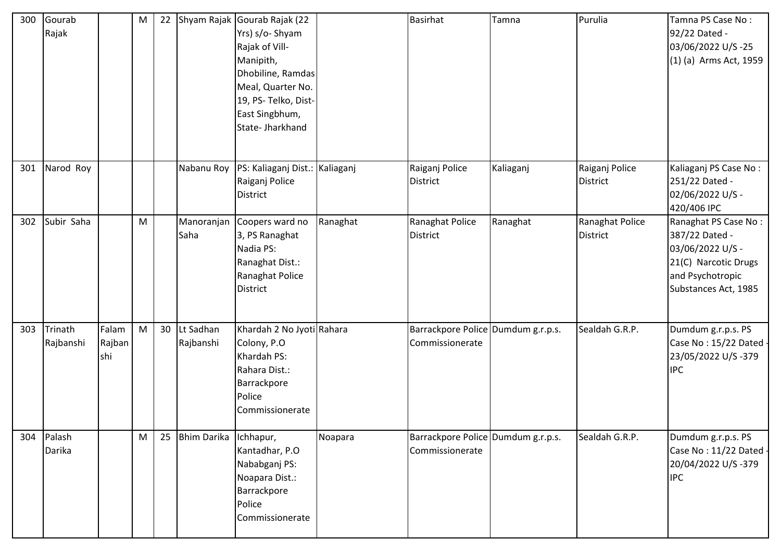| 300 | Gourab<br>Rajak      |                        | M | 22              |                        | Shyam Rajak Gourab Rajak (22<br>Yrs) s/o- Shyam<br>Rajak of Vill-<br>Manipith,<br>Dhobiline, Ramdas<br>Meal, Quarter No.<br>19, PS- Telko, Dist-<br>East Singbhum,<br>State- Jharkhand |          | <b>Basirhat</b>                                       | Tamna     | Purulia                            | Tamna PS Case No:<br>92/22 Dated -<br>03/06/2022 U/S-25<br>(1) (a) Arms Act, 1959                                              |
|-----|----------------------|------------------------|---|-----------------|------------------------|----------------------------------------------------------------------------------------------------------------------------------------------------------------------------------------|----------|-------------------------------------------------------|-----------|------------------------------------|--------------------------------------------------------------------------------------------------------------------------------|
| 301 | Narod Roy            |                        |   |                 | Nabanu Roy             | PS: Kaliaganj Dist.: Kaliaganj<br>Raiganj Police<br>District                                                                                                                           |          | Raiganj Police<br><b>District</b>                     | Kaliaganj | Raiganj Police<br><b>District</b>  | Kaliaganj PS Case No:<br>251/22 Dated -<br>02/06/2022 U/S -<br>420/406 IPC                                                     |
| 302 | Subir Saha           |                        | M |                 | Saha                   | Manoranjan Coopers ward no<br>3, PS Ranaghat<br>Nadia PS:<br>Ranaghat Dist.:<br>Ranaghat Police<br><b>District</b>                                                                     | Ranaghat | Ranaghat Police<br><b>District</b>                    | Ranaghat  | Ranaghat Police<br><b>District</b> | Ranaghat PS Case No:<br>387/22 Dated -<br>03/06/2022 U/S -<br>21(C) Narcotic Drugs<br>and Psychotropic<br>Substances Act, 1985 |
| 303 | Trinath<br>Rajbanshi | Falam<br>Rajban<br>shi | M | 30 <sup>°</sup> | Lt Sadhan<br>Rajbanshi | Khardah 2 No Jyoti Rahara<br>Colony, P.O.<br>Khardah PS:<br>Rahara Dist.:<br>Barrackpore<br>Police<br>Commissionerate                                                                  |          | Barrackpore Police Dumdum g.r.p.s.<br>Commissionerate |           | Sealdah G.R.P.                     | Dumdum g.r.p.s. PS<br>Case No: 15/22 Dated -<br>23/05/2022 U/S-379<br><b>IPC</b>                                               |
| 304 | Palash<br>Darika     |                        | M | 25              | Bhim Darika Ichhapur,  | Kantadhar, P.O<br>Nababganj PS:<br>Noapara Dist.:<br>Barrackpore<br>Police<br>Commissionerate                                                                                          | Noapara  | Barrackpore Police Dumdum g.r.p.s.<br>Commissionerate |           | Sealdah G.R.P.                     | Dumdum g.r.p.s. PS<br>Case No: 11/22 Dated<br>20/04/2022 U/S-379<br><b>IPC</b>                                                 |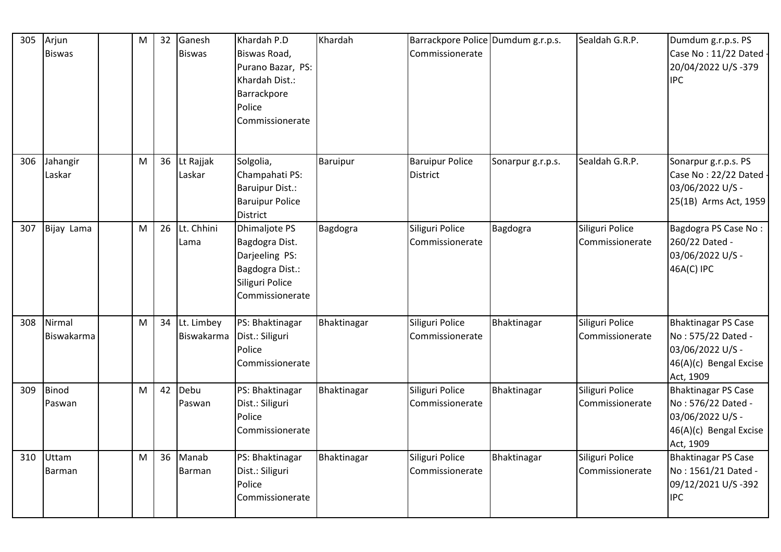| 305 | Arjun<br><b>Biswas</b> | M | 32 | Ganesh<br><b>Biswas</b>  | Khardah P.D<br>Biswas Road,<br>Purano Bazar, PS:<br>Khardah Dist.:<br>Barrackpore<br>Police<br>Commissionerate    | Khardah     | Barrackpore Police Dumdum g.r.p.s.<br>Commissionerate |                   | Sealdah G.R.P.                     | Dumdum g.r.p.s. PS<br>Case No: 11/22 Dated<br>20/04/2022 U/S-379<br><b>IPC</b>                              |
|-----|------------------------|---|----|--------------------------|-------------------------------------------------------------------------------------------------------------------|-------------|-------------------------------------------------------|-------------------|------------------------------------|-------------------------------------------------------------------------------------------------------------|
| 306 | Jahangir<br>Laskar     | M | 36 | Lt Rajjak<br>Laskar      | Solgolia,<br>Champahati PS:<br><b>Baruipur Dist.:</b><br><b>Baruipur Police</b><br><b>District</b>                | Baruipur    | <b>Baruipur Police</b><br><b>District</b>             | Sonarpur g.r.p.s. | Sealdah G.R.P.                     | Sonarpur g.r.p.s. PS<br>Case No: 22/22 Dated<br>03/06/2022 U/S -<br>25(1B) Arms Act, 1959                   |
| 307 | Bijay Lama             | M | 26 | Lt. Chhini<br>Lama       | <b>Dhimaljote PS</b><br>Bagdogra Dist.<br>Darjeeling PS:<br>Bagdogra Dist.:<br>Siliguri Police<br>Commissionerate | Bagdogra    | Siliguri Police<br>Commissionerate                    | Bagdogra          | Siliguri Police<br>Commissionerate | Bagdogra PS Case No:<br>260/22 Dated -<br>03/06/2022 U/S -<br>46A(C) IPC                                    |
| 308 | Nirmal<br>Biswakarma   | M | 34 | Lt. Limbey<br>Biswakarma | PS: Bhaktinagar<br>Dist.: Siliguri<br>Police<br>Commissionerate                                                   | Bhaktinagar | Siliguri Police<br>Commissionerate                    | Bhaktinagar       | Siliguri Police<br>Commissionerate | <b>Bhaktinagar PS Case</b><br>No: 575/22 Dated -<br>03/06/2022 U/S -<br>46(A)(c) Bengal Excise<br>Act, 1909 |
| 309 | <b>Binod</b><br>Paswan | M | 42 | Debu<br>Paswan           | PS: Bhaktinagar<br>Dist.: Siliguri<br>Police<br>Commissionerate                                                   | Bhaktinagar | Siliguri Police<br>Commissionerate                    | Bhaktinagar       | Siliguri Police<br>Commissionerate | <b>Bhaktinagar PS Case</b><br>No: 576/22 Dated -<br>03/06/2022 U/S -<br>46(A)(c) Bengal Excise<br>Act, 1909 |
| 310 | Uttam<br>Barman        | M | 36 | Manab<br>Barman          | PS: Bhaktinagar<br>Dist.: Siliguri<br>Police<br>Commissionerate                                                   | Bhaktinagar | Siliguri Police<br>Commissionerate                    | Bhaktinagar       | Siliguri Police<br>Commissionerate | <b>Bhaktinagar PS Case</b><br>No: 1561/21 Dated -<br>09/12/2021 U/S -392<br><b>IPC</b>                      |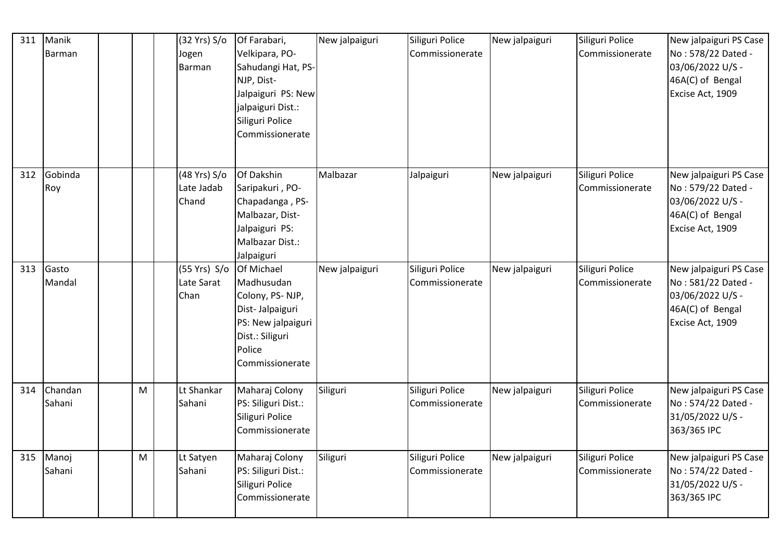| 311 | Manik<br>Barman   |   | (32 Yrs) S/o<br>Jogen<br>Barman               | Of Farabari,<br>Velkipara, PO-<br>Sahudangi Hat, PS-<br>NJP, Dist-<br>Jalpaiguri PS: New<br>jalpaiguri Dist.:<br>Siliguri Police<br>Commissionerate | New jalpaiguri | Siliguri Police<br>Commissionerate | New jalpaiguri | Siliguri Police<br>Commissionerate | New jalpaiguri PS Case<br>No: 578/22 Dated -<br>03/06/2022 U/S -<br>46A(C) of Bengal<br>Excise Act, 1909 |
|-----|-------------------|---|-----------------------------------------------|-----------------------------------------------------------------------------------------------------------------------------------------------------|----------------|------------------------------------|----------------|------------------------------------|----------------------------------------------------------------------------------------------------------|
| 312 | Gobinda<br>Roy    |   | (48 Yrs) S/o<br>Late Jadab<br>Chand           | Of Dakshin<br>Saripakuri, PO-<br>Chapadanga, PS-<br>Malbazar, Dist-<br>Jalpaiguri PS:<br>Malbazar Dist.:<br>Jalpaiguri                              | Malbazar       | Jalpaiguri                         | New jalpaiguri | Siliguri Police<br>Commissionerate | New jalpaiguri PS Case<br>No: 579/22 Dated -<br>03/06/2022 U/S -<br>46A(C) of Bengal<br>Excise Act, 1909 |
| 313 | Gasto<br>Mandal   |   | (55 Yrs) S/o Of Michael<br>Late Sarat<br>Chan | Madhusudan<br>Colony, PS-NJP,<br>Dist-Jalpaiguri<br>PS: New jalpaiguri<br>Dist.: Siliguri<br>Police<br>Commissionerate                              | New jalpaiguri | Siliguri Police<br>Commissionerate | New jalpaiguri | Siliguri Police<br>Commissionerate | New jalpaiguri PS Case<br>No: 581/22 Dated -<br>03/06/2022 U/S -<br>46A(C) of Bengal<br>Excise Act, 1909 |
| 314 | Chandan<br>Sahani | M | Lt Shankar<br>Sahani                          | Maharaj Colony<br>PS: Siliguri Dist.:<br>Siliguri Police<br>Commissionerate                                                                         | Siliguri       | Siliguri Police<br>Commissionerate | New jalpaiguri | Siliguri Police<br>Commissionerate | New jalpaiguri PS Case<br>No: 574/22 Dated -<br>31/05/2022 U/S -<br>363/365 IPC                          |
| 315 | Manoj<br>Sahani   | M | Lt Satyen<br>Sahani                           | Maharaj Colony<br>PS: Siliguri Dist.:<br>Siliguri Police<br>Commissionerate                                                                         | Siliguri       | Siliguri Police<br>Commissionerate | New jalpaiguri | Siliguri Police<br>Commissionerate | New jalpaiguri PS Case<br>No: 574/22 Dated -<br>31/05/2022 U/S -<br>363/365 IPC                          |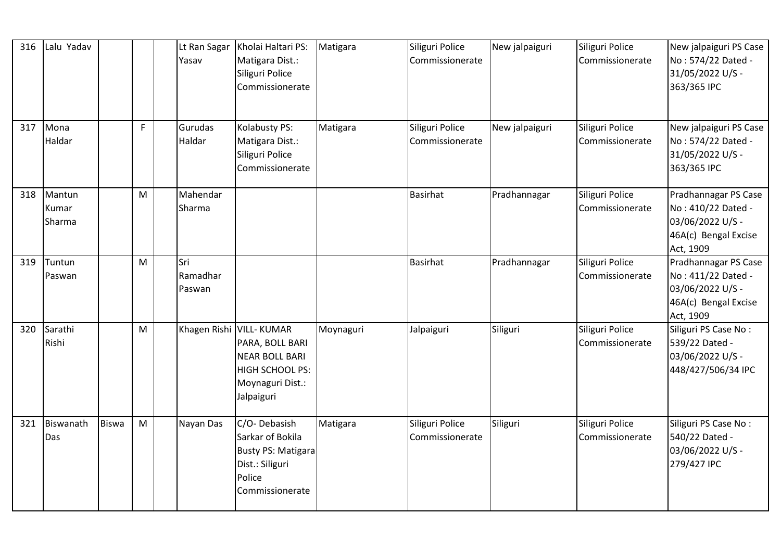| 316 | Lalu Yadav                |              |    | Lt Ran Sagar<br>Yasav     | Kholai Haltari PS:<br>Matigara Dist.:<br>Siliguri Police<br>Commissionerate                                               | Matigara  | Siliguri Police<br>Commissionerate | New jalpaiguri | Siliguri Police<br>Commissionerate | New jalpaiguri PS Case<br>No: 574/22 Dated -<br>31/05/2022 U/S -<br>363/365 IPC                     |
|-----|---------------------------|--------------|----|---------------------------|---------------------------------------------------------------------------------------------------------------------------|-----------|------------------------------------|----------------|------------------------------------|-----------------------------------------------------------------------------------------------------|
| 317 | Mona<br>Haldar            |              | F. | Gurudas<br>Haldar         | Kolabusty PS:<br>Matigara Dist.:<br>Siliguri Police<br>Commissionerate                                                    | Matigara  | Siliguri Police<br>Commissionerate | New jalpaiguri | Siliguri Police<br>Commissionerate | New jalpaiguri PS Case<br>No: 574/22 Dated -<br>31/05/2022 U/S -<br>363/365 IPC                     |
| 318 | Mantun<br>Kumar<br>Sharma |              | M  | Mahendar<br>Sharma        |                                                                                                                           |           | <b>Basirhat</b>                    | Pradhannagar   | Siliguri Police<br>Commissionerate | Pradhannagar PS Case<br>No: 410/22 Dated -<br>03/06/2022 U/S -<br>46A(c) Bengal Excise<br>Act, 1909 |
| 319 | Tuntun<br>Paswan          |              | M  | Sri<br>Ramadhar<br>Paswan |                                                                                                                           |           | <b>Basirhat</b>                    | Pradhannagar   | Siliguri Police<br>Commissionerate | Pradhannagar PS Case<br>No: 411/22 Dated -<br>03/06/2022 U/S -<br>46A(c) Bengal Excise<br>Act, 1909 |
| 320 | Sarathi<br>Rishi          |              | M  |                           | Khagen Rishi VILL- KUMAR<br>PARA, BOLL BARI<br><b>NEAR BOLL BARI</b><br>HIGH SCHOOL PS:<br>Moynaguri Dist.:<br>Jalpaiguri | Moynaguri | Jalpaiguri                         | Siliguri       | Siliguri Police<br>Commissionerate | Siliguri PS Case No:<br>539/22 Dated -<br>03/06/2022 U/S -<br>448/427/506/34 IPC                    |
| 321 | Biswanath<br>Das          | <b>Biswa</b> | M  | Nayan Das                 | C/O-Debasish<br>Sarkar of Bokila<br><b>Busty PS: Matigara</b><br>Dist.: Siliguri<br>Police<br>Commissionerate             | Matigara  | Siliguri Police<br>Commissionerate | Siliguri       | Siliguri Police<br>Commissionerate | Siliguri PS Case No:<br>540/22 Dated -<br>03/06/2022 U/S -<br>279/427 IPC                           |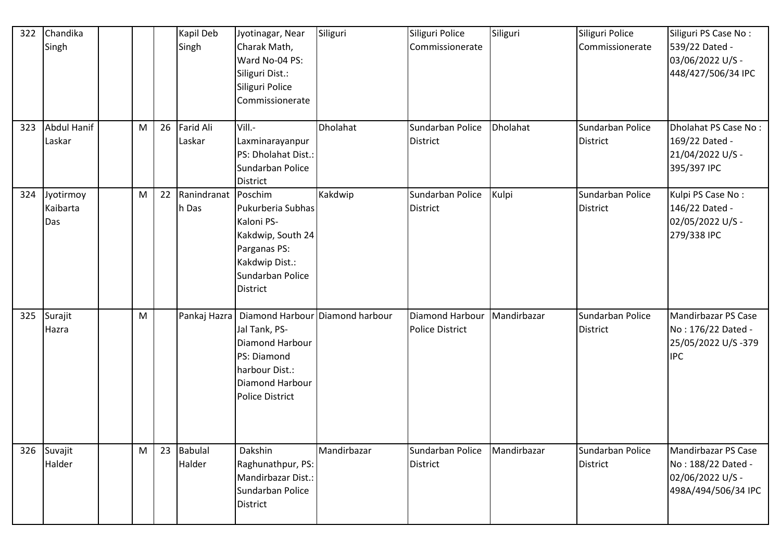| 322 | Chandika<br>Singh                |   |    | Kapil Deb<br>Singh           | Jyotinagar, Near<br>Charak Math,<br>Ward No-04 PS:<br>Siliguri Dist.:<br>Siliguri Police<br>Commissionerate                                | Siliguri    | Siliguri Police<br>Commissionerate        | Siliguri    | Siliguri Police<br>Commissionerate  | Siliguri PS Case No:<br>539/22 Dated -<br>03/06/2022 U/S -<br>448/427/506/34 IPC     |
|-----|----------------------------------|---|----|------------------------------|--------------------------------------------------------------------------------------------------------------------------------------------|-------------|-------------------------------------------|-------------|-------------------------------------|--------------------------------------------------------------------------------------|
| 323 | <b>Abdul Hanif</b><br>Laskar     | M | 26 | <b>Farid Ali</b><br>Laskar   | Vill.-<br>Laxminarayanpur<br>PS: Dholahat Dist.:<br>Sundarban Police<br><b>District</b>                                                    | Dholahat    | Sundarban Police<br><b>District</b>       | Dholahat    | Sundarban Police<br><b>District</b> | Dholahat PS Case No:<br>169/22 Dated -<br>21/04/2022 U/S -<br>395/397 IPC            |
|     | 324 Jyotirmoy<br>Kaibarta<br>Das | M | 22 | Ranindranat Poschim<br>h Das | Pukurberia Subhas<br>Kaloni PS-<br>Kakdwip, South 24<br>Parganas PS:<br>Kakdwip Dist.:<br>Sundarban Police<br><b>District</b>              | Kakdwip     | Sundarban Police<br><b>District</b>       | Kulpi       | Sundarban Police<br><b>District</b> | Kulpi PS Case No:<br>146/22 Dated -<br>02/05/2022 U/S -<br>279/338 IPC               |
| 325 | Surajit<br>Hazra                 | M |    | Pankaj Hazra                 | Diamond Harbour Diamond harbour<br>Jal Tank, PS-<br>Diamond Harbour<br>PS: Diamond<br>harbour Dist.:<br>Diamond Harbour<br>Police District |             | Diamond Harbour<br><b>Police District</b> | Mandirbazar | Sundarban Police<br><b>District</b> | Mandirbazar PS Case<br>No: 176/22 Dated -<br>25/05/2022 U/S-379<br><b>IPC</b>        |
|     | 326 Suvajit<br>Halder            | M | 23 | <b>Babulal</b><br>Halder     | Dakshin<br>Raghunathpur, PS:<br>Mandirbazar Dist.:<br>Sundarban Police<br>District                                                         | Mandirbazar | Sundarban Police<br><b>District</b>       | Mandirbazar | Sundarban Police<br><b>District</b> | Mandirbazar PS Case<br>No: 188/22 Dated -<br>02/06/2022 U/S -<br>498A/494/506/34 IPC |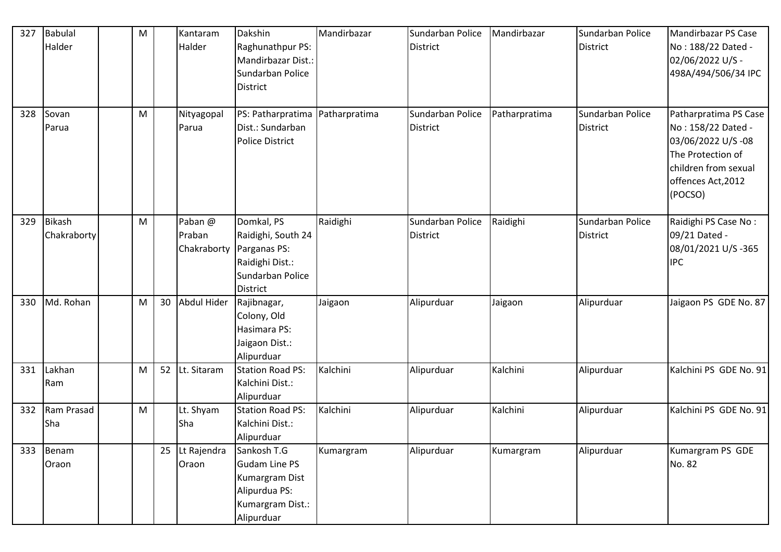| 327 | Babulal                      |   |    | Kantaram                         | Dakshin                                                                                                    | Mandirbazar   | Sundarban Police                    | Mandirbazar   | Sundarban Police                    | Mandirbazar PS Case                                                                                                                            |
|-----|------------------------------|---|----|----------------------------------|------------------------------------------------------------------------------------------------------------|---------------|-------------------------------------|---------------|-------------------------------------|------------------------------------------------------------------------------------------------------------------------------------------------|
|     | Halder                       | M |    | Halder                           | Raghunathpur PS:<br>Mandirbazar Dist.:<br>Sundarban Police<br><b>District</b>                              |               | <b>District</b>                     |               | <b>District</b>                     | No: 188/22 Dated -<br>02/06/2022 U/S -<br>498A/494/506/34 IPC                                                                                  |
|     |                              |   |    |                                  |                                                                                                            |               |                                     |               |                                     |                                                                                                                                                |
| 328 | Sovan<br>Parua               | M |    | Nityagopal<br>Parua              | PS: Patharpratima<br>Dist.: Sundarban<br><b>Police District</b>                                            | Patharpratima | Sundarban Police<br><b>District</b> | Patharpratima | Sundarban Police<br><b>District</b> | Patharpratima PS Case<br>No: 158/22 Dated -<br>03/06/2022 U/S-08<br>The Protection of<br>children from sexual<br>offences Act, 2012<br>(POCSO) |
| 329 | <b>Bikash</b><br>Chakraborty | M |    | Paban @<br>Praban<br>Chakraborty | Domkal, PS<br>Raidighi, South 24<br>Parganas PS:<br>Raidighi Dist.:<br>Sundarban Police<br><b>District</b> | Raidighi      | Sundarban Police<br>District        | Raidighi      | Sundarban Police<br><b>District</b> | Raidighi PS Case No:<br>09/21 Dated -<br>08/01/2021 U/S-365<br><b>IPC</b>                                                                      |
| 330 | Md. Rohan                    | M | 30 | Abdul Hider                      | Rajibnagar,<br>Colony, Old<br>Hasimara PS:<br>Jaigaon Dist.:<br>Alipurduar                                 | Jaigaon       | Alipurduar                          | Jaigaon       | Alipurduar                          | Jaigaon PS GDE No. 87                                                                                                                          |
| 331 | Lakhan<br>Ram                | M | 52 | Lt. Sitaram                      | <b>Station Road PS:</b><br>Kalchini Dist.:<br>Alipurduar                                                   | Kalchini      | Alipurduar                          | Kalchini      | Alipurduar                          | Kalchini PS GDE No. 91                                                                                                                         |
| 332 | Ram Prasad<br>Sha            | M |    | Lt. Shyam<br>Sha                 | <b>Station Road PS:</b><br>Kalchini Dist.:<br>Alipurduar                                                   | Kalchini      | Alipurduar                          | Kalchini      | Alipurduar                          | Kalchini PS GDE No. 91                                                                                                                         |
|     | 333 Benam<br>Oraon           |   | 25 | Lt Rajendra<br>Oraon             | Sankosh T.G<br>Gudam Line PS<br>Kumargram Dist<br>Alipurdua PS:<br>Kumargram Dist.:<br>Alipurduar          | Kumargram     | Alipurduar                          | Kumargram     | Alipurduar                          | Kumargram PS GDE<br>No. 82                                                                                                                     |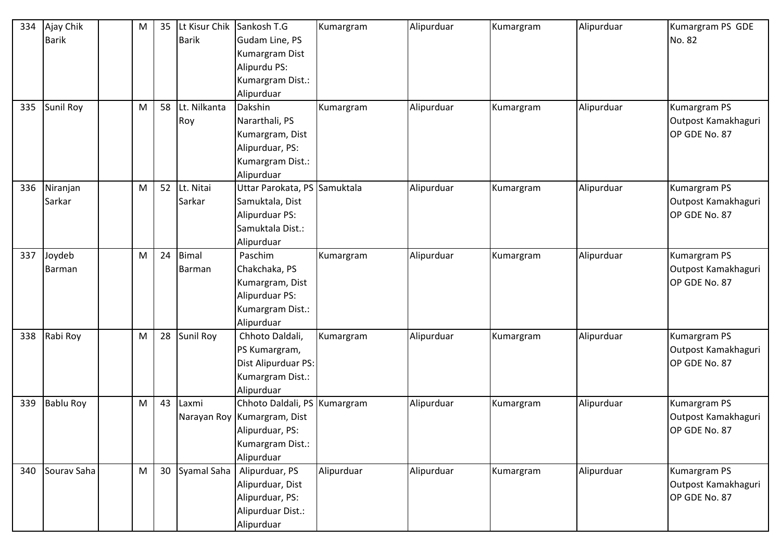| 334 | Ajay Chik        | M | 35 | Lt Kisur Chik Sankosh T.G |                                | Kumargram  | Alipurduar | Kumargram | Alipurduar | Kumargram PS GDE    |
|-----|------------------|---|----|---------------------------|--------------------------------|------------|------------|-----------|------------|---------------------|
|     | <b>Barik</b>     |   |    | <b>Barik</b>              | Gudam Line, PS                 |            |            |           |            | No. 82              |
|     |                  |   |    |                           | Kumargram Dist                 |            |            |           |            |                     |
|     |                  |   |    |                           | Alipurdu PS:                   |            |            |           |            |                     |
|     |                  |   |    |                           | Kumargram Dist.:               |            |            |           |            |                     |
|     |                  |   |    |                           | Alipurduar                     |            |            |           |            |                     |
| 335 | <b>Sunil Roy</b> | M | 58 | Lt. Nilkanta              | Dakshin                        | Kumargram  | Alipurduar | Kumargram | Alipurduar | Kumargram PS        |
|     |                  |   |    | Roy                       | Nararthali, PS                 |            |            |           |            | Outpost Kamakhaguri |
|     |                  |   |    |                           | Kumargram, Dist                |            |            |           |            | OP GDE No. 87       |
|     |                  |   |    |                           | Alipurduar, PS:                |            |            |           |            |                     |
|     |                  |   |    |                           | Kumargram Dist.:               |            |            |           |            |                     |
|     |                  |   |    |                           | Alipurduar                     |            |            |           |            |                     |
| 336 | Niranjan         | M | 52 | Lt. Nitai                 | Uttar Parokata, PS Samuktala   |            | Alipurduar | Kumargram | Alipurduar | Kumargram PS        |
|     | Sarkar           |   |    | Sarkar                    | Samuktala, Dist                |            |            |           |            | Outpost Kamakhaguri |
|     |                  |   |    |                           | Alipurduar PS:                 |            |            |           |            | OP GDE No. 87       |
|     |                  |   |    |                           | Samuktala Dist.:               |            |            |           |            |                     |
|     |                  |   |    |                           | Alipurduar                     |            |            |           |            |                     |
| 337 | Joydeb           | M | 24 | Bimal                     | Paschim                        | Kumargram  | Alipurduar | Kumargram | Alipurduar | Kumargram PS        |
|     | <b>Barman</b>    |   |    | <b>Barman</b>             | Chakchaka, PS                  |            |            |           |            | Outpost Kamakhaguri |
|     |                  |   |    |                           | Kumargram, Dist                |            |            |           |            | OP GDE No. 87       |
|     |                  |   |    |                           | Alipurduar PS:                 |            |            |           |            |                     |
|     |                  |   |    |                           | Kumargram Dist.:               |            |            |           |            |                     |
|     |                  |   |    |                           | Alipurduar                     |            |            |           |            |                     |
| 338 | Rabi Roy         | M | 28 | Sunil Roy                 | Chhoto Daldali,                | Kumargram  | Alipurduar | Kumargram | Alipurduar | Kumargram PS        |
|     |                  |   |    |                           | PS Kumargram,                  |            |            |           |            | Outpost Kamakhaguri |
|     |                  |   |    |                           | Dist Alipurduar PS:            |            |            |           |            | OP GDE No. 87       |
|     |                  |   |    |                           | Kumargram Dist.:               |            |            |           |            |                     |
|     |                  |   |    |                           | Alipurduar                     |            |            |           |            |                     |
| 339 | <b>Bablu Roy</b> | M | 43 | Laxmi                     | Chhoto Daldali, PS   Kumargram |            | Alipurduar | Kumargram | Alipurduar | Kumargram PS        |
|     |                  |   |    |                           | Narayan Roy Kumargram, Dist    |            |            |           |            | Outpost Kamakhaguri |
|     |                  |   |    |                           | Alipurduar, PS:                |            |            |           |            | OP GDE No. 87       |
|     |                  |   |    |                           | Kumargram Dist.:               |            |            |           |            |                     |
|     |                  |   |    |                           | Alipurduar                     |            |            |           |            |                     |
| 340 | Sourav Saha      | M | 30 | Syamal Saha               | Alipurduar, PS                 | Alipurduar | Alipurduar | Kumargram | Alipurduar | Kumargram PS        |
|     |                  |   |    |                           | Alipurduar, Dist               |            |            |           |            | Outpost Kamakhaguri |
|     |                  |   |    |                           | Alipurduar, PS:                |            |            |           |            | OP GDE No. 87       |
|     |                  |   |    |                           | Alipurduar Dist.:              |            |            |           |            |                     |
|     |                  |   |    |                           | Alipurduar                     |            |            |           |            |                     |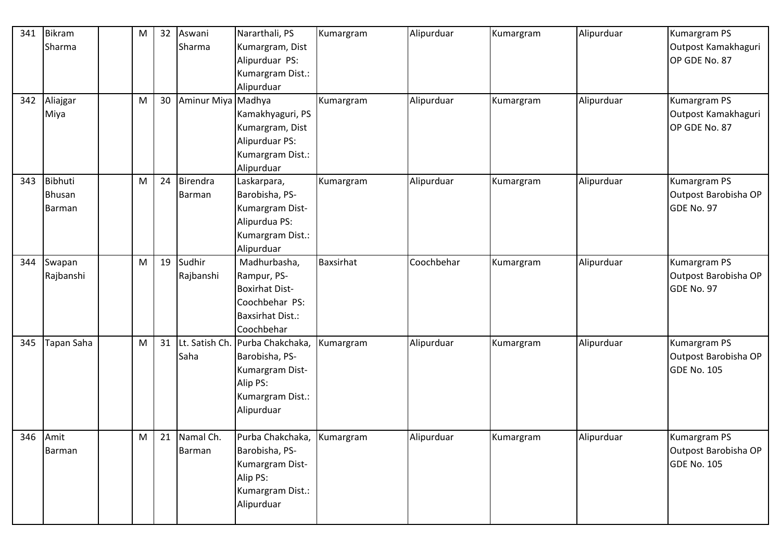| 341 | Bikram        | M | 32 | Aswani             | Nararthali, PS             | Kumargram | Alipurduar | Kumargram | Alipurduar | <b>Kumargram PS</b>  |
|-----|---------------|---|----|--------------------|----------------------------|-----------|------------|-----------|------------|----------------------|
|     | Sharma        |   |    | Sharma             | Kumargram, Dist            |           |            |           |            | Outpost Kamakhaguri  |
|     |               |   |    |                    | Alipurduar PS:             |           |            |           |            | OP GDE No. 87        |
|     |               |   |    |                    | Kumargram Dist.:           |           |            |           |            |                      |
|     |               |   |    |                    | Alipurduar                 |           |            |           |            |                      |
| 342 | Aliajgar      | M | 30 | Aminur Miya Madhya |                            | Kumargram | Alipurduar | Kumargram | Alipurduar | Kumargram PS         |
|     | Miya          |   |    |                    | Kamakhyaguri, PS           |           |            |           |            | Outpost Kamakhaguri  |
|     |               |   |    |                    | Kumargram, Dist            |           |            |           |            | OP GDE No. 87        |
|     |               |   |    |                    | Alipurduar PS:             |           |            |           |            |                      |
|     |               |   |    |                    | Kumargram Dist.:           |           |            |           |            |                      |
|     |               |   |    |                    | Alipurduar                 |           |            |           |            |                      |
| 343 | Bibhuti       | M | 24 | Birendra           | Laskarpara,                | Kumargram | Alipurduar | Kumargram | Alipurduar | Kumargram PS         |
|     | <b>Bhusan</b> |   |    | Barman             | Barobisha, PS-             |           |            |           |            | Outpost Barobisha OP |
|     | Barman        |   |    |                    | Kumargram Dist-            |           |            |           |            | GDE No. 97           |
|     |               |   |    |                    | Alipurdua PS:              |           |            |           |            |                      |
|     |               |   |    |                    | Kumargram Dist.:           |           |            |           |            |                      |
|     |               |   |    |                    | Alipurduar                 |           |            |           |            |                      |
| 344 | Swapan        | M | 19 | Sudhir             | Madhurbasha,               | Baxsirhat | Coochbehar | Kumargram | Alipurduar | Kumargram PS         |
|     | Rajbanshi     |   |    | Rajbanshi          | Rampur, PS-                |           |            |           |            | Outpost Barobisha OP |
|     |               |   |    |                    | <b>Boxirhat Dist-</b>      |           |            |           |            | GDE No. 97           |
|     |               |   |    |                    | Coochbehar PS:             |           |            |           |            |                      |
|     |               |   |    |                    | <b>Baxsirhat Dist.:</b>    |           |            |           |            |                      |
|     |               |   |    |                    | Coochbehar                 |           |            |           |            |                      |
| 345 | Tapan Saha    | M | 31 | Lt. Satish Ch.     | Purba Chakchaka,           | Kumargram | Alipurduar | Kumargram | Alipurduar | Kumargram PS         |
|     |               |   |    | Saha               | Barobisha, PS-             |           |            |           |            | Outpost Barobisha OP |
|     |               |   |    |                    | Kumargram Dist-            |           |            |           |            | <b>GDE No. 105</b>   |
|     |               |   |    |                    | Alip PS:                   |           |            |           |            |                      |
|     |               |   |    |                    | Kumargram Dist.:           |           |            |           |            |                      |
|     |               |   |    |                    | Alipurduar                 |           |            |           |            |                      |
|     |               |   |    |                    |                            |           |            |           |            |                      |
|     | 346 Amit      | M |    | 21 Namal Ch.       | Purba Chakchaka, Kumargram |           | Alipurduar | Kumargram | Alipurduar | <b>Kumargram PS</b>  |
|     | Barman        |   |    | Barman             | Barobisha, PS-             |           |            |           |            | Outpost Barobisha OP |
|     |               |   |    |                    | Kumargram Dist-            |           |            |           |            | <b>GDE No. 105</b>   |
|     |               |   |    |                    | Alip PS:                   |           |            |           |            |                      |
|     |               |   |    |                    | Kumargram Dist.:           |           |            |           |            |                      |
|     |               |   |    |                    | Alipurduar                 |           |            |           |            |                      |
|     |               |   |    |                    |                            |           |            |           |            |                      |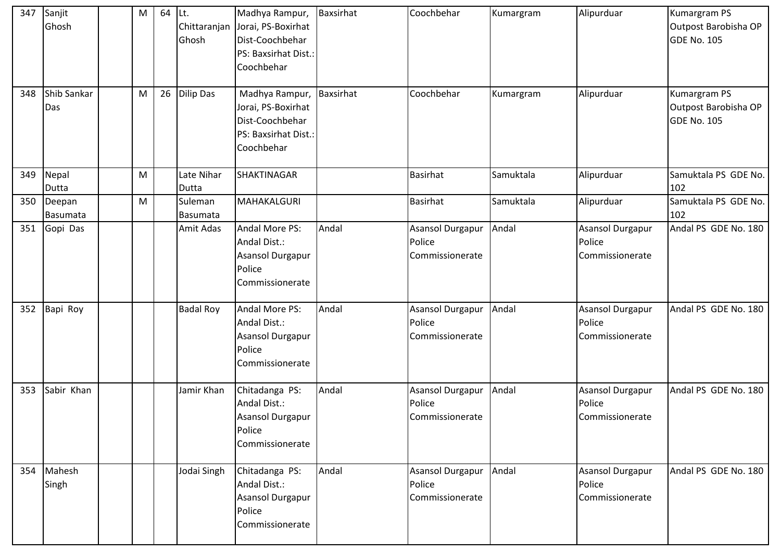| 347<br>348 | Sanjit<br>Ghosh<br>Shib Sankar<br>Das | M<br>M | 64<br>26 | ILt.<br>Chittaranjan<br>Ghosh<br><b>Dilip Das</b> | Madhya Rampur, Baxsirhat<br>Jorai, PS-Boxirhat<br>Dist-Coochbehar<br>PS: Baxsirhat Dist.:<br>Coochbehar<br>Madhya Rampur, Baxsirhat<br>Jorai, PS-Boxirhat<br>Dist-Coochbehar<br>PS: Baxsirhat Dist.: |       | Coochbehar<br>Coochbehar                      | Kumargram<br>Kumargram | Alipurduar<br>Alipurduar                             | Kumargram PS<br>Outpost Barobisha OP<br>GDE No. 105<br>Kumargram PS<br>Outpost Barobisha OP<br><b>GDE No. 105</b> |
|------------|---------------------------------------|--------|----------|---------------------------------------------------|------------------------------------------------------------------------------------------------------------------------------------------------------------------------------------------------------|-------|-----------------------------------------------|------------------------|------------------------------------------------------|-------------------------------------------------------------------------------------------------------------------|
| 349        | Nepal                                 | M      |          | Late Nihar                                        | Coochbehar<br><b>SHAKTINAGAR</b>                                                                                                                                                                     |       | <b>Basirhat</b>                               | Samuktala              | Alipurduar                                           | Samuktala PS GDE No.                                                                                              |
|            | Dutta                                 |        |          | Dutta                                             |                                                                                                                                                                                                      |       |                                               |                        |                                                      | 102                                                                                                               |
| 350        | Deepan<br>Basumata                    | M      |          | Suleman<br>Basumata                               | MAHAKALGURI                                                                                                                                                                                          |       | <b>Basirhat</b>                               | Samuktala              | Alipurduar                                           | Samuktala PS GDE No.<br>102                                                                                       |
| 351        | Gopi Das                              |        |          | Amit Adas                                         | Andal More PS:<br>Andal Dist.:<br>Asansol Durgapur<br>Police<br>Commissionerate                                                                                                                      | Andal | Asansol Durgapur<br>Police<br>Commissionerate | Andal                  | <b>Asansol Durgapur</b><br>Police<br>Commissionerate | Andal PS GDE No. 180                                                                                              |
| 352        | Bapi Roy                              |        |          | <b>Badal Roy</b>                                  | Andal More PS:<br>Andal Dist.:<br><b>Asansol Durgapur</b><br>Police<br>Commissionerate                                                                                                               | Andal | Asansol Durgapur<br>Police<br>Commissionerate | Andal                  | <b>Asansol Durgapur</b><br>Police<br>Commissionerate | Andal PS GDE No. 180                                                                                              |
| 353        | Sabir Khan                            |        |          | Jamir Khan                                        | Chitadanga PS:<br>Andal Dist.:<br>Asansol Durgapur<br>Police<br>Commissionerate                                                                                                                      | Andal | Asansol Durgapur<br>Police<br>Commissionerate | Andal                  | Asansol Durgapur<br>Police<br>Commissionerate        | Andal PS GDE No. 180                                                                                              |
| 354        | Mahesh<br>Singh                       |        |          | Jodai Singh                                       | Chitadanga PS:<br>Andal Dist.:<br>Asansol Durgapur<br>Police<br>Commissionerate                                                                                                                      | Andal | Asansol Durgapur<br>Police<br>Commissionerate | Andal                  | Asansol Durgapur<br>Police<br>Commissionerate        | Andal PS GDE No. 180                                                                                              |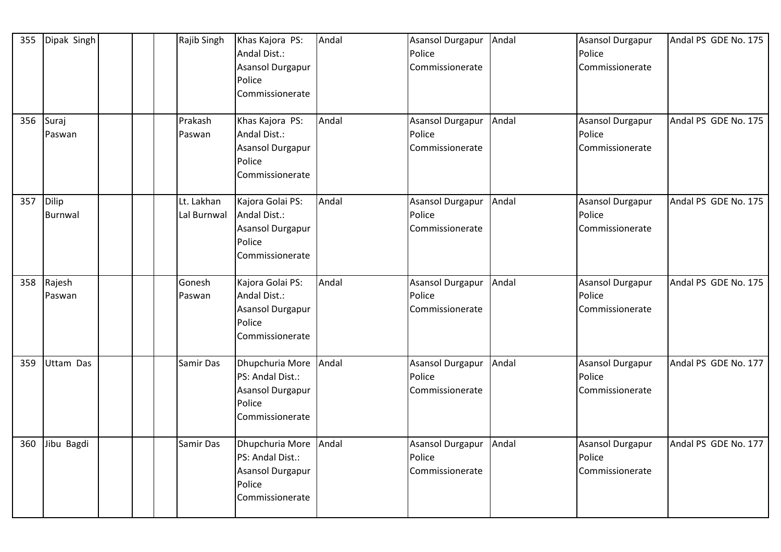| 355 | Dipak Singh             | Rajib Singh               | Khas Kajora PS:<br>Andal Dist.:<br><b>Asansol Durgapur</b><br>Police<br>Commissionerate           | Andal | Asansol Durgapur<br>Police<br>Commissionerate        | Andal | Asansol Durgapur<br>Police<br>Commissionerate        | Andal PS GDE No. 175 |
|-----|-------------------------|---------------------------|---------------------------------------------------------------------------------------------------|-------|------------------------------------------------------|-------|------------------------------------------------------|----------------------|
|     | 356 Suraj<br>Paswan     | Prakash<br>Paswan         | Khas Kajora PS:<br>Andal Dist.:<br>Asansol Durgapur<br>Police<br>Commissionerate                  | Andal | <b>Asansol Durgapur</b><br>Police<br>Commissionerate | Andal | <b>Asansol Durgapur</b><br>Police<br>Commissionerate | Andal PS GDE No. 175 |
| 357 | Dilip<br><b>Burnwal</b> | Lt. Lakhan<br>Lal Burnwal | Kajora Golai PS:<br>Andal Dist.:<br><b>Asansol Durgapur</b><br>Police<br>Commissionerate          | Andal | <b>Asansol Durgapur</b><br>Police<br>Commissionerate | Andal | <b>Asansol Durgapur</b><br>Police<br>Commissionerate | Andal PS GDE No. 175 |
|     | 358 Rajesh<br>Paswan    | Gonesh<br>Paswan          | Kajora Golai PS:<br>Andal Dist.:<br><b>Asansol Durgapur</b><br>Police<br>Commissionerate          | Andal | Asansol Durgapur<br>Police<br>Commissionerate        | Andal | Asansol Durgapur<br>Police<br>Commissionerate        | Andal PS GDE No. 175 |
| 359 | Uttam Das               | Samir Das                 | Dhupchuria More Andal<br>PS: Andal Dist.:<br><b>Asansol Durgapur</b><br>Police<br>Commissionerate |       | Asansol Durgapur<br>Police<br>Commissionerate        | Andal | Asansol Durgapur<br>Police<br>Commissionerate        | Andal PS GDE No. 177 |
| 360 | Jibu Bagdi              | Samir Das                 | Dhupchuria More<br>PS: Andal Dist.:<br>Asansol Durgapur<br>Police<br>Commissionerate              | Andal | <b>Asansol Durgapur</b><br>Police<br>Commissionerate | Andal | Asansol Durgapur<br>Police<br>Commissionerate        | Andal PS GDE No. 177 |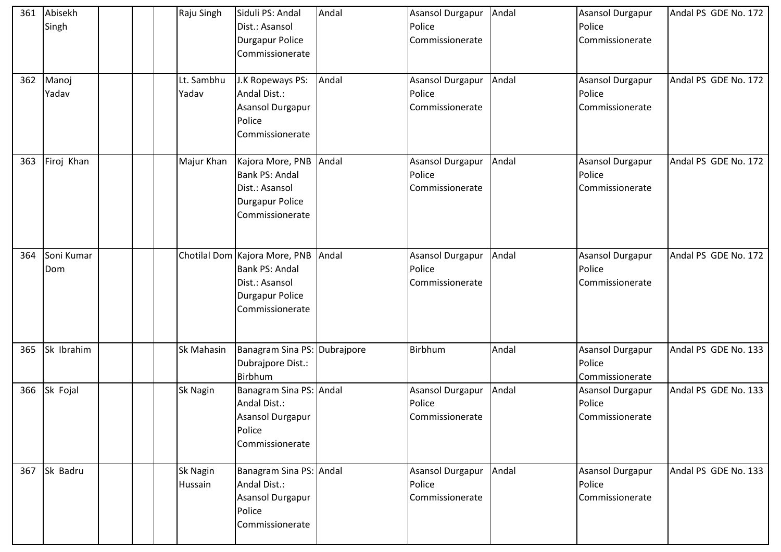| 361 | Abisekh<br>Singh  |  | Raju Singh          | Siduli PS: Andal<br>Dist.: Asansol<br>Durgapur Police<br>Commissionerate                                      | Andal | Asansol Durgapur Andal<br>Police<br>Commissionerate  |       | Asansol Durgapur<br>Police<br>Commissionerate        | Andal PS GDE No. 172 |
|-----|-------------------|--|---------------------|---------------------------------------------------------------------------------------------------------------|-------|------------------------------------------------------|-------|------------------------------------------------------|----------------------|
| 362 | Manoj<br>Yadav    |  | Lt. Sambhu<br>Yadav | J.K Ropeways PS:<br>Andal Dist.:<br>Asansol Durgapur<br>Police<br>Commissionerate                             | Andal | <b>Asansol Durgapur</b><br>Police<br>Commissionerate | Andal | Asansol Durgapur<br>Police<br>Commissionerate        | Andal PS GDE No. 172 |
| 363 | Firoj Khan        |  | Majur Khan          | Kajora More, PNB Andal<br>Bank PS: Andal<br>Dist.: Asansol<br>Durgapur Police<br>Commissionerate              |       | <b>Asansol Durgapur</b><br>Police<br>Commissionerate | Andal | <b>Asansol Durgapur</b><br>Police<br>Commissionerate | Andal PS GDE No. 172 |
| 364 | Soni Kumar<br>Dom |  |                     | Chotilal Dom Kajora More, PNB Andal<br>Bank PS: Andal<br>Dist.: Asansol<br>Durgapur Police<br>Commissionerate |       | Asansol Durgapur Andal<br>Police<br>Commissionerate  |       | <b>Asansol Durgapur</b><br>Police<br>Commissionerate | Andal PS GDE No. 172 |
| 365 | Sk Ibrahim        |  | Sk Mahasin          | Banagram Sina PS: Dubrajpore<br>Dubrajpore Dist.:<br>Birbhum                                                  |       | Birbhum                                              | Andal | Asansol Durgapur<br>Police<br>Commissionerate        | Andal PS GDE No. 133 |
|     | 366 Sk Fojal      |  | Sk Nagin            | Banagram Sina PS: Andal<br>Andal Dist.:<br>Asansol Durgapur<br>Police<br>Commissionerate                      |       | Asansol Durgapur Andal<br>Police<br>Commissionerate  |       | <b>Asansol Durgapur</b><br>Police<br>Commissionerate | Andal PS GDE No. 133 |
|     | 367 Sk Badru      |  | Sk Nagin<br>Hussain | Banagram Sina PS: Andal<br>Andal Dist.:<br>Asansol Durgapur<br>Police<br>Commissionerate                      |       | Asansol Durgapur<br>Police<br>Commissionerate        | Andal | Asansol Durgapur<br>Police<br>Commissionerate        | Andal PS GDE No. 133 |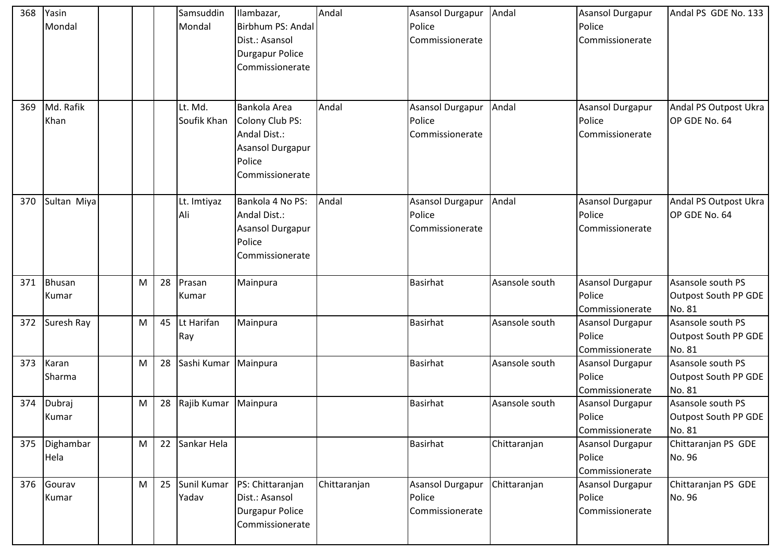| 368 | Yasin<br>Mondal        |   |    | Samsuddin<br>Mondal    | Ilambazar,<br>Birbhum PS: Andal<br>Dist.: Asansol<br><b>Durgapur Police</b><br>Commissionerate          | Andal        | Asansol Durgapur<br>Police<br>Commissionerate        | Andal          | Asansol Durgapur<br>Police<br>Commissionerate        | Andal PS GDE No. 133                                |
|-----|------------------------|---|----|------------------------|---------------------------------------------------------------------------------------------------------|--------------|------------------------------------------------------|----------------|------------------------------------------------------|-----------------------------------------------------|
| 369 | Md. Rafik<br>Khan      |   |    | Lt. Md.<br>Soufik Khan | Bankola Area<br>Colony Club PS:<br>Andal Dist.:<br><b>Asansol Durgapur</b><br>Police<br>Commissionerate | Andal        | <b>Asansol Durgapur</b><br>Police<br>Commissionerate | Andal          | <b>Asansol Durgapur</b><br>Police<br>Commissionerate | Andal PS Outpost Ukra<br>OP GDE No. 64              |
| 370 | Sultan Miya            |   |    | Lt. Imtiyaz<br>Ali     | Bankola 4 No PS:<br>Andal Dist.:<br>Asansol Durgapur<br>Police<br>Commissionerate                       | Andal        | Asansol Durgapur<br>Police<br>Commissionerate        | Andal          | <b>Asansol Durgapur</b><br>Police<br>Commissionerate | Andal PS Outpost Ukra<br>OP GDE No. 64              |
| 371 | <b>Bhusan</b><br>Kumar | M | 28 | Prasan<br>Kumar        | Mainpura                                                                                                |              | <b>Basirhat</b>                                      | Asansole south | <b>Asansol Durgapur</b><br>Police<br>Commissionerate | Asansole south PS<br>Outpost South PP GDE<br>No. 81 |
| 372 | Suresh Ray             | M | 45 | Lt Harifan<br>Ray      | Mainpura                                                                                                |              | <b>Basirhat</b>                                      | Asansole south | <b>Asansol Durgapur</b><br>Police<br>Commissionerate | Asansole south PS<br>Outpost South PP GDE<br>No. 81 |
| 373 | Karan<br>Sharma        | M | 28 | Sashi Kumar   Mainpura |                                                                                                         |              | <b>Basirhat</b>                                      | Asansole south | <b>Asansol Durgapur</b><br>Police<br>Commissionerate | Asansole south PS<br>Outpost South PP GDE<br>No. 81 |
| 374 | Dubraj<br>Kumar        | M | 28 | Rajib Kumar            | Mainpura                                                                                                |              | <b>Basirhat</b>                                      | Asansole south | <b>Asansol Durgapur</b><br>Police<br>Commissionerate | Asansole south PS<br>Outpost South PP GDE<br>No. 81 |
| 375 | Dighambar<br>Hela      | M | 22 | Sankar Hela            |                                                                                                         |              | <b>Basirhat</b>                                      | Chittaranjan   | <b>Asansol Durgapur</b><br>Police<br>Commissionerate | Chittaranjan PS GDE<br>No. 96                       |
| 376 | Gourav<br>Kumar        | M | 25 | Sunil Kumar<br>Yadav   | PS: Chittaranjan<br>Dist.: Asansol<br><b>Durgapur Police</b><br>Commissionerate                         | Chittaranjan | <b>Asansol Durgapur</b><br>Police<br>Commissionerate | Chittaranjan   | <b>Asansol Durgapur</b><br>Police<br>Commissionerate | Chittaranjan PS GDE<br>No. 96                       |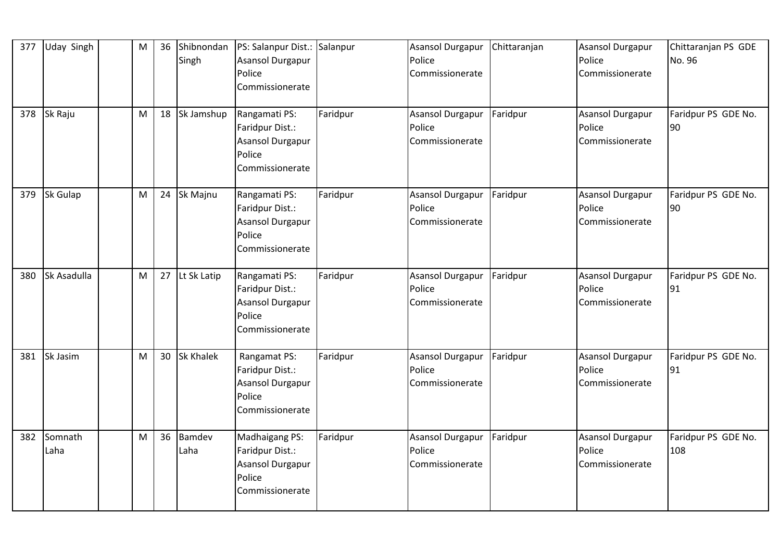| 377 | <b>Uday Singh</b> | M | 36 | Shibnondan<br>Singh | PS: Salanpur Dist.: Salanpur<br><b>Asansol Durgapur</b><br>Police<br>Commissionerate     |          | Asansol Durgapur<br>Police<br>Commissionerate | Chittaranjan | <b>Asansol Durgapur</b><br>Police<br>Commissionerate | Chittaranjan PS GDE<br>No. 96 |
|-----|-------------------|---|----|---------------------|------------------------------------------------------------------------------------------|----------|-----------------------------------------------|--------------|------------------------------------------------------|-------------------------------|
| 378 | Sk Raju           | M | 18 | Sk Jamshup          | Rangamati PS:<br>Faridpur Dist.:<br>Asansol Durgapur<br>Police<br>Commissionerate        | Faridpur | Asansol Durgapur<br>Police<br>Commissionerate | Faridpur     | <b>Asansol Durgapur</b><br>Police<br>Commissionerate | Faridpur PS GDE No.<br>90     |
| 379 | <b>Sk Gulap</b>   | M | 24 | Sk Majnu            | Rangamati PS:<br>Faridpur Dist.:<br>Asansol Durgapur<br>Police<br>Commissionerate        | Faridpur | Asansol Durgapur<br>Police<br>Commissionerate | Faridpur     | Asansol Durgapur<br>Police<br>Commissionerate        | Faridpur PS GDE No.<br>90     |
| 380 | Sk Asadulla       | M |    | 27 Lt Sk Latip      | Rangamati PS:<br>Faridpur Dist.:<br><b>Asansol Durgapur</b><br>Police<br>Commissionerate | Faridpur | Asansol Durgapur<br>Police<br>Commissionerate | Faridpur     | <b>Asansol Durgapur</b><br>Police<br>Commissionerate | Faridpur PS GDE No.<br>91     |
| 381 | Sk Jasim          | M | 30 | <b>Sk Khalek</b>    | Rangamat PS:<br>Faridpur Dist.:<br>Asansol Durgapur<br>Police<br>Commissionerate         | Faridpur | Asansol Durgapur<br>Police<br>Commissionerate | Faridpur     | <b>Asansol Durgapur</b><br>Police<br>Commissionerate | Faridpur PS GDE No.<br>91     |
| 382 | Somnath<br>Laha   | M | 36 | Bamdev<br>Laha      | Madhaigang PS:<br>Faridpur Dist.:<br>Asansol Durgapur<br>Police<br>Commissionerate       | Faridpur | Asansol Durgapur<br>Police<br>Commissionerate | Faridpur     | <b>Asansol Durgapur</b><br>Police<br>Commissionerate | Faridpur PS GDE No.<br>108    |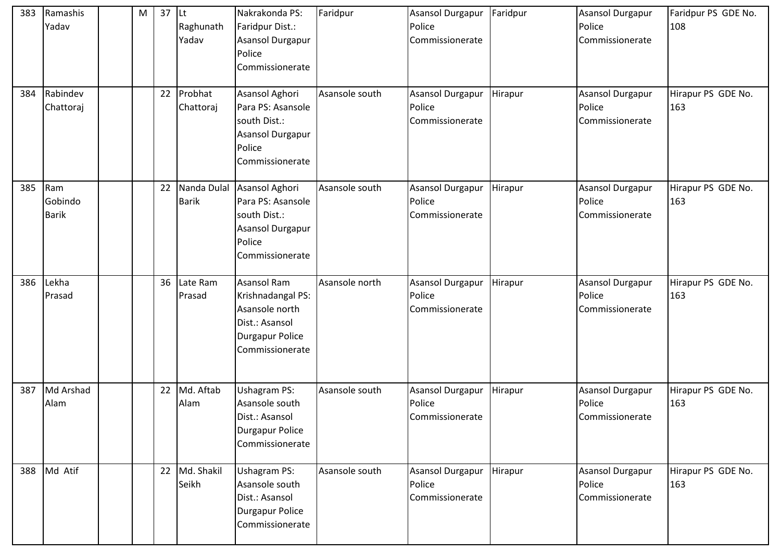| 383<br>384 | Ramashis<br>Yadav<br>Rabindev<br>Chattoraj | M | 37<br>22 | <b>Lt</b><br>Raghunath<br>Yadav<br>Probhat<br>Chattoraj | Nakrakonda PS:<br>Faridpur Dist.:<br><b>Asansol Durgapur</b><br>Police<br>Commissionerate<br>Asansol Aghori<br>Para PS: Asansole<br>south Dist.:<br>Asansol Durgapur<br>Police<br>Commissionerate | Faridpur<br>Asansole south | Asansol Durgapur<br>Police<br>Commissionerate<br><b>Asansol Durgapur</b><br>Police<br>Commissionerate | Faridpur<br>Hirapur | Asansol Durgapur<br>Police<br>Commissionerate<br><b>Asansol Durgapur</b><br>Police<br>Commissionerate | Faridpur PS GDE No.<br>108<br>Hirapur PS GDE No.<br>163 |
|------------|--------------------------------------------|---|----------|---------------------------------------------------------|---------------------------------------------------------------------------------------------------------------------------------------------------------------------------------------------------|----------------------------|-------------------------------------------------------------------------------------------------------|---------------------|-------------------------------------------------------------------------------------------------------|---------------------------------------------------------|
| 385        | Ram<br>Gobindo<br><b>Barik</b>             |   | 22       | Nanda Dulal<br><b>Barik</b>                             | Asansol Aghori<br>Para PS: Asansole<br>south Dist.:<br>Asansol Durgapur<br>Police<br>Commissionerate                                                                                              | Asansole south             | Asansol Durgapur<br>Police<br>Commissionerate                                                         | Hirapur             | Asansol Durgapur<br>Police<br>Commissionerate                                                         | Hirapur PS GDE No.<br>163                               |
| 386        | Lekha<br>Prasad                            |   | 36       | Late Ram<br>Prasad                                      | <b>Asansol Ram</b><br>Krishnadangal PS:<br>Asansole north<br>Dist.: Asansol<br><b>Durgapur Police</b><br>Commissionerate                                                                          | Asansole north             | Asansol Durgapur<br>Police<br>Commissionerate                                                         | Hirapur             | Asansol Durgapur<br>Police<br>Commissionerate                                                         | Hirapur PS GDE No.<br>163                               |
| 387        | Md Arshad<br>Alam                          |   | 22       | Md. Aftab<br>Alam                                       | <b>Ushagram PS:</b><br>Asansole south<br>Dist.: Asansol<br><b>Durgapur Police</b><br>Commissionerate                                                                                              | Asansole south             | Asansol Durgapur<br>Police<br>Commissionerate                                                         | Hirapur             | Asansol Durgapur<br>Police<br>Commissionerate                                                         | Hirapur PS GDE No.<br>163                               |
| 388        | Md Atif                                    |   | 22       | Md. Shakil<br>Seikh                                     | Ushagram PS:<br>Asansole south<br>Dist.: Asansol<br><b>Durgapur Police</b><br>Commissionerate                                                                                                     | Asansole south             | Asansol Durgapur<br>Police<br>Commissionerate                                                         | Hirapur             | Asansol Durgapur<br>Police<br>Commissionerate                                                         | Hirapur PS GDE No.<br>163                               |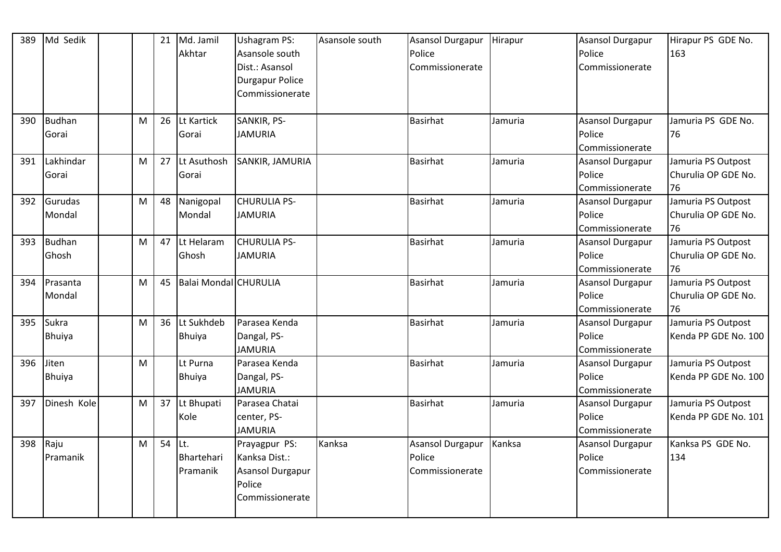| 389 | Md Sedik      |   | 21 | Md. Jamil             | <b>Ushagram PS:</b>    | Asansole south | Asansol Durgapur        | Hirapur | <b>Asansol Durgapur</b> | Hirapur PS GDE No.   |
|-----|---------------|---|----|-----------------------|------------------------|----------------|-------------------------|---------|-------------------------|----------------------|
|     |               |   |    | Akhtar                | Asansole south         |                | Police                  |         | Police                  | 163                  |
|     |               |   |    |                       | Dist.: Asansol         |                | Commissionerate         |         | Commissionerate         |                      |
|     |               |   |    |                       | <b>Durgapur Police</b> |                |                         |         |                         |                      |
|     |               |   |    |                       | Commissionerate        |                |                         |         |                         |                      |
|     |               |   |    |                       |                        |                |                         |         |                         |                      |
| 390 | Budhan        | M | 26 | Lt Kartick            | SANKIR, PS-            |                | <b>Basirhat</b>         | Jamuria | <b>Asansol Durgapur</b> | Jamuria PS GDE No.   |
|     | Gorai         |   |    | Gorai                 | <b>JAMURIA</b>         |                |                         |         | Police                  | 76                   |
|     |               |   |    |                       |                        |                |                         |         | Commissionerate         |                      |
| 391 | Lakhindar     | M | 27 | Lt Asuthosh           | SANKIR, JAMURIA        |                | <b>Basirhat</b>         | Jamuria | Asansol Durgapur        | Jamuria PS Outpost   |
|     | Gorai         |   |    | Gorai                 |                        |                |                         |         | Police                  | Churulia OP GDE No.  |
|     |               |   |    |                       |                        |                |                         |         | Commissionerate         | 76                   |
| 392 | Gurudas       | M | 48 | Nanigopal             | <b>CHURULIA PS-</b>    |                | <b>Basirhat</b>         | Jamuria | Asansol Durgapur        | Jamuria PS Outpost   |
|     | Mondal        |   |    | Mondal                | <b>JAMURIA</b>         |                |                         |         | Police                  | Churulia OP GDE No.  |
|     |               |   |    |                       |                        |                |                         |         | Commissionerate         | 76                   |
| 393 | <b>Budhan</b> | M | 47 | Lt Helaram            | <b>CHURULIA PS-</b>    |                | <b>Basirhat</b>         | Jamuria | <b>Asansol Durgapur</b> | Jamuria PS Outpost   |
|     | Ghosh         |   |    | Ghosh                 | <b>JAMURIA</b>         |                |                         |         | Police                  | Churulia OP GDE No.  |
|     |               |   |    |                       |                        |                |                         |         | Commissionerate         | 76                   |
| 394 | Prasanta      | M | 45 | Balai Mondal CHURULIA |                        |                | <b>Basirhat</b>         | Jamuria | <b>Asansol Durgapur</b> | Jamuria PS Outpost   |
|     | Mondal        |   |    |                       |                        |                |                         |         | Police                  | Churulia OP GDE No.  |
|     |               |   |    |                       |                        |                |                         |         | Commissionerate         | 76                   |
| 395 | Sukra         | M | 36 | Lt Sukhdeb            | Parasea Kenda          |                | <b>Basirhat</b>         | Jamuria | <b>Asansol Durgapur</b> | Jamuria PS Outpost   |
|     | <b>Bhuiya</b> |   |    | Bhuiya                | Dangal, PS-            |                |                         |         | Police                  | Kenda PP GDE No. 100 |
|     |               |   |    |                       | <b>JAMURIA</b>         |                |                         |         | Commissionerate         |                      |
| 396 | Jiten         | M |    | Lt Purna              | Parasea Kenda          |                | <b>Basirhat</b>         | Jamuria | Asansol Durgapur        | Jamuria PS Outpost   |
|     | <b>Bhuiya</b> |   |    | Bhuiya                | Dangal, PS-            |                |                         |         | Police                  | Kenda PP GDE No. 100 |
|     |               |   |    |                       | <b>JAMURIA</b>         |                |                         |         | Commissionerate         |                      |
| 397 | Dinesh Kole   | M | 37 | Lt Bhupati            | Parasea Chatai         |                | <b>Basirhat</b>         | Jamuria | Asansol Durgapur        | Jamuria PS Outpost   |
|     |               |   |    | Kole                  | center, PS-            |                |                         |         | Police                  | Kenda PP GDE No. 101 |
|     |               |   |    |                       | <b>JAMURIA</b>         |                |                         |         | Commissionerate         |                      |
| 398 | Raju          | M | 54 | Lt.                   | Prayagpur PS:          | Kanksa         | <b>Asansol Durgapur</b> | Kanksa  | Asansol Durgapur        | Kanksa PS GDE No.    |
|     | Pramanik      |   |    | Bhartehari            | Kanksa Dist.:          |                | Police                  |         | Police                  | 134                  |
|     |               |   |    | Pramanik              | Asansol Durgapur       |                | Commissionerate         |         | Commissionerate         |                      |
|     |               |   |    |                       | Police                 |                |                         |         |                         |                      |
|     |               |   |    |                       | Commissionerate        |                |                         |         |                         |                      |
|     |               |   |    |                       |                        |                |                         |         |                         |                      |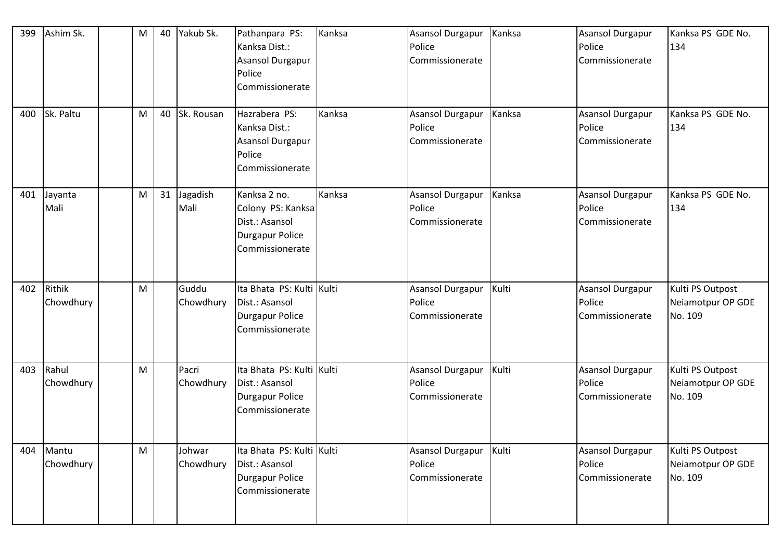| 399 | Ashim Sk.           | M | 40 | Yakub Sk.           | Pathanpara PS:<br>Kanksa Dist.:<br>Asansol Durgapur<br>Police<br>Commissionerate                 | Kanksa | <b>Asansol Durgapur</b><br>Police<br>Commissionerate | Kanksa | Asansol Durgapur<br>Police<br>Commissionerate | Kanksa PS GDE No.<br>134                         |
|-----|---------------------|---|----|---------------------|--------------------------------------------------------------------------------------------------|--------|------------------------------------------------------|--------|-----------------------------------------------|--------------------------------------------------|
| 400 | Sk. Paltu           | M | 40 | Sk. Rousan          | Hazrabera PS:<br>Kanksa Dist.:<br>Asansol Durgapur<br>Police<br>Commissionerate                  | Kanksa | Asansol Durgapur<br>Police<br>Commissionerate        | Kanksa | Asansol Durgapur<br>Police<br>Commissionerate | Kanksa PS GDE No.<br>134                         |
| 401 | Jayanta<br>Mali     | M | 31 | Jagadish<br>Mali    | Kanksa 2 no.<br>Colony PS: Kanksa<br>Dist.: Asansol<br><b>Durgapur Police</b><br>Commissionerate | Kanksa | Asansol Durgapur<br>Police<br>Commissionerate        | Kanksa | Asansol Durgapur<br>Police<br>Commissionerate | Kanksa PS GDE No.<br>134                         |
| 402 | Rithik<br>Chowdhury | M |    | Guddu<br>Chowdhury  | Ita Bhata PS: Kulti Kulti<br>Dist.: Asansol<br><b>Durgapur Police</b><br>Commissionerate         |        | Asansol Durgapur<br>Police<br>Commissionerate        | Kulti  | Asansol Durgapur<br>Police<br>Commissionerate | Kulti PS Outpost<br>Neiamotpur OP GDE<br>No. 109 |
| 403 | Rahul<br>Chowdhury  | M |    | Pacri<br>Chowdhury  | Ita Bhata PS: Kulti Kulti<br>Dist.: Asansol<br>Durgapur Police<br>Commissionerate                |        | Asansol Durgapur<br>Police<br>Commissionerate        | Kulti  | Asansol Durgapur<br>Police<br>Commissionerate | Kulti PS Outpost<br>Neiamotpur OP GDE<br>No. 109 |
| 404 | Mantu<br>Chowdhury  | M |    | Johwar<br>Chowdhury | Ita Bhata PS: Kulti Kulti<br>Dist.: Asansol<br>Durgapur Police<br>Commissionerate                |        | Asansol Durgapur<br>Police<br>Commissionerate        | Kulti  | Asansol Durgapur<br>Police<br>Commissionerate | Kulti PS Outpost<br>Neiamotpur OP GDE<br>No. 109 |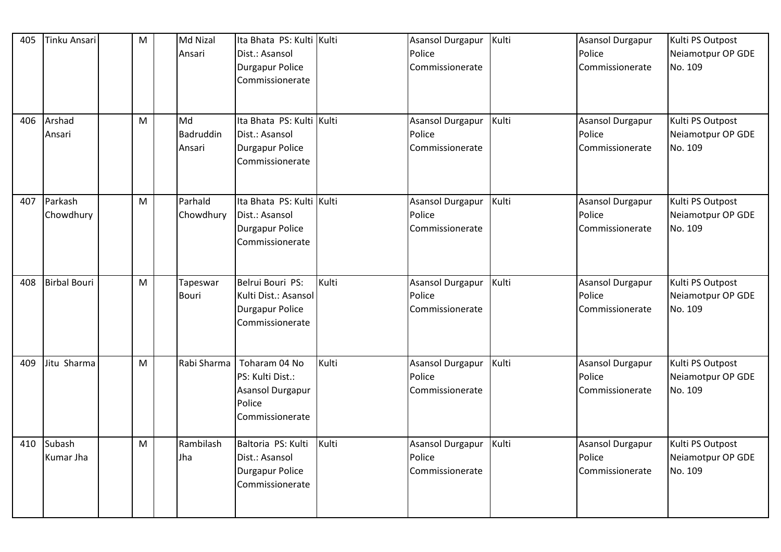| 405 | Tinku Ansari         | M | Md Nizal<br>Ansari        | Ita Bhata PS: Kulti Kulti<br>Dist.: Asansol<br><b>Durgapur Police</b><br>Commissionerate  |       | Asansol Durgapur<br>Police<br>Commissionerate        | Kulti | <b>Asansol Durgapur</b><br>Police<br>Commissionerate | Kulti PS Outpost<br>Neiamotpur OP GDE<br>No. 109 |
|-----|----------------------|---|---------------------------|-------------------------------------------------------------------------------------------|-------|------------------------------------------------------|-------|------------------------------------------------------|--------------------------------------------------|
| 406 | Arshad<br>Ansari     | M | Md<br>Badruddin<br>Ansari | Ita Bhata PS: Kulti Kulti<br>Dist.: Asansol<br><b>Durgapur Police</b><br>Commissionerate  |       | <b>Asansol Durgapur</b><br>Police<br>Commissionerate | Kulti | <b>Asansol Durgapur</b><br>Police<br>Commissionerate | Kulti PS Outpost<br>Neiamotpur OP GDE<br>No. 109 |
| 407 | Parkash<br>Chowdhury | M | Parhald<br>Chowdhury      | Ita Bhata PS: Kulti Kulti<br>Dist.: Asansol<br><b>Durgapur Police</b><br>Commissionerate  |       | <b>Asansol Durgapur</b><br>Police<br>Commissionerate | Kulti | <b>Asansol Durgapur</b><br>Police<br>Commissionerate | Kulti PS Outpost<br>Neiamotpur OP GDE<br>No. 109 |
| 408 | <b>Birbal Bouri</b>  | M | Tapeswar<br><b>Bouri</b>  | Belrui Bouri PS:<br>Kulti Dist.: Asansol<br>Durgapur Police<br>Commissionerate            | Kulti | Asansol Durgapur<br>Police<br>Commissionerate        | Kulti | <b>Asansol Durgapur</b><br>Police<br>Commissionerate | Kulti PS Outpost<br>Neiamotpur OP GDE<br>No. 109 |
| 409 | Jitu Sharma          | M | Rabi Sharma               | Toharam 04 No<br>PS: Kulti Dist.:<br><b>Asansol Durgapur</b><br>Police<br>Commissionerate | Kulti | <b>Asansol Durgapur</b><br>Police<br>Commissionerate | Kulti | Asansol Durgapur<br>Police<br>Commissionerate        | Kulti PS Outpost<br>Neiamotpur OP GDE<br>No. 109 |
| 410 | Subash<br>Kumar Jha  | M | Rambilash<br>Jha          | Baltoria PS: Kulti<br>Dist.: Asansol<br><b>Durgapur Police</b><br>Commissionerate         | Kulti | <b>Asansol Durgapur</b><br>Police<br>Commissionerate | Kulti | Asansol Durgapur<br>Police<br>Commissionerate        | Kulti PS Outpost<br>Neiamotpur OP GDE<br>No. 109 |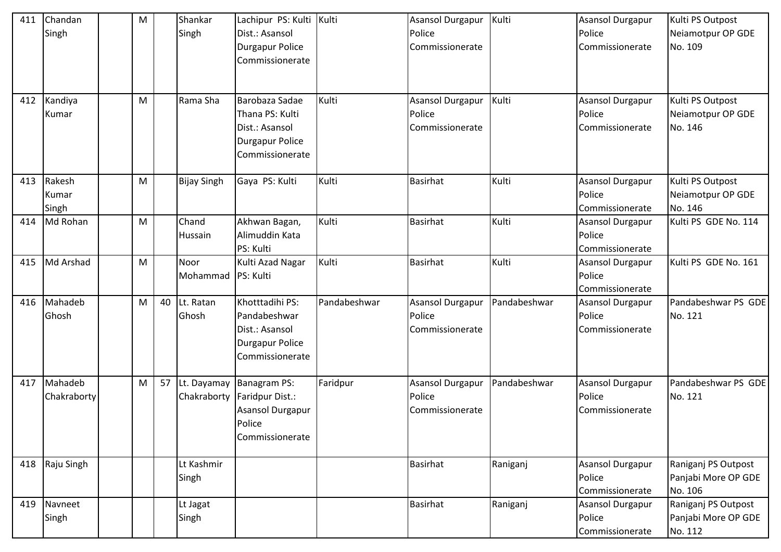| 411 | Chandan<br>Singh<br>412 Kandiya | M<br>M |    | Shankar<br>Singh<br>Rama Sha | Lachipur PS: Kulti Kulti<br>Dist.: Asansol<br><b>Durgapur Police</b><br>Commissionerate<br>Barobaza Sadae | Kulti        | Asansol Durgapur<br>Police<br>Commissionerate<br>Asansol Durgapur | Kulti<br>Kulti | <b>Asansol Durgapur</b><br>Police<br>Commissionerate<br><b>Asansol Durgapur</b> | Kulti PS Outpost<br>Neiamotpur OP GDE<br>No. 109<br>Kulti PS Outpost |
|-----|---------------------------------|--------|----|------------------------------|-----------------------------------------------------------------------------------------------------------|--------------|-------------------------------------------------------------------|----------------|---------------------------------------------------------------------------------|----------------------------------------------------------------------|
|     | Kumar                           |        |    |                              | Thana PS: Kulti<br>Dist.: Asansol<br><b>Durgapur Police</b><br>Commissionerate                            |              | Police<br>Commissionerate                                         |                | Police<br>Commissionerate                                                       | Neiamotpur OP GDE<br>No. 146                                         |
| 413 | Rakesh<br>Kumar<br>Singh        | M      |    | <b>Bijay Singh</b>           | Gaya PS: Kulti                                                                                            | Kulti        | <b>Basirhat</b>                                                   | Kulti          | <b>Asansol Durgapur</b><br>Police<br>Commissionerate                            | Kulti PS Outpost<br>Neiamotpur OP GDE<br>No. 146                     |
| 414 | Md Rohan                        | M      |    | Chand<br>Hussain             | Akhwan Bagan,<br>Alimuddin Kata<br>PS: Kulti                                                              | Kulti        | Basirhat                                                          | Kulti          | Asansol Durgapur<br>Police<br>Commissionerate                                   | Kulti PS GDE No. 114                                                 |
| 415 | Md Arshad                       | M      |    | Noor<br>Mohammad   PS: Kulti | Kulti Azad Nagar                                                                                          | Kulti        | <b>Basirhat</b>                                                   | Kulti          | Asansol Durgapur<br>Police<br>Commissionerate                                   | Kulti PS GDE No. 161                                                 |
| 416 | Mahadeb<br>Ghosh                | M      | 40 | Lt. Ratan<br>Ghosh           | Khotttadihi PS:<br>Pandabeshwar<br>Dist.: Asansol<br><b>Durgapur Police</b><br>Commissionerate            | Pandabeshwar | Asansol Durgapur<br>Police<br>Commissionerate                     | Pandabeshwar   | Asansol Durgapur<br>Police<br>Commissionerate                                   | Pandabeshwar PS GDE<br>No. 121                                       |
| 417 | Mahadeb<br>Chakraborty          | M      | 57 | Lt. Dayamay<br>Chakraborty   | Banagram PS:<br>Faridpur Dist.:<br>Asansol Durgapur<br>Police<br>Commissionerate                          | Faridpur     | Asansol Durgapur<br>Police<br>Commissionerate                     | Pandabeshwar   | <b>Asansol Durgapur</b><br>Police<br>Commissionerate                            | Pandabeshwar PS GDE<br>No. 121                                       |
|     | 418 Raju Singh                  |        |    | Lt Kashmir<br>Singh          |                                                                                                           |              | <b>Basirhat</b>                                                   | Raniganj       | <b>Asansol Durgapur</b><br>Police<br>Commissionerate                            | Raniganj PS Outpost<br>Panjabi More OP GDE<br>No. 106                |
| 419 | Navneet<br>Singh                |        |    | Lt Jagat<br>Singh            |                                                                                                           |              | <b>Basirhat</b>                                                   | Raniganj       | Asansol Durgapur<br>Police<br>Commissionerate                                   | Raniganj PS Outpost<br>Panjabi More OP GDE<br>No. 112                |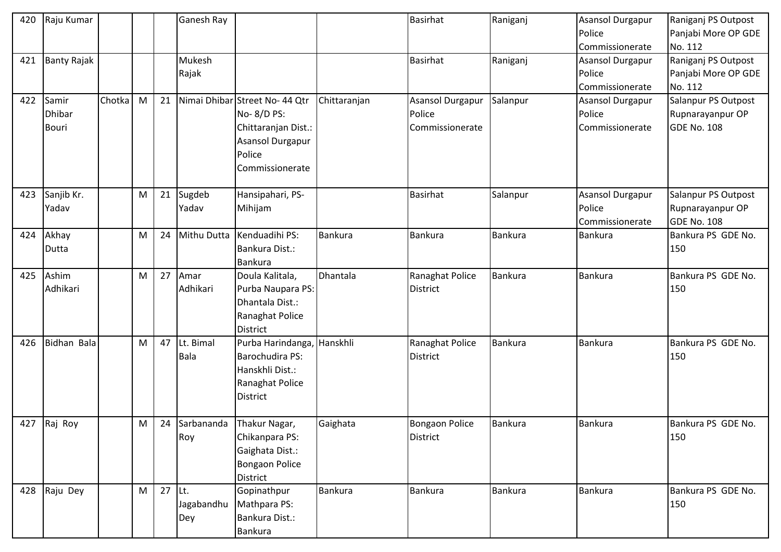| 420 | Raju Kumar         |        |   |          | Ganesh Ray  |                                |                | <b>Basirhat</b>         | Raniganj       | <b>Asansol Durgapur</b> | Raniganj PS Outpost |
|-----|--------------------|--------|---|----------|-------------|--------------------------------|----------------|-------------------------|----------------|-------------------------|---------------------|
|     |                    |        |   |          |             |                                |                |                         |                | Police                  | Panjabi More OP GDE |
|     |                    |        |   |          |             |                                |                |                         |                | Commissionerate         | No. 112             |
| 421 | <b>Banty Rajak</b> |        |   |          | Mukesh      |                                |                | <b>Basirhat</b>         | Raniganj       | <b>Asansol Durgapur</b> | Raniganj PS Outpost |
|     |                    |        |   |          | Rajak       |                                |                |                         |                | Police                  | Panjabi More OP GDE |
|     |                    |        |   |          |             |                                |                |                         |                | Commissionerate         | No. 112             |
| 422 | Samir              | Chotka | M | 21       |             | Nimai Dhibar Street No- 44 Qtr | Chittaranjan   | <b>Asansol Durgapur</b> | Salanpur       | Asansol Durgapur        | Salanpur PS Outpost |
|     | <b>Dhibar</b>      |        |   |          |             | No-8/D PS:                     |                | Police                  |                | Police                  | Rupnarayanpur OP    |
|     | Bouri              |        |   |          |             | Chittaranjan Dist.:            |                | Commissionerate         |                | Commissionerate         | GDE No. 108         |
|     |                    |        |   |          |             | Asansol Durgapur               |                |                         |                |                         |                     |
|     |                    |        |   |          |             | Police                         |                |                         |                |                         |                     |
|     |                    |        |   |          |             | Commissionerate                |                |                         |                |                         |                     |
|     |                    |        |   |          |             |                                |                |                         |                |                         |                     |
| 423 | Sanjib Kr.         |        | M | 21       | Sugdeb      | Hansipahari, PS-               |                | <b>Basirhat</b>         | Salanpur       | <b>Asansol Durgapur</b> | Salanpur PS Outpost |
|     | Yadav              |        |   |          | Yadav       | Mihijam                        |                |                         |                | Police                  | Rupnarayanpur OP    |
|     |                    |        |   |          |             |                                |                |                         |                | Commissionerate         | <b>GDE No. 108</b>  |
| 424 | Akhay              |        | M | 24       | Mithu Dutta | Kenduadihi PS:                 | <b>Bankura</b> | <b>Bankura</b>          | Bankura        | <b>Bankura</b>          | Bankura PS GDE No.  |
|     | Dutta              |        |   |          |             | Bankura Dist.:                 |                |                         |                |                         | 150                 |
|     |                    |        |   |          |             | <b>Bankura</b>                 |                |                         |                |                         |                     |
| 425 | Ashim              |        | M | 27       | Amar        | Doula Kalitala,                | Dhantala       | Ranaghat Police         | Bankura        | Bankura                 | Bankura PS GDE No.  |
|     | Adhikari           |        |   |          | Adhikari    | Purba Naupara PS:              |                | <b>District</b>         |                |                         | 150                 |
|     |                    |        |   |          |             | Dhantala Dist.:                |                |                         |                |                         |                     |
|     |                    |        |   |          |             | Ranaghat Police                |                |                         |                |                         |                     |
|     |                    |        |   |          |             | <b>District</b>                |                |                         |                |                         |                     |
| 426 | Bidhan Bala        |        | M | 47       | Lt. Bimal   | Purba Harindanga, Hanskhli     |                | Ranaghat Police         | Bankura        | Bankura                 | Bankura PS GDE No.  |
|     |                    |        |   |          | <b>Bala</b> | Barochudira PS:                |                | <b>District</b>         |                |                         | 150                 |
|     |                    |        |   |          |             | Hanskhli Dist.:                |                |                         |                |                         |                     |
|     |                    |        |   |          |             | Ranaghat Police                |                |                         |                |                         |                     |
|     |                    |        |   |          |             | District                       |                |                         |                |                         |                     |
|     |                    |        |   |          |             |                                |                |                         |                |                         |                     |
|     | 427 Raj Roy        |        | M | 24       | Sarbananda  | Thakur Nagar,                  | Gaighata       | <b>Bongaon Police</b>   | <b>Bankura</b> | <b>Bankura</b>          | Bankura PS GDE No.  |
|     |                    |        |   |          | Roy         | Chikanpara PS:                 |                | <b>District</b>         |                |                         | 150                 |
|     |                    |        |   |          |             | Gaighata Dist.:                |                |                         |                |                         |                     |
|     |                    |        |   |          |             | <b>Bongaon Police</b>          |                |                         |                |                         |                     |
|     |                    |        |   |          |             | <b>District</b>                |                |                         |                |                         |                     |
|     | 428 Raju Dey       |        | M | $27$ Lt. |             | Gopinathpur                    | <b>Bankura</b> | <b>Bankura</b>          | <b>Bankura</b> | Bankura                 | Bankura PS GDE No.  |
|     |                    |        |   |          | Jagabandhu  | Mathpara PS:                   |                |                         |                |                         | 150                 |
|     |                    |        |   |          | Dey         | Bankura Dist.:                 |                |                         |                |                         |                     |
|     |                    |        |   |          |             | <b>Bankura</b>                 |                |                         |                |                         |                     |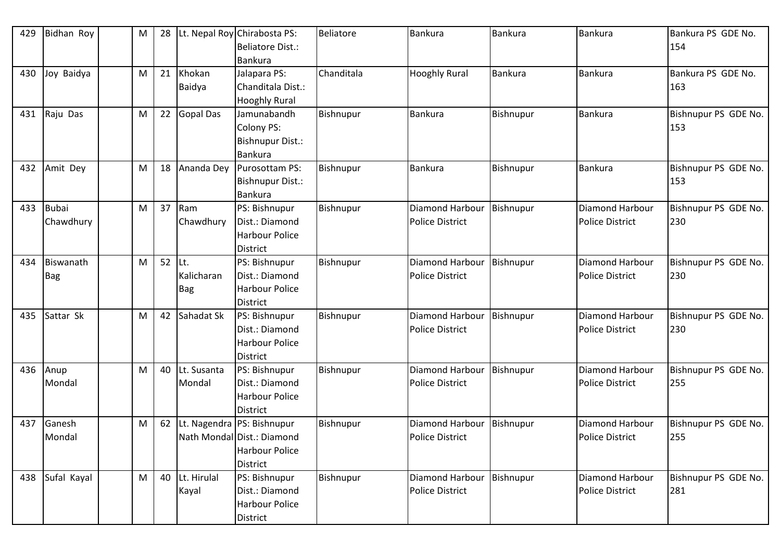| 429 | Bidhan Roy              | M | 28 |                          | Lt. Nepal Roy Chirabosta PS:<br><b>Beliatore Dist.:</b><br><b>Bankura</b>                    | Beliatore  | <b>Bankura</b>                            | Bankura        | Bankura                                   | Bankura PS GDE No.<br>154   |
|-----|-------------------------|---|----|--------------------------|----------------------------------------------------------------------------------------------|------------|-------------------------------------------|----------------|-------------------------------------------|-----------------------------|
| 430 | Joy Baidya              | M | 21 | Khokan<br>Baidya         | Jalapara PS:<br>Chanditala Dist.:<br><b>Hooghly Rural</b>                                    | Chanditala | <b>Hooghly Rural</b>                      | <b>Bankura</b> | <b>Bankura</b>                            | Bankura PS GDE No.<br>163   |
| 431 | Raju Das                | M | 22 | <b>Gopal Das</b>         | Jamunabandh<br><b>Colony PS:</b><br><b>Bishnupur Dist.:</b><br><b>Bankura</b>                | Bishnupur  | Bankura                                   | Bishnupur      | <b>Bankura</b>                            | Bishnupur PS GDE No.<br>153 |
| 432 | Amit Dey                | M | 18 | Ananda Dey               | Purosottam PS:<br><b>Bishnupur Dist.:</b><br><b>Bankura</b>                                  | Bishnupur  | <b>Bankura</b>                            | Bishnupur      | <b>Bankura</b>                            | Bishnupur PS GDE No.<br>153 |
| 433 | Bubai<br>Chawdhury      | M | 37 | Ram<br>Chawdhury         | PS: Bishnupur<br>Dist.: Diamond<br><b>Harbour Police</b><br><b>District</b>                  | Bishnupur  | Diamond Harbour<br><b>Police District</b> | Bishnupur      | Diamond Harbour<br><b>Police District</b> | Bishnupur PS GDE No.<br>230 |
| 434 | Biswanath<br><b>Bag</b> | M | 52 | Lt.<br>Kalicharan<br>Bag | PS: Bishnupur<br>Dist.: Diamond<br><b>Harbour Police</b><br><b>District</b>                  | Bishnupur  | Diamond Harbour<br><b>Police District</b> | Bishnupur      | Diamond Harbour<br><b>Police District</b> | Bishnupur PS GDE No.<br>230 |
| 435 | Sattar Sk               | M | 42 | Sahadat Sk               | PS: Bishnupur<br>Dist.: Diamond<br><b>Harbour Police</b><br><b>District</b>                  | Bishnupur  | Diamond Harbour<br><b>Police District</b> | Bishnupur      | Diamond Harbour<br><b>Police District</b> | Bishnupur PS GDE No.<br>230 |
| 436 | Anup<br>Mondal          | M | 40 | Lt. Susanta<br>Mondal    | PS: Bishnupur<br>Dist.: Diamond<br><b>Harbour Police</b><br><b>District</b>                  | Bishnupur  | Diamond Harbour<br><b>Police District</b> | Bishnupur      | Diamond Harbour<br><b>Police District</b> | Bishnupur PS GDE No.<br>255 |
| 437 | Ganesh<br>Mondal        | M | 62 |                          | t. Nagendra PS: Bishnupur<br>Nath Mondal Dist.: Diamond<br><b>Harbour Police</b><br>District | Bishnupur  | Diamond Harbour<br><b>Police District</b> | Bishnupur      | Diamond Harbour<br><b>Police District</b> | Bishnupur PS GDE No.<br>255 |
| 438 | Sufal Kayal             | M | 40 | Lt. Hirulal<br>Kayal     | PS: Bishnupur<br>Dist.: Diamond<br><b>Harbour Police</b><br>District                         | Bishnupur  | Diamond Harbour<br>Police District        | Bishnupur      | Diamond Harbour<br><b>Police District</b> | Bishnupur PS GDE No.<br>281 |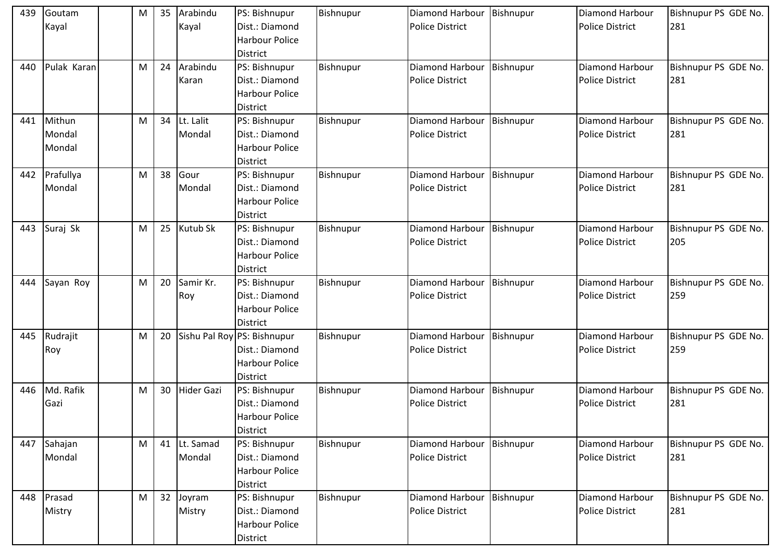| 439 | Goutam<br>Kayal            | M | 35 | Arabindu<br>Kayal   | PS: Bishnupur<br>Dist.: Diamond<br><b>Harbour Police</b><br><b>District</b>               | Bishnupur | Diamond Harbour<br><b>Police District</b> | Bishnupur | <b>Diamond Harbour</b><br><b>Police District</b> | Bishnupur PS GDE No.<br>281 |
|-----|----------------------------|---|----|---------------------|-------------------------------------------------------------------------------------------|-----------|-------------------------------------------|-----------|--------------------------------------------------|-----------------------------|
| 440 | Pulak Karan                | M | 24 | Arabindu<br>Karan   | PS: Bishnupur<br>Dist.: Diamond<br><b>Harbour Police</b><br><b>District</b>               | Bishnupur | Diamond Harbour<br><b>Police District</b> | Bishnupur | Diamond Harbour<br><b>Police District</b>        | Bishnupur PS GDE No.<br>281 |
| 441 | Mithun<br>Mondal<br>Mondal | M | 34 | Lt. Lalit<br>Mondal | PS: Bishnupur<br>Dist.: Diamond<br><b>Harbour Police</b><br><b>District</b>               | Bishnupur | Diamond Harbour<br><b>Police District</b> | Bishnupur | Diamond Harbour<br><b>Police District</b>        | Bishnupur PS GDE No.<br>281 |
| 442 | Prafullya<br>Mondal        | M | 38 | Gour<br>Mondal      | PS: Bishnupur<br>Dist.: Diamond<br><b>Harbour Police</b><br><b>District</b>               | Bishnupur | Diamond Harbour<br><b>Police District</b> | Bishnupur | Diamond Harbour<br><b>Police District</b>        | Bishnupur PS GDE No.<br>281 |
| 443 | Suraj Sk                   | M | 25 | Kutub Sk            | PS: Bishnupur<br>Dist.: Diamond<br><b>Harbour Police</b><br><b>District</b>               | Bishnupur | Diamond Harbour<br><b>Police District</b> | Bishnupur | Diamond Harbour<br><b>Police District</b>        | Bishnupur PS GDE No.<br>205 |
| 444 | Sayan Roy                  | M | 20 | Samir Kr.<br>Roy    | PS: Bishnupur<br>Dist.: Diamond<br>Harbour Police<br><b>District</b>                      | Bishnupur | Diamond Harbour<br><b>Police District</b> | Bishnupur | Diamond Harbour<br><b>Police District</b>        | Bishnupur PS GDE No.<br>259 |
| 445 | Rudrajit<br>Roy            | M | 20 |                     | Sishu Pal Roy PS: Bishnupur<br>Dist.: Diamond<br><b>Harbour Police</b><br><b>District</b> | Bishnupur | Diamond Harbour<br><b>Police District</b> | Bishnupur | Diamond Harbour<br><b>Police District</b>        | Bishnupur PS GDE No.<br>259 |
| 446 | Md. Rafik<br>Gazi          | M | 30 | <b>Hider Gazi</b>   | PS: Bishnupur<br>Dist.: Diamond<br>Harbour Police<br><b>District</b>                      | Bishnupur | Diamond Harbour<br><b>Police District</b> | Bishnupur | Diamond Harbour<br><b>Police District</b>        | Bishnupur PS GDE No.<br>281 |
| 447 | Sahajan<br>Mondal          | M | 41 | Lt. Samad<br>Mondal | PS: Bishnupur<br>Dist.: Diamond<br>Harbour Police<br><b>District</b>                      | Bishnupur | Diamond Harbour<br><b>Police District</b> | Bishnupur | Diamond Harbour<br><b>Police District</b>        | Bishnupur PS GDE No.<br>281 |
| 448 | Prasad<br>Mistry           | M | 32 | Joyram<br>Mistry    | PS: Bishnupur<br>Dist.: Diamond<br><b>Harbour Police</b><br><b>District</b>               | Bishnupur | Diamond Harbour<br><b>Police District</b> | Bishnupur | Diamond Harbour<br><b>Police District</b>        | Bishnupur PS GDE No.<br>281 |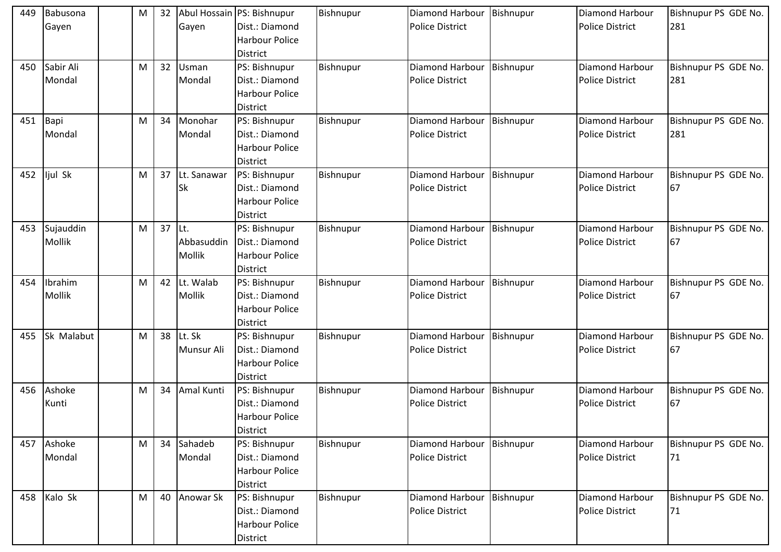| 449 | Babusona<br>Gayen   | M | 32 | Gayen                        | Abul Hossain PS: Bishnupur<br>Dist.: Diamond<br><b>Harbour Police</b><br><b>District</b> | Bishnupur | Diamond Harbour<br><b>Police District</b> | Bishnupur | <b>Diamond Harbour</b><br><b>Police District</b> | Bishnupur PS GDE No.<br>281 |
|-----|---------------------|---|----|------------------------------|------------------------------------------------------------------------------------------|-----------|-------------------------------------------|-----------|--------------------------------------------------|-----------------------------|
| 450 | Sabir Ali<br>Mondal | M | 32 | Usman<br>Mondal              | PS: Bishnupur<br>Dist.: Diamond<br><b>Harbour Police</b><br><b>District</b>              | Bishnupur | Diamond Harbour<br><b>Police District</b> | Bishnupur | Diamond Harbour<br><b>Police District</b>        | Bishnupur PS GDE No.<br>281 |
| 451 | Bapi<br>Mondal      | M | 34 | Monohar<br>Mondal            | PS: Bishnupur<br>Dist.: Diamond<br><b>Harbour Police</b><br><b>District</b>              | Bishnupur | Diamond Harbour<br><b>Police District</b> | Bishnupur | Diamond Harbour<br><b>Police District</b>        | Bishnupur PS GDE No.<br>281 |
| 452 | ljul Sk             | M | 37 | Lt. Sanawar<br><b>Sk</b>     | PS: Bishnupur<br>Dist.: Diamond<br><b>Harbour Police</b><br><b>District</b>              | Bishnupur | Diamond Harbour<br><b>Police District</b> | Bishnupur | <b>Diamond Harbour</b><br><b>Police District</b> | Bishnupur PS GDE No.<br>67  |
| 453 | Sujauddin<br>Mollik | M | 37 | ILt.<br>Abbasuddin<br>Mollik | PS: Bishnupur<br>Dist.: Diamond<br>Harbour Police<br><b>District</b>                     | Bishnupur | Diamond Harbour<br><b>Police District</b> | Bishnupur | <b>Diamond Harbour</b><br><b>Police District</b> | Bishnupur PS GDE No.<br>67  |
| 454 | Ibrahim<br>Mollik   | M | 42 | Lt. Walab<br>Mollik          | PS: Bishnupur<br>Dist.: Diamond<br>Harbour Police<br><b>District</b>                     | Bishnupur | Diamond Harbour<br><b>Police District</b> | Bishnupur | Diamond Harbour<br><b>Police District</b>        | Bishnupur PS GDE No.<br>67  |
| 455 | Sk Malabut          | M | 38 | Lt. Sk<br>Munsur Ali         | PS: Bishnupur<br>Dist.: Diamond<br><b>Harbour Police</b><br><b>District</b>              | Bishnupur | Diamond Harbour<br><b>Police District</b> | Bishnupur | Diamond Harbour<br><b>Police District</b>        | Bishnupur PS GDE No.<br>67  |
| 456 | Ashoke<br>Kunti     | M | 34 | Amal Kunti                   | PS: Bishnupur<br>Dist.: Diamond<br><b>Harbour Police</b><br><b>District</b>              | Bishnupur | Diamond Harbour<br><b>Police District</b> | Bishnupur | Diamond Harbour<br><b>Police District</b>        | Bishnupur PS GDE No.<br>67  |
| 457 | Ashoke<br>Mondal    | M | 34 | Sahadeb<br>Mondal            | PS: Bishnupur<br>Dist.: Diamond<br>Harbour Police<br><b>District</b>                     | Bishnupur | Diamond Harbour<br><b>Police District</b> | Bishnupur | Diamond Harbour<br><b>Police District</b>        | Bishnupur PS GDE No.<br>71  |
| 458 | Kalo Sk             | M | 40 | Anowar Sk                    | PS: Bishnupur<br>Dist.: Diamond<br><b>Harbour Police</b><br><b>District</b>              | Bishnupur | Diamond Harbour<br>Police District        | Bishnupur | Diamond Harbour<br><b>Police District</b>        | Bishnupur PS GDE No.<br>71  |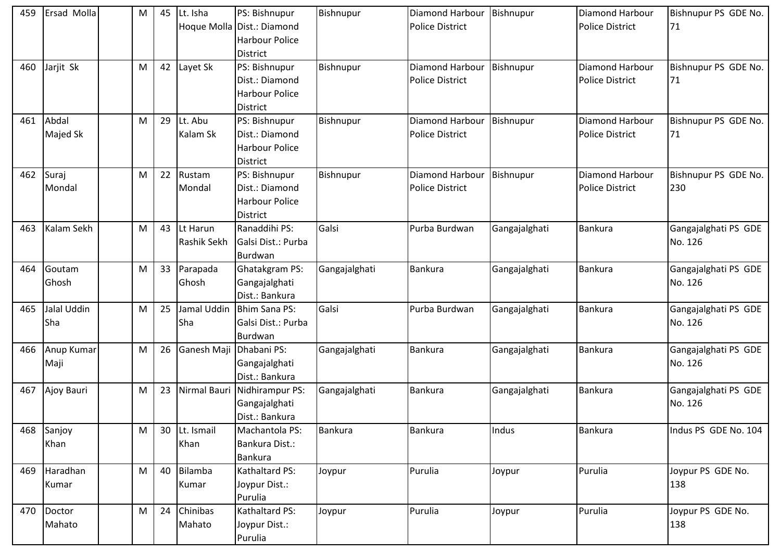| 459 | <b>Ersad Molla</b> | M | 45 | Lt. Isha     | PS: Bishnupur              | Bishnupur     | Diamond Harbour        | Bishnupur     | Diamond Harbour        | Bishnupur PS GDE No. |
|-----|--------------------|---|----|--------------|----------------------------|---------------|------------------------|---------------|------------------------|----------------------|
|     |                    |   |    |              | Hoque Molla Dist.: Diamond |               | <b>Police District</b> |               | <b>Police District</b> | 71                   |
|     |                    |   |    |              | <b>Harbour Police</b>      |               |                        |               |                        |                      |
|     |                    |   |    |              | <b>District</b>            |               |                        |               |                        |                      |
| 460 | Jarjit Sk          | M | 42 | Layet Sk     | PS: Bishnupur              | Bishnupur     | Diamond Harbour        | Bishnupur     | Diamond Harbour        | Bishnupur PS GDE No. |
|     |                    |   |    |              | Dist.: Diamond             |               | <b>Police District</b> |               | <b>Police District</b> | 71                   |
|     |                    |   |    |              | <b>Harbour Police</b>      |               |                        |               |                        |                      |
|     |                    |   |    |              | <b>District</b>            |               |                        |               |                        |                      |
| 461 | Abdal              | M | 29 | Lt. Abu      | PS: Bishnupur              | Bishnupur     | Diamond Harbour        | Bishnupur     | Diamond Harbour        | Bishnupur PS GDE No. |
|     | Majed Sk           |   |    | Kalam Sk     | Dist.: Diamond             |               | <b>Police District</b> |               | <b>Police District</b> | 71                   |
|     |                    |   |    |              | <b>Harbour Police</b>      |               |                        |               |                        |                      |
|     |                    |   |    |              | <b>District</b>            |               |                        |               |                        |                      |
| 462 | Suraj              | M | 22 | Rustam       | PS: Bishnupur              | Bishnupur     | Diamond Harbour        | Bishnupur     | Diamond Harbour        | Bishnupur PS GDE No. |
|     | Mondal             |   |    | Mondal       | Dist.: Diamond             |               | <b>Police District</b> |               | <b>Police District</b> | 230                  |
|     |                    |   |    |              | <b>Harbour Police</b>      |               |                        |               |                        |                      |
|     |                    |   |    |              | <b>District</b>            |               |                        |               |                        |                      |
| 463 | Kalam Sekh         | M | 43 | Lt Harun     | Ranaddihi PS:              | Galsi         | Purba Burdwan          | Gangajalghati | Bankura                | Gangajalghati PS GDE |
|     |                    |   |    | Rashik Sekh  | Galsi Dist.: Purba         |               |                        |               |                        | No. 126              |
|     |                    |   |    |              | Burdwan                    |               |                        |               |                        |                      |
| 464 | Goutam             | M | 33 | Parapada     | <b>Ghatakgram PS:</b>      | Gangajalghati | Bankura                | Gangajalghati | Bankura                | Gangajalghati PS GDE |
|     | Ghosh              |   |    | Ghosh        | Gangajalghati              |               |                        |               |                        | No. 126              |
|     |                    |   |    |              | Dist.: Bankura             |               |                        |               |                        |                      |
| 465 | Jalal Uddin        | M | 25 | Jamal Uddin  | Bhim Sana PS:              | Galsi         | Purba Burdwan          | Gangajalghati | Bankura                | Gangajalghati PS GDE |
|     | Sha                |   |    | Sha          | Galsi Dist.: Purba         |               |                        |               |                        | No. 126              |
|     |                    |   |    |              | Burdwan                    |               |                        |               |                        |                      |
| 466 | Anup Kumar         | M | 26 | Ganesh Maji  | Dhabani PS:                | Gangajalghati | Bankura                | Gangajalghati | <b>Bankura</b>         | Gangajalghati PS GDE |
|     | Maji               |   |    |              | Gangajalghati              |               |                        |               |                        | No. 126              |
|     |                    |   |    |              | Dist.: Bankura             |               |                        |               |                        |                      |
| 467 | Ajoy Bauri         | M | 23 | Nirmal Bauri | Nidhirampur PS:            | Gangajalghati | Bankura                | Gangajalghati | Bankura                | Gangajalghati PS GDE |
|     |                    |   |    |              | Gangajalghati              |               |                        |               |                        | No. 126              |
|     |                    |   |    |              | Dist.: Bankura             |               |                        |               |                        |                      |
| 468 | Sanjoy             | M | 30 | Lt. Ismail   | Machantola PS:             | Bankura       | Bankura                | Indus         | <b>Bankura</b>         | Indus PS GDE No. 104 |
|     | Khan               |   |    | Khan         | Bankura Dist.:             |               |                        |               |                        |                      |
|     |                    |   |    |              | Bankura                    |               |                        |               |                        |                      |
|     | 469 Haradhan       | M | 40 | Bilamba      | Kathaltard PS:             | Joypur        | Purulia                | Joypur        | Purulia                | Joypur PS GDE No.    |
|     | Kumar              |   |    | Kumar        | Joypur Dist.:              |               |                        |               |                        | 138                  |
|     |                    |   |    |              | Purulia                    |               |                        |               |                        |                      |
|     | 470 Doctor         | M | 24 | Chinibas     | Kathaltard PS:             | Joypur        | Purulia                | Joypur        | Purulia                | Joypur PS GDE No.    |
|     | Mahato             |   |    | Mahato       | Joypur Dist.:              |               |                        |               |                        | 138                  |
|     |                    |   |    |              | Purulia                    |               |                        |               |                        |                      |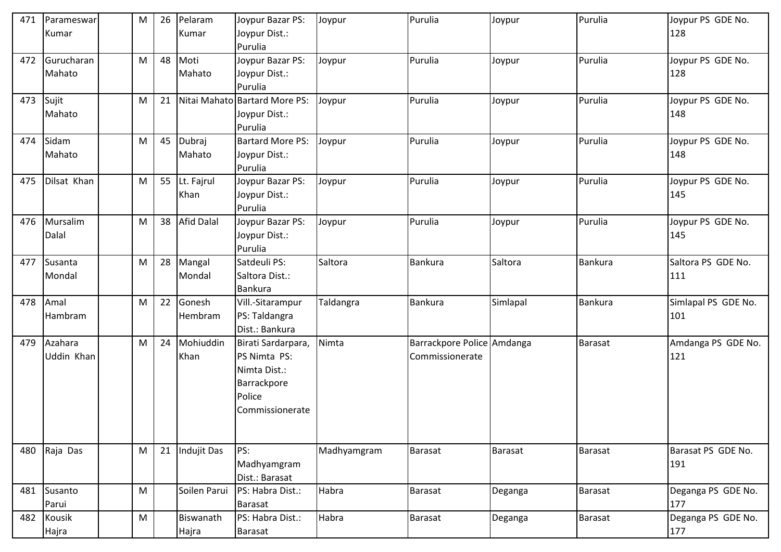| 471       | Parameswar   | M | 26 | Pelaram            | Joypur Bazar PS:              | Joypur      | Purulia                    | Joypur   | Purulia        | Joypur PS GDE No.        |
|-----------|--------------|---|----|--------------------|-------------------------------|-------------|----------------------------|----------|----------------|--------------------------|
|           | Kumar        |   |    | Kumar              | Joypur Dist.:                 |             |                            |          |                | 128                      |
|           |              |   |    |                    | Purulia                       |             |                            |          |                |                          |
| 472       | Gurucharan   | M | 48 | Moti               | Joypur Bazar PS:              | Joypur      | Purulia                    | Joypur   | Purulia        | Joypur PS GDE No.        |
|           | Mahato       |   |    | Mahato             | Joypur Dist.:                 |             |                            |          |                | 128                      |
|           |              |   |    |                    | Purulia                       |             |                            |          |                |                          |
| 473 Sujit |              | M | 21 |                    | Nitai Mahato Bartard More PS: | Joypur      | Purulia                    | Joypur   | Purulia        | Joypur PS GDE No.        |
|           | Mahato       |   |    |                    | Joypur Dist.:                 |             |                            |          |                | 148                      |
|           |              |   |    |                    | Purulia                       |             |                            |          |                |                          |
| 474       | Sidam        | M | 45 | Dubraj             | <b>Bartard More PS:</b>       | Joypur      | Purulia                    | Joypur   | Purulia        | Joypur PS GDE No.        |
|           | Mahato       |   |    | Mahato             | Joypur Dist.:                 |             |                            |          |                | 148                      |
| 475       | Dilsat Khan  | M | 55 | Lt. Fajrul         | Purulia<br>Joypur Bazar PS:   |             | Purulia                    |          | Purulia        |                          |
|           |              |   |    | Khan               | Joypur Dist.:                 | Joypur      |                            | Joypur   |                | Joypur PS GDE No.<br>145 |
|           |              |   |    |                    | Purulia                       |             |                            |          |                |                          |
| 476       | Mursalim     | M | 38 | <b>Afid Dalal</b>  | Joypur Bazar PS:              | Joypur      | Purulia                    | Joypur   | Purulia        | Joypur PS GDE No.        |
|           | Dalal        |   |    |                    | Joypur Dist.:                 |             |                            |          |                | 145                      |
|           |              |   |    |                    | Purulia                       |             |                            |          |                |                          |
| 477       | Susanta      | M | 28 | Mangal             | Satdeuli PS:                  | Saltora     | Bankura                    | Saltora  | Bankura        | Saltora PS GDE No.       |
|           | Mondal       |   |    | Mondal             | Saltora Dist.:                |             |                            |          |                | 111                      |
|           |              |   |    |                    | <b>Bankura</b>                |             |                            |          |                |                          |
| 478       | Amal         | M | 22 | Gonesh             | Vill.-Sitarampur              | Taldangra   | Bankura                    | Simlapal | Bankura        | Simlapal PS GDE No.      |
|           | Hambram      |   |    | Hembram            | PS: Taldangra                 |             |                            |          |                | 101                      |
|           |              |   |    |                    | Dist.: Bankura                |             |                            |          |                |                          |
| 479       | Azahara      | M | 24 | Mohiuddin          | Birati Sardarpara,            | Nimta       | Barrackpore Police Amdanga |          | Barasat        | Amdanga PS GDE No.       |
|           | Uddin Khan   |   |    | Khan               | PS Nimta PS:                  |             | Commissionerate            |          |                | 121                      |
|           |              |   |    |                    | Nimta Dist.:                  |             |                            |          |                |                          |
|           |              |   |    |                    | Barrackpore                   |             |                            |          |                |                          |
|           |              |   |    |                    | Police                        |             |                            |          |                |                          |
|           |              |   |    |                    | Commissionerate               |             |                            |          |                |                          |
|           |              |   |    |                    |                               |             |                            |          |                |                          |
|           |              |   |    |                    |                               |             |                            |          |                |                          |
|           | 480 Raja Das | M | 21 | <b>Indujit Das</b> | PS:                           | Madhyamgram | Barasat                    | Barasat  | Barasat        | Barasat PS GDE No.       |
|           |              |   |    |                    | Madhyamgram                   |             |                            |          |                | 191                      |
|           |              |   |    |                    | Dist.: Barasat                |             |                            |          |                |                          |
|           | 481 Susanto  | M |    | Soilen Parui       | PS: Habra Dist.:              | Habra       | <b>Barasat</b>             | Deganga  | <b>Barasat</b> | Deganga PS GDE No.       |
|           | Parui        |   |    |                    | <b>Barasat</b>                |             |                            |          |                | 177                      |
| 482       | Kousik       | M |    | Biswanath          | PS: Habra Dist.:              | Habra       | <b>Barasat</b>             | Deganga  | <b>Barasat</b> | Deganga PS GDE No.       |
|           | Hajra        |   |    | Hajra              | Barasat                       |             |                            |          |                | 177                      |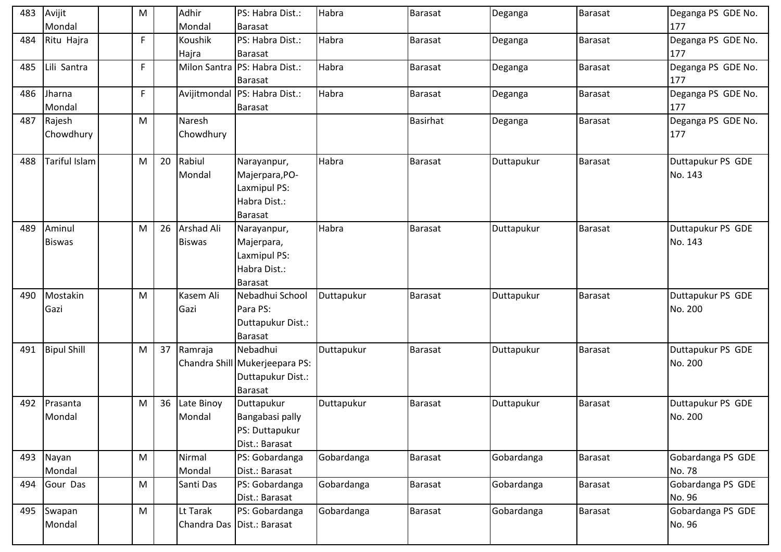| 483 | Avijit             | M  |    | Adhir         | PS: Habra Dist.:               | Habra      | <b>Barasat</b> | Deganga    | <b>Barasat</b> | Deganga PS GDE No. |
|-----|--------------------|----|----|---------------|--------------------------------|------------|----------------|------------|----------------|--------------------|
|     | Mondal             |    |    | Mondal        | <b>Barasat</b>                 |            |                |            |                | 177                |
| 484 | Ritu Hajra         | F  |    | Koushik       | PS: Habra Dist.:               | Habra      | <b>Barasat</b> | Deganga    | <b>Barasat</b> | Deganga PS GDE No. |
|     |                    |    |    | Hajra         | <b>Barasat</b>                 |            |                |            |                | 177                |
| 485 | Lili Santra        | F  |    |               | Milon Santra PS: Habra Dist.:  | Habra      | <b>Barasat</b> | Deganga    | <b>Barasat</b> | Deganga PS GDE No. |
|     |                    |    |    |               | Barasat                        |            |                |            |                | 177                |
| 486 | Jharna             | F. |    |               | Avijitmondal PS: Habra Dist.:  | Habra      | <b>Barasat</b> | Deganga    | <b>Barasat</b> | Deganga PS GDE No. |
|     | Mondal             |    |    |               | <b>Barasat</b>                 |            |                |            |                | 177                |
| 487 | Rajesh             | M  |    | <b>Naresh</b> |                                |            | Basirhat       | Deganga    | <b>Barasat</b> | Deganga PS GDE No. |
|     | Chowdhury          |    |    | Chowdhury     |                                |            |                |            |                | 177                |
|     |                    |    |    |               |                                |            |                |            |                |                    |
| 488 | Tariful Islam      | M  | 20 | Rabiul        | Narayanpur,                    | Habra      | <b>Barasat</b> | Duttapukur | <b>Barasat</b> | Duttapukur PS GDE  |
|     |                    |    |    | Mondal        | Majerpara, PO-                 |            |                |            |                | No. 143            |
|     |                    |    |    |               | Laxmipul PS:                   |            |                |            |                |                    |
|     |                    |    |    |               | Habra Dist.:                   |            |                |            |                |                    |
|     |                    |    |    |               | <b>Barasat</b>                 |            |                |            |                |                    |
| 489 | Aminul             | M  | 26 | Arshad Ali    | Narayanpur,                    | Habra      | <b>Barasat</b> | Duttapukur | <b>Barasat</b> | Duttapukur PS GDE  |
|     | <b>Biswas</b>      |    |    | <b>Biswas</b> | Majerpara,                     |            |                |            |                | No. 143            |
|     |                    |    |    |               | Laxmipul PS:                   |            |                |            |                |                    |
|     |                    |    |    |               | Habra Dist.:                   |            |                |            |                |                    |
|     |                    |    |    |               | <b>Barasat</b>                 |            |                |            |                |                    |
| 490 | Mostakin           | M  |    | Kasem Ali     | Nebadhui School                | Duttapukur | Barasat        | Duttapukur | <b>Barasat</b> | Duttapukur PS GDE  |
|     | Gazi               |    |    | Gazi          | Para PS:                       |            |                |            |                | No. 200            |
|     |                    |    |    |               | Duttapukur Dist.:              |            |                |            |                |                    |
|     |                    |    |    |               | <b>Barasat</b>                 |            |                |            |                |                    |
| 491 | <b>Bipul Shill</b> | M  | 37 | Ramraja       | Nebadhui                       | Duttapukur | <b>Barasat</b> | Duttapukur | <b>Barasat</b> | Duttapukur PS GDE  |
|     |                    |    |    |               | Chandra Shill Mukerjeepara PS: |            |                |            |                | No. 200            |
|     |                    |    |    |               | Duttapukur Dist.:              |            |                |            |                |                    |
|     |                    |    |    |               | <b>Barasat</b>                 |            |                |            |                |                    |
| 492 | Prasanta           | M  | 36 | Late Binoy    | Duttapukur                     | Duttapukur | <b>Barasat</b> | Duttapukur | <b>Barasat</b> | Duttapukur PS GDE  |
|     | Mondal             |    |    | Mondal        | Bangabasi pally                |            |                |            |                | No. 200            |
|     |                    |    |    |               | PS: Duttapukur                 |            |                |            |                |                    |
|     |                    |    |    |               | Dist.: Barasat                 |            |                |            |                |                    |
|     | 493 Nayan          | M  |    | Nirmal        | PS: Gobardanga                 | Gobardanga | <b>Barasat</b> | Gobardanga | <b>Barasat</b> | Gobardanga PS GDE  |
|     | Mondal             |    |    | Mondal        | Dist.: Barasat                 |            |                |            |                | No. 78             |
| 494 | Gour Das           | M  |    | Santi Das     | PS: Gobardanga                 | Gobardanga | Barasat        | Gobardanga | <b>Barasat</b> | Gobardanga PS GDE  |
|     |                    |    |    |               | Dist.: Barasat                 |            |                |            |                | No. 96             |
|     | 495 Swapan         | M  |    | Lt Tarak      | PS: Gobardanga                 | Gobardanga | Barasat        | Gobardanga | Barasat        | Gobardanga PS GDE  |
|     | Mondal             |    |    |               | Chandra Das Dist.: Barasat     |            |                |            |                | No. 96             |
|     |                    |    |    |               |                                |            |                |            |                |                    |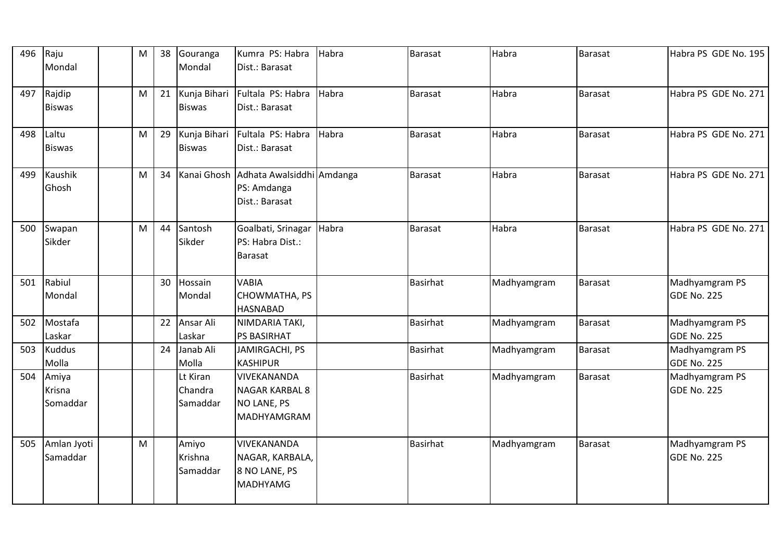| 496 | Raju<br>Mondal                     | M | 38 | Gouranga<br>Mondal              | Kumra PS: Habra<br>Dist.: Barasat                                      | Habra | <b>Barasat</b>  | Habra       | <b>Barasat</b> | Habra PS GDE No. 195                 |
|-----|------------------------------------|---|----|---------------------------------|------------------------------------------------------------------------|-------|-----------------|-------------|----------------|--------------------------------------|
| 497 | Rajdip<br><b>Biswas</b>            | M | 21 | Kunja Bihari<br><b>Biswas</b>   | Fultala PS: Habra<br>Dist.: Barasat                                    | Habra | <b>Barasat</b>  | Habra       | Barasat        | Habra PS GDE No. 271                 |
| 498 | Laltu<br><b>Biswas</b>             | M | 29 | Kunja Bihari<br><b>Biswas</b>   | Fultala PS: Habra<br>Dist.: Barasat                                    | Habra | <b>Barasat</b>  | Habra       | <b>Barasat</b> | Habra PS GDE No. 271                 |
| 499 | Kaushik<br>Ghosh                   | M | 34 |                                 | Kanai Ghosh Adhata Awalsiddhi Amdanga<br>PS: Amdanga<br>Dist.: Barasat |       | <b>Barasat</b>  | Habra       | <b>Barasat</b> | Habra PS GDE No. 271                 |
| 500 | Swapan<br>Sikder                   | M | 44 | Santosh<br>Sikder               | Goalbati, Srinagar Habra<br>PS: Habra Dist.:<br><b>Barasat</b>         |       | <b>Barasat</b>  | Habra       | Barasat        | Habra PS GDE No. 271                 |
| 501 | Rabiul<br>Mondal                   |   | 30 | Hossain<br>Mondal               | <b>VABIA</b><br>CHOWMATHA, PS<br><b>HASNABAD</b>                       |       | <b>Basirhat</b> | Madhyamgram | Barasat        | Madhyamgram PS<br><b>GDE No. 225</b> |
| 502 | Mostafa<br>Laskar                  |   | 22 | Ansar Ali<br>Laskar             | NIMDARIA TAKI,<br><b>PS BASIRHAT</b>                                   |       | <b>Basirhat</b> | Madhyamgram | <b>Barasat</b> | Madhyamgram PS<br><b>GDE No. 225</b> |
| 503 | <b>Kuddus</b><br>Molla             |   | 24 | Janab Ali<br>Molla              | <b>JAMIRGACHI, PS</b><br><b>KASHIPUR</b>                               |       | <b>Basirhat</b> | Madhyamgram | <b>Barasat</b> | Madhyamgram PS<br><b>GDE No. 225</b> |
| 504 | Amiya<br><b>Krisna</b><br>Somaddar |   |    | Lt Kiran<br>Chandra<br>Samaddar | VIVEKANANDA<br>NAGAR KARBAL 8<br>NO LANE, PS<br>MADHYAMGRAM            |       | <b>Basirhat</b> | Madhyamgram | Barasat        | Madhyamgram PS<br><b>GDE No. 225</b> |
| 505 | Amlan Jyoti<br>Samaddar            | M |    | Amiyo<br>Krishna<br>Samaddar    | VIVEKANANDA<br>NAGAR, KARBALA,<br>8 NO LANE, PS<br><b>MADHYAMG</b>     |       | <b>Basirhat</b> | Madhyamgram | <b>Barasat</b> | Madhyamgram PS<br><b>GDE No. 225</b> |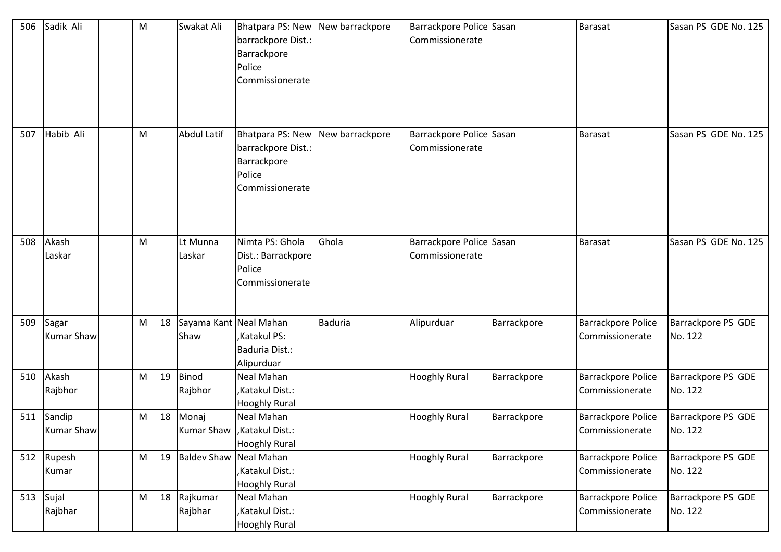| 506 | Sadik Ali                  | M |    | Swakat Ali                     | Bhatpara PS: New New barrackpore<br>barrackpore Dist.:<br>Barrackpore<br>Police<br>Commissionerate |                | Barrackpore Police Sasan<br>Commissionerate |             | <b>Barasat</b>                               | Sasan PS GDE No. 125          |
|-----|----------------------------|---|----|--------------------------------|----------------------------------------------------------------------------------------------------|----------------|---------------------------------------------|-------------|----------------------------------------------|-------------------------------|
| 507 | Habib Ali                  | M |    | <b>Abdul Latif</b>             | Bhatpara PS: New New barrackpore<br>barrackpore Dist.:<br>Barrackpore<br>Police<br>Commissionerate |                | Barrackpore Police Sasan<br>Commissionerate |             | <b>Barasat</b>                               | Sasan PS GDE No. 125          |
| 508 | Akash<br>Laskar            | M |    | Lt Munna<br>Laskar             | Nimta PS: Ghola<br>Dist.: Barrackpore<br>Police<br>Commissionerate                                 | Ghola          | Barrackpore Police Sasan<br>Commissionerate |             | <b>Barasat</b>                               | Sasan PS GDE No. 125          |
| 509 | Sagar<br><b>Kumar Shaw</b> | M | 18 | Sayama Kant Neal Mahan<br>Shaw | Katakul PS:<br>Baduria Dist.:<br>Alipurduar                                                        | <b>Baduria</b> | Alipurduar                                  | Barrackpore | <b>Barrackpore Police</b><br>Commissionerate | Barrackpore PS GDE<br>No. 122 |
| 510 | Akash<br>Rajbhor           | M | 19 | Binod<br>Rajbhor               | Neal Mahan<br>,Katakul Dist.:<br><b>Hooghly Rural</b>                                              |                | <b>Hooghly Rural</b>                        | Barrackpore | <b>Barrackpore Police</b><br>Commissionerate | Barrackpore PS GDE<br>No. 122 |
| 511 | Sandip<br>Kumar Shaw       | M | 18 | Monaj                          | Neal Mahan<br>Kumar Shaw   Katakul Dist.:<br><b>Hooghly Rural</b>                                  |                | <b>Hooghly Rural</b>                        | Barrackpore | <b>Barrackpore Police</b><br>Commissionerate | Barrackpore PS GDE<br>No. 122 |
|     | 512 Rupesh<br>Kumar        | M | 19 | Baldev Shaw Neal Mahan         | ,Katakul Dist.:<br><b>Hooghly Rural</b>                                                            |                | <b>Hooghly Rural</b>                        | Barrackpore | <b>Barrackpore Police</b><br>Commissionerate | Barrackpore PS GDE<br>No. 122 |
| 513 | Sujal<br>Rajbhar           | M | 18 | Rajkumar<br>Rajbhar            | Neal Mahan<br>,Katakul Dist.:<br><b>Hooghly Rural</b>                                              |                | <b>Hooghly Rural</b>                        | Barrackpore | <b>Barrackpore Police</b><br>Commissionerate | Barrackpore PS GDE<br>No. 122 |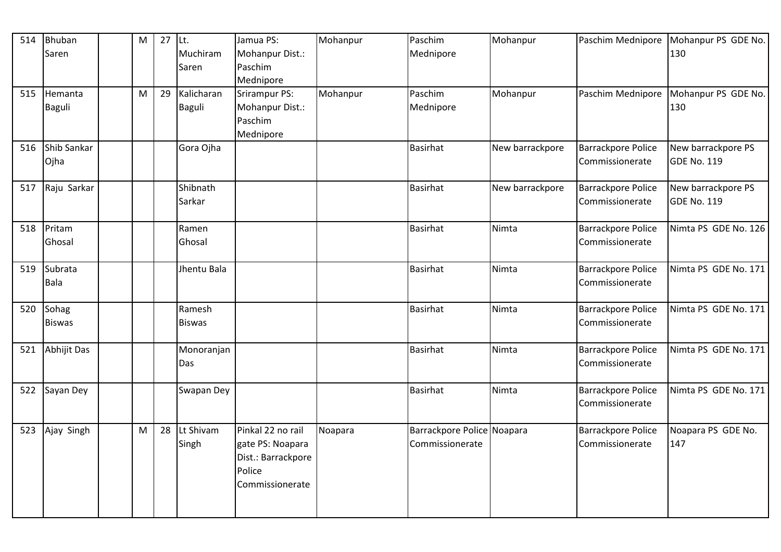| Saren<br>Muchiram<br>Mohanpur Dist.:<br>Mednipore<br>130<br>Paschim<br>Saren<br>Mednipore<br>Paschim<br>29<br>Kalicharan<br><b>Srirampur PS:</b><br>Mohanpur<br>Mohanpur<br>Paschim Mednipore<br>Mohanpur PS GDE No.<br>515<br>Hemanta<br>M<br>Mohanpur Dist.:<br>Baguli<br>Mednipore<br><b>Baguli</b><br>130<br>Paschim<br>Mednipore<br>Shib Sankar<br>Gora Ojha<br><b>Basirhat</b><br><b>Barrackpore Police</b><br>New barrackpore PS<br>New barrackpore<br>516 |  |
|-------------------------------------------------------------------------------------------------------------------------------------------------------------------------------------------------------------------------------------------------------------------------------------------------------------------------------------------------------------------------------------------------------------------------------------------------------------------|--|
|                                                                                                                                                                                                                                                                                                                                                                                                                                                                   |  |
|                                                                                                                                                                                                                                                                                                                                                                                                                                                                   |  |
|                                                                                                                                                                                                                                                                                                                                                                                                                                                                   |  |
|                                                                                                                                                                                                                                                                                                                                                                                                                                                                   |  |
|                                                                                                                                                                                                                                                                                                                                                                                                                                                                   |  |
|                                                                                                                                                                                                                                                                                                                                                                                                                                                                   |  |
|                                                                                                                                                                                                                                                                                                                                                                                                                                                                   |  |
| Ojha<br><b>GDE No. 119</b><br>Commissionerate                                                                                                                                                                                                                                                                                                                                                                                                                     |  |
| Shibnath<br><b>Barrackpore Police</b><br>New barrackpore PS<br>Raju Sarkar<br>New barrackpore<br>517<br><b>Basirhat</b>                                                                                                                                                                                                                                                                                                                                           |  |
| Sarkar<br>Commissionerate<br><b>GDE No. 119</b>                                                                                                                                                                                                                                                                                                                                                                                                                   |  |
| Pritam<br>Ramen<br><b>Basirhat</b><br>Nimta<br>Barrackpore Police<br>Nimta PS GDE No. 126<br>518                                                                                                                                                                                                                                                                                                                                                                  |  |
| Ghosal<br>Commissionerate<br>Ghosal                                                                                                                                                                                                                                                                                                                                                                                                                               |  |
| <b>Basirhat</b><br>Nimta<br>Nimta PS GDE No. 171<br>519<br>Subrata<br>Jhentu Bala<br>Barrackpore Police                                                                                                                                                                                                                                                                                                                                                           |  |
| Bala<br>Commissionerate                                                                                                                                                                                                                                                                                                                                                                                                                                           |  |
| 520 Sohag<br>Ramesh<br><b>Basirhat</b><br>Nimta<br>Barrackpore Police<br>Nimta PS GDE No. 171                                                                                                                                                                                                                                                                                                                                                                     |  |
| <b>Biswas</b><br>Commissionerate<br><b>Biswas</b>                                                                                                                                                                                                                                                                                                                                                                                                                 |  |
| Abhijit Das<br>Monoranjan<br>Nimta<br><b>Barrackpore Police</b><br>Nimta PS GDE No. 171<br>521<br><b>Basirhat</b>                                                                                                                                                                                                                                                                                                                                                 |  |
| Commissionerate<br>Das                                                                                                                                                                                                                                                                                                                                                                                                                                            |  |
| <b>Basirhat</b><br>Nimta<br><b>Barrackpore Police</b><br>Sayan Dey<br>Swapan Dey<br>Nimta PS GDE No. 171<br>522                                                                                                                                                                                                                                                                                                                                                   |  |
| Commissionerate                                                                                                                                                                                                                                                                                                                                                                                                                                                   |  |
| Lt Shivam<br>Pinkal 22 no rail<br>Ajay Singh<br>M<br>28<br>Noapara<br>Barrackpore Police Noapara<br><b>Barrackpore Police</b><br>Noapara PS GDE No.<br>523                                                                                                                                                                                                                                                                                                        |  |
| gate PS: Noapara<br>Commissionerate<br>147<br>Singh<br>Commissionerate                                                                                                                                                                                                                                                                                                                                                                                            |  |
| Dist.: Barrackpore                                                                                                                                                                                                                                                                                                                                                                                                                                                |  |
| Police                                                                                                                                                                                                                                                                                                                                                                                                                                                            |  |
| Commissionerate                                                                                                                                                                                                                                                                                                                                                                                                                                                   |  |
|                                                                                                                                                                                                                                                                                                                                                                                                                                                                   |  |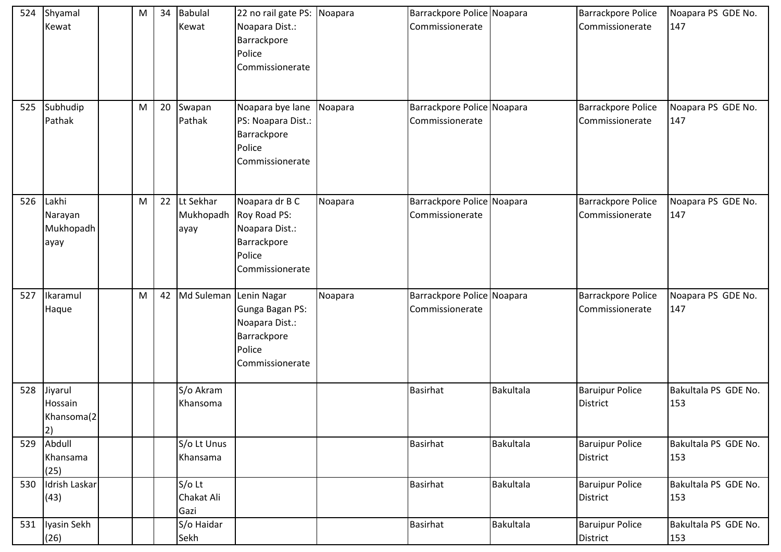| 524 | Shyamal<br>Kewat                          | M | 34 | <b>Babulal</b><br>Kewat        | 22 no rail gate PS: Noapara<br>Noapara Dist.:<br>Barrackpore<br>Police<br>Commissionerate    |         | Barrackpore Police Noapara<br>Commissionerate |                  | <b>Barrackpore Police</b><br>Commissionerate | Noapara PS GDE No.<br>147   |
|-----|-------------------------------------------|---|----|--------------------------------|----------------------------------------------------------------------------------------------|---------|-----------------------------------------------|------------------|----------------------------------------------|-----------------------------|
| 525 | Subhudip<br>Pathak                        | M | 20 | Swapan<br>Pathak               | Noapara bye lane<br>PS: Noapara Dist.:<br>Barrackpore<br>Police<br>Commissionerate           | Noapara | Barrackpore Police Noapara<br>Commissionerate |                  | <b>Barrackpore Police</b><br>Commissionerate | Noapara PS GDE No.<br>147   |
|     | 526 Lakhi<br>Narayan<br>Mukhopadh<br>ayay | M | 22 | Lt Sekhar<br>Mukhopadh<br>ayay | Noapara dr B C<br>Roy Road PS:<br>Noapara Dist.:<br>Barrackpore<br>Police<br>Commissionerate | Noapara | Barrackpore Police Noapara<br>Commissionerate |                  | <b>Barrackpore Police</b><br>Commissionerate | Noapara PS GDE No.<br>147   |
| 527 | Ikaramul<br>Haque                         | M | 42 | Md Suleman Lenin Nagar         | Gunga Bagan PS:<br>Noapara Dist.:<br>Barrackpore<br>Police<br>Commissionerate                | Noapara | Barrackpore Police Noapara<br>Commissionerate |                  | <b>Barrackpore Police</b><br>Commissionerate | Noapara PS GDE No.<br>147   |
| 528 | Jiyarul<br>Hossain<br>Khansoma(2<br> 2)   |   |    | S/o Akram<br>Khansoma          |                                                                                              |         | <b>Basirhat</b>                               | <b>Bakultala</b> | <b>Baruipur Police</b><br><b>District</b>    | Bakultala PS GDE No.<br>153 |
| 529 | Abdull<br>Khansama<br>(25)                |   |    | S/o Lt Unus<br>Khansama        |                                                                                              |         | <b>Basirhat</b>                               | Bakultala        | <b>Baruipur Police</b><br><b>District</b>    | Bakultala PS GDE No.<br>153 |
| 530 | Idrish Laskar<br>(43)                     |   |    | S/o Lt<br>Chakat Ali<br>Gazi   |                                                                                              |         | <b>Basirhat</b>                               | Bakultala        | <b>Baruipur Police</b><br><b>District</b>    | Bakultala PS GDE No.<br>153 |
|     | 531 Iyasin Sekh<br>(26)                   |   |    | S/o Haidar<br>Sekh             |                                                                                              |         | <b>Basirhat</b>                               | Bakultala        | <b>Baruipur Police</b><br>District           | Bakultala PS GDE No.<br>153 |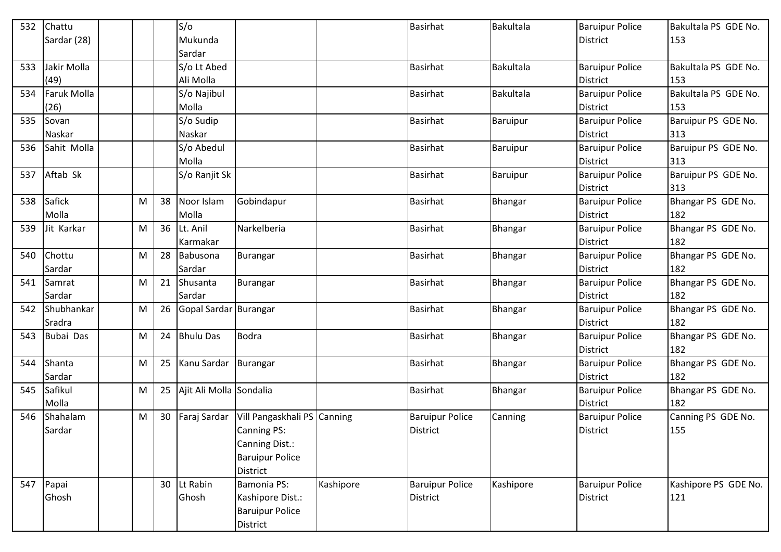| 532 | Chattu             |   |    | S/O                     |                                            |           | <b>Basirhat</b>        | Bakultala | <b>Baruipur Police</b> | Bakultala PS GDE No. |
|-----|--------------------|---|----|-------------------------|--------------------------------------------|-----------|------------------------|-----------|------------------------|----------------------|
|     | Sardar (28)        |   |    | Mukunda                 |                                            |           |                        |           | <b>District</b>        | 153                  |
|     |                    |   |    | Sardar                  |                                            |           |                        |           |                        |                      |
| 533 | Jakir Molla        |   |    | S/o Lt Abed             |                                            |           | <b>Basirhat</b>        | Bakultala | <b>Baruipur Police</b> | Bakultala PS GDE No. |
|     | (49)               |   |    | Ali Molla               |                                            |           |                        |           | <b>District</b>        | 153                  |
| 534 | <b>Faruk Molla</b> |   |    | S/o Najibul             |                                            |           | <b>Basirhat</b>        | Bakultala | <b>Baruipur Police</b> | Bakultala PS GDE No. |
|     | (26)               |   |    | Molla                   |                                            |           |                        |           | <b>District</b>        | 153                  |
| 535 | Sovan              |   |    | S/o Sudip               |                                            |           | <b>Basirhat</b>        | Baruipur  | <b>Baruipur Police</b> | Baruipur PS GDE No.  |
|     | Naskar             |   |    | Naskar                  |                                            |           |                        |           | <b>District</b>        | 313                  |
| 536 | Sahit Molla        |   |    | S/o Abedul              |                                            |           | <b>Basirhat</b>        | Baruipur  | <b>Baruipur Police</b> | Baruipur PS GDE No.  |
|     |                    |   |    | Molla                   |                                            |           |                        |           | <b>District</b>        | 313                  |
| 537 | Aftab Sk           |   |    | S/o Ranjit Sk           |                                            |           | <b>Basirhat</b>        | Baruipur  | <b>Baruipur Police</b> | Baruipur PS GDE No.  |
|     |                    |   |    |                         |                                            |           |                        |           | <b>District</b>        | 313                  |
| 538 | Safick             | M | 38 | Noor Islam              | Gobindapur                                 |           | <b>Basirhat</b>        | Bhangar   | <b>Baruipur Police</b> | Bhangar PS GDE No.   |
|     | Molla              |   |    | Molla                   |                                            |           |                        |           | <b>District</b>        | 182                  |
| 539 | Jit Karkar         | M |    | 36 Lt. Anil             | Narkelberia                                |           | Basirhat               | Bhangar   | <b>Baruipur Police</b> | Bhangar PS GDE No.   |
|     |                    |   |    | Karmakar                |                                            |           |                        |           | <b>District</b>        | 182                  |
| 540 | Chottu             | M | 28 | Babusona                | Burangar                                   |           | <b>Basirhat</b>        | Bhangar   | <b>Baruipur Police</b> | Bhangar PS GDE No.   |
|     | Sardar             |   |    | Sardar                  |                                            |           |                        |           | <b>District</b>        | 182                  |
| 541 | Samrat             | M | 21 | Shusanta                | <b>Burangar</b>                            |           | <b>Basirhat</b>        | Bhangar   | <b>Baruipur Police</b> | Bhangar PS GDE No.   |
|     | Sardar             |   |    | Sardar                  |                                            |           |                        |           | <b>District</b>        | 182                  |
| 542 | Shubhankar         | M | 26 | Gopal Sardar Burangar   |                                            |           | <b>Basirhat</b>        | Bhangar   | <b>Baruipur Police</b> | Bhangar PS GDE No.   |
|     | Sradra             |   |    |                         |                                            |           |                        |           | <b>District</b>        | 182                  |
| 543 | Bubai Das          | M | 24 | <b>Bhulu Das</b>        | <b>Bodra</b>                               |           | <b>Basirhat</b>        | Bhangar   | <b>Baruipur Police</b> | Bhangar PS GDE No.   |
|     |                    |   |    |                         |                                            |           |                        |           | <b>District</b>        | 182                  |
| 544 | Shanta             | M | 25 | Kanu Sardar Burangar    |                                            |           | <b>Basirhat</b>        | Bhangar   | <b>Baruipur Police</b> | Bhangar PS GDE No.   |
|     | Sardar             |   |    |                         |                                            |           |                        |           | <b>District</b>        | 182                  |
| 545 | Safikul            | M | 25 | Ajit Ali Molla Sondalia |                                            |           | <b>Basirhat</b>        | Bhangar   | <b>Baruipur Police</b> | Bhangar PS GDE No.   |
|     | Molla              |   |    |                         |                                            |           |                        |           | <b>District</b>        | 182                  |
| 546 | Shahalam           | M | 30 |                         | Faraj Sardar   Vill Pangaskhali PS Canning |           | <b>Baruipur Police</b> | Canning   | <b>Baruipur Police</b> | Canning PS GDE No.   |
|     | Sardar             |   |    |                         | Canning PS:                                |           | District               |           | <b>District</b>        | 155                  |
|     |                    |   |    |                         | Canning Dist.:                             |           |                        |           |                        |                      |
|     |                    |   |    |                         | <b>Baruipur Police</b>                     |           |                        |           |                        |                      |
|     |                    |   |    |                         | <b>District</b>                            |           |                        |           |                        |                      |
| 547 | Papai              |   |    | 30 Lt Rabin             | <b>Bamonia PS:</b>                         | Kashipore | <b>Baruipur Police</b> | Kashipore | <b>Baruipur Police</b> | Kashipore PS GDE No. |
|     | Ghosh              |   |    | Ghosh                   | Kashipore Dist.:                           |           | <b>District</b>        |           | <b>District</b>        | 121                  |
|     |                    |   |    |                         | <b>Baruipur Police</b>                     |           |                        |           |                        |                      |
|     |                    |   |    |                         | District                                   |           |                        |           |                        |                      |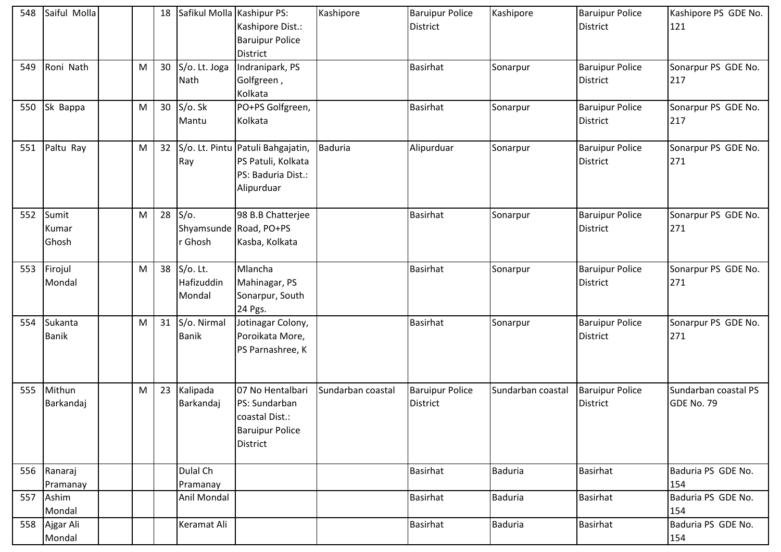| 548 | Saiful Molla            |   | 18              | Safikul Molla Kashipur PS:          | Kashipore Dist.:<br><b>Baruipur Police</b><br><b>District</b>                                    | Kashipore         | <b>Baruipur Police</b><br><b>District</b> | Kashipore         | <b>Baruipur Police</b><br><b>District</b> | Kashipore PS GDE No.<br>121        |
|-----|-------------------------|---|-----------------|-------------------------------------|--------------------------------------------------------------------------------------------------|-------------------|-------------------------------------------|-------------------|-------------------------------------------|------------------------------------|
| 549 | Roni Nath               | M | 30              | S/o. Lt. Joga<br>Nath               | Indranipark, PS<br>Golfgreen,<br>Kolkata                                                         |                   | <b>Basirhat</b>                           | Sonarpur          | <b>Baruipur Police</b><br><b>District</b> | Sonarpur PS GDE No.<br>217         |
| 550 | Sk Bappa                | M | 30 <sup>°</sup> | S/o. Sk<br>Mantu                    | PO+PS Golfgreen,<br>Kolkata                                                                      |                   | <b>Basirhat</b>                           | Sonarpur          | <b>Baruipur Police</b><br><b>District</b> | Sonarpur PS GDE No.<br>217         |
| 551 | Paltu Ray               | M | 32              | Ray                                 | S/o. Lt. Pintu Patuli Bahgajatin,<br>PS Patuli, Kolkata<br>PS: Baduria Dist.:<br>Alipurduar      | <b>Baduria</b>    | Alipurduar                                | Sonarpur          | <b>Baruipur Police</b><br><b>District</b> | Sonarpur PS GDE No.<br>271         |
| 552 | Sumit<br>Kumar<br>Ghosh | M | 28              | $S/O$ .<br>Ghosh                    | 98 B.B Chatterjee<br>Shyamsunde Road, PO+PS<br>Kasba, Kolkata                                    |                   | <b>Basirhat</b>                           | Sonarpur          | <b>Baruipur Police</b><br><b>District</b> | Sonarpur PS GDE No.<br>271         |
| 553 | Firojul<br>Mondal       | M | 38              | $S/O$ . Lt.<br>Hafizuddin<br>Mondal | Mlancha<br>Mahinagar, PS<br>Sonarpur, South<br>24 Pgs.                                           |                   | <b>Basirhat</b>                           | Sonarpur          | <b>Baruipur Police</b><br><b>District</b> | Sonarpur PS GDE No.<br>271         |
| 554 | Sukanta<br><b>Banik</b> | M | 31              | S/o. Nirmal<br><b>Banik</b>         | Jotinagar Colony,<br>Poroikata More,<br>PS Parnashree, K                                         |                   | <b>Basirhat</b>                           | Sonarpur          | <b>Baruipur Police</b><br><b>District</b> | Sonarpur PS GDE No.<br>271         |
| 555 | Mithun<br>Barkandaj     | M | 23              | Kalipada<br>Barkandaj               | 07 No Hentalbari<br>PS: Sundarban<br>coastal Dist.:<br><b>Baruipur Police</b><br><b>District</b> | Sundarban coastal | <b>Baruipur Police</b><br>District        | Sundarban coastal | <b>Baruipur Police</b><br><b>District</b> | Sundarban coastal PS<br>GDE No. 79 |
|     | 556 Ranaraj             |   |                 | Dulal Ch                            |                                                                                                  |                   | Basirhat                                  | Baduria           | <b>Basirhat</b>                           | Baduria PS GDE No.                 |
|     | Pramanay                |   |                 | Pramanay                            |                                                                                                  |                   |                                           |                   |                                           | 154                                |
|     | 557 Ashim<br>Mondal     |   |                 | Anil Mondal                         |                                                                                                  |                   | Basirhat                                  | <b>Baduria</b>    | <b>Basirhat</b>                           | Baduria PS GDE No.<br>154          |
|     | 558 Ajgar Ali<br>Mondal |   |                 | Keramat Ali                         |                                                                                                  |                   | Basirhat                                  | <b>Baduria</b>    | <b>Basirhat</b>                           | Baduria PS GDE No.<br>154          |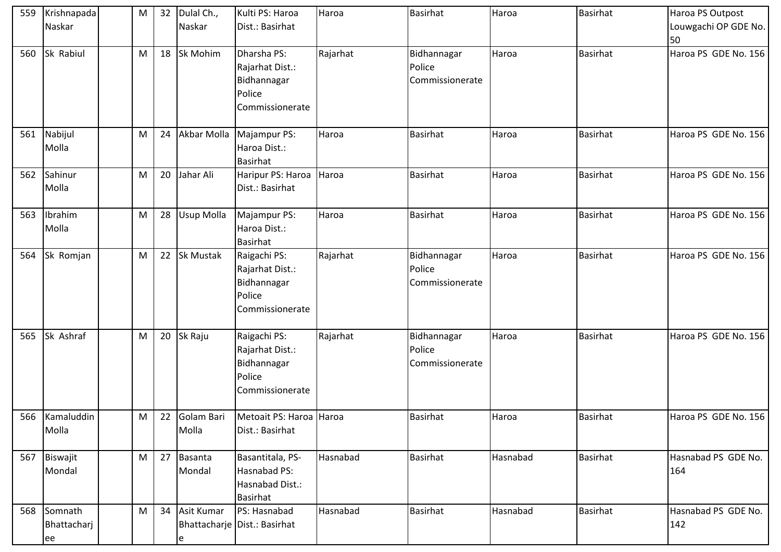| 559 | Krishnapada                      | M | 32 | Dulal Ch.,          | Kulti PS: Haroa                                                             | Haroa    | <b>Basirhat</b>                          | Haroa    | <b>Basirhat</b> | Haroa PS Outpost           |
|-----|----------------------------------|---|----|---------------------|-----------------------------------------------------------------------------|----------|------------------------------------------|----------|-----------------|----------------------------|
|     | Naskar                           |   |    | Naskar              | Dist.: Basirhat                                                             |          |                                          |          |                 | Louwgachi OP GDE No.       |
|     |                                  |   |    |                     |                                                                             |          |                                          |          |                 | 50                         |
| 560 | Sk Rabiul                        | M | 18 | Sk Mohim            | Dharsha PS:<br>Rajarhat Dist.:<br>Bidhannagar<br>Police<br>Commissionerate  | Rajarhat | Bidhannagar<br>Police<br>Commissionerate | Haroa    | <b>Basirhat</b> | Haroa PS GDE No. 156       |
| 561 | Nabijul                          | M | 24 | Akbar Molla         | Majampur PS:                                                                | Haroa    | <b>Basirhat</b>                          | Haroa    | <b>Basirhat</b> | Haroa PS GDE No. 156       |
|     | Molla                            |   |    |                     | Haroa Dist.:<br>Basirhat                                                    |          |                                          |          |                 |                            |
| 562 | Sahinur                          | M | 20 | Jahar Ali           | Haripur PS: Haroa                                                           | Haroa    | <b>Basirhat</b>                          | Haroa    | <b>Basirhat</b> | Haroa PS GDE No. 156       |
|     | Molla                            |   |    |                     | Dist.: Basirhat                                                             |          |                                          |          |                 |                            |
| 563 | Ibrahim                          | M | 28 | Usup Molla          | Majampur PS:                                                                | Haroa    | <b>Basirhat</b>                          | Haroa    | <b>Basirhat</b> | Haroa PS GDE No. 156       |
|     | Molla                            |   |    |                     | Haroa Dist.:                                                                |          |                                          |          |                 |                            |
|     |                                  |   |    |                     | <b>Basirhat</b>                                                             |          |                                          |          |                 |                            |
| 564 | Sk Romjan                        | M | 22 | Sk Mustak           | Raigachi PS:<br>Rajarhat Dist.:<br>Bidhannagar<br>Police<br>Commissionerate | Rajarhat | Bidhannagar<br>Police<br>Commissionerate | Haroa    | <b>Basirhat</b> | Haroa PS GDE No. 156       |
| 565 | Sk Ashraf                        | M | 20 | Sk Raju             | Raigachi PS:<br>Rajarhat Dist.:<br>Bidhannagar<br>Police<br>Commissionerate | Rajarhat | Bidhannagar<br>Police<br>Commissionerate | Haroa    | <b>Basirhat</b> | Haroa PS GDE No. 156       |
|     | 566 Kamaluddin<br>Molla          | M | 22 | Golam Bari<br>Molla | Metoait PS: Haroa Haroa<br>Dist.: Basirhat                                  |          | <b>Basirhat</b>                          | Haroa    | <b>Basirhat</b> | Haroa PS GDE No. 156       |
|     | 567 Biswajit<br>Mondal           | M | 27 | Basanta<br>Mondal   | Basantitala, PS-<br>Hasnabad PS:<br>Hasnabad Dist.:<br><b>Basirhat</b>      | Hasnabad | <b>Basirhat</b>                          | Hasnabad | <b>Basirhat</b> | Hasnabad PS GDE No.<br>164 |
|     | 568 Somnath<br>Bhattacharj<br>ee | M | 34 | Asit Kumar<br>e     | PS: Hasnabad<br>Bhattacharje   Dist.: Basirhat                              | Hasnabad | <b>Basirhat</b>                          | Hasnabad | <b>Basirhat</b> | Hasnabad PS GDE No.<br>142 |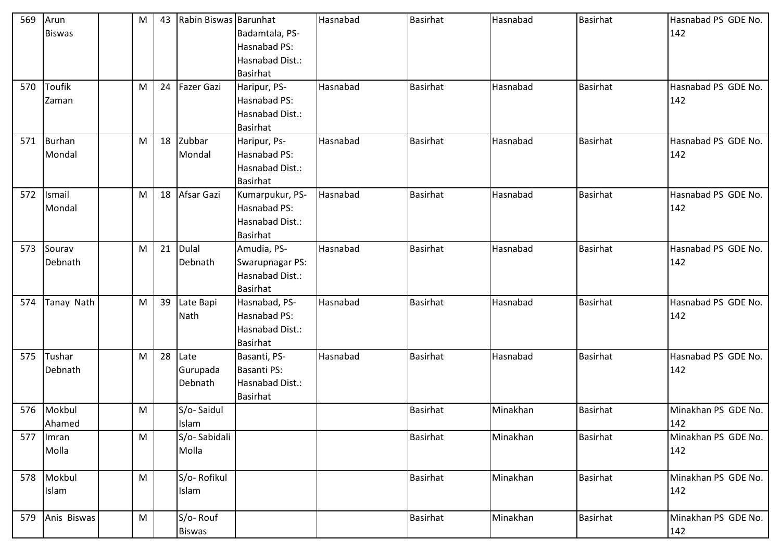| 569 | Arun<br><b>Biswas</b>  | M | 43 | Rabin Biswas Barunhat       | Badamtala, PS-<br>Hasnabad PS:<br>Hasnabad Dist.:<br><b>Basirhat</b>     | Hasnabad | <b>Basirhat</b> | Hasnabad | <b>Basirhat</b> | Hasnabad PS GDE No.<br>142 |
|-----|------------------------|---|----|-----------------------------|--------------------------------------------------------------------------|----------|-----------------|----------|-----------------|----------------------------|
| 570 | <b>Toufik</b><br>Zaman | M | 24 | Fazer Gazi                  | Haripur, PS-<br>Hasnabad PS:<br>Hasnabad Dist.:<br><b>Basirhat</b>       | Hasnabad | <b>Basirhat</b> | Hasnabad | <b>Basirhat</b> | Hasnabad PS GDE No.<br>142 |
| 571 | Burhan<br>Mondal       | M | 18 | Zubbar<br>Mondal            | Haripur, Ps-<br>Hasnabad PS:<br>Hasnabad Dist.:<br><b>Basirhat</b>       | Hasnabad | <b>Basirhat</b> | Hasnabad | <b>Basirhat</b> | Hasnabad PS GDE No.<br>142 |
| 572 | Ismail<br>Mondal       | M | 18 | Afsar Gazi                  | Kumarpukur, PS-<br>Hasnabad PS:<br>Hasnabad Dist.:<br><b>Basirhat</b>    | Hasnabad | <b>Basirhat</b> | Hasnabad | <b>Basirhat</b> | Hasnabad PS GDE No.<br>142 |
| 573 | Sourav<br>Debnath      | M | 21 | <b>Dulal</b><br>Debnath     | Amudia, PS-<br>Swarupnagar PS:<br>Hasnabad Dist.:<br><b>Basirhat</b>     | Hasnabad | <b>Basirhat</b> | Hasnabad | <b>Basirhat</b> | Hasnabad PS GDE No.<br>142 |
| 574 | Tanay Nath             | M | 39 | Late Bapi<br>Nath           | Hasnabad, PS-<br>Hasnabad PS:<br>Hasnabad Dist.:<br><b>Basirhat</b>      | Hasnabad | <b>Basirhat</b> | Hasnabad | Basirhat        | Hasnabad PS GDE No.<br>142 |
| 575 | Tushar<br>Debnath      | M | 28 | Late<br>Gurupada<br>Debnath | Basanti, PS-<br><b>Basanti PS:</b><br>Hasnabad Dist.:<br><b>Basirhat</b> | Hasnabad | <b>Basirhat</b> | Hasnabad | <b>Basirhat</b> | Hasnabad PS GDE No.<br>142 |
| 576 | Mokbul<br>Ahamed       | M |    | S/o-Saidul<br>Islam         |                                                                          |          | <b>Basirhat</b> | Minakhan | <b>Basirhat</b> | Minakhan PS GDE No.<br>142 |
| 577 | Imran<br>Molla         | M |    | S/o-Sabidali<br>Molla       |                                                                          |          | <b>Basirhat</b> | Minakhan | <b>Basirhat</b> | Minakhan PS GDE No.<br>142 |
|     | 578 Mokbul<br>Islam    | M |    | S/o-Rofikul<br>Islam        |                                                                          |          | Basirhat        | Minakhan | <b>Basirhat</b> | Minakhan PS GDE No.<br>142 |
| 579 | Anis Biswas            | M |    | S/o-Rouf<br><b>Biswas</b>   |                                                                          |          | <b>Basirhat</b> | Minakhan | <b>Basirhat</b> | Minakhan PS GDE No.<br>142 |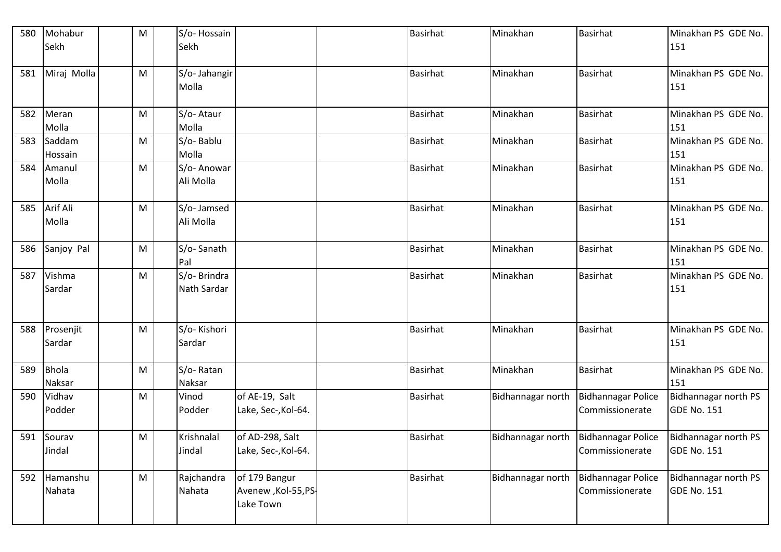| 580 | Mohabur              | M | S/o-Hossain                 |                                                    | <b>Basirhat</b> | Minakhan                               | <b>Basirhat</b>                              | Minakhan PS GDE No.                        |
|-----|----------------------|---|-----------------------------|----------------------------------------------------|-----------------|----------------------------------------|----------------------------------------------|--------------------------------------------|
|     | Sekh                 |   | Sekh                        |                                                    |                 |                                        |                                              | 151                                        |
| 581 | Miraj Molla          | M | S/o- Jahangir<br>Molla      |                                                    | <b>Basirhat</b> | Minakhan                               | <b>Basirhat</b>                              | Minakhan PS GDE No.<br>151                 |
| 582 | Meran<br>Molla       | M | S/o-Ataur<br>Molla          |                                                    | <b>Basirhat</b> | Minakhan                               | <b>Basirhat</b>                              | Minakhan PS GDE No.<br>151                 |
| 583 | Saddam<br>Hossain    | M | S/o-Bablu<br>Molla          |                                                    | <b>Basirhat</b> | Minakhan                               | <b>Basirhat</b>                              | Minakhan PS GDE No.<br>151                 |
| 584 | Amanul<br>Molla      | M | S/o- Anowar<br>Ali Molla    |                                                    | <b>Basirhat</b> | Minakhan                               | <b>Basirhat</b>                              | Minakhan PS GDE No.<br>151                 |
| 585 | Arif Ali<br>Molla    | M | S/o- Jamsed<br>Ali Molla    |                                                    | <b>Basirhat</b> | Minakhan                               | <b>Basirhat</b>                              | Minakhan PS GDE No.<br>151                 |
| 586 | Sanjoy Pal           | M | S/o-Sanath<br>Pal           |                                                    | <b>Basirhat</b> | Minakhan                               | <b>Basirhat</b>                              | Minakhan PS GDE No.<br>151                 |
| 587 | Vishma<br>Sardar     | M | S/o- Brindra<br>Nath Sardar |                                                    | <b>Basirhat</b> | Minakhan                               | <b>Basirhat</b>                              | Minakhan PS GDE No.<br>151                 |
| 588 | Prosenjit<br>Sardar  | M | S/o-Kishori<br>Sardar       |                                                    | <b>Basirhat</b> | Minakhan                               | <b>Basirhat</b>                              | Minakhan PS GDE No.<br>151                 |
| 589 | Bhola<br>Naksar      | M | S/o-Ratan<br>Naksar         |                                                    | <b>Basirhat</b> | Minakhan                               | <b>Basirhat</b>                              | Minakhan PS GDE No.<br>151                 |
| 590 | Vidhav<br>Podder     | M | Vinod<br>Podder             | of AE-19, Salt<br>Lake, Sec-, Kol-64.              | <b>Basirhat</b> | Bidhannagar north                      | <b>Bidhannagar Police</b><br>Commissionerate | Bidhannagar north PS<br><b>GDE No. 151</b> |
|     | 591 Sourav<br>Jindal | M | Krishnalal<br>Jindal        | of AD-298, Salt<br>Lake, Sec-, Kol-64.             | Basirhat        | Bidhannagar north   Bidhannagar Police | Commissionerate                              | Bidhannagar north PS<br><b>GDE No. 151</b> |
| 592 | Hamanshu<br>Nahata   | M | Rajchandra<br>Nahata        | of 179 Bangur<br>Avenew , Kol-55, PS-<br>Lake Town | <b>Basirhat</b> | Bidhannagar north                      | <b>Bidhannagar Police</b><br>Commissionerate | Bidhannagar north PS<br><b>GDE No. 151</b> |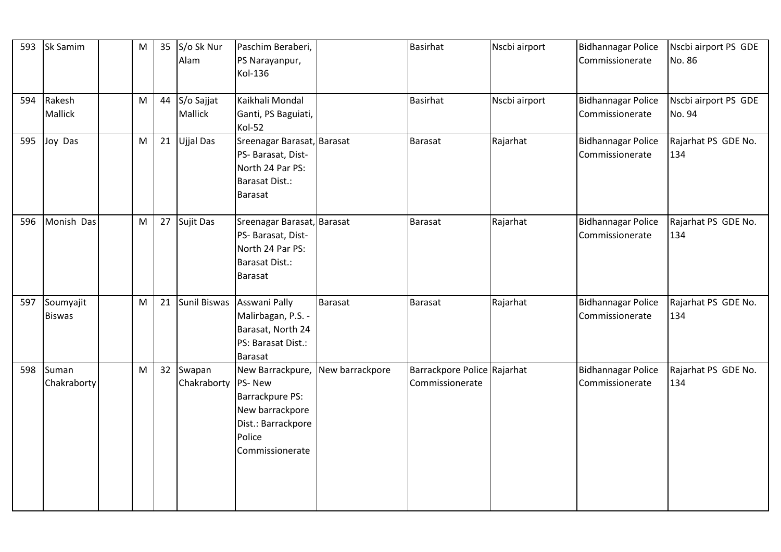|     | 593 Sk Samim               | M | 35 | S/o Sk Nur<br>Alam              | Paschim Beraberi,<br>PS Narayanpur,<br>Kol-136                                                                            |         | <b>Basirhat</b>                                | Nscbi airport | <b>Bidhannagar Police</b><br>Commissionerate | Nscbi airport PS GDE<br>No. 86 |
|-----|----------------------------|---|----|---------------------------------|---------------------------------------------------------------------------------------------------------------------------|---------|------------------------------------------------|---------------|----------------------------------------------|--------------------------------|
|     | 594 Rakesh<br>Mallick      | M | 44 | S/o Sajjat<br>Mallick           | Kaikhali Mondal<br>Ganti, PS Baguiati,<br>Kol-52                                                                          |         | <b>Basirhat</b>                                | Nscbi airport | <b>Bidhannagar Police</b><br>Commissionerate | Nscbi airport PS GDE<br>No. 94 |
| 595 | Joy Das                    | M | 21 | Ujjal Das                       | Sreenagar Barasat, Barasat<br>PS- Barasat, Dist-<br>North 24 Par PS:<br><b>Barasat Dist.:</b><br><b>Barasat</b>           |         | <b>Barasat</b>                                 | Rajarhat      | <b>Bidhannagar Police</b><br>Commissionerate | Rajarhat PS GDE No.<br>134     |
| 596 | Monish Das                 | M | 27 | Sujit Das                       | Sreenagar Barasat, Barasat<br>PS- Barasat, Dist-<br>North 24 Par PS:<br><b>Barasat Dist.:</b><br><b>Barasat</b>           |         | <b>Barasat</b>                                 | Rajarhat      | <b>Bidhannagar Police</b><br>Commissionerate | Rajarhat PS GDE No.<br>134     |
| 597 | Soumyajit<br><b>Biswas</b> | M | 21 |                                 | Sunil Biswas Asswani Pally<br>Malirbagan, P.S. -<br>Barasat, North 24<br>PS: Barasat Dist.:<br><b>Barasat</b>             | Barasat | <b>Barasat</b>                                 | Rajarhat      | <b>Bidhannagar Police</b><br>Commissionerate | Rajarhat PS GDE No.<br>134     |
| 598 | Suman<br>Chakraborty       | M | 32 | Swapan<br>Chakraborty   PS- New | New Barrackpure, New barrackpore<br>Barrackpure PS:<br>New barrackpore<br>Dist.: Barrackpore<br>Police<br>Commissionerate |         | Barrackpore Police Rajarhat<br>Commissionerate |               | <b>Bidhannagar Police</b><br>Commissionerate | Rajarhat PS GDE No.<br>134     |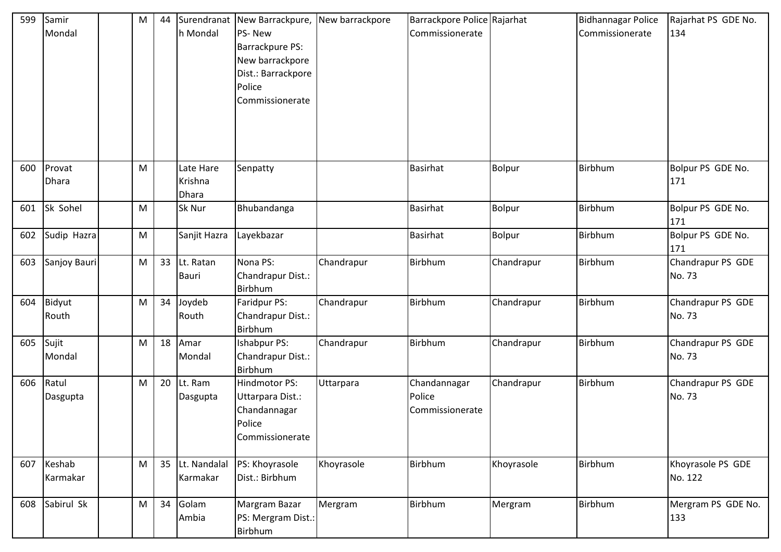| 599 | Samir<br>Mondal        | M | 44 | h Mondal                      | Surendranat New Barrackpure, New barrackpore<br>PS-New<br>Barrackpure PS:<br>New barrackpore<br>Dist.: Barrackpore<br>Police<br>Commissionerate |            | Barrackpore Police Rajarhat<br>Commissionerate |               | <b>Bidhannagar Police</b><br>Commissionerate | Rajarhat PS GDE No.<br>134   |
|-----|------------------------|---|----|-------------------------------|-------------------------------------------------------------------------------------------------------------------------------------------------|------------|------------------------------------------------|---------------|----------------------------------------------|------------------------------|
| 600 | Provat<br>Dhara        | M |    | Late Hare<br>Krishna<br>Dhara | Senpatty                                                                                                                                        |            | <b>Basirhat</b>                                | <b>Bolpur</b> | Birbhum                                      | Bolpur PS GDE No.<br>171     |
| 601 | Sk Sohel               | M |    | Sk Nur                        | Bhubandanga                                                                                                                                     |            | <b>Basirhat</b>                                | Bolpur        | Birbhum                                      | Bolpur PS GDE No.<br>171     |
| 602 | Sudip Hazra            | M |    | Sanjit Hazra                  | Layekbazar                                                                                                                                      |            | <b>Basirhat</b>                                | <b>Bolpur</b> | Birbhum                                      | Bolpur PS GDE No.<br>171     |
| 603 | Sanjoy Bauri           | M | 33 | Lt. Ratan<br><b>Bauri</b>     | Nona PS:<br>Chandrapur Dist.:<br>Birbhum                                                                                                        | Chandrapur | Birbhum                                        | Chandrapur    | Birbhum                                      | Chandrapur PS GDE<br>No. 73  |
| 604 | <b>Bidyut</b><br>Routh | M | 34 | Joydeb<br>Routh               | Faridpur PS:<br>Chandrapur Dist.:<br>Birbhum                                                                                                    | Chandrapur | <b>Birbhum</b>                                 | Chandrapur    | Birbhum                                      | Chandrapur PS GDE<br>No. 73  |
| 605 | Sujit<br>Mondal        | M | 18 | Amar<br>Mondal                | Ishabpur PS:<br>Chandrapur Dist.:<br>Birbhum                                                                                                    | Chandrapur | Birbhum                                        | Chandrapur    | Birbhum                                      | Chandrapur PS GDE<br>No. 73  |
| 606 | Ratul<br>Dasgupta      | M | 20 | Lt. Ram<br>Dasgupta           | Hindmotor PS:<br>Uttarpara Dist.:<br>Chandannagar<br>Police<br>Commissionerate                                                                  | Uttarpara  | Chandannagar<br>Police<br>Commissionerate      | Chandrapur    | Birbhum                                      | Chandrapur PS GDE<br>No. 73  |
| 607 | Keshab<br>Karmakar     | M | 35 | Lt. Nandalal<br>Karmakar      | PS: Khoyrasole<br>Dist.: Birbhum                                                                                                                | Khoyrasole | <b>Birbhum</b>                                 | Khoyrasole    | Birbhum                                      | Khoyrasole PS GDE<br>No. 122 |
| 608 | Sabirul Sk             | M | 34 | Golam<br>Ambia                | Margram Bazar<br>PS: Mergram Dist.:<br>Birbhum                                                                                                  | Mergram    | Birbhum                                        | Mergram       | Birbhum                                      | Mergram PS GDE No.<br>133    |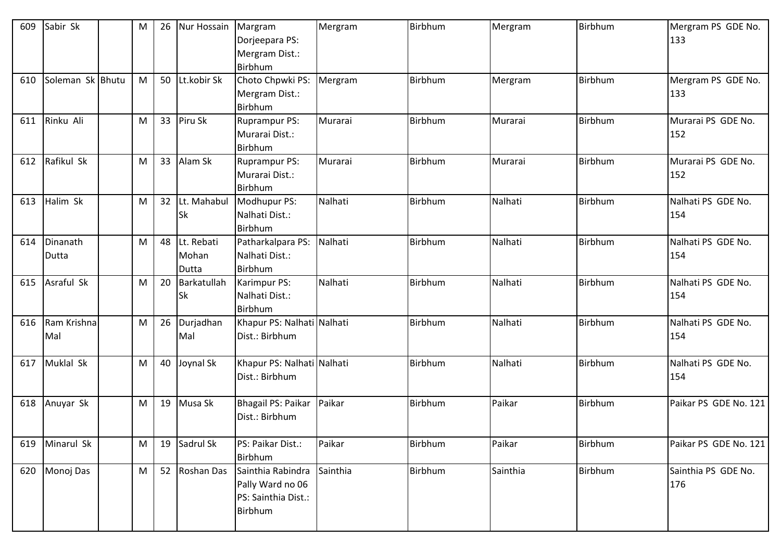| 609 | Sabir Sk           | M | 26 | Nur Hossain                  | Margram<br>Dorjeepara PS:<br>Mergram Dist.:<br>Birbhum                  | Mergram  | Birbhum | Mergram  | Birbhum        | Mergram PS GDE No.<br>133  |
|-----|--------------------|---|----|------------------------------|-------------------------------------------------------------------------|----------|---------|----------|----------------|----------------------------|
| 610 | Soleman Sk Bhutu   | M | 50 | Lt.kobir Sk                  | Choto Chpwki PS:<br>Mergram Dist.:<br>Birbhum                           | Mergram  | Birbhum | Mergram  | <b>Birbhum</b> | Mergram PS GDE No.<br>133  |
| 611 | Rinku Ali          | M | 33 | Piru Sk                      | <b>Ruprampur PS:</b><br>Murarai Dist.:<br>Birbhum                       | Murarai  | Birbhum | Murarai  | <b>Birbhum</b> | Murarai PS GDE No.<br>152  |
| 612 | Rafikul Sk         | M | 33 | Alam Sk                      | <b>Ruprampur PS:</b><br>Murarai Dist.:<br>Birbhum                       | Murarai  | Birbhum | Murarai  | <b>Birbhum</b> | Murarai PS GDE No.<br>152  |
| 613 | Halim Sk           | M | 32 | Lt. Mahabul<br><b>Sk</b>     | Modhupur PS:<br>Nalhati Dist.:<br>Birbhum                               | Nalhati  | Birbhum | Nalhati  | Birbhum        | Nalhati PS GDE No.<br>154  |
| 614 | Dinanath<br>Dutta  | M | 48 | Lt. Rebati<br>Mohan<br>Dutta | Patharkalpara PS:<br>Nalhati Dist.:<br>Birbhum                          | Nalhati  | Birbhum | Nalhati  | Birbhum        | Nalhati PS GDE No.<br>154  |
| 615 | Asraful Sk         | M | 20 | Barkatullah<br><b>Sk</b>     | Karimpur PS:<br>Nalhati Dist.:<br>Birbhum                               | Nalhati  | Birbhum | Nalhati  | Birbhum        | Nalhati PS GDE No.<br>154  |
| 616 | Ram Krishna<br>Mal | M | 26 | Durjadhan<br>Mal             | Khapur PS: Nalhati Nalhati<br>Dist.: Birbhum                            |          | Birbhum | Nalhati  | Birbhum        | Nalhati PS GDE No.<br>154  |
| 617 | Muklal Sk          | M | 40 | Joynal Sk                    | Khapur PS: Nalhati Nalhati<br>Dist.: Birbhum                            |          | Birbhum | Nalhati  | Birbhum        | Nalhati PS GDE No.<br>154  |
| 618 | Anuyar Sk          | M | 19 | Musa Sk                      | Bhagail PS: Paikar<br>Dist.: Birbhum                                    | Paikar   | Birbhum | Paikar   | Birbhum        | Paikar PS GDE No. 121      |
| 619 | Minarul Sk         | M | 19 | Sadrul Sk                    | PS: Paikar Dist.:<br>Birbhum                                            | Paikar   | Birbhum | Paikar   | Birbhum        | Paikar PS GDE No. 121      |
| 620 | Monoj Das          | M | 52 | Roshan Das                   | Sainthia Rabindra<br>Pally Ward no 06<br>PS: Sainthia Dist.:<br>Birbhum | Sainthia | Birbhum | Sainthia | Birbhum        | Sainthia PS GDE No.<br>176 |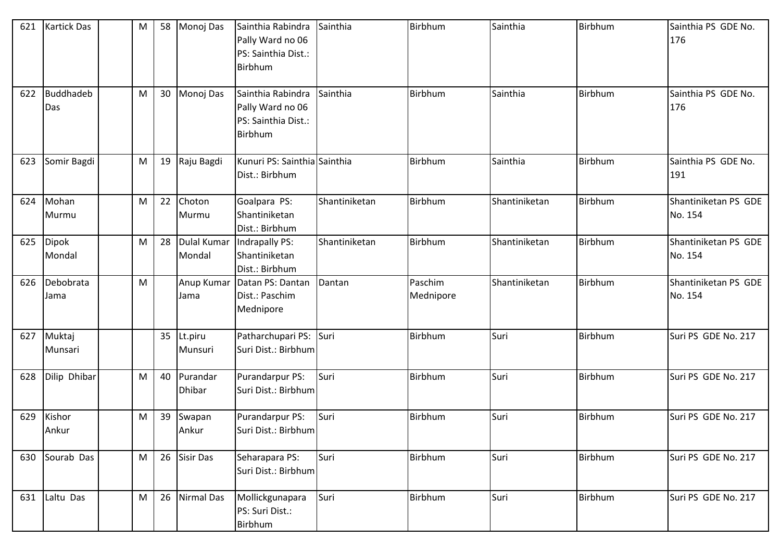| 621 | <b>Kartick Das</b> | M | 58 | Monoj Das                    | Sainthia Rabindra<br>Pally Ward no 06<br>PS: Sainthia Dist.:<br><b>Birbhum</b> | Sainthia      | Birbhum              | Sainthia      | Birbhum | Sainthia PS GDE No.<br>176      |
|-----|--------------------|---|----|------------------------------|--------------------------------------------------------------------------------|---------------|----------------------|---------------|---------|---------------------------------|
| 622 | Buddhadeb<br>Das   | M | 30 | Monoj Das                    | Sainthia Rabindra<br>Pally Ward no 06<br>PS: Sainthia Dist.:<br><b>Birbhum</b> | Sainthia      | Birbhum              | Sainthia      | Birbhum | Sainthia PS GDE No.<br>176      |
| 623 | Somir Bagdi        | M | 19 | Raju Bagdi                   | Kunuri PS: Sainthia Sainthia<br>Dist.: Birbhum                                 |               | Birbhum              | Sainthia      | Birbhum | Sainthia PS GDE No.<br>191      |
| 624 | Mohan<br>Murmu     | M | 22 | Choton<br>Murmu              | Goalpara PS:<br>Shantiniketan<br>Dist.: Birbhum                                | Shantiniketan | Birbhum              | Shantiniketan | Birbhum | Shantiniketan PS GDE<br>No. 154 |
| 625 | Dipok<br>Mondal    | M | 28 | <b>Dulal Kumar</b><br>Mondal | Indrapally PS:<br>Shantiniketan<br>Dist.: Birbhum                              | Shantiniketan | Birbhum              | Shantiniketan | Birbhum | Shantiniketan PS GDE<br>No. 154 |
| 626 | Debobrata<br>Jama  | M |    | Anup Kumar<br>Jama           | Datan PS: Dantan<br>Dist.: Paschim<br>Mednipore                                | Dantan        | Paschim<br>Mednipore | Shantiniketan | Birbhum | Shantiniketan PS GDE<br>No. 154 |
| 627 | Muktaj<br>Munsari  |   | 35 | Lt.piru<br>Munsuri           | Patharchupari PS: Suri<br>Suri Dist.: Birbhum                                  |               | Birbhum              | Suri          | Birbhum | Suri PS GDE No. 217             |
| 628 | Dilip Dhibar       | M | 40 | Purandar<br><b>Dhibar</b>    | Purandarpur PS:<br>Suri Dist.: Birbhum                                         | Suri          | Birbhum              | Suri          | Birbhum | Suri PS GDE No. 217             |
| 629 | Kishor<br>Ankur    | M | 39 | Swapan<br>Ankur              | Purandarpur PS:<br>Suri Dist.: Birbhum                                         | Suri          | Birbhum              | Suri          | Birbhum | Suri PS GDE No. 217             |
| 630 | Sourab Das         | M | 26 | <b>Sisir Das</b>             | Seharapara PS:<br>Suri Dist.: Birbhum                                          | Suri          | Birbhum              | Suri          | Birbhum | Suri PS GDE No. 217             |
| 631 | Laltu Das          | M | 26 | <b>Nirmal Das</b>            | Mollickgunapara<br>PS: Suri Dist.:<br>Birbhum                                  | Suri          | Birbhum              | Suri          | Birbhum | Suri PS GDE No. 217             |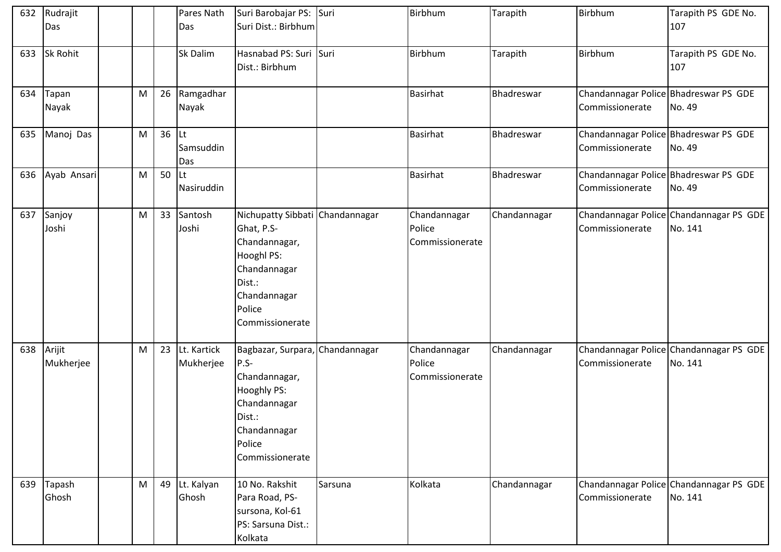| 632        | Rudrajit      |   |    | Pares Nath  | Suri Barobajar PS: Suri         |         | Birbhum         | Tarapith     | Birbhum         | Tarapith PS GDE No.                     |
|------------|---------------|---|----|-------------|---------------------------------|---------|-----------------|--------------|-----------------|-----------------------------------------|
|            | Das           |   |    | Das         | Suri Dist.: Birbhum             |         |                 |              |                 | 107                                     |
|            |               |   |    |             |                                 |         |                 |              |                 |                                         |
| 633        | Sk Rohit      |   |    | Sk Dalim    | Hasnabad PS: Suri Suri          |         | Birbhum         | Tarapith     | Birbhum         | Tarapith PS GDE No.                     |
|            |               |   |    |             | Dist.: Birbhum                  |         |                 |              |                 | 107                                     |
|            |               |   |    |             |                                 |         |                 |              |                 |                                         |
|            | 634 Tapan     | M | 26 | Ramgadhar   |                                 |         | <b>Basirhat</b> | Bhadreswar   |                 | Chandannagar Police Bhadreswar PS GDE   |
|            | Nayak         |   |    | Nayak       |                                 |         |                 |              | Commissionerate | No. 49                                  |
|            |               |   |    |             |                                 |         |                 |              |                 |                                         |
|            | 635 Manoj Das | M | 36 | <b>Lt</b>   |                                 |         | <b>Basirhat</b> | Bhadreswar   |                 | Chandannagar Police Bhadreswar PS GDE   |
|            |               |   |    | Samsuddin   |                                 |         |                 |              | Commissionerate | No. 49                                  |
|            |               |   |    | Das         |                                 |         |                 |              |                 |                                         |
| 636        | Ayab Ansari   | M | 50 | Lt          |                                 |         | <b>Basirhat</b> | Bhadreswar   |                 | Chandannagar Police Bhadreswar PS GDE   |
|            |               |   |    | Nasiruddin  |                                 |         |                 |              | Commissionerate | No. 49                                  |
|            |               |   |    |             |                                 |         |                 |              |                 |                                         |
| 637        | Sanjoy        | M | 33 | Santosh     | Nichupatty Sibbati Chandannagar |         | Chandannagar    | Chandannagar |                 | Chandannagar Police Chandannagar PS GDE |
|            | Joshi         |   |    | Joshi       | Ghat, P.S-                      |         | Police          |              | Commissionerate | No. 141                                 |
|            |               |   |    |             | Chandannagar,                   |         | Commissionerate |              |                 |                                         |
|            |               |   |    |             | Hooghl PS:                      |         |                 |              |                 |                                         |
|            |               |   |    |             | Chandannagar                    |         |                 |              |                 |                                         |
|            |               |   |    |             | Dist.:                          |         |                 |              |                 |                                         |
|            |               |   |    |             | Chandannagar                    |         |                 |              |                 |                                         |
|            |               |   |    |             | Police                          |         |                 |              |                 |                                         |
|            |               |   |    |             | Commissionerate                 |         |                 |              |                 |                                         |
|            |               |   |    |             |                                 |         |                 |              |                 |                                         |
| 638 Arijit |               | M | 23 | Lt. Kartick | Bagbazar, Surpara, Chandannagar |         | Chandannagar    | Chandannagar |                 | Chandannagar Police Chandannagar PS GDE |
|            | Mukherjee     |   |    | Mukherjee   | $P.S-$                          |         | Police          |              | Commissionerate | No. 141                                 |
|            |               |   |    |             | Chandannagar,                   |         | Commissionerate |              |                 |                                         |
|            |               |   |    |             | Hooghly PS:                     |         |                 |              |                 |                                         |
|            |               |   |    |             | Chandannagar                    |         |                 |              |                 |                                         |
|            |               |   |    |             | Dist.:                          |         |                 |              |                 |                                         |
|            |               |   |    |             | Chandannagar                    |         |                 |              |                 |                                         |
|            |               |   |    |             | Police                          |         |                 |              |                 |                                         |
|            |               |   |    |             | Commissionerate                 |         |                 |              |                 |                                         |
|            |               |   |    |             |                                 |         |                 |              |                 |                                         |
|            | 639 Tapash    | M | 49 | Lt. Kalyan  | 10 No. Rakshit                  | Sarsuna | Kolkata         | Chandannagar |                 | Chandannagar Police Chandannagar PS GDE |
|            | Ghosh         |   |    | Ghosh       | Para Road, PS-                  |         |                 |              | Commissionerate | No. 141                                 |
|            |               |   |    |             | sursona, Kol-61                 |         |                 |              |                 |                                         |
|            |               |   |    |             | PS: Sarsuna Dist.:              |         |                 |              |                 |                                         |
|            |               |   |    |             | Kolkata                         |         |                 |              |                 |                                         |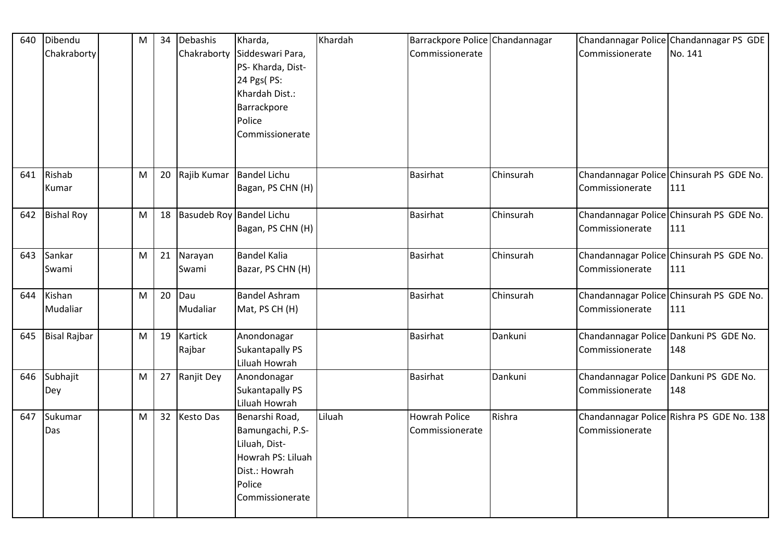| 640 | Dibendu             | M | 34 | Debashis                 | Kharda,                                                                                                                | Khardah | Barrackpore Police Chandannagar         |           |                                                           | Chandannagar Police Chandannagar PS GDE         |
|-----|---------------------|---|----|--------------------------|------------------------------------------------------------------------------------------------------------------------|---------|-----------------------------------------|-----------|-----------------------------------------------------------|-------------------------------------------------|
|     | Chakraborty         |   |    | Chakraborty              | Siddeswari Para,<br>PS- Kharda, Dist-<br>24 Pgs( PS:<br>Khardah Dist.:<br>Barrackpore<br>Police<br>Commissionerate     |         | Commissionerate                         |           | Commissionerate                                           | No. 141                                         |
| 641 | Rishab<br>Kumar     | M | 20 | Rajib Kumar              | <b>Bandel Lichu</b><br>Bagan, PS CHN (H)                                                                               |         | <b>Basirhat</b>                         | Chinsurah | Commissionerate                                           | Chandannagar Police Chinsurah PS GDE No.<br>111 |
| 642 | <b>Bishal Roy</b>   | M | 18 | Basudeb Roy Bandel Lichu | Bagan, PS CHN (H)                                                                                                      |         | <b>Basirhat</b>                         | Chinsurah | Commissionerate                                           | Chandannagar Police Chinsurah PS GDE No.<br>111 |
| 643 | Sankar<br>Swami     | M | 21 | Narayan<br>Swami         | Bandel Kalia<br>Bazar, PS CHN (H)                                                                                      |         | <b>Basirhat</b>                         | Chinsurah | Commissionerate                                           | Chandannagar Police Chinsurah PS GDE No.<br>111 |
| 644 | Kishan<br>Mudaliar  | M | 20 | Dau<br>Mudaliar          | <b>Bandel Ashram</b><br>Mat, PS CH (H)                                                                                 |         | <b>Basirhat</b>                         | Chinsurah | Commissionerate                                           | Chandannagar Police Chinsurah PS GDE No.<br>111 |
| 645 | <b>Bisal Rajbar</b> | M | 19 | Kartick<br>Rajbar        | Anondonagar<br><b>Sukantapally PS</b><br>Liluah Howrah                                                                 |         | <b>Basirhat</b>                         | Dankuni   | Chandannagar Police Dankuni PS GDE No.<br>Commissionerate | 148                                             |
| 646 | Subhajit<br>Dey     | M | 27 | Ranjit Dey               | Anondonagar<br><b>Sukantapally PS</b><br>Liluah Howrah                                                                 |         | <b>Basirhat</b>                         | Dankuni   | Chandannagar Police Dankuni PS GDE No.<br>Commissionerate | 148                                             |
| 647 | Sukumar<br>Das      | M | 32 | <b>Kesto Das</b>         | Benarshi Road,<br>Bamungachi, P.S-<br>Liluah, Dist-<br>Howrah PS: Liluah<br>Dist.: Howrah<br>Police<br>Commissionerate | Liluah  | <b>Howrah Police</b><br>Commissionerate | Rishra    | Commissionerate                                           | Chandannagar Police Rishra PS GDE No. 138       |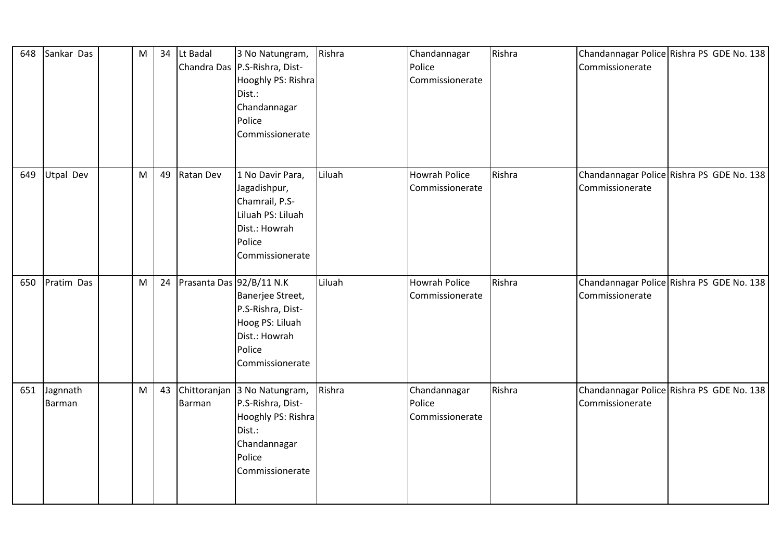| 648 | Sankar Das         | M | 34 | Lt Badal                 | 3 No Natungram,<br>Chandra Das P.S-Rishra, Dist-<br>Hooghly PS: Rishra<br>Dist.:<br>Chandannagar<br>Police<br>Commissionerate  | Rishra | Chandannagar<br>Police<br>Commissionerate | Rishra | Chandannagar Police Rishra PS GDE No. 138<br>Commissionerate |  |
|-----|--------------------|---|----|--------------------------|--------------------------------------------------------------------------------------------------------------------------------|--------|-------------------------------------------|--------|--------------------------------------------------------------|--|
| 649 | Utpal Dev          | M | 49 | Ratan Dev                | 1 No Davir Para,<br>Jagadishpur,<br>Chamrail, P.S-<br>Liluah PS: Liluah<br>Dist.: Howrah<br>Police<br>Commissionerate          | Liluah | <b>Howrah Police</b><br>Commissionerate   | Rishra | Chandannagar Police Rishra PS GDE No. 138<br>Commissionerate |  |
| 650 | Pratim Das         | M | 24 | Prasanta Das 92/B/11 N.K | Banerjee Street,<br>P.S-Rishra, Dist-<br>Hoog PS: Liluah<br>Dist.: Howrah<br>Police<br>Commissionerate                         | Liluah | <b>Howrah Police</b><br>Commissionerate   | Rishra | Chandannagar Police Rishra PS GDE No. 138<br>Commissionerate |  |
| 651 | Jagnnath<br>Barman | M | 43 | Barman                   | Chittoranjan 3 No Natungram,<br>P.S-Rishra, Dist-<br>Hooghly PS: Rishra<br>Dist.:<br>Chandannagar<br>Police<br>Commissionerate | Rishra | Chandannagar<br>Police<br>Commissionerate | Rishra | Chandannagar Police Rishra PS GDE No. 138<br>Commissionerate |  |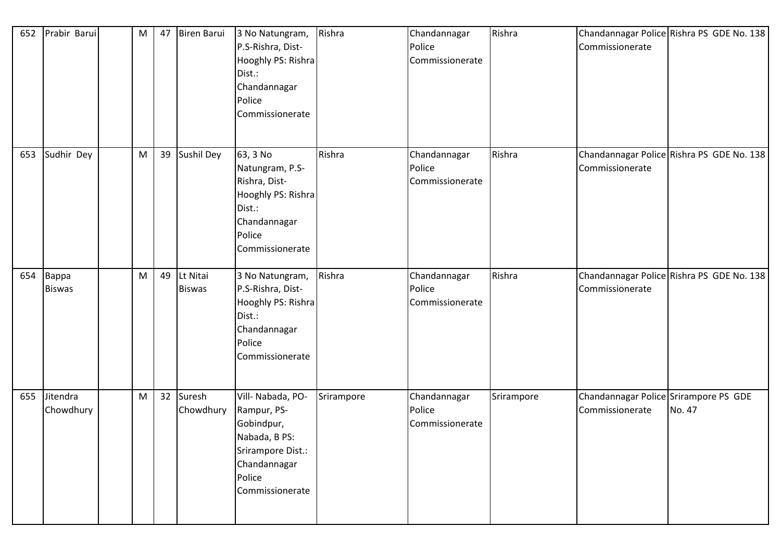| 652 | Prabir Barui           | M                                                                                                          | 47 | Biren Barui               | 3 No Natungram,<br>P.S-Rishra, Dist-<br>Hooghly PS: Rishra<br>Dist.:<br>Chandannagar<br>Police<br>Commissionerate                 | Rishra     | Chandannagar<br>Police<br>Commissionerate | Rishra     | Commissionerate                                          | Chandannagar Police Rishra PS GDE No. 138 |
|-----|------------------------|------------------------------------------------------------------------------------------------------------|----|---------------------------|-----------------------------------------------------------------------------------------------------------------------------------|------------|-------------------------------------------|------------|----------------------------------------------------------|-------------------------------------------|
| 653 | Sudhir Dey             | $\mathsf{M}% _{T}=\mathsf{M}_{T}\!\left( a,b\right) ,\ \mathsf{M}_{T}=\mathsf{M}_{T}\!\left( a,b\right) ,$ | 39 | Sushil Dey                | 63, 3 No<br>Natungram, P.S-<br>Rishra, Dist-<br>Hooghly PS: Rishra<br>Dist.:<br>Chandannagar<br>Police<br>Commissionerate         | Rishra     | Chandannagar<br>Police<br>Commissionerate | Rishra     | Commissionerate                                          | Chandannagar Police Rishra PS GDE No. 138 |
| 654 | Bappa<br><b>Biswas</b> | M                                                                                                          | 49 | Lt Nitai<br><b>Biswas</b> | 3 No Natungram,<br>P.S-Rishra, Dist-<br>Hooghly PS: Rishra<br>Dist.:<br>Chandannagar<br>Police<br>Commissionerate                 | Rishra     | Chandannagar<br>Police<br>Commissionerate | Rishra     | Commissionerate                                          | Chandannagar Police Rishra PS GDE No. 138 |
| 655 | Jitendra<br>Chowdhury  | M                                                                                                          | 32 | Suresh<br>Chowdhury       | Vill- Nabada, PO-<br>Rampur, PS-<br>Gobindpur,<br>Nabada, B PS:<br>Srirampore Dist.:<br>Chandannagar<br>Police<br>Commissionerate | Srirampore | Chandannagar<br>Police<br>Commissionerate | Srirampore | Chandannagar Police Srirampore PS GDE<br>Commissionerate | No. 47                                    |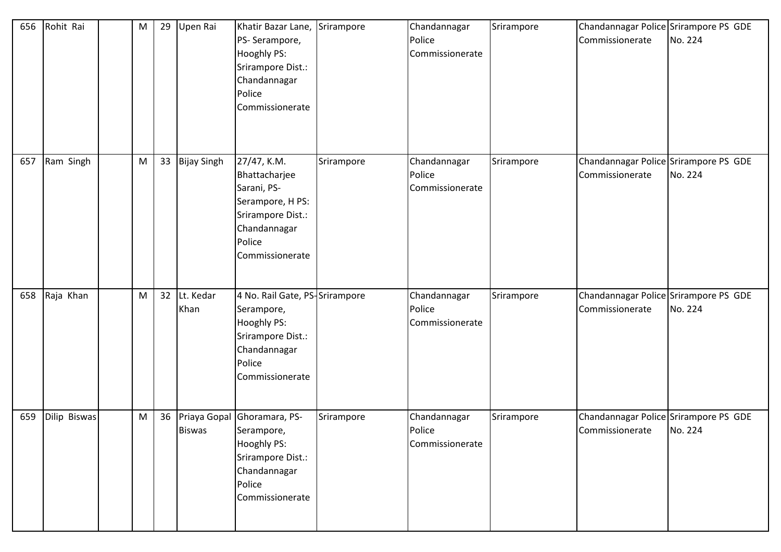| 656 | Rohit Rai    | M | 29 | Upen Rai           | Khatir Bazar Lane, Srirampore<br>PS-Serampore,<br><b>Hooghly PS:</b><br>Srirampore Dist.:<br>Chandannagar<br>Police<br>Commissionerate |            | Chandannagar<br>Police<br>Commissionerate | Srirampore | Chandannagar Police Srirampore PS GDE<br>Commissionerate | No. 224 |
|-----|--------------|---|----|--------------------|----------------------------------------------------------------------------------------------------------------------------------------|------------|-------------------------------------------|------------|----------------------------------------------------------|---------|
| 657 | Ram Singh    | M | 33 | <b>Bijay Singh</b> | 27/47, K.M.<br>Bhattacharjee<br>Sarani, PS-<br>Serampore, H PS:<br>Srirampore Dist.:<br>Chandannagar<br>Police<br>Commissionerate      | Srirampore | Chandannagar<br>Police<br>Commissionerate | Srirampore | Chandannagar Police Srirampore PS GDE<br>Commissionerate | No. 224 |
| 658 | Raja Khan    | M | 32 | Lt. Kedar<br>Khan  | 4 No. Rail Gate, PS-Srirampore<br>Serampore,<br>Hooghly PS:<br>Srirampore Dist.:<br>Chandannagar<br>Police<br>Commissionerate          |            | Chandannagar<br>Police<br>Commissionerate | Srirampore | Chandannagar Police Srirampore PS GDE<br>Commissionerate | No. 224 |
| 659 | Dilip Biswas | M | 36 | <b>Biswas</b>      | Priaya Gopal Ghoramara, PS-<br>Serampore,<br>Hooghly PS:<br>Srirampore Dist.:<br>Chandannagar<br>Police<br>Commissionerate             | Srirampore | Chandannagar<br>Police<br>Commissionerate | Srirampore | Chandannagar Police Srirampore PS GDE<br>Commissionerate | No. 224 |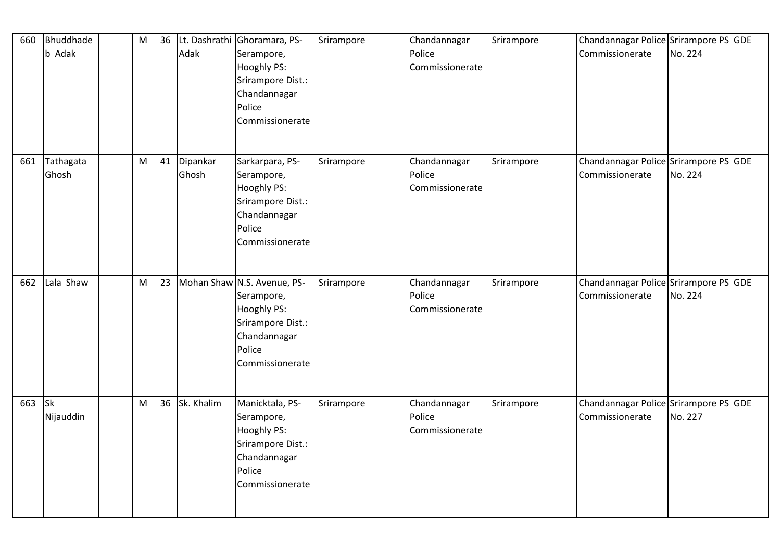| 660 | Bhuddhade<br>b Adak | M | 36 | Adak              | Lt. Dashrathi Ghoramara, PS-<br>Serampore,<br><b>Hooghly PS:</b><br>Srirampore Dist.:<br>Chandannagar<br>Police<br>Commissionerate | Srirampore | Chandannagar<br>Police<br>Commissionerate | Srirampore | Chandannagar Police Srirampore PS GDE<br>Commissionerate | No. 224 |
|-----|---------------------|---|----|-------------------|------------------------------------------------------------------------------------------------------------------------------------|------------|-------------------------------------------|------------|----------------------------------------------------------|---------|
| 661 | Tathagata<br>Ghosh  | M | 41 | Dipankar<br>Ghosh | Sarkarpara, PS-<br>Serampore,<br>Hooghly PS:<br>Srirampore Dist.:<br>Chandannagar<br>Police<br>Commissionerate                     | Srirampore | Chandannagar<br>Police<br>Commissionerate | Srirampore | Chandannagar Police Srirampore PS GDE<br>Commissionerate | No. 224 |
| 662 | Lala Shaw           | M | 23 |                   | Mohan Shaw N.S. Avenue, PS-<br>Serampore,<br>Hooghly PS:<br>Srirampore Dist.:<br>Chandannagar<br>Police<br>Commissionerate         | Srirampore | Chandannagar<br>Police<br>Commissionerate | Srirampore | Chandannagar Police Srirampore PS GDE<br>Commissionerate | No. 224 |
| 663 | Sk<br>Nijauddin     | M | 36 | Sk. Khalim        | Manicktala, PS-<br>Serampore,<br><b>Hooghly PS:</b><br>Srirampore Dist.:<br>Chandannagar<br>Police<br>Commissionerate              | Srirampore | Chandannagar<br>Police<br>Commissionerate | Srirampore | Chandannagar Police Srirampore PS GDE<br>Commissionerate | No. 227 |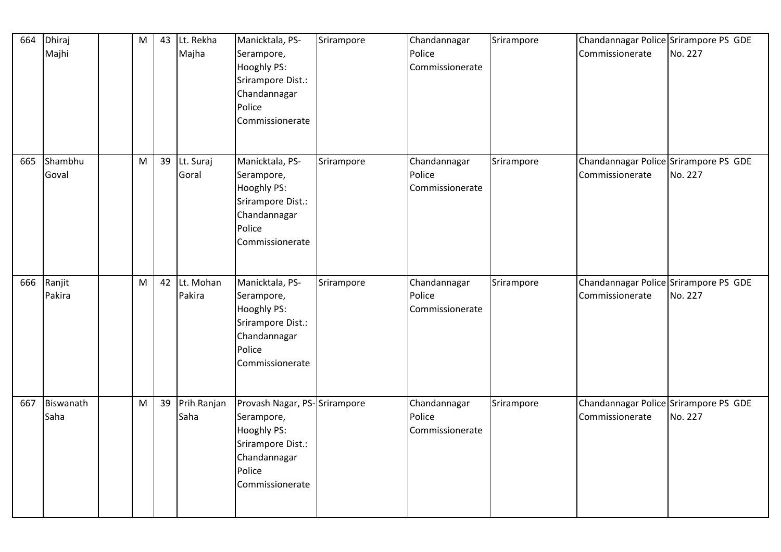| 664 | Dhiraj<br>Majhi   | M | 43 | Lt. Rekha<br>Majha  | Manicktala, PS-<br>Serampore,<br>Hooghly PS:<br>Srirampore Dist.:<br>Chandannagar<br>Police<br>Commissionerate                     | Srirampore | Chandannagar<br>Police<br>Commissionerate | Srirampore | Chandannagar Police Srirampore PS GDE<br>Commissionerate | No. 227 |
|-----|-------------------|---|----|---------------------|------------------------------------------------------------------------------------------------------------------------------------|------------|-------------------------------------------|------------|----------------------------------------------------------|---------|
| 665 | Shambhu<br>Goval  | M | 39 | Lt. Suraj<br>Goral  | Manicktala, PS-<br>Serampore,<br>Hooghly PS:<br>Srirampore Dist.:<br>Chandannagar<br>Police<br>Commissionerate                     | Srirampore | Chandannagar<br>Police<br>Commissionerate | Srirampore | Chandannagar Police Srirampore PS GDE<br>Commissionerate | No. 227 |
| 666 | Ranjit<br>Pakira  | M | 42 | Lt. Mohan<br>Pakira | Manicktala, PS-<br>Serampore,<br><b>Hooghly PS:</b><br>Srirampore Dist.:<br>Chandannagar<br>Police<br>Commissionerate              | Srirampore | Chandannagar<br>Police<br>Commissionerate | Srirampore | Chandannagar Police Srirampore PS GDE<br>Commissionerate | No. 227 |
| 667 | Biswanath<br>Saha | M | 39 | Prih Ranjan<br>Saha | Provash Nagar, PS-Srirampore<br>Serampore,<br><b>Hooghly PS:</b><br>Srirampore Dist.:<br>Chandannagar<br>Police<br>Commissionerate |            | Chandannagar<br>Police<br>Commissionerate | Srirampore | Chandannagar Police Srirampore PS GDE<br>Commissionerate | No. 227 |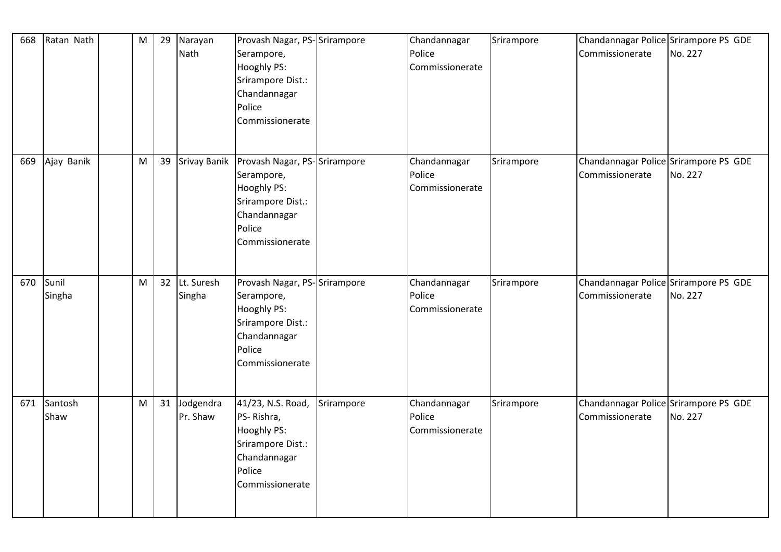| 668 | Ratan Nath      | M | 29 | Narayan<br>Nath       | Provash Nagar, PS-Srirampore<br>Serampore,<br>Hooghly PS:<br>Srirampore Dist.:<br>Chandannagar<br>Police<br>Commissionerate                       |            | Chandannagar<br>Police<br>Commissionerate | Srirampore | Chandannagar Police Srirampore PS GDE<br>Commissionerate | No. 227 |
|-----|-----------------|---|----|-----------------------|---------------------------------------------------------------------------------------------------------------------------------------------------|------------|-------------------------------------------|------------|----------------------------------------------------------|---------|
| 669 | Ajay Banik      | M | 39 |                       | Srivay Banik   Provash Nagar, PS-Srirampore<br>Serampore,<br><b>Hooghly PS:</b><br>Srirampore Dist.:<br>Chandannagar<br>Police<br>Commissionerate |            | Chandannagar<br>Police<br>Commissionerate | Srirampore | Chandannagar Police Srirampore PS GDE<br>Commissionerate | No. 227 |
| 670 | Sunil<br>Singha | M | 32 | Lt. Suresh<br>Singha  | Provash Nagar, PS-Srirampore<br>Serampore,<br>Hooghly PS:<br>Srirampore Dist.:<br>Chandannagar<br>Police<br>Commissionerate                       |            | Chandannagar<br>Police<br>Commissionerate | Srirampore | Chandannagar Police Srirampore PS GDE<br>Commissionerate | No. 227 |
| 671 | Santosh<br>Shaw | M | 31 | Jodgendra<br>Pr. Shaw | 41/23, N.S. Road,<br>PS-Rishra,<br>Hooghly PS:<br>Srirampore Dist.:<br>Chandannagar<br>Police<br>Commissionerate                                  | Srirampore | Chandannagar<br>Police<br>Commissionerate | Srirampore | Chandannagar Police Srirampore PS GDE<br>Commissionerate | No. 227 |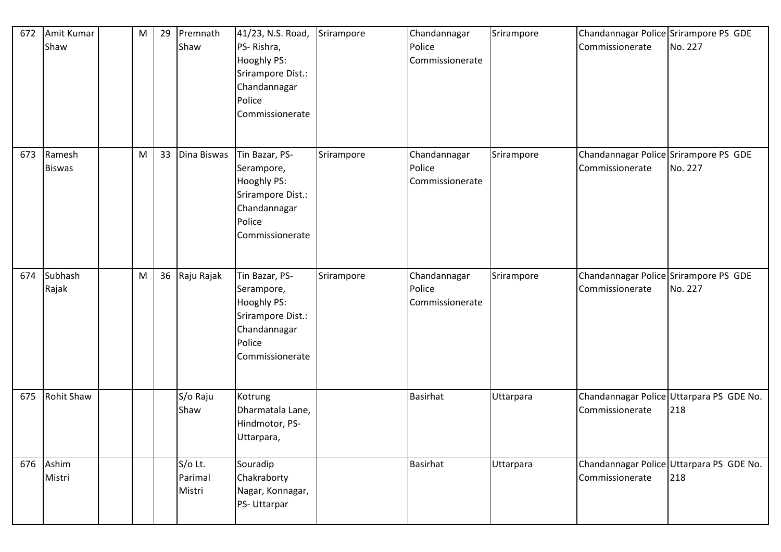| 672 | Amit Kumar<br>Shaw      | M | 29 | Premnath<br>Shaw             | 41/23, N.S. Road,<br>PS-Rishra,<br><b>Hooghly PS:</b><br>Srirampore Dist.:<br>Chandannagar<br>Police<br>Commissionerate | Srirampore | Chandannagar<br>Police<br>Commissionerate | Srirampore | Chandannagar Police Srirampore PS GDE<br>Commissionerate | No. 227                                         |
|-----|-------------------------|---|----|------------------------------|-------------------------------------------------------------------------------------------------------------------------|------------|-------------------------------------------|------------|----------------------------------------------------------|-------------------------------------------------|
| 673 | Ramesh<br><b>Biswas</b> | M | 33 | Dina Biswas                  | Tin Bazar, PS-<br>Serampore,<br>Hooghly PS:<br>Srirampore Dist.:<br>Chandannagar<br>Police<br>Commissionerate           | Srirampore | Chandannagar<br>Police<br>Commissionerate | Srirampore | Chandannagar Police Srirampore PS GDE<br>Commissionerate | No. 227                                         |
| 674 | Subhash<br>Rajak        | M | 36 | Raju Rajak                   | Tin Bazar, PS-<br>Serampore,<br>Hooghly PS:<br>Srirampore Dist.:<br>Chandannagar<br>Police<br>Commissionerate           | Srirampore | Chandannagar<br>Police<br>Commissionerate | Srirampore | Chandannagar Police Srirampore PS GDE<br>Commissionerate | No. 227                                         |
| 675 | <b>Rohit Shaw</b>       |   |    | S/o Raju<br>Shaw             | Kotrung<br>Dharmatala Lane,<br>Hindmotor, PS-<br>Uttarpara,                                                             |            | <b>Basirhat</b>                           | Uttarpara  | Commissionerate                                          | Chandannagar Police Uttarpara PS GDE No.<br>218 |
|     | 676 Ashim<br>Mistri     |   |    | S/o Lt.<br>Parimal<br>Mistri | Souradip<br>Chakraborty<br>Nagar, Konnagar,<br>PS- Uttarpar                                                             |            | <b>Basirhat</b>                           | Uttarpara  | Commissionerate                                          | Chandannagar Police Uttarpara PS GDE No.<br>218 |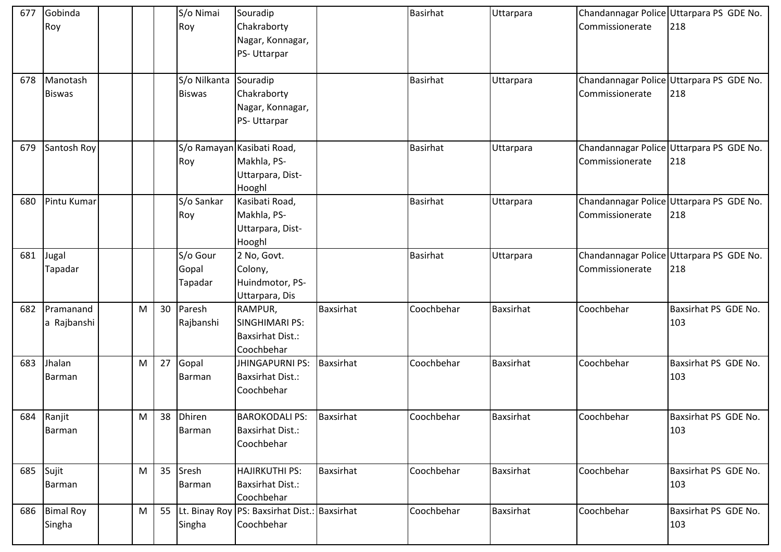| 677 | Gobinda<br>Roy            |           |    | S/o Nimai<br>Roy                       | Souradip<br>Chakraborty<br>Nagar, Konnagar,<br>PS-Uttarpar                |                  | <b>Basirhat</b> | Uttarpara        | Commissionerate | Chandannagar Police Uttarpara PS GDE No.<br>218 |
|-----|---------------------------|-----------|----|----------------------------------------|---------------------------------------------------------------------------|------------------|-----------------|------------------|-----------------|-------------------------------------------------|
| 678 | Manotash<br><b>Biswas</b> |           |    | S/o Nilkanta Souradip<br><b>Biswas</b> | Chakraborty<br>Nagar, Konnagar,<br>PS-Uttarpar                            |                  | <b>Basirhat</b> | Uttarpara        | Commissionerate | Chandannagar Police Uttarpara PS GDE No.<br>218 |
| 679 | Santosh Roy               |           |    | Roy                                    | S/o Ramayan Kasibati Road,<br>Makhla, PS-<br>Uttarpara, Dist-<br>Hooghl   |                  | <b>Basirhat</b> | Uttarpara        | Commissionerate | Chandannagar Police Uttarpara PS GDE No.<br>218 |
| 680 | Pintu Kumar               |           |    | S/o Sankar<br>Roy                      | Kasibati Road,<br>Makhla, PS-<br>Uttarpara, Dist-<br>Hooghl               |                  | <b>Basirhat</b> | Uttarpara        | Commissionerate | Chandannagar Police Uttarpara PS GDE No.<br>218 |
| 681 | Jugal<br>Tapadar          |           |    | S/o Gour<br>Gopal<br>Tapadar           | 2 No, Govt.<br>Colony,<br>Huindmotor, PS-<br>Uttarpara, Dis               |                  | <b>Basirhat</b> | Uttarpara        | Commissionerate | Chandannagar Police Uttarpara PS GDE No.<br>218 |
| 682 | Pramanand<br>a Rajbanshi  | M         | 30 | Paresh<br>Rajbanshi                    | RAMPUR,<br><b>SINGHIMARI PS:</b><br><b>Baxsirhat Dist.:</b><br>Coochbehar | Baxsirhat        | Coochbehar      | Baxsirhat        | Coochbehar      | Baxsirhat PS GDE No.<br>103                     |
| 683 | Jhalan<br>Barman          | M         | 27 | Gopal<br>Barman                        | <b>JHINGAPURNI PS:</b><br><b>Baxsirhat Dist.:</b><br>Coochbehar           | <b>Baxsirhat</b> | Coochbehar      | <b>Baxsirhat</b> | Coochbehar      | Baxsirhat PS GDE No.<br>103                     |
|     | 684 Ranjit<br>Barman      | M         | 38 | <b>Dhiren</b><br>Barman                | <b>BAROKODALI PS:</b><br><b>Baxsirhat Dist.:</b><br>Coochbehar            | <b>Baxsirhat</b> | Coochbehar      | Baxsirhat        | Coochbehar      | Baxsirhat PS GDE No.<br>103                     |
| 685 | Sujit<br>Barman           | ${\sf M}$ | 35 | Sresh<br>Barman                        | HAJIRKUTHI PS:<br><b>Baxsirhat Dist.:</b><br>Coochbehar                   | Baxsirhat        | Coochbehar      | Baxsirhat        | Coochbehar      | Baxsirhat PS GDE No.<br>103                     |
|     | 686 Bimal Roy<br>Singha   | M         | 55 | Singha                                 | Lt. Binay Roy PS: Baxsirhat Dist.: Baxsirhat<br>Coochbehar                |                  | Coochbehar      | Baxsirhat        | Coochbehar      | Baxsirhat PS GDE No.<br>103                     |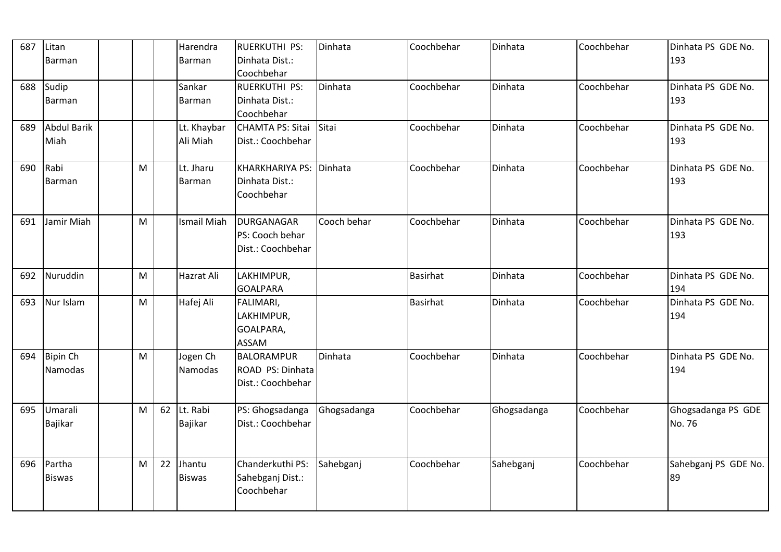| 687 | Litan<br>Barman            |   |    | Harendra<br><b>Barman</b>  | <b>RUERKUTHI PS:</b><br>Dinhata Dist.:<br>Coochbehar       | Dinhata     | Coochbehar      | Dinhata     | Coochbehar | Dinhata PS GDE No.<br>193    |
|-----|----------------------------|---|----|----------------------------|------------------------------------------------------------|-------------|-----------------|-------------|------------|------------------------------|
| 688 | Sudip<br>Barman            |   |    | Sankar<br>Barman           | RUERKUTHI PS:<br>Dinhata Dist.:<br>Coochbehar              | Dinhata     | Coochbehar      | Dinhata     | Coochbehar | Dinhata PS GDE No.<br>193    |
| 689 | <b>Abdul Barik</b><br>Miah |   |    | Lt. Khaybar<br>Ali Miah    | <b>CHAMTA PS: Sitai</b><br>Dist.: Coochbehar               | Sitai       | Coochbehar      | Dinhata     | Coochbehar | Dinhata PS GDE No.<br>193    |
| 690 | Rabi<br><b>Barman</b>      | M |    | Lt. Jharu<br><b>Barman</b> | KHARKHARIYA PS: Dinhata<br>Dinhata Dist.:<br>Coochbehar    |             | Coochbehar      | Dinhata     | Coochbehar | Dinhata PS GDE No.<br>193    |
| 691 | Jamir Miah                 | M |    | <b>Ismail Miah</b>         | DURGANAGAR<br>PS: Cooch behar<br>Dist.: Coochbehar         | Cooch behar | Coochbehar      | Dinhata     | Coochbehar | Dinhata PS GDE No.<br>193    |
| 692 | Nuruddin                   | M |    | <b>Hazrat Ali</b>          | LAKHIMPUR,<br><b>GOALPARA</b>                              |             | <b>Basirhat</b> | Dinhata     | Coochbehar | Dinhata PS GDE No.<br>194    |
| 693 | Nur Islam                  | M |    | Hafej Ali                  | FALIMARI,<br>LAKHIMPUR,<br>GOALPARA,<br><b>ASSAM</b>       |             | <b>Basirhat</b> | Dinhata     | Coochbehar | Dinhata PS GDE No.<br>194    |
| 694 | <b>Bipin Ch</b><br>Namodas | M |    | Jogen Ch<br>Namodas        | <b>BALORAMPUR</b><br>ROAD PS: Dinhata<br>Dist.: Coochbehar | Dinhata     | Coochbehar      | Dinhata     | Coochbehar | Dinhata PS GDE No.<br>194    |
| 695 | Umarali<br>Bajikar         | M | 62 | Lt. Rabi<br>Bajikar        | PS: Ghogsadanga<br>Dist.: Coochbehar                       | Ghogsadanga | Coochbehar      | Ghogsadanga | Coochbehar | Ghogsadanga PS GDE<br>No. 76 |
| 696 | Partha<br><b>Biswas</b>    | M | 22 | Jhantu<br><b>Biswas</b>    | Chanderkuthi PS:<br>Sahebganj Dist.:<br>Coochbehar         | Sahebganj   | Coochbehar      | Sahebganj   | Coochbehar | Sahebganj PS GDE No.<br>89   |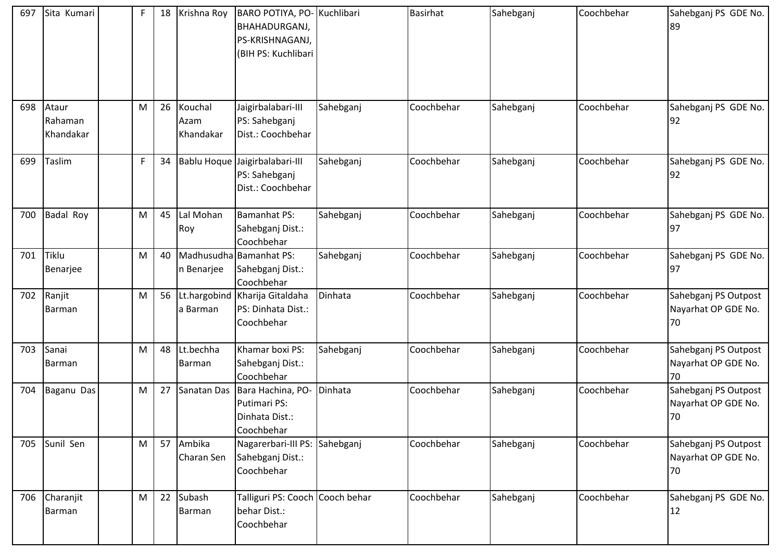| 697 | Sita Kumari                   | F | 18 | Krishna Roy                  | BARO POTIYA, PO- Kuchlibari<br>BHAHADURGANJ,<br>PS-KRISHNAGANJ,<br>(BIH PS: Kuchlibari |           | <b>Basirhat</b> | Sahebganj | Coochbehar | Sahebganj PS GDE No.<br>89                        |
|-----|-------------------------------|---|----|------------------------------|----------------------------------------------------------------------------------------|-----------|-----------------|-----------|------------|---------------------------------------------------|
| 698 | Ataur<br>Rahaman<br>Khandakar | M | 26 | Kouchal<br>Azam<br>Khandakar | Jaigirbalabari-III<br>PS: Sahebganj<br>Dist.: Coochbehar                               | Sahebganj | Coochbehar      | Sahebganj | Coochbehar | Sahebganj PS GDE No.<br>92                        |
| 699 | Taslim                        | F | 34 |                              | Bablu Hoque Jaigirbalabari-III<br>PS: Sahebganj<br>Dist.: Coochbehar                   | Sahebganj | Coochbehar      | Sahebganj | Coochbehar | Sahebganj PS GDE No.<br>92                        |
| 700 | <b>Badal Roy</b>              | M | 45 | Lal Mohan<br>Roy             | Bamanhat PS:<br>Sahebganj Dist.:<br>Coochbehar                                         | Sahebganj | Coochbehar      | Sahebganj | Coochbehar | Sahebganj PS GDE No.<br>97                        |
| 701 | Tiklu<br>Benarjee             | M | 40 | n Benarjee                   | Madhusudha Bamanhat PS:<br>Sahebganj Dist.:<br>Coochbehar                              | Sahebganj | Coochbehar      | Sahebganj | Coochbehar | Sahebganj PS GDE No.<br>97                        |
| 702 | Ranjit<br>Barman              | M | 56 | a Barman                     | Lt.hargobind Kharija Gitaldaha<br>PS: Dinhata Dist.:<br>Coochbehar                     | Dinhata   | Coochbehar      | Sahebganj | Coochbehar | Sahebganj PS Outpost<br>Nayarhat OP GDE No.<br>70 |
| 703 | Sanai<br>Barman               | M | 48 | Lt.bechha<br>Barman          | Khamar boxi PS:<br>Sahebganj Dist.:<br>Coochbehar                                      | Sahebganj | Coochbehar      | Sahebganj | Coochbehar | Sahebganj PS Outpost<br>Nayarhat OP GDE No.<br>70 |
| 704 | Baganu Das                    | M | 27 | Sanatan Das                  | Bara Hachina, PO-<br>Putimari PS:<br>Dinhata Dist.:<br>Coochbehar                      | Dinhata   | Coochbehar      | Sahebganj | Coochbehar | Sahebganj PS Outpost<br>Nayarhat OP GDE No.<br>70 |
| 705 | Sunil Sen                     | M | 57 | Ambika<br>Charan Sen         | Nagarerbari-III PS: Sahebganj<br>Sahebganj Dist.:<br>Coochbehar                        |           | Coochbehar      | Sahebganj | Coochbehar | Sahebganj PS Outpost<br>Nayarhat OP GDE No.<br>70 |
| 706 | Charanjit<br>Barman           | M | 22 | Subash<br><b>Barman</b>      | Talliguri PS: Cooch Cooch behar<br>behar Dist.:<br>Coochbehar                          |           | Coochbehar      | Sahebganj | Coochbehar | Sahebganj PS GDE No.<br>12                        |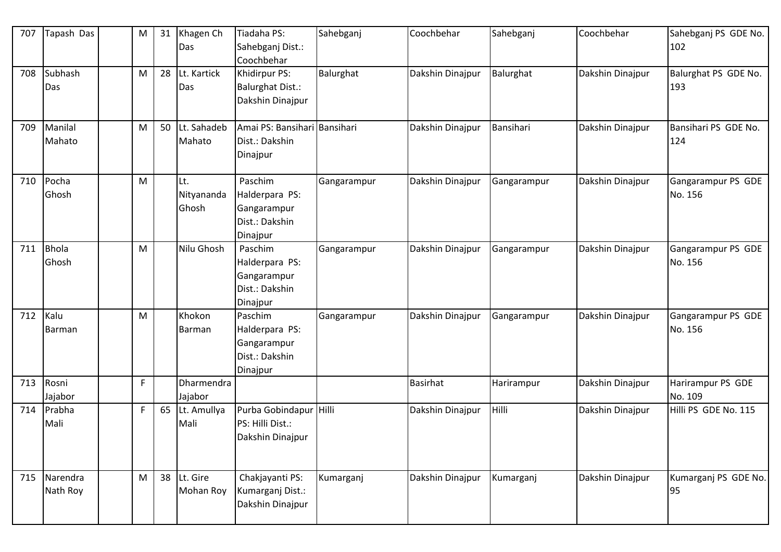| 707 | Tapash Das            | M | 31 | Khagen Ch<br>Das           | Tiadaha PS:<br>Sahebganj Dist.:<br>Coochbehar                          | Sahebganj   | Coochbehar       | Sahebganj   | Coochbehar       | Sahebganj PS GDE No.<br>102   |
|-----|-----------------------|---|----|----------------------------|------------------------------------------------------------------------|-------------|------------------|-------------|------------------|-------------------------------|
| 708 | Subhash<br>Das        | M | 28 | Lt. Kartick<br>Das         | Khidirpur PS:<br><b>Balurghat Dist.:</b><br>Dakshin Dinajpur           | Balurghat   | Dakshin Dinajpur | Balurghat   | Dakshin Dinajpur | Balurghat PS GDE No.<br>193   |
| 709 | Manilal<br>Mahato     | M | 50 | Lt. Sahadeb<br>Mahato      | Amai PS: Bansihari Bansihari<br>Dist.: Dakshin<br>Dinajpur             |             | Dakshin Dinajpur | Bansihari   | Dakshin Dinajpur | Bansihari PS GDE No.<br>124   |
| 710 | Pocha<br>Ghosh        | M |    | Lt.<br>Nityananda<br>Ghosh | Paschim<br>Halderpara PS:<br>Gangarampur<br>Dist.: Dakshin<br>Dinajpur | Gangarampur | Dakshin Dinajpur | Gangarampur | Dakshin Dinajpur | Gangarampur PS GDE<br>No. 156 |
| 711 | <b>Bhola</b><br>Ghosh | M |    | Nilu Ghosh                 | Paschim<br>Halderpara PS:<br>Gangarampur<br>Dist.: Dakshin<br>Dinajpur | Gangarampur | Dakshin Dinajpur | Gangarampur | Dakshin Dinajpur | Gangarampur PS GDE<br>No. 156 |
| 712 | Kalu<br>Barman        | M |    | Khokon<br>Barman           | Paschim<br>Halderpara PS:<br>Gangarampur<br>Dist.: Dakshin<br>Dinajpur | Gangarampur | Dakshin Dinajpur | Gangarampur | Dakshin Dinajpur | Gangarampur PS GDE<br>No. 156 |
| 713 | Rosni<br>Jajabor      | F |    | Dharmendra<br>Jajabor      |                                                                        |             | <b>Basirhat</b>  | Harirampur  | Dakshin Dinajpur | Harirampur PS GDE<br>No. 109  |
| 714 | Prabha<br>Mali        | F | 65 | Lt. Amullya<br>Mali        | Purba Gobindapur Hilli<br>PS: Hilli Dist.:<br>Dakshin Dinajpur         |             | Dakshin Dinajpur | Hilli       | Dakshin Dinajpur | Hilli PS GDE No. 115          |
| 715 | Narendra<br>Nath Roy  | M | 38 | Lt. Gire<br>Mohan Roy      | Chakjayanti PS:<br>Kumarganj Dist.:<br>Dakshin Dinajpur                | Kumarganj   | Dakshin Dinajpur | Kumarganj   | Dakshin Dinajpur | Kumarganj PS GDE No.<br>95    |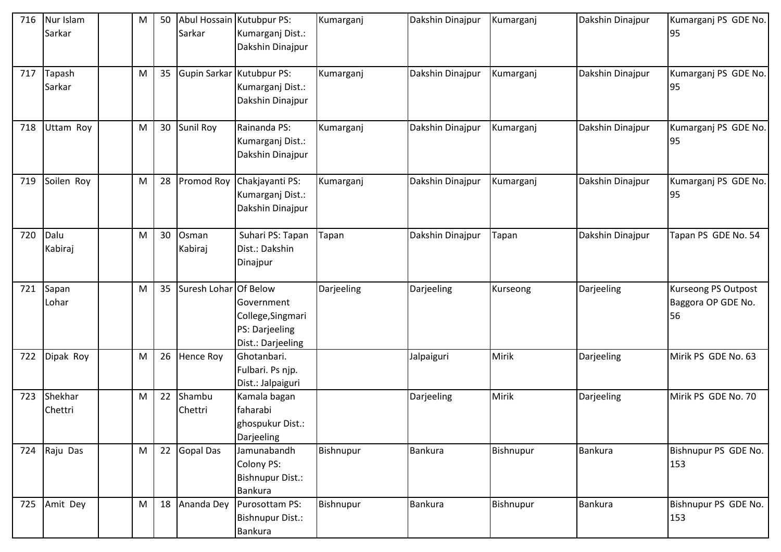| 716 | Nur Islam    | M | 50 |                       | Abul Hossain Kutubpur PS: | Kumarganj  | Dakshin Dinajpur | Kumarganj | Dakshin Dinajpur | Kumarganj PS GDE No.       |
|-----|--------------|---|----|-----------------------|---------------------------|------------|------------------|-----------|------------------|----------------------------|
|     | Sarkar       |   |    | Sarkar                | Kumarganj Dist.:          |            |                  |           |                  | 95                         |
|     |              |   |    |                       | Dakshin Dinajpur          |            |                  |           |                  |                            |
|     |              |   |    |                       |                           |            |                  |           |                  |                            |
| 717 | Tapash       | M | 35 |                       | Gupin Sarkar Kutubpur PS: | Kumarganj  | Dakshin Dinajpur | Kumarganj | Dakshin Dinajpur | Kumarganj PS GDE No.       |
|     | Sarkar       |   |    |                       | Kumarganj Dist.:          |            |                  |           |                  | 95                         |
|     |              |   |    |                       | Dakshin Dinajpur          |            |                  |           |                  |                            |
|     |              |   |    |                       |                           |            |                  |           |                  |                            |
| 718 | Uttam Roy    | M | 30 | Sunil Roy             | Rainanda PS:              | Kumarganj  | Dakshin Dinajpur | Kumarganj | Dakshin Dinajpur | Kumarganj PS GDE No.       |
|     |              |   |    |                       | Kumarganj Dist.:          |            |                  |           |                  | 95                         |
|     |              |   |    |                       | Dakshin Dinajpur          |            |                  |           |                  |                            |
| 719 | Soilen Roy   | M | 28 | Promod Roy            | Chakjayanti PS:           | Kumarganj  | Dakshin Dinajpur | Kumarganj | Dakshin Dinajpur | Kumarganj PS GDE No.       |
|     |              |   |    |                       | Kumarganj Dist.:          |            |                  |           |                  | 95                         |
|     |              |   |    |                       | Dakshin Dinajpur          |            |                  |           |                  |                            |
|     |              |   |    |                       |                           |            |                  |           |                  |                            |
| 720 | Dalu         | M | 30 | Osman                 | Suhari PS: Tapan          | Tapan      | Dakshin Dinajpur | Tapan     | Dakshin Dinajpur | Tapan PS GDE No. 54        |
|     | Kabiraj      |   |    | Kabiraj               | Dist.: Dakshin            |            |                  |           |                  |                            |
|     |              |   |    |                       | Dinajpur                  |            |                  |           |                  |                            |
|     |              |   |    |                       |                           |            |                  |           |                  |                            |
| 721 | Sapan        | M | 35 | Suresh Lohar Of Below |                           | Darjeeling | Darjeeling       | Kurseong  | Darjeeling       | <b>Kurseong PS Outpost</b> |
|     | Lohar        |   |    |                       | Government                |            |                  |           |                  | Baggora OP GDE No.         |
|     |              |   |    |                       | College, Singmari         |            |                  |           |                  | 56                         |
|     |              |   |    |                       | PS: Darjeeling            |            |                  |           |                  |                            |
|     |              |   |    |                       | Dist.: Darjeeling         |            |                  |           |                  |                            |
| 722 | Dipak Roy    | M | 26 | Hence Roy             | Ghotanbari.               |            | Jalpaiguri       | Mirik     | Darjeeling       | Mirik PS GDE No. 63        |
|     |              |   |    |                       | Fulbari. Ps njp.          |            |                  |           |                  |                            |
|     |              |   |    |                       | Dist.: Jalpaiguri         |            |                  |           |                  |                            |
| 723 | Shekhar      | M | 22 | Shambu                | Kamala bagan              |            | Darjeeling       | Mirik     | Darjeeling       | Mirik PS GDE No. 70        |
|     | Chettri      |   |    | Chettri               | faharabi                  |            |                  |           |                  |                            |
|     |              |   |    |                       | ghospukur Dist.:          |            |                  |           |                  |                            |
|     |              |   |    |                       | Darjeeling                |            |                  |           |                  |                            |
|     | 724 Raju Das | M | 22 | <b>Gopal Das</b>      | Jamunabandh               | Bishnupur  | Bankura          | Bishnupur | Bankura          | Bishnupur PS GDE No.       |
|     |              |   |    |                       | <b>Colony PS:</b>         |            |                  |           |                  | 153                        |
|     |              |   |    |                       | <b>Bishnupur Dist.:</b>   |            |                  |           |                  |                            |
|     |              |   |    |                       | <b>Bankura</b>            |            |                  |           |                  |                            |
|     | 725 Amit Dey | M | 18 | Ananda Dey            | Purosottam PS:            | Bishnupur  | <b>Bankura</b>   | Bishnupur | <b>Bankura</b>   | Bishnupur PS GDE No.       |
|     |              |   |    |                       | <b>Bishnupur Dist.:</b>   |            |                  |           |                  | 153                        |
|     |              |   |    |                       | <b>Bankura</b>            |            |                  |           |                  |                            |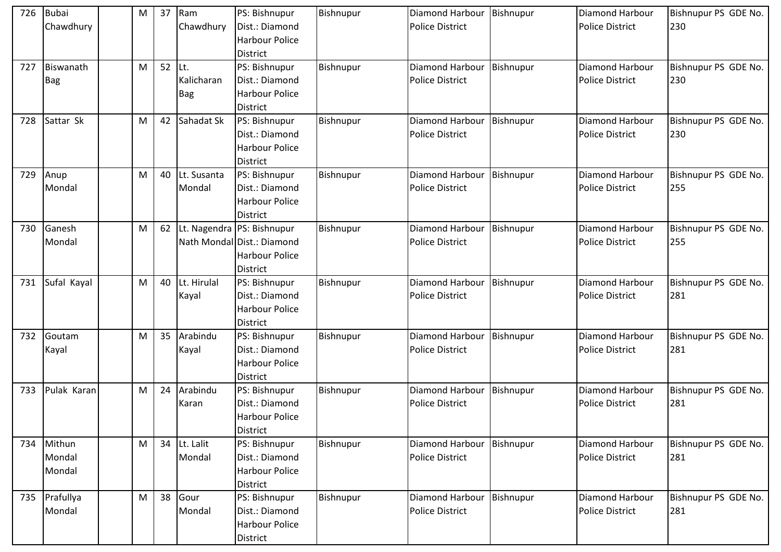| 726 | <b>Bubai</b><br>Chawdhury  | M | 37 | Ram<br>Chawdhury         | PS: Bishnupur<br>Dist.: Diamond<br><b>Harbour Police</b><br><b>District</b>                   | Bishnupur | Diamond Harbour<br><b>Police District</b> | Bishnupur | <b>Diamond Harbour</b><br><b>Police District</b> | Bishnupur PS GDE No.<br>230 |
|-----|----------------------------|---|----|--------------------------|-----------------------------------------------------------------------------------------------|-----------|-------------------------------------------|-----------|--------------------------------------------------|-----------------------------|
| 727 | Biswanath<br><b>Bag</b>    | M | 52 | Lt.<br>Kalicharan<br>Bag | PS: Bishnupur<br>Dist.: Diamond<br>Harbour Police<br><b>District</b>                          | Bishnupur | Diamond Harbour<br><b>Police District</b> | Bishnupur | Diamond Harbour<br><b>Police District</b>        | Bishnupur PS GDE No.<br>230 |
| 728 | Sattar Sk                  | M | 42 | Sahadat Sk               | PS: Bishnupur<br>Dist.: Diamond<br><b>Harbour Police</b><br><b>District</b>                   | Bishnupur | Diamond Harbour<br><b>Police District</b> | Bishnupur | <b>Diamond Harbour</b><br><b>Police District</b> | Bishnupur PS GDE No.<br>230 |
| 729 | Anup<br>Mondal             | M | 40 | Lt. Susanta<br>Mondal    | PS: Bishnupur<br>Dist.: Diamond<br>Harbour Police<br><b>District</b>                          | Bishnupur | Diamond Harbour<br><b>Police District</b> | Bishnupur | Diamond Harbour<br><b>Police District</b>        | Bishnupur PS GDE No.<br>255 |
| 730 | Ganesh<br>Mondal           | M | 62 |                          | Lt. Nagendra PS: Bishnupur<br>Nath Mondal Dist.: Diamond<br>Harbour Police<br><b>District</b> | Bishnupur | Diamond Harbour<br><b>Police District</b> | Bishnupur | Diamond Harbour<br><b>Police District</b>        | Bishnupur PS GDE No.<br>255 |
| 731 | Sufal Kayal                | M | 40 | Lt. Hirulal<br>Kayal     | PS: Bishnupur<br>Dist.: Diamond<br><b>Harbour Police</b><br><b>District</b>                   | Bishnupur | Diamond Harbour<br><b>Police District</b> | Bishnupur | Diamond Harbour<br><b>Police District</b>        | Bishnupur PS GDE No.<br>281 |
| 732 | Goutam<br>Kayal            | M | 35 | Arabindu<br>Kayal        | PS: Bishnupur<br>Dist.: Diamond<br>Harbour Police<br><b>District</b>                          | Bishnupur | Diamond Harbour<br><b>Police District</b> | Bishnupur | <b>Diamond Harbour</b><br><b>Police District</b> | Bishnupur PS GDE No.<br>281 |
| 733 | Pulak Karan                | M | 24 | Arabindu<br>Karan        | PS: Bishnupur<br>Dist.: Diamond<br><b>Harbour Police</b><br><b>District</b>                   | Bishnupur | Diamond Harbour<br><b>Police District</b> | Bishnupur | Diamond Harbour<br><b>Police District</b>        | Bishnupur PS GDE No.<br>281 |
| 734 | Mithun<br>Mondal<br>Mondal | M | 34 | Lt. Lalit<br>Mondal      | PS: Bishnupur<br>Dist.: Diamond<br>Harbour Police<br><b>District</b>                          | Bishnupur | Diamond Harbour<br><b>Police District</b> | Bishnupur | Diamond Harbour<br><b>Police District</b>        | Bishnupur PS GDE No.<br>281 |
|     | 735 Prafullya<br>Mondal    | M | 38 | Gour<br>Mondal           | PS: Bishnupur<br>Dist.: Diamond<br>Harbour Police<br><b>District</b>                          | Bishnupur | Diamond Harbour<br><b>Police District</b> | Bishnupur | Diamond Harbour<br>Police District               | Bishnupur PS GDE No.<br>281 |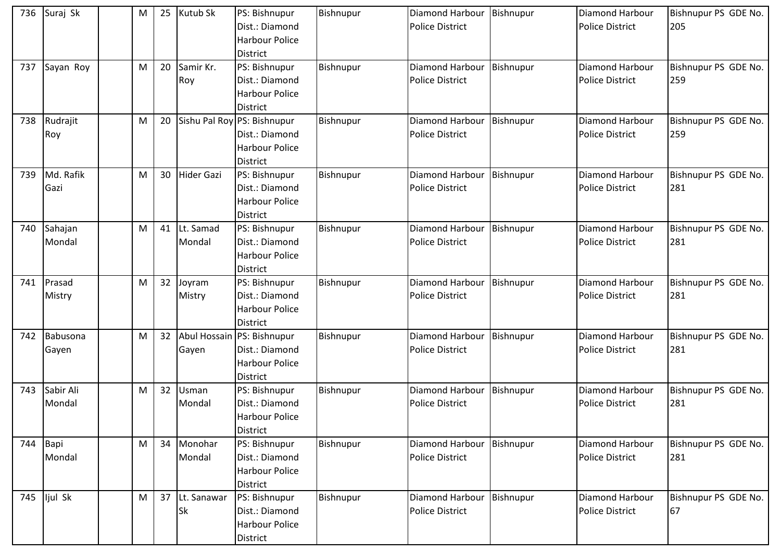| 736 | Suraj Sk            | M | 25 | Kutub Sk                 | PS: Bishnupur<br>Dist.: Diamond<br><b>Harbour Police</b><br><b>District</b>               | Bishnupur | Diamond Harbour<br><b>Police District</b> | Bishnupur | <b>Diamond Harbour</b><br><b>Police District</b> | Bishnupur PS GDE No.<br>205 |
|-----|---------------------|---|----|--------------------------|-------------------------------------------------------------------------------------------|-----------|-------------------------------------------|-----------|--------------------------------------------------|-----------------------------|
| 737 | Sayan Roy           | M | 20 | Samir Kr.<br>Roy         | PS: Bishnupur<br>Dist.: Diamond<br><b>Harbour Police</b><br><b>District</b>               | Bishnupur | Diamond Harbour<br><b>Police District</b> | Bishnupur | Diamond Harbour<br><b>Police District</b>        | Bishnupur PS GDE No.<br>259 |
| 738 | Rudrajit<br>Roy     | M | 20 |                          | Sishu Pal Roy PS: Bishnupur<br>Dist.: Diamond<br><b>Harbour Police</b><br><b>District</b> | Bishnupur | Diamond Harbour<br><b>Police District</b> | Bishnupur | Diamond Harbour<br><b>Police District</b>        | Bishnupur PS GDE No.<br>259 |
| 739 | Md. Rafik<br>Gazi   | M | 30 | <b>Hider Gazi</b>        | PS: Bishnupur<br>Dist.: Diamond<br><b>Harbour Police</b><br><b>District</b>               | Bishnupur | Diamond Harbour<br><b>Police District</b> | Bishnupur | <b>Diamond Harbour</b><br><b>Police District</b> | Bishnupur PS GDE No.<br>281 |
| 740 | Sahajan<br>Mondal   | M | 41 | Lt. Samad<br>Mondal      | PS: Bishnupur<br>Dist.: Diamond<br><b>Harbour Police</b><br><b>District</b>               | Bishnupur | Diamond Harbour<br><b>Police District</b> | Bishnupur | Diamond Harbour<br><b>Police District</b>        | Bishnupur PS GDE No.<br>281 |
| 741 | Prasad<br>Mistry    | M | 32 | Joyram<br>Mistry         | PS: Bishnupur<br>Dist.: Diamond<br><b>Harbour Police</b><br><b>District</b>               | Bishnupur | Diamond Harbour<br><b>Police District</b> | Bishnupur | Diamond Harbour<br><b>Police District</b>        | Bishnupur PS GDE No.<br>281 |
| 742 | Babusona<br>Gayen   | M | 32 | Gayen                    | Abul Hossain PS: Bishnupur<br>Dist.: Diamond<br><b>Harbour Police</b><br><b>District</b>  | Bishnupur | Diamond Harbour<br><b>Police District</b> | Bishnupur | Diamond Harbour<br><b>Police District</b>        | Bishnupur PS GDE No.<br>281 |
| 743 | Sabir Ali<br>Mondal | M | 32 | Usman<br>Mondal          | PS: Bishnupur<br>Dist.: Diamond<br><b>Harbour Police</b><br><b>District</b>               | Bishnupur | Diamond Harbour<br><b>Police District</b> | Bishnupur | Diamond Harbour<br><b>Police District</b>        | Bishnupur PS GDE No.<br>281 |
|     | 744 Bapi<br>Mondal  | M | 34 | Monohar<br>Mondal        | PS: Bishnupur<br>Dist.: Diamond<br>Harbour Police<br><b>District</b>                      | Bishnupur | Diamond Harbour<br><b>Police District</b> | Bishnupur | Diamond Harbour<br><b>Police District</b>        | Bishnupur PS GDE No.<br>281 |
| 745 | ljul Sk             | M | 37 | Lt. Sanawar<br><b>Sk</b> | PS: Bishnupur<br>Dist.: Diamond<br><b>Harbour Police</b><br><b>District</b>               | Bishnupur | Diamond Harbour<br>Police District        | Bishnupur | Diamond Harbour<br><b>Police District</b>        | Bishnupur PS GDE No.<br>67  |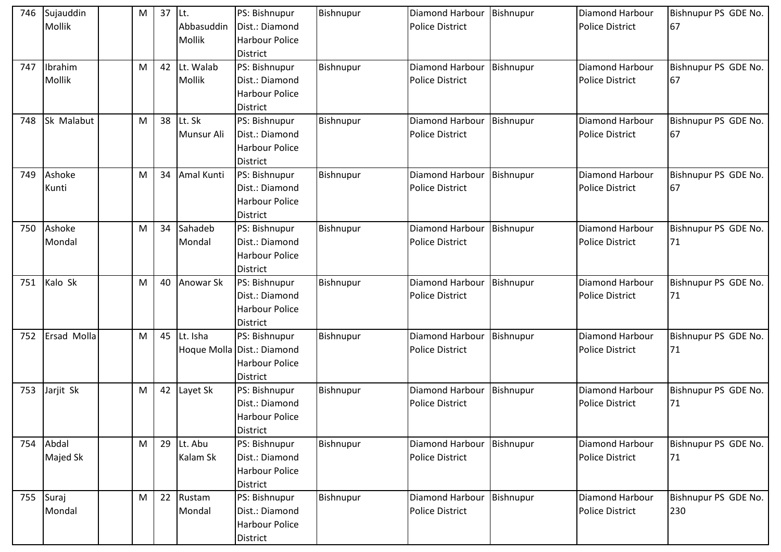| 746 | Sujauddin   | M | 37 | Lt.           | PS: Bishnupur              | <b>Bishnupur</b> | Diamond Harbour        | Bishnupur | Diamond Harbour        | Bishnupur PS GDE No. |
|-----|-------------|---|----|---------------|----------------------------|------------------|------------------------|-----------|------------------------|----------------------|
|     | Mollik      |   |    | Abbasuddin    | Dist.: Diamond             |                  | <b>Police District</b> |           | <b>Police District</b> | 67                   |
|     |             |   |    | <b>Mollik</b> | <b>Harbour Police</b>      |                  |                        |           |                        |                      |
|     |             |   |    |               | <b>District</b>            |                  |                        |           |                        |                      |
| 747 | Ibrahim     | M | 42 | Lt. Walab     | PS: Bishnupur              | Bishnupur        | Diamond Harbour        | Bishnupur | Diamond Harbour        | Bishnupur PS GDE No. |
|     | Mollik      |   |    | Mollik        | Dist.: Diamond             |                  | <b>Police District</b> |           | <b>Police District</b> | 67                   |
|     |             |   |    |               | <b>Harbour Police</b>      |                  |                        |           |                        |                      |
|     |             |   |    |               | District                   |                  |                        |           |                        |                      |
| 748 | Sk Malabut  | M | 38 | Lt. Sk        | PS: Bishnupur              | Bishnupur        | Diamond Harbour        | Bishnupur | Diamond Harbour        | Bishnupur PS GDE No. |
|     |             |   |    | Munsur Ali    | Dist.: Diamond             |                  | <b>Police District</b> |           | <b>Police District</b> | 67                   |
|     |             |   |    |               | <b>Harbour Police</b>      |                  |                        |           |                        |                      |
|     |             |   |    |               | <b>District</b>            |                  |                        |           |                        |                      |
| 749 | Ashoke      | M | 34 | Amal Kunti    | PS: Bishnupur              | Bishnupur        | Diamond Harbour        | Bishnupur | <b>Diamond Harbour</b> | Bishnupur PS GDE No. |
|     | Kunti       |   |    |               | Dist.: Diamond             |                  | <b>Police District</b> |           | <b>Police District</b> | 67                   |
|     |             |   |    |               | <b>Harbour Police</b>      |                  |                        |           |                        |                      |
|     |             |   |    |               | <b>District</b>            |                  |                        |           |                        |                      |
| 750 | Ashoke      | M | 34 | Sahadeb       | PS: Bishnupur              | Bishnupur        | Diamond Harbour        | Bishnupur | Diamond Harbour        | Bishnupur PS GDE No. |
|     | Mondal      |   |    | Mondal        | Dist.: Diamond             |                  | <b>Police District</b> |           | <b>Police District</b> | 71                   |
|     |             |   |    |               | <b>Harbour Police</b>      |                  |                        |           |                        |                      |
|     |             |   |    |               | District                   |                  |                        |           |                        |                      |
| 751 | Kalo Sk     | M | 40 | Anowar Sk     | PS: Bishnupur              | Bishnupur        | Diamond Harbour        | Bishnupur | Diamond Harbour        | Bishnupur PS GDE No. |
|     |             |   |    |               | Dist.: Diamond             |                  | <b>Police District</b> |           | <b>Police District</b> | 71                   |
|     |             |   |    |               | <b>Harbour Police</b>      |                  |                        |           |                        |                      |
|     |             |   |    |               | <b>District</b>            |                  |                        |           |                        |                      |
| 752 | Ersad Molla | M | 45 | Lt. Isha      | PS: Bishnupur              | Bishnupur        | Diamond Harbour        | Bishnupur | Diamond Harbour        | Bishnupur PS GDE No. |
|     |             |   |    |               | Hoque Molla Dist.: Diamond |                  | <b>Police District</b> |           | <b>Police District</b> | 71                   |
|     |             |   |    |               | <b>Harbour Police</b>      |                  |                        |           |                        |                      |
|     |             |   |    |               | <b>District</b>            |                  |                        |           |                        |                      |
| 753 | Jarjit Sk   | M | 42 | Layet Sk      | PS: Bishnupur              | Bishnupur        | Diamond Harbour        | Bishnupur | Diamond Harbour        | Bishnupur PS GDE No. |
|     |             |   |    |               | Dist.: Diamond             |                  | <b>Police District</b> |           | <b>Police District</b> | 71                   |
|     |             |   |    |               | <b>Harbour Police</b>      |                  |                        |           |                        |                      |
|     |             |   |    |               | <b>District</b>            |                  |                        |           |                        |                      |
| 754 | Abdal       | M | 29 | Lt. Abu       | PS: Bishnupur              | Bishnupur        | Diamond Harbour        | Bishnupur | Diamond Harbour        | Bishnupur PS GDE No. |
|     | Majed Sk    |   |    | Kalam Sk      | Dist.: Diamond             |                  | Police District        |           | <b>Police District</b> | 71                   |
|     |             |   |    |               | <b>Harbour Police</b>      |                  |                        |           |                        |                      |
|     |             |   |    |               | <b>District</b>            |                  |                        |           |                        |                      |
| 755 | Suraj       | M | 22 | Rustam        | PS: Bishnupur              | Bishnupur        | Diamond Harbour        | Bishnupur | Diamond Harbour        | Bishnupur PS GDE No. |
|     | Mondal      |   |    | Mondal        | Dist.: Diamond             |                  | Police District        |           | <b>Police District</b> | 230                  |
|     |             |   |    |               |                            |                  |                        |           |                        |                      |
|     |             |   |    |               | <b>Harbour Police</b>      |                  |                        |           |                        |                      |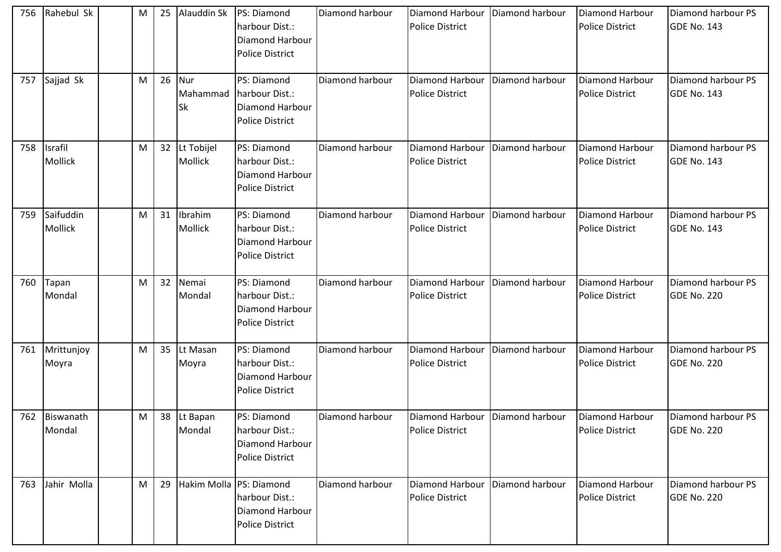| 756 | Rahebul Sk                | M | 25 | Alauddin Sk           | PS: Diamond<br>harbour Dist.:<br>Diamond Harbour<br><b>Police District</b>             | Diamond harbour | Diamond Harbour<br><b>Police District</b>                   | Diamond harbour | Diamond Harbour<br><b>Police District</b> | Diamond harbour PS<br><b>GDE No. 143</b> |
|-----|---------------------------|---|----|-----------------------|----------------------------------------------------------------------------------------|-----------------|-------------------------------------------------------------|-----------------|-------------------------------------------|------------------------------------------|
| 757 | Sajjad Sk                 | M | 26 | Nur<br>Mahammad<br>Sk | PS: Diamond<br>harbour Dist.:<br>Diamond Harbour<br><b>Police District</b>             | Diamond harbour | Diamond Harbour<br><b>Police District</b>                   | Diamond harbour | Diamond Harbour<br><b>Police District</b> | Diamond harbour PS<br>GDE No. 143        |
| 758 | Israfil<br><b>Mollick</b> | M | 32 | Lt Tobijel<br>Mollick | PS: Diamond<br>harbour Dist.:<br>Diamond Harbour<br><b>Police District</b>             | Diamond harbour | Diamond Harbour<br><b>Police District</b>                   | Diamond harbour | Diamond Harbour<br><b>Police District</b> | Diamond harbour PS<br>GDE No. 143        |
| 759 | Saifuddin<br>Mollick      | M | 31 | Ibrahim<br>Mollick    | PS: Diamond<br>harbour Dist.:<br>Diamond Harbour<br><b>Police District</b>             | Diamond harbour | Diamond Harbour<br><b>Police District</b>                   | Diamond harbour | Diamond Harbour<br><b>Police District</b> | Diamond harbour PS<br><b>GDE No. 143</b> |
| 760 | Tapan<br>Mondal           | M | 32 | Nemai<br>Mondal       | PS: Diamond<br>harbour Dist.:<br><b>Diamond Harbour</b><br><b>Police District</b>      | Diamond harbour | Diamond Harbour<br><b>Police District</b>                   | Diamond harbour | Diamond Harbour<br><b>Police District</b> | Diamond harbour PS<br><b>GDE No. 220</b> |
| 761 | Mrittunjoy<br>Moyra       | M | 35 | Lt Masan<br>Moyra     | PS: Diamond<br>harbour Dist.:<br><b>Diamond Harbour</b><br><b>Police District</b>      | Diamond harbour | Diamond Harbour<br><b>Police District</b>                   | Diamond harbour | Diamond Harbour<br><b>Police District</b> | Diamond harbour PS<br><b>GDE No. 220</b> |
|     | 762 Biswanath<br>Mondal   | M |    | 38 Lt Bapan<br>Mondal | PS: Diamond<br>harbour Dist.:<br>Diamond Harbour<br><b>Police District</b>             | Diamond harbour | Diamond Harbour   Diamond harbour<br><b>Police District</b> |                 | Diamond Harbour<br><b>Police District</b> | Diamond harbour PS<br>GDE No. 220        |
| 763 | Jahir Molla               | M | 29 |                       | Hakim Molla PS: Diamond<br>harbour Dist.:<br><b>Diamond Harbour</b><br>Police District | Diamond harbour | <b>Diamond Harbour</b><br><b>Police District</b>            | Diamond harbour | Diamond Harbour<br><b>Police District</b> | Diamond harbour PS<br>GDE No. 220        |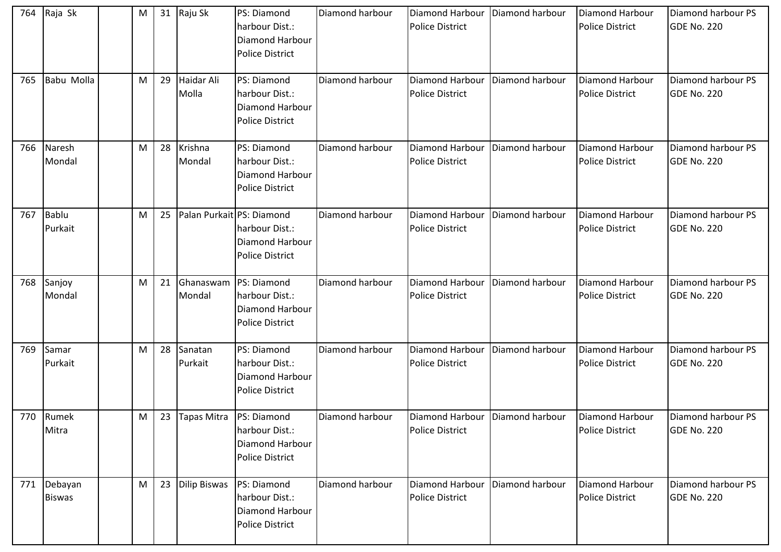| 764 | Raja Sk                  | M |    | 31 Raju Sk                | <b>PS: Diamond</b><br>harbour Dist.:<br><b>Diamond Harbour</b><br><b>Police District</b>      | Diamond harbour | Diamond Harbour<br><b>Police District</b>            | Diamond harbour | Diamond Harbour<br><b>Police District</b> | Diamond harbour PS<br><b>GDE No. 220</b> |
|-----|--------------------------|---|----|---------------------------|-----------------------------------------------------------------------------------------------|-----------------|------------------------------------------------------|-----------------|-------------------------------------------|------------------------------------------|
| 765 | Babu Molla               | M | 29 | Haidar Ali<br>Molla       | <b>PS: Diamond</b><br>harbour Dist.:<br>Diamond Harbour<br><b>Police District</b>             | Diamond harbour | Diamond Harbour<br><b>Police District</b>            | Diamond harbour | Diamond Harbour<br><b>Police District</b> | Diamond harbour PS<br>GDE No. 220        |
| 766 | Naresh<br>Mondal         | M | 28 | Krishna<br>Mondal         | <b>PS: Diamond</b><br>harbour Dist.:<br>Diamond Harbour<br><b>Police District</b>             | Diamond harbour | Diamond Harbour<br><b>Police District</b>            | Diamond harbour | Diamond Harbour<br><b>Police District</b> | Diamond harbour PS<br><b>GDE No. 220</b> |
| 767 | <b>Bablu</b><br>Purkait  | M | 25 |                           | Palan Purkait PS: Diamond<br>harbour Dist.:<br>Diamond Harbour<br><b>Police District</b>      | Diamond harbour | Diamond Harbour<br><b>Police District</b>            | Diamond harbour | Diamond Harbour<br><b>Police District</b> | Diamond harbour PS<br><b>GDE No. 220</b> |
| 768 | Sanjoy<br>Mondal         | M | 21 | Mondal                    | Ghanaswam   PS: Diamond<br>harbour Dist.:<br><b>Diamond Harbour</b><br><b>Police District</b> | Diamond harbour | <b>Diamond Harbour</b><br><b>Police District</b>     | Diamond harbour | Diamond Harbour<br><b>Police District</b> | Diamond harbour PS<br><b>GDE No. 220</b> |
| 769 | Samar<br>Purkait         | M | 28 | Sanatan<br>Purkait        | PS: Diamond<br>harbour Dist.:<br><b>Diamond Harbour</b><br><b>Police District</b>             | Diamond harbour | Diamond Harbour<br><b>Police District</b>            | Diamond harbour | Diamond Harbour<br><b>Police District</b> | Diamond harbour PS<br><b>GDE No. 220</b> |
|     | 770 Rumek<br>Mitra       | M | 23 | Tapas Mitra   PS: Diamond | harbour Dist.:<br><b>Diamond Harbour</b><br><b>Police District</b>                            | Diamond harbour | Diamond Harbour   Diamond harbour<br>Police District |                 | Diamond Harbour<br><b>Police District</b> | Diamond harbour PS<br>GDE No. 220        |
| 771 | Debayan<br><b>Biswas</b> | M | 23 | <b>Dilip Biswas</b>       | PS: Diamond<br>harbour Dist.:<br><b>Diamond Harbour</b><br><b>Police District</b>             | Diamond harbour | Diamond Harbour<br><b>Police District</b>            | Diamond harbour | Diamond Harbour<br><b>Police District</b> | Diamond harbour PS<br>GDE No. 220        |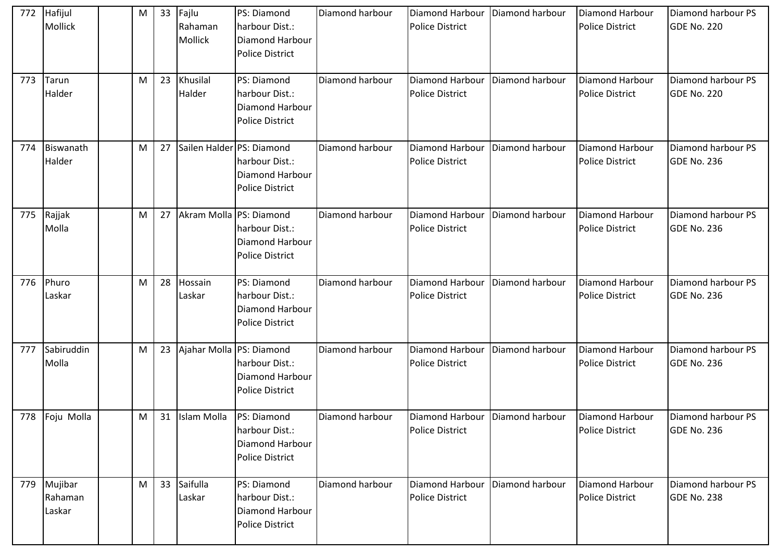| 772 | Hafijul<br>Mollick           | M | 33 | Fajlu<br>Rahaman<br>Mollick    | <b>PS: Diamond</b><br>harbour Dist.:<br><b>Diamond Harbour</b><br><b>Police District</b> | Diamond harbour | Diamond Harbour<br><b>Police District</b>            | Diamond harbour | Diamond Harbour<br><b>Police District</b> | Diamond harbour PS<br><b>GDE No. 220</b> |
|-----|------------------------------|---|----|--------------------------------|------------------------------------------------------------------------------------------|-----------------|------------------------------------------------------|-----------------|-------------------------------------------|------------------------------------------|
| 773 | Tarun<br>Halder              | M | 23 | Khusilal<br>Halder             | PS: Diamond<br>harbour Dist.:<br>Diamond Harbour<br><b>Police District</b>               | Diamond harbour | Diamond Harbour<br><b>Police District</b>            | Diamond harbour | Diamond Harbour<br><b>Police District</b> | Diamond harbour PS<br><b>GDE No. 220</b> |
| 774 | Biswanath<br>Halder          | M | 27 | Sailen Halder PS: Diamond      | harbour Dist.:<br><b>Diamond Harbour</b><br><b>Police District</b>                       | Diamond harbour | Diamond Harbour<br><b>Police District</b>            | Diamond harbour | Diamond Harbour<br><b>Police District</b> | Diamond harbour PS<br><b>GDE No. 236</b> |
| 775 | Rajjak<br>Molla              | M | 27 | Akram Molla PS: Diamond        | harbour Dist.:<br>Diamond Harbour<br><b>Police District</b>                              | Diamond harbour | Diamond Harbour<br><b>Police District</b>            | Diamond harbour | Diamond Harbour<br><b>Police District</b> | Diamond harbour PS<br><b>GDE No. 236</b> |
| 776 | Phuro<br>Laskar              | M | 28 | Hossain<br>Laskar              | PS: Diamond<br>harbour Dist.:<br><b>Diamond Harbour</b><br><b>Police District</b>        | Diamond harbour | <b>Diamond Harbour</b><br><b>Police District</b>     | Diamond harbour | Diamond Harbour<br><b>Police District</b> | Diamond harbour PS<br><b>GDE No. 236</b> |
| 777 | Sabiruddin<br>Molla          | M | 23 | Ajahar Molla PS: Diamond       | harbour Dist.:<br>Diamond Harbour<br><b>Police District</b>                              | Diamond harbour | Diamond Harbour<br><b>Police District</b>            | Diamond harbour | Diamond Harbour<br><b>Police District</b> | Diamond harbour PS<br><b>GDE No. 236</b> |
| 778 | Foju Molla                   | M |    | 31   Islam Molla   PS: Diamond | harbour Dist.:<br><b>Diamond Harbour</b><br><b>Police District</b>                       | Diamond harbour | Diamond Harbour   Diamond harbour<br>Police District |                 | Diamond Harbour<br><b>Police District</b> | Diamond harbour PS<br>GDE No. 236        |
| 779 | Mujibar<br>Rahaman<br>Laskar | M | 33 | Saifulla<br>Laskar             | PS: Diamond<br>harbour Dist.:<br><b>Diamond Harbour</b><br><b>Police District</b>        | Diamond harbour | Diamond Harbour<br><b>Police District</b>            | Diamond harbour | Diamond Harbour<br><b>Police District</b> | Diamond harbour PS<br>GDE No. 238        |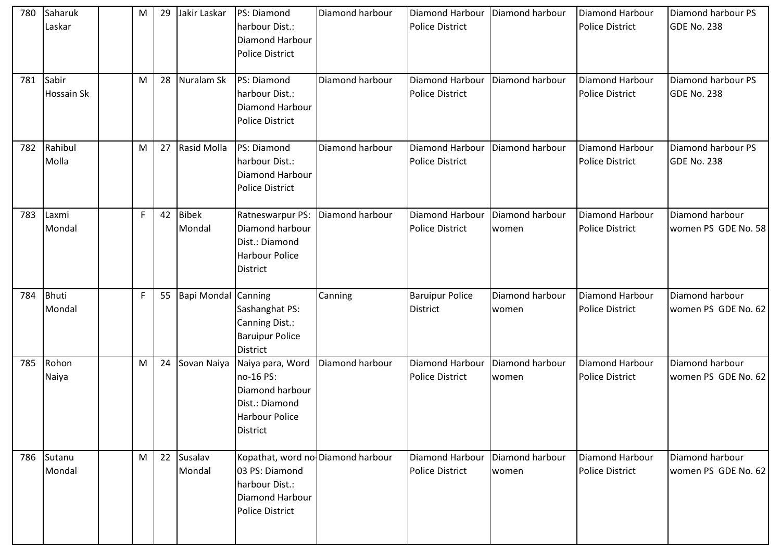| 780 | Saharuk<br>Laskar          | M | 29 | Jakir Laskar               | PS: Diamond<br>harbour Dist.:<br><b>Diamond Harbour</b><br><b>Police District</b>                                  | Diamond harbour | <b>Diamond Harbour</b><br><b>Police District</b> | Diamond harbour          | Diamond Harbour<br><b>Police District</b> | Diamond harbour PS<br>GDE No. 238      |
|-----|----------------------------|---|----|----------------------------|--------------------------------------------------------------------------------------------------------------------|-----------------|--------------------------------------------------|--------------------------|-------------------------------------------|----------------------------------------|
| 781 | Sabir<br><b>Hossain Sk</b> | M | 28 | Nuralam Sk                 | PS: Diamond<br>harbour Dist.:<br><b>Diamond Harbour</b><br><b>Police District</b>                                  | Diamond harbour | <b>Diamond Harbour</b><br><b>Police District</b> | Diamond harbour          | Diamond Harbour<br><b>Police District</b> | Diamond harbour PS<br>GDE No. 238      |
| 782 | Rahibul<br>Molla           | M | 27 | Rasid Molla                | PS: Diamond<br>harbour Dist.:<br><b>Diamond Harbour</b><br><b>Police District</b>                                  | Diamond harbour | <b>Diamond Harbour</b><br><b>Police District</b> | Diamond harbour          | Diamond Harbour<br><b>Police District</b> | Diamond harbour PS<br>GDE No. 238      |
| 783 | Laxmi<br>Mondal            | F | 42 | <b>Bibek</b><br>Mondal     | Ratneswarpur PS:<br>Diamond harbour<br>Dist.: Diamond<br><b>Harbour Police</b><br><b>District</b>                  | Diamond harbour | <b>Diamond Harbour</b><br><b>Police District</b> | Diamond harbour<br>women | Diamond Harbour<br><b>Police District</b> | Diamond harbour<br>women PS GDE No. 58 |
| 784 | Bhuti<br>Mondal            | F | 55 | <b>Bapi Mondal Canning</b> | Sashanghat PS:<br>Canning Dist.:<br><b>Baruipur Police</b><br><b>District</b>                                      | Canning         | <b>Baruipur Police</b><br><b>District</b>        | Diamond harbour<br>women | Diamond Harbour<br><b>Police District</b> | Diamond harbour<br>women PS GDE No. 62 |
| 785 | Rohon<br>Naiya             | M | 24 | Sovan Naiya                | Naiya para, Word<br>no-16 PS:<br>Diamond harbour<br>Dist.: Diamond<br><b>Harbour Police</b><br><b>District</b>     | Diamond harbour | <b>Diamond Harbour</b><br><b>Police District</b> | Diamond harbour<br>women | Diamond Harbour<br><b>Police District</b> | Diamond harbour<br>women PS GDE No. 62 |
| 786 | Sutanu<br>Mondal           | M | 22 | Susalav<br>Mondal          | Kopathat, word no Diamond harbour<br>03 PS: Diamond<br>harbour Dist.:<br>Diamond Harbour<br><b>Police District</b> |                 | Diamond Harbour<br><b>Police District</b>        | Diamond harbour<br>women | Diamond Harbour<br><b>Police District</b> | Diamond harbour<br>women PS GDE No. 62 |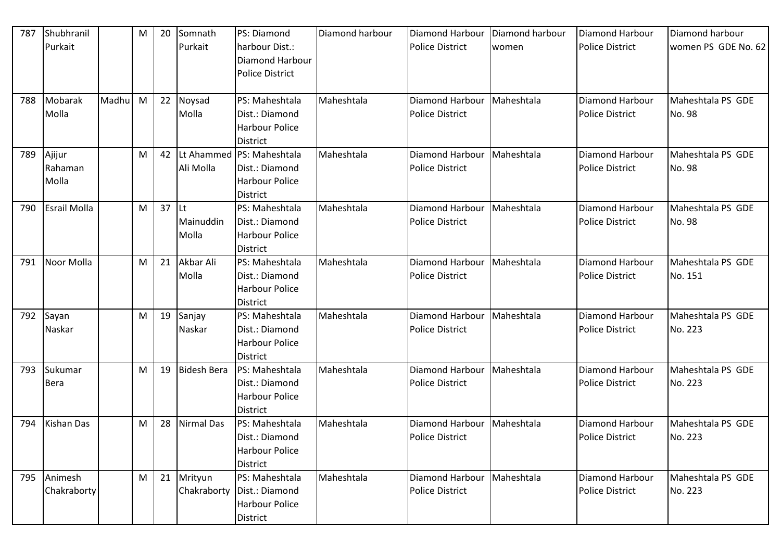| 787 | Shubhranil          |       | M | 20 | Somnath            | PS: Diamond                  | Diamond harbour | Diamond Harbour        | Diamond harbour | <b>Diamond Harbour</b> | Diamond harbour     |
|-----|---------------------|-------|---|----|--------------------|------------------------------|-----------------|------------------------|-----------------|------------------------|---------------------|
|     | Purkait             |       |   |    | Purkait            | harbour Dist.:               |                 | <b>Police District</b> | women           | <b>Police District</b> | women PS GDE No. 62 |
|     |                     |       |   |    |                    | <b>Diamond Harbour</b>       |                 |                        |                 |                        |                     |
|     |                     |       |   |    |                    | <b>Police District</b>       |                 |                        |                 |                        |                     |
|     |                     |       |   |    |                    |                              |                 |                        |                 |                        |                     |
| 788 | Mobarak             | Madhu | M | 22 | Noysad             | PS: Maheshtala               | Maheshtala      | Diamond Harbour        | Maheshtala      | Diamond Harbour        | Maheshtala PS GDE   |
|     | Molla               |       |   |    | Molla              | Dist.: Diamond               |                 | <b>Police District</b> |                 | <b>Police District</b> | No. 98              |
|     |                     |       |   |    |                    | <b>Harbour Police</b>        |                 |                        |                 |                        |                     |
|     |                     |       |   |    |                    | <b>District</b>              |                 |                        |                 |                        |                     |
| 789 | Ajijur              |       | M | 42 |                    | Lt Ahammed  PS: Maheshtala   | Maheshtala      | Diamond Harbour        | Maheshtala      | <b>Diamond Harbour</b> | Maheshtala PS GDE   |
|     | Rahaman             |       |   |    | Ali Molla          | Dist.: Diamond               |                 | <b>Police District</b> |                 | <b>Police District</b> | No. 98              |
|     | Molla               |       |   |    |                    | <b>Harbour Police</b>        |                 |                        |                 |                        |                     |
|     |                     |       |   |    |                    | <b>District</b>              |                 |                        |                 |                        |                     |
| 790 | <b>Esrail Molla</b> |       | M | 37 | lLt.               | PS: Maheshtala               | Maheshtala      | Diamond Harbour        | Maheshtala      | <b>Diamond Harbour</b> | Maheshtala PS GDE   |
|     |                     |       |   |    | Mainuddin          | Dist.: Diamond               |                 | <b>Police District</b> |                 | <b>Police District</b> | No. 98              |
|     |                     |       |   |    | Molla              | <b>Harbour Police</b>        |                 |                        |                 |                        |                     |
|     |                     |       |   |    |                    | <b>District</b>              |                 |                        |                 |                        |                     |
| 791 | Noor Molla          |       | M | 21 | Akbar Ali          | PS: Maheshtala               | Maheshtala      | Diamond Harbour        | Maheshtala      | Diamond Harbour        | Maheshtala PS GDE   |
|     |                     |       |   |    | Molla              | Dist.: Diamond               |                 | <b>Police District</b> |                 | <b>Police District</b> | No. 151             |
|     |                     |       |   |    |                    | <b>Harbour Police</b>        |                 |                        |                 |                        |                     |
|     |                     |       |   |    |                    | <b>District</b>              |                 |                        |                 |                        |                     |
| 792 | Sayan               |       | M | 19 | Sanjay             | PS: Maheshtala               | Maheshtala      | Diamond Harbour        | Maheshtala      | <b>Diamond Harbour</b> | Maheshtala PS GDE   |
|     | Naskar              |       |   |    | Naskar             | Dist.: Diamond               |                 | <b>Police District</b> |                 | <b>Police District</b> | No. 223             |
|     |                     |       |   |    |                    | <b>Harbour Police</b>        |                 |                        |                 |                        |                     |
|     |                     |       |   |    |                    | <b>District</b>              |                 |                        |                 |                        |                     |
| 793 | Sukumar             |       | M | 19 | <b>Bidesh Bera</b> | PS: Maheshtala               | Maheshtala      | Diamond Harbour        | Maheshtala      | <b>Diamond Harbour</b> | Maheshtala PS GDE   |
|     | <b>Bera</b>         |       |   |    |                    | Dist.: Diamond               |                 | <b>Police District</b> |                 | <b>Police District</b> | No. 223             |
|     |                     |       |   |    |                    | <b>Harbour Police</b>        |                 |                        |                 |                        |                     |
|     |                     |       |   |    |                    | <b>District</b>              |                 |                        |                 |                        |                     |
| 794 | Kishan Das          |       | M | 28 | Nirmal Das         | PS: Maheshtala               | Maheshtala      | Diamond Harbour        | Maheshtala      | Diamond Harbour        | Maheshtala PS GDE   |
|     |                     |       |   |    |                    | Dist.: Diamond               |                 | <b>Police District</b> |                 | <b>Police District</b> | No. 223             |
|     |                     |       |   |    |                    | <b>Harbour Police</b>        |                 |                        |                 |                        |                     |
|     |                     |       |   |    |                    | District                     |                 |                        |                 |                        |                     |
| 795 | Animesh             |       | M | 21 | Mrityun            | PS: Maheshtala               | Maheshtala      | Diamond Harbour        | Maheshtala      | Diamond Harbour        | Maheshtala PS GDE   |
|     | Chakraborty         |       |   |    |                    | Chakraborty   Dist.: Diamond |                 | <b>Police District</b> |                 | <b>Police District</b> | No. 223             |
|     |                     |       |   |    |                    | <b>Harbour Police</b>        |                 |                        |                 |                        |                     |
|     |                     |       |   |    |                    | District                     |                 |                        |                 |                        |                     |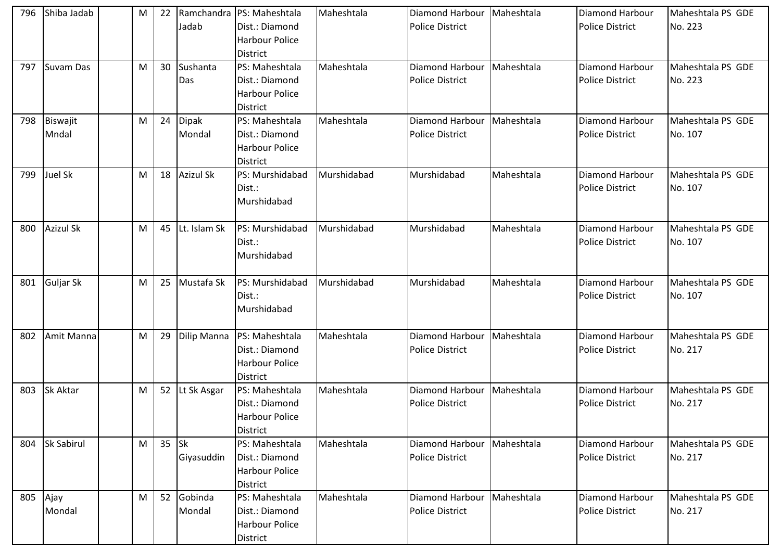| 796 | Shiba Jadab       | M | 22 | Jadab                   | Ramchandra   PS: Maheshtala<br>Dist.: Diamond<br><b>Harbour Police</b><br><b>District</b> | Maheshtala  | Diamond Harbour   Maheshtala<br><b>Police District</b> |            | Diamond Harbour<br><b>Police District</b>        | Maheshtala PS GDE<br>No. 223 |
|-----|-------------------|---|----|-------------------------|-------------------------------------------------------------------------------------------|-------------|--------------------------------------------------------|------------|--------------------------------------------------|------------------------------|
| 797 | Suvam Das         | M | 30 | Sushanta<br>Das         | PS: Maheshtala<br>Dist.: Diamond<br><b>Harbour Police</b><br>District                     | Maheshtala  | Diamond Harbour   Maheshtala<br><b>Police District</b> |            | Diamond Harbour<br><b>Police District</b>        | Maheshtala PS GDE<br>No. 223 |
| 798 | Biswajit<br>Mndal | M | 24 | Dipak<br>Mondal         | PS: Maheshtala<br>Dist.: Diamond<br><b>Harbour Police</b><br><b>District</b>              | Maheshtala  | Diamond Harbour<br><b>Police District</b>              | Maheshtala | Diamond Harbour<br><b>Police District</b>        | Maheshtala PS GDE<br>No. 107 |
| 799 | Juel Sk           | M | 18 | <b>Azizul Sk</b>        | PS: Murshidabad<br>Dist.:<br>Murshidabad                                                  | Murshidabad | Murshidabad                                            | Maheshtala | <b>Diamond Harbour</b><br><b>Police District</b> | Maheshtala PS GDE<br>No. 107 |
| 800 | <b>Azizul Sk</b>  | M | 45 | Lt. Islam Sk            | PS: Murshidabad<br>Dist.:<br>Murshidabad                                                  | Murshidabad | Murshidabad                                            | Maheshtala | <b>Diamond Harbour</b><br><b>Police District</b> | Maheshtala PS GDE<br>No. 107 |
| 801 | Guljar Sk         | M | 25 | Mustafa Sk              | PS: Murshidabad<br>Dist.:<br>Murshidabad                                                  | Murshidabad | Murshidabad                                            | Maheshtala | Diamond Harbour<br><b>Police District</b>        | Maheshtala PS GDE<br>No. 107 |
| 802 | Amit Manna        | M | 29 | Dilip Manna             | PS: Maheshtala<br>Dist.: Diamond<br><b>Harbour Police</b><br><b>District</b>              | Maheshtala  | Diamond Harbour<br><b>Police District</b>              | Maheshtala | Diamond Harbour<br><b>Police District</b>        | Maheshtala PS GDE<br>No. 217 |
| 803 | <b>Sk Aktar</b>   | M |    | 52 Lt Sk Asgar          | PS: Maheshtala<br>Dist.: Diamond<br>Harbour Police<br><b>District</b>                     | Maheshtala  | Diamond Harbour   Maheshtala<br><b>Police District</b> |            | Diamond Harbour<br><b>Police District</b>        | Maheshtala PS GDE<br>No. 217 |
| 804 | <b>Sk Sabirul</b> | M | 35 | <b>Sk</b><br>Giyasuddin | PS: Maheshtala<br>Dist.: Diamond<br><b>Harbour Police</b><br><b>District</b>              | Maheshtala  | Diamond Harbour<br><b>Police District</b>              | Maheshtala | Diamond Harbour<br><b>Police District</b>        | Maheshtala PS GDE<br>No. 217 |
| 805 | Ajay<br>Mondal    | M | 52 | Gobinda<br>Mondal       | PS: Maheshtala<br>Dist.: Diamond<br><b>Harbour Police</b><br><b>District</b>              | Maheshtala  | Diamond Harbour<br><b>Police District</b>              | Maheshtala | Diamond Harbour<br><b>Police District</b>        | Maheshtala PS GDE<br>No. 217 |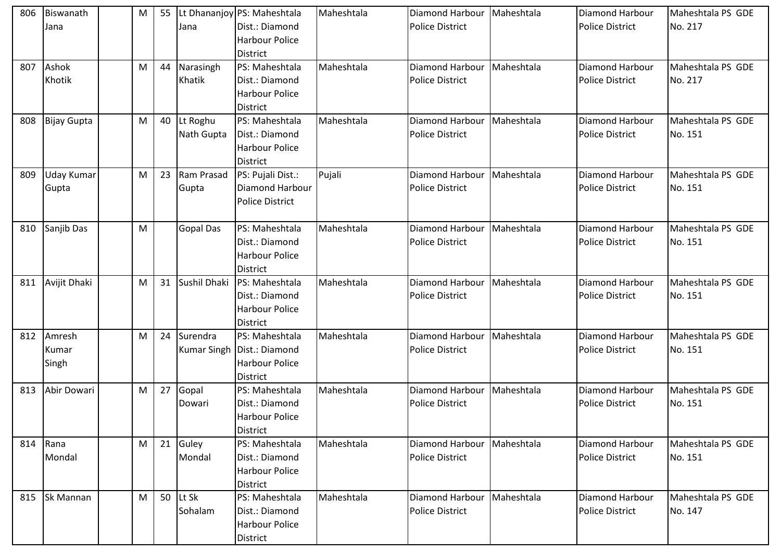| 806 | Biswanath<br>Jana        | M | 55 | Jana                   | Lt Dhananjoy PS: Maheshtala<br>Dist.: Diamond<br><b>Harbour Police</b><br><b>District</b>  | Maheshtala | Diamond Harbour<br><b>Police District</b>        | Maheshtala | <b>Diamond Harbour</b><br><b>Police District</b> | Maheshtala PS GDE<br>No. 217 |
|-----|--------------------------|---|----|------------------------|--------------------------------------------------------------------------------------------|------------|--------------------------------------------------|------------|--------------------------------------------------|------------------------------|
| 807 | Ashok<br>Khotik          | M | 44 | Narasingh<br>Khatik    | PS: Maheshtala<br>Dist.: Diamond<br><b>Harbour Police</b><br>District                      | Maheshtala | Diamond Harbour<br><b>Police District</b>        | Maheshtala | Diamond Harbour<br><b>Police District</b>        | Maheshtala PS GDE<br>No. 217 |
| 808 | <b>Bijay Gupta</b>       | M | 40 | Lt Roghu<br>Nath Gupta | PS: Maheshtala<br>Dist.: Diamond<br><b>Harbour Police</b><br><b>District</b>               | Maheshtala | <b>Diamond Harbour</b><br><b>Police District</b> | Maheshtala | Diamond Harbour<br><b>Police District</b>        | Maheshtala PS GDE<br>No. 151 |
| 809 | Uday Kumar<br>Gupta      | M | 23 | Ram Prasad<br>Gupta    | PS: Pujali Dist.:<br><b>Diamond Harbour</b><br><b>Police District</b>                      | Pujali     | Diamond Harbour<br><b>Police District</b>        | Maheshtala | <b>Diamond Harbour</b><br><b>Police District</b> | Maheshtala PS GDE<br>No. 151 |
| 810 | Sanjib Das               | M |    | <b>Gopal Das</b>       | PS: Maheshtala<br>Dist.: Diamond<br><b>Harbour Police</b><br><b>District</b>               | Maheshtala | Diamond Harbour<br><b>Police District</b>        | Maheshtala | <b>Diamond Harbour</b><br><b>Police District</b> | Maheshtala PS GDE<br>No. 151 |
| 811 | Avijit Dhaki             | M | 31 | Sushil Dhaki           | PS: Maheshtala<br>Dist.: Diamond<br><b>Harbour Police</b><br><b>District</b>               | Maheshtala | Diamond Harbour<br><b>Police District</b>        | Maheshtala | Diamond Harbour<br><b>Police District</b>        | Maheshtala PS GDE<br>No. 151 |
| 812 | Amresh<br>Kumar<br>Singh | M | 24 | Surendra               | PS: Maheshtala<br>Kumar Singh   Dist.: Diamond<br><b>Harbour Police</b><br><b>District</b> | Maheshtala | Diamond Harbour<br><b>Police District</b>        | Maheshtala | <b>Diamond Harbour</b><br><b>Police District</b> | Maheshtala PS GDE<br>No. 151 |
| 813 | Abir Dowari              | M | 27 | Gopal<br>Dowari        | PS: Maheshtala<br>Dist.: Diamond<br><b>Harbour Police</b><br><b>District</b>               | Maheshtala | Diamond Harbour<br><b>Police District</b>        | Maheshtala | Diamond Harbour<br><b>Police District</b>        | Maheshtala PS GDE<br>No. 151 |
|     | 814 Rana<br>Mondal       | M |    | 21 Guley<br>Mondal     | PS: Maheshtala<br>Dist.: Diamond<br><b>Harbour Police</b><br><b>District</b>               | Maheshtala | Diamond Harbour<br><b>Police District</b>        | Maheshtala | <b>Diamond Harbour</b><br><b>Police District</b> | Maheshtala PS GDE<br>No. 151 |
| 815 | <b>Sk Mannan</b>         | M | 50 | Lt Sk<br>Sohalam       | PS: Maheshtala<br>Dist.: Diamond<br><b>Harbour Police</b><br>District                      | Maheshtala | Diamond Harbour<br>Police District               | Maheshtala | Diamond Harbour<br><b>Police District</b>        | Maheshtala PS GDE<br>No. 147 |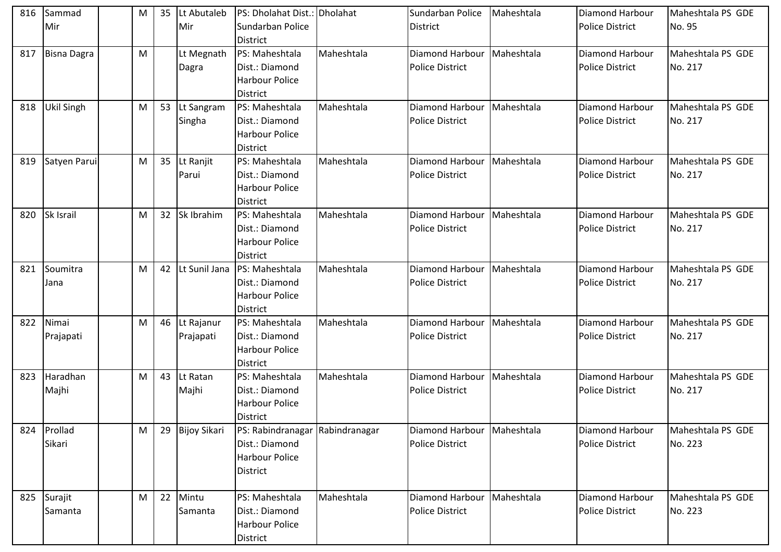| 816 | Sammad             | M | 35 | Lt Abutaleb         | PS: Dholahat Dist.: Dholahat    |            | Sundarban Police             | Maheshtala | <b>Diamond Harbour</b> | Maheshtala PS GDE |
|-----|--------------------|---|----|---------------------|---------------------------------|------------|------------------------------|------------|------------------------|-------------------|
|     | Mir                |   |    | Mir                 | Sundarban Police                |            | <b>District</b>              |            | <b>Police District</b> | No. 95            |
|     |                    |   |    |                     | <b>District</b>                 |            |                              |            |                        |                   |
| 817 | <b>Bisna Dagra</b> | M |    | Lt Megnath          | PS: Maheshtala                  | Maheshtala | Diamond Harbour              | Maheshtala | Diamond Harbour        | Maheshtala PS GDE |
|     |                    |   |    | Dagra               | Dist.: Diamond                  |            | <b>Police District</b>       |            | <b>Police District</b> | No. 217           |
|     |                    |   |    |                     | <b>Harbour Police</b>           |            |                              |            |                        |                   |
|     |                    |   |    |                     | <b>District</b>                 |            |                              |            |                        |                   |
| 818 | Ukil Singh         | M | 53 | Lt Sangram          | PS: Maheshtala                  | Maheshtala | Diamond Harbour              | Maheshtala | Diamond Harbour        | Maheshtala PS GDE |
|     |                    |   |    | Singha              | Dist.: Diamond                  |            | <b>Police District</b>       |            | <b>Police District</b> | No. 217           |
|     |                    |   |    |                     | <b>Harbour Police</b>           |            |                              |            |                        |                   |
|     |                    |   |    |                     | <b>District</b>                 |            |                              |            |                        |                   |
| 819 | Satyen Parui       | M | 35 | Lt Ranjit           | PS: Maheshtala                  | Maheshtala | Diamond Harbour   Maheshtala |            | Diamond Harbour        | Maheshtala PS GDE |
|     |                    |   |    | Parui               | Dist.: Diamond                  |            | <b>Police District</b>       |            | <b>Police District</b> | No. 217           |
|     |                    |   |    |                     | <b>Harbour Police</b>           |            |                              |            |                        |                   |
|     |                    |   |    |                     | District                        |            |                              |            |                        |                   |
| 820 | Sk Israil          | M | 32 | Sk Ibrahim          | PS: Maheshtala                  | Maheshtala | Diamond Harbour   Maheshtala |            | <b>Diamond Harbour</b> | Maheshtala PS GDE |
|     |                    |   |    |                     | Dist.: Diamond                  |            | <b>Police District</b>       |            | <b>Police District</b> | No. 217           |
|     |                    |   |    |                     | <b>Harbour Police</b>           |            |                              |            |                        |                   |
|     |                    |   |    |                     | <b>District</b>                 |            |                              |            |                        |                   |
| 821 | Soumitra           | M | 42 | Lt Sunil Jana       | PS: Maheshtala                  | Maheshtala | Diamond Harbour   Maheshtala |            | Diamond Harbour        | Maheshtala PS GDE |
|     | Jana               |   |    |                     | Dist.: Diamond                  |            | <b>Police District</b>       |            | <b>Police District</b> | No. 217           |
|     |                    |   |    |                     | <b>Harbour Police</b>           |            |                              |            |                        |                   |
|     |                    |   |    |                     | <b>District</b>                 |            |                              |            |                        |                   |
| 822 | Nimai              | M | 46 | Lt Rajanur          | PS: Maheshtala                  | Maheshtala | Diamond Harbour   Maheshtala |            | Diamond Harbour        | Maheshtala PS GDE |
|     | Prajapati          |   |    | Prajapati           | Dist.: Diamond                  |            | <b>Police District</b>       |            | <b>Police District</b> | No. 217           |
|     |                    |   |    |                     | <b>Harbour Police</b>           |            |                              |            |                        |                   |
|     |                    |   |    |                     | District                        |            |                              |            |                        |                   |
| 823 | Haradhan           | M | 43 | Lt Ratan            | PS: Maheshtala                  | Maheshtala | Diamond Harbour              | Maheshtala | Diamond Harbour        | Maheshtala PS GDE |
|     | Majhi              |   |    | Majhi               | Dist.: Diamond                  |            | Police District              |            | <b>Police District</b> | No. 217           |
|     |                    |   |    |                     | <b>Harbour Police</b>           |            |                              |            |                        |                   |
|     |                    |   |    |                     | <b>District</b>                 |            |                              |            |                        |                   |
| 824 | Prollad            | M | 29 | <b>Bijoy Sikari</b> | PS: Rabindranagar Rabindranagar |            | Diamond Harbour   Maheshtala |            | Diamond Harbour        | Maheshtala PS GDE |
|     | Sikari             |   |    |                     | Dist.: Diamond                  |            | <b>Police District</b>       |            | <b>Police District</b> | No. 223           |
|     |                    |   |    |                     | <b>Harbour Police</b>           |            |                              |            |                        |                   |
|     |                    |   |    |                     | <b>District</b>                 |            |                              |            |                        |                   |
| 825 | Surajit            | M | 22 | Mintu               | PS: Maheshtala                  | Maheshtala | Diamond Harbour              | Maheshtala | Diamond Harbour        | Maheshtala PS GDE |
|     | Samanta            |   |    | Samanta             | Dist.: Diamond                  |            | Police District              |            | <b>Police District</b> | No. 223           |
|     |                    |   |    |                     | <b>Harbour Police</b>           |            |                              |            |                        |                   |
|     |                    |   |    |                     |                                 |            |                              |            |                        |                   |
|     |                    |   |    |                     | District                        |            |                              |            |                        |                   |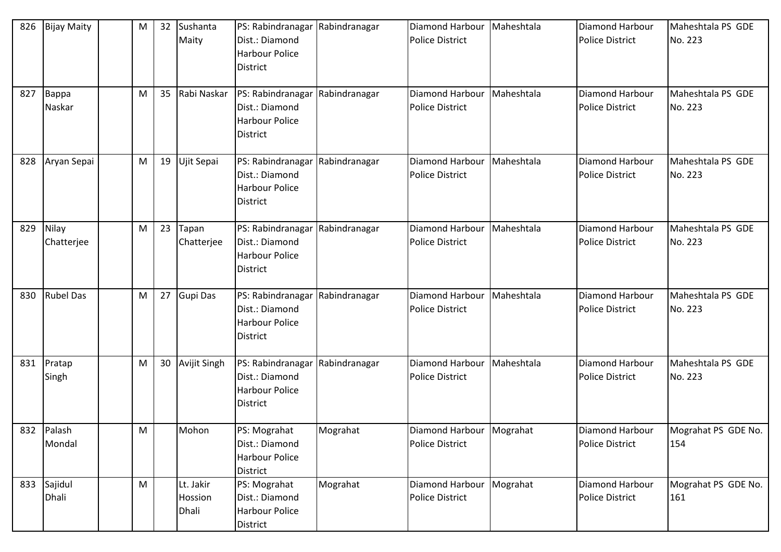| 826 | <b>Bijay Maity</b>   | M | 32 | Sushanta<br>Maity             | PS: Rabindranagar Rabindranagar<br>Dist.: Diamond<br><b>Harbour Police</b><br><b>District</b> |          | <b>Diamond Harbour</b><br><b>Police District</b>     | Maheshtala | <b>Diamond Harbour</b><br><b>Police District</b> | Maheshtala PS GDE<br>No. 223 |
|-----|----------------------|---|----|-------------------------------|-----------------------------------------------------------------------------------------------|----------|------------------------------------------------------|------------|--------------------------------------------------|------------------------------|
| 827 | Bappa<br>Naskar      | M | 35 | Rabi Naskar                   | PS: Rabindranagar Rabindranagar<br>Dist.: Diamond<br><b>Harbour Police</b><br><b>District</b> |          | Diamond Harbour<br><b>Police District</b>            | Maheshtala | Diamond Harbour<br><b>Police District</b>        | Maheshtala PS GDE<br>No. 223 |
| 828 | Aryan Sepai          | M | 19 | Ujit Sepai                    | PS: Rabindranagar Rabindranagar<br>Dist.: Diamond<br><b>Harbour Police</b><br><b>District</b> |          | Diamond Harbour<br><b>Police District</b>            | Maheshtala | Diamond Harbour<br><b>Police District</b>        | Maheshtala PS GDE<br>No. 223 |
| 829 | Nilay<br>Chatterjee  | M | 23 | Tapan<br>Chatterjee           | PS: Rabindranagar Rabindranagar<br>Dist.: Diamond<br><b>Harbour Police</b><br><b>District</b> |          | Diamond Harbour<br><b>Police District</b>            | Maheshtala | Diamond Harbour<br><b>Police District</b>        | Maheshtala PS GDE<br>No. 223 |
| 830 | <b>Rubel Das</b>     | M | 27 | <b>Gupi Das</b>               | PS: Rabindranagar Rabindranagar<br>Dist.: Diamond<br><b>Harbour Police</b><br><b>District</b> |          | <b>Diamond Harbour</b><br><b>Police District</b>     | Maheshtala | Diamond Harbour<br><b>Police District</b>        | Maheshtala PS GDE<br>No. 223 |
| 831 | Pratap<br>Singh      | M | 30 | <b>Avijit Singh</b>           | PS: Rabindranagar Rabindranagar<br>Dist.: Diamond<br><b>Harbour Police</b><br><b>District</b> |          | Diamond Harbour<br><b>Police District</b>            | Maheshtala | Diamond Harbour<br><b>Police District</b>        | Maheshtala PS GDE<br>No. 223 |
|     | 832 Palash<br>Mondal | M |    | Mohon                         | PS: Mograhat<br>Dist.: Diamond<br><b>Harbour Police</b><br>District                           | Mograhat | Diamond Harbour   Mograhat<br><b>Police District</b> |            | Diamond Harbour<br><b>Police District</b>        | Mograhat PS GDE No.<br>154   |
| 833 | Sajidul<br>Dhali     | M |    | Lt. Jakir<br>Hossion<br>Dhali | PS: Mograhat<br>Dist.: Diamond<br><b>Harbour Police</b><br>District                           | Mograhat | Diamond Harbour<br>Police District                   | Mograhat   | Diamond Harbour<br><b>Police District</b>        | Mograhat PS GDE No.<br>161   |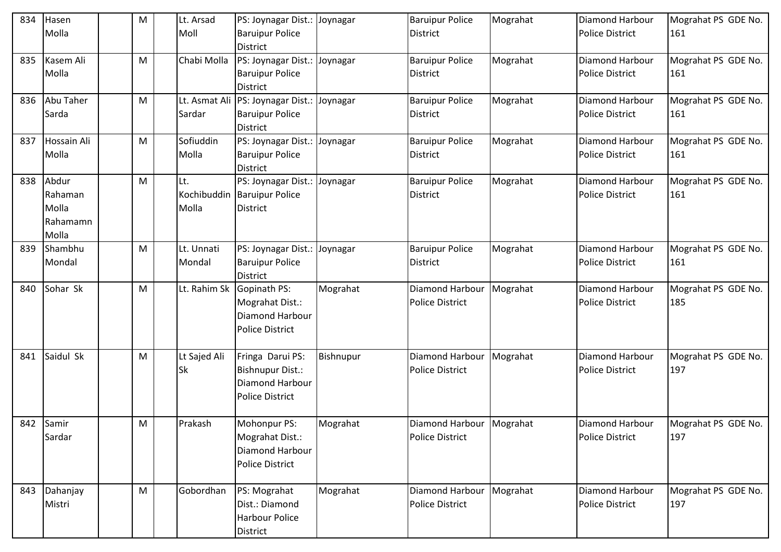| 834 | Hasen<br>Molla                                 | M | Lt. Arsad<br>Moll    | PS: Joynagar Dist.: Joynagar<br><b>Baruipur Police</b><br>District                       |           | <b>Baruipur Police</b><br><b>District</b>            | Mograhat | Diamond Harbour<br><b>Police District</b>        | Mograhat PS GDE No.<br>161 |
|-----|------------------------------------------------|---|----------------------|------------------------------------------------------------------------------------------|-----------|------------------------------------------------------|----------|--------------------------------------------------|----------------------------|
| 835 | Kasem Ali<br>Molla                             | M | Chabi Molla          | PS: Joynagar Dist.: Joynagar<br><b>Baruipur Police</b><br><b>District</b>                |           | <b>Baruipur Police</b><br><b>District</b>            | Mograhat | Diamond Harbour<br><b>Police District</b>        | Mograhat PS GDE No.<br>161 |
| 836 | Abu Taher<br>Sarda                             | M | Sardar               | Lt. Asmat Ali  PS: Joynagar Dist.: Joynagar<br><b>Baruipur Police</b><br><b>District</b> |           | <b>Baruipur Police</b><br>District                   | Mograhat | Diamond Harbour<br><b>Police District</b>        | Mograhat PS GDE No.<br>161 |
| 837 | Hossain Ali<br>Molla                           | M | Sofiuddin<br>Molla   | PS: Joynagar Dist.: Joynagar<br><b>Baruipur Police</b><br>District                       |           | <b>Baruipur Police</b><br><b>District</b>            | Mograhat | Diamond Harbour<br><b>Police District</b>        | Mograhat PS GDE No.<br>161 |
| 838 | Abdur<br>Rahaman<br>Molla<br>Rahamamn<br>Molla | M | .t.<br>Molla         | PS: Joynagar Dist.: Joynagar<br>Kochibuddin Baruipur Police<br><b>District</b>           |           | <b>Baruipur Police</b><br><b>District</b>            | Mograhat | Diamond Harbour<br><b>Police District</b>        | Mograhat PS GDE No.<br>161 |
| 839 | Shambhu<br>Mondal                              | M | Lt. Unnati<br>Mondal | PS: Joynagar Dist.: Joynagar<br><b>Baruipur Police</b><br><b>District</b>                |           | <b>Baruipur Police</b><br><b>District</b>            | Mograhat | <b>Diamond Harbour</b><br><b>Police District</b> | Mograhat PS GDE No.<br>161 |
| 840 | Sohar Sk                                       | M | Lt. Rahim Sk         | Gopinath PS:<br>Mograhat Dist.:<br>Diamond Harbour<br><b>Police District</b>             | Mograhat  | Diamond Harbour<br>Police District                   | Mograhat | Diamond Harbour<br><b>Police District</b>        | Mograhat PS GDE No.<br>185 |
| 841 | Saidul Sk                                      | M | Lt Sajed Ali<br>Sk   | Fringa Darui PS:<br><b>Bishnupur Dist.:</b><br>Diamond Harbour<br><b>Police District</b> | Bishnupur | Diamond Harbour<br><b>Police District</b>            | Mograhat | Diamond Harbour<br><b>Police District</b>        | Mograhat PS GDE No.<br>197 |
|     | 842 Samir<br>Sardar                            | M | Prakash              | Mohonpur PS:<br>Mograhat Dist.:<br>Diamond Harbour<br><b>Police District</b>             | Mograhat  | Diamond Harbour   Mograhat<br><b>Police District</b> |          | <b>Diamond Harbour</b><br><b>Police District</b> | Mograhat PS GDE No.<br>197 |
| 843 | Dahanjay<br>Mistri                             | M | Gobordhan            | PS: Mograhat<br>Dist.: Diamond<br><b>Harbour Police</b><br>District                      | Mograhat  | Diamond Harbour   Mograhat<br>Police District        |          | Diamond Harbour<br><b>Police District</b>        | Mograhat PS GDE No.<br>197 |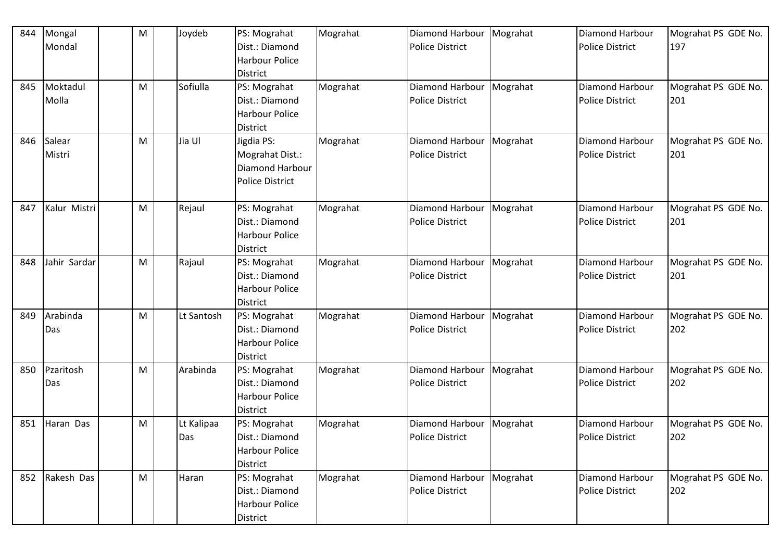| 844 | Mongal       | M | Joydeb     | PS: Mograhat                            | Mograhat | Diamond Harbour        | Mograhat | Diamond Harbour        | Mograhat PS GDE No. |
|-----|--------------|---|------------|-----------------------------------------|----------|------------------------|----------|------------------------|---------------------|
|     | Mondal       |   |            | Dist.: Diamond<br><b>Harbour Police</b> |          | <b>Police District</b> |          | <b>Police District</b> | 197                 |
|     |              |   |            | <b>District</b>                         |          |                        |          |                        |                     |
| 845 | Moktadul     | M | Sofiulla   | PS: Mograhat                            | Mograhat | Diamond Harbour        | Mograhat | Diamond Harbour        | Mograhat PS GDE No. |
|     | Molla        |   |            | Dist.: Diamond                          |          | <b>Police District</b> |          | <b>Police District</b> | 201                 |
|     |              |   |            | <b>Harbour Police</b>                   |          |                        |          |                        |                     |
|     |              |   |            | <b>District</b>                         |          |                        |          |                        |                     |
| 846 | Salear       | M | Jia Ul     | Jigdia PS:                              | Mograhat | Diamond Harbour        | Mograhat | Diamond Harbour        | Mograhat PS GDE No. |
|     | Mistri       |   |            | Mograhat Dist.:                         |          | <b>Police District</b> |          | <b>Police District</b> | 201                 |
|     |              |   |            | Diamond Harbour                         |          |                        |          |                        |                     |
|     |              |   |            | <b>Police District</b>                  |          |                        |          |                        |                     |
| 847 | Kalur Mistri | M | Rejaul     | PS: Mograhat                            | Mograhat | Diamond Harbour        | Mograhat | Diamond Harbour        | Mograhat PS GDE No. |
|     |              |   |            | Dist.: Diamond                          |          | <b>Police District</b> |          | <b>Police District</b> | 201                 |
|     |              |   |            | <b>Harbour Police</b>                   |          |                        |          |                        |                     |
|     |              |   |            | <b>District</b>                         |          |                        |          |                        |                     |
| 848 | Jahir Sardar | M | Rajaul     | PS: Mograhat                            | Mograhat | Diamond Harbour        | Mograhat | Diamond Harbour        | Mograhat PS GDE No. |
|     |              |   |            | Dist.: Diamond                          |          | <b>Police District</b> |          | <b>Police District</b> | 201                 |
|     |              |   |            | <b>Harbour Police</b>                   |          |                        |          |                        |                     |
|     |              |   |            | <b>District</b>                         |          |                        |          |                        |                     |
| 849 | Arabinda     | M | Lt Santosh | PS: Mograhat                            | Mograhat | Diamond Harbour        | Mograhat | Diamond Harbour        | Mograhat PS GDE No. |
|     | Das          |   |            | Dist.: Diamond                          |          | <b>Police District</b> |          | <b>Police District</b> | 202                 |
|     |              |   |            | <b>Harbour Police</b>                   |          |                        |          |                        |                     |
|     |              |   |            | <b>District</b>                         |          |                        |          |                        |                     |
| 850 | Pzaritosh    | M | Arabinda   | PS: Mograhat                            | Mograhat | Diamond Harbour        | Mograhat | Diamond Harbour        | Mograhat PS GDE No. |
|     | Das          |   |            | Dist.: Diamond                          |          | <b>Police District</b> |          | <b>Police District</b> | 202                 |
|     |              |   |            | <b>Harbour Police</b>                   |          |                        |          |                        |                     |
|     |              |   |            | District                                |          |                        |          |                        |                     |
| 851 | Haran Das    | M | Lt Kalipaa | PS: Mograhat                            | Mograhat | Diamond Harbour        | Mograhat | Diamond Harbour        | Mograhat PS GDE No. |
|     |              |   | Das        | Dist.: Diamond                          |          | Police District        |          | <b>Police District</b> | 202                 |
|     |              |   |            | <b>Harbour Police</b>                   |          |                        |          |                        |                     |
|     |              |   |            | District                                |          |                        |          |                        |                     |
| 852 | Rakesh Das   | M | Haran      | PS: Mograhat                            | Mograhat | Diamond Harbour        | Mograhat | Diamond Harbour        | Mograhat PS GDE No. |
|     |              |   |            | Dist.: Diamond                          |          | <b>Police District</b> |          | <b>Police District</b> | 202                 |
|     |              |   |            | <b>Harbour Police</b>                   |          |                        |          |                        |                     |
|     |              |   |            | District                                |          |                        |          |                        |                     |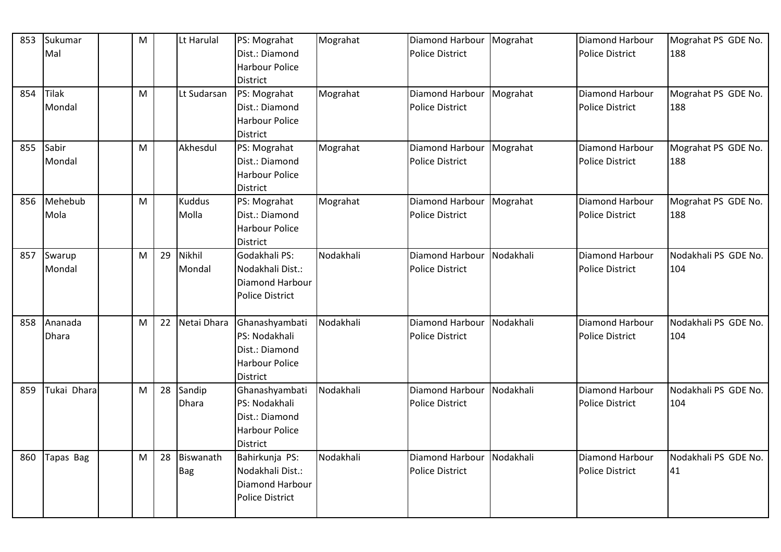| 853 | Sukumar<br>Mal          | $\mathsf{M}% _{T}=\mathsf{M}_{T}\!\left( a,b\right) ,\ \mathsf{M}_{T}=\mathsf{M}_{T}\!\left( a,b\right) ,$ |    | Lt Harulal              | PS: Mograhat<br>Dist.: Diamond<br><b>Harbour Police</b><br><b>District</b>                    | Mograhat  | Diamond Harbour<br><b>Police District</b>            | Mograhat  | Diamond Harbour<br><b>Police District</b>        | Mograhat PS GDE No.<br>188  |
|-----|-------------------------|------------------------------------------------------------------------------------------------------------|----|-------------------------|-----------------------------------------------------------------------------------------------|-----------|------------------------------------------------------|-----------|--------------------------------------------------|-----------------------------|
| 854 | <b>Tilak</b><br>Mondal  | M                                                                                                          |    | Lt Sudarsan             | PS: Mograhat<br>Dist.: Diamond<br><b>Harbour Police</b><br><b>District</b>                    | Mograhat  | Diamond Harbour   Mograhat<br><b>Police District</b> |           | Diamond Harbour<br><b>Police District</b>        | Mograhat PS GDE No.<br>188  |
| 855 | Sabir<br>Mondal         | M                                                                                                          |    | Akhesdul                | PS: Mograhat<br>Dist.: Diamond<br><b>Harbour Police</b><br>District                           | Mograhat  | Diamond Harbour   Mograhat<br><b>Police District</b> |           | Diamond Harbour<br><b>Police District</b>        | Mograhat PS GDE No.<br>188  |
| 856 | Mehebub<br>Mola         | M                                                                                                          |    | <b>Kuddus</b><br>Molla  | PS: Mograhat<br>Dist.: Diamond<br><b>Harbour Police</b><br><b>District</b>                    | Mograhat  | Diamond Harbour<br><b>Police District</b>            | Mograhat  | Diamond Harbour<br><b>Police District</b>        | Mograhat PS GDE No.<br>188  |
| 857 | Swarup<br>Mondal        | M                                                                                                          | 29 | Nikhil<br>Mondal        | Godakhali PS:<br>Nodakhali Dist.:<br><b>Diamond Harbour</b><br><b>Police District</b>         | Nodakhali | Diamond Harbour<br><b>Police District</b>            | Nodakhali | <b>Diamond Harbour</b><br><b>Police District</b> | Nodakhali PS GDE No.<br>104 |
| 858 | Ananada<br><b>Dhara</b> | M                                                                                                          | 22 | Netai Dhara             | Ghanashyambati<br>PS: Nodakhali<br>Dist.: Diamond<br><b>Harbour Police</b><br>District        | Nodakhali | Diamond Harbour<br><b>Police District</b>            | Nodakhali | Diamond Harbour<br><b>Police District</b>        | Nodakhali PS GDE No.<br>104 |
| 859 | Tukai Dhara             | M                                                                                                          | 28 | Sandip<br>Dhara         | Ghanashyambati<br>PS: Nodakhali<br>Dist.: Diamond<br><b>Harbour Police</b><br><b>District</b> | Nodakhali | Diamond Harbour<br><b>Police District</b>            | Nodakhali | <b>Diamond Harbour</b><br><b>Police District</b> | Nodakhali PS GDE No.<br>104 |
| 860 | Tapas Bag               | M                                                                                                          | 28 | Biswanath<br><b>Bag</b> | Bahirkunja PS:<br>Nodakhali Dist.:<br>Diamond Harbour<br><b>Police District</b>               | Nodakhali | Diamond Harbour<br><b>Police District</b>            | Nodakhali | Diamond Harbour<br><b>Police District</b>        | Nodakhali PS GDE No.<br>41  |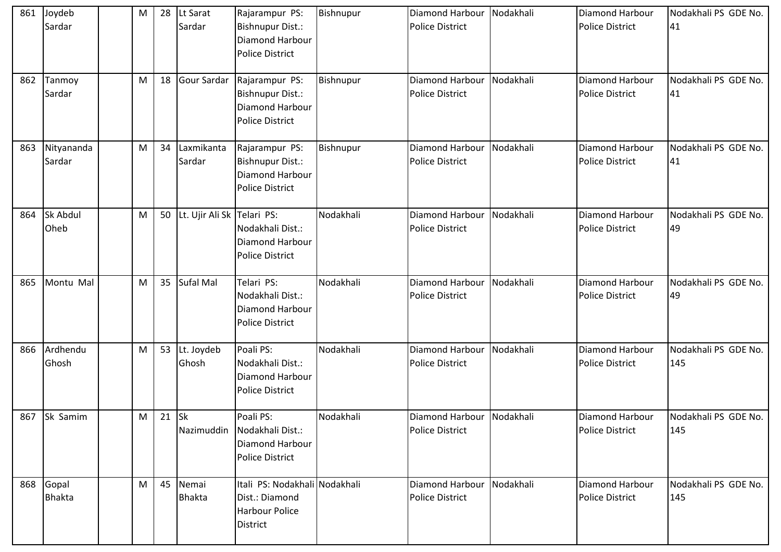| 861 | Joydeb<br>Sardar       | M | 28 | Lt Sarat<br>Sardar         | Rajarampur PS:<br>Bishnupur Dist.:<br>Diamond Harbour<br><b>Police District</b>             | Bishnupur | Diamond Harbour<br><b>Police District</b> | Nodakhali | <b>Diamond Harbour</b><br><b>Police District</b> | Nodakhali PS GDE No.<br>41  |
|-----|------------------------|---|----|----------------------------|---------------------------------------------------------------------------------------------|-----------|-------------------------------------------|-----------|--------------------------------------------------|-----------------------------|
| 862 | Tanmoy<br>Sardar       | M | 18 | Gour Sardar                | Rajarampur PS:<br>Bishnupur Dist.:<br>Diamond Harbour<br><b>Police District</b>             | Bishnupur | Diamond Harbour<br><b>Police District</b> | Nodakhali | <b>Diamond Harbour</b><br><b>Police District</b> | Nodakhali PS GDE No.<br>41  |
| 863 | Nityananda<br>Sardar   | M | 34 | Laxmikanta<br>Sardar       | Rajarampur PS:<br>Bishnupur Dist.:<br>Diamond Harbour<br>Police District                    | Bishnupur | Diamond Harbour<br><b>Police District</b> | Nodakhali | Diamond Harbour<br><b>Police District</b>        | Nodakhali PS GDE No.<br>41  |
| 864 | Sk Abdul<br>Oheb       | M | 50 | Lt. Ujir Ali Sk Telari PS: | Nodakhali Dist.:<br>Diamond Harbour<br><b>Police District</b>                               | Nodakhali | Diamond Harbour<br><b>Police District</b> | Nodakhali | <b>Diamond Harbour</b><br><b>Police District</b> | Nodakhali PS GDE No.<br>49  |
| 865 | Montu Mal              | M | 35 | Sufal Mal                  | Telari PS:<br>Nodakhali Dist.:<br>Diamond Harbour<br><b>Police District</b>                 | Nodakhali | Diamond Harbour<br>Police District        | Nodakhali | Diamond Harbour<br><b>Police District</b>        | Nodakhali PS GDE No.<br>49  |
| 866 | Ardhendu<br>Ghosh      | M | 53 | Lt. Joydeb<br>Ghosh        | Poali PS:<br>Nodakhali Dist.:<br>Diamond Harbour<br>Police District                         | Nodakhali | Diamond Harbour<br><b>Police District</b> | Nodakhali | <b>Diamond Harbour</b><br><b>Police District</b> | Nodakhali PS GDE No.<br>145 |
| 867 | Sk Samim               | М | 21 | <b>Sk</b>                  | Poali PS:<br>Nazimuddin Nodakhali Dist.:<br>Diamond Harbour<br><b>Police District</b>       | Nodakhali | Diamond Harbour<br><b>Police District</b> | Nodakhali | <b>Diamond Harbour</b><br>Police District        | Nodakhali PS GDE No.<br>145 |
| 868 | Gopal<br><b>Bhakta</b> | M | 45 | Nemai<br><b>Bhakta</b>     | Itali PS: Nodakhali Nodakhali<br>Dist.: Diamond<br><b>Harbour Police</b><br><b>District</b> |           | Diamond Harbour<br><b>Police District</b> | Nodakhali | Diamond Harbour<br><b>Police District</b>        | Nodakhali PS GDE No.<br>145 |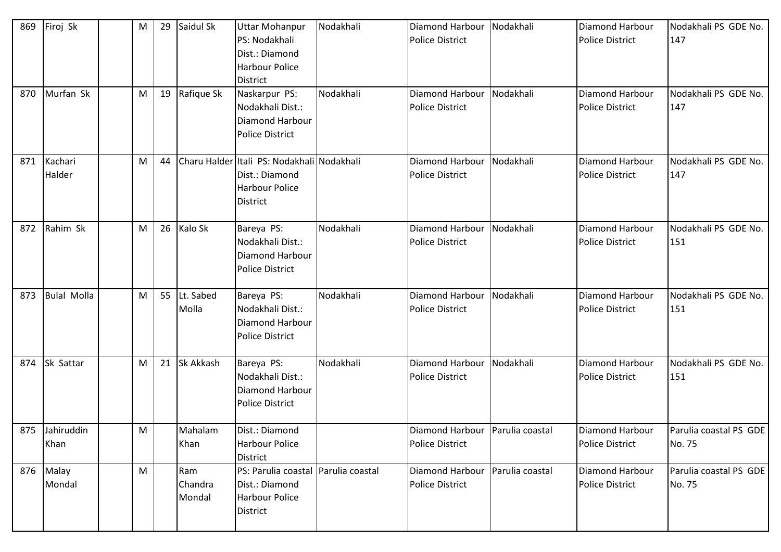| 869<br>870 | Firoj Sk<br>Murfan Sk  | M<br>M | 29<br>19 | Saidul Sk<br>Rafique Sk  | <b>Uttar Mohanpur</b><br>PS: Nodakhali<br>Dist.: Diamond<br><b>Harbour Police</b><br><b>District</b><br>Naskarpur PS:<br>Nodakhali Dist.:<br><b>Diamond Harbour</b><br><b>Police District</b> | Nodakhali<br>Nodakhali | Diamond Harbour<br><b>Police District</b><br>Diamond Harbour<br><b>Police District</b> | Nodakhali<br>Nodakhali | Diamond Harbour<br><b>Police District</b><br>Diamond Harbour<br><b>Police District</b> | Nodakhali PS GDE No.<br>147<br>Nodakhali PS GDE No.<br>147 |
|------------|------------------------|--------|----------|--------------------------|-----------------------------------------------------------------------------------------------------------------------------------------------------------------------------------------------|------------------------|----------------------------------------------------------------------------------------|------------------------|----------------------------------------------------------------------------------------|------------------------------------------------------------|
| 871        | Kachari<br>Halder      | M      | 44       |                          | Charu Halder Itali PS: Nodakhali Nodakhali<br>Dist.: Diamond<br><b>Harbour Police</b><br><b>District</b>                                                                                      |                        | Diamond Harbour<br><b>Police District</b>                                              | Nodakhali              | Diamond Harbour<br><b>Police District</b>                                              | Nodakhali PS GDE No.<br>147                                |
| 872        | Rahim Sk               | M      | 26       | Kalo Sk                  | Bareya PS:<br>Nodakhali Dist.:<br><b>Diamond Harbour</b><br><b>Police District</b>                                                                                                            | Nodakhali              | Diamond Harbour<br><b>Police District</b>                                              | Nodakhali              | Diamond Harbour<br><b>Police District</b>                                              | Nodakhali PS GDE No.<br>151                                |
| 873        | <b>Bulal Molla</b>     | M      | 55       | Lt. Sabed<br>Molla       | Bareya PS:<br>Nodakhali Dist.:<br>Diamond Harbour<br><b>Police District</b>                                                                                                                   | Nodakhali              | Diamond Harbour<br><b>Police District</b>                                              | Nodakhali              | Diamond Harbour<br><b>Police District</b>                                              | Nodakhali PS GDE No.<br>151                                |
| 874        | Sk Sattar              | M      | 21       | <b>Sk Akkash</b>         | Bareya PS:<br>Nodakhali Dist.:<br><b>Diamond Harbour</b><br><b>Police District</b>                                                                                                            | Nodakhali              | Diamond Harbour<br><b>Police District</b>                                              | Nodakhali              | Diamond Harbour<br><b>Police District</b>                                              | Nodakhali PS GDE No.<br>151                                |
|            | 875 Jahiruddin<br>Khan | M      |          | Mahalam<br>Khan          | Dist.: Diamond<br><b>Harbour Police</b><br>District                                                                                                                                           |                        | Diamond Harbour Parulia coastal<br><b>Police District</b>                              |                        | <b>Diamond Harbour</b><br><b>Police District</b>                                       | Parulia coastal PS GDE<br>No. 75                           |
|            | 876 Malay<br>Mondal    | M      |          | Ram<br>Chandra<br>Mondal | PS: Parulia coastal Parulia coastal<br>Dist.: Diamond<br><b>Harbour Police</b><br><b>District</b>                                                                                             |                        | Diamond Harbour<br><b>Police District</b>                                              | Parulia coastal        | Diamond Harbour<br><b>Police District</b>                                              | Parulia coastal PS GDE<br>No. 75                           |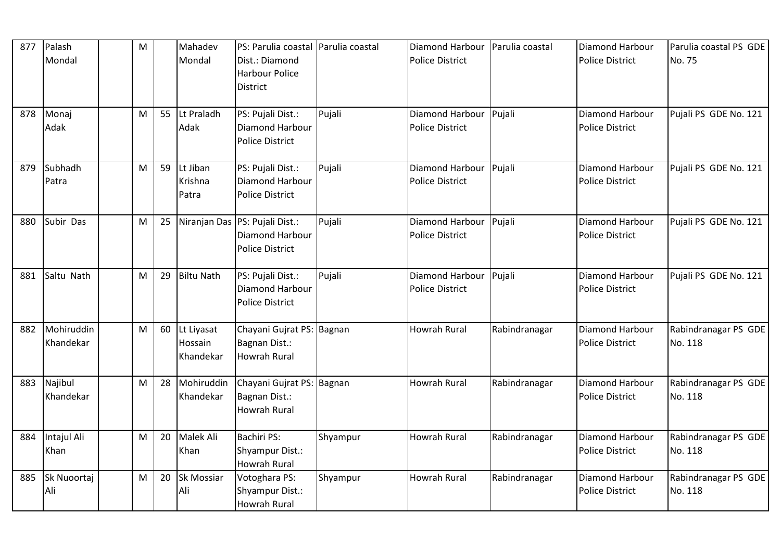| 877 | Palash<br>Mondal        | M |    | Mahadev<br>Mondal                  | PS: Parulia coastal Parulia coastal<br>Dist.: Diamond<br><b>Harbour Police</b><br><b>District</b> |          | Diamond Harbour<br><b>Police District</b>        | Parulia coastal | Diamond Harbour<br><b>Police District</b>        | Parulia coastal PS GDE<br>No. 75 |
|-----|-------------------------|---|----|------------------------------------|---------------------------------------------------------------------------------------------------|----------|--------------------------------------------------|-----------------|--------------------------------------------------|----------------------------------|
| 878 | Monaj<br>Adak           | M | 55 | Lt Praladh<br>Adak                 | PS: Pujali Dist.:<br>Diamond Harbour<br><b>Police District</b>                                    | Pujali   | Diamond Harbour<br><b>Police District</b>        | Pujali          | Diamond Harbour<br><b>Police District</b>        | Pujali PS GDE No. 121            |
| 879 | Subhadh<br>Patra        | M | 59 | Lt Jiban<br>Krishna<br>Patra       | PS: Pujali Dist.:<br>Diamond Harbour<br><b>Police District</b>                                    | Pujali   | Diamond Harbour Pujali<br><b>Police District</b> |                 | Diamond Harbour<br><b>Police District</b>        | Pujali PS GDE No. 121            |
| 880 | Subir Das               | M | 25 |                                    | Niranjan Das PS: Pujali Dist.:<br>Diamond Harbour<br><b>Police District</b>                       | Pujali   | Diamond Harbour Pujali<br><b>Police District</b> |                 | Diamond Harbour<br><b>Police District</b>        | Pujali PS GDE No. 121            |
| 881 | Saltu Nath              | M | 29 | <b>Biltu Nath</b>                  | PS: Pujali Dist.:<br>Diamond Harbour<br><b>Police District</b>                                    | Pujali   | Diamond Harbour Pujali<br><b>Police District</b> |                 | Diamond Harbour<br><b>Police District</b>        | Pujali PS GDE No. 121            |
| 882 | Mohiruddin<br>Khandekar | M | 60 | Lt Liyasat<br>Hossain<br>Khandekar | Chayani Gujrat PS: Bagnan<br>Bagnan Dist.:<br><b>Howrah Rural</b>                                 |          | <b>Howrah Rural</b>                              | Rabindranagar   | Diamond Harbour<br><b>Police District</b>        | Rabindranagar PS GDE<br>No. 118  |
| 883 | Najibul<br>Khandekar    | M | 28 | Mohiruddin<br>Khandekar            | Chayani Gujrat PS: Bagnan<br>Bagnan Dist.:<br><b>Howrah Rural</b>                                 |          | <b>Howrah Rural</b>                              | Rabindranagar   | <b>Diamond Harbour</b><br><b>Police District</b> | Rabindranagar PS GDE<br>No. 118  |
| 884 | Intajul Ali<br>Khan     | M | 20 | Malek Ali<br>Khan                  | <b>Bachiri PS:</b><br>Shyampur Dist.:<br><b>Howrah Rural</b>                                      | Shyampur | <b>Howrah Rural</b>                              | Rabindranagar   | Diamond Harbour<br><b>Police District</b>        | Rabindranagar PS GDE<br>No. 118  |
| 885 | Sk Nuoortaj<br>Ali      | M | 20 | Sk Mossiar<br>Ali                  | Votoghara PS:<br>Shyampur Dist.:<br><b>Howrah Rural</b>                                           | Shyampur | Howrah Rural                                     | Rabindranagar   | Diamond Harbour<br><b>Police District</b>        | Rabindranagar PS GDE<br>No. 118  |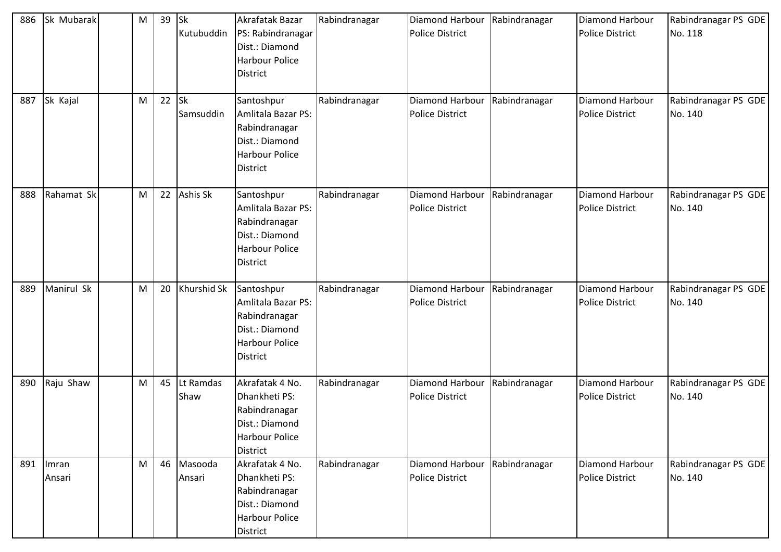| 886 | Sk Mubarak      | M | 39 | <b>Sk</b><br>Kutubuddin | Akrafatak Bazar<br>PS: Rabindranagar<br>Dist.: Diamond<br><b>Harbour Police</b><br><b>District</b>              | Rabindranagar | Diamond Harbour<br><b>Police District</b>               | Rabindranagar | Diamond Harbour<br><b>Police District</b> | Rabindranagar PS GDE<br>No. 118 |
|-----|-----------------|---|----|-------------------------|-----------------------------------------------------------------------------------------------------------------|---------------|---------------------------------------------------------|---------------|-------------------------------------------|---------------------------------|
| 887 | Sk Kajal        | M | 22 | <b>Sk</b><br>Samsuddin  | Santoshpur<br>Amlitala Bazar PS:<br>Rabindranagar<br>Dist.: Diamond<br><b>Harbour Police</b><br><b>District</b> | Rabindranagar | Diamond Harbour<br><b>Police District</b>               | Rabindranagar | Diamond Harbour<br><b>Police District</b> | Rabindranagar PS GDE<br>No. 140 |
| 888 | Rahamat Sk      | M | 22 | <b>Ashis Sk</b>         | Santoshpur<br>Amlitala Bazar PS:<br>Rabindranagar<br>Dist.: Diamond<br><b>Harbour Police</b><br><b>District</b> | Rabindranagar | Diamond Harbour Rabindranagar<br><b>Police District</b> |               | Diamond Harbour<br><b>Police District</b> | Rabindranagar PS GDE<br>No. 140 |
| 889 | Manirul Sk      | M | 20 | Khurshid Sk             | Santoshpur<br>Amlitala Bazar PS:<br>Rabindranagar<br>Dist.: Diamond<br><b>Harbour Police</b><br><b>District</b> | Rabindranagar | Diamond Harbour<br><b>Police District</b>               | Rabindranagar | Diamond Harbour<br><b>Police District</b> | Rabindranagar PS GDE<br>No. 140 |
| 890 | Raju Shaw       | M | 45 | Lt Ramdas<br>Shaw       | Akrafatak 4 No.<br>Dhankheti PS:<br>Rabindranagar<br>Dist.: Diamond<br>Harbour Police<br><b>District</b>        | Rabindranagar | Diamond Harbour Rabindranagar<br><b>Police District</b> |               | Diamond Harbour<br><b>Police District</b> | Rabindranagar PS GDE<br>No. 140 |
| 891 | Imran<br>Ansari | M | 46 | Masooda<br>Ansari       | Akrafatak 4 No.<br>Dhankheti PS:<br>Rabindranagar<br>Dist.: Diamond<br><b>Harbour Police</b><br>District        | Rabindranagar | Diamond Harbour<br><b>Police District</b>               | Rabindranagar | Diamond Harbour<br><b>Police District</b> | Rabindranagar PS GDE<br>No. 140 |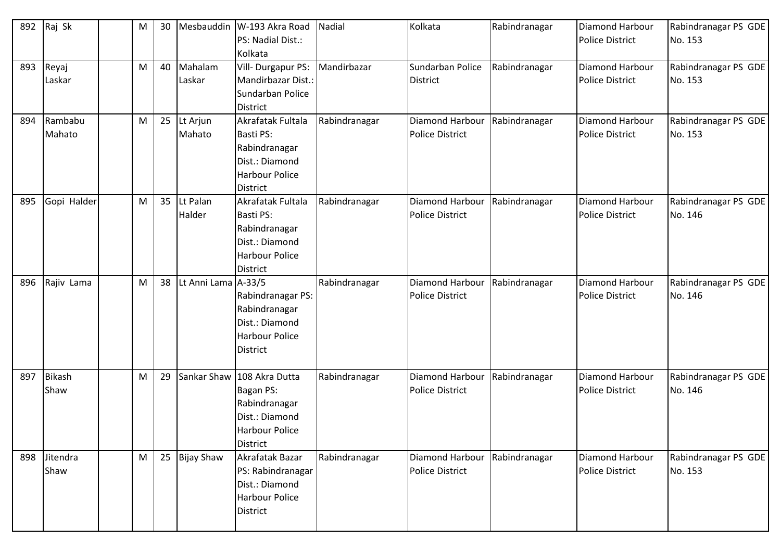| 892 | Raj Sk                | M | 30 |                     | Mesbauddin   W-193 Akra Road<br>PS: Nadial Dist.:<br>Kolkata                                                           | Nadial        | Kolkata                                                   | Rabindranagar | Diamond Harbour<br><b>Police District</b> | Rabindranagar PS GDE<br>No. 153 |
|-----|-----------------------|---|----|---------------------|------------------------------------------------------------------------------------------------------------------------|---------------|-----------------------------------------------------------|---------------|-------------------------------------------|---------------------------------|
| 893 | Reyaj<br>Laskar       | M | 40 | Mahalam<br>Laskar   | Vill-Durgapur PS:<br>Mandirbazar Dist.:<br>Sundarban Police<br><b>District</b>                                         | Mandirbazar   | Sundarban Police<br><b>District</b>                       | Rabindranagar | Diamond Harbour<br><b>Police District</b> | Rabindranagar PS GDE<br>No. 153 |
| 894 | Rambabu<br>Mahato     | M | 25 | Lt Arjun<br>Mahato  | Akrafatak Fultala<br><b>Basti PS:</b><br>Rabindranagar<br>Dist.: Diamond<br>Harbour Police<br><b>District</b>          | Rabindranagar | Diamond Harbour<br><b>Police District</b>                 | Rabindranagar | Diamond Harbour<br><b>Police District</b> | Rabindranagar PS GDE<br>No. 153 |
| 895 | Gopi Halder           | M | 35 | Lt Palan<br>Halder  | Akrafatak Fultala<br>Basti PS:<br>Rabindranagar<br>Dist.: Diamond<br><b>Harbour Police</b><br><b>District</b>          | Rabindranagar | Diamond Harbour Rabindranagar<br><b>Police District</b>   |               | Diamond Harbour<br><b>Police District</b> | Rabindranagar PS GDE<br>No. 146 |
| 896 | Rajiv Lama            | M | 38 | Lt Anni Lama A-33/5 | Rabindranagar PS:<br>Rabindranagar<br>Dist.: Diamond<br><b>Harbour Police</b><br><b>District</b>                       | Rabindranagar | Diamond Harbour<br><b>Police District</b>                 | Rabindranagar | Diamond Harbour<br>Police District        | Rabindranagar PS GDE<br>No. 146 |
| 897 | <b>Bikash</b><br>Shaw | M | 29 |                     | Sankar Shaw 108 Akra Dutta<br>Bagan PS:<br>Rabindranagar<br>Dist.: Diamond<br><b>Harbour Police</b><br><b>District</b> | Rabindranagar | Diamond Harbour<br><b>Police District</b>                 | Rabindranagar | Diamond Harbour<br><b>Police District</b> | Rabindranagar PS GDE<br>No. 146 |
|     | 898 Jitendra<br>Shaw  | M | 25 | <b>Bijay Shaw</b>   | Akrafatak Bazar<br>PS: Rabindranagar<br>Dist.: Diamond<br>Harbour Police<br><b>District</b>                            | Rabindranagar | Diamond Harbour   Rabindranagar<br><b>Police District</b> |               | Diamond Harbour<br>Police District        | Rabindranagar PS GDE<br>No. 153 |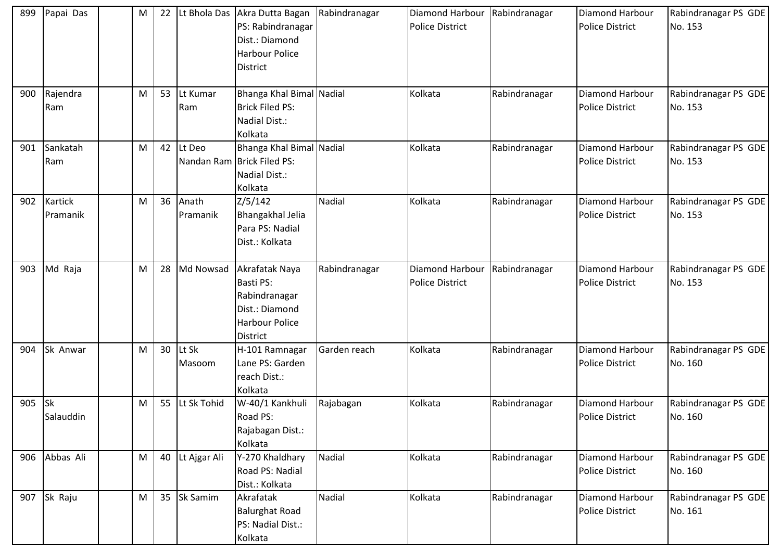| 899 | Papai Das                  | M | 22 |                   | Lt Bhola Das Akra Dutta Bagan<br>PS: Rabindranagar<br>Dist.: Diamond<br><b>Harbour Police</b><br><b>District</b>  | Rabindranagar | Diamond Harbour Rabindranagar<br><b>Police District</b> |               | Diamond Harbour<br><b>Police District</b> | Rabindranagar PS GDE<br>No. 153 |
|-----|----------------------------|---|----|-------------------|-------------------------------------------------------------------------------------------------------------------|---------------|---------------------------------------------------------|---------------|-------------------------------------------|---------------------------------|
| 900 | Rajendra<br>Ram            | M | 53 | Lt Kumar<br>Ram   | Bhanga Khal Bimal Nadial<br><b>Brick Filed PS:</b><br>Nadial Dist.:<br>Kolkata                                    |               | Kolkata                                                 | Rabindranagar | Diamond Harbour<br><b>Police District</b> | Rabindranagar PS GDE<br>No. 153 |
| 901 | Sankatah<br>Ram            | M | 42 | Lt Deo            | Bhanga Khal Bimal Nadial<br>Nandan Ram Brick Filed PS:<br>Nadial Dist.:<br>Kolkata                                |               | Kolkata                                                 | Rabindranagar | Diamond Harbour<br><b>Police District</b> | Rabindranagar PS GDE<br>No. 153 |
| 902 | <b>Kartick</b><br>Pramanik | M | 36 | Anath<br>Pramanik | Z/5/142<br>Bhangakhal Jelia<br>Para PS: Nadial<br>Dist.: Kolkata                                                  | <b>Nadial</b> | Kolkata                                                 | Rabindranagar | Diamond Harbour<br><b>Police District</b> | Rabindranagar PS GDE<br>No. 153 |
| 903 | Md Raja                    | M | 28 | Md Nowsad         | Akrafatak Naya<br><b>Basti PS:</b><br>Rabindranagar<br>Dist.: Diamond<br><b>Harbour Police</b><br><b>District</b> | Rabindranagar | Diamond Harbour<br><b>Police District</b>               | Rabindranagar | Diamond Harbour<br><b>Police District</b> | Rabindranagar PS GDE<br>No. 153 |
| 904 | Sk Anwar                   | M | 30 | Lt Sk<br>Masoom   | H-101 Ramnagar<br>Lane PS: Garden<br>reach Dist.:<br>Kolkata                                                      | Garden reach  | Kolkata                                                 | Rabindranagar | Diamond Harbour<br><b>Police District</b> | Rabindranagar PS GDE<br>No. 160 |
| 905 | <b>Sk</b><br>Salauddin     | M | 55 | Lt Sk Tohid       | W-40/1 Kankhuli<br><b>Road PS:</b><br>Rajabagan Dist.:<br>Kolkata                                                 | Rajabagan     | Kolkata                                                 | Rabindranagar | Diamond Harbour<br><b>Police District</b> | Rabindranagar PS GDE<br>No. 160 |
| 906 | Abbas Ali                  | M | 40 | Lt Ajgar Ali      | Y-270 Khaldhary<br>Road PS: Nadial<br>Dist.: Kolkata                                                              | Nadial        | Kolkata                                                 | Rabindranagar | Diamond Harbour<br><b>Police District</b> | Rabindranagar PS GDE<br>No. 160 |
|     | 907 Sk Raju                | M | 35 | Sk Samim          | Akrafatak<br><b>Balurghat Road</b><br>PS: Nadial Dist.:<br>Kolkata                                                | <b>Nadial</b> | Kolkata                                                 | Rabindranagar | Diamond Harbour<br>Police District        | Rabindranagar PS GDE<br>No. 161 |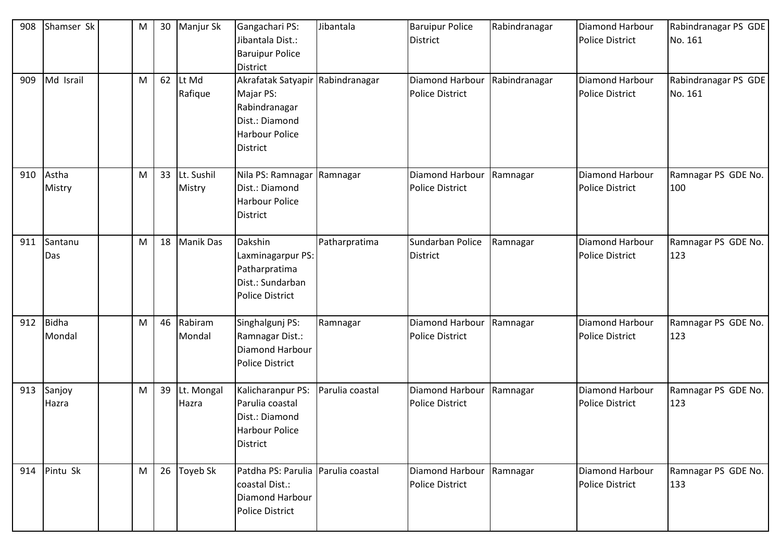| 908 | Shamser Sk      | M | 30 | Manjur Sk            | Gangachari PS:<br>Jibantala Dist.:<br><b>Baruipur Police</b><br><b>District</b>                                              | Jibantala       | <b>Baruipur Police</b><br><b>District</b>                 | Rabindranagar | Diamond Harbour<br><b>Police District</b> | Rabindranagar PS GDE<br>No. 161 |
|-----|-----------------|---|----|----------------------|------------------------------------------------------------------------------------------------------------------------------|-----------------|-----------------------------------------------------------|---------------|-------------------------------------------|---------------------------------|
| 909 | Md Israil       | M | 62 | Lt Md<br>Rafique     | Akrafatak Satyapir Rabindranagar<br>Majar PS:<br>Rabindranagar<br>Dist.: Diamond<br><b>Harbour Police</b><br><b>District</b> |                 | Diamond Harbour   Rabindranagar<br><b>Police District</b> |               | Diamond Harbour<br><b>Police District</b> | Rabindranagar PS GDE<br>No. 161 |
| 910 | Astha<br>Mistry | M | 33 | Lt. Sushil<br>Mistry | Nila PS: Ramnagar Ramnagar<br>Dist.: Diamond<br><b>Harbour Police</b><br><b>District</b>                                     |                 | Diamond Harbour<br><b>Police District</b>                 | Ramnagar      | Diamond Harbour<br><b>Police District</b> | Ramnagar PS GDE No.<br>100      |
| 911 | Santanu<br>Das  | M | 18 | <b>Manik Das</b>     | Dakshin<br>Laxminagarpur PS:<br>Patharpratima<br>Dist.: Sundarban<br>Police District                                         | Patharpratima   | Sundarban Police<br><b>District</b>                       | Ramnagar      | Diamond Harbour<br><b>Police District</b> | Ramnagar PS GDE No.<br>123      |
| 912 | Bidha<br>Mondal | M | 46 | Rabiram<br>Mondal    | Singhalgunj PS:<br>Ramnagar Dist.:<br>Diamond Harbour<br><b>Police District</b>                                              | Ramnagar        | Diamond Harbour<br><b>Police District</b>                 | Ramnagar      | Diamond Harbour<br><b>Police District</b> | Ramnagar PS GDE No.<br>123      |
| 913 | Sanjoy<br>Hazra | M | 39 | Lt. Mongal<br>Hazra  | Kalicharanpur PS:<br>Parulia coastal<br>Dist.: Diamond<br>Harbour Police<br>District                                         | Parulia coastal | Diamond Harbour Ramnagar<br><b>Police District</b>        |               | Diamond Harbour<br><b>Police District</b> | Ramnagar PS GDE No.<br>123      |
|     | 914 Pintu Sk    | M | 26 | Toyeb Sk             | Patdha PS: Parulia Parulia coastal<br>coastal Dist.:<br>Diamond Harbour<br>Police District                                   |                 | Diamond Harbour<br><b>Police District</b>                 | Ramnagar      | Diamond Harbour<br><b>Police District</b> | Ramnagar PS GDE No.<br>133      |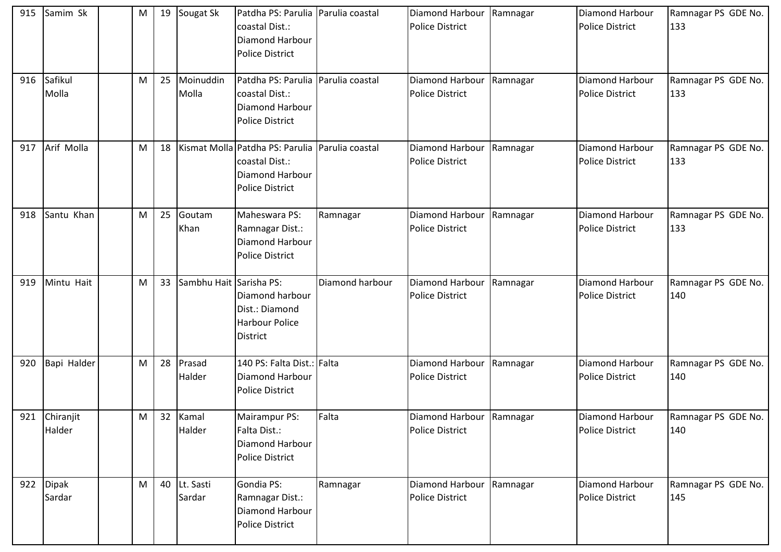| 915 | Samim Sk            | M | 19 | Sougat Sk               | Patdha PS: Parulia   Parulia coastal<br>coastal Dist.:<br>Diamond Harbour<br><b>Police District</b>            |                 | Diamond Harbour<br><b>Police District</b>          | Ramnagar | <b>Diamond Harbour</b><br><b>Police District</b> | Ramnagar PS GDE No.<br>133 |
|-----|---------------------|---|----|-------------------------|----------------------------------------------------------------------------------------------------------------|-----------------|----------------------------------------------------|----------|--------------------------------------------------|----------------------------|
| 916 | Safikul<br>Molla    | M | 25 | Moinuddin<br>Molla      | Patdha PS: Parulia Parulia coastal<br>coastal Dist.:<br>Diamond Harbour<br><b>Police District</b>              |                 | Diamond Harbour<br><b>Police District</b>          | Ramnagar | Diamond Harbour<br><b>Police District</b>        | Ramnagar PS GDE No.<br>133 |
| 917 | Arif Molla          | M | 18 |                         | Kismat Molla Patdha PS: Parulia Parulia coastal<br>coastal Dist.:<br>Diamond Harbour<br><b>Police District</b> |                 | Diamond Harbour<br><b>Police District</b>          | Ramnagar | Diamond Harbour<br><b>Police District</b>        | Ramnagar PS GDE No.<br>133 |
| 918 | Santu Khan          | M | 25 | Goutam<br>Khan          | Maheswara PS:<br>Ramnagar Dist.:<br>Diamond Harbour<br><b>Police District</b>                                  | Ramnagar        | Diamond Harbour<br><b>Police District</b>          | Ramnagar | Diamond Harbour<br><b>Police District</b>        | Ramnagar PS GDE No.<br>133 |
| 919 | Mintu Hait          | M | 33 | Sambhu Hait Sarisha PS: | Diamond harbour<br>Dist.: Diamond<br><b>Harbour Police</b><br><b>District</b>                                  | Diamond harbour | Diamond Harbour<br><b>Police District</b>          | Ramnagar | Diamond Harbour<br><b>Police District</b>        | Ramnagar PS GDE No.<br>140 |
| 920 | Bapi Halder         | M | 28 | Prasad<br>Halder        | 140 PS: Falta Dist.: Falta<br>Diamond Harbour<br>Police District                                               |                 | Diamond Harbour<br><b>Police District</b>          | Ramnagar | Diamond Harbour<br><b>Police District</b>        | Ramnagar PS GDE No.<br>140 |
| 921 | Chiranjit<br>Halder | М | 32 | Kamal<br>Halder         | Mairampur PS:<br><b>Falta Dist.:</b><br>Diamond Harbour<br><b>Police District</b>                              | Falta           | Diamond Harbour Ramnagar<br><b>Police District</b> |          | Diamond Harbour<br><b>Police District</b>        | Ramnagar PS GDE No.<br>140 |
|     | 922 Dipak<br>Sardar | M | 40 | Lt. Sasti<br>Sardar     | Gondia PS:<br>Ramnagar Dist.:<br>Diamond Harbour<br>Police District                                            | Ramnagar        | Diamond Harbour<br><b>Police District</b>          | Ramnagar | Diamond Harbour<br><b>Police District</b>        | Ramnagar PS GDE No.<br>145 |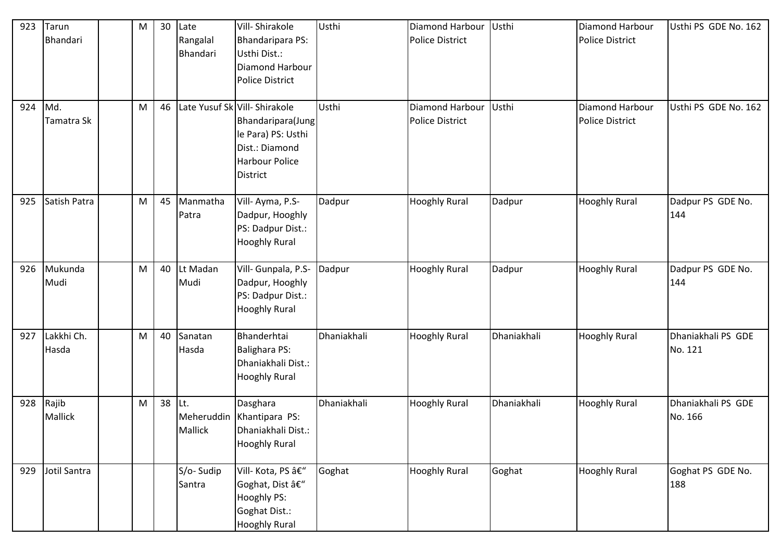| 923 | Tarun<br>Bhandari       | M | 30 | Late<br>Rangalal<br>Bhandari | Vill-Shirakole<br><b>Bhandaripara PS:</b><br>Usthi Dist.:<br>Diamond Harbour<br><b>Police District</b>                                 | Usthi       | Diamond Harbour<br><b>Police District</b> | Usthi       | <b>Diamond Harbour</b><br><b>Police District</b> | Usthi PS GDE No. 162          |
|-----|-------------------------|---|----|------------------------------|----------------------------------------------------------------------------------------------------------------------------------------|-------------|-------------------------------------------|-------------|--------------------------------------------------|-------------------------------|
| 924 | Md.<br>Tamatra Sk       | M | 46 |                              | Late Yusuf Sk Vill- Shirakole<br>Bhandaripara(Jung<br>le Para) PS: Usthi<br>Dist.: Diamond<br><b>Harbour Police</b><br><b>District</b> | Usthi       | Diamond Harbour<br><b>Police District</b> | Usthi       | Diamond Harbour<br><b>Police District</b>        | Usthi PS GDE No. 162          |
| 925 | Satish Patra            | M | 45 | Manmatha<br>Patra            | Vill-Ayma, P.S-<br>Dadpur, Hooghly<br>PS: Dadpur Dist.:<br><b>Hooghly Rural</b>                                                        | Dadpur      | <b>Hooghly Rural</b>                      | Dadpur      | <b>Hooghly Rural</b>                             | Dadpur PS GDE No.<br>144      |
| 926 | Mukunda<br>Mudi         | M | 40 | Lt Madan<br>Mudi             | Vill- Gunpala, P.S-<br>Dadpur, Hooghly<br>PS: Dadpur Dist.:<br><b>Hooghly Rural</b>                                                    | Dadpur      | <b>Hooghly Rural</b>                      | Dadpur      | <b>Hooghly Rural</b>                             | Dadpur PS GDE No.<br>144      |
| 927 | Lakkhi Ch.<br>Hasda     | M | 40 | Sanatan<br>Hasda             | Bhanderhtai<br><b>Balighara PS:</b><br>Dhaniakhali Dist.:<br><b>Hooghly Rural</b>                                                      | Dhaniakhali | <b>Hooghly Rural</b>                      | Dhaniakhali | <b>Hooghly Rural</b>                             | Dhaniakhali PS GDE<br>No. 121 |
| 928 | Rajib<br><b>Mallick</b> | M | 38 | Lt.<br><b>Mallick</b>        | Dasghara<br>Meheruddin Khantipara PS:<br>Dhaniakhali Dist.:<br><b>Hooghly Rural</b>                                                    | Dhaniakhali | <b>Hooghly Rural</b>                      | Dhaniakhali | <b>Hooghly Rural</b>                             | Dhaniakhali PS GDE<br>No. 166 |
| 929 | Jotil Santra            |   |    | S/o-Sudip<br>Santra          | Vill- Kota, PS –<br>Goghat, Dist –<br>Hooghly PS:<br>Goghat Dist.:<br><b>Hooghly Rural</b>                                             | Goghat      | <b>Hooghly Rural</b>                      | Goghat      | <b>Hooghly Rural</b>                             | Goghat PS GDE No.<br>188      |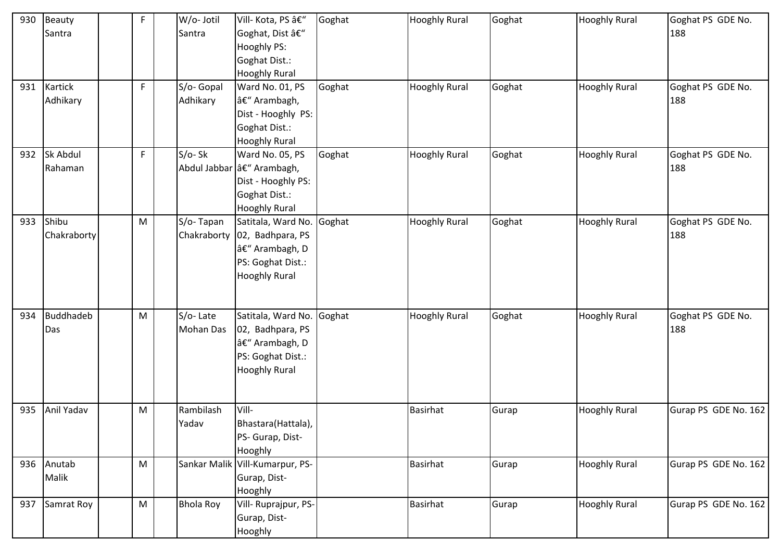| 930 | Beauty<br>Santra        | F  | W/o- Jotil<br>Santra         | Vill- Kota, PS –<br>Goghat, Dist –<br>Hooghly PS:<br>Goghat Dist.:<br><b>Hooghly Rural</b>                                | Goghat | <b>Hooghly Rural</b> | Goghat | <b>Hooghly Rural</b> | Goghat PS GDE No.<br>188 |
|-----|-------------------------|----|------------------------------|---------------------------------------------------------------------------------------------------------------------------|--------|----------------------|--------|----------------------|--------------------------|
|     | 931 Kartick<br>Adhikary | F. | S/o- Gopal<br>Adhikary       | Ward No. 01, PS<br>– Arambagh,<br>Dist - Hooghly PS:<br>Goghat Dist.:<br><b>Hooghly Rural</b>                             | Goghat | <b>Hooghly Rural</b> | Goghat | <b>Hooghly Rural</b> | Goghat PS GDE No.<br>188 |
| 932 | Sk Abdul<br>Rahaman     | F  | S/o-Sk                       | Ward No. 05, PS<br>Abdul Jabbar a€" Arambagh,<br>Dist - Hooghly PS:<br>Goghat Dist.:<br><b>Hooghly Rural</b>              | Goghat | <b>Hooghly Rural</b> | Goghat | <b>Hooghly Rural</b> | Goghat PS GDE No.<br>188 |
| 933 | Shibu<br>Chakraborty    | M  | S/o-Tapan                    | Satitala, Ward No. Goghat<br>Chakraborty   02, Badhpara, PS<br>– Arambagh, D<br>PS: Goghat Dist.:<br><b>Hooghly Rural</b> |        | <b>Hooghly Rural</b> | Goghat | <b>Hooghly Rural</b> | Goghat PS GDE No.<br>188 |
| 934 | <b>Buddhadeb</b><br>Das | M  | S/o-Late<br><b>Mohan Das</b> | Satitala, Ward No. Goghat<br>02, Badhpara, PS<br>– Arambagh, D<br>PS: Goghat Dist.:<br><b>Hooghly Rural</b>               |        | <b>Hooghly Rural</b> | Goghat | <b>Hooghly Rural</b> | Goghat PS GDE No.<br>188 |
| 935 | Anil Yadav              | M  | Rambilash<br>Yadav           | Vill-<br>Bhastara (Hattala),<br>PS- Gurap, Dist-<br>Hooghly                                                               |        | <b>Basirhat</b>      | Gurap  | <b>Hooghly Rural</b> | Gurap PS GDE No. 162     |
|     | 936 Anutab<br>Malik     | M  |                              | Sankar Malik Vill-Kumarpur, PS-<br>Gurap, Dist-<br>Hooghly                                                                |        | <b>Basirhat</b>      | Gurap  | <b>Hooghly Rural</b> | Gurap PS GDE No. 162     |
| 937 | Samrat Roy              | M  | <b>Bhola Roy</b>             | Vill- Ruprajpur, PS-<br>Gurap, Dist-<br>Hooghly                                                                           |        | <b>Basirhat</b>      | Gurap  | <b>Hooghly Rural</b> | Gurap PS GDE No. 162     |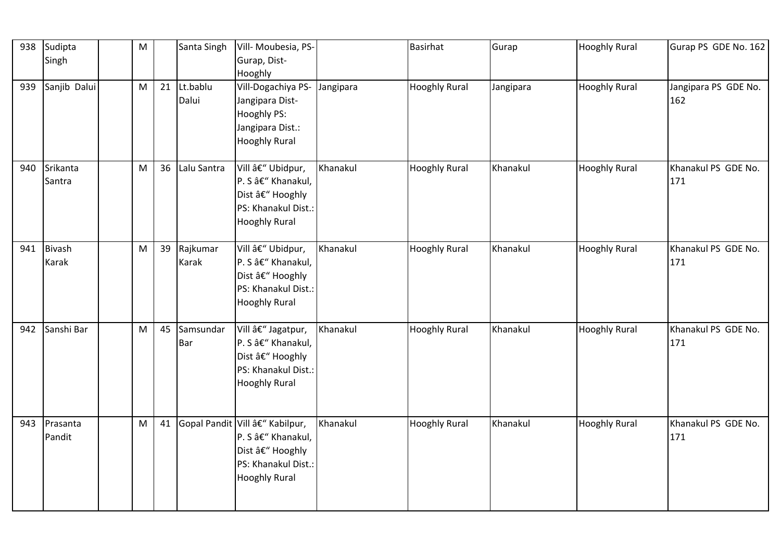| 938 | Sudipta<br>Singh       | ${\sf M}$ |    | Santa Singh              | Vill- Moubesia, PS-<br>Gurap, Dist-                                                                                      |          | <b>Basirhat</b>      | Gurap     | <b>Hooghly Rural</b> | Gurap PS GDE No. 162        |
|-----|------------------------|-----------|----|--------------------------|--------------------------------------------------------------------------------------------------------------------------|----------|----------------------|-----------|----------------------|-----------------------------|
| 939 | Sanjib Dalui           | M         | 21 | Lt.bablu<br>Dalui        | Hooghly<br>Vill-Dogachiya PS- Jangipara<br>Jangipara Dist-<br>Hooghly PS:<br>Jangipara Dist.:<br><b>Hooghly Rural</b>    |          | <b>Hooghly Rural</b> | Jangipara | <b>Hooghly Rural</b> | Jangipara PS GDE No.<br>162 |
| 940 | Srikanta<br>Santra     | M         | 36 | Lalu Santra              | Vill – Ubidpur,<br>P. S â€" Khanakul,<br>Dist â€" Hooghly<br>PS: Khanakul Dist.:<br><b>Hooghly Rural</b>                 | Khanakul | <b>Hooghly Rural</b> | Khanakul  | <b>Hooghly Rural</b> | Khanakul PS GDE No.<br>171  |
| 941 | <b>Bivash</b><br>Karak | M         | 39 | Rajkumar<br><b>Karak</b> | Vill – Ubidpur,<br>P. S â€" Khanakul,<br>Dist â€" Hooghly<br>PS: Khanakul Dist.:<br><b>Hooghly Rural</b>                 | Khanakul | <b>Hooghly Rural</b> | Khanakul  | <b>Hooghly Rural</b> | Khanakul PS GDE No.<br>171  |
| 942 | Sanshi Bar             | M         | 45 | Samsundar<br>Bar         | Vill – Jagatpur,<br>P. S â€" Khanakul,<br>Dist â€" Hooghly<br>PS: Khanakul Dist.:<br><b>Hooghly Rural</b>                | Khanakul | <b>Hooghly Rural</b> | Khanakul  | <b>Hooghly Rural</b> | Khanakul PS GDE No.<br>171  |
| 943 | Prasanta<br>Pandit     | M         | 41 |                          | Gopal Pandit Vill â€" Kabilpur,<br>P. S â€" Khanakul,<br>Dist â€" Hooghly<br>PS: Khanakul Dist.:<br><b>Hooghly Rural</b> | Khanakul | <b>Hooghly Rural</b> | Khanakul  | <b>Hooghly Rural</b> | Khanakul PS GDE No.<br>171  |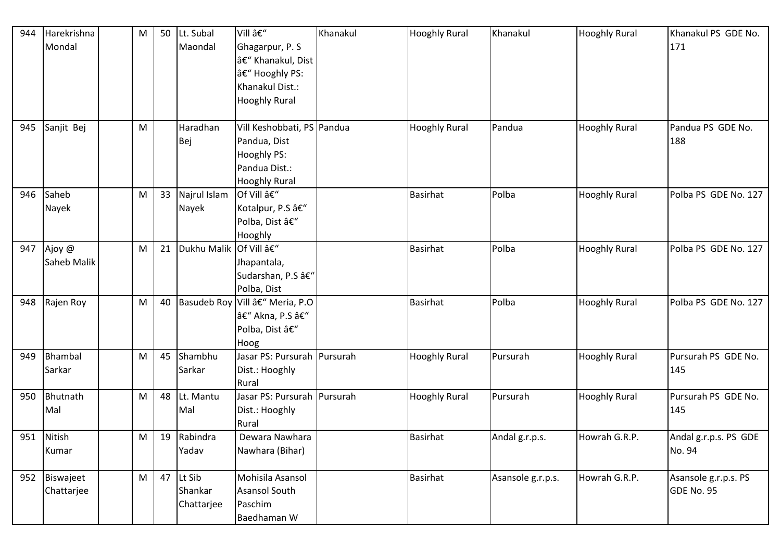| 944 | Harekrishna | M | 50 | Lt. Subal             | Vill –                          | Khanakul | <b>Hooghly Rural</b> | Khanakul          | <b>Hooghly Rural</b> | Khanakul PS GDE No.   |
|-----|-------------|---|----|-----------------------|---------------------------------|----------|----------------------|-------------------|----------------------|-----------------------|
|     | Mondal      |   |    | Maondal               | Ghagarpur, P. S                 |          |                      |                   |                      | 171                   |
|     |             |   |    |                       | – Khanakul, Dist                |          |                      |                   |                      |                       |
|     |             |   |    |                       | â€" Hooghly PS:                 |          |                      |                   |                      |                       |
|     |             |   |    |                       | Khanakul Dist.:                 |          |                      |                   |                      |                       |
|     |             |   |    |                       | <b>Hooghly Rural</b>            |          |                      |                   |                      |                       |
|     |             |   |    |                       |                                 |          |                      |                   |                      |                       |
| 945 | Sanjit Bej  | M |    | Haradhan              | Vill Keshobbati, PS Pandua      |          | <b>Hooghly Rural</b> | Pandua            | <b>Hooghly Rural</b> | Pandua PS GDE No.     |
|     |             |   |    | Bej                   | Pandua, Dist                    |          |                      |                   |                      | 188                   |
|     |             |   |    |                       | Hooghly PS:                     |          |                      |                   |                      |                       |
|     |             |   |    |                       | Pandua Dist.:                   |          |                      |                   |                      |                       |
|     |             |   |    |                       | <b>Hooghly Rural</b>            |          |                      |                   |                      |                       |
| 946 | Saheb       | M | 33 | Najrul Islam          | Of Vill –                       |          | <b>Basirhat</b>      | Polba             | <b>Hooghly Rural</b> | Polba PS GDE No. 127  |
|     | Nayek       |   |    | Nayek                 | Kotalpur, P.S –                 |          |                      |                   |                      |                       |
|     |             |   |    |                       | Polba, Dist –                   |          |                      |                   |                      |                       |
|     |             |   |    |                       | Hooghly                         |          |                      |                   |                      |                       |
| 947 | Ajoy @      | M | 21 | Dukhu Malik Of Vill – |                                 |          | <b>Basirhat</b>      | Polba             | <b>Hooghly Rural</b> | Polba PS GDE No. 127  |
|     | Saheb Malik |   |    |                       | Jhapantala,                     |          |                      |                   |                      |                       |
|     |             |   |    |                       | Sudarshan, P.S –                |          |                      |                   |                      |                       |
|     |             |   |    |                       | Polba, Dist                     |          |                      |                   |                      |                       |
| 948 | Rajen Roy   | M | 40 |                       | Basudeb Roy Vill â€" Meria, P.O |          | <b>Basirhat</b>      | Polba             | <b>Hooghly Rural</b> | Polba PS GDE No. 127  |
|     |             |   |    |                       | – Akna, P.S –                   |          |                      |                   |                      |                       |
|     |             |   |    |                       | Polba, Dist –                   |          |                      |                   |                      |                       |
|     |             |   |    |                       | Hoog                            |          |                      |                   |                      |                       |
| 949 | Bhambal     | M | 45 | Shambhu               | Jasar PS: Pursurah Pursurah     |          | <b>Hooghly Rural</b> | Pursurah          | <b>Hooghly Rural</b> | Pursurah PS GDE No.   |
|     | Sarkar      |   |    | Sarkar                | Dist.: Hooghly                  |          |                      |                   |                      | 145                   |
|     |             |   |    |                       | Rural                           |          |                      |                   |                      |                       |
| 950 | Bhutnath    | M | 48 | Lt. Mantu             | Jasar PS: Pursurah Pursurah     |          | <b>Hooghly Rural</b> | Pursurah          | <b>Hooghly Rural</b> | Pursurah PS GDE No.   |
|     | Mal         |   |    | Mal                   | Dist.: Hooghly                  |          |                      |                   |                      | 145                   |
|     |             |   |    |                       | Rural                           |          |                      |                   |                      |                       |
|     | 951 Nitish  | M | 19 | Rabindra              | Dewara Nawhara                  |          | <b>Basirhat</b>      | Andal g.r.p.s.    | Howrah G.R.P.        | Andal g.r.p.s. PS GDE |
|     | Kumar       |   |    | Yadav                 | Nawhara (Bihar)                 |          |                      |                   |                      | No. 94                |
| 952 | Biswajeet   | M | 47 | Lt Sib                | Mohisila Asansol                |          | <b>Basirhat</b>      | Asansole g.r.p.s. | Howrah G.R.P.        | Asansole g.r.p.s. PS  |
|     | Chattarjee  |   |    | Shankar               | <b>Asansol South</b>            |          |                      |                   |                      | GDE No. 95            |
|     |             |   |    | Chattarjee            | Paschim                         |          |                      |                   |                      |                       |
|     |             |   |    |                       | Baedhaman W                     |          |                      |                   |                      |                       |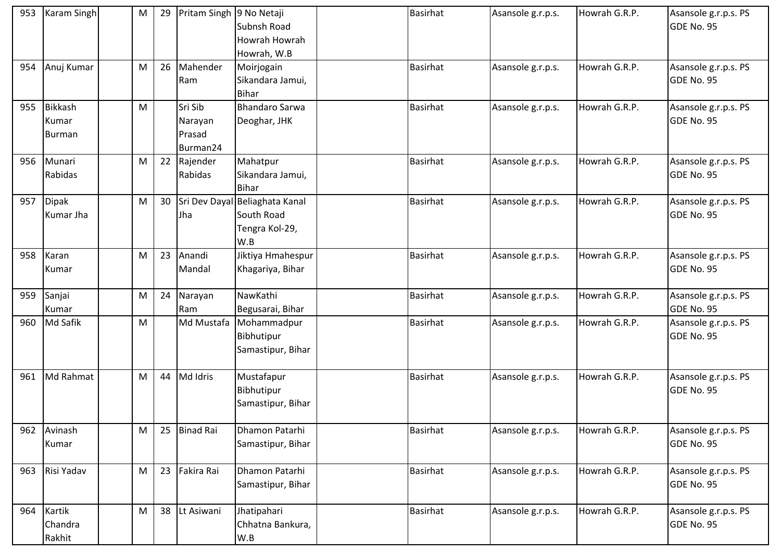| 953 | Karam Singh                       | M | 29 | Pritam Singh 9 No Netaji                 | Subnsh Road<br>Howrah Howrah<br>Howrah, W.B                           | <b>Basirhat</b> | Asansole g.r.p.s. | Howrah G.R.P. | Asansole g.r.p.s. PS<br>GDE No. 95 |
|-----|-----------------------------------|---|----|------------------------------------------|-----------------------------------------------------------------------|-----------------|-------------------|---------------|------------------------------------|
| 954 | Anuj Kumar                        | M | 26 | Mahender<br>Ram                          | Moirjogain<br>Sikandara Jamui,<br><b>Bihar</b>                        | <b>Basirhat</b> | Asansole g.r.p.s. | Howrah G.R.P. | Asansole g.r.p.s. PS<br>GDE No. 95 |
| 955 | <b>Bikkash</b><br>Kumar<br>Burman | M |    | Sri Sib<br>Narayan<br>Prasad<br>Burman24 | <b>Bhandaro Sarwa</b><br>Deoghar, JHK                                 | <b>Basirhat</b> | Asansole g.r.p.s. | Howrah G.R.P. | Asansole g.r.p.s. PS<br>GDE No. 95 |
|     | 956 Munari<br>Rabidas             | M | 22 | Rajender<br>Rabidas                      | Mahatpur<br>Sikandara Jamui,<br><b>Bihar</b>                          | <b>Basirhat</b> | Asansole g.r.p.s. | Howrah G.R.P. | Asansole g.r.p.s. PS<br>GDE No. 95 |
| 957 | Dipak<br>Kumar Jha                | M | 30 | Jha                                      | Sri Dev Dayal Beliaghata Kanal<br>South Road<br>Tengra Kol-29,<br>W.B | <b>Basirhat</b> | Asansole g.r.p.s. | Howrah G.R.P. | Asansole g.r.p.s. PS<br>GDE No. 95 |
| 958 | Karan<br>Kumar                    | M | 23 | Anandi<br>Mandal                         | Jiktiya Hmahespur<br>Khagariya, Bihar                                 | <b>Basirhat</b> | Asansole g.r.p.s. | Howrah G.R.P. | Asansole g.r.p.s. PS<br>GDE No. 95 |
| 959 | Sanjai<br>Kumar                   | M | 24 | Narayan<br>Ram                           | NawKathi<br>Begusarai, Bihar                                          | <b>Basirhat</b> | Asansole g.r.p.s. | Howrah G.R.P. | Asansole g.r.p.s. PS<br>GDE No. 95 |
| 960 | Md Safik                          | M |    | Md Mustafa                               | Mohammadpur<br>Bibhutipur<br>Samastipur, Bihar                        | <b>Basirhat</b> | Asansole g.r.p.s. | Howrah G.R.P. | Asansole g.r.p.s. PS<br>GDE No. 95 |
| 961 | Md Rahmat                         | M | 44 | Md Idris                                 | Mustafapur<br>Bibhutipur<br>Samastipur, Bihar                         | <b>Basirhat</b> | Asansole g.r.p.s. | Howrah G.R.P. | Asansole g.r.p.s. PS<br>GDE No. 95 |
|     | 962 Avinash<br>Kumar              | M | 25 | <b>Binad Rai</b>                         | Dhamon Patarhi<br>Samastipur, Bihar                                   | <b>Basirhat</b> | Asansole g.r.p.s. | Howrah G.R.P. | Asansole g.r.p.s. PS<br>GDE No. 95 |
| 963 | Risi Yadav                        | M | 23 | Fakira Rai                               | Dhamon Patarhi<br>Samastipur, Bihar                                   | <b>Basirhat</b> | Asansole g.r.p.s. | Howrah G.R.P. | Asansole g.r.p.s. PS<br>GDE No. 95 |
| 964 | Kartik<br>Chandra<br>Rakhit       | M | 38 | Lt Asiwani                               | Jhatipahari<br>Chhatna Bankura,<br>W.B                                | <b>Basirhat</b> | Asansole g.r.p.s. | Howrah G.R.P. | Asansole g.r.p.s. PS<br>GDE No. 95 |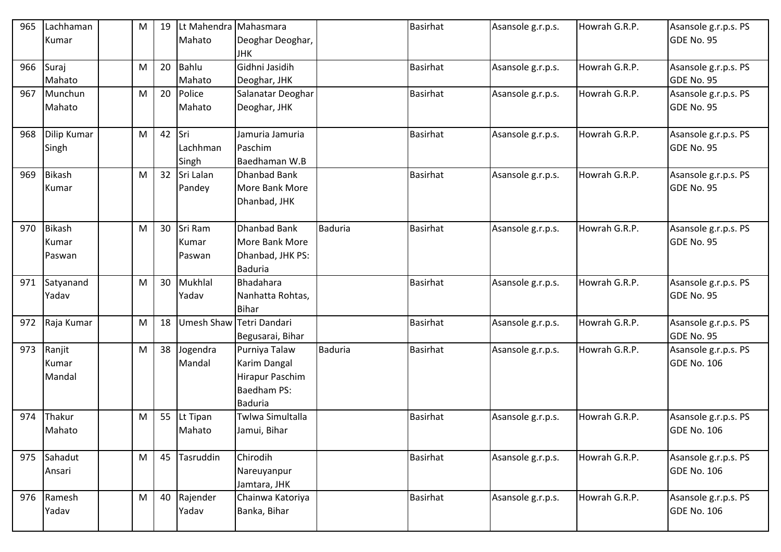| 965 | Lachhaman   | M | 19 | Lt Mahendra Mahasmara |                          |                | <b>Basirhat</b> | Asansole g.r.p.s. | Howrah G.R.P. | Asansole g.r.p.s. PS |
|-----|-------------|---|----|-----------------------|--------------------------|----------------|-----------------|-------------------|---------------|----------------------|
|     | Kumar       |   |    | Mahato                | Deoghar Deoghar,         |                |                 |                   |               | GDE No. 95           |
|     |             |   |    |                       | <b>JHK</b>               |                |                 |                   |               |                      |
| 966 | Suraj       | M | 20 | <b>Bahlu</b>          | Gidhni Jasidih           |                | <b>Basirhat</b> | Asansole g.r.p.s. | Howrah G.R.P. | Asansole g.r.p.s. PS |
|     | Mahato      |   |    | Mahato                | Deoghar, JHK             |                |                 |                   |               | GDE No. 95           |
| 967 | Munchun     | M | 20 | Police                | Salanatar Deoghar        |                | <b>Basirhat</b> | Asansole g.r.p.s. | Howrah G.R.P. | Asansole g.r.p.s. PS |
|     | Mahato      |   |    | Mahato                | Deoghar, JHK             |                |                 |                   |               | GDE No. 95           |
|     |             |   |    |                       |                          |                |                 |                   |               |                      |
| 968 | Dilip Kumar | M | 42 | Sri                   | Jamuria Jamuria          |                | <b>Basirhat</b> | Asansole g.r.p.s. | Howrah G.R.P. | Asansole g.r.p.s. PS |
|     | Singh       |   |    | Lachhman              | Paschim                  |                |                 |                   |               | GDE No. 95           |
|     |             |   |    | Singh                 | Baedhaman W.B            |                |                 |                   |               |                      |
| 969 | Bikash      | M | 32 | Sri Lalan             | <b>Dhanbad Bank</b>      |                | <b>Basirhat</b> | Asansole g.r.p.s. | Howrah G.R.P. | Asansole g.r.p.s. PS |
|     | Kumar       |   |    | Pandey                | More Bank More           |                |                 |                   |               | GDE No. 95           |
|     |             |   |    |                       | Dhanbad, JHK             |                |                 |                   |               |                      |
|     |             |   |    |                       |                          |                |                 |                   |               |                      |
| 970 | Bikash      | M | 30 | Sri Ram               | <b>Dhanbad Bank</b>      | <b>Baduria</b> | <b>Basirhat</b> | Asansole g.r.p.s. | Howrah G.R.P. | Asansole g.r.p.s. PS |
|     | Kumar       |   |    | Kumar                 | More Bank More           |                |                 |                   |               | GDE No. 95           |
|     | Paswan      |   |    | Paswan                | Dhanbad, JHK PS:         |                |                 |                   |               |                      |
|     |             |   |    |                       | <b>Baduria</b>           |                |                 |                   |               |                      |
| 971 | Satyanand   | M | 30 | Mukhlal               | Bhadahara                |                | <b>Basirhat</b> | Asansole g.r.p.s. | Howrah G.R.P. | Asansole g.r.p.s. PS |
|     | Yadav       |   |    | Yadav                 | Nanhatta Rohtas,         |                |                 |                   |               | GDE No. 95           |
|     |             |   |    |                       | <b>Bihar</b>             |                |                 |                   |               |                      |
| 972 | Raja Kumar  | M | 18 |                       | Umesh Shaw Tetri Dandari |                | <b>Basirhat</b> | Asansole g.r.p.s. | Howrah G.R.P. | Asansole g.r.p.s. PS |
|     |             |   |    |                       | Begusarai, Bihar         |                |                 |                   |               | GDE No. 95           |
| 973 | Ranjit      | M | 38 | Jogendra              | Purniya Talaw            | Baduria        | <b>Basirhat</b> | Asansole g.r.p.s. | Howrah G.R.P. | Asansole g.r.p.s. PS |
|     | Kumar       |   |    | Mandal                | Karim Dangal             |                |                 |                   |               | <b>GDE No. 106</b>   |
|     | Mandal      |   |    |                       | Hirapur Paschim          |                |                 |                   |               |                      |
|     |             |   |    |                       | <b>Baedham PS:</b>       |                |                 |                   |               |                      |
|     |             |   |    |                       | <b>Baduria</b>           |                |                 |                   |               |                      |
| 974 | Thakur      | M | 55 | Lt Tipan              | Twlwa Simultalla         |                | <b>Basirhat</b> | Asansole g.r.p.s. | Howrah G.R.P. | Asansole g.r.p.s. PS |
|     | Mahato      |   |    | Mahato                | Jamui, Bihar             |                |                 |                   |               | <b>GDE No. 106</b>   |
|     |             |   |    |                       |                          |                |                 |                   |               |                      |
| 975 | Sahadut     | M | 45 | Tasruddin             | Chirodih                 |                | <b>Basirhat</b> | Asansole g.r.p.s. | Howrah G.R.P. | Asansole g.r.p.s. PS |
|     | Ansari      |   |    |                       | Nareuyanpur              |                |                 |                   |               | <b>GDE No. 106</b>   |
|     |             |   |    |                       | Jamtara, JHK             |                |                 |                   |               |                      |
|     | 976 Ramesh  | M | 40 | Rajender              | Chainwa Katoriya         |                | <b>Basirhat</b> | Asansole g.r.p.s. | Howrah G.R.P. | Asansole g.r.p.s. PS |
|     | Yadav       |   |    | Yadav                 | Banka, Bihar             |                |                 |                   |               | <b>GDE No. 106</b>   |
|     |             |   |    |                       |                          |                |                 |                   |               |                      |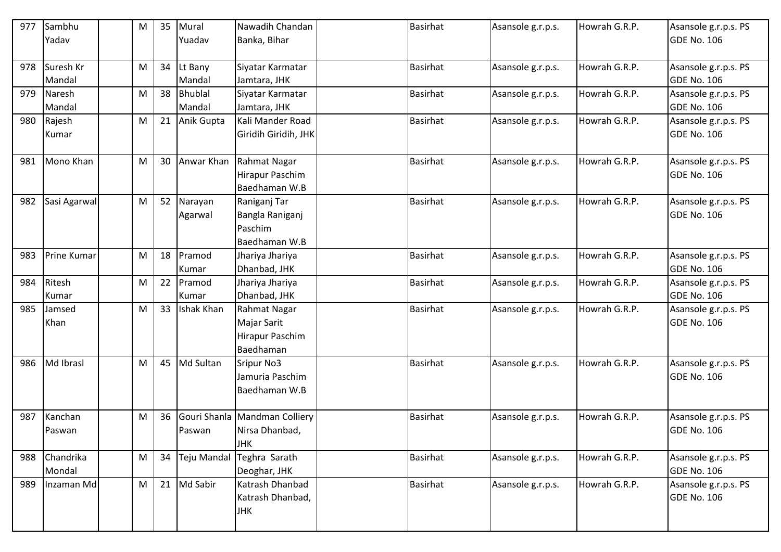| 977 | Sambhu             | М | 35 | Mural          | Nawadih Chandan               | <b>Basirhat</b> | Asansole g.r.p.s. | Howrah G.R.P. | Asansole g.r.p.s. PS |
|-----|--------------------|---|----|----------------|-------------------------------|-----------------|-------------------|---------------|----------------------|
|     | Yadav              |   |    | Yuadav         | Banka, Bihar                  |                 |                   |               | <b>GDE No. 106</b>   |
|     |                    |   |    |                |                               |                 |                   |               |                      |
| 978 | Suresh Kr          | M | 34 | Lt Bany        | Siyatar Karmatar              | <b>Basirhat</b> | Asansole g.r.p.s. | Howrah G.R.P. | Asansole g.r.p.s. PS |
|     | Mandal             |   |    | Mandal         | Jamtara, JHK                  |                 |                   |               | <b>GDE No. 106</b>   |
| 979 | Naresh             | M | 38 | <b>Bhublal</b> | Siyatar Karmatar              | <b>Basirhat</b> | Asansole g.r.p.s. | Howrah G.R.P. | Asansole g.r.p.s. PS |
|     | Mandal             |   |    | Mandal         | Jamtara, JHK                  |                 |                   |               | <b>GDE No. 106</b>   |
| 980 | Rajesh             | M | 21 | Anik Gupta     | Kali Mander Road              | <b>Basirhat</b> | Asansole g.r.p.s. | Howrah G.R.P. | Asansole g.r.p.s. PS |
|     | Kumar              |   |    |                | Giridih Giridih, JHK          |                 |                   |               | <b>GDE No. 106</b>   |
|     |                    |   |    |                |                               |                 |                   |               |                      |
| 981 | Mono Khan          | M | 30 | Anwar Khan     | Rahmat Nagar                  | <b>Basirhat</b> | Asansole g.r.p.s. | Howrah G.R.P. | Asansole g.r.p.s. PS |
|     |                    |   |    |                | Hirapur Paschim               |                 |                   |               | <b>GDE No. 106</b>   |
|     |                    |   |    |                | Baedhaman W.B                 |                 |                   |               |                      |
| 982 | Sasi Agarwal       | M | 52 | Narayan        | Raniganj Tar                  | <b>Basirhat</b> | Asansole g.r.p.s. | Howrah G.R.P. | Asansole g.r.p.s. PS |
|     |                    |   |    | Agarwal        | Bangla Raniganj               |                 |                   |               | <b>GDE No. 106</b>   |
|     |                    |   |    |                | Paschim                       |                 |                   |               |                      |
|     |                    |   |    |                | Baedhaman W.B                 |                 |                   |               |                      |
| 983 | <b>Prine Kumar</b> | M | 18 | Pramod         | Jhariya Jhariya               | <b>Basirhat</b> | Asansole g.r.p.s. | Howrah G.R.P. | Asansole g.r.p.s. PS |
|     |                    |   |    | Kumar          | Dhanbad, JHK                  |                 |                   |               | <b>GDE No. 106</b>   |
| 984 | Ritesh             | M | 22 | Pramod         | Jhariya Jhariya               | <b>Basirhat</b> | Asansole g.r.p.s. | Howrah G.R.P. | Asansole g.r.p.s. PS |
|     | Kumar              |   |    | Kumar          | Dhanbad, JHK                  |                 |                   |               | <b>GDE No. 106</b>   |
| 985 | Jamsed             | M | 33 | Ishak Khan     | Rahmat Nagar                  | <b>Basirhat</b> | Asansole g.r.p.s. | Howrah G.R.P. | Asansole g.r.p.s. PS |
|     | Khan               |   |    |                | Majar Sarit                   |                 |                   |               | <b>GDE No. 106</b>   |
|     |                    |   |    |                | Hirapur Paschim               |                 |                   |               |                      |
|     |                    |   |    |                | Baedhaman                     |                 |                   |               |                      |
| 986 | Md Ibrasl          | M | 45 | Md Sultan      | <b>Sripur No3</b>             | <b>Basirhat</b> | Asansole g.r.p.s. | Howrah G.R.P. | Asansole g.r.p.s. PS |
|     |                    |   |    |                | Jamuria Paschim               |                 |                   |               | <b>GDE No. 106</b>   |
|     |                    |   |    |                | Baedhaman W.B                 |                 |                   |               |                      |
|     |                    |   |    |                |                               |                 |                   |               |                      |
| 987 | Kanchan            | M | 36 |                | Gouri Shanla Mandman Colliery | <b>Basirhat</b> | Asansole g.r.p.s. | Howrah G.R.P. | Asansole g.r.p.s. PS |
|     | Paswan             |   |    | Paswan         | Nirsa Dhanbad,                |                 |                   |               | GDE No. 106          |
|     |                    |   |    |                | <b>JHK</b>                    |                 |                   |               |                      |
| 988 | Chandrika          | M | 34 |                | Teju Mandal Teghra Sarath     | <b>Basirhat</b> | Asansole g.r.p.s. | Howrah G.R.P. | Asansole g.r.p.s. PS |
|     | Mondal             |   |    |                | Deoghar, JHK                  |                 |                   |               | <b>GDE No. 106</b>   |
|     |                    |   |    |                |                               |                 |                   |               |                      |
| 989 | Inzaman Md         | M | 21 | Md Sabir       | Katrash Dhanbad               | Basirhat        | Asansole g.r.p.s. | Howrah G.R.P. | Asansole g.r.p.s. PS |
|     |                    |   |    |                | Katrash Dhanbad,              |                 |                   |               | <b>GDE No. 106</b>   |
|     |                    |   |    |                | <b>JHK</b>                    |                 |                   |               |                      |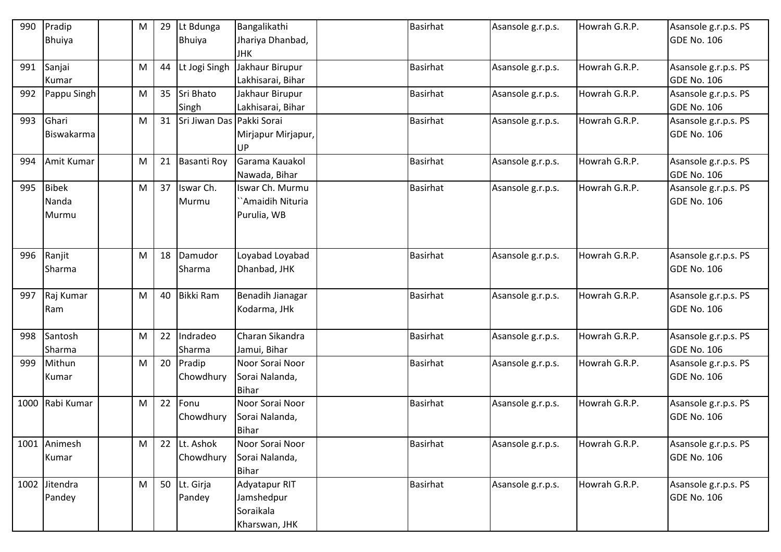| 990  | Pradip        | М | 29 | Lt Bdunga                    | Bangalikathi       | <b>Basirhat</b> | Asansole g.r.p.s. | Howrah G.R.P. | Asansole g.r.p.s. PS |
|------|---------------|---|----|------------------------------|--------------------|-----------------|-------------------|---------------|----------------------|
|      | <b>Bhuiya</b> |   |    | <b>Bhuiya</b>                | Jhariya Dhanbad,   |                 |                   |               | <b>GDE No. 106</b>   |
|      |               |   |    |                              | <b>JHK</b>         |                 |                   |               |                      |
| 991  | Sanjai        | M | 44 | Lt Jogi Singh                | Jakhaur Birupur    | Basirhat        | Asansole g.r.p.s. | Howrah G.R.P. | Asansole g.r.p.s. PS |
|      | Kumar         |   |    |                              | Lakhisarai, Bihar  |                 |                   |               | <b>GDE No. 106</b>   |
| 992  | Pappu Singh   | M | 35 | Sri Bhato                    | Jakhaur Birupur    | <b>Basirhat</b> | Asansole g.r.p.s. | Howrah G.R.P. | Asansole g.r.p.s. PS |
|      |               |   |    | Singh                        | Lakhisarai, Bihar  |                 |                   |               | <b>GDE No. 106</b>   |
| 993  | Ghari         | M |    | 31 Sri Jiwan Das Pakki Sorai |                    | <b>Basirhat</b> | Asansole g.r.p.s. | Howrah G.R.P. | Asansole g.r.p.s. PS |
|      | Biswakarma    |   |    |                              | Mirjapur Mirjapur, |                 |                   |               | <b>GDE No. 106</b>   |
|      |               |   |    |                              | UP                 |                 |                   |               |                      |
| 994  | Amit Kumar    | M | 21 | <b>Basanti Roy</b>           | Garama Kauakol     | <b>Basirhat</b> | Asansole g.r.p.s. | Howrah G.R.P. | Asansole g.r.p.s. PS |
|      |               |   |    |                              | Nawada, Bihar      |                 |                   |               | <b>GDE No. 106</b>   |
| 995  | <b>Bibek</b>  | M | 37 | Iswar Ch.                    | Iswar Ch. Murmu    | <b>Basirhat</b> | Asansole g.r.p.s. | Howrah G.R.P. | Asansole g.r.p.s. PS |
|      | Nanda         |   |    | Murmu                        | `Amaidih Nituria   |                 |                   |               | <b>GDE No. 106</b>   |
|      | Murmu         |   |    |                              | Purulia, WB        |                 |                   |               |                      |
|      |               |   |    |                              |                    |                 |                   |               |                      |
|      |               |   |    |                              |                    |                 |                   |               |                      |
| 996  | Ranjit        | M | 18 | Damudor                      | Loyabad Loyabad    | <b>Basirhat</b> | Asansole g.r.p.s. | Howrah G.R.P. | Asansole g.r.p.s. PS |
|      | Sharma        |   |    | Sharma                       | Dhanbad, JHK       |                 |                   |               | <b>GDE No. 106</b>   |
|      |               |   |    |                              |                    |                 |                   |               |                      |
| 997  | Raj Kumar     | M | 40 | <b>Bikki Ram</b>             | Benadih Jianagar   | <b>Basirhat</b> | Asansole g.r.p.s. | Howrah G.R.P. | Asansole g.r.p.s. PS |
|      | Ram           |   |    |                              | Kodarma, JHk       |                 |                   |               | <b>GDE No. 106</b>   |
|      |               |   |    |                              |                    |                 |                   |               |                      |
| 998  | Santosh       | M | 22 | Indradeo                     | Charan Sikandra    | <b>Basirhat</b> | Asansole g.r.p.s. | Howrah G.R.P. | Asansole g.r.p.s. PS |
|      | Sharma        |   |    | Sharma                       | Jamui, Bihar       |                 |                   |               | <b>GDE No. 106</b>   |
| 999  | Mithun        | M |    | 20 Pradip                    | Noor Sorai Noor    | <b>Basirhat</b> | Asansole g.r.p.s. | Howrah G.R.P. | Asansole g.r.p.s. PS |
|      | Kumar         |   |    | Chowdhury                    | Sorai Nalanda,     |                 |                   |               | <b>GDE No. 106</b>   |
|      |               |   |    |                              | <b>Bihar</b>       |                 |                   |               |                      |
| 1000 | Rabi Kumar    | M | 22 | Fonu                         | Noor Sorai Noor    | <b>Basirhat</b> | Asansole g.r.p.s. | Howrah G.R.P. | Asansole g.r.p.s. PS |
|      |               |   |    | Chowdhury                    | Sorai Nalanda,     |                 |                   |               | <b>GDE No. 106</b>   |
|      |               |   |    |                              | <b>Bihar</b>       |                 |                   |               |                      |
| 1001 | Animesh       | M | 22 | Lt. Ashok                    | Noor Sorai Noor    | <b>Basirhat</b> | Asansole g.r.p.s. | Howrah G.R.P. | Asansole g.r.p.s. PS |
|      | Kumar         |   |    | Chowdhury                    | Sorai Nalanda,     |                 |                   |               | <b>GDE No. 106</b>   |
|      |               |   |    |                              | <b>Bihar</b>       |                 |                   |               |                      |
|      | 1002 Jitendra | M |    | 50 Lt. Girja                 | Adyatapur RIT      | Basirhat        | Asansole g.r.p.s. | Howrah G.R.P. | Asansole g.r.p.s. PS |
|      | Pandey        |   |    | Pandey                       | Jamshedpur         |                 |                   |               | <b>GDE No. 106</b>   |
|      |               |   |    |                              | Soraikala          |                 |                   |               |                      |
|      |               |   |    |                              | Kharswan, JHK      |                 |                   |               |                      |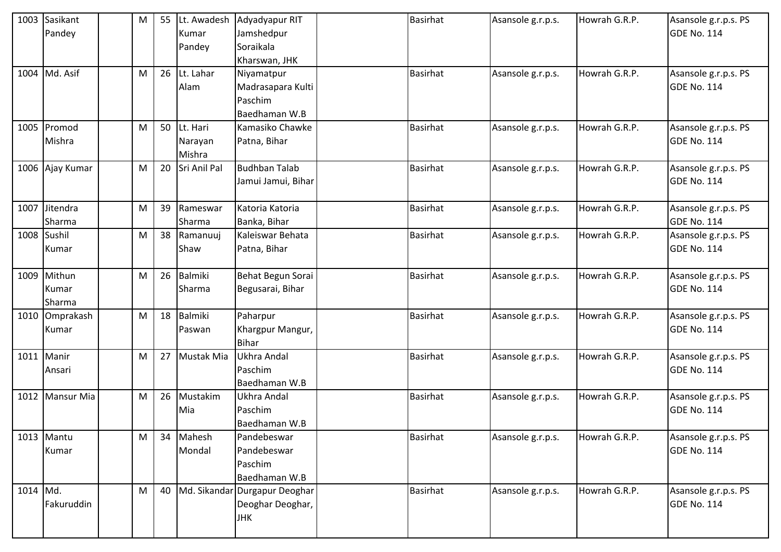|             | 1003 Sasikant<br>Pandey   | M | 55 | Lt. Awadesh<br>Kumar<br>Pandey | Adyadyapur RIT<br>Jamshedpur<br>Soraikala<br>Kharswan, JHK      | <b>Basirhat</b> | Asansole g.r.p.s. | Howrah G.R.P. | Asansole g.r.p.s. PS<br><b>GDE No. 114</b> |
|-------------|---------------------------|---|----|--------------------------------|-----------------------------------------------------------------|-----------------|-------------------|---------------|--------------------------------------------|
|             | 1004 Md. Asif             | M | 26 | Lt. Lahar<br>Alam              | Niyamatpur<br>Madrasapara Kulti<br>Paschim<br>Baedhaman W.B     | <b>Basirhat</b> | Asansole g.r.p.s. | Howrah G.R.P. | Asansole g.r.p.s. PS<br><b>GDE No. 114</b> |
|             | 1005 Promod<br>Mishra     | M | 50 | Lt. Hari<br>Narayan<br>Mishra  | Kamasiko Chawke<br>Patna, Bihar                                 | <b>Basirhat</b> | Asansole g.r.p.s. | Howrah G.R.P. | Asansole g.r.p.s. PS<br><b>GDE No. 114</b> |
|             | 1006 Ajay Kumar           | M | 20 | Sri Anil Pal                   | <b>Budhban Talab</b><br>Jamui Jamui, Bihar                      | <b>Basirhat</b> | Asansole g.r.p.s. | Howrah G.R.P. | Asansole g.r.p.s. PS<br><b>GDE No. 114</b> |
|             | 1007 Jitendra<br>Sharma   | M | 39 | Rameswar<br>Sharma             | Katoria Katoria<br>Banka, Bihar                                 | <b>Basirhat</b> | Asansole g.r.p.s. | Howrah G.R.P. | Asansole g.r.p.s. PS<br><b>GDE No. 114</b> |
| 1008 Sushil | Kumar                     | M | 38 | Ramanuuj<br>Shaw               | Kaleiswar Behata<br>Patna, Bihar                                | <b>Basirhat</b> | Asansole g.r.p.s. | Howrah G.R.P. | Asansole g.r.p.s. PS<br><b>GDE No. 114</b> |
| 1009        | Mithun<br>Kumar<br>Sharma | M | 26 | Balmiki<br>Sharma              | Behat Begun Sorai<br>Begusarai, Bihar                           | <b>Basirhat</b> | Asansole g.r.p.s. | Howrah G.R.P. | Asansole g.r.p.s. PS<br><b>GDE No. 114</b> |
|             | 1010 Omprakash<br>Kumar   | M | 18 | <b>Balmiki</b><br>Paswan       | Paharpur<br>Khargpur Mangur,<br><b>Bihar</b>                    | Basirhat        | Asansole g.r.p.s. | Howrah G.R.P. | Asansole g.r.p.s. PS<br><b>GDE No. 114</b> |
| 1011 Manir  | Ansari                    | M | 27 | Mustak Mia                     | <b>Ukhra Andal</b><br>Paschim<br>Baedhaman W.B                  | <b>Basirhat</b> | Asansole g.r.p.s. | Howrah G.R.P. | Asansole g.r.p.s. PS<br><b>GDE No. 114</b> |
|             | 1012 Mansur Mia           | M | 26 | Mustakim<br>Mia                | Ukhra Andal<br>Paschim<br>Baedhaman W.B                         | <b>Basirhat</b> | Asansole g.r.p.s. | Howrah G.R.P. | Asansole g.r.p.s. PS<br><b>GDE No. 114</b> |
|             | 1013 Mantu<br>Kumar       | M | 34 | Mahesh<br>Mondal               | Pandebeswar<br>Pandebeswar<br>Paschim<br>Baedhaman W.B          | <b>Basirhat</b> | Asansole g.r.p.s. | Howrah G.R.P. | Asansole g.r.p.s. PS<br><b>GDE No. 114</b> |
| 1014 Md.    | Fakuruddin                | M | 40 |                                | Md. Sikandar Durgapur Deoghar<br>Deoghar Deoghar,<br><b>JHK</b> | <b>Basirhat</b> | Asansole g.r.p.s. | Howrah G.R.P. | Asansole g.r.p.s. PS<br><b>GDE No. 114</b> |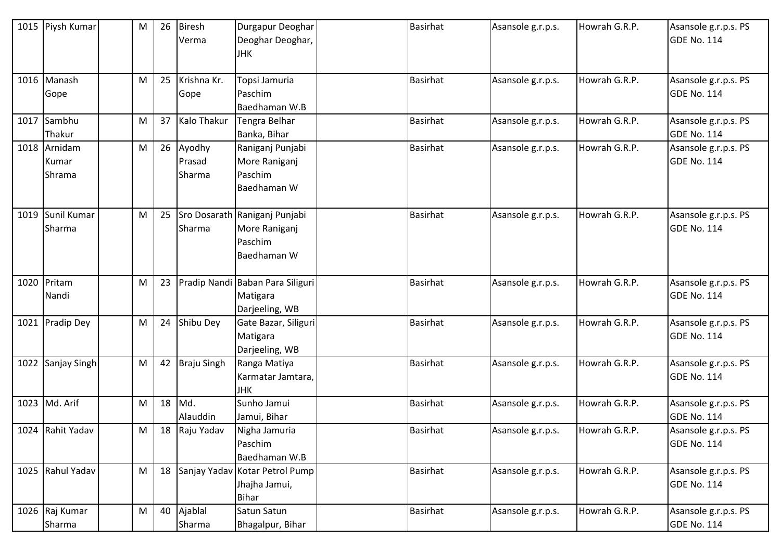|      | 1015 Piysh Kumar  | M | 26 | <b>Biresh</b>      | Durgapur Deoghar                 | <b>Basirhat</b> | Asansole g.r.p.s. | Howrah G.R.P. | Asansole g.r.p.s. PS |
|------|-------------------|---|----|--------------------|----------------------------------|-----------------|-------------------|---------------|----------------------|
|      |                   |   |    | Verma              | Deoghar Deoghar,                 |                 |                   |               | <b>GDE No. 114</b>   |
|      |                   |   |    |                    | <b>JHK</b>                       |                 |                   |               |                      |
|      |                   |   |    |                    |                                  |                 |                   |               |                      |
|      | 1016 Manash       | M | 25 | Krishna Kr.        | Topsi Jamuria                    | <b>Basirhat</b> | Asansole g.r.p.s. | Howrah G.R.P. | Asansole g.r.p.s. PS |
|      | Gope              |   |    | Gope               | Paschim                          |                 |                   |               | <b>GDE No. 114</b>   |
|      |                   |   |    |                    | Baedhaman W.B                    |                 |                   |               |                      |
| 1017 | Sambhu            | M | 37 | Kalo Thakur        | Tengra Belhar                    | <b>Basirhat</b> | Asansole g.r.p.s. | Howrah G.R.P. | Asansole g.r.p.s. PS |
|      | Thakur            |   |    |                    | Banka, Bihar                     |                 |                   |               | <b>GDE No. 114</b>   |
|      | 1018 Arnidam      | M | 26 | Ayodhy             | Raniganj Punjabi                 | <b>Basirhat</b> | Asansole g.r.p.s. | Howrah G.R.P. | Asansole g.r.p.s. PS |
|      | Kumar             |   |    | Prasad             | More Raniganj                    |                 |                   |               | <b>GDE No. 114</b>   |
|      | Shrama            |   |    | Sharma             | Paschim                          |                 |                   |               |                      |
|      |                   |   |    |                    | Baedhaman W                      |                 |                   |               |                      |
|      |                   |   |    |                    |                                  |                 |                   |               |                      |
| 1019 | Sunil Kumar       | M | 25 |                    | Sro Dosarath Raniganj Punjabi    | <b>Basirhat</b> | Asansole g.r.p.s. | Howrah G.R.P. | Asansole g.r.p.s. PS |
|      | Sharma            |   |    | Sharma             | More Raniganj                    |                 |                   |               | <b>GDE No. 114</b>   |
|      |                   |   |    |                    | Paschim                          |                 |                   |               |                      |
|      |                   |   |    |                    | Baedhaman W                      |                 |                   |               |                      |
|      |                   |   |    |                    |                                  |                 |                   |               |                      |
|      | 1020 Pritam       | M | 23 |                    | Pradip Nandi Baban Para Siliguri | <b>Basirhat</b> | Asansole g.r.p.s. | Howrah G.R.P. | Asansole g.r.p.s. PS |
|      | Nandi             |   |    |                    | Matigara                         |                 |                   |               | <b>GDE No. 114</b>   |
|      |                   |   |    |                    | Darjeeling, WB                   |                 |                   |               |                      |
| 1021 | <b>Pradip Dey</b> | M | 24 | Shibu Dey          | Gate Bazar, Siliguri             | <b>Basirhat</b> | Asansole g.r.p.s. | Howrah G.R.P. | Asansole g.r.p.s. PS |
|      |                   |   |    |                    | Matigara                         |                 |                   |               | <b>GDE No. 114</b>   |
|      |                   |   |    |                    | Darjeeling, WB                   |                 |                   |               |                      |
|      | 1022 Sanjay Singh | M | 42 | <b>Braju Singh</b> | Ranga Matiya                     | <b>Basirhat</b> | Asansole g.r.p.s. | Howrah G.R.P. | Asansole g.r.p.s. PS |
|      |                   |   |    |                    | Karmatar Jamtara,                |                 |                   |               | <b>GDE No. 114</b>   |
|      |                   |   |    |                    | <b>JHK</b>                       |                 |                   |               |                      |
|      | 1023 Md. Arif     | M | 18 | Md.                | Sunho Jamui                      | <b>Basirhat</b> | Asansole g.r.p.s. | Howrah G.R.P. | Asansole g.r.p.s. PS |
|      |                   |   |    | Alauddin           | Jamui, Bihar                     |                 |                   |               | <b>GDE No. 114</b>   |
|      | 1024 Rahit Yadav  | M |    | 18 Raju Yadav      | Nigha Jamuria                    | <b>Basirhat</b> | Asansole g.r.p.s. | Howrah G.R.P. | Asansole g.r.p.s. PS |
|      |                   |   |    |                    | Paschim                          |                 |                   |               | <b>GDE No. 114</b>   |
|      |                   |   |    |                    | Baedhaman W.B                    |                 |                   |               |                      |
|      | 1025 Rahul Yadav  | M | 18 |                    | Sanjay Yadav Kotar Petrol Pump   | <b>Basirhat</b> | Asansole g.r.p.s. | Howrah G.R.P. | Asansole g.r.p.s. PS |
|      |                   |   |    |                    | Jhajha Jamui,                    |                 |                   |               | <b>GDE No. 114</b>   |
|      |                   |   |    |                    | <b>Bihar</b>                     |                 |                   |               |                      |
|      | 1026 Raj Kumar    | M | 40 | Ajablal            | Satun Satun                      | <b>Basirhat</b> | Asansole g.r.p.s. | Howrah G.R.P. | Asansole g.r.p.s. PS |
|      | Sharma            |   |    | Sharma             | Bhagalpur, Bihar                 |                 |                   |               | <b>GDE No. 114</b>   |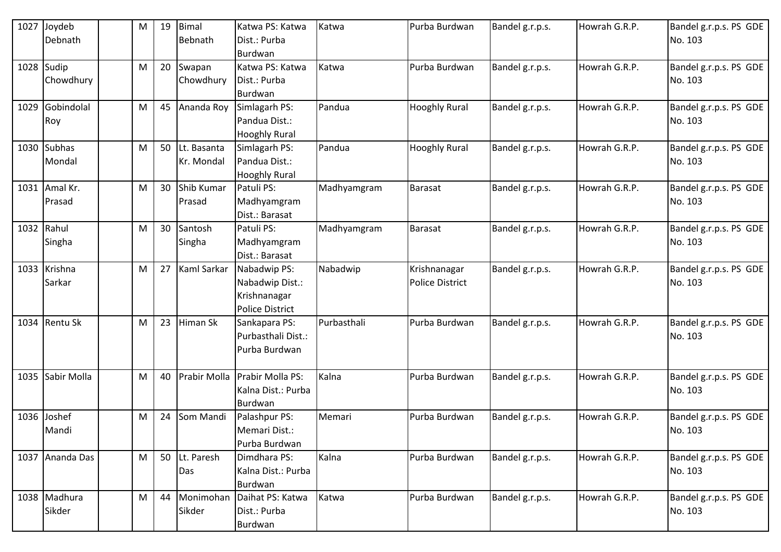| 1027 | Joydeb          | M | 19 | Bimal        | Katwa PS: Katwa        | Katwa       | Purba Burdwan          | Bandel g.r.p.s. | Howrah G.R.P. | Bandel g.r.p.s. PS GDE |
|------|-----------------|---|----|--------------|------------------------|-------------|------------------------|-----------------|---------------|------------------------|
|      | Debnath         |   |    | Bebnath      | Dist.: Purba           |             |                        |                 |               | No. 103                |
|      |                 |   |    |              | Burdwan                |             |                        |                 |               |                        |
| 1028 | Sudip           | M | 20 | Swapan       | Katwa PS: Katwa        | Katwa       | Purba Burdwan          | Bandel g.r.p.s. | Howrah G.R.P. | Bandel g.r.p.s. PS GDE |
|      | Chowdhury       |   |    | Chowdhury    | Dist.: Purba           |             |                        |                 |               | No. 103                |
|      |                 |   |    |              | Burdwan                |             |                        |                 |               |                        |
| 1029 | Gobindolal      | M | 45 | Ananda Roy   | Simlagarh PS:          | Pandua      | <b>Hooghly Rural</b>   | Bandel g.r.p.s. | Howrah G.R.P. | Bandel g.r.p.s. PS GDE |
|      | Roy             |   |    |              | Pandua Dist.:          |             |                        |                 |               | No. 103                |
|      |                 |   |    |              | <b>Hooghly Rural</b>   |             |                        |                 |               |                        |
|      | 1030 Subhas     | M | 50 | Lt. Basanta  | Simlagarh PS:          | Pandua      | <b>Hooghly Rural</b>   | Bandel g.r.p.s. | Howrah G.R.P. | Bandel g.r.p.s. PS GDE |
|      | Mondal          |   |    | Kr. Mondal   | Pandua Dist.:          |             |                        |                 |               | No. 103                |
|      |                 |   |    |              | <b>Hooghly Rural</b>   |             |                        |                 |               |                        |
| 1031 | Amal Kr.        | M | 30 | Shib Kumar   | Patuli PS:             | Madhyamgram | Barasat                | Bandel g.r.p.s. | Howrah G.R.P. | Bandel g.r.p.s. PS GDE |
|      | Prasad          |   |    | Prasad       | Madhyamgram            |             |                        |                 |               | No. 103                |
|      |                 |   |    |              | Dist.: Barasat         |             |                        |                 |               |                        |
| 1032 | Rahul           | M | 30 | Santosh      | Patuli PS:             | Madhyamgram | <b>Barasat</b>         | Bandel g.r.p.s. | Howrah G.R.P. | Bandel g.r.p.s. PS GDE |
|      | Singha          |   |    | Singha       | Madhyamgram            |             |                        |                 |               | No. 103                |
|      |                 |   |    |              | Dist.: Barasat         |             |                        |                 |               |                        |
|      | 1033 Krishna    | M | 27 | Kaml Sarkar  | Nabadwip PS:           | Nabadwip    | Krishnanagar           | Bandel g.r.p.s. | Howrah G.R.P. | Bandel g.r.p.s. PS GDE |
|      | Sarkar          |   |    |              | Nabadwip Dist.:        |             | <b>Police District</b> |                 |               | No. 103                |
|      |                 |   |    |              | Krishnanagar           |             |                        |                 |               |                        |
|      |                 |   |    |              | <b>Police District</b> |             |                        |                 |               |                        |
| 1034 | <b>Rentu Sk</b> | M | 23 | Himan Sk     | Sankapara PS:          | Purbasthali | Purba Burdwan          | Bandel g.r.p.s. | Howrah G.R.P. | Bandel g.r.p.s. PS GDE |
|      |                 |   |    |              | Purbasthali Dist.:     |             |                        |                 |               | No. 103                |
|      |                 |   |    |              | Purba Burdwan          |             |                        |                 |               |                        |
|      |                 |   |    |              |                        |             |                        |                 |               |                        |
| 1035 | Sabir Molla     | M | 40 | Prabir Molla | Prabir Molla PS:       | Kalna       | Purba Burdwan          | Bandel g.r.p.s. | Howrah G.R.P. | Bandel g.r.p.s. PS GDE |
|      |                 |   |    |              | Kalna Dist.: Purba     |             |                        |                 |               | No. 103                |
|      |                 |   |    |              | Burdwan                |             |                        |                 |               |                        |
| 1036 | Joshef          | M | 24 | Som Mandi    | Palashpur PS:          | Memari      | Purba Burdwan          | Bandel g.r.p.s. | Howrah G.R.P. | Bandel g.r.p.s. PS GDE |
|      | Mandi           |   |    |              | Memari Dist.:          |             |                        |                 |               | No. 103                |
|      |                 |   |    |              | Purba Burdwan          |             |                        |                 |               |                        |
|      | 1037 Ananda Das | M | 50 | Lt. Paresh   | Dimdhara PS:           | Kalna       | Purba Burdwan          | Bandel g.r.p.s. | Howrah G.R.P. | Bandel g.r.p.s. PS GDE |
|      |                 |   |    | Das          | Kalna Dist.: Purba     |             |                        |                 |               | No. 103                |
|      |                 |   |    |              | Burdwan                |             |                        |                 |               |                        |
|      | 1038 Madhura    | M | 44 | Monimohan    | Daihat PS: Katwa       | Katwa       | Purba Burdwan          | Bandel g.r.p.s. | Howrah G.R.P. | Bandel g.r.p.s. PS GDE |
|      | Sikder          |   |    | Sikder       | Dist.: Purba           |             |                        |                 |               | No. 103                |
|      |                 |   |    |              | Burdwan                |             |                        |                 |               |                        |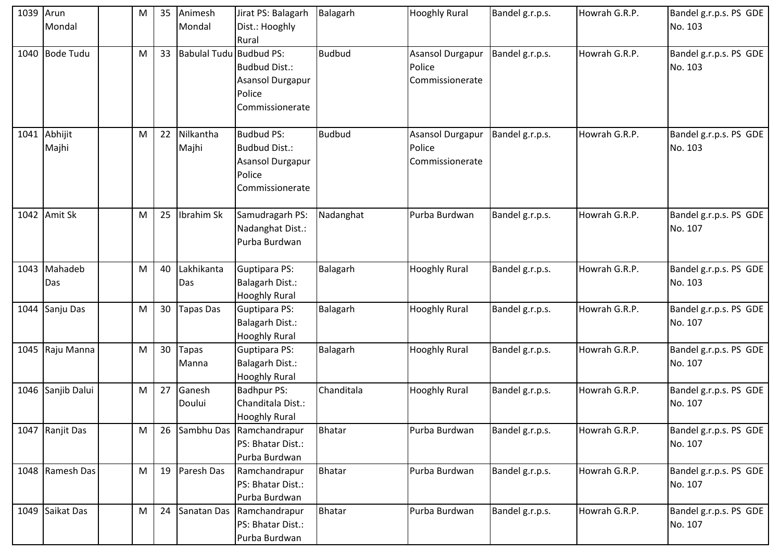| 1039 | Arun<br>Mondal        | M | 35 | Animesh<br>Mondal       | Jirat PS: Balagarh<br>Dist.: Hooghly<br>Rural                                              | Balagarh      | <b>Hooghly Rural</b>                          | Bandel g.r.p.s. | Howrah G.R.P. | Bandel g.r.p.s. PS GDE<br>No. 103 |
|------|-----------------------|---|----|-------------------------|--------------------------------------------------------------------------------------------|---------------|-----------------------------------------------|-----------------|---------------|-----------------------------------|
| 1040 | <b>Bode Tudu</b>      | M | 33 | Babulal Tudu Budbud PS: | <b>Budbud Dist.:</b><br>Asansol Durgapur<br>Police<br>Commissionerate                      | <b>Budbud</b> | Asansol Durgapur<br>Police<br>Commissionerate | Bandel g.r.p.s. | Howrah G.R.P. | Bandel g.r.p.s. PS GDE<br>No. 103 |
|      | 1041 Abhijit<br>Majhi | M | 22 | Nilkantha<br>Majhi      | <b>Budbud PS:</b><br><b>Budbud Dist.:</b><br>Asansol Durgapur<br>Police<br>Commissionerate | <b>Budbud</b> | Asansol Durgapur<br>Police<br>Commissionerate | Bandel g.r.p.s. | Howrah G.R.P. | Bandel g.r.p.s. PS GDE<br>No. 103 |
| 1042 | Amit Sk               | M | 25 | Ibrahim Sk              | Samudragarh PS:<br>Nadanghat Dist.:<br>Purba Burdwan                                       | Nadanghat     | Purba Burdwan                                 | Bandel g.r.p.s. | Howrah G.R.P. | Bandel g.r.p.s. PS GDE<br>No. 107 |
|      | 1043 Mahadeb<br>Das   | M | 40 | Lakhikanta<br>Das       | <b>Guptipara PS:</b><br><b>Balagarh Dist.:</b><br><b>Hooghly Rural</b>                     | Balagarh      | <b>Hooghly Rural</b>                          | Bandel g.r.p.s. | Howrah G.R.P. | Bandel g.r.p.s. PS GDE<br>No. 103 |
| 1044 | Sanju Das             | M | 30 | Tapas Das               | <b>Guptipara PS:</b><br><b>Balagarh Dist.:</b><br><b>Hooghly Rural</b>                     | Balagarh      | <b>Hooghly Rural</b>                          | Bandel g.r.p.s. | Howrah G.R.P. | Bandel g.r.p.s. PS GDE<br>No. 107 |
|      | 1045 Raju Manna       | M | 30 | Tapas<br>Manna          | Guptipara PS:<br><b>Balagarh Dist.:</b><br><b>Hooghly Rural</b>                            | Balagarh      | <b>Hooghly Rural</b>                          | Bandel g.r.p.s. | Howrah G.R.P. | Bandel g.r.p.s. PS GDE<br>No. 107 |
|      | 1046 Sanjib Dalui     | M | 27 | Ganesh<br>Doului        | <b>Badhpur PS:</b><br>Chanditala Dist.:<br><b>Hooghly Rural</b>                            | Chanditala    | <b>Hooghly Rural</b>                          | Bandel g.r.p.s. | Howrah G.R.P. | Bandel g.r.p.s. PS GDE<br>No. 107 |
|      | 1047 Ranjit Das       | M | 26 |                         | Sambhu Das Ramchandrapur<br>PS: Bhatar Dist.:<br>Purba Burdwan                             | <b>Bhatar</b> | Purba Burdwan                                 | Bandel g.r.p.s. | Howrah G.R.P. | Bandel g.r.p.s. PS GDE<br>No. 107 |
|      | 1048 Ramesh Das       | M | 19 | Paresh Das              | Ramchandrapur<br>PS: Bhatar Dist.:<br>Purba Burdwan                                        | <b>Bhatar</b> | Purba Burdwan                                 | Bandel g.r.p.s. | Howrah G.R.P. | Bandel g.r.p.s. PS GDE<br>No. 107 |
|      | 1049 Saikat Das       | M | 24 |                         | Sanatan Das Ramchandrapur<br>PS: Bhatar Dist.:<br>Purba Burdwan                            | <b>Bhatar</b> | Purba Burdwan                                 | Bandel g.r.p.s. | Howrah G.R.P. | Bandel g.r.p.s. PS GDE<br>No. 107 |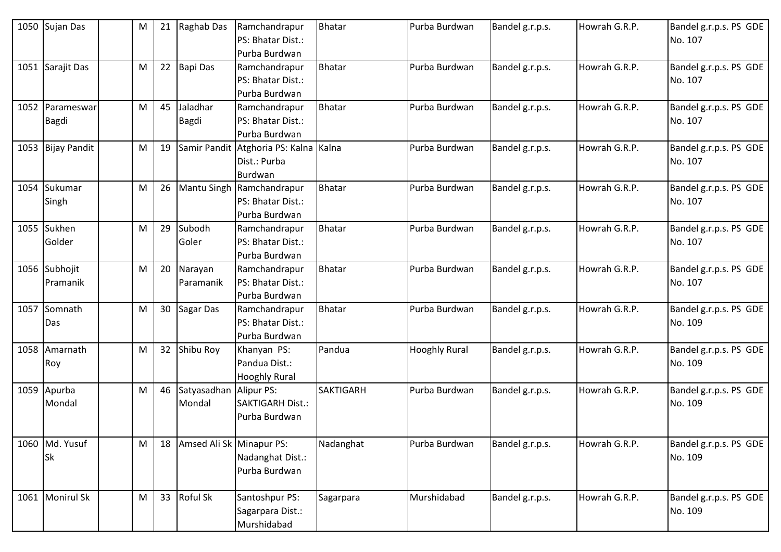| 1050 | Sujan Das                       | M | 21 | Raghab Das                       | Ramchandrapur<br>PS: Bhatar Dist.:<br>Purba Burdwan              | <b>Bhatar</b>    | Purba Burdwan        | Bandel g.r.p.s. | Howrah G.R.P. | Bandel g.r.p.s. PS GDE<br>No. 107 |
|------|---------------------------------|---|----|----------------------------------|------------------------------------------------------------------|------------------|----------------------|-----------------|---------------|-----------------------------------|
| 1051 | Sarajit Das                     | M | 22 | <b>Bapi Das</b>                  | Ramchandrapur<br>PS: Bhatar Dist.:<br>Purba Burdwan              | <b>Bhatar</b>    | Purba Burdwan        | Bandel g.r.p.s. | Howrah G.R.P. | Bandel g.r.p.s. PS GDE<br>No. 107 |
|      | 1052 Parameswar<br><b>Bagdi</b> | M | 45 | Jaladhar<br>Bagdi                | Ramchandrapur<br>PS: Bhatar Dist.:<br>Purba Burdwan              | <b>Bhatar</b>    | Purba Burdwan        | Bandel g.r.p.s. | Howrah G.R.P. | Bandel g.r.p.s. PS GDE<br>No. 107 |
|      | 1053 Bijay Pandit               | M | 19 |                                  | Samir Pandit Atghoria PS: Kalna Kalna<br>Dist.: Purba<br>Burdwan |                  | Purba Burdwan        | Bandel g.r.p.s. | Howrah G.R.P. | Bandel g.r.p.s. PS GDE<br>No. 107 |
| 1054 | Sukumar<br>Singh                | M | 26 |                                  | Mantu Singh Ramchandrapur<br>PS: Bhatar Dist.:<br>Purba Burdwan  | <b>Bhatar</b>    | Purba Burdwan        | Bandel g.r.p.s. | Howrah G.R.P. | Bandel g.r.p.s. PS GDE<br>No. 107 |
|      | 1055 Sukhen<br>Golder           | M | 29 | Subodh<br>Goler                  | Ramchandrapur<br>PS: Bhatar Dist.:<br>Purba Burdwan              | Bhatar           | Purba Burdwan        | Bandel g.r.p.s. | Howrah G.R.P. | Bandel g.r.p.s. PS GDE<br>No. 107 |
|      | 1056 Subhojit<br>Pramanik       | M | 20 | Narayan<br>Paramanik             | Ramchandrapur<br>PS: Bhatar Dist.:<br>Purba Burdwan              | <b>Bhatar</b>    | Purba Burdwan        | Bandel g.r.p.s. | Howrah G.R.P. | Bandel g.r.p.s. PS GDE<br>No. 107 |
| 1057 | Somnath<br>Das                  | M | 30 | Sagar Das                        | Ramchandrapur<br>PS: Bhatar Dist.:<br>Purba Burdwan              | <b>Bhatar</b>    | Purba Burdwan        | Bandel g.r.p.s. | Howrah G.R.P. | Bandel g.r.p.s. PS GDE<br>No. 109 |
| 1058 | Amarnath<br>Roy                 | M | 32 | Shibu Roy                        | Khanyan PS:<br>Pandua Dist.:<br><b>Hooghly Rural</b>             | Pandua           | <b>Hooghly Rural</b> | Bandel g.r.p.s. | Howrah G.R.P. | Bandel g.r.p.s. PS GDE<br>No. 109 |
|      | 1059 Apurba<br>Mondal           | M | 46 | Satyasadhan Alipur PS:<br>Mondal | <b>SAKTIGARH Dist.:</b><br>Purba Burdwan                         | <b>SAKTIGARH</b> | Purba Burdwan        | Bandel g.r.p.s. | Howrah G.R.P. | Bandel g.r.p.s. PS GDE<br>No. 109 |
|      | 1060 Md. Yusuf<br>Sk            | M | 18 | Amsed Ali Sk Minapur PS:         | Nadanghat Dist.:<br>Purba Burdwan                                | Nadanghat        | Purba Burdwan        | Bandel g.r.p.s. | Howrah G.R.P. | Bandel g.r.p.s. PS GDE<br>No. 109 |
|      | 1061 Monirul Sk                 | M | 33 | Roful Sk                         | Santoshpur PS:<br>Sagarpara Dist.:<br>Murshidabad                | Sagarpara        | Murshidabad          | Bandel g.r.p.s. | Howrah G.R.P. | Bandel g.r.p.s. PS GDE<br>No. 109 |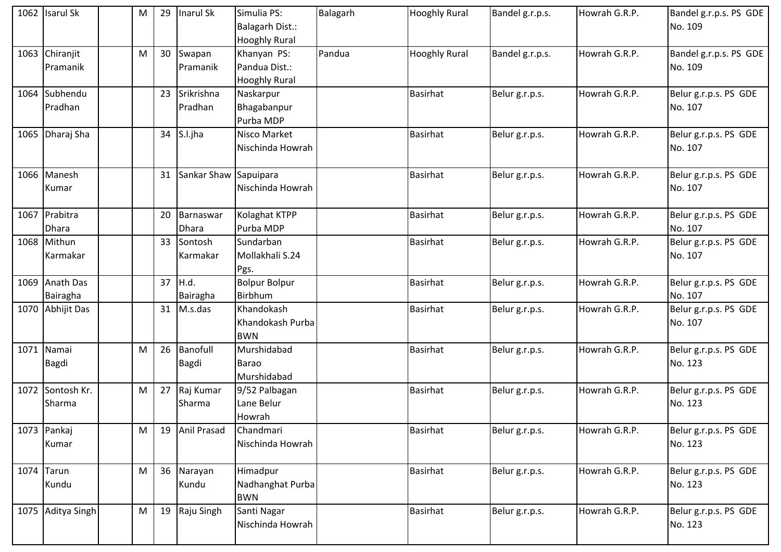| 1062 Isarul Sk                | M | 29 | Inarul Sk                 | Simulia PS:<br><b>Balagarh Dist.:</b><br><b>Hooghly Rural</b> | Balagarh | <b>Hooghly Rural</b> | Bandel g.r.p.s. | Howrah G.R.P. | Bandel g.r.p.s. PS GDE<br>No. 109 |
|-------------------------------|---|----|---------------------------|---------------------------------------------------------------|----------|----------------------|-----------------|---------------|-----------------------------------|
| 1063 Chiranjit<br>Pramanik    | M | 30 | Swapan<br>Pramanik        | Khanyan PS:<br>Pandua Dist.:<br><b>Hooghly Rural</b>          | Pandua   | <b>Hooghly Rural</b> | Bandel g.r.p.s. | Howrah G.R.P. | Bandel g.r.p.s. PS GDE<br>No. 109 |
| 1064 Subhendu<br>Pradhan      |   | 23 | Srikrishna<br>Pradhan     | Naskarpur<br>Bhagabanpur<br>Purba MDP                         |          | <b>Basirhat</b>      | Belur g.r.p.s.  | Howrah G.R.P. | Belur g.r.p.s. PS GDE<br>No. 107  |
| 1065 Dharaj Sha               |   | 34 | S.l.jha                   | Nisco Market<br>Nischinda Howrah                              |          | <b>Basirhat</b>      | Belur g.r.p.s.  | Howrah G.R.P. | Belur g.r.p.s. PS GDE<br>No. 107  |
| 1066 Manesh<br>Kumar          |   | 31 | Sankar Shaw Sapuipara     | Nischinda Howrah                                              |          | <b>Basirhat</b>      | Belur g.r.p.s.  | Howrah G.R.P. | Belur g.r.p.s. PS GDE<br>No. 107  |
| 1067 Prabitra<br><b>Dhara</b> |   | 20 | Barnaswar<br><b>Dhara</b> | Kolaghat KTPP<br>Purba MDP                                    |          | Basirhat             | Belur g.r.p.s.  | Howrah G.R.P. | Belur g.r.p.s. PS GDE<br>No. 107  |
| 1068 Mithun<br>Karmakar       |   | 33 | Sontosh<br>Karmakar       | Sundarban<br>Mollakhali S.24<br>Pgs.                          |          | Basirhat             | Belur g.r.p.s.  | Howrah G.R.P. | Belur g.r.p.s. PS GDE<br>No. 107  |
| 1069 Anath Das<br>Bairagha    |   | 37 | H.d.<br>Bairagha          | <b>Bolpur Bolpur</b><br>Birbhum                               |          | <b>Basirhat</b>      | Belur g.r.p.s.  | Howrah G.R.P. | Belur g.r.p.s. PS GDE<br>No. 107  |
| 1070 Abhijit Das              |   |    | 31 M.s.das                | Khandokash<br>Khandokash Purba<br><b>BWN</b>                  |          | <b>Basirhat</b>      | Belur g.r.p.s.  | Howrah G.R.P. | Belur g.r.p.s. PS GDE<br>No. 107  |
| 1071 Namai<br><b>Bagdi</b>    | M | 26 | Banofull<br><b>Bagdi</b>  | Murshidabad<br><b>Barao</b><br>Murshidabad                    |          | <b>Basirhat</b>      | Belur g.r.p.s.  | Howrah G.R.P. | Belur g.r.p.s. PS GDE<br>No. 123  |
| 1072 Sontosh Kr.<br>Sharma    | M | 27 | Raj Kumar<br>Sharma       | 9/52 Palbagan<br>Lane Belur<br>Howrah                         |          | <b>Basirhat</b>      | Belur g.r.p.s.  | Howrah G.R.P. | Belur g.r.p.s. PS GDE<br>No. 123  |
| 1073 Pankaj<br>Kumar          | M | 19 | Anil Prasad               | Chandmari<br>Nischinda Howrah                                 |          | <b>Basirhat</b>      | Belur g.r.p.s.  | Howrah G.R.P. | Belur g.r.p.s. PS GDE<br>No. 123  |
| $1074$ Tarun<br>Kundu         | M | 36 | Narayan<br>Kundu          | Himadpur<br>Nadhanghat Purba<br><b>BWN</b>                    |          | Basirhat             | Belur g.r.p.s.  | Howrah G.R.P. | Belur g.r.p.s. PS GDE<br>No. 123  |
| 1075 Aditya Singh             | M | 19 | Raju Singh                | Santi Nagar<br>Nischinda Howrah                               |          | <b>Basirhat</b>      | Belur g.r.p.s.  | Howrah G.R.P. | Belur g.r.p.s. PS GDE<br>No. 123  |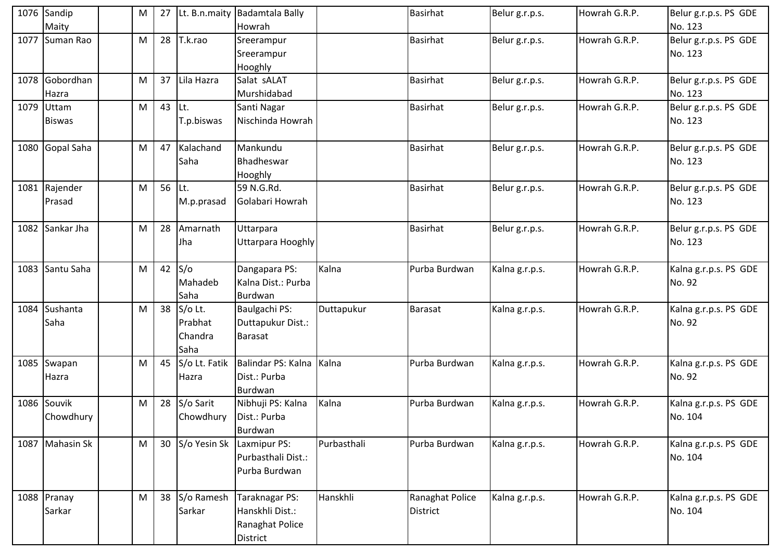| 1076 Sandip<br>Maity        | M | 27       |                                       | Lt. B.n.maity Badamtala Bally<br>Howrah                          |             | <b>Basirhat</b>                    | Belur g.r.p.s. | Howrah G.R.P. | Belur g.r.p.s. PS GDE<br>No. 123 |
|-----------------------------|---|----------|---------------------------------------|------------------------------------------------------------------|-------------|------------------------------------|----------------|---------------|----------------------------------|
| 1077 Suman Rao              | M | 28       | T.k.rao                               | Sreerampur<br>Sreerampur<br>Hooghly                              |             | Basirhat                           | Belur g.r.p.s. | Howrah G.R.P. | Belur g.r.p.s. PS GDE<br>No. 123 |
| 1078 Gobordhan<br>Hazra     | M | 37       | Lila Hazra                            | Salat sALAT<br>Murshidabad                                       |             | Basirhat                           | Belur g.r.p.s. | Howrah G.R.P. | Belur g.r.p.s. PS GDE<br>No. 123 |
| 1079 Uttam<br><b>Biswas</b> | M | $43$ Lt. | T.p.biswas                            | Santi Nagar<br>Nischinda Howrah                                  |             | <b>Basirhat</b>                    | Belur g.r.p.s. | Howrah G.R.P. | Belur g.r.p.s. PS GDE<br>No. 123 |
| 1080 Gopal Saha             | M | 47       | Kalachand<br>Saha                     | Mankundu<br>Bhadheswar<br>Hooghly                                |             | Basirhat                           | Belur g.r.p.s. | Howrah G.R.P. | Belur g.r.p.s. PS GDE<br>No. 123 |
| 1081 Rajender<br>Prasad     | M | 56 Lt.   | M.p.prasad                            | 59 N.G.Rd.<br>Golabari Howrah                                    |             | <b>Basirhat</b>                    | Belur g.r.p.s. | Howrah G.R.P. | Belur g.r.p.s. PS GDE<br>No. 123 |
| 1082 Sankar Jha             | M | 28       | Amarnath<br>Jha                       | Uttarpara<br>Uttarpara Hooghly                                   |             | <b>Basirhat</b>                    | Belur g.r.p.s. | Howrah G.R.P. | Belur g.r.p.s. PS GDE<br>No. 123 |
| 1083 Santu Saha             | M |          | $42$ S/o<br>Mahadeb<br>Saha           | Dangapara PS:<br>Kalna Dist.: Purba<br>Burdwan                   | Kalna       | Purba Burdwan                      | Kalna g.r.p.s. | Howrah G.R.P. | Kalna g.r.p.s. PS GDE<br>No. 92  |
| 1084 Sushanta<br>Saha       | M | 38       | S/o Lt.<br>Prabhat<br>Chandra<br>Saha | Baulgachi PS:<br>Duttapukur Dist.:<br><b>Barasat</b>             | Duttapukur  | Barasat                            | Kalna g.r.p.s. | Howrah G.R.P. | Kalna g.r.p.s. PS GDE<br>No. 92  |
| 1085 Swapan<br>Hazra        | M | 45       | Hazra                                 | S/o Lt. Fatik   Balindar PS: Kalna<br>Dist.: Purba<br>Burdwan    | Kalna       | Purba Burdwan                      | Kalna g.r.p.s. | Howrah G.R.P. | Kalna g.r.p.s. PS GDE<br>No. 92  |
| 1086 Souvik<br>Chowdhury    | M | 28       | S/o Sarit<br>Chowdhury                | Nibhuji PS: Kalna<br>Dist.: Purba<br>Burdwan                     | Kalna       | Purba Burdwan                      | Kalna g.r.p.s. | Howrah G.R.P. | Kalna g.r.p.s. PS GDE<br>No. 104 |
| 1087 Mahasin Sk             | M | 30       | S/o Yesin Sk                          | Laxmipur PS:<br>Purbasthali Dist.:<br>Purba Burdwan              | Purbasthali | Purba Burdwan                      | Kalna g.r.p.s. | Howrah G.R.P. | Kalna g.r.p.s. PS GDE<br>No. 104 |
| 1088 Pranay<br>Sarkar       | M | 38       | S/o Ramesh<br>Sarkar                  | Taraknagar PS:<br>Hanskhli Dist.:<br>Ranaghat Police<br>District | Hanskhli    | Ranaghat Police<br><b>District</b> | Kalna g.r.p.s. | Howrah G.R.P. | Kalna g.r.p.s. PS GDE<br>No. 104 |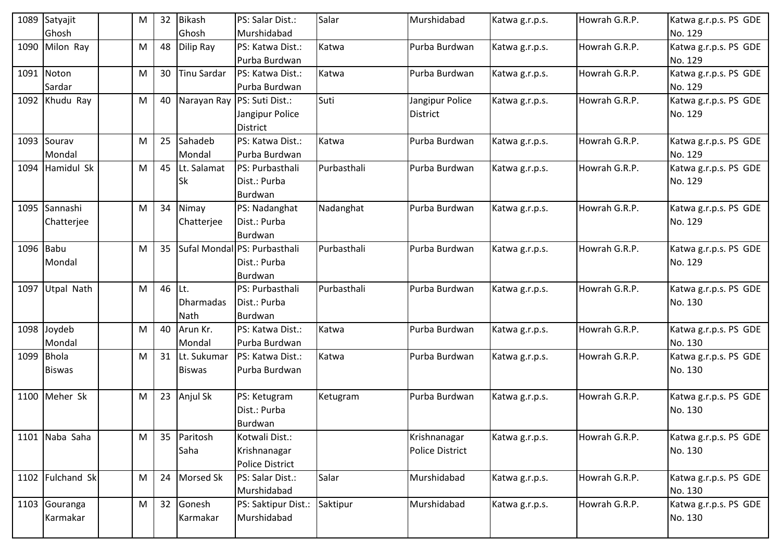|            | 1089 Satyajit     | М | 32 | <b>Bikash</b>      | PS: Salar Dist.:             | Salar       | Murshidabad            | Katwa g.r.p.s. | Howrah G.R.P. | Katwa g.r.p.s. PS GDE |
|------------|-------------------|---|----|--------------------|------------------------------|-------------|------------------------|----------------|---------------|-----------------------|
|            | Ghosh             |   |    | Ghosh              | Murshidabad                  |             |                        |                |               | No. 129               |
|            | 1090 Milon Ray    | M | 48 | Dilip Ray          | PS: Katwa Dist.:             | Katwa       | Purba Burdwan          | Katwa g.r.p.s. | Howrah G.R.P. | Katwa g.r.p.s. PS GDE |
|            |                   |   |    |                    | Purba Burdwan                |             |                        |                |               | No. 129               |
|            | 1091 Noton        | M | 30 | <b>Tinu Sardar</b> | PS: Katwa Dist.:             | Katwa       | Purba Burdwan          | Katwa g.r.p.s. | Howrah G.R.P. | Katwa g.r.p.s. PS GDE |
|            | Sardar            |   |    |                    | Purba Burdwan                |             |                        |                |               | No. 129               |
|            | 1092 Khudu Ray    | M | 40 |                    | Narayan Ray PS: Suti Dist.:  | Suti        | Jangipur Police        | Katwa g.r.p.s. | Howrah G.R.P. | Katwa g.r.p.s. PS GDE |
|            |                   |   |    |                    | Jangipur Police              |             | District               |                |               | No. 129               |
|            |                   |   |    |                    | <b>District</b>              |             |                        |                |               |                       |
|            | 1093 Sourav       | M | 25 | Sahadeb            | PS: Katwa Dist.:             | Katwa       | Purba Burdwan          | Katwa g.r.p.s. | Howrah G.R.P. | Katwa g.r.p.s. PS GDE |
|            | Mondal            |   |    | Mondal             | Purba Burdwan                |             |                        |                |               | No. 129               |
|            | 1094 Hamidul Sk   | M | 45 | Lt. Salamat        | PS: Purbasthali              | Purbasthali | Purba Burdwan          | Katwa g.r.p.s. | Howrah G.R.P. | Katwa g.r.p.s. PS GDE |
|            |                   |   |    | Sk                 | Dist.: Purba                 |             |                        |                |               | No. 129               |
|            |                   |   |    |                    | <b>Burdwan</b>               |             |                        |                |               |                       |
|            | 1095 Sannashi     | M | 34 | Nimay              | PS: Nadanghat                | Nadanghat   | Purba Burdwan          | Katwa g.r.p.s. | Howrah G.R.P. | Katwa g.r.p.s. PS GDE |
|            | Chatterjee        |   |    | Chatterjee         | Dist.: Purba                 |             |                        |                |               | No. 129               |
|            |                   |   |    |                    | Burdwan                      |             |                        |                |               |                       |
| 1096 Babu  |                   | M | 35 |                    | Sufal Mondal PS: Purbasthali | Purbasthali | Purba Burdwan          | Katwa g.r.p.s. | Howrah G.R.P. | Katwa g.r.p.s. PS GDE |
|            | Mondal            |   |    |                    | Dist.: Purba                 |             |                        |                |               | No. 129               |
|            |                   |   |    |                    | Burdwan                      |             |                        |                |               |                       |
| 1097       | <b>Utpal Nath</b> | M | 46 | Lt.                | PS: Purbasthali              | Purbasthali | Purba Burdwan          | Katwa g.r.p.s. | Howrah G.R.P. | Katwa g.r.p.s. PS GDE |
|            |                   |   |    | Dharmadas          | Dist.: Purba                 |             |                        |                |               | No. 130               |
|            |                   |   |    | Nath               | <b>Burdwan</b>               |             |                        |                |               |                       |
|            | 1098 Joydeb       | M | 40 | Arun Kr.           | PS: Katwa Dist.:             | Katwa       | Purba Burdwan          | Katwa g.r.p.s. | Howrah G.R.P. | Katwa g.r.p.s. PS GDE |
|            | Mondal            |   |    | Mondal             | Purba Burdwan                |             |                        |                |               | No. 130               |
| 1099 Bhola |                   | M | 31 | Lt. Sukumar        | PS: Katwa Dist.:             | Katwa       | Purba Burdwan          | Katwa g.r.p.s. | Howrah G.R.P. | Katwa g.r.p.s. PS GDE |
|            | <b>Biswas</b>     |   |    | <b>Biswas</b>      | Purba Burdwan                |             |                        |                |               | No. 130               |
|            |                   |   |    |                    |                              |             |                        |                |               |                       |
|            | 1100 Meher Sk     | M | 23 | Anjul Sk           | PS: Ketugram                 | Ketugram    | Purba Burdwan          | Katwa g.r.p.s. | Howrah G.R.P. | Katwa g.r.p.s. PS GDE |
|            |                   |   |    |                    | Dist.: Purba                 |             |                        |                |               | No. 130               |
|            |                   |   |    |                    | Burdwan                      |             |                        |                |               |                       |
|            | 1101 Naba Saha    | M | 35 | Paritosh           | Kotwali Dist.:               |             | Krishnanagar           | Katwa g.r.p.s. | Howrah G.R.P. | Katwa g.r.p.s. PS GDE |
|            |                   |   |    | Saha               | Krishnanagar                 |             | <b>Police District</b> |                |               | No. 130               |
|            |                   |   |    |                    | <b>Police District</b>       |             |                        |                |               |                       |
|            | 1102 Fulchand Sk  | M | 24 | <b>Morsed Sk</b>   | PS: Salar Dist.:             | Salar       | Murshidabad            | Katwa g.r.p.s. | Howrah G.R.P. | Katwa g.r.p.s. PS GDE |
|            |                   |   |    |                    | Murshidabad                  |             |                        |                |               | No. 130               |
|            | 1103 Gouranga     | M | 32 | Gonesh             | PS: Saktipur Dist.:          | Saktipur    | Murshidabad            | Katwa g.r.p.s. | Howrah G.R.P. | Katwa g.r.p.s. PS GDE |
|            | Karmakar          |   |    | Karmakar           | Murshidabad                  |             |                        |                |               | No. 130               |
|            |                   |   |    |                    |                              |             |                        |                |               |                       |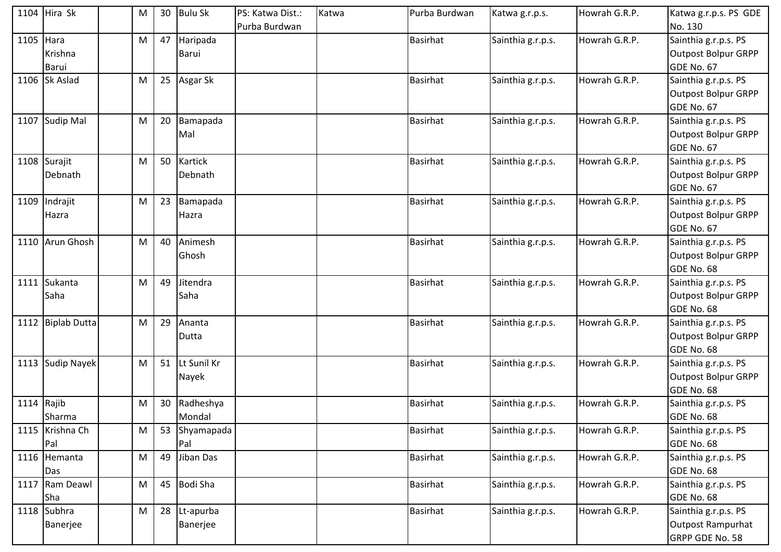| Sainthia g.r.p.s. PS<br>1105 Hara<br>47<br>Haripada<br><b>Basirhat</b><br>Sainthia g.r.p.s.<br>Howrah G.R.P.<br>M<br><b>Outpost Bolpur GRPP</b><br>Krishna<br>Barui<br>GDE No. 67<br>Barui<br>1106 Sk Aslad<br>25<br>Asgar Sk<br><b>Basirhat</b><br>Howrah G.R.P.<br>Sainthia g.r.p.s.<br>Sainthia g.r.p.s. PS<br>M<br><b>Outpost Bolpur GRPP</b><br>GDE No. 67<br>Howrah G.R.P.<br>Sainthia g.r.p.s. PS<br><b>Sudip Mal</b><br>20<br>Bamapada<br><b>Basirhat</b><br>1107<br>M<br>Sainthia g.r.p.s.<br><b>Outpost Bolpur GRPP</b><br>Mal<br>GDE No. 67<br>Kartick<br>Howrah G.R.P.<br>1108 Surajit<br>50<br><b>Basirhat</b><br>Sainthia g.r.p.s.<br>Sainthia g.r.p.s. PS<br>M<br><b>Outpost Bolpur GRPP</b><br>Debnath<br>Debnath<br>GDE No. 67<br>23<br>Indrajit<br>Bamapada<br><b>Basirhat</b><br>Howrah G.R.P.<br>Sainthia g.r.p.s. PS<br>1109<br>Sainthia g.r.p.s.<br>M<br><b>Outpost Bolpur GRPP</b><br>Hazra<br>Hazra<br>GDE No. 67<br>Arun Ghosh<br>40<br>Animesh<br><b>Basirhat</b><br>Howrah G.R.P.<br>Sainthia g.r.p.s. PS<br>Sainthia g.r.p.s.<br>1110<br>M<br><b>Outpost Bolpur GRPP</b><br>Ghosh<br>GDE No. 68<br>Sukanta<br>49<br>Jitendra<br>Howrah G.R.P.<br><b>Basirhat</b><br>Sainthia g.r.p.s.<br>Sainthia g.r.p.s. PS<br>1111<br>M<br>Saha<br>Saha<br><b>Outpost Bolpur GRPP</b><br>GDE No. 68<br>1112 Biplab Dutta<br>29<br>Ananta<br><b>Basirhat</b><br>Howrah G.R.P.<br>Sainthia g.r.p.s. PS<br>Sainthia g.r.p.s.<br>M<br><b>Outpost Bolpur GRPP</b><br>Dutta<br>GDE No. 68<br>Lt Sunil Kr<br>1113 Sudip Nayek<br>51<br><b>Basirhat</b><br>Howrah G.R.P.<br>Sainthia g.r.p.s. PS<br>Sainthia g.r.p.s.<br>M<br><b>Outpost Bolpur GRPP</b><br>Nayek<br>GDE No. 68<br>Rajib<br>30<br>Radheshya<br>Howrah G.R.P.<br><b>Basirhat</b><br>Sainthia g.r.p.s.<br>Sainthia g.r.p.s. PS<br>1114<br>M<br>Sharma<br>Mondal<br>GDE No. 68<br>1115 Krishna Ch<br>53 Shyamapada<br>Howrah G.R.P.<br><b>Basirhat</b><br>Sainthia g.r.p.s.<br>Sainthia g.r.p.s. PS<br>M<br>Pal<br>Pal<br>GDE No. 68<br>Jiban Das<br>Sainthia g.r.p.s. PS<br>1116 Hemanta<br>49<br><b>Basirhat</b><br>Sainthia g.r.p.s.<br>Howrah G.R.P.<br>M<br>GDE No. 68<br>Das<br>Ram Deawl<br><b>Bodi Sha</b><br>Howrah G.R.P.<br>45<br><b>Basirhat</b><br>Sainthia g.r.p.s.<br>Sainthia g.r.p.s. PS<br>1117<br>M<br>Sha<br>GDE No. 68<br>1118 Subhra<br><b>Basirhat</b><br>Howrah G.R.P.<br>Sainthia g.r.p.s. PS<br>28<br>Sainthia g.r.p.s.<br>M<br>Lt-apurba<br>Banerjee<br>Outpost Rampurhat<br>Banerjee | 1104 Hira Sk | M | 30 | <b>Bulu Sk</b> | PS: Katwa Dist.:<br>Purba Burdwan | Katwa | Purba Burdwan | Katwa g.r.p.s. | Howrah G.R.P. | Katwa g.r.p.s. PS GDE<br>No. 130 |
|--------------------------------------------------------------------------------------------------------------------------------------------------------------------------------------------------------------------------------------------------------------------------------------------------------------------------------------------------------------------------------------------------------------------------------------------------------------------------------------------------------------------------------------------------------------------------------------------------------------------------------------------------------------------------------------------------------------------------------------------------------------------------------------------------------------------------------------------------------------------------------------------------------------------------------------------------------------------------------------------------------------------------------------------------------------------------------------------------------------------------------------------------------------------------------------------------------------------------------------------------------------------------------------------------------------------------------------------------------------------------------------------------------------------------------------------------------------------------------------------------------------------------------------------------------------------------------------------------------------------------------------------------------------------------------------------------------------------------------------------------------------------------------------------------------------------------------------------------------------------------------------------------------------------------------------------------------------------------------------------------------------------------------------------------------------------------------------------------------------------------------------------------------------------------------------------------------------------------------------------------------------------------------------------------------------------------------------------------------------------------------------------------------------------------------------------------------------------------------------|--------------|---|----|----------------|-----------------------------------|-------|---------------|----------------|---------------|----------------------------------|
|                                                                                                                                                                                                                                                                                                                                                                                                                                                                                                                                                                                                                                                                                                                                                                                                                                                                                                                                                                                                                                                                                                                                                                                                                                                                                                                                                                                                                                                                                                                                                                                                                                                                                                                                                                                                                                                                                                                                                                                                                                                                                                                                                                                                                                                                                                                                                                                                                                                                                      |              |   |    |                |                                   |       |               |                |               |                                  |
|                                                                                                                                                                                                                                                                                                                                                                                                                                                                                                                                                                                                                                                                                                                                                                                                                                                                                                                                                                                                                                                                                                                                                                                                                                                                                                                                                                                                                                                                                                                                                                                                                                                                                                                                                                                                                                                                                                                                                                                                                                                                                                                                                                                                                                                                                                                                                                                                                                                                                      |              |   |    |                |                                   |       |               |                |               |                                  |
|                                                                                                                                                                                                                                                                                                                                                                                                                                                                                                                                                                                                                                                                                                                                                                                                                                                                                                                                                                                                                                                                                                                                                                                                                                                                                                                                                                                                                                                                                                                                                                                                                                                                                                                                                                                                                                                                                                                                                                                                                                                                                                                                                                                                                                                                                                                                                                                                                                                                                      |              |   |    |                |                                   |       |               |                |               |                                  |
|                                                                                                                                                                                                                                                                                                                                                                                                                                                                                                                                                                                                                                                                                                                                                                                                                                                                                                                                                                                                                                                                                                                                                                                                                                                                                                                                                                                                                                                                                                                                                                                                                                                                                                                                                                                                                                                                                                                                                                                                                                                                                                                                                                                                                                                                                                                                                                                                                                                                                      |              |   |    |                |                                   |       |               |                |               |                                  |
|                                                                                                                                                                                                                                                                                                                                                                                                                                                                                                                                                                                                                                                                                                                                                                                                                                                                                                                                                                                                                                                                                                                                                                                                                                                                                                                                                                                                                                                                                                                                                                                                                                                                                                                                                                                                                                                                                                                                                                                                                                                                                                                                                                                                                                                                                                                                                                                                                                                                                      |              |   |    |                |                                   |       |               |                |               |                                  |
|                                                                                                                                                                                                                                                                                                                                                                                                                                                                                                                                                                                                                                                                                                                                                                                                                                                                                                                                                                                                                                                                                                                                                                                                                                                                                                                                                                                                                                                                                                                                                                                                                                                                                                                                                                                                                                                                                                                                                                                                                                                                                                                                                                                                                                                                                                                                                                                                                                                                                      |              |   |    |                |                                   |       |               |                |               |                                  |
|                                                                                                                                                                                                                                                                                                                                                                                                                                                                                                                                                                                                                                                                                                                                                                                                                                                                                                                                                                                                                                                                                                                                                                                                                                                                                                                                                                                                                                                                                                                                                                                                                                                                                                                                                                                                                                                                                                                                                                                                                                                                                                                                                                                                                                                                                                                                                                                                                                                                                      |              |   |    |                |                                   |       |               |                |               |                                  |
|                                                                                                                                                                                                                                                                                                                                                                                                                                                                                                                                                                                                                                                                                                                                                                                                                                                                                                                                                                                                                                                                                                                                                                                                                                                                                                                                                                                                                                                                                                                                                                                                                                                                                                                                                                                                                                                                                                                                                                                                                                                                                                                                                                                                                                                                                                                                                                                                                                                                                      |              |   |    |                |                                   |       |               |                |               |                                  |
|                                                                                                                                                                                                                                                                                                                                                                                                                                                                                                                                                                                                                                                                                                                                                                                                                                                                                                                                                                                                                                                                                                                                                                                                                                                                                                                                                                                                                                                                                                                                                                                                                                                                                                                                                                                                                                                                                                                                                                                                                                                                                                                                                                                                                                                                                                                                                                                                                                                                                      |              |   |    |                |                                   |       |               |                |               |                                  |
|                                                                                                                                                                                                                                                                                                                                                                                                                                                                                                                                                                                                                                                                                                                                                                                                                                                                                                                                                                                                                                                                                                                                                                                                                                                                                                                                                                                                                                                                                                                                                                                                                                                                                                                                                                                                                                                                                                                                                                                                                                                                                                                                                                                                                                                                                                                                                                                                                                                                                      |              |   |    |                |                                   |       |               |                |               |                                  |
|                                                                                                                                                                                                                                                                                                                                                                                                                                                                                                                                                                                                                                                                                                                                                                                                                                                                                                                                                                                                                                                                                                                                                                                                                                                                                                                                                                                                                                                                                                                                                                                                                                                                                                                                                                                                                                                                                                                                                                                                                                                                                                                                                                                                                                                                                                                                                                                                                                                                                      |              |   |    |                |                                   |       |               |                |               |                                  |
|                                                                                                                                                                                                                                                                                                                                                                                                                                                                                                                                                                                                                                                                                                                                                                                                                                                                                                                                                                                                                                                                                                                                                                                                                                                                                                                                                                                                                                                                                                                                                                                                                                                                                                                                                                                                                                                                                                                                                                                                                                                                                                                                                                                                                                                                                                                                                                                                                                                                                      |              |   |    |                |                                   |       |               |                |               |                                  |
|                                                                                                                                                                                                                                                                                                                                                                                                                                                                                                                                                                                                                                                                                                                                                                                                                                                                                                                                                                                                                                                                                                                                                                                                                                                                                                                                                                                                                                                                                                                                                                                                                                                                                                                                                                                                                                                                                                                                                                                                                                                                                                                                                                                                                                                                                                                                                                                                                                                                                      |              |   |    |                |                                   |       |               |                |               |                                  |
|                                                                                                                                                                                                                                                                                                                                                                                                                                                                                                                                                                                                                                                                                                                                                                                                                                                                                                                                                                                                                                                                                                                                                                                                                                                                                                                                                                                                                                                                                                                                                                                                                                                                                                                                                                                                                                                                                                                                                                                                                                                                                                                                                                                                                                                                                                                                                                                                                                                                                      |              |   |    |                |                                   |       |               |                |               |                                  |
|                                                                                                                                                                                                                                                                                                                                                                                                                                                                                                                                                                                                                                                                                                                                                                                                                                                                                                                                                                                                                                                                                                                                                                                                                                                                                                                                                                                                                                                                                                                                                                                                                                                                                                                                                                                                                                                                                                                                                                                                                                                                                                                                                                                                                                                                                                                                                                                                                                                                                      |              |   |    |                |                                   |       |               |                |               |                                  |
|                                                                                                                                                                                                                                                                                                                                                                                                                                                                                                                                                                                                                                                                                                                                                                                                                                                                                                                                                                                                                                                                                                                                                                                                                                                                                                                                                                                                                                                                                                                                                                                                                                                                                                                                                                                                                                                                                                                                                                                                                                                                                                                                                                                                                                                                                                                                                                                                                                                                                      |              |   |    |                |                                   |       |               |                |               |                                  |
|                                                                                                                                                                                                                                                                                                                                                                                                                                                                                                                                                                                                                                                                                                                                                                                                                                                                                                                                                                                                                                                                                                                                                                                                                                                                                                                                                                                                                                                                                                                                                                                                                                                                                                                                                                                                                                                                                                                                                                                                                                                                                                                                                                                                                                                                                                                                                                                                                                                                                      |              |   |    |                |                                   |       |               |                |               |                                  |
|                                                                                                                                                                                                                                                                                                                                                                                                                                                                                                                                                                                                                                                                                                                                                                                                                                                                                                                                                                                                                                                                                                                                                                                                                                                                                                                                                                                                                                                                                                                                                                                                                                                                                                                                                                                                                                                                                                                                                                                                                                                                                                                                                                                                                                                                                                                                                                                                                                                                                      |              |   |    |                |                                   |       |               |                |               |                                  |
|                                                                                                                                                                                                                                                                                                                                                                                                                                                                                                                                                                                                                                                                                                                                                                                                                                                                                                                                                                                                                                                                                                                                                                                                                                                                                                                                                                                                                                                                                                                                                                                                                                                                                                                                                                                                                                                                                                                                                                                                                                                                                                                                                                                                                                                                                                                                                                                                                                                                                      |              |   |    |                |                                   |       |               |                |               |                                  |
|                                                                                                                                                                                                                                                                                                                                                                                                                                                                                                                                                                                                                                                                                                                                                                                                                                                                                                                                                                                                                                                                                                                                                                                                                                                                                                                                                                                                                                                                                                                                                                                                                                                                                                                                                                                                                                                                                                                                                                                                                                                                                                                                                                                                                                                                                                                                                                                                                                                                                      |              |   |    |                |                                   |       |               |                |               |                                  |
|                                                                                                                                                                                                                                                                                                                                                                                                                                                                                                                                                                                                                                                                                                                                                                                                                                                                                                                                                                                                                                                                                                                                                                                                                                                                                                                                                                                                                                                                                                                                                                                                                                                                                                                                                                                                                                                                                                                                                                                                                                                                                                                                                                                                                                                                                                                                                                                                                                                                                      |              |   |    |                |                                   |       |               |                |               |                                  |
|                                                                                                                                                                                                                                                                                                                                                                                                                                                                                                                                                                                                                                                                                                                                                                                                                                                                                                                                                                                                                                                                                                                                                                                                                                                                                                                                                                                                                                                                                                                                                                                                                                                                                                                                                                                                                                                                                                                                                                                                                                                                                                                                                                                                                                                                                                                                                                                                                                                                                      |              |   |    |                |                                   |       |               |                |               |                                  |
|                                                                                                                                                                                                                                                                                                                                                                                                                                                                                                                                                                                                                                                                                                                                                                                                                                                                                                                                                                                                                                                                                                                                                                                                                                                                                                                                                                                                                                                                                                                                                                                                                                                                                                                                                                                                                                                                                                                                                                                                                                                                                                                                                                                                                                                                                                                                                                                                                                                                                      |              |   |    |                |                                   |       |               |                |               |                                  |
|                                                                                                                                                                                                                                                                                                                                                                                                                                                                                                                                                                                                                                                                                                                                                                                                                                                                                                                                                                                                                                                                                                                                                                                                                                                                                                                                                                                                                                                                                                                                                                                                                                                                                                                                                                                                                                                                                                                                                                                                                                                                                                                                                                                                                                                                                                                                                                                                                                                                                      |              |   |    |                |                                   |       |               |                |               |                                  |
|                                                                                                                                                                                                                                                                                                                                                                                                                                                                                                                                                                                                                                                                                                                                                                                                                                                                                                                                                                                                                                                                                                                                                                                                                                                                                                                                                                                                                                                                                                                                                                                                                                                                                                                                                                                                                                                                                                                                                                                                                                                                                                                                                                                                                                                                                                                                                                                                                                                                                      |              |   |    |                |                                   |       |               |                |               |                                  |
|                                                                                                                                                                                                                                                                                                                                                                                                                                                                                                                                                                                                                                                                                                                                                                                                                                                                                                                                                                                                                                                                                                                                                                                                                                                                                                                                                                                                                                                                                                                                                                                                                                                                                                                                                                                                                                                                                                                                                                                                                                                                                                                                                                                                                                                                                                                                                                                                                                                                                      |              |   |    |                |                                   |       |               |                |               |                                  |
|                                                                                                                                                                                                                                                                                                                                                                                                                                                                                                                                                                                                                                                                                                                                                                                                                                                                                                                                                                                                                                                                                                                                                                                                                                                                                                                                                                                                                                                                                                                                                                                                                                                                                                                                                                                                                                                                                                                                                                                                                                                                                                                                                                                                                                                                                                                                                                                                                                                                                      |              |   |    |                |                                   |       |               |                |               |                                  |
|                                                                                                                                                                                                                                                                                                                                                                                                                                                                                                                                                                                                                                                                                                                                                                                                                                                                                                                                                                                                                                                                                                                                                                                                                                                                                                                                                                                                                                                                                                                                                                                                                                                                                                                                                                                                                                                                                                                                                                                                                                                                                                                                                                                                                                                                                                                                                                                                                                                                                      |              |   |    |                |                                   |       |               |                |               |                                  |
|                                                                                                                                                                                                                                                                                                                                                                                                                                                                                                                                                                                                                                                                                                                                                                                                                                                                                                                                                                                                                                                                                                                                                                                                                                                                                                                                                                                                                                                                                                                                                                                                                                                                                                                                                                                                                                                                                                                                                                                                                                                                                                                                                                                                                                                                                                                                                                                                                                                                                      |              |   |    |                |                                   |       |               |                |               |                                  |
|                                                                                                                                                                                                                                                                                                                                                                                                                                                                                                                                                                                                                                                                                                                                                                                                                                                                                                                                                                                                                                                                                                                                                                                                                                                                                                                                                                                                                                                                                                                                                                                                                                                                                                                                                                                                                                                                                                                                                                                                                                                                                                                                                                                                                                                                                                                                                                                                                                                                                      |              |   |    |                |                                   |       |               |                |               |                                  |
|                                                                                                                                                                                                                                                                                                                                                                                                                                                                                                                                                                                                                                                                                                                                                                                                                                                                                                                                                                                                                                                                                                                                                                                                                                                                                                                                                                                                                                                                                                                                                                                                                                                                                                                                                                                                                                                                                                                                                                                                                                                                                                                                                                                                                                                                                                                                                                                                                                                                                      |              |   |    |                |                                   |       |               |                |               |                                  |
|                                                                                                                                                                                                                                                                                                                                                                                                                                                                                                                                                                                                                                                                                                                                                                                                                                                                                                                                                                                                                                                                                                                                                                                                                                                                                                                                                                                                                                                                                                                                                                                                                                                                                                                                                                                                                                                                                                                                                                                                                                                                                                                                                                                                                                                                                                                                                                                                                                                                                      |              |   |    |                |                                   |       |               |                |               |                                  |
|                                                                                                                                                                                                                                                                                                                                                                                                                                                                                                                                                                                                                                                                                                                                                                                                                                                                                                                                                                                                                                                                                                                                                                                                                                                                                                                                                                                                                                                                                                                                                                                                                                                                                                                                                                                                                                                                                                                                                                                                                                                                                                                                                                                                                                                                                                                                                                                                                                                                                      |              |   |    |                |                                   |       |               |                |               |                                  |
|                                                                                                                                                                                                                                                                                                                                                                                                                                                                                                                                                                                                                                                                                                                                                                                                                                                                                                                                                                                                                                                                                                                                                                                                                                                                                                                                                                                                                                                                                                                                                                                                                                                                                                                                                                                                                                                                                                                                                                                                                                                                                                                                                                                                                                                                                                                                                                                                                                                                                      |              |   |    |                |                                   |       |               |                |               |                                  |
|                                                                                                                                                                                                                                                                                                                                                                                                                                                                                                                                                                                                                                                                                                                                                                                                                                                                                                                                                                                                                                                                                                                                                                                                                                                                                                                                                                                                                                                                                                                                                                                                                                                                                                                                                                                                                                                                                                                                                                                                                                                                                                                                                                                                                                                                                                                                                                                                                                                                                      |              |   |    |                |                                   |       |               |                |               |                                  |
|                                                                                                                                                                                                                                                                                                                                                                                                                                                                                                                                                                                                                                                                                                                                                                                                                                                                                                                                                                                                                                                                                                                                                                                                                                                                                                                                                                                                                                                                                                                                                                                                                                                                                                                                                                                                                                                                                                                                                                                                                                                                                                                                                                                                                                                                                                                                                                                                                                                                                      |              |   |    |                |                                   |       |               |                |               |                                  |
| GRPP GDE No. 58                                                                                                                                                                                                                                                                                                                                                                                                                                                                                                                                                                                                                                                                                                                                                                                                                                                                                                                                                                                                                                                                                                                                                                                                                                                                                                                                                                                                                                                                                                                                                                                                                                                                                                                                                                                                                                                                                                                                                                                                                                                                                                                                                                                                                                                                                                                                                                                                                                                                      |              |   |    |                |                                   |       |               |                |               |                                  |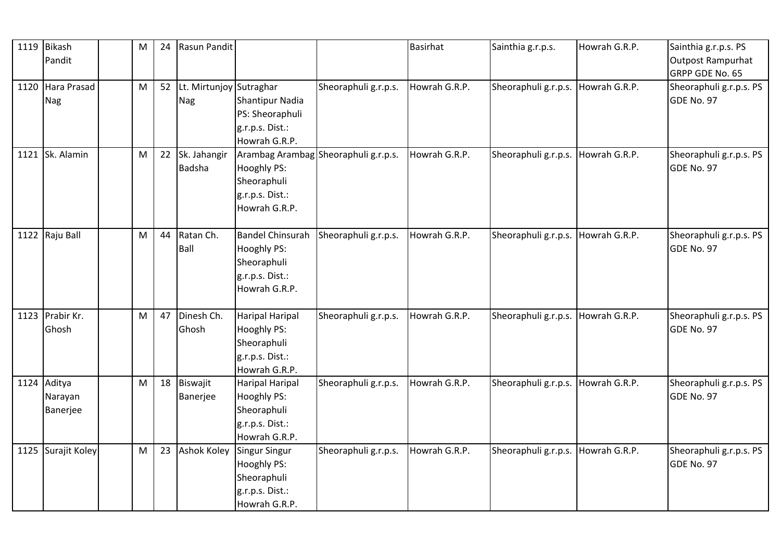| 1119 Bikash        | M | 24 | Rasun Pandit            |                                      |                      | <b>Basirhat</b> | Sainthia g.r.p.s.    | Howrah G.R.P. | Sainthia g.r.p.s. PS    |
|--------------------|---|----|-------------------------|--------------------------------------|----------------------|-----------------|----------------------|---------------|-------------------------|
| Pandit             |   |    |                         |                                      |                      |                 |                      |               | Outpost Rampurhat       |
|                    |   |    |                         |                                      |                      |                 |                      |               | GRPP GDE No. 65         |
| 1120 Hara Prasad   | M | 52 | Lt. Mirtunjoy Sutraghar |                                      | Sheoraphuli g.r.p.s. | Howrah G.R.P.   | Sheoraphuli g.r.p.s. | Howrah G.R.P. | Sheoraphuli g.r.p.s. PS |
| Nag                |   |    | Nag                     | <b>Shantipur Nadia</b>               |                      |                 |                      |               | GDE No. 97              |
|                    |   |    |                         | PS: Sheoraphuli                      |                      |                 |                      |               |                         |
|                    |   |    |                         | g.r.p.s. Dist.:                      |                      |                 |                      |               |                         |
|                    |   |    |                         | Howrah G.R.P.                        |                      |                 |                      |               |                         |
| 1121 Sk. Alamin    | M | 22 | Sk. Jahangir            | Arambag Arambag Sheoraphuli g.r.p.s. |                      | Howrah G.R.P.   | Sheoraphuli g.r.p.s. | Howrah G.R.P. | Sheoraphuli g.r.p.s. PS |
|                    |   |    | <b>Badsha</b>           | Hooghly PS:                          |                      |                 |                      |               | GDE No. 97              |
|                    |   |    |                         | Sheoraphuli                          |                      |                 |                      |               |                         |
|                    |   |    |                         | g.r.p.s. Dist.:                      |                      |                 |                      |               |                         |
|                    |   |    |                         | Howrah G.R.P.                        |                      |                 |                      |               |                         |
|                    |   |    |                         |                                      |                      |                 |                      |               |                         |
| 1122 Raju Ball     | M | 44 | Ratan Ch.               | <b>Bandel Chinsurah</b>              | Sheoraphuli g.r.p.s. | Howrah G.R.P.   | Sheoraphuli g.r.p.s. | Howrah G.R.P. | Sheoraphuli g.r.p.s. PS |
|                    |   |    | Ball                    | Hooghly PS:                          |                      |                 |                      |               | GDE No. 97              |
|                    |   |    |                         | Sheoraphuli                          |                      |                 |                      |               |                         |
|                    |   |    |                         | g.r.p.s. Dist.:                      |                      |                 |                      |               |                         |
|                    |   |    |                         | Howrah G.R.P.                        |                      |                 |                      |               |                         |
|                    |   |    |                         |                                      |                      |                 |                      |               |                         |
| 1123 Prabir Kr.    | M | 47 | Dinesh Ch.              | <b>Haripal Haripal</b>               | Sheoraphuli g.r.p.s. | Howrah G.R.P.   | Sheoraphuli g.r.p.s. | Howrah G.R.P. | Sheoraphuli g.r.p.s. PS |
| Ghosh              |   |    | Ghosh                   | Hooghly PS:                          |                      |                 |                      |               | GDE No. 97              |
|                    |   |    |                         | Sheoraphuli                          |                      |                 |                      |               |                         |
|                    |   |    |                         | g.r.p.s. Dist.:                      |                      |                 |                      |               |                         |
|                    |   |    |                         | Howrah G.R.P.                        |                      |                 |                      |               |                         |
| 1124 Aditya        | M | 18 | Biswajit                | <b>Haripal Haripal</b>               | Sheoraphuli g.r.p.s. | Howrah G.R.P.   | Sheoraphuli g.r.p.s. | Howrah G.R.P. | Sheoraphuli g.r.p.s. PS |
| Narayan            |   |    | Banerjee                | Hooghly PS:                          |                      |                 |                      |               | GDE No. 97              |
| Banerjee           |   |    |                         | Sheoraphuli                          |                      |                 |                      |               |                         |
|                    |   |    |                         | g.r.p.s. Dist.:                      |                      |                 |                      |               |                         |
|                    |   |    |                         | Howrah G.R.P.                        |                      |                 |                      |               |                         |
| 1125 Surajit Koley | M | 23 | <b>Ashok Koley</b>      | <b>Singur Singur</b>                 | Sheoraphuli g.r.p.s. | Howrah G.R.P.   | Sheoraphuli g.r.p.s. | Howrah G.R.P. | Sheoraphuli g.r.p.s. PS |
|                    |   |    |                         | <b>Hooghly PS:</b>                   |                      |                 |                      |               | GDE No. 97              |
|                    |   |    |                         | Sheoraphuli                          |                      |                 |                      |               |                         |
|                    |   |    |                         | g.r.p.s. Dist.:                      |                      |                 |                      |               |                         |
|                    |   |    |                         | Howrah G.R.P.                        |                      |                 |                      |               |                         |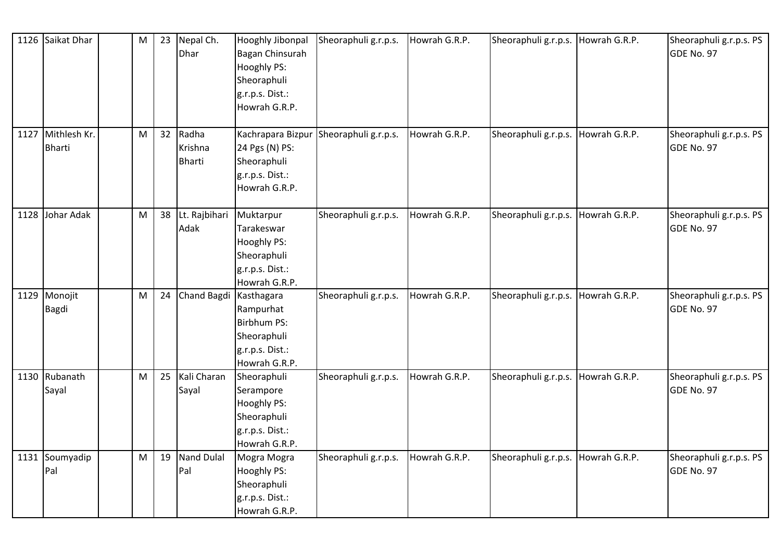|      | 1126 Saikat Dhar                   | M         | 23 | Nepal Ch.<br>Dhar                 | Hooghly Jibonpal<br>Bagan Chinsurah<br>Hooghly PS:<br>Sheoraphuli<br>g.r.p.s. Dist.:<br>Howrah G.R.P. | Sheoraphuli g.r.p.s. | Howrah G.R.P. | Sheoraphuli g.r.p.s. | Howrah G.R.P. | Sheoraphuli g.r.p.s. PS<br>GDE No. 97 |
|------|------------------------------------|-----------|----|-----------------------------------|-------------------------------------------------------------------------------------------------------|----------------------|---------------|----------------------|---------------|---------------------------------------|
|      | 1127 Mithlesh Kr.<br><b>Bharti</b> | M         | 32 | Radha<br>Krishna<br><b>Bharti</b> | Kachrapara Bizpur<br>24 Pgs (N) PS:<br>Sheoraphuli<br>g.r.p.s. Dist.:<br>Howrah G.R.P.                | Sheoraphuli g.r.p.s. | Howrah G.R.P. | Sheoraphuli g.r.p.s. | Howrah G.R.P. | Sheoraphuli g.r.p.s. PS<br>GDE No. 97 |
| 1128 | Johar Adak                         | M         | 38 | Lt. Rajbihari<br>Adak             | Muktarpur<br>Tarakeswar<br>Hooghly PS:<br>Sheoraphuli<br>g.r.p.s. Dist.:<br>Howrah G.R.P.             | Sheoraphuli g.r.p.s. | Howrah G.R.P. | Sheoraphuli g.r.p.s. | Howrah G.R.P. | Sheoraphuli g.r.p.s. PS<br>GDE No. 97 |
|      | 1129 Monojit<br><b>Bagdi</b>       | M         | 24 | Chand Bagdi Kasthagara            | Rampurhat<br>Birbhum PS:<br>Sheoraphuli<br>g.r.p.s. Dist.:<br>Howrah G.R.P.                           | Sheoraphuli g.r.p.s. | Howrah G.R.P. | Sheoraphuli g.r.p.s. | Howrah G.R.P. | Sheoraphuli g.r.p.s. PS<br>GDE No. 97 |
|      | 1130 Rubanath<br>Sayal             | M         | 25 | Kali Charan<br>Sayal              | Sheoraphuli<br>Serampore<br>Hooghly PS:<br>Sheoraphuli<br>g.r.p.s. Dist.:<br>Howrah G.R.P.            | Sheoraphuli g.r.p.s. | Howrah G.R.P. | Sheoraphuli g.r.p.s. | Howrah G.R.P. | Sheoraphuli g.r.p.s. PS<br>GDE No. 97 |
|      | 1131 Soumyadip<br>Pal              | ${\sf M}$ | 19 | <b>Nand Dulal</b><br>Pal          | Mogra Mogra<br>Hooghly PS:<br>Sheoraphuli<br>g.r.p.s. Dist.:<br>Howrah G.R.P.                         | Sheoraphuli g.r.p.s. | Howrah G.R.P. | Sheoraphuli g.r.p.s. | Howrah G.R.P. | Sheoraphuli g.r.p.s. PS<br>GDE No. 97 |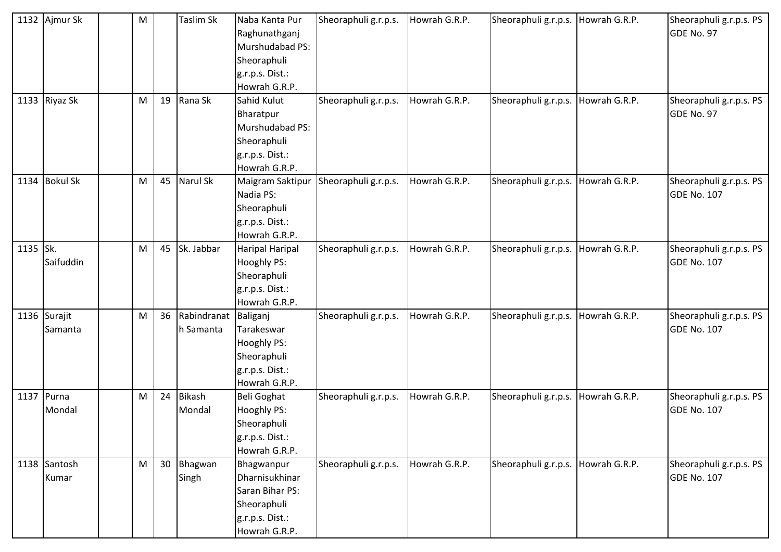|          | 1132 Ajmur Sk   | M |    | Taslim Sk            | Naba Kanta Pur         | Sheoraphuli g.r.p.s. | Howrah G.R.P. | Sheoraphuli g.r.p.s. | Howrah G.R.P. | Sheoraphuli g.r.p.s. PS |
|----------|-----------------|---|----|----------------------|------------------------|----------------------|---------------|----------------------|---------------|-------------------------|
|          |                 |   |    |                      | Raghunathganj          |                      |               |                      |               | GDE No. 97              |
|          |                 |   |    |                      | Murshudabad PS:        |                      |               |                      |               |                         |
|          |                 |   |    |                      | Sheoraphuli            |                      |               |                      |               |                         |
|          |                 |   |    |                      | g.r.p.s. Dist.:        |                      |               |                      |               |                         |
|          |                 |   |    |                      | Howrah G.R.P.          |                      |               |                      |               |                         |
|          | 1133 Riyaz Sk   | M | 19 | Rana Sk              | Sahid Kulut            | Sheoraphuli g.r.p.s. | Howrah G.R.P. | Sheoraphuli g.r.p.s. | Howrah G.R.P. | Sheoraphuli g.r.p.s. PS |
|          |                 |   |    |                      | Bharatpur              |                      |               |                      |               | GDE No. 97              |
|          |                 |   |    |                      | Murshudabad PS:        |                      |               |                      |               |                         |
|          |                 |   |    |                      | Sheoraphuli            |                      |               |                      |               |                         |
|          |                 |   |    |                      | g.r.p.s. Dist.:        |                      |               |                      |               |                         |
|          |                 |   |    |                      | Howrah G.R.P.          |                      |               |                      |               |                         |
| 1134     | <b>Bokul Sk</b> | M | 45 | Narul Sk             | Maigram Saktipur       | Sheoraphuli g.r.p.s. | Howrah G.R.P. | Sheoraphuli g.r.p.s. | Howrah G.R.P. | Sheoraphuli g.r.p.s. PS |
|          |                 |   |    |                      | Nadia PS:              |                      |               |                      |               | <b>GDE No. 107</b>      |
|          |                 |   |    |                      | Sheoraphuli            |                      |               |                      |               |                         |
|          |                 |   |    |                      | g.r.p.s. Dist.:        |                      |               |                      |               |                         |
|          |                 |   |    |                      | Howrah G.R.P.          |                      |               |                      |               |                         |
| 1135 Sk. |                 | M | 45 | Sk. Jabbar           | <b>Haripal Haripal</b> | Sheoraphuli g.r.p.s. | Howrah G.R.P. | Sheoraphuli g.r.p.s. | Howrah G.R.P. | Sheoraphuli g.r.p.s. PS |
|          | Saifuddin       |   |    |                      | <b>Hooghly PS:</b>     |                      |               |                      |               | <b>GDE No. 107</b>      |
|          |                 |   |    |                      | Sheoraphuli            |                      |               |                      |               |                         |
|          |                 |   |    |                      | g.r.p.s. Dist.:        |                      |               |                      |               |                         |
|          |                 |   |    |                      | Howrah G.R.P.          |                      |               |                      |               |                         |
|          | 1136 Surajit    | M | 36 | Rabindranat Baliganj |                        | Sheoraphuli g.r.p.s. | Howrah G.R.P. | Sheoraphuli g.r.p.s. | Howrah G.R.P. | Sheoraphuli g.r.p.s. PS |
|          | Samanta         |   |    | h Samanta            | Tarakeswar             |                      |               |                      |               | <b>GDE No. 107</b>      |
|          |                 |   |    |                      | Hooghly PS:            |                      |               |                      |               |                         |
|          |                 |   |    |                      | Sheoraphuli            |                      |               |                      |               |                         |
|          |                 |   |    |                      | g.r.p.s. Dist.:        |                      |               |                      |               |                         |
|          |                 |   |    |                      | Howrah G.R.P.          |                      |               |                      |               |                         |
|          | 1137 Purna      | M | 24 | <b>Bikash</b>        | <b>Beli Goghat</b>     | Sheoraphuli g.r.p.s. | Howrah G.R.P. | Sheoraphuli g.r.p.s. | Howrah G.R.P. | Sheoraphuli g.r.p.s. PS |
|          | Mondal          |   |    | Mondal               | <b>Hooghly PS:</b>     |                      |               |                      |               | <b>GDE No. 107</b>      |
|          |                 |   |    |                      | Sheoraphuli            |                      |               |                      |               |                         |
|          |                 |   |    |                      | g.r.p.s. Dist.:        |                      |               |                      |               |                         |
|          |                 |   |    |                      | Howrah G.R.P.          |                      |               |                      |               |                         |
|          | 1138 Santosh    | M | 30 | Bhagwan              | Bhagwanpur             | Sheoraphuli g.r.p.s. | Howrah G.R.P. | Sheoraphuli g.r.p.s. | Howrah G.R.P. | Sheoraphuli g.r.p.s. PS |
|          | Kumar           |   |    | Singh                | Dharnisukhinar         |                      |               |                      |               | GDE No. 107             |
|          |                 |   |    |                      | Saran Bihar PS:        |                      |               |                      |               |                         |
|          |                 |   |    |                      | Sheoraphuli            |                      |               |                      |               |                         |
|          |                 |   |    |                      | g.r.p.s. Dist.:        |                      |               |                      |               |                         |
|          |                 |   |    |                      | Howrah G.R.P.          |                      |               |                      |               |                         |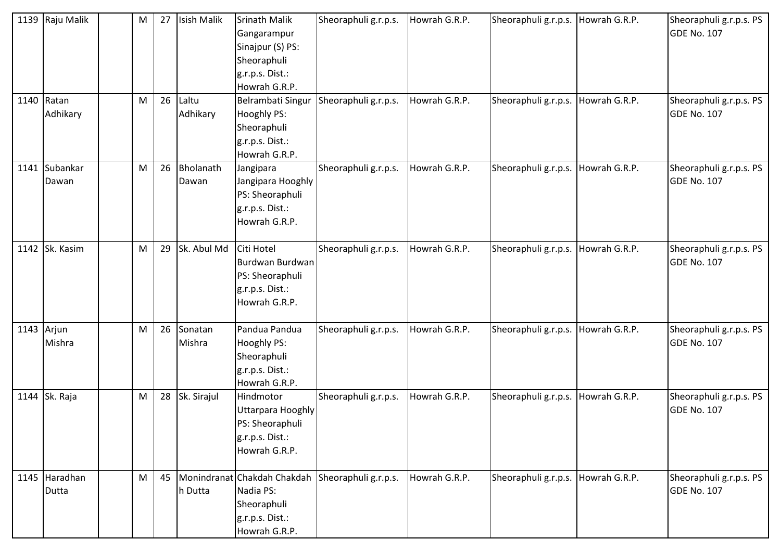| 1139 Raju Malik        | M | 27 | <b>Isish Malik</b> | <b>Srinath Malik</b><br>Gangarampur<br>Sinajpur (S) PS:<br>Sheoraphuli<br>g.r.p.s. Dist.:<br>Howrah G.R.P. | Sheoraphuli g.r.p.s.                             | Howrah G.R.P. | Sheoraphuli g.r.p.s. | Howrah G.R.P. | Sheoraphuli g.r.p.s. PS<br><b>GDE No. 107</b> |
|------------------------|---|----|--------------------|------------------------------------------------------------------------------------------------------------|--------------------------------------------------|---------------|----------------------|---------------|-----------------------------------------------|
| 1140 Ratan<br>Adhikary | M | 26 | Laltu<br>Adhikary  | Belrambati Singur<br>Hooghly PS:<br>Sheoraphuli<br>g.r.p.s. Dist.:<br>Howrah G.R.P.                        | Sheoraphuli g.r.p.s.                             | Howrah G.R.P. | Sheoraphuli g.r.p.s. | Howrah G.R.P. | Sheoraphuli g.r.p.s. PS<br><b>GDE No. 107</b> |
| 1141 Subankar<br>Dawan | M | 26 | Bholanath<br>Dawan | Jangipara<br>Jangipara Hooghly<br>PS: Sheoraphuli<br>g.r.p.s. Dist.:<br>Howrah G.R.P.                      | Sheoraphuli g.r.p.s.                             | Howrah G.R.P. | Sheoraphuli g.r.p.s. | Howrah G.R.P. | Sheoraphuli g.r.p.s. PS<br><b>GDE No. 107</b> |
| 1142 Sk. Kasim         | M | 29 | Sk. Abul Md        | Citi Hotel<br>Burdwan Burdwan<br>PS: Sheoraphuli<br>g.r.p.s. Dist.:<br>Howrah G.R.P.                       | Sheoraphuli g.r.p.s.                             | Howrah G.R.P. | Sheoraphuli g.r.p.s. | Howrah G.R.P. | Sheoraphuli g.r.p.s. PS<br><b>GDE No. 107</b> |
| 1143 Arjun<br>Mishra   | M | 26 | Sonatan<br>Mishra  | Pandua Pandua<br>Hooghly PS:<br>Sheoraphuli<br>g.r.p.s. Dist.:<br>Howrah G.R.P.                            | Sheoraphuli g.r.p.s.                             | Howrah G.R.P. | Sheoraphuli g.r.p.s. | Howrah G.R.P. | Sheoraphuli g.r.p.s. PS<br><b>GDE No. 107</b> |
| 1144 Sk. Raja          | M | 28 | Sk. Sirajul        | Hindmotor<br><b>Uttarpara Hooghly</b><br>PS: Sheoraphuli<br>g.r.p.s. Dist.:<br>Howrah G.R.P.               | Sheoraphuli g.r.p.s.                             | Howrah G.R.P. | Sheoraphuli g.r.p.s. | Howrah G.R.P. | Sheoraphuli g.r.p.s. PS<br><b>GDE No. 107</b> |
| 1145 Haradhan<br>Dutta | M | 45 | h Dutta            | Nadia PS:<br>Sheoraphuli<br>g.r.p.s. Dist.:<br>Howrah G.R.P.                                               | Monindranat Chakdah Chakdah Sheoraphuli g.r.p.s. | Howrah G.R.P. | Sheoraphuli g.r.p.s. | Howrah G.R.P. | Sheoraphuli g.r.p.s. PS<br><b>GDE No. 107</b> |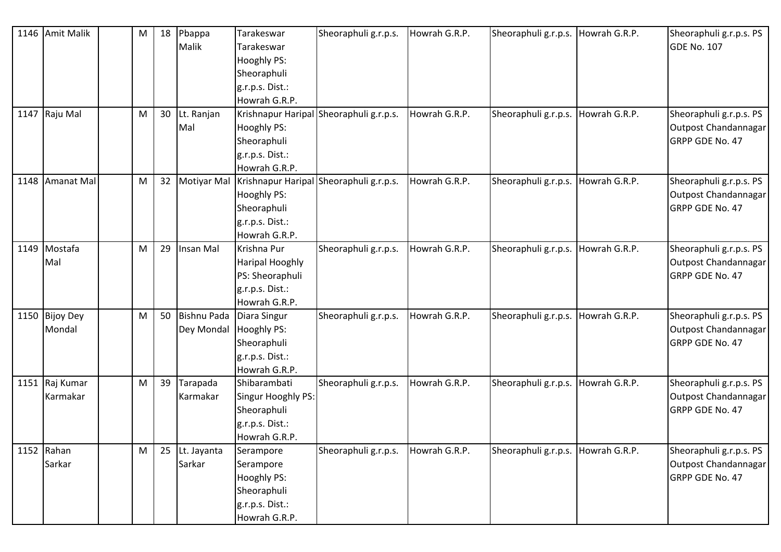|      | 1146 Amit Malik | M | 18 | Pbappa                 | Tarakeswar                     | Sheoraphuli g.r.p.s. | Howrah G.R.P. | Sheoraphuli g.r.p.s. Howrah G.R.P. |               | Sheoraphuli g.r.p.s. PS |
|------|-----------------|---|----|------------------------|--------------------------------|----------------------|---------------|------------------------------------|---------------|-------------------------|
|      |                 |   |    | Malik                  | Tarakeswar                     |                      |               |                                    |               | <b>GDE No. 107</b>      |
|      |                 |   |    |                        | <b>Hooghly PS:</b>             |                      |               |                                    |               |                         |
|      |                 |   |    |                        | Sheoraphuli                    |                      |               |                                    |               |                         |
|      |                 |   |    |                        | g.r.p.s. Dist.:                |                      |               |                                    |               |                         |
|      |                 |   |    |                        | Howrah G.R.P.                  |                      |               |                                    |               |                         |
|      | 1147 Raju Mal   | M | 30 | Lt. Ranjan             | Krishnapur Haripal             | Sheoraphuli g.r.p.s. | Howrah G.R.P. | Sheoraphuli g.r.p.s.               | Howrah G.R.P. | Sheoraphuli g.r.p.s. PS |
|      |                 |   |    | Mal                    | Hooghly PS:                    |                      |               |                                    |               | Outpost Chandannagar    |
|      |                 |   |    |                        | Sheoraphuli                    |                      |               |                                    |               | GRPP GDE No. 47         |
|      |                 |   |    |                        | g.r.p.s. Dist.:                |                      |               |                                    |               |                         |
|      |                 |   |    |                        | Howrah G.R.P.                  |                      |               |                                    |               |                         |
|      | 1148 Amanat Mal | M | 32 |                        | Motiyar Mal Krishnapur Haripal | Sheoraphuli g.r.p.s. | Howrah G.R.P. | Sheoraphuli g.r.p.s.               | Howrah G.R.P. | Sheoraphuli g.r.p.s. PS |
|      |                 |   |    |                        | Hooghly PS:                    |                      |               |                                    |               | Outpost Chandannagar    |
|      |                 |   |    |                        | Sheoraphuli                    |                      |               |                                    |               | GRPP GDE No. 47         |
|      |                 |   |    |                        | g.r.p.s. Dist.:                |                      |               |                                    |               |                         |
|      |                 |   |    |                        | Howrah G.R.P.                  |                      |               |                                    |               |                         |
| 1149 | Mostafa         | M | 29 | Insan Mal              | Krishna Pur                    | Sheoraphuli g.r.p.s. | Howrah G.R.P. | Sheoraphuli g.r.p.s.               | Howrah G.R.P. | Sheoraphuli g.r.p.s. PS |
|      | Mal             |   |    |                        | <b>Haripal Hooghly</b>         |                      |               |                                    |               | Outpost Chandannagar    |
|      |                 |   |    |                        | PS: Sheoraphuli                |                      |               |                                    |               | GRPP GDE No. 47         |
|      |                 |   |    |                        | g.r.p.s. Dist.:                |                      |               |                                    |               |                         |
|      |                 |   |    |                        | Howrah G.R.P.                  |                      |               |                                    |               |                         |
|      | 1150 Bijoy Dey  | M | 50 | <b>Bishnu Pada</b>     | Diara Singur                   | Sheoraphuli g.r.p.s. | Howrah G.R.P. | Sheoraphuli g.r.p.s.               | Howrah G.R.P. | Sheoraphuli g.r.p.s. PS |
|      | Mondal          |   |    | Dey Mondal Hooghly PS: |                                |                      |               |                                    |               | Outpost Chandannagar    |
|      |                 |   |    |                        | Sheoraphuli                    |                      |               |                                    |               | GRPP GDE No. 47         |
|      |                 |   |    |                        | g.r.p.s. Dist.:                |                      |               |                                    |               |                         |
|      |                 |   |    |                        | Howrah G.R.P.                  |                      |               |                                    |               |                         |
|      | 1151 Raj Kumar  | M | 39 | Tarapada               | Shibarambati                   | Sheoraphuli g.r.p.s. | Howrah G.R.P. | Sheoraphuli g.r.p.s.               | Howrah G.R.P. | Sheoraphuli g.r.p.s. PS |
|      | Karmakar        |   |    | Karmakar               | Singur Hooghly PS:             |                      |               |                                    |               | Outpost Chandannagar    |
|      |                 |   |    |                        | Sheoraphuli                    |                      |               |                                    |               | GRPP GDE No. 47         |
|      |                 |   |    |                        | g.r.p.s. Dist.:                |                      |               |                                    |               |                         |
|      |                 |   |    |                        | Howrah G.R.P.                  |                      |               |                                    |               |                         |
|      | 1152 Rahan      | M | 25 | Lt. Jayanta            | Serampore                      | Sheoraphuli g.r.p.s. | Howrah G.R.P. | Sheoraphuli g.r.p.s. Howrah G.R.P. |               | Sheoraphuli g.r.p.s. PS |
|      | Sarkar          |   |    | Sarkar                 | Serampore                      |                      |               |                                    |               | Outpost Chandannagar    |
|      |                 |   |    |                        | <b>Hooghly PS:</b>             |                      |               |                                    |               | GRPP GDE No. 47         |
|      |                 |   |    |                        | Sheoraphuli                    |                      |               |                                    |               |                         |
|      |                 |   |    |                        | g.r.p.s. Dist.:                |                      |               |                                    |               |                         |
|      |                 |   |    |                        | Howrah G.R.P.                  |                      |               |                                    |               |                         |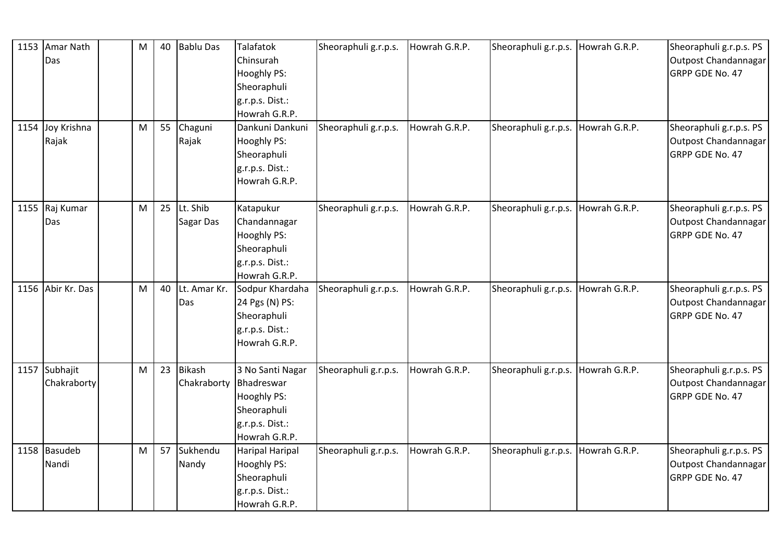| 1153 Amar Nath    | M | 40 | <b>Bablu Das</b>       | Talafatok              | Sheoraphuli g.r.p.s. | Howrah G.R.P. | Sheoraphuli g.r.p.s. Howrah G.R.P.   |               | Sheoraphuli g.r.p.s. PS |
|-------------------|---|----|------------------------|------------------------|----------------------|---------------|--------------------------------------|---------------|-------------------------|
| Das               |   |    |                        | Chinsurah              |                      |               |                                      |               | Outpost Chandannagar    |
|                   |   |    |                        | Hooghly PS:            |                      |               |                                      |               | GRPP GDE No. 47         |
|                   |   |    |                        | Sheoraphuli            |                      |               |                                      |               |                         |
|                   |   |    |                        | g.r.p.s. Dist.:        |                      |               |                                      |               |                         |
|                   |   |    |                        | Howrah G.R.P.          |                      |               |                                      |               |                         |
| 1154 Joy Krishna  | M | 55 | Chaguni                | Dankuni Dankuni        | Sheoraphuli g.r.p.s. | Howrah G.R.P. | Sheoraphuli g.r.p.s.                 | Howrah G.R.P. | Sheoraphuli g.r.p.s. PS |
| Rajak             |   |    | Rajak                  | Hooghly PS:            |                      |               |                                      |               | Outpost Chandannagar    |
|                   |   |    |                        | Sheoraphuli            |                      |               |                                      |               | GRPP GDE No. 47         |
|                   |   |    |                        | g.r.p.s. Dist.:        |                      |               |                                      |               |                         |
|                   |   |    |                        | Howrah G.R.P.          |                      |               |                                      |               |                         |
|                   |   |    |                        |                        |                      |               |                                      |               |                         |
| 1155 Raj Kumar    | M | 25 | Lt. Shib               | Katapukur              | Sheoraphuli g.r.p.s. | Howrah G.R.P. | Sheoraphuli g.r.p.s.   Howrah G.R.P. |               | Sheoraphuli g.r.p.s. PS |
| Das               |   |    | <b>Sagar Das</b>       | Chandannagar           |                      |               |                                      |               | Outpost Chandannagar    |
|                   |   |    |                        | <b>Hooghly PS:</b>     |                      |               |                                      |               | <b>GRPP GDE No. 47</b>  |
|                   |   |    |                        | Sheoraphuli            |                      |               |                                      |               |                         |
|                   |   |    |                        | g.r.p.s. Dist.:        |                      |               |                                      |               |                         |
|                   |   |    |                        | Howrah G.R.P.          |                      |               |                                      |               |                         |
| 1156 Abir Kr. Das | M | 40 | Lt. Amar Kr.           | Sodpur Khardaha        | Sheoraphuli g.r.p.s. | Howrah G.R.P. | Sheoraphuli g.r.p.s. Howrah G.R.P.   |               | Sheoraphuli g.r.p.s. PS |
|                   |   |    | Das                    | 24 Pgs (N) PS:         |                      |               |                                      |               | Outpost Chandannagar    |
|                   |   |    |                        | Sheoraphuli            |                      |               |                                      |               | GRPP GDE No. 47         |
|                   |   |    |                        | g.r.p.s. Dist.:        |                      |               |                                      |               |                         |
|                   |   |    |                        | Howrah G.R.P.          |                      |               |                                      |               |                         |
| 1157 Subhajit     | M | 23 | <b>Bikash</b>          | 3 No Santi Nagar       | Sheoraphuli g.r.p.s. | Howrah G.R.P. | Sheoraphuli g.r.p.s. Howrah G.R.P.   |               | Sheoraphuli g.r.p.s. PS |
| Chakraborty       |   |    | Chakraborty Bhadreswar |                        |                      |               |                                      |               | Outpost Chandannagar    |
|                   |   |    |                        | Hooghly PS:            |                      |               |                                      |               | GRPP GDE No. 47         |
|                   |   |    |                        | Sheoraphuli            |                      |               |                                      |               |                         |
|                   |   |    |                        | g.r.p.s. Dist.:        |                      |               |                                      |               |                         |
|                   |   |    |                        | Howrah G.R.P.          |                      |               |                                      |               |                         |
| 1158 Basudeb      | M | 57 | Sukhendu               | <b>Haripal Haripal</b> | Sheoraphuli g.r.p.s. | Howrah G.R.P. | Sheoraphuli g.r.p.s.                 | Howrah G.R.P. | Sheoraphuli g.r.p.s. PS |
| Nandi             |   |    | Nandy                  | Hooghly PS:            |                      |               |                                      |               | Outpost Chandannagar    |
|                   |   |    |                        | Sheoraphuli            |                      |               |                                      |               | GRPP GDE No. 47         |
|                   |   |    |                        | g.r.p.s. Dist.:        |                      |               |                                      |               |                         |
|                   |   |    |                        | Howrah G.R.P.          |                      |               |                                      |               |                         |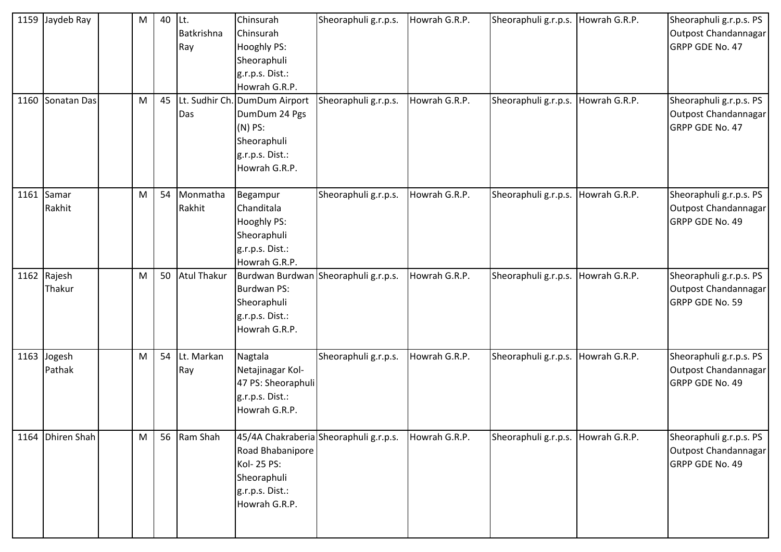| 1159 Jaydeb Ray<br>1160 Sonatan Das | M<br>M | 40<br>45 | ILt.<br>Batkrishna<br>Ray<br>Das | Chinsurah<br>Chinsurah<br>Hooghly PS:<br>Sheoraphuli<br>g.r.p.s. Dist.:<br>Howrah G.R.P.<br>Lt. Sudhir Ch. DumDum Airport<br>DumDum 24 Pgs<br>$(N)$ PS:<br>Sheoraphuli<br>g.r.p.s. Dist.:<br>Howrah G.R.P. | Sheoraphuli g.r.p.s.<br>Sheoraphuli g.r.p.s. | Howrah G.R.P.<br>Howrah G.R.P. | Sheoraphuli g.r.p.s.<br>Sheoraphuli g.r.p.s. | Howrah G.R.P.<br>Howrah G.R.P. | Sheoraphuli g.r.p.s. PS<br>Outpost Chandannagar<br>GRPP GDE No. 47<br>Sheoraphuli g.r.p.s. PS<br>Outpost Chandannagar<br>GRPP GDE No. 47 |
|-------------------------------------|--------|----------|----------------------------------|------------------------------------------------------------------------------------------------------------------------------------------------------------------------------------------------------------|----------------------------------------------|--------------------------------|----------------------------------------------|--------------------------------|------------------------------------------------------------------------------------------------------------------------------------------|
| 1161 $Samar$<br>Rakhit              | M      | 54       | Monmatha<br>Rakhit               | Begampur<br>Chanditala<br>Hooghly PS:<br>Sheoraphuli<br>g.r.p.s. Dist.:<br>Howrah G.R.P.                                                                                                                   | Sheoraphuli g.r.p.s.                         | Howrah G.R.P.                  | Sheoraphuli g.r.p.s.   Howrah G.R.P.         |                                | Sheoraphuli g.r.p.s. PS<br>Outpost Chandannagar<br>GRPP GDE No. 49                                                                       |
| 1162 Rajesh<br>Thakur               | M      | 50       | <b>Atul Thakur</b>               | Burdwan PS:<br>Sheoraphuli<br>g.r.p.s. Dist.:<br>Howrah G.R.P.                                                                                                                                             | Burdwan Burdwan Sheoraphuli g.r.p.s.         | Howrah G.R.P.                  | Sheoraphuli g.r.p.s.                         | Howrah G.R.P.                  | Sheoraphuli g.r.p.s. PS<br>Outpost Chandannagar<br>GRPP GDE No. 59                                                                       |
| 1163 Jogesh<br>Pathak               | M      | 54       | Lt. Markan<br>Ray                | Nagtala<br>Netajinagar Kol-<br>47 PS: Sheoraphuli<br>g.r.p.s. Dist.:<br>Howrah G.R.P.                                                                                                                      | Sheoraphuli g.r.p.s.                         | Howrah G.R.P.                  | Sheoraphuli g.r.p.s.                         | Howrah G.R.P.                  | Sheoraphuli g.r.p.s. PS<br>Outpost Chandannagar<br>GRPP GDE No. 49                                                                       |
| 1164 Dhiren Shah                    | M      | 56       | Ram Shah                         | Road Bhabanipore<br>Kol- 25 PS:<br>Sheoraphuli<br>g.r.p.s. Dist.:<br>Howrah G.R.P.                                                                                                                         | 45/4A Chakraberia Sheoraphuli g.r.p.s.       | Howrah G.R.P.                  | Sheoraphuli g.r.p.s. Howrah G.R.P.           |                                | Sheoraphuli g.r.p.s. PS<br>Outpost Chandannagar<br>GRPP GDE No. 49                                                                       |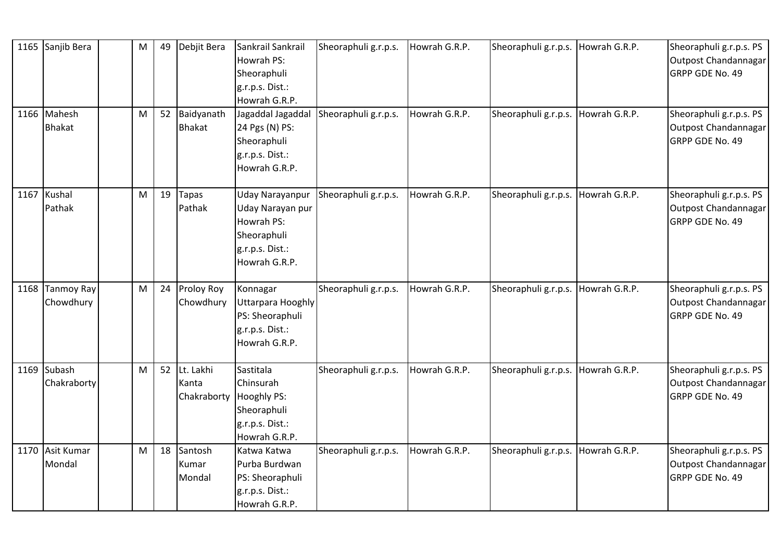| 1165 Sanjib Bera             | M | 49 | Debjit Bera                                   | Sankrail Sankrail<br>Howrah PS:<br>Sheoraphuli<br>g.r.p.s. Dist.:<br>Howrah G.R.P.                   | Sheoraphuli g.r.p.s. | Howrah G.R.P. | Sheoraphuli g.r.p.s. Howrah G.R.P.   |               | Sheoraphuli g.r.p.s. PS<br>Outpost Chandannagar<br><b>GRPP GDE No. 49</b> |
|------------------------------|---|----|-----------------------------------------------|------------------------------------------------------------------------------------------------------|----------------------|---------------|--------------------------------------|---------------|---------------------------------------------------------------------------|
| 1166 Mahesh<br><b>Bhakat</b> | M | 52 | Baidyanath<br><b>Bhakat</b>                   | Jagaddal Jagaddal<br>24 Pgs (N) PS:<br>Sheoraphuli<br>g.r.p.s. Dist.:<br>Howrah G.R.P.               | Sheoraphuli g.r.p.s. | Howrah G.R.P. | Sheoraphuli g.r.p.s.                 | Howrah G.R.P. | Sheoraphuli g.r.p.s. PS<br>Outpost Chandannagar<br>GRPP GDE No. 49        |
| 1167 Kushal<br>Pathak        | M | 19 | <b>Tapas</b><br>Pathak                        | Uday Narayanpur<br>Uday Narayan pur<br>Howrah PS:<br>Sheoraphuli<br>g.r.p.s. Dist.:<br>Howrah G.R.P. | Sheoraphuli g.r.p.s. | Howrah G.R.P. | Sheoraphuli g.r.p.s. Howrah G.R.P.   |               | Sheoraphuli g.r.p.s. PS<br>Outpost Chandannagar<br>GRPP GDE No. 49        |
| 1168 Tanmoy Ray<br>Chowdhury | M | 24 | <b>Proloy Roy</b><br>Chowdhury                | Konnagar<br>Uttarpara Hooghly<br>PS: Sheoraphuli<br>g.r.p.s. Dist.:<br>Howrah G.R.P.                 | Sheoraphuli g.r.p.s. | Howrah G.R.P. | Sheoraphuli g.r.p.s.                 | Howrah G.R.P. | Sheoraphuli g.r.p.s. PS<br>Outpost Chandannagar<br>GRPP GDE No. 49        |
| 1169 Subash<br>Chakraborty   | M | 52 | Lt. Lakhi<br>Kanta<br>Chakraborty Hooghly PS: | Sastitala<br>Chinsurah<br>Sheoraphuli<br>g.r.p.s. Dist.:<br>Howrah G.R.P.                            | Sheoraphuli g.r.p.s. | Howrah G.R.P. | Sheoraphuli g.r.p.s.   Howrah G.R.P. |               | Sheoraphuli g.r.p.s. PS<br>Outpost Chandannagar<br>GRPP GDE No. 49        |
| 1170 Asit Kumar<br>Mondal    | M | 18 | Santosh<br>Kumar<br>Mondal                    | Katwa Katwa<br>Purba Burdwan<br>PS: Sheoraphuli<br>g.r.p.s. Dist.:<br>Howrah G.R.P.                  | Sheoraphuli g.r.p.s. | Howrah G.R.P. | Sheoraphuli g.r.p.s.                 | Howrah G.R.P. | Sheoraphuli g.r.p.s. PS<br>Outpost Chandannagar<br>GRPP GDE No. 49        |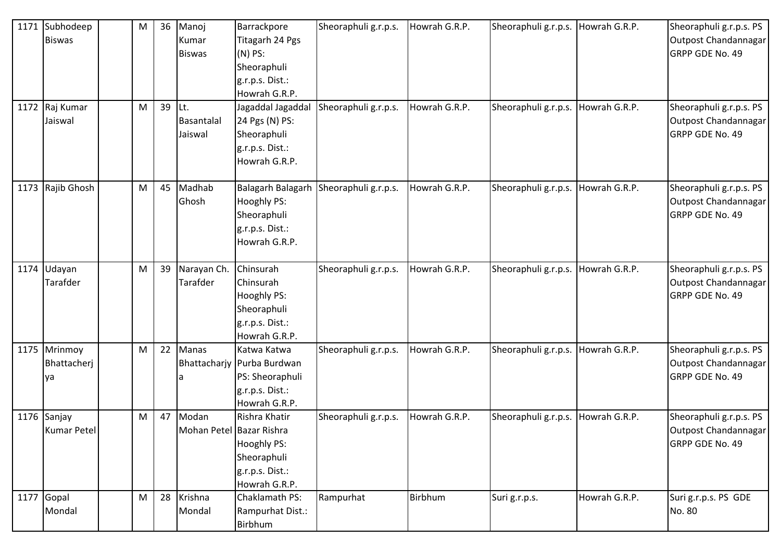| 1171 Subhodeep     | M | 36 | Manoj                    | Barrackpore                  | Sheoraphuli g.r.p.s.                   | Howrah G.R.P. | Sheoraphuli g.r.p.s. | Howrah G.R.P. | Sheoraphuli g.r.p.s. PS |
|--------------------|---|----|--------------------------|------------------------------|----------------------------------------|---------------|----------------------|---------------|-------------------------|
| <b>Biswas</b>      |   |    | Kumar                    | Titagarh 24 Pgs              |                                        |               |                      |               | Outpost Chandannagar    |
|                    |   |    | <b>Biswas</b>            | $(N)$ PS:                    |                                        |               |                      |               | GRPP GDE No. 49         |
|                    |   |    |                          | Sheoraphuli                  |                                        |               |                      |               |                         |
|                    |   |    |                          | g.r.p.s. Dist.:              |                                        |               |                      |               |                         |
|                    |   |    |                          | Howrah G.R.P.                |                                        |               |                      |               |                         |
| 1172 Raj Kumar     | M | 39 | Lt.                      | Jagaddal Jagaddal            | Sheoraphuli g.r.p.s.                   | Howrah G.R.P. | Sheoraphuli g.r.p.s. | Howrah G.R.P. | Sheoraphuli g.r.p.s. PS |
| Jaiswal            |   |    | Basantalal               | 24 Pgs (N) PS:               |                                        |               |                      |               | Outpost Chandannagar    |
|                    |   |    | Jaiswal                  | Sheoraphuli                  |                                        |               |                      |               | GRPP GDE No. 49         |
|                    |   |    |                          | g.r.p.s. Dist.:              |                                        |               |                      |               |                         |
|                    |   |    |                          | Howrah G.R.P.                |                                        |               |                      |               |                         |
| 1173 Rajib Ghosh   | M | 45 | Madhab                   |                              | Balagarh Balagarh Sheoraphuli g.r.p.s. | Howrah G.R.P. | Sheoraphuli g.r.p.s. | Howrah G.R.P. | Sheoraphuli g.r.p.s. PS |
|                    |   |    | Ghosh                    | Hooghly PS:                  |                                        |               |                      |               | Outpost Chandannagar    |
|                    |   |    |                          | Sheoraphuli                  |                                        |               |                      |               | GRPP GDE No. 49         |
|                    |   |    |                          | g.r.p.s. Dist.:              |                                        |               |                      |               |                         |
|                    |   |    |                          | Howrah G.R.P.                |                                        |               |                      |               |                         |
| 1174 Udayan        | M | 39 | Narayan Ch.              | Chinsurah                    | Sheoraphuli g.r.p.s.                   | Howrah G.R.P. | Sheoraphuli g.r.p.s. | Howrah G.R.P. | Sheoraphuli g.r.p.s. PS |
| Tarafder           |   |    | Tarafder                 | Chinsurah                    |                                        |               |                      |               | Outpost Chandannagar    |
|                    |   |    |                          | Hooghly PS:                  |                                        |               |                      |               | GRPP GDE No. 49         |
|                    |   |    |                          | Sheoraphuli                  |                                        |               |                      |               |                         |
|                    |   |    |                          | g.r.p.s. Dist.:              |                                        |               |                      |               |                         |
|                    |   |    |                          | Howrah G.R.P.                |                                        |               |                      |               |                         |
| 1175 Mrinmoy       | M | 22 | Manas                    | Katwa Katwa                  | Sheoraphuli g.r.p.s.                   | Howrah G.R.P. | Sheoraphuli g.r.p.s. | Howrah G.R.P. | Sheoraphuli g.r.p.s. PS |
| Bhattacherj        |   |    |                          | Bhattacharjy   Purba Burdwan |                                        |               |                      |               | Outpost Chandannagar    |
| lya                |   |    | la                       | PS: Sheoraphuli              |                                        |               |                      |               | GRPP GDE No. 49         |
|                    |   |    |                          | g.r.p.s. Dist.:              |                                        |               |                      |               |                         |
|                    |   |    |                          | Howrah G.R.P.                |                                        |               |                      |               |                         |
| 1176 Sanjay        | M | 47 | Modan                    | Rishra Khatir                | Sheoraphuli g.r.p.s.                   | Howrah G.R.P. | Sheoraphuli g.r.p.s. | Howrah G.R.P. | Sheoraphuli g.r.p.s. PS |
| <b>Kumar Petel</b> |   |    | Mohan Petel Bazar Rishra |                              |                                        |               |                      |               | Outpost Chandannagar    |
|                    |   |    |                          | Hooghly PS:                  |                                        |               |                      |               | GRPP GDE No. 49         |
|                    |   |    |                          | Sheoraphuli                  |                                        |               |                      |               |                         |
|                    |   |    |                          | g.r.p.s. Dist.:              |                                        |               |                      |               |                         |
|                    |   |    |                          | Howrah G.R.P.                |                                        |               |                      |               |                         |
| $1177$ Gopal       | M | 28 | Krishna                  | Chaklamath PS:               | Rampurhat                              | Birbhum       | Suri g.r.p.s.        | Howrah G.R.P. | Suri g.r.p.s. PS GDE    |
| Mondal             |   |    | Mondal                   | Rampurhat Dist.:             |                                        |               |                      |               | No. 80                  |
|                    |   |    |                          | Birbhum                      |                                        |               |                      |               |                         |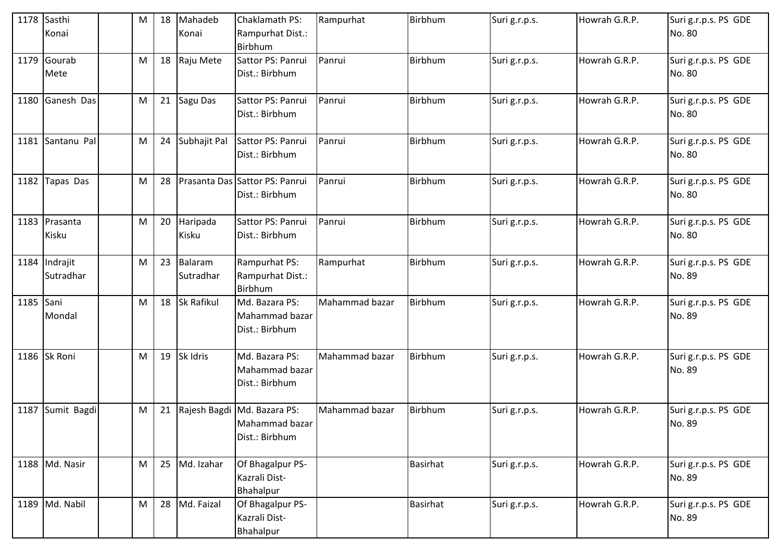|           | 1178 Sasthi<br>Konai       | M | 18 | Mahadeb<br>Konai     | Chaklamath PS:<br>Rampurhat Dist.:<br>Birbhum                   | Rampurhat      | Birbhum         | Suri g.r.p.s. | Howrah G.R.P. | Suri g.r.p.s. PS GDE<br>No. 80 |
|-----------|----------------------------|---|----|----------------------|-----------------------------------------------------------------|----------------|-----------------|---------------|---------------|--------------------------------|
|           | 1179 Gourab<br>Mete        | M | 18 | Raju Mete            | Sattor PS: Panrui<br>Dist.: Birbhum                             | Panrui         | Birbhum         | Suri g.r.p.s. | Howrah G.R.P. | Suri g.r.p.s. PS GDE<br>No. 80 |
|           | 1180 Ganesh Das            | M | 21 | Sagu Das             | Sattor PS: Panrui<br>Dist.: Birbhum                             | Panrui         | <b>Birbhum</b>  | Suri g.r.p.s. | Howrah G.R.P. | Suri g.r.p.s. PS GDE<br>No. 80 |
|           | 1181 Santanu Pal           | M | 24 | Subhajit Pal         | Sattor PS: Panrui<br>Dist.: Birbhum                             | Panrui         | Birbhum         | Suri g.r.p.s. | Howrah G.R.P. | Suri g.r.p.s. PS GDE<br>No. 80 |
|           | 1182 Tapas Das             | M | 28 |                      | Prasanta Das Sattor PS: Panrui<br>Dist.: Birbhum                | Panrui         | <b>Birbhum</b>  | Suri g.r.p.s. | Howrah G.R.P. | Suri g.r.p.s. PS GDE<br>No. 80 |
|           | 1183 Prasanta<br>Kisku     | M | 20 | Haripada<br>Kisku    | Sattor PS: Panrui<br>Dist.: Birbhum                             | Panrui         | <b>Birbhum</b>  | Suri g.r.p.s. | Howrah G.R.P. | Suri g.r.p.s. PS GDE<br>No. 80 |
|           | 1184 Indrajit<br>Sutradhar | M | 23 | Balaram<br>Sutradhar | Rampurhat PS:<br>Rampurhat Dist.:<br>Birbhum                    | Rampurhat      | Birbhum         | Suri g.r.p.s. | Howrah G.R.P. | Suri g.r.p.s. PS GDE<br>No. 89 |
| 1185 Sani | Mondal                     | M | 18 | <b>Sk Rafikul</b>    | Md. Bazara PS:<br>Mahammad bazar<br>Dist.: Birbhum              | Mahammad bazar | <b>Birbhum</b>  | Suri g.r.p.s. | Howrah G.R.P. | Suri g.r.p.s. PS GDE<br>No. 89 |
|           | 1186 Sk Roni               | M | 19 | Sk Idris             | Md. Bazara PS:<br>Mahammad bazar<br>Dist.: Birbhum              | Mahammad bazar | Birbhum         | Suri g.r.p.s. | Howrah G.R.P. | Suri g.r.p.s. PS GDE<br>No. 89 |
|           | 1187 Sumit Bagdi           | M | 21 |                      | Rajesh Bagdi Md. Bazara PS:<br>Mahammad bazar<br>Dist.: Birbhum | Mahammad bazar | Birbhum         | Suri g.r.p.s. | Howrah G.R.P. | Suri g.r.p.s. PS GDE<br>No. 89 |
|           | 1188 Md. Nasir             | M | 25 | Md. Izahar           | Of Bhagalpur PS-<br>Kazrali Dist-<br>Bhahalpur                  |                | <b>Basirhat</b> | Suri g.r.p.s. | Howrah G.R.P. | Suri g.r.p.s. PS GDE<br>No. 89 |
|           | 1189 Md. Nabil             | M | 28 | Md. Faizal           | Of Bhagalpur PS-<br>Kazrali Dist-<br>Bhahalpur                  |                | <b>Basirhat</b> | Suri g.r.p.s. | Howrah G.R.P. | Suri g.r.p.s. PS GDE<br>No. 89 |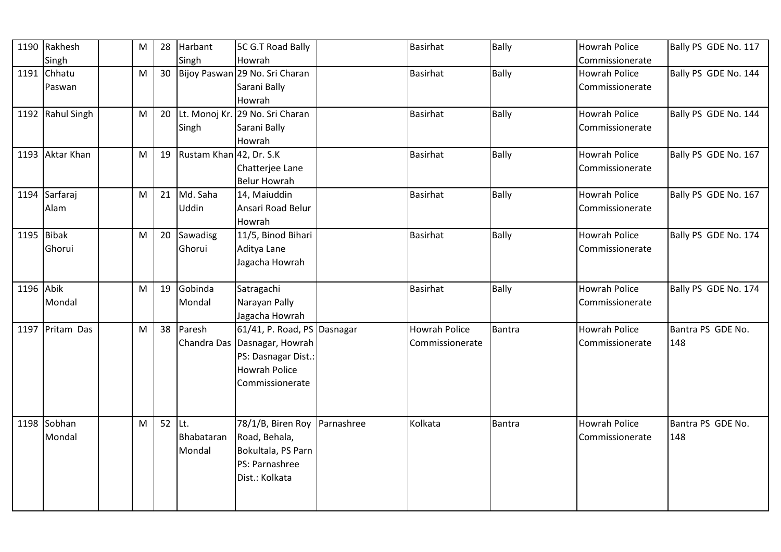|           | 1190 Rakhesh     | M         | 28 | Harbant                 | 5C G.T Road Bally               |            | Basirhat             | <b>Bally</b> | <b>Howrah Police</b> | Bally PS GDE No. 117 |
|-----------|------------------|-----------|----|-------------------------|---------------------------------|------------|----------------------|--------------|----------------------|----------------------|
|           | Singh            |           |    | Singh                   | Howrah                          |            |                      |              | Commissionerate      |                      |
|           | 1191 Chhatu      | ${\sf M}$ | 30 |                         | Bijoy Paswan 29 No. Sri Charan  |            | <b>Basirhat</b>      | <b>Bally</b> | Howrah Police        | Bally PS GDE No. 144 |
|           | Paswan           |           |    |                         | Sarani Bally                    |            |                      |              | Commissionerate      |                      |
|           |                  |           |    |                         | Howrah                          |            |                      |              |                      |                      |
|           | 1192 Rahul Singh | M         | 20 |                         | Lt. Monoj Kr. 29 No. Sri Charan |            | <b>Basirhat</b>      | <b>Bally</b> | Howrah Police        | Bally PS GDE No. 144 |
|           |                  |           |    | Singh                   | Sarani Bally                    |            |                      |              | Commissionerate      |                      |
|           |                  |           |    |                         | Howrah                          |            |                      |              |                      |                      |
|           | 1193 Aktar Khan  | M         | 19 | Rustam Khan 42, Dr. S.K |                                 |            | <b>Basirhat</b>      | Bally        | Howrah Police        | Bally PS GDE No. 167 |
|           |                  |           |    |                         | Chatterjee Lane                 |            |                      |              | Commissionerate      |                      |
|           |                  |           |    |                         | <b>Belur Howrah</b>             |            |                      |              |                      |                      |
|           | 1194 Sarfaraj    | M         | 21 | Md. Saha                | 14, Maiuddin                    |            | <b>Basirhat</b>      | <b>Bally</b> | Howrah Police        | Bally PS GDE No. 167 |
|           | Alam             |           |    | <b>Uddin</b>            | Ansari Road Belur               |            |                      |              | Commissionerate      |                      |
|           |                  |           |    |                         | Howrah                          |            |                      |              |                      |                      |
|           | 1195 Bibak       | M         | 20 | Sawadisg                | 11/5, Binod Bihari              |            | Basirhat             | <b>Bally</b> | Howrah Police        | Bally PS GDE No. 174 |
|           | Ghorui           |           |    | Ghorui                  | Aditya Lane                     |            |                      |              | Commissionerate      |                      |
|           |                  |           |    |                         | Jagacha Howrah                  |            |                      |              |                      |                      |
|           |                  |           |    |                         |                                 |            |                      |              |                      |                      |
| 1196 Abik |                  | M         | 19 | Gobinda                 | Satragachi                      |            | <b>Basirhat</b>      | <b>Bally</b> | Howrah Police        | Bally PS GDE No. 174 |
|           | Mondal           |           |    | Mondal                  | Narayan Pally                   |            |                      |              | Commissionerate      |                      |
|           |                  |           |    |                         | Jagacha Howrah                  |            |                      |              |                      |                      |
|           | 1197 Pritam Das  | M         | 38 | Paresh                  | 61/41, P. Road, PS Dasnagar     |            | <b>Howrah Police</b> | Bantra       | Howrah Police        | Bantra PS GDE No.    |
|           |                  |           |    |                         | Chandra Das Dasnagar, Howrah    |            | Commissionerate      |              | Commissionerate      | 148                  |
|           |                  |           |    |                         | PS: Dasnagar Dist.:             |            |                      |              |                      |                      |
|           |                  |           |    |                         | <b>Howrah Police</b>            |            |                      |              |                      |                      |
|           |                  |           |    |                         | Commissionerate                 |            |                      |              |                      |                      |
|           |                  |           |    |                         |                                 |            |                      |              |                      |                      |
|           |                  |           |    |                         |                                 |            |                      |              |                      |                      |
|           | 1198 Sobhan      | M         | 52 | Lt.                     | 78/1/B, Biren Roy               | Parnashree | Kolkata              | Bantra       | Howrah Police        | Bantra PS GDE No.    |
|           | Mondal           |           |    | Bhabataran              | Road, Behala,                   |            |                      |              | Commissionerate      | 148                  |
|           |                  |           |    | Mondal                  | Bokultala, PS Parn              |            |                      |              |                      |                      |
|           |                  |           |    |                         | PS: Parnashree                  |            |                      |              |                      |                      |
|           |                  |           |    |                         | Dist.: Kolkata                  |            |                      |              |                      |                      |
|           |                  |           |    |                         |                                 |            |                      |              |                      |                      |
|           |                  |           |    |                         |                                 |            |                      |              |                      |                      |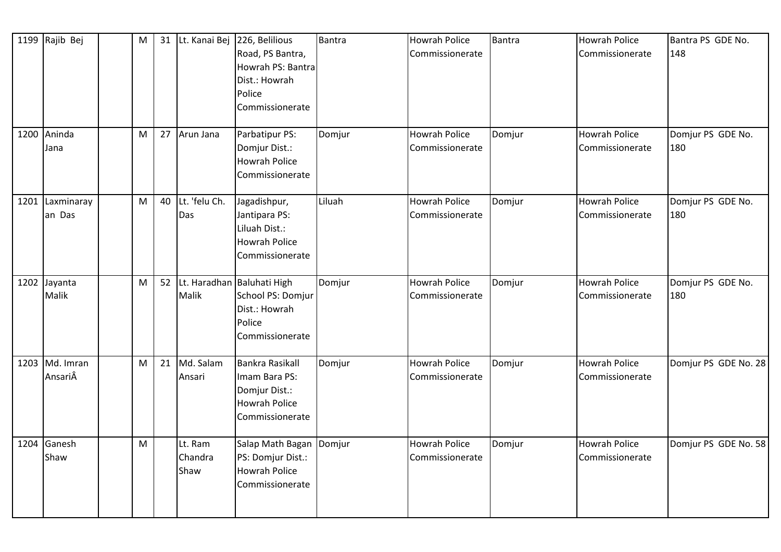|      | 1199 Rajib Bej            | M | 31 |                            | Lt. Kanai Bej 226, Belilious<br>Road, PS Bantra,<br>Howrah PS: Bantra<br>Dist.: Howrah<br>Police<br>Commissionerate | <b>Bantra</b> | <b>Howrah Police</b><br>Commissionerate | Bantra | <b>Howrah Police</b><br>Commissionerate | Bantra PS GDE No.<br>148 |
|------|---------------------------|---|----|----------------------------|---------------------------------------------------------------------------------------------------------------------|---------------|-----------------------------------------|--------|-----------------------------------------|--------------------------|
| 1200 | Aninda<br>Jana            | M | 27 | Arun Jana                  | Parbatipur PS:<br>Domjur Dist.:<br><b>Howrah Police</b><br>Commissionerate                                          | Domjur        | <b>Howrah Police</b><br>Commissionerate | Domjur | Howrah Police<br>Commissionerate        | Domjur PS GDE No.<br>180 |
|      | 1201 Laxminaray<br>an Das | M | 40 | Lt. 'felu Ch.<br>Das       | Jagadishpur,<br>Jantipara PS:<br>Liluah Dist.:<br><b>Howrah Police</b><br>Commissionerate                           | Liluah        | Howrah Police<br>Commissionerate        | Domjur | Howrah Police<br>Commissionerate        | Domjur PS GDE No.<br>180 |
|      | 1202 Jayanta<br>Malik     | M | 52 | Malik                      | Lt. Haradhan Baluhati High<br>School PS: Domjur<br>Dist.: Howrah<br>Police<br>Commissionerate                       | Domjur        | <b>Howrah Police</b><br>Commissionerate | Domjur | Howrah Police<br>Commissionerate        | Domjur PS GDE No.<br>180 |
|      | 1203 Md. Imran<br>AnsariÂ | M | 21 | Md. Salam<br>Ansari        | <b>Bankra Rasikall</b><br>Imam Bara PS:<br>Domjur Dist.:<br><b>Howrah Police</b><br>Commissionerate                 | Domjur        | <b>Howrah Police</b><br>Commissionerate | Domjur | Howrah Police<br>Commissionerate        | Domjur PS GDE No. 28     |
|      | 1204 Ganesh<br>Shaw       | M |    | Lt. Ram<br>Chandra<br>Shaw | Salap Math Bagan Domjur<br>PS: Domjur Dist.:<br><b>Howrah Police</b><br>Commissionerate                             |               | <b>Howrah Police</b><br>Commissionerate | Domjur | <b>Howrah Police</b><br>Commissionerate | Domjur PS GDE No. 58     |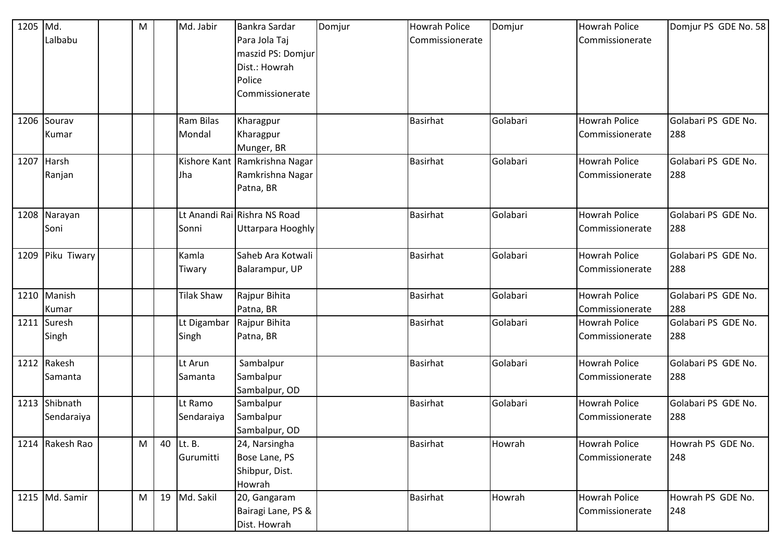| 1205 Md. |                 | $\mathsf{M}% _{T}=\mathsf{M}_{T}\!\left( a,b\right) ,\ \mathsf{M}_{T}=\mathsf{M}_{T}\!\left( a,b\right) ,$ |    | Md. Jabir         | Bankra Sardar                 | Domjur | <b>Howrah Police</b> | Domjur   | <b>Howrah Police</b> | Domjur PS GDE No. 58 |
|----------|-----------------|------------------------------------------------------------------------------------------------------------|----|-------------------|-------------------------------|--------|----------------------|----------|----------------------|----------------------|
|          | Lalbabu         |                                                                                                            |    |                   | Para Jola Taj                 |        | Commissionerate      |          | Commissionerate      |                      |
|          |                 |                                                                                                            |    |                   | maszid PS: Domjur             |        |                      |          |                      |                      |
|          |                 |                                                                                                            |    |                   | Dist.: Howrah                 |        |                      |          |                      |                      |
|          |                 |                                                                                                            |    |                   | Police                        |        |                      |          |                      |                      |
|          |                 |                                                                                                            |    |                   | Commissionerate               |        |                      |          |                      |                      |
|          |                 |                                                                                                            |    |                   |                               |        |                      |          |                      |                      |
| 1206     | Sourav          |                                                                                                            |    | Ram Bilas         | Kharagpur                     |        | <b>Basirhat</b>      | Golabari | <b>Howrah Police</b> | Golabari PS GDE No.  |
|          | Kumar           |                                                                                                            |    | Mondal            | Kharagpur                     |        |                      |          | Commissionerate      | 288                  |
|          |                 |                                                                                                            |    |                   | Munger, BR                    |        |                      |          |                      |                      |
|          | 1207 Harsh      |                                                                                                            |    |                   | Kishore Kant Ramkrishna Nagar |        | <b>Basirhat</b>      | Golabari | <b>Howrah Police</b> | Golabari PS GDE No.  |
|          | Ranjan          |                                                                                                            |    | Jha               | Ramkrishna Nagar              |        |                      |          | Commissionerate      | 288                  |
|          |                 |                                                                                                            |    |                   | Patna, BR                     |        |                      |          |                      |                      |
|          | 1208 Narayan    |                                                                                                            |    |                   | Lt Anandi Rai Rishra NS Road  |        | <b>Basirhat</b>      | Golabari | <b>Howrah Police</b> | Golabari PS GDE No.  |
|          | Soni            |                                                                                                            |    | Sonni             | Uttarpara Hooghly             |        |                      |          | Commissionerate      | 288                  |
|          |                 |                                                                                                            |    |                   |                               |        |                      |          |                      |                      |
| 1209     | Piku Tiwary     |                                                                                                            |    | Kamla             | Saheb Ara Kotwali             |        | <b>Basirhat</b>      | Golabari | <b>Howrah Police</b> | Golabari PS GDE No.  |
|          |                 |                                                                                                            |    | Tiwary            | Balarampur, UP                |        |                      |          | Commissionerate      | 288                  |
|          |                 |                                                                                                            |    |                   |                               |        |                      |          |                      |                      |
|          | 1210 Manish     |                                                                                                            |    | <b>Tilak Shaw</b> | Rajpur Bihita                 |        | <b>Basirhat</b>      | Golabari | <b>Howrah Police</b> | Golabari PS GDE No.  |
|          | Kumar           |                                                                                                            |    |                   | Patna, BR                     |        |                      |          | Commissionerate      | 288                  |
|          | 1211 Suresh     |                                                                                                            |    | Lt Digambar       | Rajpur Bihita                 |        | <b>Basirhat</b>      | Golabari | <b>Howrah Police</b> | Golabari PS GDE No.  |
|          | Singh           |                                                                                                            |    | Singh             | Patna, BR                     |        |                      |          | Commissionerate      | 288                  |
|          |                 |                                                                                                            |    |                   |                               |        |                      |          |                      |                      |
|          | 1212 Rakesh     |                                                                                                            |    | Lt Arun           | Sambalpur                     |        | <b>Basirhat</b>      | Golabari | <b>Howrah Police</b> | Golabari PS GDE No.  |
|          | Samanta         |                                                                                                            |    | Samanta           | Sambalpur                     |        |                      |          | Commissionerate      | 288                  |
|          |                 |                                                                                                            |    |                   | Sambalpur, OD                 |        |                      |          |                      |                      |
|          | 1213 Shibnath   |                                                                                                            |    | Lt Ramo           | Sambalpur                     |        | <b>Basirhat</b>      | Golabari | <b>Howrah Police</b> | Golabari PS GDE No.  |
|          | Sendaraiya      |                                                                                                            |    | Sendaraiya        | Sambalpur                     |        |                      |          | Commissionerate      | 288                  |
|          |                 |                                                                                                            |    |                   | Sambalpur, OD                 |        |                      |          |                      |                      |
|          | 1214 Rakesh Rao | M                                                                                                          | 40 | Lt. B.            | 24, Narsingha                 |        | <b>Basirhat</b>      | Howrah   | <b>Howrah Police</b> | Howrah PS GDE No.    |
|          |                 |                                                                                                            |    | Gurumitti         | Bose Lane, PS                 |        |                      |          | Commissionerate      | 248                  |
|          |                 |                                                                                                            |    |                   | Shibpur, Dist.                |        |                      |          |                      |                      |
|          |                 |                                                                                                            |    |                   | Howrah                        |        |                      |          |                      |                      |
|          | 1215 Md. Samir  | M                                                                                                          | 19 | Md. Sakil         | 20, Gangaram                  |        | <b>Basirhat</b>      | Howrah   | <b>Howrah Police</b> | Howrah PS GDE No.    |
|          |                 |                                                                                                            |    |                   | Bairagi Lane, PS &            |        |                      |          | Commissionerate      | 248                  |
|          |                 |                                                                                                            |    |                   | Dist. Howrah                  |        |                      |          |                      |                      |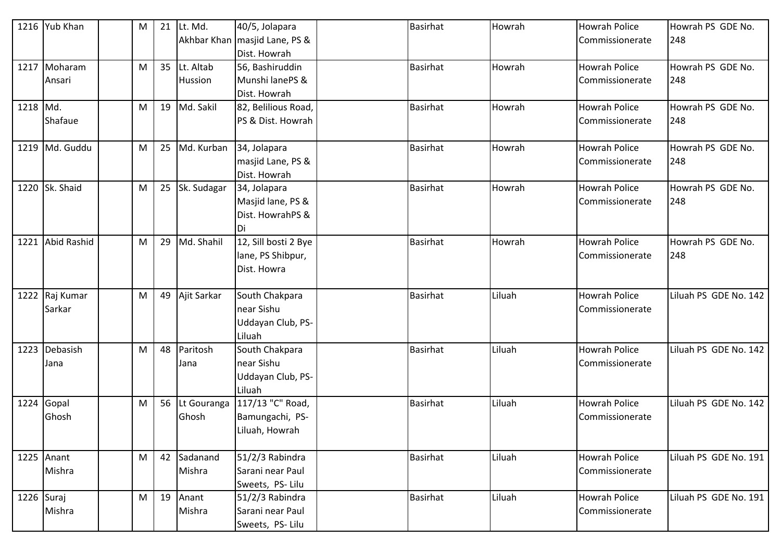|            | 1216 Yub Khan    | M | 21 | Lt. Md.     | 40/5, Jolapara                  | <b>Basirhat</b> | Howrah | <b>Howrah Police</b> | Howrah PS GDE No.     |
|------------|------------------|---|----|-------------|---------------------------------|-----------------|--------|----------------------|-----------------------|
|            |                  |   |    |             | Akhbar Khan   masjid Lane, PS & |                 |        | Commissionerate      | 248                   |
|            |                  |   |    |             | Dist. Howrah                    |                 |        |                      |                       |
| 1217       | Moharam          | M | 35 | Lt. Altab   | 56, Bashiruddin                 | <b>Basirhat</b> | Howrah | <b>Howrah Police</b> | Howrah PS GDE No.     |
|            | Ansari           |   |    | Hussion     | Munshi lanePS &                 |                 |        | Commissionerate      | 248                   |
|            |                  |   |    |             | Dist. Howrah                    |                 |        |                      |                       |
| 1218 Md.   |                  | M | 19 | Md. Sakil   | 82, Belilious Road,             | <b>Basirhat</b> | Howrah | <b>Howrah Police</b> | Howrah PS GDE No.     |
|            | Shafaue          |   |    |             | PS & Dist. Howrah               |                 |        | Commissionerate      | 248                   |
|            |                  |   |    |             |                                 |                 |        |                      |                       |
|            | 1219 Md. Guddu   | M | 25 | Md. Kurban  | 34, Jolapara                    | <b>Basirhat</b> | Howrah | <b>Howrah Police</b> | Howrah PS GDE No.     |
|            |                  |   |    |             | masjid Lane, PS &               |                 |        | Commissionerate      | 248                   |
|            |                  |   |    |             | Dist. Howrah                    |                 |        |                      |                       |
|            | 1220 Sk. Shaid   | M | 25 | Sk. Sudagar | 34, Jolapara                    | <b>Basirhat</b> | Howrah | <b>Howrah Police</b> | Howrah PS GDE No.     |
|            |                  |   |    |             | Masjid lane, PS &               |                 |        | Commissionerate      | 248                   |
|            |                  |   |    |             | Dist. HowrahPS &                |                 |        |                      |                       |
|            |                  |   |    |             | Di                              |                 |        |                      |                       |
|            | 1221 Abid Rashid | M | 29 | Md. Shahil  | 12, Sill bosti 2 Bye            | <b>Basirhat</b> | Howrah | <b>Howrah Police</b> | Howrah PS GDE No.     |
|            |                  |   |    |             | lane, PS Shibpur,               |                 |        | Commissionerate      | 248                   |
|            |                  |   |    |             | Dist. Howra                     |                 |        |                      |                       |
|            |                  |   |    |             |                                 |                 |        |                      |                       |
|            | 1222 Raj Kumar   | M | 49 | Ajit Sarkar | South Chakpara                  | <b>Basirhat</b> | Liluah | <b>Howrah Police</b> | Liluah PS GDE No. 142 |
|            | Sarkar           |   |    |             | near Sishu                      |                 |        | Commissionerate      |                       |
|            |                  |   |    |             | Uddayan Club, PS-               |                 |        |                      |                       |
|            |                  |   |    |             | Liluah                          |                 |        |                      |                       |
|            | 1223 Debasish    | M | 48 | Paritosh    | South Chakpara                  | <b>Basirhat</b> | Liluah | <b>Howrah Police</b> | Liluah PS GDE No. 142 |
|            | Jana             |   |    | Jana        | near Sishu                      |                 |        | Commissionerate      |                       |
|            |                  |   |    |             | Uddayan Club, PS-               |                 |        |                      |                       |
|            |                  |   |    |             | Liluah                          |                 |        |                      |                       |
| 1224       | Gopal            | M | 56 | Lt Gouranga | 117/13 "C" Road,                | <b>Basirhat</b> | Liluah | <b>Howrah Police</b> | Liluah PS GDE No. 142 |
|            | Ghosh            |   |    | Ghosh       | Bamungachi, PS-                 |                 |        | Commissionerate      |                       |
|            |                  |   |    |             | Liluah, Howrah                  |                 |        |                      |                       |
|            |                  |   |    |             |                                 |                 |        |                      |                       |
|            | 1225 Anant       | M | 42 | Sadanand    | 51/2/3 Rabindra                 | <b>Basirhat</b> | Liluah | <b>Howrah Police</b> | Liluah PS GDE No. 191 |
|            | Mishra           |   |    | Mishra      | Sarani near Paul                |                 |        | Commissionerate      |                       |
|            |                  |   |    |             | Sweets, PS-Lilu                 |                 |        |                      |                       |
| 1226 Suraj |                  | M | 19 | Anant       | 51/2/3 Rabindra                 | <b>Basirhat</b> | Liluah | <b>Howrah Police</b> | Liluah PS GDE No. 191 |
|            | Mishra           |   |    | Mishra      | Sarani near Paul                |                 |        | Commissionerate      |                       |
|            |                  |   |    |             | Sweets, PS-Lilu                 |                 |        |                      |                       |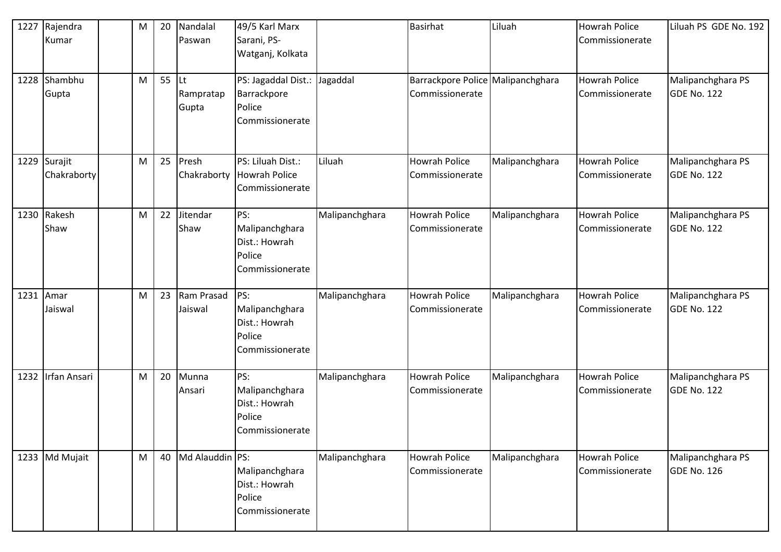| 1227 | Rajendra<br>Kumar           | M | 20 | Nandalal<br>Paswan       | 49/5 Karl Marx<br>Sarani, PS-<br>Watganj, Kolkata                        |                | <b>Basirhat</b>                                      | Liluah         | <b>Howrah Police</b><br>Commissionerate | Liluah PS GDE No. 192                   |
|------|-----------------------------|---|----|--------------------------|--------------------------------------------------------------------------|----------------|------------------------------------------------------|----------------|-----------------------------------------|-----------------------------------------|
|      | 1228 Shambhu<br>Gupta       | M | 55 | Lt<br>Rampratap<br>Gupta | PS: Jagaddal Dist.: Jagaddal<br>Barrackpore<br>Police<br>Commissionerate |                | Barrackpore Police Malipanchghara<br>Commissionerate |                | Howrah Police<br>Commissionerate        | Malipanchghara PS<br><b>GDE No. 122</b> |
|      | 1229 Surajit<br>Chakraborty | M | 25 | Presh                    | PS: Liluah Dist.:<br>Chakraborty Howrah Police<br>Commissionerate        | Liluah         | <b>Howrah Police</b><br>Commissionerate              | Malipanchghara | Howrah Police<br>Commissionerate        | Malipanchghara PS<br><b>GDE No. 122</b> |
|      | 1230 Rakesh<br>Shaw         | M | 22 | Jitendar<br>Shaw         | PS:<br>Malipanchghara<br>Dist.: Howrah<br>Police<br>Commissionerate      | Malipanchghara | <b>Howrah Police</b><br>Commissionerate              | Malipanchghara | Howrah Police<br>Commissionerate        | Malipanchghara PS<br><b>GDE No. 122</b> |
|      | 1231 Amar<br>Jaiswal        | M | 23 | Ram Prasad<br>Jaiswal    | PS:<br>Malipanchghara<br>Dist.: Howrah<br>Police<br>Commissionerate      | Malipanchghara | <b>Howrah Police</b><br>Commissionerate              | Malipanchghara | <b>Howrah Police</b><br>Commissionerate | Malipanchghara PS<br><b>GDE No. 122</b> |
| 1232 | Irfan Ansari                | M | 20 | Munna<br>Ansari          | PS:<br>Malipanchghara<br>Dist.: Howrah<br>Police<br>Commissionerate      | Malipanchghara | <b>Howrah Police</b><br>Commissionerate              | Malipanchghara | <b>Howrah Police</b><br>Commissionerate | Malipanchghara PS<br><b>GDE No. 122</b> |
|      | 1233 Md Mujait              | M | 40 | Md Alauddin PS:          | Malipanchghara<br>Dist.: Howrah<br>Police<br>Commissionerate             | Malipanchghara | <b>Howrah Police</b><br>Commissionerate              | Malipanchghara | Howrah Police<br>Commissionerate        | Malipanchghara PS<br><b>GDE No. 126</b> |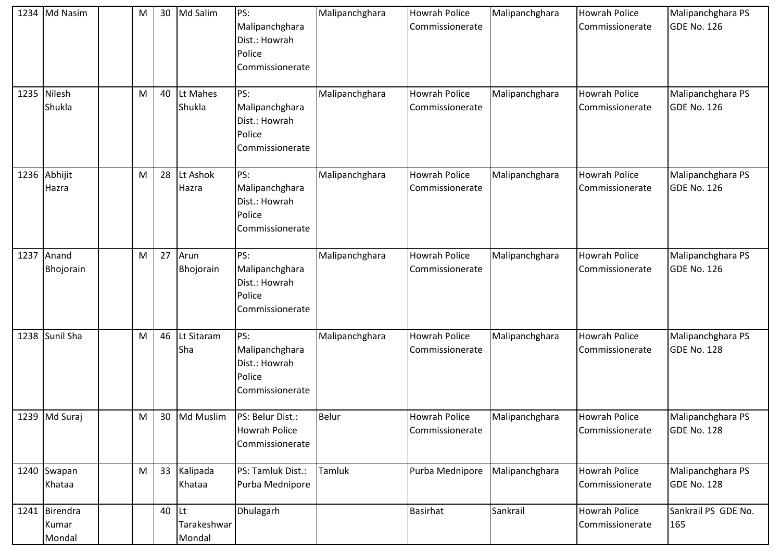| 1234 Md Nasim                    | M | 30 | Md Salim                           | PS:<br>Malipanchghara<br>Dist.: Howrah<br>Police<br>Commissionerate | Malipanchghara | <b>Howrah Police</b><br>Commissionerate | Malipanchghara | <b>Howrah Police</b><br>Commissionerate | Malipanchghara PS<br><b>GDE No. 126</b> |
|----------------------------------|---|----|------------------------------------|---------------------------------------------------------------------|----------------|-----------------------------------------|----------------|-----------------------------------------|-----------------------------------------|
| 1235 Nilesh<br>Shukla            | M | 40 | Lt Mahes<br>Shukla                 | PS:<br>Malipanchghara<br>Dist.: Howrah<br>Police<br>Commissionerate | Malipanchghara | <b>Howrah Police</b><br>Commissionerate | Malipanchghara | <b>Howrah Police</b><br>Commissionerate | Malipanchghara PS<br><b>GDE No. 126</b> |
| 1236 Abhijit<br>Hazra            | M | 28 | Lt Ashok<br>Hazra                  | PS:<br>Malipanchghara<br>Dist.: Howrah<br>Police<br>Commissionerate | Malipanchghara | <b>Howrah Police</b><br>Commissionerate | Malipanchghara | <b>Howrah Police</b><br>Commissionerate | Malipanchghara PS<br><b>GDE No. 126</b> |
| 1237 Anand<br>Bhojorain          | M | 27 | Arun<br>Bhojorain                  | PS:<br>Malipanchghara<br>Dist.: Howrah<br>Police<br>Commissionerate | Malipanchghara | <b>Howrah Police</b><br>Commissionerate | Malipanchghara | <b>Howrah Police</b><br>Commissionerate | Malipanchghara PS<br><b>GDE No. 126</b> |
| 1238 Sunil Sha                   | M | 46 | Lt Sitaram<br>Sha                  | PS:<br>Malipanchghara<br>Dist.: Howrah<br>Police<br>Commissionerate | Malipanchghara | <b>Howrah Police</b><br>Commissionerate | Malipanchghara | <b>Howrah Police</b><br>Commissionerate | Malipanchghara PS<br><b>GDE No. 128</b> |
| 1239 Md Suraj                    | M | 30 | Md Muslim                          | PS: Belur Dist.:<br><b>Howrah Police</b><br>Commissionerate         | Belur          | <b>Howrah Police</b><br>Commissionerate | Malipanchghara | <b>Howrah Police</b><br>Commissionerate | Malipanchghara PS<br>GDE No. 128        |
| 1240 Swapan<br>Khataa            | M | 33 | Kalipada<br>Khataa                 | PS: Tamluk Dist.:<br>Purba Mednipore                                | Tamluk         | Purba Mednipore                         | Malipanchghara | <b>Howrah Police</b><br>Commissionerate | Malipanchghara PS<br><b>GDE No. 128</b> |
| 1241 Birendra<br>Kumar<br>Mondal |   | 40 | <b>Lt</b><br>Tarakeshwar<br>Mondal | Dhulagarh                                                           |                | <b>Basirhat</b>                         | Sankrail       | <b>Howrah Police</b><br>Commissionerate | Sankrail PS GDE No.<br>165              |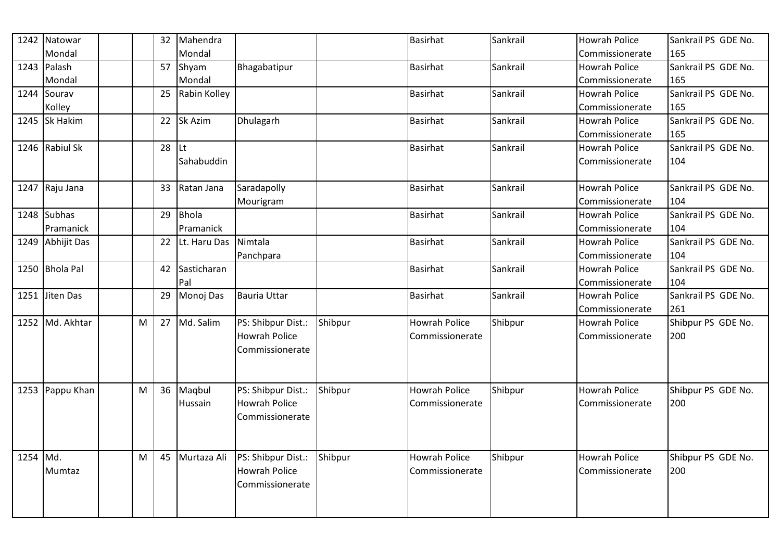| 1242 | Natowar         |   | 32 | Mahendra     |                      |         | <b>Basirhat</b>      | Sankrail | <b>Howrah Police</b> | Sankrail PS GDE No. |
|------|-----------------|---|----|--------------|----------------------|---------|----------------------|----------|----------------------|---------------------|
|      | Mondal          |   |    | Mondal       |                      |         |                      |          | Commissionerate      | 165                 |
| 1243 | Palash          |   | 57 | Shyam        | Bhagabatipur         |         | <b>Basirhat</b>      | Sankrail | <b>Howrah Police</b> | Sankrail PS GDE No. |
|      | Mondal          |   |    | Mondal       |                      |         |                      |          | Commissionerate      | 165                 |
| 1244 | Sourav          |   | 25 | Rabin Kolley |                      |         | <b>Basirhat</b>      | Sankrail | <b>Howrah Police</b> | Sankrail PS GDE No. |
|      | Kolley          |   |    |              |                      |         |                      |          | Commissionerate      | 165                 |
|      | 1245 Sk Hakim   |   | 22 | Sk Azim      | Dhulagarh            |         | <b>Basirhat</b>      | Sankrail | <b>Howrah Police</b> | Sankrail PS GDE No. |
|      |                 |   |    |              |                      |         |                      |          | Commissionerate      | 165                 |
|      | 1246 Rabiul Sk  |   | 28 | <b>Lt</b>    |                      |         | <b>Basirhat</b>      | Sankrail | <b>Howrah Police</b> | Sankrail PS GDE No. |
|      |                 |   |    | Sahabuddin   |                      |         |                      |          | Commissionerate      | 104                 |
|      |                 |   |    |              |                      |         |                      |          |                      |                     |
|      | 1247 Raju Jana  |   | 33 | Ratan Jana   | Saradapolly          |         | <b>Basirhat</b>      | Sankrail | <b>Howrah Police</b> | Sankrail PS GDE No. |
|      |                 |   |    |              | Mourigram            |         |                      |          | Commissionerate      | 104                 |
| 1248 | <b>Subhas</b>   |   | 29 | <b>Bhola</b> |                      |         | Basirhat             | Sankrail | <b>Howrah Police</b> | Sankrail PS GDE No. |
|      | Pramanick       |   |    | Pramanick    |                      |         |                      |          | Commissionerate      | 104                 |
| 1249 | Abhijit Das     |   | 22 | Lt. Haru Das | Nimtala              |         | Basirhat             | Sankrail | <b>Howrah Police</b> | Sankrail PS GDE No. |
|      |                 |   |    |              | Panchpara            |         |                      |          | Commissionerate      | 104                 |
|      | 1250 Bhola Pal  |   | 42 | Sasticharan  |                      |         | <b>Basirhat</b>      | Sankrail | <b>Howrah Police</b> | Sankrail PS GDE No. |
|      |                 |   |    | Pal          |                      |         |                      |          | Commissionerate      | 104                 |
| 1251 | Jiten Das       |   | 29 | Monoj Das    | Bauria Uttar         |         | <b>Basirhat</b>      | Sankrail | <b>Howrah Police</b> | Sankrail PS GDE No. |
|      |                 |   |    |              |                      |         |                      |          | Commissionerate      | 261                 |
|      | 1252 Md. Akhtar | M | 27 | Md. Salim    | PS: Shibpur Dist.:   | Shibpur | <b>Howrah Police</b> | Shibpur  | <b>Howrah Police</b> | Shibpur PS GDE No.  |
|      |                 |   |    |              | <b>Howrah Police</b> |         | Commissionerate      |          | Commissionerate      | 200                 |
|      |                 |   |    |              | Commissionerate      |         |                      |          |                      |                     |
|      |                 |   |    |              |                      |         |                      |          |                      |                     |
|      |                 |   |    |              |                      |         |                      |          |                      |                     |
| 1253 | Pappu Khan      | M | 36 | Maqbul       | PS: Shibpur Dist.:   | Shibpur | Howrah Police        | Shibpur  | <b>Howrah Police</b> | Shibpur PS GDE No.  |
|      |                 |   |    | Hussain      | <b>Howrah Police</b> |         | Commissionerate      |          | Commissionerate      | 200                 |
|      |                 |   |    |              | Commissionerate      |         |                      |          |                      |                     |
|      |                 |   |    |              |                      |         |                      |          |                      |                     |
|      |                 |   |    |              |                      |         |                      |          |                      |                     |
| 1254 | Md.             | M | 45 | Murtaza Ali  | PS: Shibpur Dist.:   | Shibpur | <b>Howrah Police</b> | Shibpur  | <b>Howrah Police</b> | Shibpur PS GDE No.  |
|      | Mumtaz          |   |    |              | <b>Howrah Police</b> |         | Commissionerate      |          | Commissionerate      | 200                 |
|      |                 |   |    |              | Commissionerate      |         |                      |          |                      |                     |
|      |                 |   |    |              |                      |         |                      |          |                      |                     |
|      |                 |   |    |              |                      |         |                      |          |                      |                     |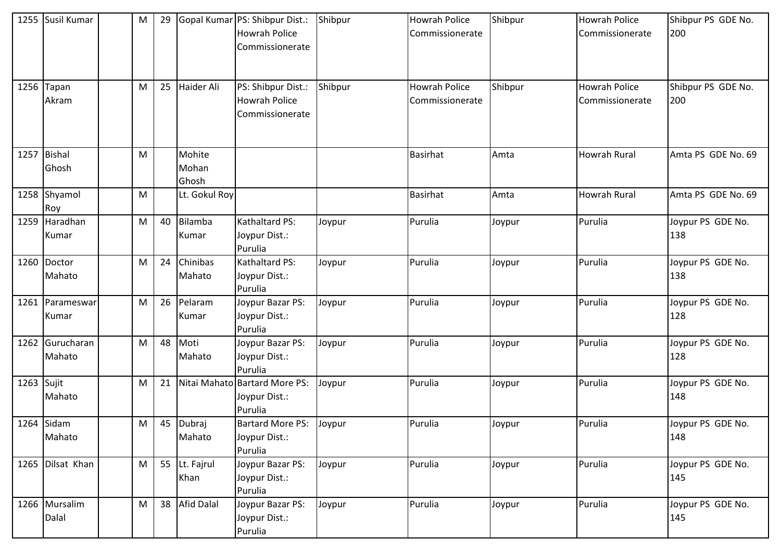| 1255       | Susil Kumar            | M | 29 |                          | Gopal Kumar PS: Shibpur Dist.:<br><b>Howrah Police</b><br>Commissionerate | Shibpur | <b>Howrah Police</b><br>Commissionerate | Shibpur | <b>Howrah Police</b><br>Commissionerate | Shibpur PS GDE No.<br>200 |
|------------|------------------------|---|----|--------------------------|---------------------------------------------------------------------------|---------|-----------------------------------------|---------|-----------------------------------------|---------------------------|
| 1256       | Tapan<br>Akram         | M | 25 | Haider Ali               | PS: Shibpur Dist.:<br><b>Howrah Police</b><br>Commissionerate             | Shibpur | <b>Howrah Police</b><br>Commissionerate | Shibpur | <b>Howrah Police</b><br>Commissionerate | Shibpur PS GDE No.<br>200 |
| 1257       | Bishal<br>Ghosh        | M |    | Mohite<br>Mohan<br>Ghosh |                                                                           |         | <b>Basirhat</b>                         | Amta    | <b>Howrah Rural</b>                     | Amta PS GDE No. 69        |
| 1258       | Shyamol<br>Roy         | M |    | Lt. Gokul Roy            |                                                                           |         | <b>Basirhat</b>                         | Amta    | <b>Howrah Rural</b>                     | Amta PS GDE No. 69        |
|            | 1259 Haradhan<br>Kumar | M | 40 | Bilamba<br>Kumar         | Kathaltard PS:<br>Joypur Dist.:<br>Purulia                                | Joypur  | Purulia                                 | Joypur  | Purulia                                 | Joypur PS GDE No.<br>138  |
|            | 1260 Doctor<br>Mahato  | M | 24 | Chinibas<br>Mahato       | Kathaltard PS:<br>Joypur Dist.:<br>Purulia                                | Joypur  | Purulia                                 | Joypur  | Purulia                                 | Joypur PS GDE No.<br>138  |
| 1261       | Parameswar<br>Kumar    | M | 26 | Pelaram<br>Kumar         | Joypur Bazar PS:<br>Joypur Dist.:<br>Purulia                              | Joypur  | Purulia                                 | Joypur  | Purulia                                 | Joypur PS GDE No.<br>128  |
| 1262       | Gurucharan<br>Mahato   | M | 48 | Moti<br>Mahato           | Joypur Bazar PS:<br>Joypur Dist.:<br>Purulia                              | Joypur  | Purulia                                 | Joypur  | Purulia                                 | Joypur PS GDE No.<br>128  |
| 1263 Sujit | Mahato                 | M | 21 |                          | Nitai Mahato Bartard More PS:<br>Joypur Dist.:<br>Purulia                 | Joypur  | Purulia                                 | Joypur  | Purulia                                 | Joypur PS GDE No.<br>148  |
|            | $1264$ Sidam<br>Mahato | M | 45 | Dubraj<br>Mahato         | <b>Bartard More PS:</b><br>Joypur Dist.:<br>Purulia                       | Joypur  | Purulia                                 | Joypur  | Purulia                                 | Joypur PS GDE No.<br>148  |
|            | 1265 Dilsat Khan       | M |    | 55 Lt. Fajrul<br>Khan    | Joypur Bazar PS:<br>Joypur Dist.:<br>Purulia                              | Joypur  | Purulia                                 | Joypur  | Purulia                                 | Joypur PS GDE No.<br>145  |
|            | 1266 Mursalim<br>Dalal | M | 38 | Afid Dalal               | Joypur Bazar PS:<br>Joypur Dist.:<br>Purulia                              | Joypur  | Purulia                                 | Joypur  | Purulia                                 | Joypur PS GDE No.<br>145  |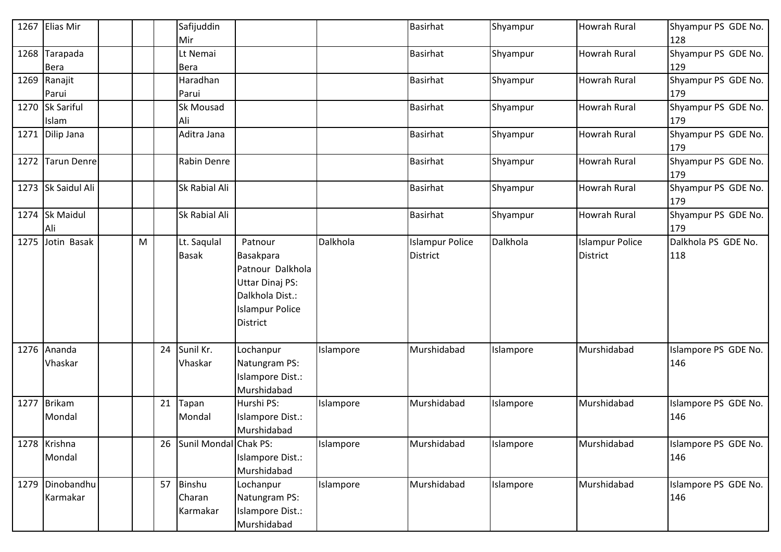| 1267 | <b>Elias Mir</b>            |   |    | Safijuddin<br>Mir                   |                                                                                                                                    |           | <b>Basirhat</b>                           | Shyampur  | Howrah Rural                              | Shyampur PS GDE No.<br>128  |
|------|-----------------------------|---|----|-------------------------------------|------------------------------------------------------------------------------------------------------------------------------------|-----------|-------------------------------------------|-----------|-------------------------------------------|-----------------------------|
| 1268 | Tarapada<br><b>Bera</b>     |   |    | Lt Nemai<br>Bera                    |                                                                                                                                    |           | <b>Basirhat</b>                           | Shyampur  | <b>Howrah Rural</b>                       | Shyampur PS GDE No.<br>129  |
|      | 1269 Ranajit<br>Parui       |   |    | Haradhan<br>Parui                   |                                                                                                                                    |           | <b>Basirhat</b>                           | Shyampur  | <b>Howrah Rural</b>                       | Shyampur PS GDE No.<br>179  |
|      | 1270 Sk Sariful<br>Islam    |   |    | Sk Mousad<br>Ali                    |                                                                                                                                    |           | <b>Basirhat</b>                           | Shyampur  | <b>Howrah Rural</b>                       | Shyampur PS GDE No.<br>179  |
|      | 1271 Dilip Jana             |   |    | Aditra Jana                         |                                                                                                                                    |           | <b>Basirhat</b>                           | Shyampur  | <b>Howrah Rural</b>                       | Shyampur PS GDE No.<br>179  |
| 1272 | <b>Tarun Denre</b>          |   |    | Rabin Denre                         |                                                                                                                                    |           | <b>Basirhat</b>                           | Shyampur  | <b>Howrah Rural</b>                       | Shyampur PS GDE No.<br>179  |
|      | 1273 Sk Saidul Ali          |   |    | Sk Rabial Ali                       |                                                                                                                                    |           | <b>Basirhat</b>                           | Shyampur  | <b>Howrah Rural</b>                       | Shyampur PS GDE No.<br>179  |
|      | 1274 Sk Maidul<br>Ali       |   |    | Sk Rabial Ali                       |                                                                                                                                    |           | <b>Basirhat</b>                           | Shyampur  | <b>Howrah Rural</b>                       | Shyampur PS GDE No.<br>179  |
| 1275 | Jotin Basak                 | M |    | Lt. Saqulal<br><b>Basak</b>         | Patnour<br>Basakpara<br>Patnour Dalkhola<br><b>Uttar Dinaj PS:</b><br>Dalkhola Dist.:<br><b>Islampur Police</b><br><b>District</b> | Dalkhola  | <b>Islampur Police</b><br><b>District</b> | Dalkhola  | <b>Islampur Police</b><br><b>District</b> | Dalkhola PS GDE No.<br>118  |
|      | 1276 Ananda<br>Vhaskar      |   | 24 | Sunil Kr.<br>Vhaskar                | Lochanpur<br>Natungram PS:<br>Islampore Dist.:<br>Murshidabad                                                                      | Islampore | Murshidabad                               | Islampore | Murshidabad                               | Islampore PS GDE No.<br>146 |
| 1277 | Brikam<br>Mondal            |   | 21 | Tapan<br>Mondal                     | Hurshi PS:<br>Islampore Dist.:<br>Murshidabad                                                                                      | Islampore | Murshidabad                               | Islampore | Murshidabad                               | Islampore PS GDE No.<br>146 |
|      | 1278 Krishna<br>Mondal      |   | 26 | Sunil Mondal Chak PS:               | Islampore Dist.:<br>Murshidabad                                                                                                    | Islampore | Murshidabad                               | Islampore | Murshidabad                               | Islampore PS GDE No.<br>146 |
|      | 1279 Dinobandhu<br>Karmakar |   | 57 | <b>Binshu</b><br>Charan<br>Karmakar | Lochanpur<br>Natungram PS:<br>Islampore Dist.:<br>Murshidabad                                                                      | Islampore | Murshidabad                               | Islampore | Murshidabad                               | Islampore PS GDE No.<br>146 |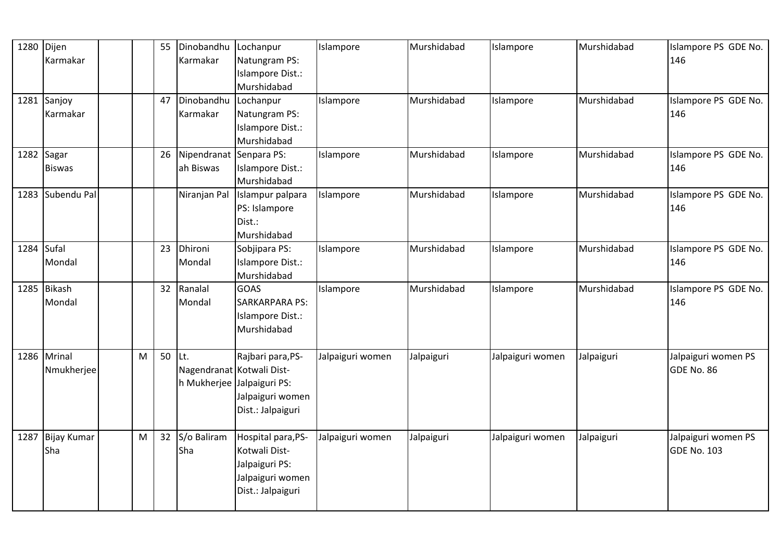| 1280       | Dijen<br>Karmakar           |   | 55 | Dinobandhu<br>Karmakar               | Lochanpur<br>Natungram PS:<br>Islampore Dist.:<br>Murshidabad                                                         | Islampore        | Murshidabad | Islampore        | Murshidabad | Islampore PS GDE No.<br>146        |
|------------|-----------------------------|---|----|--------------------------------------|-----------------------------------------------------------------------------------------------------------------------|------------------|-------------|------------------|-------------|------------------------------------|
|            | 1281 Sanjoy<br>Karmakar     |   | 47 | Dinobandhu<br>Karmakar               | Lochanpur<br>Natungram PS:<br>Islampore Dist.:<br>Murshidabad                                                         | Islampore        | Murshidabad | Islampore        | Murshidabad | Islampore PS GDE No.<br>146        |
|            | 1282 Sagar<br><b>Biswas</b> |   | 26 | Nipendranat Senpara PS:<br>ah Biswas | Islampore Dist.:<br>Murshidabad                                                                                       | Islampore        | Murshidabad | Islampore        | Murshidabad | Islampore PS GDE No.<br>146        |
|            | 1283 Subendu Pal            |   |    |                                      | Niranjan Pal Islampur palpara<br>PS: Islampore<br>Dist.:<br>Murshidabad                                               | Islampore        | Murshidabad | Islampore        | Murshidabad | Islampore PS GDE No.<br>146        |
| 1284 Sufal | Mondal                      |   | 23 | Dhironi<br>Mondal                    | Sobjipara PS:<br>Islampore Dist.:<br>Murshidabad                                                                      | Islampore        | Murshidabad | Islampore        | Murshidabad | Islampore PS GDE No.<br>146        |
|            | 1285 Bikash<br>Mondal       |   | 32 | Ranalal<br>Mondal                    | <b>GOAS</b><br><b>SARKARPARA PS:</b><br>Islampore Dist.:<br>Murshidabad                                               | Islampore        | Murshidabad | Islampore        | Murshidabad | Islampore PS GDE No.<br>146        |
| 1286       | Mrinal<br>Nmukherjee        | M | 50 | lLt.                                 | Rajbari para, PS-<br>Nagendranat Kotwali Dist-<br>h Mukherjee Jalpaiguri PS:<br>Jalpaiguri women<br>Dist.: Jalpaiguri | Jalpaiguri women | Jalpaiguri  | Jalpaiguri women | Jalpaiguri  | Jalpaiguri women PS<br>GDE No. 86  |
| 1287       | <b>Bijay Kumar</b><br>Sha   | M | 32 | S/o Baliram<br>Sha                   | Hospital para, PS-<br>Kotwali Dist-<br>Jalpaiguri PS:<br>Jalpaiguri women<br>Dist.: Jalpaiguri                        | Jalpaiguri women | Jalpaiguri  | Jalpaiguri women | Jalpaiguri  | Jalpaiguri women PS<br>GDE No. 103 |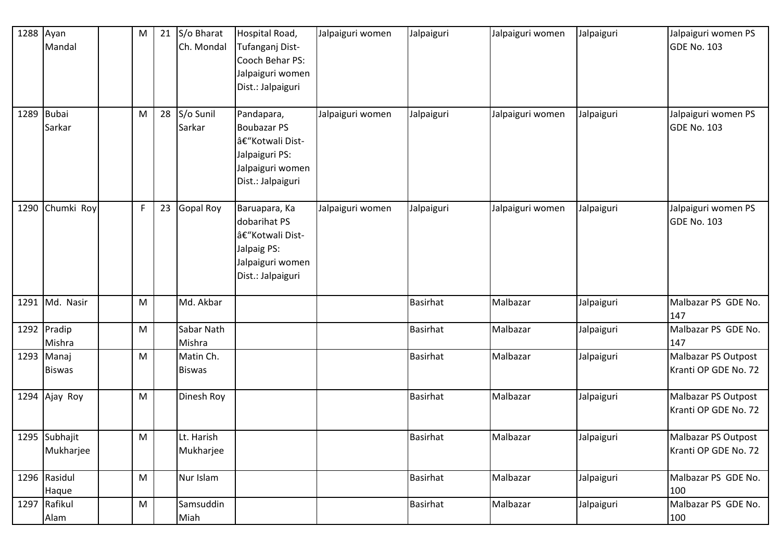| 1288 | Ayan<br>Mandal              | M | 21 | S/o Bharat<br>Ch. Mondal   | Hospital Road,<br>Tufanganj Dist-<br>Cooch Behar PS:<br>Jalpaiguri women<br>Dist.: Jalpaiguri                 | Jalpaiguri women | Jalpaiguri      | Jalpaiguri women | Jalpaiguri | Jalpaiguri women PS<br>GDE No. 103          |
|------|-----------------------------|---|----|----------------------------|---------------------------------------------------------------------------------------------------------------|------------------|-----------------|------------------|------------|---------------------------------------------|
| 1289 | Bubai<br>Sarkar             | M | 28 | S/o Sunil<br>Sarkar        | Pandapara,<br><b>Boubazar PS</b><br>–Kotwali Dist-<br>Jalpaiguri PS:<br>Jalpaiguri women<br>Dist.: Jalpaiguri | Jalpaiguri women | Jalpaiguri      | Jalpaiguri women | Jalpaiguri | Jalpaiguri women PS<br><b>GDE No. 103</b>   |
| 1290 | Chumki Roy                  | F | 23 | <b>Gopal Roy</b>           | Baruapara, Ka<br>dobarihat PS<br>â€"Kotwali Dist-<br>Jalpaig PS:<br>Jalpaiguri women<br>Dist.: Jalpaiguri     | Jalpaiguri women | Jalpaiguri      | Jalpaiguri women | Jalpaiguri | Jalpaiguri women PS<br><b>GDE No. 103</b>   |
| 1291 | Md. Nasir                   | M |    | Md. Akbar                  |                                                                                                               |                  | <b>Basirhat</b> | Malbazar         | Jalpaiguri | Malbazar PS GDE No.<br>147                  |
|      | 1292 Pradip<br>Mishra       | M |    | Sabar Nath<br>Mishra       |                                                                                                               |                  | <b>Basirhat</b> | Malbazar         | Jalpaiguri | Malbazar PS GDE No.<br>147                  |
|      | 1293 Manaj<br><b>Biswas</b> | M |    | Matin Ch.<br><b>Biswas</b> |                                                                                                               |                  | <b>Basirhat</b> | Malbazar         | Jalpaiguri | Malbazar PS Outpost<br>Kranti OP GDE No. 72 |
| 1294 | Ajay Roy                    | M |    | Dinesh Roy                 |                                                                                                               |                  | <b>Basirhat</b> | Malbazar         | Jalpaiguri | Malbazar PS Outpost<br>Kranti OP GDE No. 72 |
|      | 1295 Subhajit<br>Mukharjee  | M |    | Lt. Harish<br>Mukharjee    |                                                                                                               |                  | <b>Basirhat</b> | Malbazar         | Jalpaiguri | Malbazar PS Outpost<br>Kranti OP GDE No. 72 |
|      | 1296 Rasidul<br>Haque       | M |    | Nur Islam                  |                                                                                                               |                  | Basirhat        | Malbazar         | Jalpaiguri | Malbazar PS GDE No.<br>100                  |
|      | 1297 Rafikul<br>Alam        | M |    | Samsuddin<br>Miah          |                                                                                                               |                  | <b>Basirhat</b> | Malbazar         | Jalpaiguri | Malbazar PS GDE No.<br>100                  |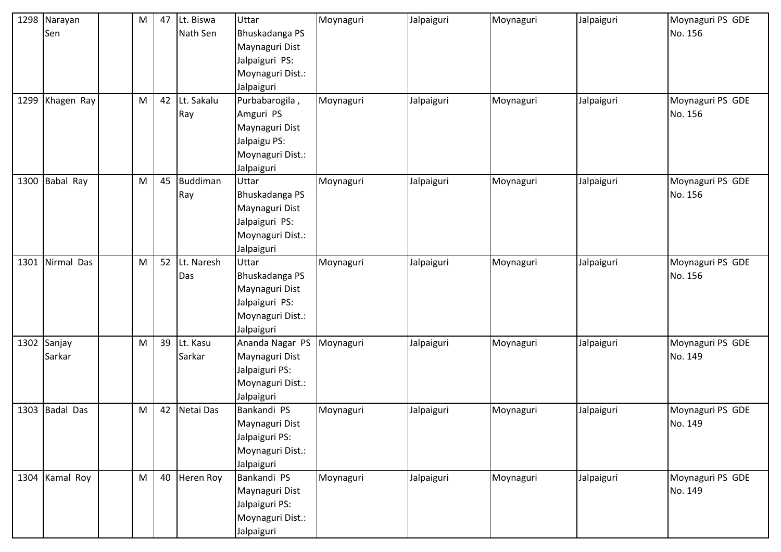| 1298 | Narayan         | M | 47 | Lt. Biswa  | Uttar            | Moynaguri | Jalpaiguri | Moynaguri | Jalpaiguri | Moynaguri PS GDE |
|------|-----------------|---|----|------------|------------------|-----------|------------|-----------|------------|------------------|
|      | Sen             |   |    | Nath Sen   | Bhuskadanga PS   |           |            |           |            | No. 156          |
|      |                 |   |    |            | Maynaguri Dist   |           |            |           |            |                  |
|      |                 |   |    |            | Jalpaiguri PS:   |           |            |           |            |                  |
|      |                 |   |    |            | Moynaguri Dist.: |           |            |           |            |                  |
|      |                 |   |    |            | Jalpaiguri       |           |            |           |            |                  |
|      | 1299 Khagen Ray | M | 42 | Lt. Sakalu | Purbabarogila,   | Moynaguri | Jalpaiguri | Moynaguri | Jalpaiguri | Moynaguri PS GDE |
|      |                 |   |    | Ray        | Amguri PS        |           |            |           |            | No. 156          |
|      |                 |   |    |            | Maynaguri Dist   |           |            |           |            |                  |
|      |                 |   |    |            | Jalpaigu PS:     |           |            |           |            |                  |
|      |                 |   |    |            | Moynaguri Dist.: |           |            |           |            |                  |
|      |                 |   |    |            | Jalpaiguri       |           |            |           |            |                  |
| 1300 | Babal Ray       | M | 45 | Buddiman   | Uttar            | Moynaguri | Jalpaiguri | Moynaguri | Jalpaiguri | Moynaguri PS GDE |
|      |                 |   |    | Ray        | Bhuskadanga PS   |           |            |           |            | No. 156          |
|      |                 |   |    |            | Maynaguri Dist   |           |            |           |            |                  |
|      |                 |   |    |            | Jalpaiguri PS:   |           |            |           |            |                  |
|      |                 |   |    |            | Moynaguri Dist.: |           |            |           |            |                  |
|      |                 |   |    |            | Jalpaiguri       |           |            |           |            |                  |
|      | 1301 Nirmal Das | M | 52 | Lt. Naresh | Uttar            | Moynaguri | Jalpaiguri | Moynaguri | Jalpaiguri | Moynaguri PS GDE |
|      |                 |   |    | Das        | Bhuskadanga PS   |           |            |           |            | No. 156          |
|      |                 |   |    |            | Maynaguri Dist   |           |            |           |            |                  |
|      |                 |   |    |            | Jalpaiguri PS:   |           |            |           |            |                  |
|      |                 |   |    |            | Moynaguri Dist.: |           |            |           |            |                  |
|      |                 |   |    |            | Jalpaiguri       |           |            |           |            |                  |
|      | 1302 Sanjay     | M | 39 | Lt. Kasu   | Ananda Nagar PS  | Moynaguri | Jalpaiguri | Moynaguri | Jalpaiguri | Moynaguri PS GDE |
|      | Sarkar          |   |    | Sarkar     | Maynaguri Dist   |           |            |           |            | No. 149          |
|      |                 |   |    |            | Jalpaiguri PS:   |           |            |           |            |                  |
|      |                 |   |    |            | Moynaguri Dist.: |           |            |           |            |                  |
|      |                 |   |    |            | Jalpaiguri       |           |            |           |            |                  |
|      | 1303 Badal Das  | M | 42 | Netai Das  | Bankandi PS      | Moynaguri | Jalpaiguri | Moynaguri | Jalpaiguri | Moynaguri PS GDE |
|      |                 |   |    |            | Maynaguri Dist   |           |            |           |            | No. 149          |
|      |                 |   |    |            | Jalpaiguri PS:   |           |            |           |            |                  |
|      |                 |   |    |            | Moynaguri Dist.: |           |            |           |            |                  |
|      |                 |   |    |            | Jalpaiguri       |           |            |           |            |                  |
|      | 1304 Kamal Roy  | M | 40 | Heren Roy  | Bankandi PS      | Moynaguri | Jalpaiguri | Moynaguri | Jalpaiguri | Moynaguri PS GDE |
|      |                 |   |    |            | Maynaguri Dist   |           |            |           |            | No. 149          |
|      |                 |   |    |            | Jalpaiguri PS:   |           |            |           |            |                  |
|      |                 |   |    |            | Moynaguri Dist.: |           |            |           |            |                  |
|      |                 |   |    |            | Jalpaiguri       |           |            |           |            |                  |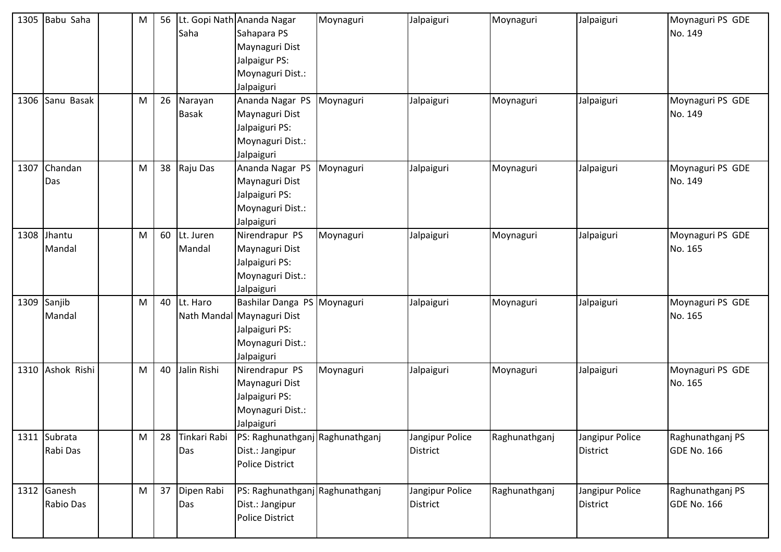|      | 1305 Babu Saha           | M | 56 | Saha                    | Lt. Gopi Nath Ananda Nagar<br>Sahapara PS<br>Maynaguri Dist<br>Jalpaigur PS:<br>Moynaguri Dist.:<br>Jalpaiguri | Moynaguri | Jalpaiguri                         | Moynaguri     | Jalpaiguri                         | Moynaguri PS GDE<br>No. 149            |
|------|--------------------------|---|----|-------------------------|----------------------------------------------------------------------------------------------------------------|-----------|------------------------------------|---------------|------------------------------------|----------------------------------------|
|      | 1306 Sanu Basak          | M | 26 | Narayan<br><b>Basak</b> | Ananda Nagar PS Moynaguri<br>Maynaguri Dist<br>Jalpaiguri PS:<br>Moynaguri Dist.:<br>Jalpaiguri                |           | Jalpaiguri                         | Moynaguri     | Jalpaiguri                         | Moynaguri PS GDE<br>No. 149            |
| 1307 | Chandan<br>Das           | M | 38 | Raju Das                | Ananda Nagar PS<br>Maynaguri Dist<br>Jalpaiguri PS:<br>Moynaguri Dist.:<br>Jalpaiguri                          | Moynaguri | Jalpaiguri                         | Moynaguri     | Jalpaiguri                         | Moynaguri PS GDE<br>No. 149            |
|      | 1308 Jhantu<br>Mandal    | M | 60 | Lt. Juren<br>Mandal     | Nirendrapur PS<br>Maynaguri Dist<br>Jalpaiguri PS:<br>Moynaguri Dist.:<br>Jalpaiguri                           | Moynaguri | Jalpaiguri                         | Moynaguri     | Jalpaiguri                         | Moynaguri PS GDE<br>No. 165            |
|      | 1309 Sanjib<br>Mandal    | M | 40 | Lt. Haro                | Bashilar Danga PS Moynaguri<br>Nath Mandal Maynaguri Dist<br>Jalpaiguri PS:<br>Moynaguri Dist.:<br>Jalpaiguri  |           | Jalpaiguri                         | Moynaguri     | Jalpaiguri                         | Moynaguri PS GDE<br>No. 165            |
|      | 1310 Ashok Rishi         | M | 40 | Jalin Rishi             | Nirendrapur PS<br>Maynaguri Dist<br>Jalpaiguri PS:<br>Moynaguri Dist.:<br>Jalpaiguri                           | Moynaguri | Jalpaiguri                         | Moynaguri     | Jalpaiguri                         | Moynaguri PS GDE<br>No. 165            |
|      | 1311 Subrata<br>Rabi Das | M | 28 | Tinkari Rabi<br>Das     | PS: Raghunathganj Raghunathganj<br>Dist.: Jangipur<br><b>Police District</b>                                   |           | Jangipur Police<br><b>District</b> | Raghunathganj | Jangipur Police<br>District        | Raghunathganj PS<br><b>GDE No. 166</b> |
|      | 1312 Ganesh<br>Rabio Das | M | 37 | Dipen Rabi<br>Das       | PS: Raghunathganj Raghunathganj<br>Dist.: Jangipur<br><b>Police District</b>                                   |           | Jangipur Police<br><b>District</b> | Raghunathganj | Jangipur Police<br><b>District</b> | Raghunathganj PS<br><b>GDE No. 166</b> |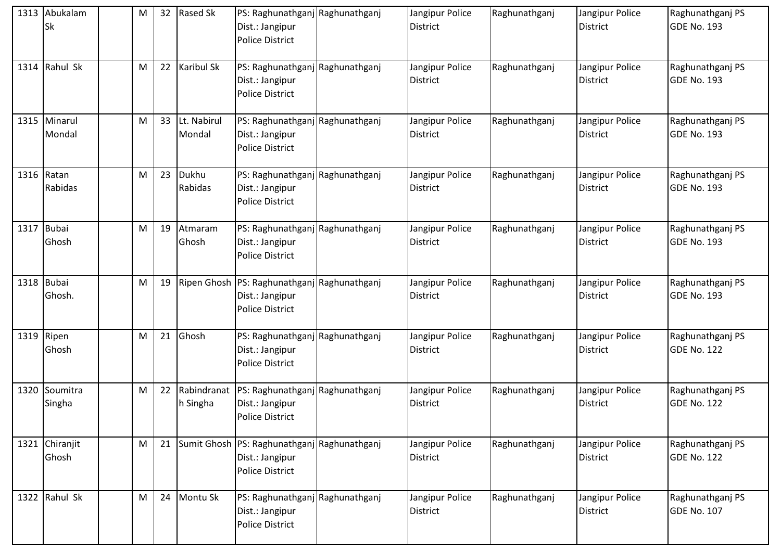|      | 1313 Abukalam<br><b>Sk</b> | M | 32 | <b>Rased Sk</b>         | PS: Raghunathganj Raghunathganj<br>Dist.: Jangipur<br><b>Police District</b>             | Jangipur Police<br><b>District</b> | Raghunathganj | Jangipur Police<br><b>District</b> | Raghunathganj PS<br><b>GDE No. 193</b> |
|------|----------------------------|---|----|-------------------------|------------------------------------------------------------------------------------------|------------------------------------|---------------|------------------------------------|----------------------------------------|
| 1314 | Rahul Sk                   | M | 22 | <b>Karibul Sk</b>       | PS: Raghunathganj Raghunathganj<br>Dist.: Jangipur<br><b>Police District</b>             | Jangipur Police<br><b>District</b> | Raghunathganj | Jangipur Police<br>District        | Raghunathganj PS<br><b>GDE No. 193</b> |
|      | 1315 Minarul<br>Mondal     | M | 33 | Lt. Nabirul<br>Mondal   | PS: Raghunathganj Raghunathganj<br>Dist.: Jangipur<br><b>Police District</b>             | Jangipur Police<br><b>District</b> | Raghunathganj | Jangipur Police<br>District        | Raghunathganj PS<br><b>GDE No. 193</b> |
|      | 1316 Ratan<br>Rabidas      | M | 23 | Dukhu<br>Rabidas        | PS: Raghunathganj Raghunathganj<br>Dist.: Jangipur<br><b>Police District</b>             | Jangipur Police<br><b>District</b> | Raghunathganj | Jangipur Police<br><b>District</b> | Raghunathganj PS<br><b>GDE No. 193</b> |
|      | 1317 Bubai<br>Ghosh        | M | 19 | Atmaram<br>Ghosh        | PS: Raghunathganj Raghunathganj<br>Dist.: Jangipur<br><b>Police District</b>             | Jangipur Police<br><b>District</b> | Raghunathganj | Jangipur Police<br>District        | Raghunathganj PS<br><b>GDE No. 193</b> |
|      | 1318 Bubai<br>Ghosh.       | M | 19 |                         | Ripen Ghosh PS: Raghunathganj Raghunathganj<br>Dist.: Jangipur<br><b>Police District</b> | Jangipur Police<br><b>District</b> | Raghunathganj | Jangipur Police<br><b>District</b> | Raghunathganj PS<br><b>GDE No. 193</b> |
| 1319 | Ripen<br>Ghosh             | M | 21 | Ghosh                   | PS: Raghunathganj Raghunathganj<br>Dist.: Jangipur<br><b>Police District</b>             | Jangipur Police<br><b>District</b> | Raghunathganj | Jangipur Police<br><b>District</b> | Raghunathganj PS<br><b>GDE No. 122</b> |
| 1320 | Soumitra<br>Singha         | M | 22 | Rabindranat<br>h Singha | PS: Raghunathganj Raghunathganj<br>Dist.: Jangipur<br><b>Police District</b>             | Jangipur Police<br><b>District</b> | Raghunathganj | Jangipur Police<br>District        | Raghunathganj PS<br><b>GDE No. 122</b> |
|      | 1321 Chiranjit<br>Ghosh    | M | 21 |                         | Sumit Ghosh PS: Raghunathganj Raghunathganj<br>Dist.: Jangipur<br>Police District        | Jangipur Police<br><b>District</b> | Raghunathganj | Jangipur Police<br><b>District</b> | Raghunathganj PS<br><b>GDE No. 122</b> |
|      | 1322 Rahul Sk              | M | 24 | Montu Sk                | PS: Raghunathganj Raghunathganj<br>Dist.: Jangipur<br><b>Police District</b>             | Jangipur Police<br><b>District</b> | Raghunathganj | Jangipur Police<br><b>District</b> | Raghunathganj PS<br><b>GDE No. 107</b> |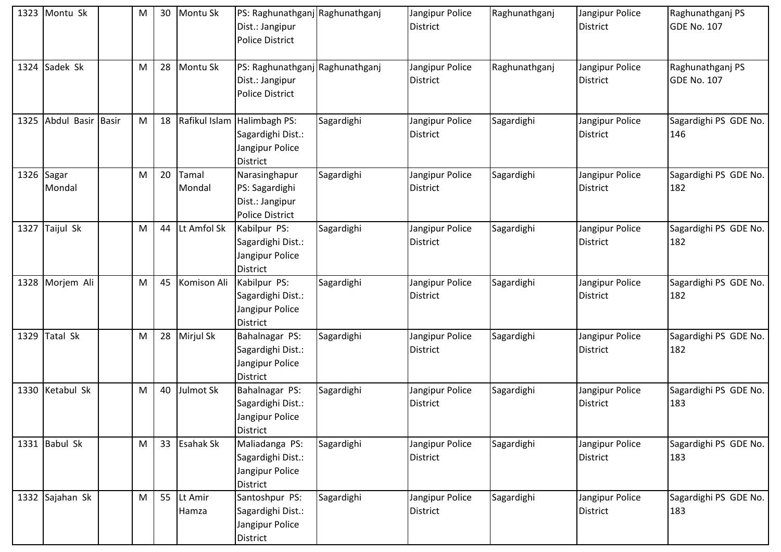|      | 1323 Montu Sk     | M | 30 | Montu Sk         | PS: Raghunathganj Raghunathganj<br>Dist.: Jangipur<br><b>Police District</b>    |            | Jangipur Police<br><b>District</b> | Raghunathganj | Jangipur Police<br><b>District</b> | Raghunathganj PS<br><b>GDE No. 107</b> |
|------|-------------------|---|----|------------------|---------------------------------------------------------------------------------|------------|------------------------------------|---------------|------------------------------------|----------------------------------------|
|      | 1324 Sadek Sk     | M | 28 | Montu Sk         | PS: Raghunathganj Raghunathganj<br>Dist.: Jangipur<br><b>Police District</b>    |            | Jangipur Police<br><b>District</b> | Raghunathganj | Jangipur Police<br><b>District</b> | Raghunathganj PS<br><b>GDE No. 107</b> |
| 1325 | Abdul Basir Basir | M | 18 |                  | Rafikul Islam Halimbagh PS:<br>Sagardighi Dist.:<br>Jangipur Police<br>District | Sagardighi | Jangipur Police<br><b>District</b> | Sagardighi    | Jangipur Police<br><b>District</b> | Sagardighi PS GDE No.<br>146           |
| 1326 | Sagar<br>Mondal   | M | 20 | Tamal<br>Mondal  | Narasinghapur<br>PS: Sagardighi<br>Dist.: Jangipur<br><b>Police District</b>    | Sagardighi | Jangipur Police<br><b>District</b> | Sagardighi    | Jangipur Police<br><b>District</b> | Sagardighi PS GDE No.<br>182           |
|      | 1327 Taijul Sk    | M | 44 | Lt Amfol Sk      | Kabilpur PS:<br>Sagardighi Dist.:<br>Jangipur Police<br>District                | Sagardighi | Jangipur Police<br><b>District</b> | Sagardighi    | Jangipur Police<br><b>District</b> | Sagardighi PS GDE No.<br>182           |
|      | 1328 Morjem Ali   | M | 45 | Komison Ali      | Kabilpur PS:<br>Sagardighi Dist.:<br>Jangipur Police<br><b>District</b>         | Sagardighi | Jangipur Police<br><b>District</b> | Sagardighi    | Jangipur Police<br><b>District</b> | Sagardighi PS GDE No.<br>182           |
| 1329 | <b>Tatal Sk</b>   | M | 28 | Mirjul Sk        | Bahalnagar PS:<br>Sagardighi Dist.:<br>Jangipur Police<br>District              | Sagardighi | Jangipur Police<br><b>District</b> | Sagardighi    | Jangipur Police<br><b>District</b> | Sagardighi PS GDE No.<br>182           |
|      | 1330 Ketabul Sk   | M | 40 | Julmot Sk        | Bahalnagar PS:<br>Sagardighi Dist.:<br>Jangipur Police<br><b>District</b>       | Sagardighi | Jangipur Police<br>District        | Sagardighi    | Jangipur Police<br><b>District</b> | Sagardighi PS GDE No.<br>183           |
|      | 1331 Babul Sk     | M | 33 | <b>Esahak Sk</b> | Maliadanga PS:<br>Sagardighi Dist.:<br>Jangipur Police<br><b>District</b>       | Sagardighi | Jangipur Police<br><b>District</b> | Sagardighi    | Jangipur Police<br><b>District</b> | Sagardighi PS GDE No.<br>183           |
|      | 1332 Sajahan Sk   | M | 55 | Lt Amir<br>Hamza | Santoshpur PS:<br>Sagardighi Dist.:<br>Jangipur Police<br>District              | Sagardighi | Jangipur Police<br><b>District</b> | Sagardighi    | Jangipur Police<br><b>District</b> | Sagardighi PS GDE No.<br>183           |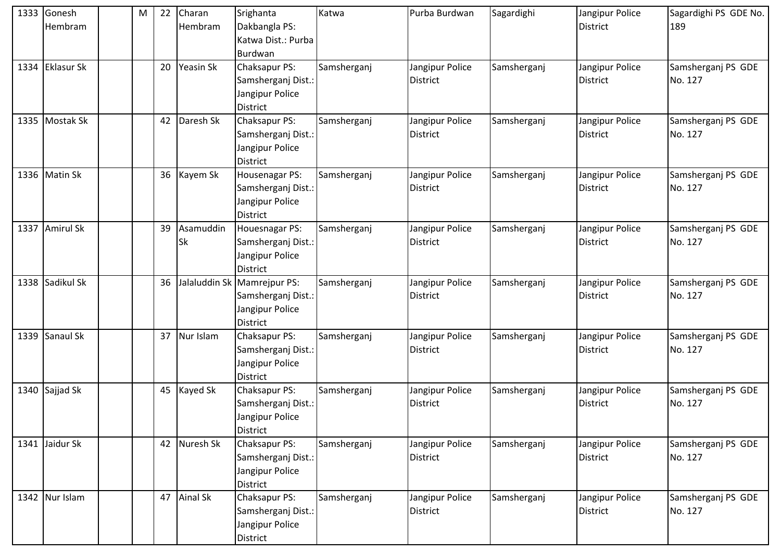| 1333 | Gonesh<br>Hembram | M | 22 | Charan<br>Hembram      | Srighanta<br>Dakbangla PS:<br>Katwa Dist.: Purba<br>Burdwan                             | Katwa       | Purba Burdwan                      | Sagardighi  | Jangipur Police<br><b>District</b> | Sagardighi PS GDE No.<br>189  |
|------|-------------------|---|----|------------------------|-----------------------------------------------------------------------------------------|-------------|------------------------------------|-------------|------------------------------------|-------------------------------|
|      | 1334 Eklasur Sk   |   | 20 | Yeasin Sk              | Chaksapur PS:<br>Samsherganj Dist.:<br>Jangipur Police<br><b>District</b>               | Samsherganj | Jangipur Police<br><b>District</b> | Samsherganj | Jangipur Police<br><b>District</b> | Samsherganj PS GDE<br>No. 127 |
| 1335 | Mostak Sk         |   | 42 | Daresh Sk              | Chaksapur PS:<br>Samsherganj Dist.:<br>Jangipur Police<br><b>District</b>               | Samsherganj | Jangipur Police<br><b>District</b> | Samsherganj | Jangipur Police<br><b>District</b> | Samsherganj PS GDE<br>No. 127 |
| 1336 | Matin Sk          |   | 36 | Kayem Sk               | Housenagar PS:<br>Samsherganj Dist.:<br>Jangipur Police<br><b>District</b>              | Samsherganj | Jangipur Police<br><b>District</b> | Samsherganj | Jangipur Police<br><b>District</b> | Samsherganj PS GDE<br>No. 127 |
|      | 1337 Amirul Sk    |   | 39 | Asamuddin<br><b>Sk</b> | <b>Houesnagar PS:</b><br>Samsherganj Dist.:<br>Jangipur Police<br><b>District</b>       | Samsherganj | Jangipur Police<br><b>District</b> | Samsherganj | Jangipur Police<br><b>District</b> | Samsherganj PS GDE<br>No. 127 |
|      | 1338 Sadikul Sk   |   | 36 |                        | Jalaluddin Sk Mamrejpur PS:<br>Samsherganj Dist.:<br>Jangipur Police<br><b>District</b> | Samsherganj | Jangipur Police<br><b>District</b> | Samsherganj | Jangipur Police<br><b>District</b> | Samsherganj PS GDE<br>No. 127 |
|      | 1339 Sanaul Sk    |   | 37 | Nur Islam              | Chaksapur PS:<br>Samsherganj Dist.:<br>Jangipur Police<br><b>District</b>               | Samsherganj | Jangipur Police<br><b>District</b> | Samsherganj | Jangipur Police<br><b>District</b> | Samsherganj PS GDE<br>No. 127 |
|      | 1340 Sajjad Sk    |   | 45 | Kayed Sk               | Chaksapur PS:<br>Samsherganj Dist.:<br>Jangipur Police<br><b>District</b>               | Samsherganj | Jangipur Police<br><b>District</b> | Samsherganj | Jangipur Police<br><b>District</b> | Samsherganj PS GDE<br>No. 127 |
|      | 1341 Jaidur Sk    |   |    | 42 Nuresh Sk           | Chaksapur PS:<br>Samsherganj Dist.:<br>Jangipur Police<br><b>District</b>               | Samsherganj | Jangipur Police<br><b>District</b> | Samsherganj | Jangipur Police<br><b>District</b> | Samsherganj PS GDE<br>No. 127 |
|      | 1342 Nur Islam    |   | 47 | <b>Ainal Sk</b>        | Chaksapur PS:<br>Samsherganj Dist.:<br>Jangipur Police<br>District                      | Samsherganj | Jangipur Police<br><b>District</b> | Samsherganj | Jangipur Police<br><b>District</b> | Samsherganj PS GDE<br>No. 127 |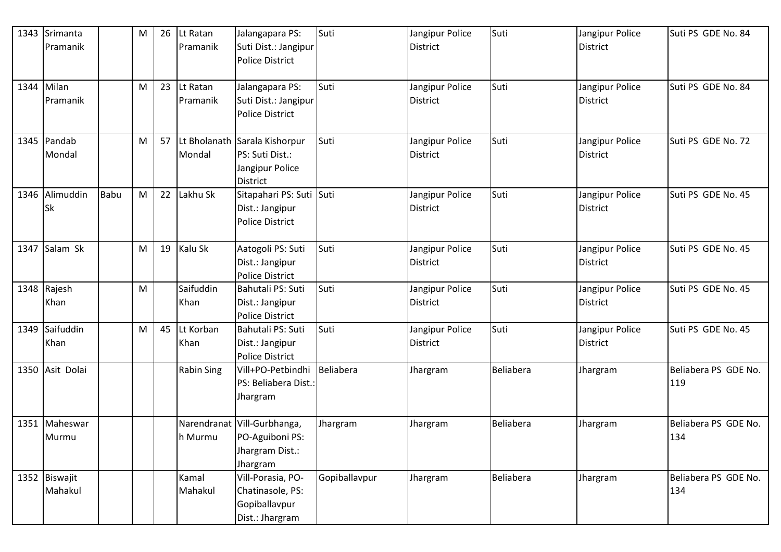|      | 1343 Srimanta<br>Pramanik |             | M | 26 | Lt Ratan<br>Pramanik | Jalangapara PS:<br>Suti Dist.: Jangipur<br><b>Police District</b>                      | Suti          | Jangipur Police<br><b>District</b> | Suti      | Jangipur Police<br><b>District</b> | Suti PS GDE No. 84          |
|------|---------------------------|-------------|---|----|----------------------|----------------------------------------------------------------------------------------|---------------|------------------------------------|-----------|------------------------------------|-----------------------------|
|      | 1344 Milan<br>Pramanik    |             | M | 23 | Lt Ratan<br>Pramanik | Jalangapara PS:<br>Suti Dist.: Jangipur<br><b>Police District</b>                      | Suti          | Jangipur Police<br><b>District</b> | Suti      | Jangipur Police<br><b>District</b> | Suti PS GDE No. 84          |
|      | 1345 Pandab<br>Mondal     |             | M | 57 | Mondal               | Lt Bholanath Sarala Kishorpur<br>PS: Suti Dist.:<br>Jangipur Police<br><b>District</b> | Suti          | Jangipur Police<br><b>District</b> | Suti      | Jangipur Police<br><b>District</b> | Suti PS GDE No. 72          |
|      | 1346 Alimuddin<br>Sk      | <b>Babu</b> | M | 22 | Lakhu Sk             | Sitapahari PS: Suti Suti<br>Dist.: Jangipur<br><b>Police District</b>                  |               | Jangipur Police<br><b>District</b> | Suti      | Jangipur Police<br><b>District</b> | Suti PS GDE No. 45          |
| 1347 | Salam Sk                  |             | M | 19 | Kalu Sk              | Aatogoli PS: Suti<br>Dist.: Jangipur<br><b>Police District</b>                         | Suti          | Jangipur Police<br><b>District</b> | Suti      | Jangipur Police<br><b>District</b> | Suti PS GDE No. 45          |
|      | 1348 Rajesh<br>Khan       |             | M |    | Saifuddin<br>Khan    | Bahutali PS: Suti<br>Dist.: Jangipur<br><b>Police District</b>                         | Suti          | Jangipur Police<br><b>District</b> | Suti      | Jangipur Police<br><b>District</b> | Suti PS GDE No. 45          |
|      | 1349 Saifuddin<br>Khan    |             | M | 45 | Lt Korban<br>Khan    | Bahutali PS: Suti<br>Dist.: Jangipur<br><b>Police District</b>                         | Suti          | Jangipur Police<br><b>District</b> | Suti      | Jangipur Police<br><b>District</b> | Suti PS GDE No. 45          |
|      | 1350 Asit Dolai           |             |   |    | <b>Rabin Sing</b>    | Vill+PO-Petbindhi Beliabera<br>PS: Beliabera Dist.:<br>Jhargram                        |               | Jhargram                           | Beliabera | Jhargram                           | Beliabera PS GDE No.<br>119 |
|      | 1351 Maheswar<br>Murmu    |             |   |    | h Murmu              | Narendranat Vill-Gurbhanga,<br>PO-Aguiboni PS:<br>Jhargram Dist.:<br>Jhargram          | Jhargram      | Jhargram                           | Beliabera | Jhargram                           | Beliabera PS GDE No.<br>134 |
|      | 1352 Biswajit<br>Mahakul  |             |   |    | Kamal<br>Mahakul     | Vill-Porasia, PO-<br>Chatinasole, PS:<br>Gopiballavpur<br>Dist.: Jhargram              | Gopiballavpur | Jhargram                           | Beliabera | Jhargram                           | Beliabera PS GDE No.<br>134 |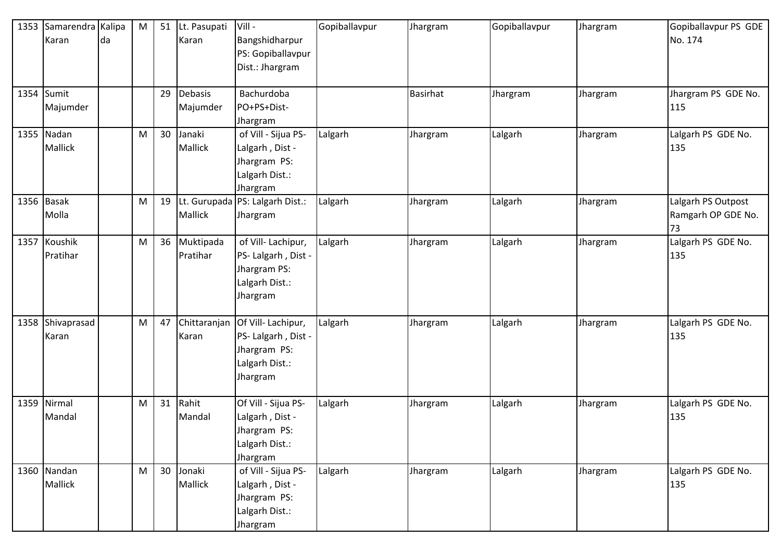| 1353 | Samarendra Kalipa<br>Karan   | da | M | 51 | Lt. Pasupati<br>Karan | Vill-<br>Bangshidharpur                                                                | Gopiballavpur | Jhargram        | Gopiballavpur | Jhargram | Gopiballavpur PS GDE<br>No. 174                |
|------|------------------------------|----|---|----|-----------------------|----------------------------------------------------------------------------------------|---------------|-----------------|---------------|----------|------------------------------------------------|
|      |                              |    |   |    |                       | PS: Gopiballavpur<br>Dist.: Jhargram                                                   |               |                 |               |          |                                                |
| 1354 | Sumit<br>Majumder            |    |   | 29 | Debasis<br>Majumder   | Bachurdoba<br>PO+PS+Dist-<br>Jhargram                                                  |               | <b>Basirhat</b> | Jhargram      | Jhargram | Jhargram PS GDE No.<br>115                     |
|      | 1355 Nadan<br><b>Mallick</b> |    | M | 30 | Janaki<br>Mallick     | of Vill - Sijua PS-<br>Lalgarh, Dist -<br>Jhargram PS:<br>Lalgarh Dist.:<br>Jhargram   | Lalgarh       | Jhargram        | Lalgarh       | Jhargram | Lalgarh PS GDE No.<br>135                      |
|      | 1356 Basak<br>Molla          |    | M | 19 | Mallick               | Lt. Gurupada PS: Lalgarh Dist.:<br>Jhargram                                            | Lalgarh       | Jhargram        | Lalgarh       | Jhargram | Lalgarh PS Outpost<br>Ramgarh OP GDE No.<br>73 |
| 1357 | Koushik<br>Pratihar          |    | M | 36 | Muktipada<br>Pratihar | of Vill-Lachipur,<br>PS- Lalgarh, Dist -<br>Jhargram PS:<br>Lalgarh Dist.:<br>Jhargram | Lalgarh       | Jhargram        | Lalgarh       | Jhargram | Lalgarh PS GDE No.<br>135                      |
| 1358 | Shivaprasad<br>Karan         |    | M | 47 | Chittaranjan<br>Karan | Of Vill-Lachipur,<br>PS- Lalgarh, Dist -<br>Jhargram PS:<br>Lalgarh Dist.:<br>Jhargram | Lalgarh       | Jhargram        | Lalgarh       | Jhargram | Lalgarh PS GDE No.<br>135                      |
| 1359 | Nirmal<br>Mandal             |    | M | 31 | Rahit<br>Mandal       | Of Vill - Sijua PS-<br>Lalgarh, Dist -<br>Jhargram PS:<br>Lalgarh Dist.:<br>Jhargram   | Lalgarh       | Jhargram        | Lalgarh       | Jhargram | Lalgarh PS GDE No.<br>135                      |
|      | 1360 Nandan<br>Mallick       |    | M | 30 | Jonaki<br>Mallick     | of Vill - Sijua PS-<br>Lalgarh, Dist -<br>Jhargram PS:<br>Lalgarh Dist.:<br>Jhargram   | Lalgarh       | Jhargram        | Lalgarh       | Jhargram | Lalgarh PS GDE No.<br>135                      |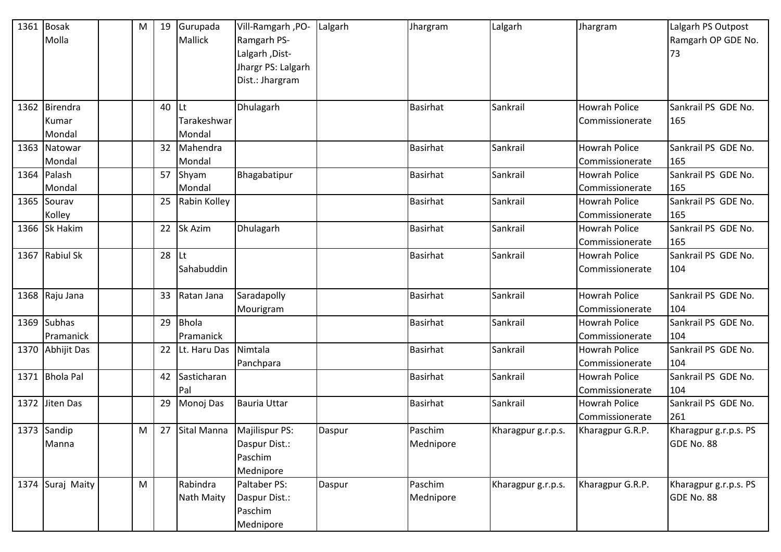| 1361 | Bosak<br>Molla                   | M | 19 | Gurupada<br>Mallick         | Vill-Ramgarh, PO-<br>Ramgarh PS-<br>Lalgarh, Dist-<br>Jhargr PS: Lalgarh<br>Dist.: Jhargram | Lalgarh | Jhargram             | Lalgarh            | Jhargram                                | Lalgarh PS Outpost<br>Ramgarh OP GDE No.<br>73 |
|------|----------------------------------|---|----|-----------------------------|---------------------------------------------------------------------------------------------|---------|----------------------|--------------------|-----------------------------------------|------------------------------------------------|
|      | 1362 Birendra<br>Kumar<br>Mondal |   | 40 | Lt<br>Tarakeshwar<br>Mondal | Dhulagarh                                                                                   |         | <b>Basirhat</b>      | Sankrail           | <b>Howrah Police</b><br>Commissionerate | Sankrail PS GDE No.<br>165                     |
| 1363 | Natowar<br>Mondal                |   | 32 | Mahendra<br>Mondal          |                                                                                             |         | <b>Basirhat</b>      | Sankrail           | <b>Howrah Police</b><br>Commissionerate | Sankrail PS GDE No.<br>165                     |
|      | 1364 Palash<br>Mondal            |   | 57 | Shyam<br>Mondal             | Bhagabatipur                                                                                |         | <b>Basirhat</b>      | Sankrail           | <b>Howrah Police</b><br>Commissionerate | Sankrail PS GDE No.<br>165                     |
|      | 1365 Sourav<br>Kolley            |   | 25 | Rabin Kolley                |                                                                                             |         | <b>Basirhat</b>      | Sankrail           | <b>Howrah Police</b><br>Commissionerate | Sankrail PS GDE No.<br>165                     |
|      | 1366 Sk Hakim                    |   | 22 | Sk Azim                     | Dhulagarh                                                                                   |         | <b>Basirhat</b>      | Sankrail           | <b>Howrah Police</b><br>Commissionerate | Sankrail PS GDE No.<br>165                     |
| 1367 | <b>Rabiul Sk</b>                 |   | 28 | Lt<br>Sahabuddin            |                                                                                             |         | <b>Basirhat</b>      | Sankrail           | <b>Howrah Police</b><br>Commissionerate | Sankrail PS GDE No.<br>104                     |
|      | 1368 Raju Jana                   |   | 33 | Ratan Jana                  | Saradapolly<br>Mourigram                                                                    |         | <b>Basirhat</b>      | Sankrail           | <b>Howrah Police</b><br>Commissionerate | Sankrail PS GDE No.<br>104                     |
| 1369 | <b>Subhas</b><br>Pramanick       |   | 29 | <b>Bhola</b><br>Pramanick   |                                                                                             |         | <b>Basirhat</b>      | Sankrail           | <b>Howrah Police</b><br>Commissionerate | Sankrail PS GDE No.<br>104                     |
|      | 1370 Abhijit Das                 |   | 22 | Lt. Haru Das                | Nimtala<br>Panchpara                                                                        |         | <b>Basirhat</b>      | Sankrail           | <b>Howrah Police</b><br>Commissionerate | Sankrail PS GDE No.<br>104                     |
| 1371 | <b>Bhola Pal</b>                 |   | 42 | Sasticharan<br>Pal          |                                                                                             |         | <b>Basirhat</b>      | Sankrail           | <b>Howrah Police</b><br>Commissionerate | Sankrail PS GDE No.<br>104                     |
|      | 1372 Jiten Das                   |   | 29 | Monoj Das                   | <b>Bauria Uttar</b>                                                                         |         | <b>Basirhat</b>      | Sankrail           | <b>Howrah Police</b><br>Commissionerate | Sankrail PS GDE No.<br>261                     |
|      | 1373 Sandip<br>Manna             | M |    |                             | 27 Sital Manna Majilispur PS:<br>Daspur Dist.:<br>Paschim<br>Mednipore                      | Daspur  | Paschim<br>Mednipore | Kharagpur g.r.p.s. | Kharagpur G.R.P.                        | Kharagpur g.r.p.s. PS<br>GDE No. 88            |
|      | 1374 Suraj Maity                 | M |    | Rabindra<br>Nath Maity      | Paltaber PS:<br>Daspur Dist.:<br>Paschim<br>Mednipore                                       | Daspur  | Paschim<br>Mednipore | Kharagpur g.r.p.s. | Kharagpur G.R.P.                        | Kharagpur g.r.p.s. PS<br>GDE No. 88            |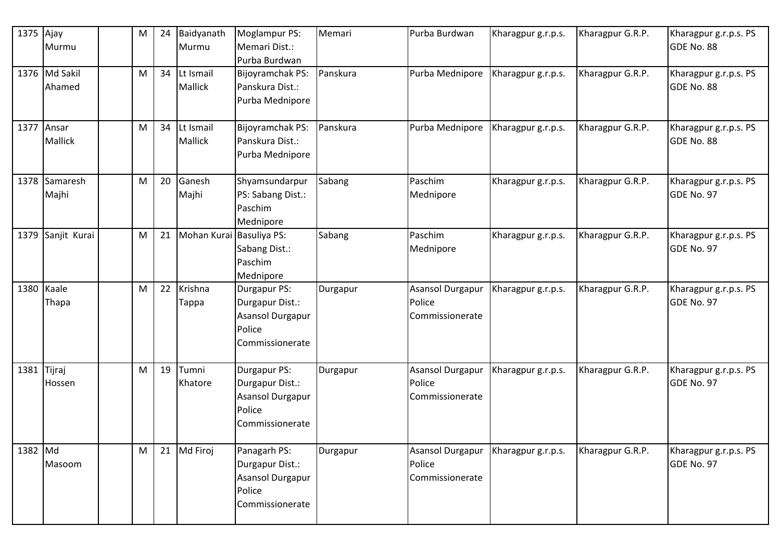| 1375        | Ajay<br>Murmu           | M | 24 | Baidyanath<br>Murmu         | Moglampur PS:<br>Memari Dist.:<br>Purba Burdwan                                         | Memari   | Purba Burdwan                                 | Kharagpur g.r.p.s. | Kharagpur G.R.P. | Kharagpur g.r.p.s. PS<br>GDE No. 88 |
|-------------|-------------------------|---|----|-----------------------------|-----------------------------------------------------------------------------------------|----------|-----------------------------------------------|--------------------|------------------|-------------------------------------|
|             | 1376 Md Sakil<br>Ahamed | M | 34 | Lt Ismail<br><b>Mallick</b> | Bijoyramchak PS:<br>Panskura Dist.:<br>Purba Mednipore                                  | Panskura | Purba Mednipore                               | Kharagpur g.r.p.s. | Kharagpur G.R.P. | Kharagpur g.r.p.s. PS<br>GDE No. 88 |
| 1377        | Ansar<br><b>Mallick</b> | M | 34 | Lt Ismail<br><b>Mallick</b> | Bijoyramchak PS:<br>Panskura Dist.:<br>Purba Mednipore                                  | Panskura | Purba Mednipore                               | Kharagpur g.r.p.s. | Kharagpur G.R.P. | Kharagpur g.r.p.s. PS<br>GDE No. 88 |
|             | 1378 Samaresh<br>Majhi  | M | 20 | Ganesh<br>Majhi             | Shyamsundarpur<br>PS: Sabang Dist.:<br>Paschim<br>Mednipore                             | Sabang   | Paschim<br>Mednipore                          | Kharagpur g.r.p.s. | Kharagpur G.R.P. | Kharagpur g.r.p.s. PS<br>GDE No. 97 |
| 1379        | Sanjit Kurai            | M | 21 | Mohan Kurai Basuliya PS:    | Sabang Dist.:<br>Paschim<br>Mednipore                                                   | Sabang   | Paschim<br>Mednipore                          | Kharagpur g.r.p.s. | Kharagpur G.R.P. | Kharagpur g.r.p.s. PS<br>GDE No. 97 |
| 1380 Kaale  | Thapa                   | M | 22 | Krishna<br>Гарра            | Durgapur PS:<br>Durgapur Dist.:<br>Asansol Durgapur<br>Police<br>Commissionerate        | Durgapur | Asansol Durgapur<br>Police<br>Commissionerate | Kharagpur g.r.p.s. | Kharagpur G.R.P. | Kharagpur g.r.p.s. PS<br>GDE No. 97 |
| 1381 Tijraj | Hossen                  | M | 19 | Tumni<br>Khatore            | Durgapur PS:<br>Durgapur Dist.:<br><b>Asansol Durgapur</b><br>Police<br>Commissionerate | Durgapur | Asansol Durgapur<br>Police<br>Commissionerate | Kharagpur g.r.p.s. | Kharagpur G.R.P. | Kharagpur g.r.p.s. PS<br>GDE No. 97 |
| 1382 Md     | Masoom                  | M | 21 | Md Firoj                    | Panagarh PS:<br>Durgapur Dist.:<br>Asansol Durgapur<br>Police<br>Commissionerate        | Durgapur | Asansol Durgapur<br>Police<br>Commissionerate | Kharagpur g.r.p.s. | Kharagpur G.R.P. | Kharagpur g.r.p.s. PS<br>GDE No. 97 |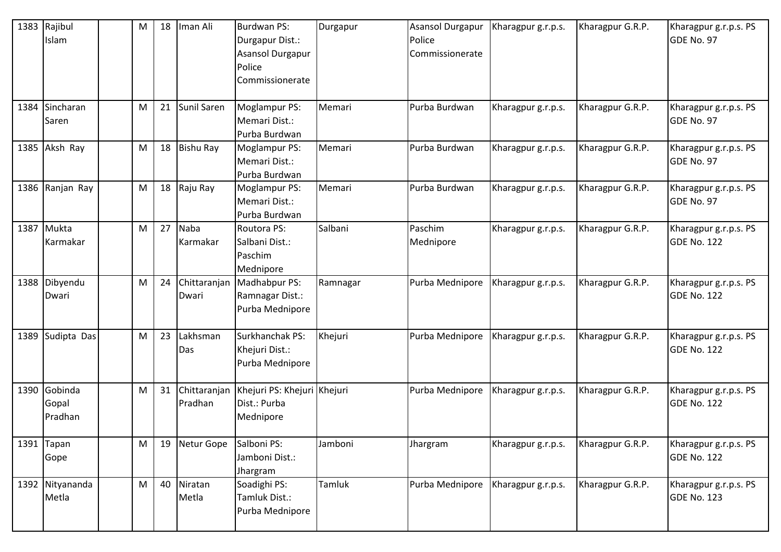| 1383 | Rajibul<br>Islam            | M | 18 | Iman Ali                | <b>Burdwan PS:</b><br>Durgapur Dist.:<br><b>Asansol Durgapur</b><br>Police<br>Commissionerate | Durgapur | <b>Asansol Durgapur</b><br>Police<br>Commissionerate | Kharagpur g.r.p.s. | Kharagpur G.R.P. | Kharagpur g.r.p.s. PS<br>GDE No. 97         |
|------|-----------------------------|---|----|-------------------------|-----------------------------------------------------------------------------------------------|----------|------------------------------------------------------|--------------------|------------------|---------------------------------------------|
| 1384 | Sincharan<br>Saren          | M | 21 | Sunil Saren             | Moglampur PS:<br>Memari Dist.:<br>Purba Burdwan                                               | Memari   | Purba Burdwan                                        | Kharagpur g.r.p.s. | Kharagpur G.R.P. | Kharagpur g.r.p.s. PS<br>GDE No. 97         |
| 1385 | Aksh Ray                    | M | 18 | <b>Bishu Ray</b>        | <b>Moglampur PS:</b><br>Memari Dist.:<br>Purba Burdwan                                        | Memari   | Purba Burdwan                                        | Kharagpur g.r.p.s. | Kharagpur G.R.P. | Kharagpur g.r.p.s. PS<br>GDE No. 97         |
| 1386 | Ranjan Ray                  | M | 18 | Raju Ray                | <b>Moglampur PS:</b><br>Memari Dist.:<br>Purba Burdwan                                        | Memari   | Purba Burdwan                                        | Kharagpur g.r.p.s. | Kharagpur G.R.P. | Kharagpur g.r.p.s. PS<br>GDE No. 97         |
| 1387 | Mukta<br>Karmakar           | M | 27 | <b>Naba</b><br>Karmakar | Routora PS:<br>Salbani Dist.:<br>Paschim<br>Mednipore                                         | Salbani  | Paschim<br>Mednipore                                 | Kharagpur g.r.p.s. | Kharagpur G.R.P. | Kharagpur g.r.p.s. PS<br>GDE No. 122        |
|      | 1388 Dibyendu<br>Dwari      | M | 24 | Chittaranjan<br>Dwari   | Madhabpur PS:<br>Ramnagar Dist.:<br>Purba Mednipore                                           | Ramnagar | Purba Mednipore                                      | Kharagpur g.r.p.s. | Kharagpur G.R.P. | Kharagpur g.r.p.s. PS<br>GDE No. 122        |
| 1389 | Sudipta Das                 | M | 23 | Lakhsman<br>Das         | Surkhanchak PS:<br>Khejuri Dist.:<br>Purba Mednipore                                          | Khejuri  | Purba Mednipore                                      | Kharagpur g.r.p.s. | Kharagpur G.R.P. | Kharagpur g.r.p.s. PS<br>GDE No. 122        |
| 1390 | Gobinda<br>Gopal<br>Pradhan | M | 31 | Chittaranjan<br>Pradhan | Khejuri PS: Khejuri Khejuri<br>Dist.: Purba<br>Mednipore                                      |          | Purba Mednipore                                      | Kharagpur g.r.p.s. | Kharagpur G.R.P. | Kharagpur g.r.p.s. PS<br>GDE No. 122        |
| 1391 | Tapan<br>Gope               | M | 19 | Netur Gope              | Salboni PS:<br>Jamboni Dist.:<br>Jhargram                                                     | Jamboni  | Jhargram                                             | Kharagpur g.r.p.s. | Kharagpur G.R.P. | Kharagpur g.r.p.s. PS<br><b>GDE No. 122</b> |
|      | 1392 Nityananda<br>Metla    | M | 40 | Niratan<br>Metla        | Soadighi PS:<br>Tamluk Dist.:<br>Purba Mednipore                                              | Tamluk   | Purba Mednipore                                      | Kharagpur g.r.p.s. | Kharagpur G.R.P. | Kharagpur g.r.p.s. PS<br><b>GDE No. 123</b> |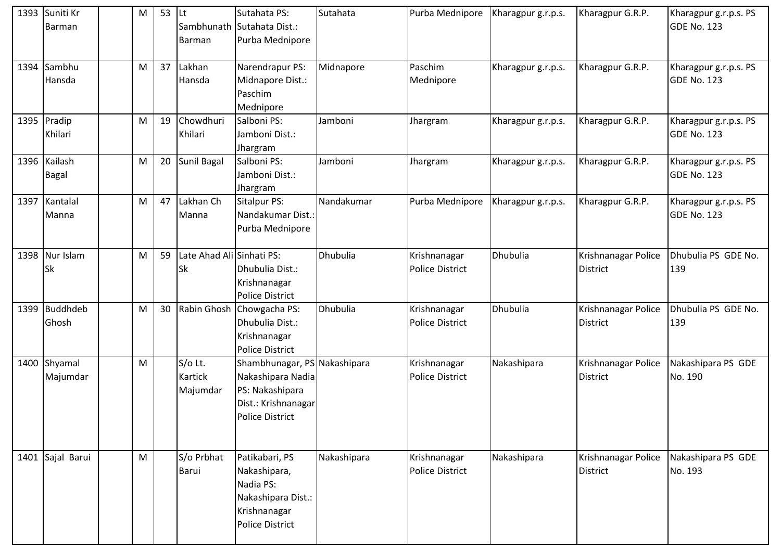|      | 1393 Suniti Kr   | M | 53 | lLt                      | Sutahata PS:                 | Sutahata    | Purba Mednipore        | Kharagpur g.r.p.s. | Kharagpur G.R.P.    | Kharagpur g.r.p.s. PS |
|------|------------------|---|----|--------------------------|------------------------------|-------------|------------------------|--------------------|---------------------|-----------------------|
|      | Barman           |   |    |                          | Sambhunath Sutahata Dist.:   |             |                        |                    |                     | GDE No. 123           |
|      |                  |   |    | <b>Barman</b>            | Purba Mednipore              |             |                        |                    |                     |                       |
|      | 1394 Sambhu      | M | 37 | Lakhan                   | Narendrapur PS:              | Midnapore   | Paschim                | Kharagpur g.r.p.s. | Kharagpur G.R.P.    | Kharagpur g.r.p.s. PS |
|      | Hansda           |   |    | Hansda                   | Midnapore Dist.:             |             | Mednipore              |                    |                     | <b>GDE No. 123</b>    |
|      |                  |   |    |                          | Paschim                      |             |                        |                    |                     |                       |
|      |                  |   |    |                          | Mednipore                    |             |                        |                    |                     |                       |
|      | 1395 Pradip      | M | 19 | Chowdhuri                | Salboni PS:                  | Jamboni     | Jhargram               | Kharagpur g.r.p.s. | Kharagpur G.R.P.    | Kharagpur g.r.p.s. PS |
|      | Khilari          |   |    | Khilari                  | Jamboni Dist.:               |             |                        |                    |                     | <b>GDE No. 123</b>    |
|      |                  |   |    |                          | Jhargram                     |             |                        |                    |                     |                       |
|      | 1396 Kailash     | M | 20 | Sunil Bagal              | Salboni PS:                  | Jamboni     | Jhargram               | Kharagpur g.r.p.s. | Kharagpur G.R.P.    | Kharagpur g.r.p.s. PS |
|      | <b>Bagal</b>     |   |    |                          | Jamboni Dist.:               |             |                        |                    |                     | <b>GDE No. 123</b>    |
|      |                  |   |    |                          | Jhargram                     |             |                        |                    |                     |                       |
|      | 1397 Kantalal    | M | 47 | Lakhan Ch                | <b>Sitalpur PS:</b>          | Nandakumar  | Purba Mednipore        | Kharagpur g.r.p.s. | Kharagpur G.R.P.    | Kharagpur g.r.p.s. PS |
|      | Manna            |   |    | Manna                    | Nandakumar Dist.:            |             |                        |                    |                     | GDE No. 123           |
|      |                  |   |    |                          | Purba Mednipore              |             |                        |                    |                     |                       |
|      | 1398 Nur Islam   | M | 59 | ate Ahad Ali Sinhati PS: |                              | Dhubulia    | Krishnanagar           | Dhubulia           | Krishnanagar Police | Dhubulia PS GDE No.   |
|      | Sk               |   |    | <b>Sk</b>                | Dhubulia Dist.:              |             | <b>Police District</b> |                    | <b>District</b>     | 139                   |
|      |                  |   |    |                          | Krishnanagar                 |             |                        |                    |                     |                       |
|      |                  |   |    |                          | <b>Police District</b>       |             |                        |                    |                     |                       |
| 1399 | <b>Buddhdeb</b>  | M | 30 |                          | Rabin Ghosh Chowgacha PS:    | Dhubulia    | Krishnanagar           | Dhubulia           | Krishnanagar Police | Dhubulia PS GDE No.   |
|      | Ghosh            |   |    |                          | Dhubulia Dist.:              |             | <b>Police District</b> |                    | <b>District</b>     | 139                   |
|      |                  |   |    |                          | Krishnanagar                 |             |                        |                    |                     |                       |
|      |                  |   |    |                          | <b>Police District</b>       |             |                        |                    |                     |                       |
|      | 1400 Shyamal     | M |    | S/o Lt.                  | Shambhunagar, PS Nakashipara |             | Krishnanagar           | Nakashipara        | Krishnanagar Police | Nakashipara PS GDE    |
|      | Majumdar         |   |    | <b>Kartick</b>           | Nakashipara Nadia            |             | <b>Police District</b> |                    | <b>District</b>     | No. 190               |
|      |                  |   |    | Majumdar                 | PS: Nakashipara              |             |                        |                    |                     |                       |
|      |                  |   |    |                          | Dist.: Krishnanagar          |             |                        |                    |                     |                       |
|      |                  |   |    |                          | <b>Police District</b>       |             |                        |                    |                     |                       |
|      |                  |   |    |                          |                              |             |                        |                    |                     |                       |
|      | 1401 Sajal Barui | M |    | S/o Prbhat               | Patikabari, PS               | Nakashipara | Krishnanagar           | Nakashipara        | Krishnanagar Police | Nakashipara PS GDE    |
|      |                  |   |    | Barui                    | Nakashipara,                 |             | <b>Police District</b> |                    | <b>District</b>     | No. 193               |
|      |                  |   |    |                          | Nadia PS:                    |             |                        |                    |                     |                       |
|      |                  |   |    |                          | Nakashipara Dist.:           |             |                        |                    |                     |                       |
|      |                  |   |    |                          | Krishnanagar                 |             |                        |                    |                     |                       |
|      |                  |   |    |                          | <b>Police District</b>       |             |                        |                    |                     |                       |
|      |                  |   |    |                          |                              |             |                        |                    |                     |                       |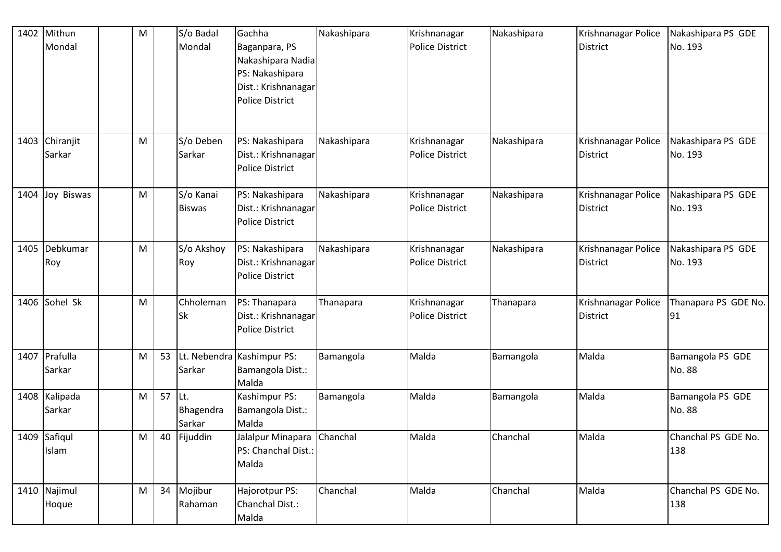| 1402 | Mithun<br>Mondal         | M |    | S/o Badal<br>Mondal        | Gachha<br>Baganpara, PS<br>Nakashipara Nadia<br>PS: Nakashipara<br>Dist.: Krishnanagar<br><b>Police District</b> | Nakashipara | Krishnanagar<br><b>Police District</b> | Nakashipara | Krishnanagar Police<br><b>District</b> | Nakashipara PS GDE<br>No. 193 |
|------|--------------------------|---|----|----------------------------|------------------------------------------------------------------------------------------------------------------|-------------|----------------------------------------|-------------|----------------------------------------|-------------------------------|
|      | 1403 Chiranjit<br>Sarkar | M |    | S/o Deben<br>Sarkar        | PS: Nakashipara<br>Dist.: Krishnanagar<br><b>Police District</b>                                                 | Nakashipara | Krishnanagar<br><b>Police District</b> | Nakashipara | Krishnanagar Police<br><b>District</b> | Nakashipara PS GDE<br>No. 193 |
| 1404 | Joy Biswas               | M |    | S/o Kanai<br><b>Biswas</b> | PS: Nakashipara<br>Dist.: Krishnanagar<br><b>Police District</b>                                                 | Nakashipara | Krishnanagar<br><b>Police District</b> | Nakashipara | Krishnanagar Police<br><b>District</b> | Nakashipara PS GDE<br>No. 193 |
| 1405 | Debkumar<br>Roy          | M |    | S/o Akshoy<br>Roy          | PS: Nakashipara<br>Dist.: Krishnanagar<br><b>Police District</b>                                                 | Nakashipara | Krishnanagar<br><b>Police District</b> | Nakashipara | Krishnanagar Police<br><b>District</b> | Nakashipara PS GDE<br>No. 193 |
|      | 1406 Sohel Sk            | M |    | Chholeman<br><b>Sk</b>     | PS: Thanapara<br>Dist.: Krishnanagar<br><b>Police District</b>                                                   | Thanapara   | Krishnanagar<br><b>Police District</b> | Thanapara   | Krishnanagar Police<br><b>District</b> | Thanapara PS GDE No.<br>91    |
|      | 1407 Prafulla<br>Sarkar  | M | 53 | Sarkar                     | Lt. Nebendra Kashimpur PS:<br>Bamangola Dist.:<br>Malda                                                          | Bamangola   | Malda                                  | Bamangola   | Malda                                  | Bamangola PS GDE<br>No. 88    |
|      | 1408 Kalipada<br>Sarkar  | M | 57 | Lt.<br>Bhagendra<br>Sarkar | Kashimpur PS:<br>Bamangola Dist.:<br>Malda                                                                       | Bamangola   | Malda                                  | Bamangola   | Malda                                  | Bamangola PS GDE<br>No. 88    |
|      | 1409 Safiqul<br>Islam    | M | 40 | Fijuddin                   | Jalalpur Minapara Chanchal<br>PS: Chanchal Dist.:<br>Malda                                                       |             | Malda                                  | Chanchal    | Malda                                  | Chanchal PS GDE No.<br>138    |
|      | 1410 Najimul<br>Hoque    | M | 34 | Mojibur<br>Rahaman         | Hajorotpur PS:<br>Chanchal Dist.:<br>Malda                                                                       | Chanchal    | Malda                                  | Chanchal    | Malda                                  | Chanchal PS GDE No.<br>138    |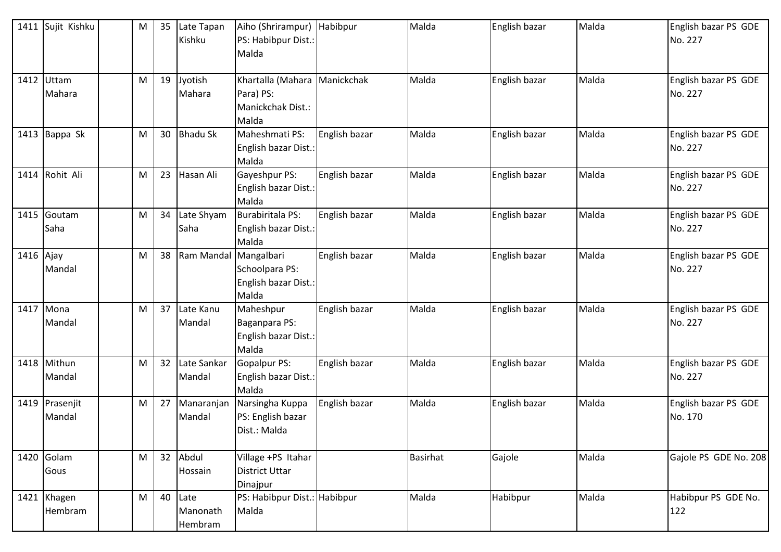|           | 1411 Sujit Kishku        | M | 35 | Late Tapan<br>Kishku        | Aiho (Shrirampur) Habibpur<br>PS: Habibpur Dist.:<br>Malda              |               | Malda           | English bazar | Malda | English bazar PS GDE<br>No. 227 |
|-----------|--------------------------|---|----|-----------------------------|-------------------------------------------------------------------------|---------------|-----------------|---------------|-------|---------------------------------|
|           | 1412 Uttam<br>Mahara     | M | 19 | Jyotish<br>Mahara           | Khartalla (Mahara Manickchak<br>Para) PS:<br>Manickchak Dist.:<br>Malda |               | Malda           | English bazar | Malda | English bazar PS GDE<br>No. 227 |
|           | 1413 Bappa Sk            | M | 30 | <b>Bhadu Sk</b>             | Maheshmati PS:<br>English bazar Dist.:<br>Malda                         | English bazar | Malda           | English bazar | Malda | English bazar PS GDE<br>No. 227 |
|           | 1414 Rohit Ali           | M | 23 | Hasan Ali                   | Gayeshpur PS:<br>English bazar Dist.:<br>Malda                          | English bazar | Malda           | English bazar | Malda | English bazar PS GDE<br>No. 227 |
|           | 1415 Goutam<br>Saha      | M | 34 | Late Shyam<br>Saha          | <b>Burabiritala PS:</b><br>English bazar Dist.:<br>Malda                | English bazar | Malda           | English bazar | Malda | English bazar PS GDE<br>No. 227 |
| 1416 Ajay | Mandal                   | M | 38 | Ram Mandal Mangalbari       | Schoolpara PS:<br>English bazar Dist.:<br>Malda                         | English bazar | Malda           | English bazar | Malda | English bazar PS GDE<br>No. 227 |
|           | 1417 Mona<br>Mandal      | M | 37 | Late Kanu<br>Mandal         | Maheshpur<br>Baganpara PS:<br>English bazar Dist.:<br>Malda             | English bazar | Malda           | English bazar | Malda | English bazar PS GDE<br>No. 227 |
|           | 1418 Mithun<br>Mandal    | M | 32 | Late Sankar<br>Mandal       | <b>Gopalpur PS:</b><br>English bazar Dist.:<br>Malda                    | English bazar | Malda           | English bazar | Malda | English bazar PS GDE<br>No. 227 |
|           | 1419 Prasenjit<br>Mandal | M | 27 | Manaranjan<br>Mandal        | Narsingha Kuppa<br>PS: English bazar<br>Dist.: Malda                    | English bazar | Malda           | English bazar | Malda | English bazar PS GDE<br>No. 170 |
|           | 1420 Golam<br>Gous       | M | 32 | Abdul<br>Hossain            | Village +PS Itahar<br><b>District Uttar</b><br>Dinajpur                 |               | <b>Basirhat</b> | Gajole        | Malda | Gajole PS GDE No. 208           |
|           | 1421 Khagen<br>Hembram   | M | 40 | Late<br>Manonath<br>Hembram | PS: Habibpur Dist.: Habibpur<br>Malda                                   |               | Malda           | Habibpur      | Malda | Habibpur PS GDE No.<br>122      |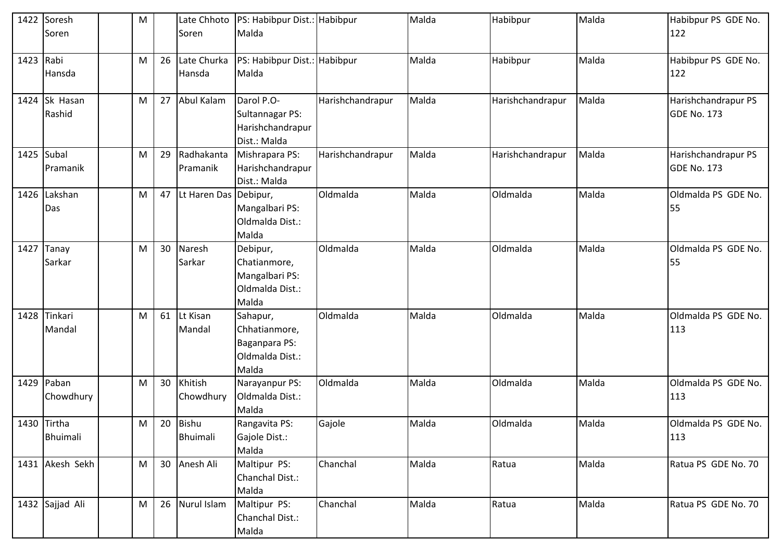| 1422 | Soresh                  | M |    |                          | Late Chhoto  PS: Habibpur Dist.: Habibpur                                |                  | Malda | Habibpur         | Malda | Habibpur PS GDE No.                       |
|------|-------------------------|---|----|--------------------------|--------------------------------------------------------------------------|------------------|-------|------------------|-------|-------------------------------------------|
|      | Soren                   |   |    | Soren                    | Malda                                                                    |                  |       |                  |       | 122                                       |
| 1423 | Rabi<br>Hansda          | M | 26 | Late Churka<br>Hansda    | PS: Habibpur Dist.: Habibpur<br>Malda                                    |                  | Malda | Habibpur         | Malda | Habibpur PS GDE No.<br>122                |
| 1424 | Sk Hasan<br>Rashid      | M | 27 | <b>Abul Kalam</b>        | Darol P.O-<br><b>Sultannagar PS:</b><br>Harishchandrapur<br>Dist.: Malda | Harishchandrapur | Malda | Harishchandrapur | Malda | Harishchandrapur PS<br>GDE No. 173        |
|      | 1425 Subal<br>Pramanik  | M | 29 | Radhakanta<br>Pramanik   | Mishrapara PS:<br>Harishchandrapur<br>Dist.: Malda                       | Harishchandrapur | Malda | Harishchandrapur | Malda | Harishchandrapur PS<br><b>GDE No. 173</b> |
| 1426 | Lakshan<br>Das          | M | 47 | Lt Haren Das Debipur,    | Mangalbari PS:<br>Oldmalda Dist.:<br>Malda                               | Oldmalda         | Malda | Oldmalda         | Malda | Oldmalda PS GDE No.<br>55                 |
| 1427 | <b>Tanay</b><br>Sarkar  | M | 30 | Naresh<br>Sarkar         | Debipur,<br>Chatianmore,<br>Mangalbari PS:<br>Oldmalda Dist.:<br>Malda   | Oldmalda         | Malda | Oldmalda         | Malda | Oldmalda PS GDE No.<br>55                 |
| 1428 | Tinkari<br>Mandal       | M | 61 | Lt Kisan<br>Mandal       | Sahapur,<br>Chhatianmore,<br>Baganpara PS:<br>Oldmalda Dist.:<br>Malda   | Oldmalda         | Malda | Oldmalda         | Malda | Oldmalda PS GDE No.<br>113                |
| 1429 | Paban<br>Chowdhury      | M | 30 | Khitish<br>Chowdhury     | Narayanpur PS:<br>Oldmalda Dist.:<br>Malda                               | Oldmalda         | Malda | Oldmalda         | Malda | Oldmalda PS GDE No.<br>113                |
|      | 1430 Tirtha<br>Bhuimali | M | 20 | Bishu<br><b>Bhuimali</b> | Rangavita PS:<br>Gajole Dist.:<br>Malda                                  | Gajole           | Malda | Oldmalda         | Malda | Oldmalda PS GDE No.<br>113                |
|      | 1431 Akesh Sekh         | M | 30 | Anesh Ali                | Maltipur PS:<br>Chanchal Dist.:<br>Malda                                 | Chanchal         | Malda | Ratua            | Malda | Ratua PS GDE No. 70                       |
|      | 1432 Sajjad Ali         | M | 26 | Nurul Islam              | Maltipur PS:<br>Chanchal Dist.:<br>Malda                                 | Chanchal         | Malda | Ratua            | Malda | Ratua PS GDE No. 70                       |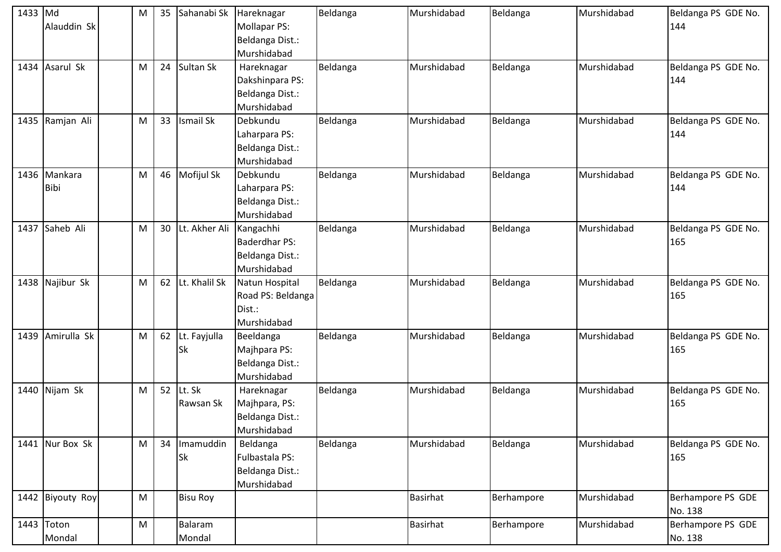| 1433 Md |                  | M | 35 | Sahanabi Sk     | Hareknagar           | Beldanga | Murshidabad     | Beldanga   | Murshidabad | Beldanga PS GDE No. |
|---------|------------------|---|----|-----------------|----------------------|----------|-----------------|------------|-------------|---------------------|
|         | Alauddin Sk      |   |    |                 | Mollapar PS:         |          |                 |            |             | 144                 |
|         |                  |   |    |                 | Beldanga Dist.:      |          |                 |            |             |                     |
|         |                  |   |    |                 | Murshidabad          |          |                 |            |             |                     |
|         | 1434 Asarul Sk   | M | 24 | Sultan Sk       | Hareknagar           | Beldanga | Murshidabad     | Beldanga   | Murshidabad | Beldanga PS GDE No. |
|         |                  |   |    |                 | Dakshinpara PS:      |          |                 |            |             | 144                 |
|         |                  |   |    |                 | Beldanga Dist.:      |          |                 |            |             |                     |
|         |                  |   |    |                 | Murshidabad          |          |                 |            |             |                     |
|         | 1435 Ramjan Ali  | M | 33 | Ismail Sk       | Debkundu             | Beldanga | Murshidabad     | Beldanga   | Murshidabad | Beldanga PS GDE No. |
|         |                  |   |    |                 | Laharpara PS:        |          |                 |            |             | 144                 |
|         |                  |   |    |                 | Beldanga Dist.:      |          |                 |            |             |                     |
|         |                  |   |    |                 | Murshidabad          |          |                 |            |             |                     |
|         | 1436 Mankara     | M | 46 | Mofijul Sk      | Debkundu             | Beldanga | Murshidabad     | Beldanga   | Murshidabad | Beldanga PS GDE No. |
|         | <b>Bibi</b>      |   |    |                 | Laharpara PS:        |          |                 |            |             | 144                 |
|         |                  |   |    |                 | Beldanga Dist.:      |          |                 |            |             |                     |
|         |                  |   |    |                 | Murshidabad          |          |                 |            |             |                     |
|         | 1437 Saheb Ali   | M | 30 | Lt. Akher Ali   | Kangachhi            | Beldanga | Murshidabad     | Beldanga   | Murshidabad | Beldanga PS GDE No. |
|         |                  |   |    |                 | <b>Baderdhar PS:</b> |          |                 |            |             | 165                 |
|         |                  |   |    |                 | Beldanga Dist.:      |          |                 |            |             |                     |
|         |                  |   |    |                 | Murshidabad          |          |                 |            |             |                     |
|         | 1438 Najibur Sk  | M | 62 | Lt. Khalil Sk   | Natun Hospital       | Beldanga | Murshidabad     | Beldanga   | Murshidabad | Beldanga PS GDE No. |
|         |                  |   |    |                 | Road PS: Beldanga    |          |                 |            |             | 165                 |
|         |                  |   |    |                 | Dist.:               |          |                 |            |             |                     |
|         |                  |   |    |                 | Murshidabad          |          |                 |            |             |                     |
|         | 1439 Amirulla Sk | M | 62 | Lt. Fayjulla    | Beeldanga            | Beldanga | Murshidabad     | Beldanga   | Murshidabad | Beldanga PS GDE No. |
|         |                  |   |    | <b>Sk</b>       | Majhpara PS:         |          |                 |            |             | 165                 |
|         |                  |   |    |                 | Beldanga Dist.:      |          |                 |            |             |                     |
|         |                  |   |    |                 | Murshidabad          |          |                 |            |             |                     |
|         | 1440 Nijam Sk    | M | 52 | Lt. Sk          | Hareknagar           | Beldanga | Murshidabad     | Beldanga   | Murshidabad | Beldanga PS GDE No. |
|         |                  |   |    | Rawsan Sk       | Majhpara, PS:        |          |                 |            |             | 165                 |
|         |                  |   |    |                 | Beldanga Dist.:      |          |                 |            |             |                     |
|         |                  |   |    |                 | Murshidabad          |          |                 |            |             |                     |
|         | 1441 Nur Box Sk  | M | 34 | Imamuddin       | Beldanga             | Beldanga | Murshidabad     | Beldanga   | Murshidabad | Beldanga PS GDE No. |
|         |                  |   |    | <b>Sk</b>       | Fulbastala PS:       |          |                 |            |             | 165                 |
|         |                  |   |    |                 | Beldanga Dist.:      |          |                 |            |             |                     |
|         |                  |   |    |                 | Murshidabad          |          |                 |            |             |                     |
|         | 1442 Biyouty Roy | M |    | <b>Bisu Roy</b> |                      |          | <b>Basirhat</b> | Berhampore | Murshidabad | Berhampore PS GDE   |
|         |                  |   |    |                 |                      |          |                 |            |             | No. 138             |
|         | 1443 Toton       | M |    | Balaram         |                      |          | <b>Basirhat</b> | Berhampore | Murshidabad | Berhampore PS GDE   |
|         | Mondal           |   |    | Mondal          |                      |          |                 |            |             | No. 138             |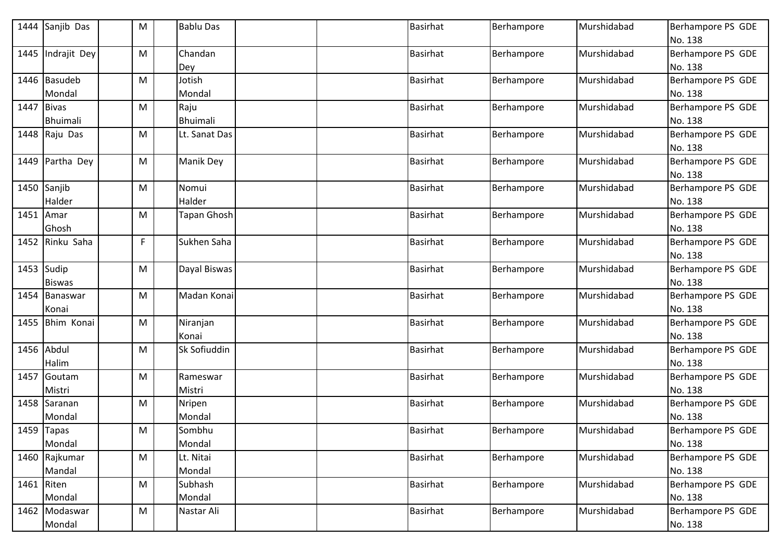| 1444       | Sanjib Das      | M | <b>Bablu Das</b>   |  | <b>Basirhat</b> | Berhampore | Murshidabad | Berhampore PS GDE |
|------------|-----------------|---|--------------------|--|-----------------|------------|-------------|-------------------|
|            |                 |   |                    |  |                 |            |             | No. 138           |
| 1445       | Indrajit Dey    | M | Chandan            |  | <b>Basirhat</b> | Berhampore | Murshidabad | Berhampore PS GDE |
|            |                 |   | Dey                |  |                 |            |             | No. 138           |
|            | 1446 Basudeb    | M | Jotish             |  | <b>Basirhat</b> | Berhampore | Murshidabad | Berhampore PS GDE |
|            | Mondal          |   | Mondal             |  |                 |            |             | No. 138           |
| 1447 Bivas |                 | М | Raju               |  | <b>Basirhat</b> | Berhampore | Murshidabad | Berhampore PS GDE |
|            | <b>Bhuimali</b> |   | Bhuimali           |  |                 |            |             | No. 138           |
|            | 1448 Raju Das   | M | Lt. Sanat Das      |  | <b>Basirhat</b> | Berhampore | Murshidabad | Berhampore PS GDE |
|            |                 |   |                    |  |                 |            |             | No. 138           |
| 1449       | Partha Dey      | M | Manik Dey          |  | <b>Basirhat</b> | Berhampore | Murshidabad | Berhampore PS GDE |
|            |                 |   |                    |  |                 |            |             | No. 138           |
|            | 1450 Sanjib     | M | Nomui              |  | <b>Basirhat</b> | Berhampore | Murshidabad | Berhampore PS GDE |
|            | Halder          |   | Halder             |  |                 |            |             | No. 138           |
| 1451 Amar  |                 | М | <b>Tapan Ghosh</b> |  | <b>Basirhat</b> | Berhampore | Murshidabad | Berhampore PS GDE |
|            | Ghosh           |   |                    |  |                 |            |             | No. 138           |
| 1452       | Rinku Saha      | F | Sukhen Saha        |  | <b>Basirhat</b> | Berhampore | Murshidabad | Berhampore PS GDE |
|            |                 |   |                    |  |                 |            |             | No. 138           |
| 1453 Sudip |                 | M | Dayal Biswas       |  | <b>Basirhat</b> | Berhampore | Murshidabad | Berhampore PS GDE |
|            | <b>Biswas</b>   |   |                    |  |                 |            |             | No. 138           |
|            | 1454 Banaswar   | М | Madan Konai        |  | <b>Basirhat</b> | Berhampore | Murshidabad | Berhampore PS GDE |
|            | Konai           |   |                    |  |                 |            |             | No. 138           |
| 1455       | Bhim Konai      | M | Niranjan           |  | <b>Basirhat</b> | Berhampore | Murshidabad | Berhampore PS GDE |
|            |                 |   | Konai              |  |                 |            |             | No. 138           |
|            | 1456 Abdul      | М | Sk Sofiuddin       |  | <b>Basirhat</b> | Berhampore | Murshidabad | Berhampore PS GDE |
|            | Halim           |   |                    |  |                 |            |             | No. 138           |
| 1457       | Goutam          | М | Rameswar           |  | <b>Basirhat</b> | Berhampore | Murshidabad | Berhampore PS GDE |
|            | Mistri          |   | Mistri             |  |                 |            |             | No. 138           |
|            | 1458 Saranan    | M | Nripen             |  | <b>Basirhat</b> | Berhampore | Murshidabad | Berhampore PS GDE |
|            | Mondal          |   | Mondal             |  |                 |            |             | No. 138           |
|            | $1459$ Tapas    | M | Sombhu             |  | <b>Basirhat</b> | Berhampore | Murshidabad | Berhampore PS GDE |
|            | Mondal          |   | Mondal             |  |                 |            |             | No. 138           |
|            | 1460 Rajkumar   | M | Lt. Nitai          |  | <b>Basirhat</b> | Berhampore | Murshidabad | Berhampore PS GDE |
|            | Mandal          |   | Mondal             |  |                 |            |             | No. 138           |
| 1461 Riten |                 | M | Subhash            |  | <b>Basirhat</b> | Berhampore | Murshidabad | Berhampore PS GDE |
|            | Mondal          |   | Mondal             |  |                 |            |             | No. 138           |
|            | 1462 Modaswar   | M | Nastar Ali         |  | <b>Basirhat</b> | Berhampore | Murshidabad | Berhampore PS GDE |
|            | Mondal          |   |                    |  |                 |            |             | No. 138           |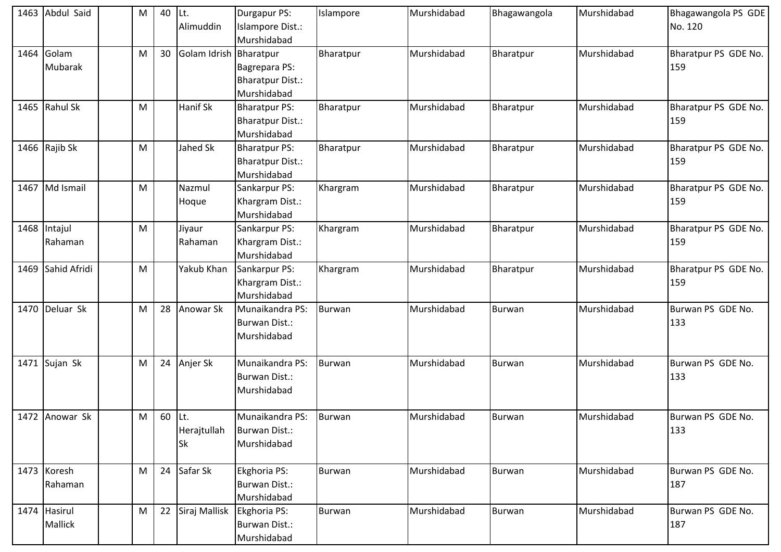| 1463 | Abdul Said              | M | 40     | Lt.                        | Durgapur PS:                                                   | Islampore     | Murshidabad | Bhagawangola  | Murshidabad | Bhagawangola PS GDE         |
|------|-------------------------|---|--------|----------------------------|----------------------------------------------------------------|---------------|-------------|---------------|-------------|-----------------------------|
|      |                         |   |        | Alimuddin                  | Islampore Dist.:<br>Murshidabad                                |               |             |               |             | No. 120                     |
| 1464 | Golam<br>Mubarak        | M | 30     | Golam Idrish Bharatpur     | Bagrepara PS:<br><b>Bharatpur Dist.:</b>                       | Bharatpur     | Murshidabad | Bharatpur     | Murshidabad | Bharatpur PS GDE No.<br>159 |
|      |                         |   |        |                            | Murshidabad                                                    |               |             |               |             |                             |
|      | 1465 Rahul Sk           | M |        | Hanif Sk                   | <b>Bharatpur PS:</b><br><b>Bharatpur Dist.:</b><br>Murshidabad | Bharatpur     | Murshidabad | Bharatpur     | Murshidabad | Bharatpur PS GDE No.<br>159 |
|      | 1466 Rajib Sk           | M |        | Jahed Sk                   | <b>Bharatpur PS:</b><br><b>Bharatpur Dist.:</b><br>Murshidabad | Bharatpur     | Murshidabad | Bharatpur     | Murshidabad | Bharatpur PS GDE No.<br>159 |
| 1467 | Md Ismail               | М |        | Nazmul<br>Hoque            | Sankarpur PS:<br>Khargram Dist.:<br>Murshidabad                | Khargram      | Murshidabad | Bharatpur     | Murshidabad | Bharatpur PS GDE No.<br>159 |
|      | 1468 Intajul<br>Rahaman | M |        | Jiyaur<br>Rahaman          | Sankarpur PS:<br>Khargram Dist.:<br>Murshidabad                | Khargram      | Murshidabad | Bharatpur     | Murshidabad | Bharatpur PS GDE No.<br>159 |
|      | 1469 Sahid Afridi       | M |        | Yakub Khan                 | Sankarpur PS:<br>Khargram Dist.:<br>Murshidabad                | Khargram      | Murshidabad | Bharatpur     | Murshidabad | Bharatpur PS GDE No.<br>159 |
| 1470 | Deluar Sk               | M | 28     | <b>Anowar Sk</b>           | Munaikandra PS:<br><b>Burwan Dist.:</b><br>Murshidabad         | Burwan        | Murshidabad | Burwan        | Murshidabad | Burwan PS GDE No.<br>133    |
|      | 1471 Sujan Sk           | M | 24     | Anjer Sk                   | Munaikandra PS:<br><b>Burwan Dist.:</b><br>Murshidabad         | Burwan        | Murshidabad | Burwan        | Murshidabad | Burwan PS GDE No.<br>133    |
|      | 1472 Anowar Sk          | M | 60 Lt. | Herajtullah<br><b>Sk</b>   | Munaikandra PS:<br>Burwan Dist.:<br>Murshidabad                | Burwan        | Murshidabad | Burwan        | Murshidabad | Burwan PS GDE No.<br>133    |
|      | 1473 Koresh<br>Rahaman  | M | 24     | Safar Sk                   | Ekghoria PS:<br>Burwan Dist.:<br>Murshidabad                   | <b>Burwan</b> | Murshidabad | <b>Burwan</b> | Murshidabad | Burwan PS GDE No.<br>187    |
|      | 1474 Hasirul<br>Mallick | M | 22     | Siraj Mallisk Ekghoria PS: | <b>Burwan Dist.:</b><br>Murshidabad                            | Burwan        | Murshidabad | <b>Burwan</b> | Murshidabad | Burwan PS GDE No.<br>187    |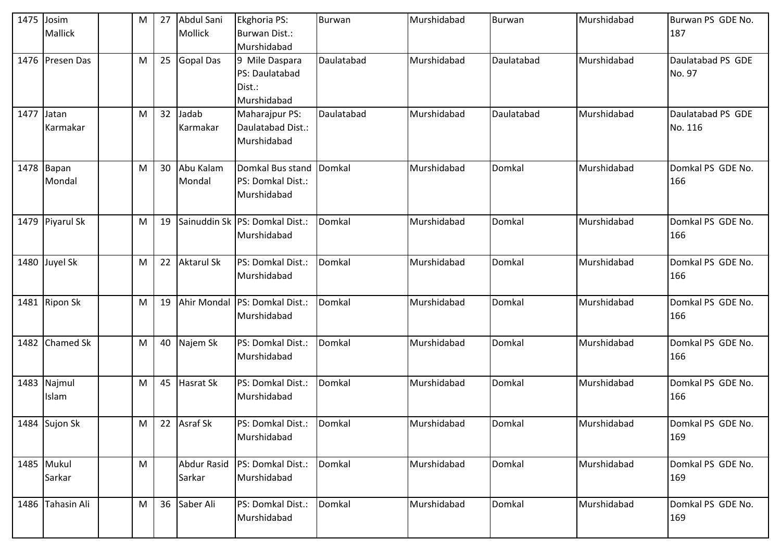| 1475 Josim |                  | M | 27 | Abdul Sani        | Ekghoria PS:                   | <b>Burwan</b> | Murshidabad | <b>Burwan</b> | Murshidabad | Burwan PS GDE No. |
|------------|------------------|---|----|-------------------|--------------------------------|---------------|-------------|---------------|-------------|-------------------|
|            | <b>Mallick</b>   |   |    | Mollick           | Burwan Dist.:                  |               |             |               |             | 187               |
|            |                  |   |    |                   | Murshidabad                    |               |             |               |             |                   |
|            | 1476 Presen Das  | M | 25 | <b>Gopal Das</b>  | 9 Mile Daspara                 | Daulatabad    | Murshidabad | Daulatabad    | Murshidabad | Daulatabad PS GDE |
|            |                  |   |    |                   | PS: Daulatabad                 |               |             |               |             | No. 97            |
|            |                  |   |    |                   | Dist.:                         |               |             |               |             |                   |
|            |                  |   |    |                   | Murshidabad                    |               |             |               |             |                   |
| 1477       | Jatan            | M | 32 | Jadab             | Maharajpur PS:                 | Daulatabad    | Murshidabad | Daulatabad    | Murshidabad | Daulatabad PS GDE |
|            | Karmakar         |   |    | Karmakar          | Daulatabad Dist.:              |               |             |               |             | No. 116           |
|            |                  |   |    |                   | Murshidabad                    |               |             |               |             |                   |
|            |                  |   |    |                   |                                |               |             |               |             |                   |
|            | 1478 Bapan       | M | 30 | Abu Kalam         | Domkal Bus stand Domkal        |               | Murshidabad | Domkal        | Murshidabad | Domkal PS GDE No. |
|            | Mondal           |   |    | Mondal            | PS: Domkal Dist.:              |               |             |               |             | 166               |
|            |                  |   |    |                   | Murshidabad                    |               |             |               |             |                   |
|            |                  |   |    |                   |                                |               |             |               |             |                   |
|            | 1479 Piyarul Sk  | M | 19 |                   | Sainuddin Sk PS: Domkal Dist.: | Domkal        | Murshidabad | Domkal        | Murshidabad | Domkal PS GDE No. |
|            |                  |   |    |                   | Murshidabad                    |               |             |               |             | 166               |
|            |                  |   |    |                   |                                |               |             |               |             |                   |
|            | 1480 Juyel Sk    | M | 22 | <b>Aktarul Sk</b> | PS: Domkal Dist.:              | Domkal        | Murshidabad | Domkal        | Murshidabad | Domkal PS GDE No. |
|            |                  |   |    |                   | Murshidabad                    |               |             |               |             | 166               |
|            | 1481 Ripon Sk    | M | 19 |                   | Ahir Mondal PS: Domkal Dist.:  | Domkal        | Murshidabad | Domkal        | Murshidabad | Domkal PS GDE No. |
|            |                  |   |    |                   | Murshidabad                    |               |             |               |             | 166               |
|            |                  |   |    |                   |                                |               |             |               |             |                   |
|            | 1482 Chamed Sk   | M | 40 | Najem Sk          | PS: Domkal Dist.:              | Domkal        | Murshidabad | Domkal        | Murshidabad | Domkal PS GDE No. |
|            |                  |   |    |                   | Murshidabad                    |               |             |               |             | 166               |
|            |                  |   |    |                   |                                |               |             |               |             |                   |
|            | 1483 Najmul      | M | 45 | Hasrat Sk         | PS: Domkal Dist.:              | Domkal        | Murshidabad | Domkal        | Murshidabad | Domkal PS GDE No. |
|            | Islam            |   |    |                   | Murshidabad                    |               |             |               |             | 166               |
|            |                  |   |    |                   |                                |               |             |               |             |                   |
|            | 1484 Sujon Sk    | M |    | 22 Asraf Sk       | PS: Domkal Dist.:              | Domkal        | Murshidabad | Domkal        | Murshidabad | Domkal PS GDE No. |
|            |                  |   |    |                   | Murshidabad                    |               |             |               |             | 169               |
|            |                  |   |    |                   |                                |               |             |               |             |                   |
|            | 1485 Mukul       | M |    | Abdur Rasid       | PS: Domkal Dist.:              | Domkal        | Murshidabad | Domkal        | Murshidabad | Domkal PS GDE No. |
|            | Sarkar           |   |    | Sarkar            | Murshidabad                    |               |             |               |             | 169               |
|            |                  |   |    |                   |                                |               |             |               |             |                   |
|            | 1486 Tahasin Ali | M | 36 | Saber Ali         | PS: Domkal Dist.:              | Domkal        | Murshidabad | Domkal        | Murshidabad | Domkal PS GDE No. |
|            |                  |   |    |                   | Murshidabad                    |               |             |               |             | 169               |
|            |                  |   |    |                   |                                |               |             |               |             |                   |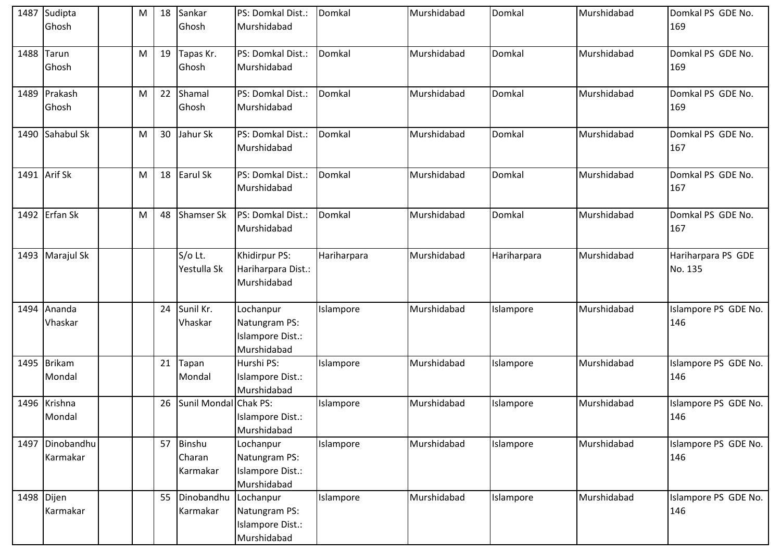| 1487 Sudipta    | M | 18 | Sankar            | PS: Domkal Dist.:               | Domkal      | Murshidabad | Domkal      | Murshidabad | Domkal PS GDE No.    |
|-----------------|---|----|-------------------|---------------------------------|-------------|-------------|-------------|-------------|----------------------|
| Ghosh           |   |    | Ghosh             | Murshidabad                     |             |             |             |             | 169                  |
|                 |   |    |                   |                                 |             |             |             |             |                      |
| 1488 Tarun      | M | 19 | Tapas Kr.         | PS: Domkal Dist.:               | Domkal      | Murshidabad | Domkal      | Murshidabad | Domkal PS GDE No.    |
| Ghosh           |   |    | Ghosh             | Murshidabad                     |             |             |             |             | 169                  |
|                 |   |    |                   |                                 |             |             |             |             |                      |
| 1489 Prakash    | M | 22 | Shamal            | PS: Domkal Dist.:               | Domkal      | Murshidabad | Domkal      | Murshidabad | Domkal PS GDE No.    |
| Ghosh           |   |    | Ghosh             | Murshidabad                     |             |             |             |             | 169                  |
|                 |   |    |                   |                                 |             |             |             |             |                      |
| 1490 Sahabul Sk | M | 30 | Jahur Sk          | PS: Domkal Dist.:               | Domkal      | Murshidabad | Domkal      | Murshidabad | Domkal PS GDE No.    |
|                 |   |    |                   | Murshidabad                     |             |             |             |             | 167                  |
| 1491 Arif Sk    | M | 18 | Earul Sk          | PS: Domkal Dist.:               | Domkal      | Murshidabad | Domkal      | Murshidabad | Domkal PS GDE No.    |
|                 |   |    |                   | Murshidabad                     |             |             |             |             | 167                  |
|                 |   |    |                   |                                 |             |             |             |             |                      |
| 1492 Erfan Sk   | M | 48 | <b>Shamser Sk</b> | PS: Domkal Dist.:               | Domkal      | Murshidabad | Domkal      | Murshidabad | Domkal PS GDE No.    |
|                 |   |    |                   | Murshidabad                     |             |             |             |             | 167                  |
|                 |   |    |                   |                                 |             |             |             |             |                      |
| 1493 Marajul Sk |   |    | S/o Lt.           | Khidirpur PS:                   | Hariharpara | Murshidabad | Hariharpara | Murshidabad | Hariharpara PS GDE   |
|                 |   |    | Yestulla Sk       | Hariharpara Dist.:              |             |             |             |             | No. 135              |
|                 |   |    |                   | Murshidabad                     |             |             |             |             |                      |
|                 |   |    |                   |                                 |             |             |             |             |                      |
| 1494 Ananda     |   | 24 | Sunil Kr.         | Lochanpur                       | Islampore   | Murshidabad | Islampore   | Murshidabad | Islampore PS GDE No. |
| Vhaskar         |   |    | Vhaskar           | Natungram PS:                   |             |             |             |             | 146                  |
|                 |   |    |                   | <b>Islampore Dist.:</b>         |             |             |             |             |                      |
|                 |   |    |                   | Murshidabad                     |             |             |             |             |                      |
| 1495 Brikam     |   | 21 | Tapan             | Hurshi PS:                      | Islampore   | Murshidabad | Islampore   | Murshidabad | Islampore PS GDE No. |
| Mondal          |   |    | Mondal            | Islampore Dist.:                |             |             |             |             | 146                  |
|                 |   |    |                   | Murshidabad                     |             |             |             |             |                      |
| 1496 Krishna    |   | 26 | Sunil Mondal      | Chak PS:                        | Islampore   | Murshidabad | Islampore   | Murshidabad | Islampore PS GDE No. |
| Mondal          |   |    |                   | Islampore Dist.:<br>Murshidabad |             |             |             |             | 146                  |
| 1497 Dinobandhu |   | 57 | Binshu            | Lochanpur                       | Islampore   | Murshidabad | Islampore   | Murshidabad | Islampore PS GDE No. |
| Karmakar        |   |    | Charan            | Natungram PS:                   |             |             |             |             | 146                  |
|                 |   |    | Karmakar          | Islampore Dist.:                |             |             |             |             |                      |
|                 |   |    |                   | Murshidabad                     |             |             |             |             |                      |
| 1498 Dijen      |   | 55 | Dinobandhu        | Lochanpur                       | Islampore   | Murshidabad | Islampore   | Murshidabad | Islampore PS GDE No. |
| Karmakar        |   |    | Karmakar          | Natungram PS:                   |             |             |             |             | 146                  |
|                 |   |    |                   | Islampore Dist.:                |             |             |             |             |                      |
|                 |   |    |                   | Murshidabad                     |             |             |             |             |                      |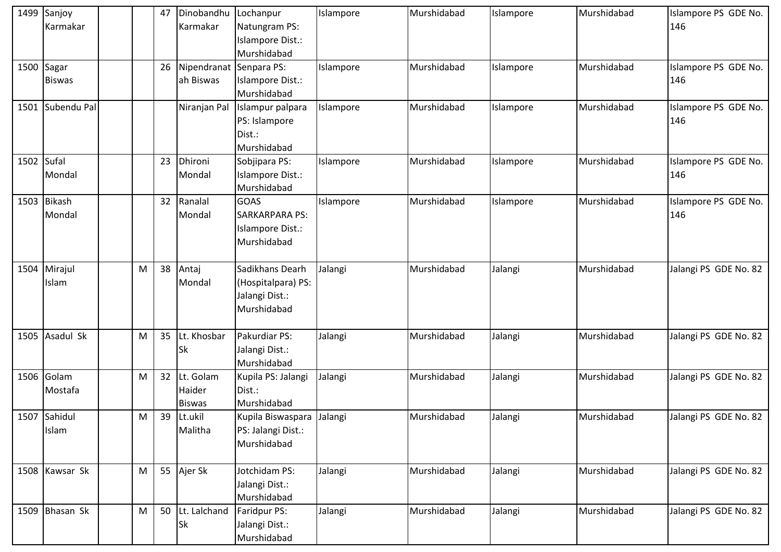|            | 1499 Sanjoy<br>Karmakar     |   | 47 | Dinobandhu Lochanpur<br>Karmakar     | Natungram PS:<br>Islampore Dist.:<br>Murshidabad                        | Islampore | Murshidabad | Islampore | Murshidabad | Islampore PS GDE No.<br>146 |
|------------|-----------------------------|---|----|--------------------------------------|-------------------------------------------------------------------------|-----------|-------------|-----------|-------------|-----------------------------|
|            | 1500 Sagar<br><b>Biswas</b> |   | 26 | Nipendranat Senpara PS:<br>ah Biswas | Islampore Dist.:<br>Murshidabad                                         | Islampore | Murshidabad | Islampore | Murshidabad | Islampore PS GDE No.<br>146 |
|            | 1501 Subendu Pal            |   |    | Niranjan Pal                         | Islampur palpara<br>PS: Islampore<br>Dist.:<br>Murshidabad              | Islampore | Murshidabad | Islampore | Murshidabad | Islampore PS GDE No.<br>146 |
| 1502 Sufal | Mondal                      |   | 23 | Dhironi<br>Mondal                    | Sobjipara PS:<br>Islampore Dist.:<br>Murshidabad                        | Islampore | Murshidabad | Islampore | Murshidabad | Islampore PS GDE No.<br>146 |
|            | 1503 Bikash<br>Mondal       |   | 32 | Ranalal<br>Mondal                    | <b>GOAS</b><br><b>SARKARPARA PS:</b><br>Islampore Dist.:<br>Murshidabad | Islampore | Murshidabad | Islampore | Murshidabad | Islampore PS GDE No.<br>146 |
|            | 1504 Mirajul<br>Islam       | M | 38 | Antaj<br>Mondal                      | Sadikhans Dearh<br>(Hospitalpara) PS:<br>Jalangi Dist.:<br>Murshidabad  | Jalangi   | Murshidabad | Jalangi   | Murshidabad | Jalangi PS GDE No. 82       |
|            | 1505 Asadul Sk              | M | 35 | Lt. Khosbar<br>Sk                    | Pakurdiar PS:<br>Jalangi Dist.:<br>Murshidabad                          | Jalangi   | Murshidabad | Jalangi   | Murshidabad | Jalangi PS GDE No. 82       |
| 1506       | Golam<br>Mostafa            | M | 32 | Lt. Golam<br>Haider<br><b>Biswas</b> | Kupila PS: Jalangi<br>Dist.:<br>Murshidabad                             | Jalangi   | Murshidabad | Jalangi   | Murshidabad | Jalangi PS GDE No. 82       |
|            | 1507 Sahidul<br>Islam       | M | 39 | Lt.ukil<br>Malitha                   | Kupila Biswaspara Jalangi<br>PS: Jalangi Dist.:<br>Murshidabad          |           | Murshidabad | Jalangi   | Murshidabad | Jalangi PS GDE No. 82       |
|            | 1508 Kawsar Sk              | M | 55 | Ajer Sk                              | Jotchidam PS:<br>Jalangi Dist.:<br>Murshidabad                          | Jalangi   | Murshidabad | Jalangi   | Murshidabad | Jalangi PS GDE No. 82       |
|            | 1509 Bhasan Sk              | M | 50 | Lt. Lalchand<br><b>Sk</b>            | Faridpur PS:<br>Jalangi Dist.:<br>Murshidabad                           | Jalangi   | Murshidabad | Jalangi   | Murshidabad | Jalangi PS GDE No. 82       |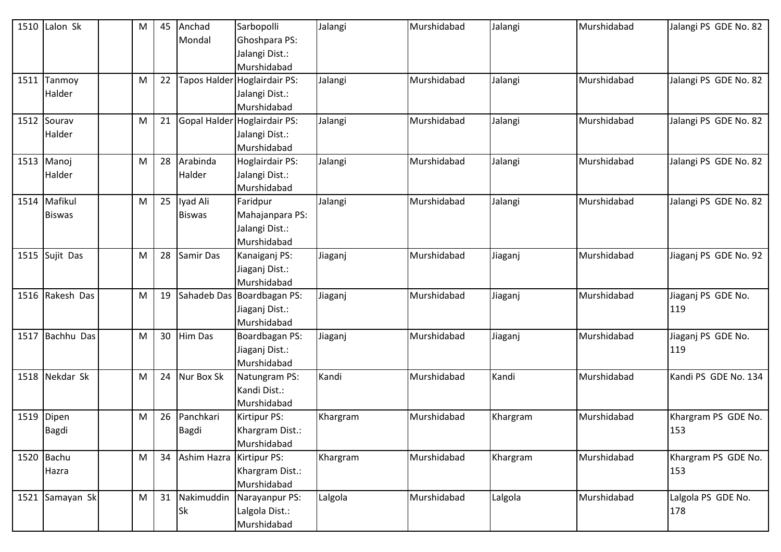| 1510 | Lalon Sk        | M | 45 | Anchad                     | Sarbopolli                   | Jalangi  | Murshidabad | Jalangi  | Murshidabad | Jalangi PS GDE No. 82 |
|------|-----------------|---|----|----------------------------|------------------------------|----------|-------------|----------|-------------|-----------------------|
|      |                 |   |    | Mondal                     | Ghoshpara PS:                |          |             |          |             |                       |
|      |                 |   |    |                            | Jalangi Dist.:               |          |             |          |             |                       |
|      |                 |   |    |                            | Murshidabad                  |          |             |          |             |                       |
| 1511 | Tanmoy          | M | 22 |                            | Tapos Halder Hoglairdair PS: | Jalangi  | Murshidabad | Jalangi  | Murshidabad | Jalangi PS GDE No. 82 |
|      | Halder          |   |    |                            | Jalangi Dist.:               |          |             |          |             |                       |
|      |                 |   |    |                            | Murshidabad                  |          |             |          |             |                       |
| 1512 | Sourav          | M | 21 |                            | Gopal Halder Hoglairdair PS: | Jalangi  | Murshidabad | Jalangi  | Murshidabad | Jalangi PS GDE No. 82 |
|      | Halder          |   |    |                            | Jalangi Dist.:               |          |             |          |             |                       |
|      |                 |   |    |                            | Murshidabad                  |          |             |          |             |                       |
|      | 1513 Manoj      | M | 28 | Arabinda                   | Hoglairdair PS:              | Jalangi  | Murshidabad | Jalangi  | Murshidabad | Jalangi PS GDE No. 82 |
|      | Halder          |   |    | Halder                     | Jalangi Dist.:               |          |             |          |             |                       |
|      |                 |   |    |                            | Murshidabad                  |          |             |          |             |                       |
| 1514 | Mafikul         | M | 25 | lyad Ali                   | Faridpur                     | Jalangi  | Murshidabad | Jalangi  | Murshidabad | Jalangi PS GDE No. 82 |
|      | <b>Biswas</b>   |   |    | <b>Biswas</b>              | Mahajanpara PS:              |          |             |          |             |                       |
|      |                 |   |    |                            | Jalangi Dist.:               |          |             |          |             |                       |
|      |                 |   |    |                            | Murshidabad                  |          |             |          |             |                       |
| 1515 | Sujit Das       | M | 28 | Samir Das                  | Kanaiganj PS:                | Jiaganj  | Murshidabad | Jiaganj  | Murshidabad | Jiaganj PS GDE No. 92 |
|      |                 |   |    |                            | Jiaganj Dist.:               |          |             |          |             |                       |
|      |                 |   |    |                            | Murshidabad                  |          |             |          |             |                       |
|      | 1516 Rakesh Das | M | 19 |                            | Sahadeb Das Boardbagan PS:   | Jiaganj  | Murshidabad | Jiaganj  | Murshidabad | Jiaganj PS GDE No.    |
|      |                 |   |    |                            | Jiaganj Dist.:               |          |             |          |             | 119                   |
|      |                 |   |    |                            | Murshidabad                  |          |             |          |             |                       |
| 1517 | Bachhu Das      | M | 30 | <b>Him Das</b>             | Boardbagan PS:               | Jiaganj  | Murshidabad | Jiaganj  | Murshidabad | Jiaganj PS GDE No.    |
|      |                 |   |    |                            | Jiaganj Dist.:               |          |             |          |             | 119                   |
|      |                 |   |    |                            | Murshidabad                  |          |             |          |             |                       |
| 1518 | Nekdar Sk       | M | 24 | Nur Box Sk                 | Natungram PS:                | Kandi    | Murshidabad | Kandi    | Murshidabad | Kandi PS GDE No. 134  |
|      |                 |   |    |                            | Kandi Dist.:                 |          |             |          |             |                       |
|      |                 |   |    |                            | Murshidabad                  |          |             |          |             |                       |
| 1519 | Dipen           | M | 26 | Panchkari                  | Kirtipur PS:                 | Khargram | Murshidabad | Khargram | Murshidabad | Khargram PS GDE No.   |
|      | Bagdi           |   |    | <b>Bagdi</b>               | Khargram Dist.:              |          |             |          |             | 153                   |
|      |                 |   |    |                            | Murshidabad                  |          |             |          |             |                       |
|      | 1520 Bachu      | M | 34 | Ashim Hazra   Kirtipur PS: |                              | Khargram | Murshidabad | Khargram | Murshidabad | Khargram PS GDE No.   |
|      | Hazra           |   |    |                            | Khargram Dist.:              |          |             |          |             | 153                   |
|      |                 |   |    |                            | Murshidabad                  |          |             |          |             |                       |
|      | 1521 Samayan Sk | M | 31 | Nakimuddin                 | Narayanpur PS:               | Lalgola  | Murshidabad | Lalgola  | Murshidabad | Lalgola PS GDE No.    |
|      |                 |   |    | Sk                         | Lalgola Dist.:               |          |             |          |             | 178                   |
|      |                 |   |    |                            | Murshidabad                  |          |             |          |             |                       |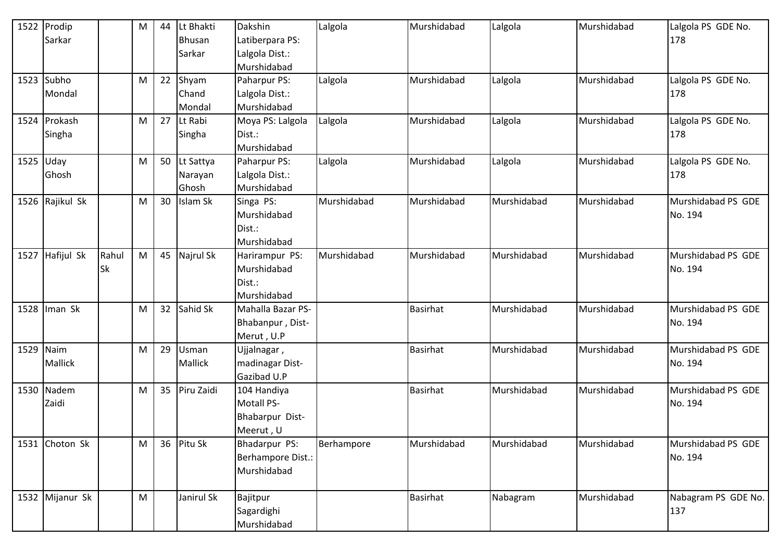| 1522 | Prodip          |           | M | 44 | Lt Bhakti     | Dakshin           | Lalgola     | Murshidabad     | Lalgola     | Murshidabad | Lalgola PS GDE No.  |
|------|-----------------|-----------|---|----|---------------|-------------------|-------------|-----------------|-------------|-------------|---------------------|
|      | Sarkar          |           |   |    | <b>Bhusan</b> | Latiberpara PS:   |             |                 |             |             | 178                 |
|      |                 |           |   |    | Sarkar        | Lalgola Dist.:    |             |                 |             |             |                     |
|      |                 |           |   |    |               | Murshidabad       |             |                 |             |             |                     |
|      | 1523 Subho      |           | M | 22 | Shyam         | Paharpur PS:      | Lalgola     | Murshidabad     | Lalgola     | Murshidabad | Lalgola PS GDE No.  |
|      | Mondal          |           |   |    | Chand         | Lalgola Dist.:    |             |                 |             |             | 178                 |
|      |                 |           |   |    | Mondal        | Murshidabad       |             |                 |             |             |                     |
| 1524 | Prokash         |           | M | 27 | Lt Rabi       | Moya PS: Lalgola  | Lalgola     | Murshidabad     | Lalgola     | Murshidabad | Lalgola PS GDE No.  |
|      | Singha          |           |   |    | Singha        | Dist.:            |             |                 |             |             | 178                 |
|      |                 |           |   |    |               | Murshidabad       |             |                 |             |             |                     |
|      | $1525$ Uday     |           | M | 50 | Lt Sattya     | Paharpur PS:      | Lalgola     | Murshidabad     | Lalgola     | Murshidabad | Lalgola PS GDE No.  |
|      | Ghosh           |           |   |    | Narayan       | Lalgola Dist.:    |             |                 |             |             | 178                 |
|      |                 |           |   |    | Ghosh         | Murshidabad       |             |                 |             |             |                     |
|      | 1526 Rajikul Sk |           | M | 30 | Islam Sk      | Singa PS:         | Murshidabad | Murshidabad     | Murshidabad | Murshidabad | Murshidabad PS GDE  |
|      |                 |           |   |    |               | Murshidabad       |             |                 |             |             | No. 194             |
|      |                 |           |   |    |               | Dist.:            |             |                 |             |             |                     |
|      |                 |           |   |    |               | Murshidabad       |             |                 |             |             |                     |
| 1527 | Hafijul Sk      | Rahul     | M | 45 | Najrul Sk     | Harirampur PS:    | Murshidabad | Murshidabad     | Murshidabad | Murshidabad | Murshidabad PS GDE  |
|      |                 | <b>Sk</b> |   |    |               | Murshidabad       |             |                 |             |             | No. 194             |
|      |                 |           |   |    |               | Dist.:            |             |                 |             |             |                     |
|      |                 |           |   |    |               | Murshidabad       |             |                 |             |             |                     |
| 1528 | Iman Sk         |           | M | 32 | Sahid Sk      | Mahalla Bazar PS- |             | <b>Basirhat</b> | Murshidabad | Murshidabad | Murshidabad PS GDE  |
|      |                 |           |   |    |               | Bhabanpur, Dist-  |             |                 |             |             | No. 194             |
|      |                 |           |   |    |               | Merut, U.P        |             |                 |             |             |                     |
| 1529 | Naim            |           | M | 29 | Usman         | Ujjalnagar,       |             | Basirhat        | Murshidabad | Murshidabad | Murshidabad PS GDE  |
|      | <b>Mallick</b>  |           |   |    | Mallick       | madinagar Dist-   |             |                 |             |             | No. 194             |
|      |                 |           |   |    |               | Gazibad U.P       |             |                 |             |             |                     |
|      | 1530 Nadem      |           | M | 35 | Piru Zaidi    | 104 Handiya       |             | <b>Basirhat</b> | Murshidabad | Murshidabad | Murshidabad PS GDE  |
|      | Zaidi           |           |   |    |               | <b>Motall PS-</b> |             |                 |             |             | No. 194             |
|      |                 |           |   |    |               | Bhabarpur Dist-   |             |                 |             |             |                     |
|      |                 |           |   |    |               | Meerut, U         |             |                 |             |             |                     |
| 1531 | Choton Sk       |           | M | 36 | Pitu Sk       | Bhadarpur PS:     | Berhampore  | Murshidabad     | Murshidabad | Murshidabad | Murshidabad PS GDE  |
|      |                 |           |   |    |               | Berhampore Dist.: |             |                 |             |             | No. 194             |
|      |                 |           |   |    |               | Murshidabad       |             |                 |             |             |                     |
|      |                 |           |   |    |               |                   |             |                 |             |             |                     |
|      | 1532 Mijanur Sk |           | M |    | Janirul Sk    | Bajitpur          |             | <b>Basirhat</b> | Nabagram    | Murshidabad | Nabagram PS GDE No. |
|      |                 |           |   |    |               | Sagardighi        |             |                 |             |             | 137                 |
|      |                 |           |   |    |               | Murshidabad       |             |                 |             |             |                     |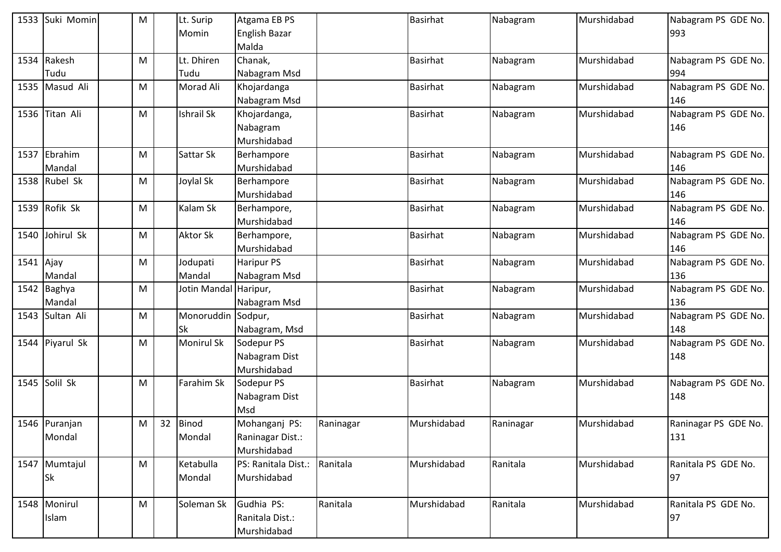| 1533 | Suki Momin    | M |    | Lt. Surip         | Atgama EB PS         |           | <b>Basirhat</b> | Nabagram  | Murshidabad | Nabagram PS GDE No.  |
|------|---------------|---|----|-------------------|----------------------|-----------|-----------------|-----------|-------------|----------------------|
|      |               |   |    | Momin             | <b>English Bazar</b> |           |                 |           |             | 993                  |
|      |               |   |    |                   | Malda                |           |                 |           |             |                      |
| 1534 | Rakesh        | M |    | Lt. Dhiren        | Chanak,              |           | <b>Basirhat</b> | Nabagram  | Murshidabad | Nabagram PS GDE No.  |
|      | Tudu          |   |    | Tudu              | Nabagram Msd         |           |                 |           |             | 994                  |
| 1535 | Masud Ali     | M |    | Morad Ali         | Khojardanga          |           | <b>Basirhat</b> | Nabagram  | Murshidabad | Nabagram PS GDE No.  |
|      |               |   |    |                   | Nabagram Msd         |           |                 |           |             | 146                  |
| 1536 | Titan Ali     | M |    | Ishrail Sk        | Khojardanga,         |           | <b>Basirhat</b> | Nabagram  | Murshidabad | Nabagram PS GDE No.  |
|      |               |   |    |                   | Nabagram             |           |                 |           |             | 146                  |
|      |               |   |    |                   | Murshidabad          |           |                 |           |             |                      |
| 1537 | Ebrahim       | M |    | Sattar Sk         | Berhampore           |           | <b>Basirhat</b> | Nabagram  | Murshidabad | Nabagram PS GDE No.  |
|      | Mandal        |   |    |                   | Murshidabad          |           |                 |           |             | 146                  |
|      | 1538 Rubel Sk | M |    | Joylal Sk         | Berhampore           |           | <b>Basirhat</b> | Nabagram  | Murshidabad | Nabagram PS GDE No.  |
|      |               |   |    |                   | Murshidabad          |           |                 |           |             | 146                  |
|      | 1539 Rofik Sk | M |    | Kalam Sk          | Berhampore,          |           | <b>Basirhat</b> | Nabagram  | Murshidabad | Nabagram PS GDE No.  |
|      |               |   |    |                   | Murshidabad          |           |                 |           |             | 146                  |
| 1540 | Johirul Sk    | M |    | <b>Aktor Sk</b>   | Berhampore,          |           | <b>Basirhat</b> | Nabagram  | Murshidabad | Nabagram PS GDE No.  |
|      |               |   |    |                   | Murshidabad          |           |                 |           |             | 146                  |
| 1541 | Ajay          | M |    | Jodupati          | <b>Haripur PS</b>    |           | <b>Basirhat</b> | Nabagram  | Murshidabad | Nabagram PS GDE No.  |
|      | Mandal        |   |    | Mandal            | Nabagram Msd         |           |                 |           |             | 136                  |
|      | 1542 Baghya   | M |    | Jotin Mandal      | Haripur,             |           | <b>Basirhat</b> | Nabagram  | Murshidabad | Nabagram PS GDE No.  |
|      | Mandal        |   |    |                   | Nabagram Msd         |           |                 |           |             | 136                  |
| 1543 | Sultan Ali    | M |    | Monoruddin        | Sodpur,              |           | <b>Basirhat</b> | Nabagram  | Murshidabad | Nabagram PS GDE No.  |
|      |               |   |    | <b>Sk</b>         | Nabagram, Msd        |           |                 |           |             | 148                  |
| 1544 | Piyarul Sk    | M |    | <b>Monirul Sk</b> | Sodepur PS           |           | <b>Basirhat</b> | Nabagram  | Murshidabad | Nabagram PS GDE No.  |
|      |               |   |    |                   | Nabagram Dist        |           |                 |           |             | 148                  |
|      |               |   |    |                   | Murshidabad          |           |                 |           |             |                      |
| 1545 | Solil Sk      | M |    | <b>Farahim Sk</b> | Sodepur PS           |           | <b>Basirhat</b> | Nabagram  | Murshidabad | Nabagram PS GDE No.  |
|      |               |   |    |                   | Nabagram Dist        |           |                 |           |             | 148                  |
|      |               |   |    |                   | Msd                  |           |                 |           |             |                      |
|      | 1546 Puranjan | M | 32 | Binod             | Mohanganj PS:        | Raninagar | Murshidabad     | Raninagar | Murshidabad | Raninagar PS GDE No. |
|      | Mondal        |   |    | Mondal            | Raninagar Dist.:     |           |                 |           |             | 131                  |
|      |               |   |    |                   | Murshidabad          |           |                 |           |             |                      |
|      | 1547 Mumtajul | M |    | Ketabulla         | PS: Ranitala Dist.:  | Ranitala  | Murshidabad     | Ranitala  | Murshidabad | Ranitala PS GDE No.  |
|      | Sk            |   |    | Mondal            | Murshidabad          |           |                 |           |             | 97                   |
|      |               |   |    |                   |                      |           |                 |           |             |                      |
| 1548 | Monirul       | M |    | Soleman Sk        | Gudhia PS:           | Ranitala  | Murshidabad     | Ranitala  | Murshidabad | Ranitala PS GDE No.  |
|      | Islam         |   |    |                   | Ranitala Dist.:      |           |                 |           |             | 97                   |
|      |               |   |    |                   | Murshidabad          |           |                 |           |             |                      |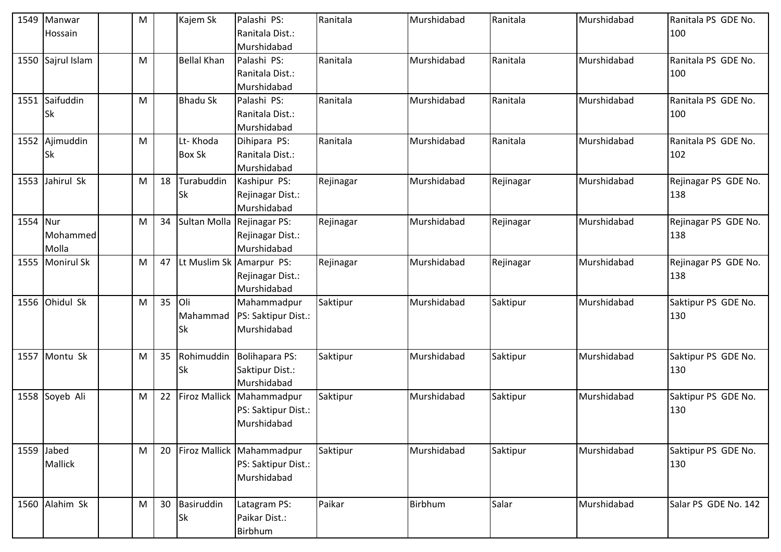|          | 1549 Manwar<br>Hossain      | M |    | Kajem Sk                     | Palashi PS:<br>Ranitala Dist.:<br>Murshidabad                   | Ranitala  | Murshidabad | Ranitala  | Murshidabad | Ranitala PS GDE No.<br>100  |
|----------|-----------------------------|---|----|------------------------------|-----------------------------------------------------------------|-----------|-------------|-----------|-------------|-----------------------------|
|          | 1550 Sajrul Islam           | M |    | <b>Bellal Khan</b>           | Palashi PS:<br>Ranitala Dist.:<br>Murshidabad                   | Ranitala  | Murshidabad | Ranitala  | Murshidabad | Ranitala PS GDE No.<br>100  |
|          | 1551 Saifuddin<br><b>Sk</b> | M |    | <b>Bhadu Sk</b>              | Palashi PS:<br>Ranitala Dist.:<br>Murshidabad                   | Ranitala  | Murshidabad | Ranitala  | Murshidabad | Ranitala PS GDE No.<br>100  |
|          | 1552 Ajimuddin<br><b>Sk</b> | M |    | Lt-Khoda<br><b>Box Sk</b>    | Dihipara PS:<br>Ranitala Dist.:<br>Murshidabad                  | Ranitala  | Murshidabad | Ranitala  | Murshidabad | Ranitala PS GDE No.<br>102  |
|          | 1553 Jahirul Sk             | M | 18 | Turabuddin<br>Sk             | Kashipur PS:<br>Rejinagar Dist.:<br>Murshidabad                 | Rejinagar | Murshidabad | Rejinagar | Murshidabad | Rejinagar PS GDE No.<br>138 |
| 1554 Nur | Mohammed<br>Molla           | M | 34 | Sultan Molla                 | Rejinagar PS:<br>Rejinagar Dist.:<br>Murshidabad                | Rejinagar | Murshidabad | Rejinagar | Murshidabad | Rejinagar PS GDE No.<br>138 |
|          | 1555 Monirul Sk             | M | 47 |                              | Lt Muslim Sk Amarpur PS:<br>Rejinagar Dist.:<br>Murshidabad     | Rejinagar | Murshidabad | Rejinagar | Murshidabad | Rejinagar PS GDE No.<br>138 |
|          | 1556 Ohidul Sk              | M | 35 | Oli<br>Mahammad<br><b>Sk</b> | Mahammadpur<br>PS: Saktipur Dist.:<br>Murshidabad               | Saktipur  | Murshidabad | Saktipur  | Murshidabad | Saktipur PS GDE No.<br>130  |
|          | 1557 Montu Sk               | M | 35 | Rohimuddin<br>Sk             | Bolihapara PS:<br>Saktipur Dist.:<br>Murshidabad                | Saktipur  | Murshidabad | Saktipur  | Murshidabad | Saktipur PS GDE No.<br>130  |
|          | 1558 Soyeb Ali              | M | 22 |                              | Firoz Mallick Mahammadpur<br>PS: Saktipur Dist.:<br>Murshidabad | Saktipur  | Murshidabad | Saktipur  | Murshidabad | Saktipur PS GDE No.<br>130  |
|          | 1559 Jabed<br>Mallick       | M | 20 |                              | Firoz Mallick Mahammadpur<br>PS: Saktipur Dist.:<br>Murshidabad | Saktipur  | Murshidabad | Saktipur  | Murshidabad | Saktipur PS GDE No.<br>130  |
|          | 1560 Alahim Sk              | M | 30 | Basiruddin<br><b>Sk</b>      | Latagram PS:<br>Paikar Dist.:<br>Birbhum                        | Paikar    | Birbhum     | Salar     | Murshidabad | Salar PS GDE No. 142        |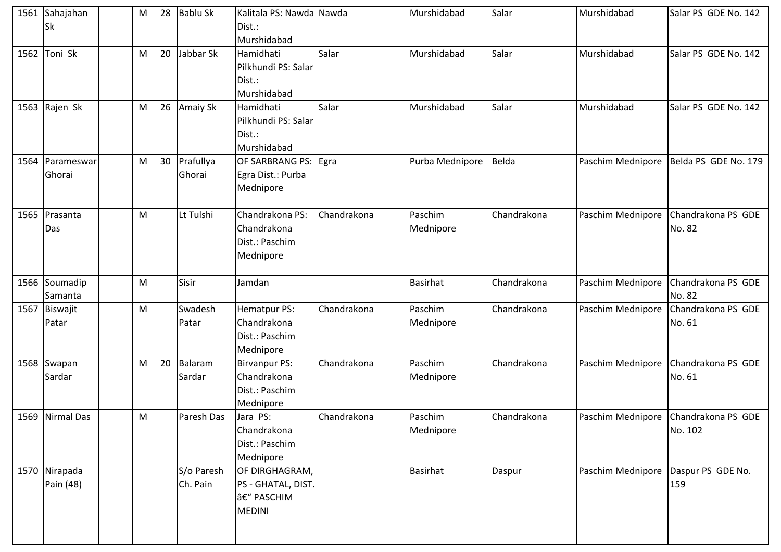|      | 1561 Sahajahan<br><b>Sk</b> | M | 28 | <b>Bablu Sk</b>        | Kalitala PS: Nawda Nawda<br>Dist.:<br>Murshidabad                  |             | Murshidabad          | Salar       | Murshidabad       | Salar PS GDE No. 142          |
|------|-----------------------------|---|----|------------------------|--------------------------------------------------------------------|-------------|----------------------|-------------|-------------------|-------------------------------|
|      | 1562 Toni Sk                | M | 20 | Jabbar Sk              | Hamidhati<br>Pilkhundi PS: Salar<br>Dist.:<br>Murshidabad          | Salar       | Murshidabad          | Salar       | Murshidabad       | Salar PS GDE No. 142          |
|      | 1563 Rajen Sk               | M | 26 | Amaiy Sk               | Hamidhati<br>Pilkhundi PS: Salar<br>Dist.:<br>Murshidabad          | Salar       | Murshidabad          | Salar       | Murshidabad       | Salar PS GDE No. 142          |
|      | 1564 Parameswar<br>Ghorai   | M | 30 | Prafullya<br>Ghorai    | OF SARBRANG PS: Egra<br>Egra Dist.: Purba<br>Mednipore             |             | Purba Mednipore      | Belda       | Paschim Mednipore | Belda PS GDE No. 179          |
|      | 1565 Prasanta<br>Das        | M |    | Lt Tulshi              | Chandrakona PS:<br>Chandrakona<br>Dist.: Paschim<br>Mednipore      | Chandrakona | Paschim<br>Mednipore | Chandrakona | Paschim Mednipore | Chandrakona PS GDE<br>No. 82  |
|      | 1566 Soumadip<br>Samanta    | M |    | Sisir                  | Jamdan                                                             |             | <b>Basirhat</b>      | Chandrakona | Paschim Mednipore | Chandrakona PS GDE<br>No. 82  |
| 1567 | Biswajit<br>Patar           | M |    | Swadesh<br>Patar       | Hematpur PS:<br>Chandrakona<br>Dist.: Paschim<br>Mednipore         | Chandrakona | Paschim<br>Mednipore | Chandrakona | Paschim Mednipore | Chandrakona PS GDE<br>No. 61  |
|      | 1568 Swapan<br>Sardar       | M | 20 | Balaram<br>Sardar      | <b>Birvanpur PS:</b><br>Chandrakona<br>Dist.: Paschim<br>Mednipore | Chandrakona | Paschim<br>Mednipore | Chandrakona | Paschim Mednipore | Chandrakona PS GDE<br>No. 61  |
|      | 1569 Nirmal Das             | M |    | Paresh Das             | Jara PS:<br>Chandrakona<br>Dist.: Paschim<br>Mednipore             | Chandrakona | Paschim<br>Mednipore | Chandrakona | Paschim Mednipore | Chandrakona PS GDE<br>No. 102 |
|      | 1570 Nirapada<br>Pain (48)  |   |    | S/o Paresh<br>Ch. Pain | OF DIRGHAGRAM,<br>PS - GHATAL, DIST.<br>– PASCHIM<br><b>MEDINI</b> |             | <b>Basirhat</b>      | Daspur      | Paschim Mednipore | Daspur PS GDE No.<br>159      |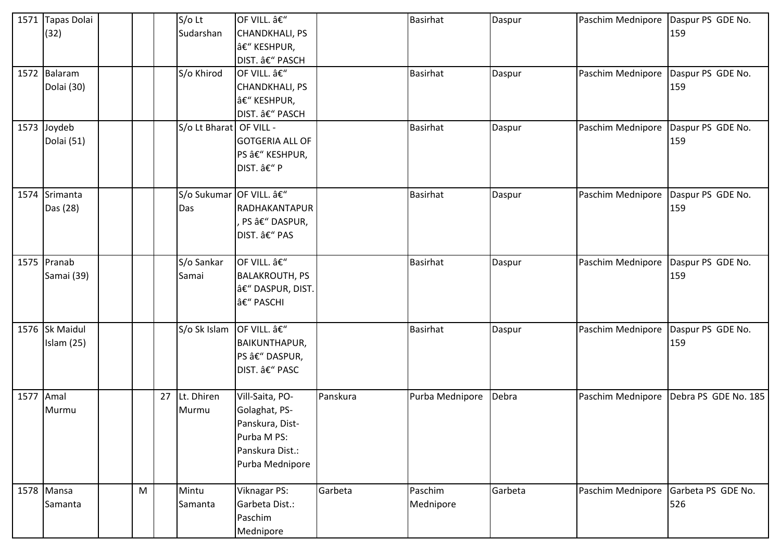|           | 1571 Tapas Dolai  |   |    | $S/O$ Lt                  | OF VILL. –             |          | <b>Basirhat</b> | Daspur  | Paschim Mednipore | Daspur PS GDE No.    |
|-----------|-------------------|---|----|---------------------------|------------------------|----------|-----------------|---------|-------------------|----------------------|
|           | (32)              |   |    | Sudarshan                 | <b>CHANDKHALI, PS</b>  |          |                 |         |                   | 159                  |
|           |                   |   |    |                           | â€" KESHPUR,           |          |                 |         |                   |                      |
|           |                   |   |    |                           | DIST. â€" PASCH        |          |                 |         |                   |                      |
|           | 1572 Balaram      |   |    | S/o Khirod                | OF VILL. –             |          | <b>Basirhat</b> | Daspur  | Paschim Mednipore | Daspur PS GDE No.    |
|           | Dolai (30)        |   |    |                           | CHANDKHALI, PS         |          |                 |         |                   | 159                  |
|           |                   |   |    |                           | – KESHPUR,             |          |                 |         |                   |                      |
|           |                   |   |    |                           | DIST. â€" PASCH        |          |                 |         |                   |                      |
|           | 1573 Joydeb       |   |    | S/o Lt Bharat OF VILL -   |                        |          | <b>Basirhat</b> | Daspur  | Paschim Mednipore | Daspur PS GDE No.    |
|           | Dolai (51)        |   |    |                           | <b>GOTGERIA ALL OF</b> |          |                 |         |                   | 159                  |
|           |                   |   |    |                           | PS â€" KESHPUR,        |          |                 |         |                   |                      |
|           |                   |   |    |                           | DIST. â€" P            |          |                 |         |                   |                      |
|           |                   |   |    |                           |                        |          |                 |         |                   |                      |
|           | 1574 Srimanta     |   |    | S/o Sukumar OF VILL. –    |                        |          | <b>Basirhat</b> | Daspur  | Paschim Mednipore | Daspur PS GDE No.    |
|           | Das (28)          |   |    | Das                       | RADHAKANTAPUR          |          |                 |         |                   | 159                  |
|           |                   |   |    |                           | PS â€" DASPUR,         |          |                 |         |                   |                      |
|           |                   |   |    |                           | DIST. â€" PAS          |          |                 |         |                   |                      |
|           |                   |   |    |                           |                        |          |                 |         |                   |                      |
|           | 1575 Pranab       |   |    | S/o Sankar                | OF VILL. â€"           |          | <b>Basirhat</b> | Daspur  | Paschim Mednipore | Daspur PS GDE No.    |
|           | Samai (39)        |   |    | Samai                     | <b>BALAKROUTH, PS</b>  |          |                 |         |                   | 159                  |
|           |                   |   |    |                           | â€" DASPUR, DIST.      |          |                 |         |                   |                      |
|           |                   |   |    |                           | – PASCHI               |          |                 |         |                   |                      |
|           | 1576 Sk Maidul    |   |    | S/o Sk Islam OF VILL. â€" |                        |          | <b>Basirhat</b> | Daspur  | Paschim Mednipore | Daspur PS GDE No.    |
|           | <b>Islam (25)</b> |   |    |                           | <b>BAIKUNTHAPUR,</b>   |          |                 |         |                   | 159                  |
|           |                   |   |    |                           | PS â€" DASPUR,         |          |                 |         |                   |                      |
|           |                   |   |    |                           | DIST. â€" PASC         |          |                 |         |                   |                      |
|           |                   |   |    |                           |                        |          |                 |         |                   |                      |
| 1577 Amal |                   |   | 27 | Lt. Dhiren                | Vill-Saita, PO-        | Panskura | Purba Mednipore | Debra   | Paschim Mednipore | Debra PS GDE No. 185 |
|           | Murmu             |   |    | Murmu                     | Golaghat, PS-          |          |                 |         |                   |                      |
|           |                   |   |    |                           | Panskura, Dist-        |          |                 |         |                   |                      |
|           |                   |   |    |                           | Purba M PS:            |          |                 |         |                   |                      |
|           |                   |   |    |                           | Panskura Dist.:        |          |                 |         |                   |                      |
|           |                   |   |    |                           | Purba Mednipore        |          |                 |         |                   |                      |
|           |                   |   |    |                           |                        |          |                 |         |                   |                      |
|           | 1578 Mansa        | M |    | Mintu                     | Viknagar PS:           | Garbeta  | Paschim         | Garbeta | Paschim Mednipore | Garbeta PS GDE No.   |
|           | Samanta           |   |    | Samanta                   | Garbeta Dist.:         |          | Mednipore       |         |                   | 526                  |
|           |                   |   |    |                           | Paschim                |          |                 |         |                   |                      |
|           |                   |   |    |                           | Mednipore              |          |                 |         |                   |                      |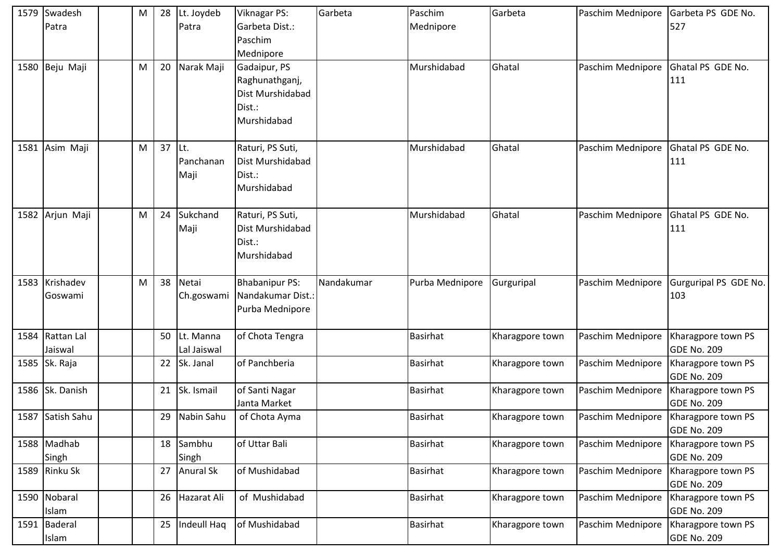| 1579 Swadesh<br>Patra      | M | 28 | Lt. Joydeb<br>Patra       | Viknagar PS:<br>Garbeta Dist.:<br>Paschim<br>Mednipore                      | Garbeta    | Paschim<br>Mednipore | Garbeta         | Paschim Mednipore | Garbeta PS GDE No.<br>527                |
|----------------------------|---|----|---------------------------|-----------------------------------------------------------------------------|------------|----------------------|-----------------|-------------------|------------------------------------------|
| 1580 Beju Maji             | M | 20 | Narak Maji                | Gadaipur, PS<br>Raghunathganj,<br>Dist Murshidabad<br>Dist.:<br>Murshidabad |            | Murshidabad          | Ghatal          | Paschim Mednipore | Ghatal PS GDE No.<br>111                 |
| 1581 Asim Maji             | M | 37 | ILt.<br>Panchanan<br>Maji | Raturi, PS Suti,<br>Dist Murshidabad<br>Dist.:<br>Murshidabad               |            | Murshidabad          | Ghatal          | Paschim Mednipore | Ghatal PS GDE No.<br>111                 |
| 1582 Arjun Maji            | M | 24 | Sukchand<br>Maji          | Raturi, PS Suti,<br>Dist Murshidabad<br>Dist.:<br>Murshidabad               |            | Murshidabad          | Ghatal          | Paschim Mednipore | Ghatal PS GDE No.<br>111                 |
| 1583 Krishadev<br>Goswami  | M | 38 | Netai<br>Ch.goswami       | <b>Bhabanipur PS:</b><br>Nandakumar Dist.:<br>Purba Mednipore               | Nandakumar | Purba Mednipore      | Gurguripal      | Paschim Mednipore | Gurguripal PS GDE No.<br>103             |
| 1584 Rattan Lal<br>Jaiswal |   | 50 | Lt. Manna<br>Lal Jaiswal  | of Chota Tengra                                                             |            | <b>Basirhat</b>      | Kharagpore town | Paschim Mednipore | Kharagpore town PS<br><b>GDE No. 209</b> |
| 1585 Sk. Raja              |   | 22 | Sk. Janal                 | of Panchberia                                                               |            | <b>Basirhat</b>      | Kharagpore town | Paschim Mednipore | Kharagpore town PS<br><b>GDE No. 209</b> |
| 1586 Sk. Danish            |   | 21 | Sk. Ismail                | of Santi Nagar<br>Janta Market                                              |            | <b>Basirhat</b>      | Kharagpore town | Paschim Mednipore | Kharagpore town PS<br><b>GDE No. 209</b> |
| 1587 Satish Sahu           |   | 29 | Nabin Sahu                | of Chota Ayma                                                               |            | <b>Basirhat</b>      | Kharagpore town | Paschim Mednipore | Kharagpore town PS<br><b>GDE No. 209</b> |
| 1588 Madhab<br>Singh       |   | 18 | Sambhu<br>Singh           | of Uttar Bali                                                               |            | <b>Basirhat</b>      | Kharagpore town | Paschim Mednipore | Kharagpore town PS<br><b>GDE No. 209</b> |
| 1589 Rinku Sk              |   | 27 | Anural Sk                 | of Mushidabad                                                               |            | Basirhat             | Kharagpore town | Paschim Mednipore | Kharagpore town PS<br><b>GDE No. 209</b> |
| 1590 Nobaral<br>Islam      |   | 26 | Hazarat Ali               | of Mushidabad                                                               |            | <b>Basirhat</b>      | Kharagpore town | Paschim Mednipore | Kharagpore town PS<br><b>GDE No. 209</b> |
| 1591 Baderal<br>Islam      |   | 25 | Indeull Haq               | of Mushidabad                                                               |            | <b>Basirhat</b>      | Kharagpore town | Paschim Mednipore | Kharagpore town PS<br><b>GDE No. 209</b> |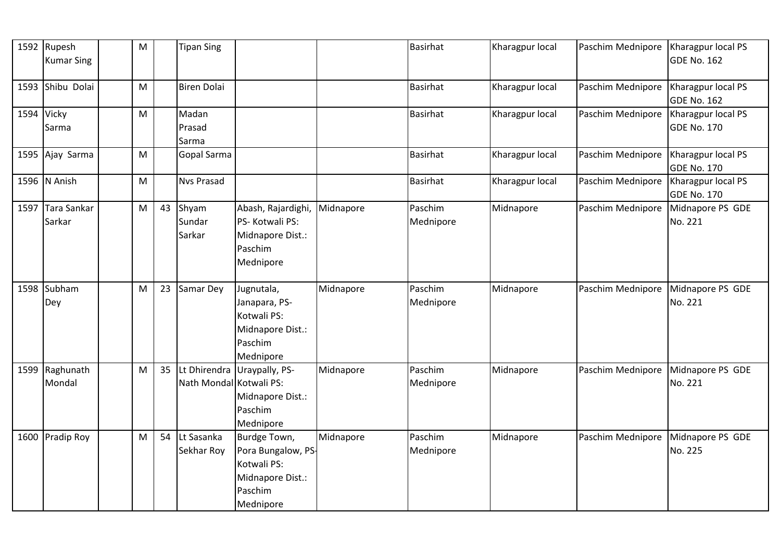|      | 1592 Rupesh<br><b>Kumar Sing</b> | M |    | <b>Tipan Sing</b>       |                              |           | <b>Basirhat</b> | Kharagpur local | Paschim Mednipore | Kharagpur local PS<br><b>GDE No. 162</b> |
|------|----------------------------------|---|----|-------------------------|------------------------------|-----------|-----------------|-----------------|-------------------|------------------------------------------|
|      | 1593 Shibu Dolai                 | M |    | <b>Biren Dolai</b>      |                              |           | <b>Basirhat</b> | Kharagpur local | Paschim Mednipore | Kharagpur local PS<br><b>GDE No. 162</b> |
|      | 1594 Vicky                       | M |    | Madan                   |                              |           | <b>Basirhat</b> | Kharagpur local | Paschim Mednipore | Kharagpur local PS                       |
|      | Sarma                            |   |    | Prasad                  |                              |           |                 |                 |                   | <b>GDE No. 170</b>                       |
|      |                                  |   |    | Sarma                   |                              |           |                 |                 |                   |                                          |
|      | 1595 Ajay Sarma                  | M |    | Gopal Sarma             |                              |           | <b>Basirhat</b> | Kharagpur local | Paschim Mednipore | Kharagpur local PS<br><b>GDE No. 170</b> |
|      | 1596 N Anish                     | M |    | <b>Nvs Prasad</b>       |                              |           | <b>Basirhat</b> | Kharagpur local | Paschim Mednipore | Kharagpur local PS<br><b>GDE No. 170</b> |
| 1597 | <b>Tara Sankar</b>               | M | 43 | Shyam                   | Abash, Rajardighi, Midnapore |           | Paschim         | Midnapore       | Paschim Mednipore | Midnapore PS GDE                         |
|      | Sarkar                           |   |    | Sundar                  | PS- Kotwali PS:              |           | Mednipore       |                 |                   | No. 221                                  |
|      |                                  |   |    | Sarkar                  | Midnapore Dist.:             |           |                 |                 |                   |                                          |
|      |                                  |   |    |                         | Paschim                      |           |                 |                 |                   |                                          |
|      |                                  |   |    |                         | Mednipore                    |           |                 |                 |                   |                                          |
|      |                                  |   |    |                         |                              |           |                 |                 |                   |                                          |
|      | 1598 Subham                      | M | 23 | Samar Dey               | Jugnutala,                   | Midnapore | Paschim         | Midnapore       | Paschim Mednipore | Midnapore PS GDE                         |
|      | Dey                              |   |    |                         | Janapara, PS-<br>Kotwali PS: |           | Mednipore       |                 |                   | No. 221                                  |
|      |                                  |   |    |                         |                              |           |                 |                 |                   |                                          |
|      |                                  |   |    |                         | Midnapore Dist.:<br>Paschim  |           |                 |                 |                   |                                          |
|      |                                  |   |    |                         | Mednipore                    |           |                 |                 |                   |                                          |
|      | 1599 Raghunath                   | M | 35 |                         | Lt Dhirendra Uraypally, PS-  | Midnapore | Paschim         | Midnapore       | Paschim Mednipore | Midnapore PS GDE                         |
|      | Mondal                           |   |    | Nath Mondal Kotwali PS: |                              |           | Mednipore       |                 |                   | No. 221                                  |
|      |                                  |   |    |                         | Midnapore Dist.:             |           |                 |                 |                   |                                          |
|      |                                  |   |    |                         | Paschim                      |           |                 |                 |                   |                                          |
|      |                                  |   |    |                         | Mednipore                    |           |                 |                 |                   |                                          |
|      | 1600 Pradip Roy                  | M | 54 | Lt Sasanka              | Burdge Town,                 | Midnapore | Paschim         | Midnapore       | Paschim Mednipore | Midnapore PS GDE                         |
|      |                                  |   |    | Sekhar Roy              | Pora Bungalow, PS-           |           | Mednipore       |                 |                   | No. 225                                  |
|      |                                  |   |    |                         | Kotwali PS:                  |           |                 |                 |                   |                                          |
|      |                                  |   |    |                         | Midnapore Dist.:             |           |                 |                 |                   |                                          |
|      |                                  |   |    |                         | Paschim                      |           |                 |                 |                   |                                          |
|      |                                  |   |    |                         | Mednipore                    |           |                 |                 |                   |                                          |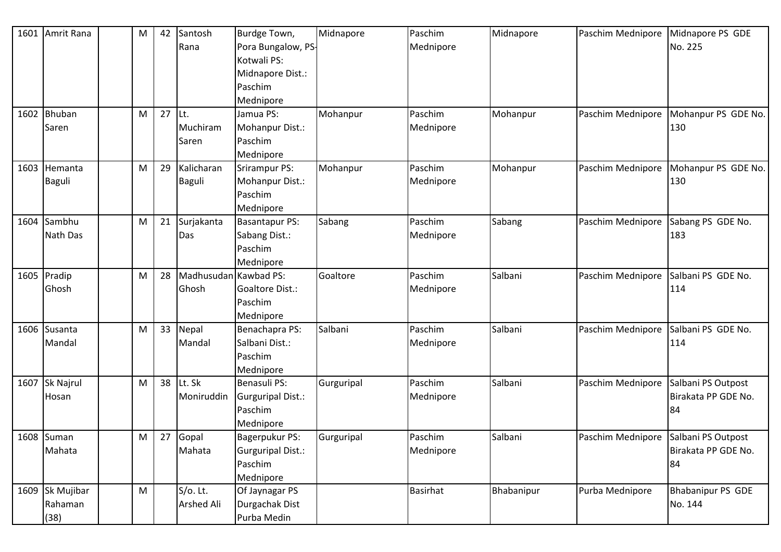|      | 1601 Amrit Rana  | $\mathsf{M}% _{T}=\mathsf{M}_{T}\!\left( a,b\right) ,\ \mathsf{M}_{T}=\mathsf{M}_{T}\!\left( a,b\right) ,$ | 42 | Santosh               | Burdge Town,       | Midnapore  | Paschim         | Midnapore  | Paschim Mednipore | Midnapore PS GDE         |
|------|------------------|------------------------------------------------------------------------------------------------------------|----|-----------------------|--------------------|------------|-----------------|------------|-------------------|--------------------------|
|      |                  |                                                                                                            |    | Rana                  | Pora Bungalow, PS- |            | Mednipore       |            |                   | No. 225                  |
|      |                  |                                                                                                            |    |                       | Kotwali PS:        |            |                 |            |                   |                          |
|      |                  |                                                                                                            |    |                       | Midnapore Dist.:   |            |                 |            |                   |                          |
|      |                  |                                                                                                            |    |                       | Paschim            |            |                 |            |                   |                          |
|      |                  |                                                                                                            |    |                       | Mednipore          |            |                 |            |                   |                          |
|      | 1602 Bhuban      | M                                                                                                          | 27 | Lt.                   | Jamua PS:          | Mohanpur   | Paschim         | Mohanpur   | Paschim Mednipore | Mohanpur PS GDE No.      |
|      | Saren            |                                                                                                            |    | Muchiram              | Mohanpur Dist.:    |            | Mednipore       |            |                   | 130                      |
|      |                  |                                                                                                            |    | Saren                 | Paschim            |            |                 |            |                   |                          |
|      |                  |                                                                                                            |    |                       | Mednipore          |            |                 |            |                   |                          |
|      | 1603 Hemanta     | M                                                                                                          | 29 | Kalicharan            | Srirampur PS:      | Mohanpur   | Paschim         | Mohanpur   | Paschim Mednipore | Mohanpur PS GDE No.      |
|      | <b>Baguli</b>    |                                                                                                            |    | <b>Baguli</b>         | Mohanpur Dist.:    |            | Mednipore       |            |                   | 130                      |
|      |                  |                                                                                                            |    |                       | Paschim            |            |                 |            |                   |                          |
|      |                  |                                                                                                            |    |                       | Mednipore          |            |                 |            |                   |                          |
| 1604 | Sambhu           | M                                                                                                          | 21 | Surjakanta            | Basantapur PS:     | Sabang     | Paschim         | Sabang     | Paschim Mednipore | Sabang PS GDE No.        |
|      | <b>Nath Das</b>  |                                                                                                            |    | Das                   | Sabang Dist.:      |            | Mednipore       |            |                   | 183                      |
|      |                  |                                                                                                            |    |                       | Paschim            |            |                 |            |                   |                          |
|      |                  |                                                                                                            |    |                       | Mednipore          |            |                 |            |                   |                          |
|      | 1605 Pradip      | M                                                                                                          | 28 | Madhusudan Kawbad PS: |                    | Goaltore   | Paschim         | Salbani    | Paschim Mednipore | Salbani PS GDE No.       |
|      | Ghosh            |                                                                                                            |    | Ghosh                 | Goaltore Dist.:    |            | Mednipore       |            |                   | 114                      |
|      |                  |                                                                                                            |    |                       | Paschim            |            |                 |            |                   |                          |
|      |                  |                                                                                                            |    |                       | Mednipore          |            |                 |            |                   |                          |
|      | 1606 Susanta     | M                                                                                                          | 33 | Nepal                 | Benachapra PS:     | Salbani    | Paschim         | Salbani    | Paschim Mednipore | Salbani PS GDE No.       |
|      | Mandal           |                                                                                                            |    | Mandal                | Salbani Dist.:     |            | Mednipore       |            |                   | 114                      |
|      |                  |                                                                                                            |    |                       | Paschim            |            |                 |            |                   |                          |
|      |                  |                                                                                                            |    |                       | Mednipore          |            |                 |            |                   |                          |
| 1607 | <b>Sk Najrul</b> | M                                                                                                          | 38 | Lt. Sk                | Benasuli PS:       | Gurguripal | Paschim         | Salbani    | Paschim Mednipore | Salbani PS Outpost       |
|      | Hosan            |                                                                                                            |    | Moniruddin            | Gurguripal Dist.:  |            | Mednipore       |            |                   | Birakata PP GDE No.      |
|      |                  |                                                                                                            |    |                       | Paschim            |            |                 |            |                   | 84                       |
|      |                  |                                                                                                            |    |                       | Mednipore          |            |                 |            |                   |                          |
|      | 1608 Suman       | M                                                                                                          | 27 | Gopal                 | Bagerpukur PS:     | Gurguripal | Paschim         | Salbani    | Paschim Mednipore | Salbani PS Outpost       |
|      | Mahata           |                                                                                                            |    | Mahata                | Gurguripal Dist.:  |            | Mednipore       |            |                   | Birakata PP GDE No.      |
|      |                  |                                                                                                            |    |                       | Paschim            |            |                 |            |                   | 84                       |
|      |                  |                                                                                                            |    |                       | Mednipore          |            |                 |            |                   |                          |
|      | 1609 Sk Mujibar  | M                                                                                                          |    | S/o. Lt.              | Of Jaynagar PS     |            | <b>Basirhat</b> | Bhabanipur | Purba Mednipore   | <b>Bhabanipur PS GDE</b> |
|      | Rahaman          |                                                                                                            |    | Arshed Ali            | Durgachak Dist     |            |                 |            |                   | No. 144                  |
|      | (38)             |                                                                                                            |    |                       | Purba Medin        |            |                 |            |                   |                          |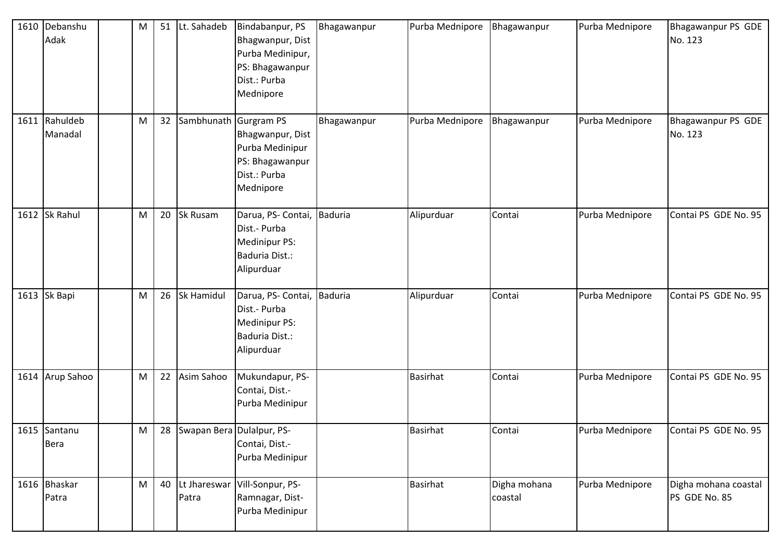| 1610 Debanshu<br>Adak       | M | 51 | Lt. Sahadeb               | Bindabanpur, PS<br>Bhagwanpur, Dist<br>Purba Medinipur,<br>PS: Bhagawanpur<br>Dist.: Purba<br>Mednipore  | Bhagawanpur | Purba Mednipore | Bhagawanpur             | Purba Mednipore | Bhagawanpur PS GDE<br>No. 123         |
|-----------------------------|---|----|---------------------------|----------------------------------------------------------------------------------------------------------|-------------|-----------------|-------------------------|-----------------|---------------------------------------|
| 1611 Rahuldeb<br>Manadal    | M | 32 | Sambhunath                | <b>Gurgram PS</b><br>Bhagwanpur, Dist<br>Purba Medinipur<br>PS: Bhagawanpur<br>Dist.: Purba<br>Mednipore | Bhagawanpur | Purba Mednipore | Bhagawanpur             | Purba Mednipore | Bhagawanpur PS GDE<br>No. 123         |
| 1612 Sk Rahul               | M | 20 | Sk Rusam                  | Darua, PS- Contai, Baduria<br>Dist.- Purba<br>Medinipur PS:<br>Baduria Dist.:<br>Alipurduar              |             | Alipurduar      | Contai                  | Purba Mednipore | Contai PS GDE No. 95                  |
| 1613 Sk Bapi                | M | 26 | Sk Hamidul                | Darua, PS- Contai, Baduria<br>Dist.- Purba<br>Medinipur PS:<br>Baduria Dist.:<br>Alipurduar              |             | Alipurduar      | Contai                  | Purba Mednipore | Contai PS GDE No. 95                  |
| 1614 Arup Sahoo             | M | 22 | Asim Sahoo                | Mukundapur, PS-<br>Contai, Dist.-<br>Purba Medinipur                                                     |             | <b>Basirhat</b> | Contai                  | Purba Mednipore | Contai PS GDE No. 95                  |
| 1615 Santanu<br><b>Bera</b> | M | 28 | Swapan Bera Dulalpur, PS- | Contai, Dist.-<br>Purba Medinipur                                                                        |             | <b>Basirhat</b> | Contai                  | Purba Mednipore | Contai PS GDE No. 95                  |
| 1616 Bhaskar<br>Patra       | M | 40 | Patra                     | Lt Jhareswar Vill-Sonpur, PS-<br>Ramnagar, Dist-<br>Purba Medinipur                                      |             | <b>Basirhat</b> | Digha mohana<br>coastal | Purba Mednipore | Digha mohana coastal<br>PS GDE No. 85 |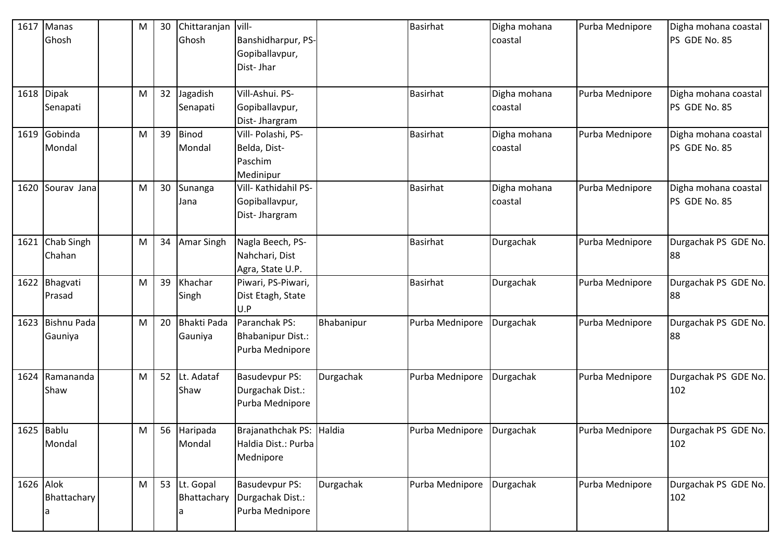| 1617      | Manas         | M | 30 | Chittaranjan vill- |                          |            | <b>Basirhat</b> | Digha mohana | Purba Mednipore | Digha mohana coastal |
|-----------|---------------|---|----|--------------------|--------------------------|------------|-----------------|--------------|-----------------|----------------------|
|           | Ghosh         |   |    | Ghosh              | Banshidharpur, PS-       |            |                 | coastal      |                 | PS GDE No. 85        |
|           |               |   |    |                    | Gopiballavpur,           |            |                 |              |                 |                      |
|           |               |   |    |                    | Dist-Jhar                |            |                 |              |                 |                      |
|           |               |   |    |                    |                          |            |                 |              |                 |                      |
|           | 1618 Dipak    | M | 32 | Jagadish           | Vill-Ashui. PS-          |            | <b>Basirhat</b> | Digha mohana | Purba Mednipore | Digha mohana coastal |
|           | Senapati      |   |    | Senapati           | Gopiballavpur,           |            |                 | coastal      |                 | PS GDE No. 85        |
|           |               |   |    |                    | Dist-Jhargram            |            |                 |              |                 |                      |
|           | 1619 Gobinda  | M | 39 | Binod              | Vill- Polashi, PS-       |            | <b>Basirhat</b> | Digha mohana | Purba Mednipore | Digha mohana coastal |
|           | Mondal        |   |    | Mondal             | Belda, Dist-             |            |                 | coastal      |                 | PS GDE No. 85        |
|           |               |   |    |                    | Paschim                  |            |                 |              |                 |                      |
|           |               |   |    |                    | Medinipur                |            |                 |              |                 |                      |
| 1620      | Sourav Jana   | M | 30 | Sunanga            | Vill- Kathidahil PS-     |            | <b>Basirhat</b> | Digha mohana | Purba Mednipore | Digha mohana coastal |
|           |               |   |    | Jana               | Gopiballavpur,           |            |                 | coastal      |                 | PS GDE No. 85        |
|           |               |   |    |                    | Dist-Jhargram            |            |                 |              |                 |                      |
|           |               |   |    |                    |                          |            |                 |              |                 |                      |
| 1621      | Chab Singh    | M | 34 | <b>Amar Singh</b>  | Nagla Beech, PS-         |            | <b>Basirhat</b> | Durgachak    | Purba Mednipore | Durgachak PS GDE No. |
|           | Chahan        |   |    |                    | Nahchari, Dist           |            |                 |              |                 | 88                   |
|           |               |   |    |                    | Agra, State U.P.         |            |                 |              |                 |                      |
|           | 1622 Bhagvati | M | 39 | Khachar            | Piwari, PS-Piwari,       |            | Basirhat        | Durgachak    | Purba Mednipore | Durgachak PS GDE No. |
|           | Prasad        |   |    | Singh              | Dist Etagh, State        |            |                 |              |                 | 88                   |
|           |               |   |    |                    | U.P                      |            |                 |              |                 |                      |
| 1623      | Bishnu Pada   | M | 20 | <b>Bhakti Pada</b> | Paranchak PS:            | Bhabanipur | Purba Mednipore | Durgachak    | Purba Mednipore | Durgachak PS GDE No. |
|           | Gauniya       |   |    | Gauniya            | <b>Bhabanipur Dist.:</b> |            |                 |              |                 | 88                   |
|           |               |   |    |                    | Purba Mednipore          |            |                 |              |                 |                      |
|           |               |   |    |                    |                          |            |                 |              |                 |                      |
| 1624      | Ramananda     | M | 52 | Lt. Adataf         | <b>Basudevpur PS:</b>    | Durgachak  | Purba Mednipore | Durgachak    | Purba Mednipore | Durgachak PS GDE No. |
|           | Shaw          |   |    | Shaw               | Durgachak Dist.:         |            |                 |              |                 | 102                  |
|           |               |   |    |                    | Purba Mednipore          |            |                 |              |                 |                      |
|           |               |   |    |                    |                          |            |                 |              |                 |                      |
|           | 1625 Bablu    | M | 56 | Haripada           | Brajanathchak PS: Haldia |            | Purba Mednipore | Durgachak    | Purba Mednipore | Durgachak PS GDE No. |
|           | Mondal        |   |    | Mondal             | Haldia Dist.: Purba      |            |                 |              |                 | 102                  |
|           |               |   |    |                    | Mednipore                |            |                 |              |                 |                      |
| 1626 Alok |               | M | 53 | Lt. Gopal          | <b>Basudevpur PS:</b>    | Durgachak  | Purba Mednipore | Durgachak    | Purba Mednipore | Durgachak PS GDE No. |
|           | Bhattachary   |   |    | Bhattachary        | Durgachak Dist.:         |            |                 |              |                 | 102                  |
|           |               |   |    |                    | Purba Mednipore          |            |                 |              |                 |                      |
|           |               |   |    |                    |                          |            |                 |              |                 |                      |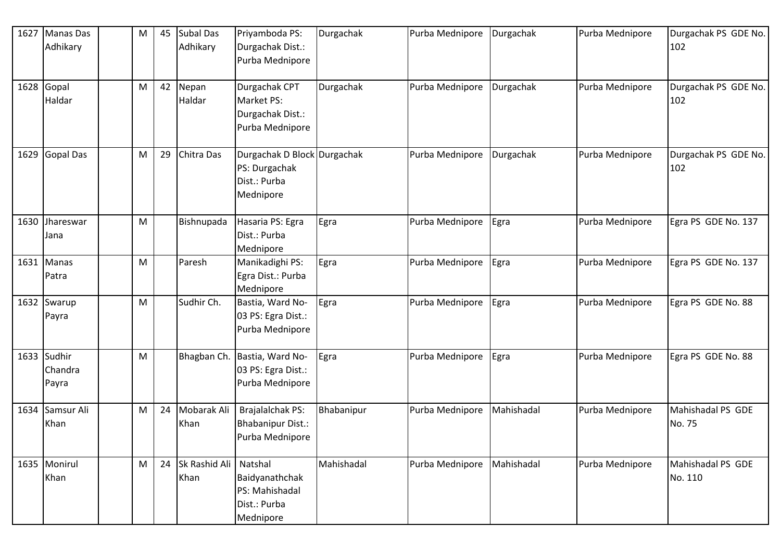| 1627 | Manas Das<br>Adhikary           | M | 45 | Subal Das<br>Adhikary         | Priyamboda PS:<br>Durgachak Dist.:<br>Purba Mednipore                     | Durgachak  | Purba Mednipore | Durgachak  | Purba Mednipore | Durgachak PS GDE No.<br>102  |
|------|---------------------------------|---|----|-------------------------------|---------------------------------------------------------------------------|------------|-----------------|------------|-----------------|------------------------------|
|      | 1628 Gopal<br>Haldar            | M | 42 | Nepan<br>Haldar               | Durgachak CPT<br>Market PS:<br>Durgachak Dist.:<br>Purba Mednipore        | Durgachak  | Purba Mednipore | Durgachak  | Purba Mednipore | Durgachak PS GDE No.<br>102  |
|      | 1629 Gopal Das                  | M | 29 | Chitra Das                    | Durgachak D Block Durgachak<br>PS: Durgachak<br>Dist.: Purba<br>Mednipore |            | Purba Mednipore | Durgachak  | Purba Mednipore | Durgachak PS GDE No.<br>102  |
|      | 1630 Jhareswar<br>Jana          | M |    | Bishnupada                    | Hasaria PS: Egra<br>Dist.: Purba<br>Mednipore                             | Egra       | Purba Mednipore | Egra       | Purba Mednipore | Egra PS GDE No. 137          |
|      | 1631 Manas<br>Patra             | M |    | Paresh                        | Manikadighi PS:<br>Egra Dist.: Purba<br>Mednipore                         | Egra       | Purba Mednipore | Egra       | Purba Mednipore | Egra PS GDE No. 137          |
|      | 1632 Swarup<br>Payra            | M |    | Sudhir Ch.                    | Bastia, Ward No-<br>03 PS: Egra Dist.:<br>Purba Mednipore                 | Egra       | Purba Mednipore | Egra       | Purba Mednipore | Egra PS GDE No. 88           |
|      | 1633 Sudhir<br>Chandra<br>Payra | M |    | Bhagban Ch.                   | Bastia, Ward No-<br>03 PS: Egra Dist.:<br>Purba Mednipore                 | Egra       | Purba Mednipore | Egra       | Purba Mednipore | Egra PS GDE No. 88           |
|      | 1634 Samsur Ali<br>Khan         | M | 24 | Mobarak Ali<br>Khan           | Brajalalchak PS:<br><b>Bhabanipur Dist.:</b><br>Purba Mednipore           | Bhabanipur | Purba Mednipore | Mahishadal | Purba Mednipore | Mahishadal PS GDE<br>No. 75  |
|      | 1635 Monirul<br>Khan            | M | 24 | Sk Rashid Ali Natshal<br>Khan | Baidyanathchak<br>PS: Mahishadal<br>Dist.: Purba<br>Mednipore             | Mahishadal | Purba Mednipore | Mahishadal | Purba Mednipore | Mahishadal PS GDE<br>No. 110 |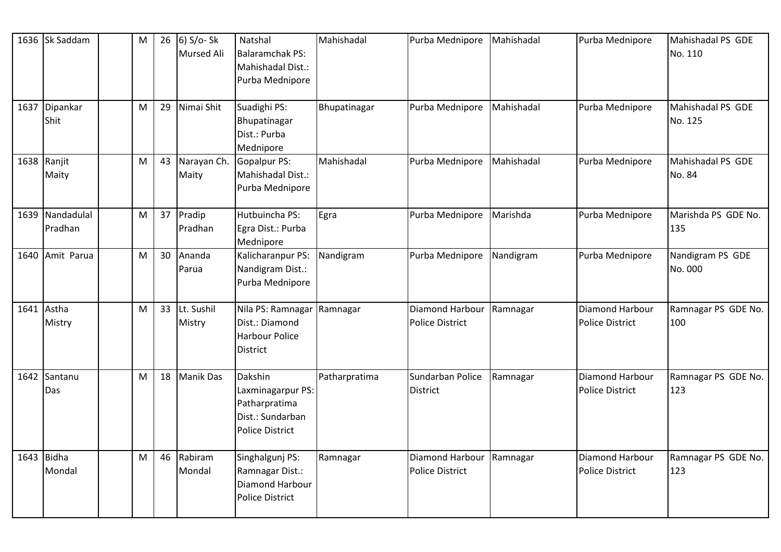| 1636 Sk Saddam             | M | 26 | 6) S/o- Sk<br><b>Mursed Ali</b> | Natshal<br><b>Balaramchak PS:</b><br>Mahishadal Dist.:<br>Purba Mednipore                   | Mahishadal    | Purba Mednipore                           | Mahishadal | Purba Mednipore                           | Mahishadal PS GDE<br>No. 110 |
|----------------------------|---|----|---------------------------------|---------------------------------------------------------------------------------------------|---------------|-------------------------------------------|------------|-------------------------------------------|------------------------------|
| 1637 Dipankar<br>Shit      | M | 29 | Nimai Shit                      | Suadighi PS:<br>Bhupatinagar<br>Dist.: Purba<br>Mednipore                                   | Bhupatinagar  | Purba Mednipore                           | Mahishadal | Purba Mednipore                           | Mahishadal PS GDE<br>No. 125 |
| 1638 Ranjit<br>Maity       | M | 43 | Narayan Ch.<br>Maity            | <b>Gopalpur PS:</b><br>Mahishadal Dist.:<br>Purba Mednipore                                 | Mahishadal    | Purba Mednipore                           | Mahishadal | Purba Mednipore                           | Mahishadal PS GDE<br>No. 84  |
| 1639 Nandadulal<br>Pradhan | M | 37 | Pradip<br>Pradhan               | Hutbuincha PS:<br>Egra Dist.: Purba<br>Mednipore                                            | Egra          | Purba Mednipore                           | Marishda   | Purba Mednipore                           | Marishda PS GDE No.<br>135   |
| 1640 Amit Parua            | M | 30 | Ananda<br>Parua                 | Kalicharanpur PS:<br>Nandigram Dist.:<br>Purba Mednipore                                    | Nandigram     | Purba Mednipore                           | Nandigram  | Purba Mednipore                           | Nandigram PS GDE<br>No. 000  |
| 1641 Astha<br>Mistry       | M | 33 | Lt. Sushil<br>Mistry            | Nila PS: Ramnagar<br>Dist.: Diamond<br><b>Harbour Police</b><br><b>District</b>             | Ramnagar      | Diamond Harbour<br><b>Police District</b> | Ramnagar   | Diamond Harbour<br><b>Police District</b> | Ramnagar PS GDE No.<br>100   |
| 1642 Santanu<br>Das        | M | 18 | <b>Manik Das</b>                | Dakshin<br>Laxminagarpur PS:<br>Patharpratima<br>Dist.: Sundarban<br><b>Police District</b> | Patharpratima | Sundarban Police<br><b>District</b>       | Ramnagar   | Diamond Harbour<br><b>Police District</b> | Ramnagar PS GDE No.<br>123   |
| 1643 Bidha<br>Mondal       | M | 46 | Rabiram<br>Mondal               | Singhalgunj PS:<br>Ramnagar Dist.:<br>Diamond Harbour<br><b>Police District</b>             | Ramnagar      | Diamond Harbour<br><b>Police District</b> | Ramnagar   | Diamond Harbour<br><b>Police District</b> | Ramnagar PS GDE No.<br>123   |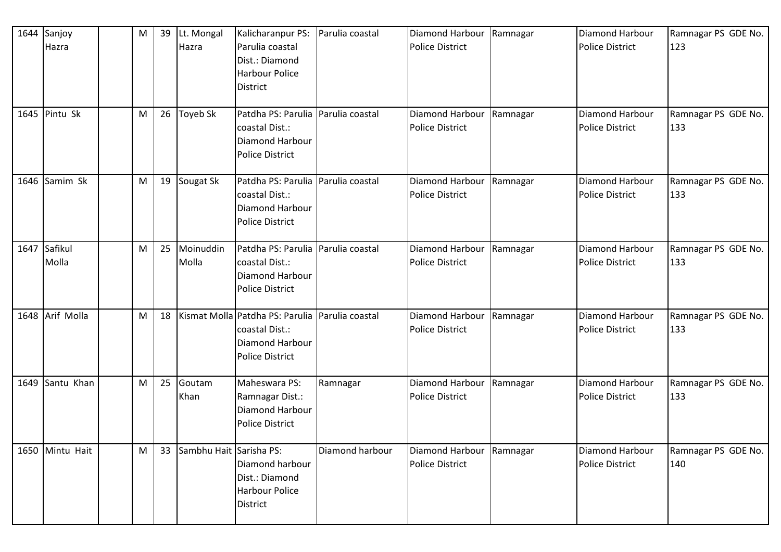|      | 1644 Sanjoy<br>Hazra | M | 39 | Lt. Mongal<br>Hazra     | Kalicharanpur PS:<br>Parulia coastal<br>Dist.: Diamond<br><b>Harbour Police</b><br><b>District</b> | Parulia coastal | Diamond Harbour<br>Police District                 | Ramnagar | Diamond Harbour<br><b>Police District</b>        | Ramnagar PS GDE No.<br>123 |
|------|----------------------|---|----|-------------------------|----------------------------------------------------------------------------------------------------|-----------------|----------------------------------------------------|----------|--------------------------------------------------|----------------------------|
|      | 1645 Pintu Sk        | M | 26 | Toyeb Sk                | Patdha PS: Parulia<br>coastal Dist.:<br>Diamond Harbour<br><b>Police District</b>                  | Parulia coastal | Diamond Harbour<br><b>Police District</b>          | Ramnagar | <b>Diamond Harbour</b><br><b>Police District</b> | Ramnagar PS GDE No.<br>133 |
|      | 1646 Samim Sk        | M | 19 | Sougat Sk               | Patdha PS: Parulia Parulia coastal<br>coastal Dist.:<br>Diamond Harbour<br><b>Police District</b>  |                 | Diamond Harbour<br><b>Police District</b>          | Ramnagar | Diamond Harbour<br><b>Police District</b>        | Ramnagar PS GDE No.<br>133 |
| 1647 | Safikul<br>Molla     | M | 25 | Moinuddin<br>Molla      | Patdha PS: Parulia<br>coastal Dist.:<br><b>Diamond Harbour</b><br><b>Police District</b>           | Parulia coastal | Diamond Harbour<br><b>Police District</b>          | Ramnagar | Diamond Harbour<br><b>Police District</b>        | Ramnagar PS GDE No.<br>133 |
|      | 1648 Arif Molla      | M | 18 |                         | Kismat Molla Patdha PS: Parulia<br>coastal Dist.:<br>Diamond Harbour<br><b>Police District</b>     | Parulia coastal | Diamond Harbour<br><b>Police District</b>          | Ramnagar | Diamond Harbour<br><b>Police District</b>        | Ramnagar PS GDE No.<br>133 |
|      | 1649 Santu Khan      | M | 25 | Goutam<br>Khan          | Maheswara PS:<br>Ramnagar Dist.:<br>Diamond Harbour<br><b>Police District</b>                      | Ramnagar        | Diamond Harbour<br><b>Police District</b>          | Ramnagar | <b>Diamond Harbour</b><br><b>Police District</b> | Ramnagar PS GDE No.<br>133 |
|      | 1650 Mintu Hait      | M | 33 | Sambhu Hait Sarisha PS: | Diamond harbour<br>Dist.: Diamond<br><b>Harbour Police</b><br><b>District</b>                      | Diamond harbour | Diamond Harbour Ramnagar<br><b>Police District</b> |          | Diamond Harbour<br><b>Police District</b>        | Ramnagar PS GDE No.<br>140 |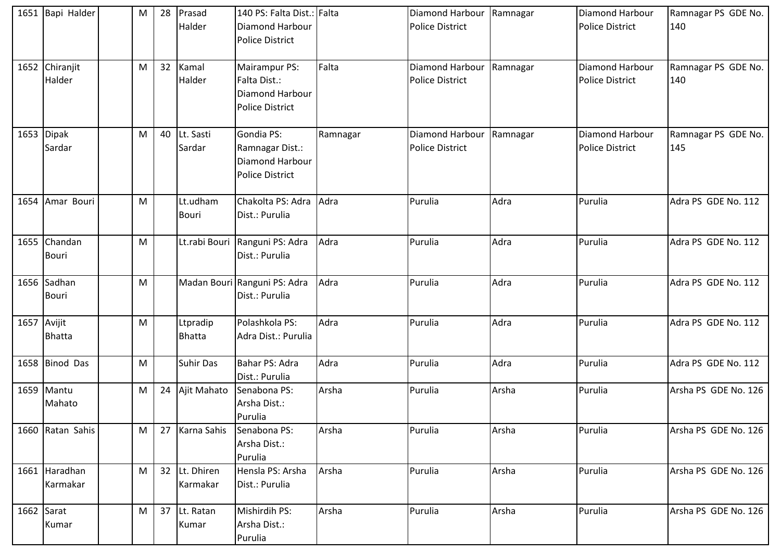|              | 1651 Bapi Halder             | M | 28 | Prasad<br>Halder          | 140 PS: Falta Dist.: Falta<br>Diamond Harbour<br><b>Police District</b>    |          | Diamond Harbour Ramnagar<br><b>Police District</b> |       | Diamond Harbour<br><b>Police District</b> | Ramnagar PS GDE No.<br>140 |
|--------------|------------------------------|---|----|---------------------------|----------------------------------------------------------------------------|----------|----------------------------------------------------|-------|-------------------------------------------|----------------------------|
|              | 1652 Chiranjit<br>Halder     | M | 32 | Kamal<br>Halder           | Mairampur PS:<br>Falta Dist.:<br>Diamond Harbour<br><b>Police District</b> | Falta    | Diamond Harbour Ramnagar<br><b>Police District</b> |       | Diamond Harbour<br><b>Police District</b> | Ramnagar PS GDE No.<br>140 |
|              | 1653 Dipak<br>Sardar         | M | 40 | Lt. Sasti<br>Sardar       | Gondia PS:<br>Ramnagar Dist.:<br>Diamond Harbour<br><b>Police District</b> | Ramnagar | Diamond Harbour Ramnagar<br><b>Police District</b> |       | Diamond Harbour<br><b>Police District</b> | Ramnagar PS GDE No.<br>145 |
|              | 1654 Amar Bouri              | M |    | Lt.udham<br><b>Bouri</b>  | Chakolta PS: Adra<br>Dist.: Purulia                                        | Adra     | Purulia                                            | Adra  | Purulia                                   | Adra PS GDE No. 112        |
|              | 1655 Chandan<br><b>Bouri</b> | M |    |                           | Lt.rabi Bouri Ranguni PS: Adra<br>Dist.: Purulia                           | Adra     | Purulia                                            | Adra  | Purulia                                   | Adra PS GDE No. 112        |
|              | 1656 Sadhan<br><b>Bouri</b>  | M |    |                           | Madan Bouri Ranguni PS: Adra<br>Dist.: Purulia                             | Adra     | Purulia                                            | Adra  | Purulia                                   | Adra PS GDE No. 112        |
| 1657 Avijit  | <b>Bhatta</b>                | M |    | Ltpradip<br><b>Bhatta</b> | Polashkola PS:<br>Adra Dist.: Purulia                                      | Adra     | Purulia                                            | Adra  | Purulia                                   | Adra PS GDE No. 112        |
|              | 1658 Binod Das               | M |    | <b>Suhir Das</b>          | Bahar PS: Adra<br>Dist.: Purulia                                           | Adra     | Purulia                                            | Adra  | Purulia                                   | Adra PS GDE No. 112        |
|              | 1659 Mantu<br>Mahato         | M | 24 | Ajit Mahato               | Senabona PS:<br>Arsha Dist.:<br>Purulia                                    | Arsha    | Purulia                                            | Arsha | Purulia                                   | Arsha PS GDE No. 126       |
|              | 1660 Ratan Sahis             | M | 27 | Karna Sahis               | Senabona PS:<br>Arsha Dist.:<br>Purulia                                    | Arsha    | Purulia                                            | Arsha | Purulia                                   | Arsha PS GDE No. 126       |
|              | 1661 Haradhan<br>Karmakar    | M | 32 | Lt. Dhiren<br>Karmakar    | Hensla PS: Arsha<br>Dist.: Purulia                                         | Arsha    | Purulia                                            | Arsha | Purulia                                   | Arsha PS GDE No. 126       |
| $1662$ Sarat | Kumar                        | M | 37 | Lt. Ratan<br>Kumar        | Mishirdih PS:<br>Arsha Dist.:<br>Purulia                                   | Arsha    | Purulia                                            | Arsha | Purulia                                   | Arsha PS GDE No. 126       |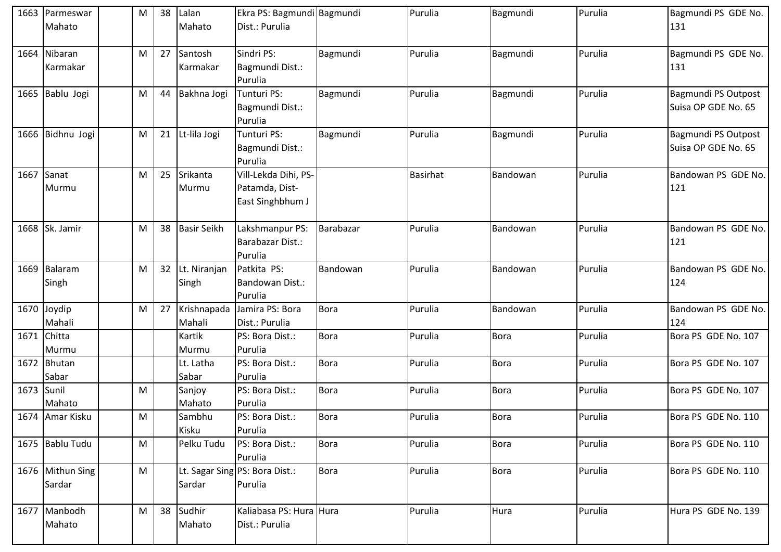|            | 1663 Parmeswar   | M | 38 | Lalan              | Ekra PS: Bagmundi Bagmundi     |             | Purulia         | Bagmundi    | Purulia | Bagmundi PS GDE No. |
|------------|------------------|---|----|--------------------|--------------------------------|-------------|-----------------|-------------|---------|---------------------|
|            | Mahato           |   |    | Mahato             | Dist.: Purulia                 |             |                 |             |         | 131                 |
|            |                  |   |    |                    |                                |             |                 |             |         |                     |
|            | 1664 Nibaran     | M | 27 | Santosh            | Sindri PS:                     | Bagmundi    | Purulia         | Bagmundi    | Purulia | Bagmundi PS GDE No. |
|            | Karmakar         |   |    | Karmakar           | Bagmundi Dist.:                |             |                 |             |         | 131                 |
|            |                  |   |    |                    | Purulia                        |             |                 |             |         |                     |
|            | 1665 Bablu Jogi  | M | 44 | Bakhna Jogi        | Tunturi PS:                    | Bagmundi    | Purulia         | Bagmundi    | Purulia | Bagmundi PS Outpost |
|            |                  |   |    |                    | Bagmundi Dist.:                |             |                 |             |         | Suisa OP GDE No. 65 |
|            |                  |   |    |                    | Purulia                        |             |                 |             |         |                     |
|            | 1666 Bidhnu Jogi | M | 21 | Lt-lila Jogi       | Tunturi PS:                    | Bagmundi    | Purulia         | Bagmundi    | Purulia | Bagmundi PS Outpost |
|            |                  |   |    |                    | Bagmundi Dist.:                |             |                 |             |         | Suisa OP GDE No. 65 |
|            |                  |   |    |                    | Purulia                        |             |                 |             |         |                     |
| 1667       | Sanat            | M | 25 | Srikanta           | Vill-Lekda Dihi, PS-           |             | <b>Basirhat</b> | Bandowan    | Purulia | Bandowan PS GDE No. |
|            | Murmu            |   |    | Murmu              | Patamda, Dist-                 |             |                 |             |         | 121                 |
|            |                  |   |    |                    | East Singhbhum J               |             |                 |             |         |                     |
|            |                  |   |    |                    |                                |             |                 |             |         |                     |
|            | 1668 Sk. Jamir   | M | 38 | <b>Basir Seikh</b> | Lakshmanpur PS:                | Barabazar   | Purulia         | Bandowan    | Purulia | Bandowan PS GDE No. |
|            |                  |   |    |                    | <b>Barabazar Dist.:</b>        |             |                 |             |         | 121                 |
|            |                  |   |    |                    | Purulia                        |             |                 |             |         |                     |
|            | 1669 Balaram     | M | 32 | Lt. Niranjan       | Patkita PS:                    | Bandowan    | Purulia         | Bandowan    | Purulia | Bandowan PS GDE No. |
|            | Singh            |   |    | Singh              | Bandowan Dist.:                |             |                 |             |         | 124                 |
|            |                  |   |    |                    | Purulia                        |             |                 |             |         |                     |
|            | 1670 Joydip      | M | 27 | Krishnapada        | Jamira PS: Bora                | <b>Bora</b> | Purulia         | Bandowan    | Purulia | Bandowan PS GDE No. |
|            | Mahali           |   |    | Mahali             | Dist.: Purulia                 |             |                 |             |         | 124                 |
|            | 1671 Chitta      |   |    | Kartik             | PS: Bora Dist.:                | <b>Bora</b> | Purulia         | <b>Bora</b> | Purulia | Bora PS GDE No. 107 |
|            | Murmu            |   |    | Murmu              | Purulia                        |             |                 |             |         |                     |
|            | 1672 Bhutan      |   |    | Lt. Latha          | PS: Bora Dist.:                | <b>Bora</b> | Purulia         | <b>Bora</b> | Purulia | Bora PS GDE No. 107 |
|            | Sabar            |   |    | Sabar              | Purulia                        |             |                 |             |         |                     |
| 1673 Sunil |                  | M |    | Sanjoy             | PS: Bora Dist.:                | <b>Bora</b> | Purulia         | Bora        | Purulia | Bora PS GDE No. 107 |
|            | Mahato           |   |    | Mahato             | Purulia                        |             |                 |             |         |                     |
|            | 1674 Amar Kisku  | M |    | Sambhu             | PS: Bora Dist.:                | <b>Bora</b> | Purulia         | Bora        | Purulia | Bora PS GDE No. 110 |
|            |                  |   |    | Kisku              | Purulia                        |             |                 |             |         |                     |
|            | 1675 Bablu Tudu  | M |    | Pelku Tudu         | PS: Bora Dist.:                | <b>Bora</b> | Purulia         | Bora        | Purulia | Bora PS GDE No. 110 |
|            |                  |   |    |                    | Purulia                        |             |                 |             |         |                     |
|            | 1676 Mithun Sing | M |    |                    | Lt. Sagar Sing PS: Bora Dist.: | <b>Bora</b> | Purulia         | Bora        | Purulia | Bora PS GDE No. 110 |
|            | Sardar           |   |    | Sardar             | Purulia                        |             |                 |             |         |                     |
|            |                  |   |    |                    |                                |             |                 |             |         |                     |
|            | 1677 Manbodh     | M | 38 | Sudhir             | Kaliabasa PS: Hura Hura        |             | Purulia         | Hura        | Purulia | Hura PS GDE No. 139 |
|            | Mahato           |   |    | Mahato             | Dist.: Purulia                 |             |                 |             |         |                     |
|            |                  |   |    |                    |                                |             |                 |             |         |                     |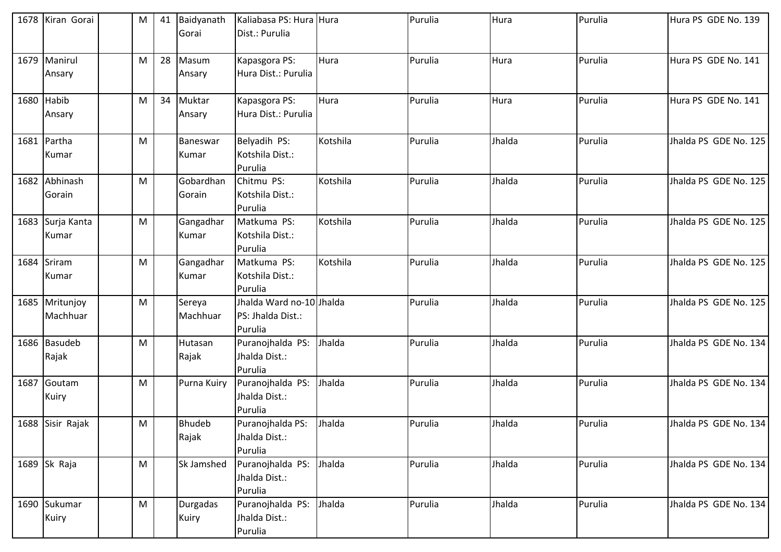| 1678 Kiran Gorai           | M         | 41 | Baidyanath<br>Gorai    | Kaliabasa PS: Hura Hura<br>Dist.: Purulia                |          | Purulia | Hura   | Purulia | Hura PS GDE No. 139   |
|----------------------------|-----------|----|------------------------|----------------------------------------------------------|----------|---------|--------|---------|-----------------------|
| 1679 Manirul<br>Ansary     | M         | 28 | Masum<br>Ansary        | Kapasgora PS:<br>Hura Dist.: Purulia                     | Hura     | Purulia | Hura   | Purulia | Hura PS GDE No. 141   |
| 1680 Habib<br>Ansary       | M         | 34 | Muktar<br>Ansary       | Kapasgora PS:<br>Hura Dist.: Purulia                     | Hura     | Purulia | Hura   | Purulia | Hura PS GDE No. 141   |
| 1681 Partha<br>Kumar       | ${\sf M}$ |    | Baneswar<br>Kumar      | Belyadih PS:<br>Kotshila Dist.:<br>Purulia               | Kotshila | Purulia | Jhalda | Purulia | Jhalda PS GDE No. 125 |
| 1682 Abhinash<br>Gorain    | M         |    | Gobardhan<br>Gorain    | Chitmu PS:<br>Kotshila Dist.:<br>Purulia                 | Kotshila | Purulia | Jhalda | Purulia | Jhalda PS GDE No. 125 |
| 1683 Surja Kanta<br>Kumar  | M         |    | Gangadhar<br>Kumar     | Matkuma PS:<br>Kotshila Dist.:<br>Purulia                | Kotshila | Purulia | Jhalda | Purulia | Jhalda PS GDE No. 125 |
| 1684 Sriram<br>Kumar       | M         |    | Gangadhar<br>Kumar     | Matkuma PS:<br>Kotshila Dist.:<br>Purulia                | Kotshila | Purulia | Jhalda | Purulia | Jhalda PS GDE No. 125 |
| 1685 Mritunjoy<br>Machhuar | ${\sf M}$ |    | Sereya<br>Machhuar     | Jhalda Ward no-10 Jhalda<br>PS: Jhalda Dist.:<br>Purulia |          | Purulia | Jhalda | Purulia | Jhalda PS GDE No. 125 |
| 1686 Basudeb<br>Rajak      | ${\sf M}$ |    | Hutasan<br>Rajak       | Puranojhalda PS:<br>Jhalda Dist.:<br>Purulia             | Jhalda   | Purulia | Jhalda | Purulia | Jhalda PS GDE No. 134 |
| 1687 Goutam<br>Kuiry       | M         |    | Purna Kuiry            | Puranojhalda PS:<br>Jhalda Dist.:<br>Purulia             | Jhalda   | Purulia | Jhalda | Purulia | Jhalda PS GDE No. 134 |
| 1688 Sisir Rajak           | M         |    | <b>Bhudeb</b><br>Rajak | Puranojhalda PS:<br>Jhalda Dist.:<br>Purulia             | Jhalda   | Purulia | Jhalda | Purulia | Jhalda PS GDE No. 134 |
| 1689 Sk Raja               | M         |    | Sk Jamshed             | Puranojhalda PS: Jhalda<br>Jhalda Dist.:<br>Purulia      |          | Purulia | Jhalda | Purulia | Jhalda PS GDE No. 134 |
| 1690 Sukumar<br>Kuiry      | ${\sf M}$ |    | Durgadas<br>Kuiry      | Puranojhalda PS:<br>Jhalda Dist.:<br>Purulia             | Jhalda   | Purulia | Jhalda | Purulia | Jhalda PS GDE No. 134 |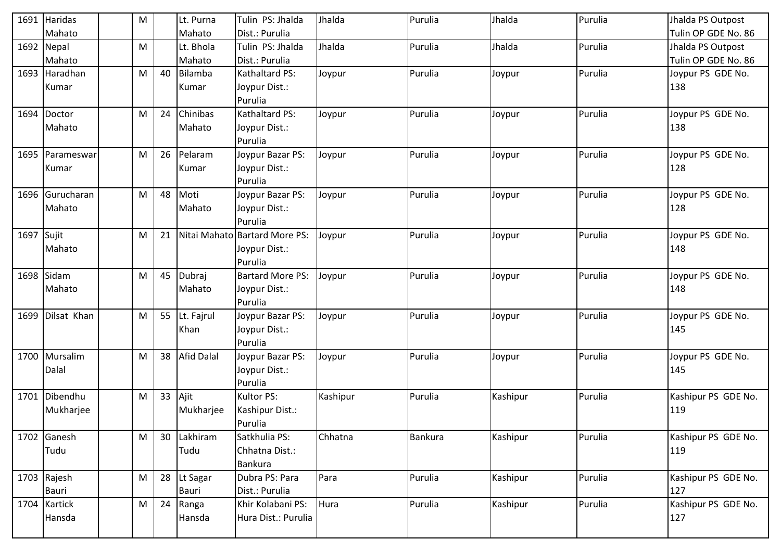| 1691       | Haridas       | M |    | Lt. Purna         | Tulin PS: Jhalda              | Jhalda   | Purulia | Jhalda   | Purulia | Jhalda PS Outpost   |
|------------|---------------|---|----|-------------------|-------------------------------|----------|---------|----------|---------|---------------------|
|            | Mahato        |   |    | Mahato            | Dist.: Purulia                |          |         |          |         | Tulin OP GDE No. 86 |
|            | 1692 Nepal    | M |    | Lt. Bhola         | Tulin PS: Jhalda              | Jhalda   | Purulia | Jhalda   | Purulia | Jhalda PS Outpost   |
|            | Mahato        |   |    | Mahato            | Dist.: Purulia                |          |         |          |         | Tulin OP GDE No. 86 |
|            | 1693 Haradhan | M | 40 | <b>Bilamba</b>    | Kathaltard PS:                | Joypur   | Purulia | Joypur   | Purulia | Joypur PS GDE No.   |
|            | Kumar         |   |    | Kumar             | Joypur Dist.:                 |          |         |          |         | 138                 |
|            |               |   |    |                   | Purulia                       |          |         |          |         |                     |
| 1694       | Doctor        | M | 24 | Chinibas          | Kathaltard PS:                | Joypur   | Purulia | Joypur   | Purulia | Joypur PS GDE No.   |
|            | Mahato        |   |    | Mahato            | Joypur Dist.:                 |          |         |          |         | 138                 |
|            |               |   |    |                   | Purulia                       |          |         |          |         |                     |
| 1695       | Parameswar    | M | 26 | Pelaram           | Joypur Bazar PS:              | Joypur   | Purulia | Joypur   | Purulia | Joypur PS GDE No.   |
|            | Kumar         |   |    | Kumar             | Joypur Dist.:                 |          |         |          |         | 128                 |
|            |               |   |    |                   | Purulia                       |          |         |          |         |                     |
| 1696       | Gurucharan    | M | 48 | Moti              | Joypur Bazar PS:              | Joypur   | Purulia | Joypur   | Purulia | Joypur PS GDE No.   |
|            | Mahato        |   |    | Mahato            | Joypur Dist.:                 |          |         |          |         | 128                 |
|            |               |   |    |                   | Purulia                       |          |         |          |         |                     |
| 1697 Sujit |               | M | 21 |                   | Nitai Mahato Bartard More PS: | Joypur   | Purulia | Joypur   | Purulia | Joypur PS GDE No.   |
|            | Mahato        |   |    |                   | Joypur Dist.:                 |          |         |          |         | 148                 |
|            |               |   |    |                   | Purulia                       |          |         |          |         |                     |
|            | 1698 Sidam    | M | 45 | Dubraj            | <b>Bartard More PS:</b>       | Joypur   | Purulia | Joypur   | Purulia | Joypur PS GDE No.   |
|            | Mahato        |   |    | Mahato            | Joypur Dist.:                 |          |         |          |         | 148                 |
|            |               |   |    |                   | Purulia                       |          |         |          |         |                     |
| 1699       | Dilsat Khan   | M | 55 | Lt. Fajrul        | Joypur Bazar PS:              | Joypur   | Purulia | Joypur   | Purulia | Joypur PS GDE No.   |
|            |               |   |    | Khan              | Joypur Dist.:                 |          |         |          |         | 145                 |
|            |               |   |    |                   | Purulia                       |          |         |          |         |                     |
|            | 1700 Mursalim | M | 38 | <b>Afid Dalal</b> | Joypur Bazar PS:              | Joypur   | Purulia | Joypur   | Purulia | Joypur PS GDE No.   |
|            | Dalal         |   |    |                   | Joypur Dist.:                 |          |         |          |         | 145                 |
|            |               |   |    |                   | Purulia                       |          |         |          |         |                     |
| 1701       | Dibendhu      | M | 33 | Ajit              | Kultor PS:                    | Kashipur | Purulia | Kashipur | Purulia | Kashipur PS GDE No. |
|            | Mukharjee     |   |    | Mukharjee         | Kashipur Dist.:               |          |         |          |         | 119                 |
|            |               |   |    |                   | Purulia                       |          |         |          |         |                     |
|            | 1702 Ganesh   | M | 30 | Lakhiram          | Satkhulia PS:                 | Chhatna  | Bankura | Kashipur | Purulia | Kashipur PS GDE No. |
|            | Tudu          |   |    | Tudu              | Chhatna Dist.:                |          |         |          |         | 119                 |
|            |               |   |    |                   | Bankura                       |          |         |          |         |                     |
|            | 1703 Rajesh   | M | 28 | Lt Sagar          | Dubra PS: Para                | Para     | Purulia | Kashipur | Purulia | Kashipur PS GDE No. |
|            | Bauri         |   |    | <b>Bauri</b>      | Dist.: Purulia                |          |         |          |         | 127                 |
|            | 1704 Kartick  | M | 24 | Ranga             | Khir Kolabani PS:             | Hura     | Purulia | Kashipur | Purulia | Kashipur PS GDE No. |
|            | Hansda        |   |    | Hansda            | Hura Dist.: Purulia           |          |         |          |         | 127                 |
|            |               |   |    |                   |                               |          |         |          |         |                     |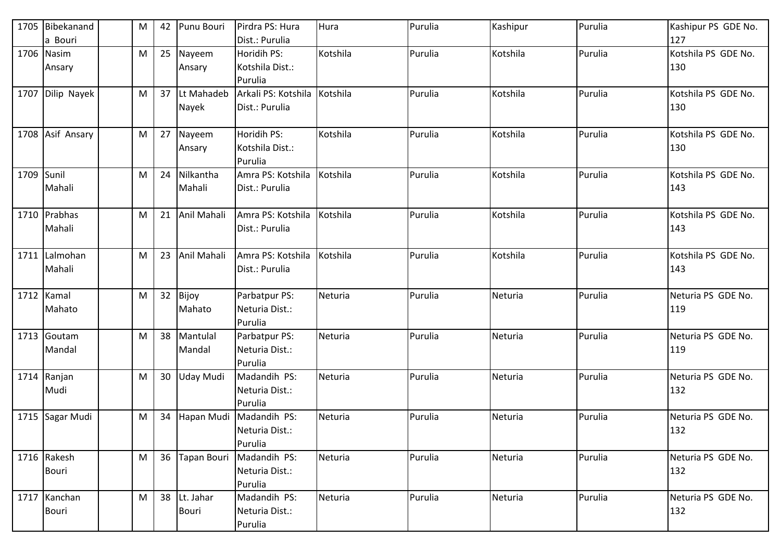| 1705 | Bibekanand<br>a Bouri        | M | 42 | Punu Bouri          | Pirdra PS: Hura<br>Dist.: Purulia          | Hura     | Purulia | Kashipur | Purulia | Kashipur PS GDE No.<br>127 |
|------|------------------------------|---|----|---------------------|--------------------------------------------|----------|---------|----------|---------|----------------------------|
|      | 1706 Nasim<br>Ansary         | M | 25 | Nayeem<br>Ansary    | Horidih PS:<br>Kotshila Dist.:<br>Purulia  | Kotshila | Purulia | Kotshila | Purulia | Kotshila PS GDE No.<br>130 |
| 1707 | Dilip Nayek                  | M | 37 | Lt Mahadeb<br>Nayek | Arkali PS: Kotshila<br>Dist.: Purulia      | Kotshila | Purulia | Kotshila | Purulia | Kotshila PS GDE No.<br>130 |
| 1708 | Asif Ansary                  | M | 27 | Nayeem<br>Ansary    | Horidih PS:<br>Kotshila Dist.:<br>Purulia  | Kotshila | Purulia | Kotshila | Purulia | Kotshila PS GDE No.<br>130 |
| 1709 | Sunil<br>Mahali              | M | 24 | Nilkantha<br>Mahali | Amra PS: Kotshila<br>Dist.: Purulia        | Kotshila | Purulia | Kotshila | Purulia | Kotshila PS GDE No.<br>143 |
|      | 1710 Prabhas<br>Mahali       | M | 21 | Anil Mahali         | Amra PS: Kotshila<br>Dist.: Purulia        | Kotshila | Purulia | Kotshila | Purulia | Kotshila PS GDE No.<br>143 |
| 1711 | Lalmohan<br>Mahali           | M | 23 | Anil Mahali         | Amra PS: Kotshila<br>Dist.: Purulia        | Kotshila | Purulia | Kotshila | Purulia | Kotshila PS GDE No.<br>143 |
|      | 1712 Kamal<br>Mahato         | M | 32 | Bijoy<br>Mahato     | Parbatpur PS:<br>Neturia Dist.:<br>Purulia | Neturia  | Purulia | Neturia  | Purulia | Neturia PS GDE No.<br>119  |
|      | 1713 Goutam<br>Mandal        | M | 38 | Mantulal<br>Mandal  | Parbatpur PS:<br>Neturia Dist.:<br>Purulia | Neturia  | Purulia | Neturia  | Purulia | Neturia PS GDE No.<br>119  |
| 1714 | Ranjan<br>Mudi               | M | 30 | <b>Uday Mudi</b>    | Madandih PS:<br>Neturia Dist.:<br>Purulia  | Neturia  | Purulia | Neturia  | Purulia | Neturia PS GDE No.<br>132  |
| 1715 | Sagar Mudi                   | M | 34 | Hapan Mudi          | Madandih PS:<br>Neturia Dist.:<br>Purulia  | Neturia  | Purulia | Neturia  | Purulia | Neturia PS GDE No.<br>132  |
|      | 1716 Rakesh<br><b>Bouri</b>  | M | 36 | <b>Tapan Bouri</b>  | Madandih PS:<br>Neturia Dist.:<br>Purulia  | Neturia  | Purulia | Neturia  | Purulia | Neturia PS GDE No.<br>132  |
|      | 1717 Kanchan<br><b>Bouri</b> | M | 38 | Lt. Jahar<br>Bouri  | Madandih PS:<br>Neturia Dist.:<br>Purulia  | Neturia  | Purulia | Neturia  | Purulia | Neturia PS GDE No.<br>132  |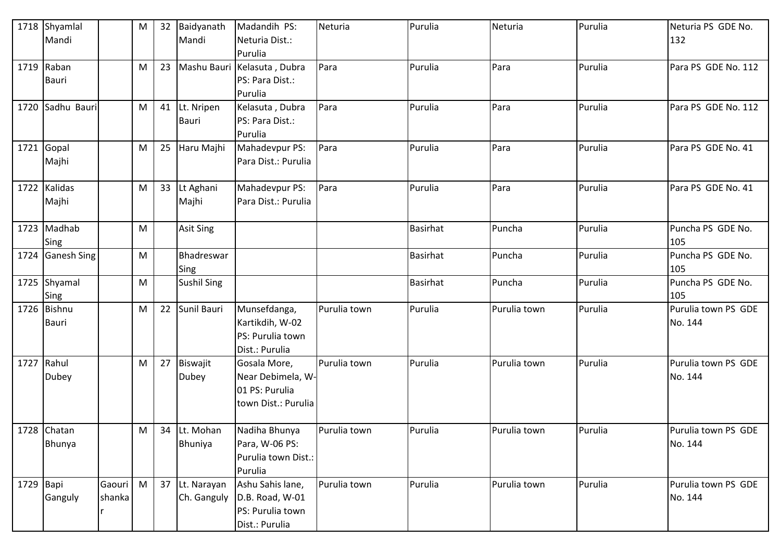|             | 1718 Shyamlal<br>Mandi |        | M         | 32 | Baidyanath<br>Mandi | Madandih PS:<br>Neturia Dist.: | Neturia      | Purulia         | Neturia      | Purulia | Neturia PS GDE No.<br>132 |
|-------------|------------------------|--------|-----------|----|---------------------|--------------------------------|--------------|-----------------|--------------|---------|---------------------------|
|             |                        |        |           |    |                     | Purulia                        |              |                 |              |         |                           |
|             | $1719$ Raban           |        | M         | 23 |                     | Mashu Bauri Kelasuta, Dubra    | Para         | Purulia         | Para         | Purulia | Para PS GDE No. 112       |
|             | <b>Bauri</b>           |        |           |    |                     | PS: Para Dist.:                |              |                 |              |         |                           |
|             |                        |        |           |    |                     | Purulia                        |              |                 |              |         |                           |
| 1720        | Sadhu Bauri            |        | M         | 41 | Lt. Nripen          | Kelasuta, Dubra                | Para         | Purulia         | Para         | Purulia | Para PS GDE No. 112       |
|             |                        |        |           |    | <b>Bauri</b>        | PS: Para Dist.:                |              |                 |              |         |                           |
|             |                        |        |           |    |                     | Purulia                        |              |                 |              |         |                           |
| 1721        | Gopal                  |        | M         | 25 | Haru Majhi          | Mahadevpur PS:                 | Para         | Purulia         | Para         | Purulia | Para PS GDE No. 41        |
|             | Majhi                  |        |           |    |                     | Para Dist.: Purulia            |              |                 |              |         |                           |
| 1722        | Kalidas                |        | M         | 33 | Lt Aghani           | Mahadevpur PS:                 | Para         | Purulia         | Para         | Purulia | Para PS GDE No. 41        |
|             | Majhi                  |        |           |    | Majhi               | Para Dist.: Purulia            |              |                 |              |         |                           |
|             | 1723 Madhab            |        | M         |    | Asit Sing           |                                |              | <b>Basirhat</b> | Puncha       | Purulia | Puncha PS GDE No.         |
|             | Sing                   |        |           |    |                     |                                |              |                 |              |         | 105                       |
| 1724        | <b>Ganesh Sing</b>     |        | M         |    | Bhadreswar          |                                |              | <b>Basirhat</b> | Puncha       | Purulia | Puncha PS GDE No.         |
|             |                        |        |           |    | Sing                |                                |              |                 |              |         | 105                       |
| 1725        | Shyamal<br>Sing        |        | ${\sf M}$ |    | <b>Sushil Sing</b>  |                                |              | <b>Basirhat</b> | Puncha       | Purulia | Puncha PS GDE No.<br>105  |
|             | 1726 Bishnu            |        | M         | 22 | Sunil Bauri         | Munsefdanga,                   | Purulia town | Purulia         | Purulia town | Purulia | Purulia town PS GDE       |
|             | <b>Bauri</b>           |        |           |    |                     | Kartikdih, W-02                |              |                 |              |         | No. 144                   |
|             |                        |        |           |    |                     | PS: Purulia town               |              |                 |              |         |                           |
|             |                        |        |           |    |                     | Dist.: Purulia                 |              |                 |              |         |                           |
|             | 1727 Rahul             |        | M         | 27 | Biswajit            | Gosala More,                   | Purulia town | Purulia         | Purulia town | Purulia | Purulia town PS GDE       |
|             | Dubey                  |        |           |    | <b>Dubey</b>        | Near Debimela, W-              |              |                 |              |         | No. 144                   |
|             |                        |        |           |    |                     | 01 PS: Purulia                 |              |                 |              |         |                           |
|             |                        |        |           |    |                     | town Dist.: Purulia            |              |                 |              |         |                           |
|             | 1728 Chatan            |        | M         | 34 | Lt. Mohan           | Nadiha Bhunya                  | Purulia town | Purulia         | Purulia town | Purulia | Purulia town PS GDE       |
|             | Bhunya                 |        |           |    | Bhuniya             | Para, W-06 PS:                 |              |                 |              |         | No. 144                   |
|             |                        |        |           |    |                     | Purulia town Dist.:            |              |                 |              |         |                           |
|             |                        |        |           |    |                     | Purulia                        |              |                 |              |         |                           |
| $1729$ Bapi |                        | Gaouri | M         | 37 | Lt. Narayan         | Ashu Sahis lane,               | Purulia town | Purulia         | Purulia town | Purulia | Purulia town PS GDE       |
|             | Ganguly                | shanka |           |    | Ch. Ganguly         | D.B. Road, W-01                |              |                 |              |         | No. 144                   |
|             |                        |        |           |    |                     | PS: Purulia town               |              |                 |              |         |                           |
|             |                        |        |           |    |                     | Dist.: Purulia                 |              |                 |              |         |                           |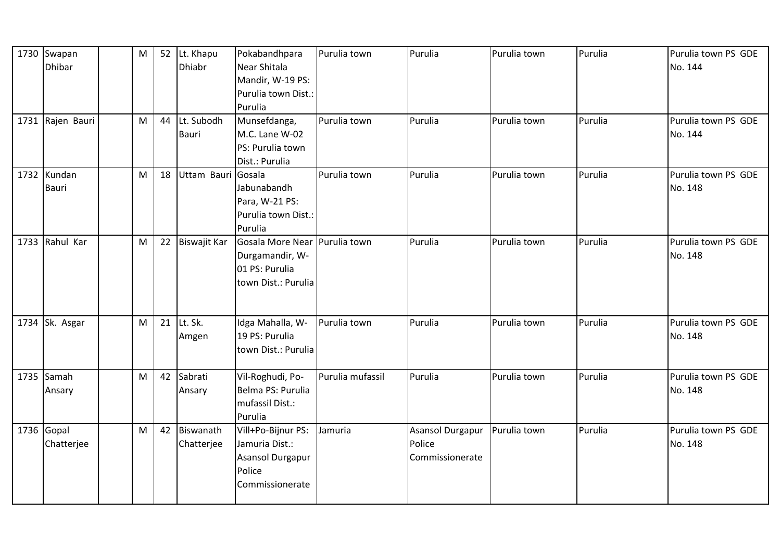|      | 1730 Swapan<br><b>Dhibar</b> | M | 52 | Lt. Khapu<br>Dhiabr     | Pokabandhpara<br>Near Shitala<br>Mandir, W-19 PS:<br>Purulia town Dist.:<br>Purulia       | Purulia town     | Purulia                                       | Purulia town | Purulia | Purulia town PS GDE<br>No. 144 |
|------|------------------------------|---|----|-------------------------|-------------------------------------------------------------------------------------------|------------------|-----------------------------------------------|--------------|---------|--------------------------------|
|      | 1731 Rajen Bauri             | M | 44 | Lt. Subodh<br>Bauri     | Munsefdanga,<br>M.C. Lane W-02<br>PS: Purulia town<br>Dist.: Purulia                      | Purulia town     | Purulia                                       | Purulia town | Purulia | Purulia town PS GDE<br>No. 144 |
|      | 1732 Kundan<br><b>Bauri</b>  | M | 18 | Uttam Bauri             | Gosala<br>Jabunabandh<br>Para, W-21 PS:<br>Purulia town Dist.:<br>Purulia                 | Purulia town     | Purulia                                       | Purulia town | Purulia | Purulia town PS GDE<br>No. 148 |
| 1733 | Rahul Kar                    | M | 22 | Biswajit Kar            | Gosala More Near Purulia town<br>Durgamandir, W-<br>01 PS: Purulia<br>town Dist.: Purulia |                  | Purulia                                       | Purulia town | Purulia | Purulia town PS GDE<br>No. 148 |
|      | 1734 Sk. Asgar               | M | 21 | Lt. Sk.<br>Amgen        | Idga Mahalla, W-<br>19 PS: Purulia<br>town Dist.: Purulia                                 | Purulia town     | Purulia                                       | Purulia town | Purulia | Purulia town PS GDE<br>No. 148 |
|      | 1735 Samah<br>Ansary         | M | 42 | Sabrati<br>Ansary       | Vil-Roghudi, Po-<br>Belma PS: Purulia<br>mufassil Dist.:<br>Purulia                       | Purulia mufassil | Purulia                                       | Purulia town | Purulia | Purulia town PS GDE<br>No. 148 |
|      | $1736$ Gopal<br>Chatterjee   | M | 42 | Biswanath<br>Chatterjee | Vill+Po-Bijnur PS:<br>Jamuria Dist.:<br>Asansol Durgapur<br>Police<br>Commissionerate     | Jamuria          | Asansol Durgapur<br>Police<br>Commissionerate | Purulia town | Purulia | Purulia town PS GDE<br>No. 148 |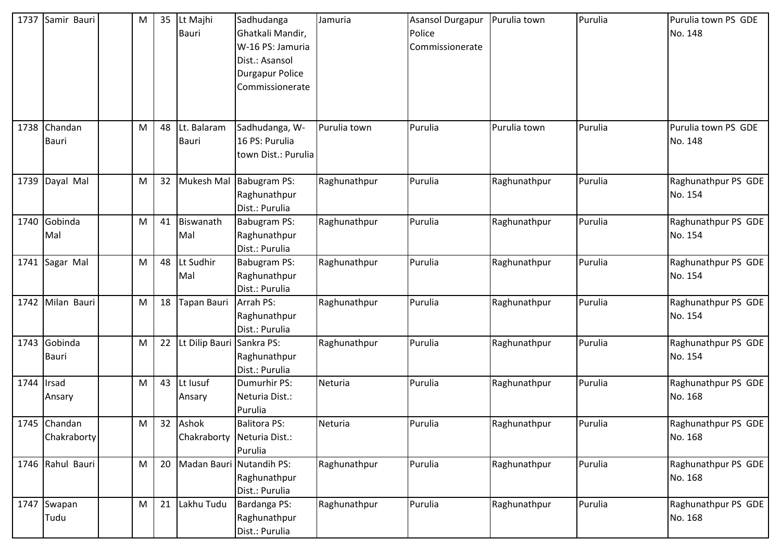| 1737 | Samir Bauri                 | M | 35 | Lt Majhi<br><b>Bauri</b>   | Sadhudanga<br>Ghatkali Mandir,<br>W-16 PS: Jamuria<br>Dist.: Asansol<br><b>Durgapur Police</b><br>Commissionerate | Jamuria      | <b>Asansol Durgapur</b><br>Police<br>Commissionerate | Purulia town | Purulia | Purulia town PS GDE<br>No. 148 |
|------|-----------------------------|---|----|----------------------------|-------------------------------------------------------------------------------------------------------------------|--------------|------------------------------------------------------|--------------|---------|--------------------------------|
| 1738 | Chandan<br><b>Bauri</b>     | M | 48 | t. Balaram<br><b>Bauri</b> | Sadhudanga, W-<br>16 PS: Purulia<br>town Dist.: Purulia                                                           | Purulia town | Purulia                                              | Purulia town | Purulia | Purulia town PS GDE<br>No. 148 |
| 1739 | Dayal Mal                   | M | 32 | Mukesh Mal                 | Babugram PS:<br>Raghunathpur<br>Dist.: Purulia                                                                    | Raghunathpur | Purulia                                              | Raghunathpur | Purulia | Raghunathpur PS GDE<br>No. 154 |
| 1740 | Gobinda<br>Mal              | M | 41 | Biswanath<br>Mal           | <b>Babugram PS:</b><br>Raghunathpur<br>Dist.: Purulia                                                             | Raghunathpur | Purulia                                              | Raghunathpur | Purulia | Raghunathpur PS GDE<br>No. 154 |
| 1741 | Sagar Mal                   | M | 48 | Lt Sudhir<br>Mal           | Babugram PS:<br>Raghunathpur<br>Dist.: Purulia                                                                    | Raghunathpur | Purulia                                              | Raghunathpur | Purulia | Raghunathpur PS GDE<br>No. 154 |
| 1742 | Milan Bauri                 | M | 18 | <b>Tapan Bauri</b>         | Arrah PS:<br>Raghunathpur<br>Dist.: Purulia                                                                       | Raghunathpur | Purulia                                              | Raghunathpur | Purulia | Raghunathpur PS GDE<br>No. 154 |
| 1743 | Gobinda<br><b>Bauri</b>     | M | 22 | Lt Dilip Bauri             | Sankra PS:<br>Raghunathpur<br>Dist.: Purulia                                                                      | Raghunathpur | Purulia                                              | Raghunathpur | Purulia | Raghunathpur PS GDE<br>No. 154 |
| 1744 | Irsad<br>Ansary             | M | 43 | Lt lusuf<br>Ansary         | Dumurhir PS:<br>Neturia Dist.:<br>Purulia                                                                         | Neturia      | Purulia                                              | Raghunathpur | Purulia | Raghunathpur PS GDE<br>No. 168 |
|      | 1745 Chandan<br>Chakraborty | M | 32 | Ashok                      | <b>Balitora PS:</b><br>Chakraborty Neturia Dist.:<br>Purulia                                                      | Neturia      | Purulia                                              | Raghunathpur | Purulia | Raghunathpur PS GDE<br>No. 168 |
|      | 1746 Rahul Bauri            | M | 20 |                            | Madan Bauri Nutandih PS:<br>Raghunathpur<br>Dist.: Purulia                                                        | Raghunathpur | Purulia                                              | Raghunathpur | Purulia | Raghunathpur PS GDE<br>No. 168 |
| 1747 | Swapan<br>Tudu              | M | 21 | Lakhu Tudu                 | Bardanga PS:<br>Raghunathpur<br>Dist.: Purulia                                                                    | Raghunathpur | Purulia                                              | Raghunathpur | Purulia | Raghunathpur PS GDE<br>No. 168 |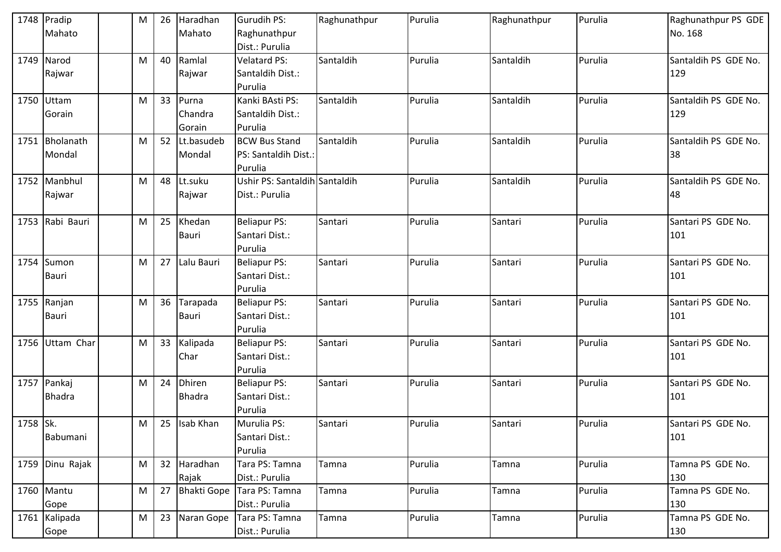|          | 1748 Pradip     | M | 26 | Haradhan      | <b>Gurudih PS:</b>            | Raghunathpur | Purulia | Raghunathpur | Purulia | Raghunathpur PS GDE  |
|----------|-----------------|---|----|---------------|-------------------------------|--------------|---------|--------------|---------|----------------------|
|          | Mahato          |   |    | Mahato        | Raghunathpur                  |              |         |              |         | No. 168              |
|          |                 |   |    |               | Dist.: Purulia                |              |         |              |         |                      |
|          | 1749 Narod      | M | 40 | Ramlal        | <b>Velatard PS:</b>           | Santaldih    | Purulia | Santaldih    | Purulia | Santaldih PS GDE No. |
|          | Rajwar          |   |    | Rajwar        | Santaldih Dist.:              |              |         |              |         | 129                  |
|          |                 |   |    |               | Purulia                       |              |         |              |         |                      |
|          | 1750 Uttam      | M | 33 | Purna         | Kanki BAsti PS:               | Santaldih    | Purulia | Santaldih    | Purulia | Santaldih PS GDE No. |
|          | Gorain          |   |    | Chandra       | Santaldih Dist.:              |              |         |              |         | 129                  |
|          |                 |   |    | Gorain        | Purulia                       |              |         |              |         |                      |
|          | 1751 Bholanath  | M | 52 | Lt.basudeb    | <b>BCW Bus Stand</b>          | Santaldih    | Purulia | Santaldih    | Purulia | Santaldih PS GDE No. |
|          | Mondal          |   |    | Mondal        | PS: Santaldih Dist.:          |              |         |              |         | 38                   |
|          |                 |   |    |               | Purulia                       |              |         |              |         |                      |
|          | 1752 Manbhul    | M | 48 | Lt.suku       | Ushir PS: Santaldih Santaldih |              | Purulia | Santaldih    | Purulia | Santaldih PS GDE No. |
|          | Rajwar          |   |    | Rajwar        | Dist.: Purulia                |              |         |              |         | 48                   |
|          |                 |   |    |               |                               |              |         |              |         |                      |
|          | 1753 Rabi Bauri | M | 25 | Khedan        | <b>Beliapur PS:</b>           | Santari      | Purulia | Santari      | Purulia | Santari PS GDE No.   |
|          |                 |   |    | Bauri         | Santari Dist.:                |              |         |              |         | 101                  |
|          |                 |   |    |               | Purulia                       |              |         |              |         |                      |
|          | 1754 Sumon      | M | 27 | Lalu Bauri    | <b>Beliapur PS:</b>           | Santari      | Purulia | Santari      | Purulia | Santari PS GDE No.   |
|          | <b>Bauri</b>    |   |    |               | Santari Dist.:                |              |         |              |         | 101                  |
|          |                 |   |    |               | Purulia                       |              |         |              |         |                      |
|          | 1755 Ranjan     | M | 36 | Tarapada      | <b>Beliapur PS:</b>           | Santari      | Purulia | Santari      | Purulia | Santari PS GDE No.   |
|          | <b>Bauri</b>    |   |    | <b>Bauri</b>  | Santari Dist.:                |              |         |              |         | 101                  |
|          |                 |   |    |               | Purulia                       |              |         |              |         |                      |
|          | 1756 Uttam Char | M | 33 | Kalipada      | <b>Beliapur PS:</b>           | Santari      | Purulia | Santari      | Purulia | Santari PS GDE No.   |
|          |                 |   |    | Char          | Santari Dist.:                |              |         |              |         | 101                  |
|          |                 |   |    |               | Purulia                       |              |         |              |         |                      |
|          | 1757 Pankaj     | M | 24 | Dhiren        | <b>Beliapur PS:</b>           | Santari      | Purulia | Santari      | Purulia | Santari PS GDE No.   |
|          | <b>Bhadra</b>   |   |    | <b>Bhadra</b> | Santari Dist.:                |              |         |              |         | 101                  |
|          |                 |   |    |               | Purulia                       |              |         |              |         |                      |
| 1758 Sk. |                 | M |    | 25 Isab Khan  | Murulia PS:                   | Santari      | Purulia | Santari      | Purulia | Santari PS GDE No.   |
|          | Babumani        |   |    |               | Santari Dist.:                |              |         |              |         | 101                  |
|          |                 |   |    |               | Purulia                       |              |         |              |         |                      |
|          | 1759 Dinu Rajak | M |    | 32 Haradhan   | Tara PS: Tamna                | Tamna        | Purulia | Tamna        | Purulia | Tamna PS GDE No.     |
|          |                 |   |    | Rajak         | Dist.: Purulia                |              |         |              |         | 130                  |
|          | 1760 Mantu      | M | 27 |               | Bhakti Gope Tara PS: Tamna    | Tamna        | Purulia | Tamna        | Purulia | Tamna PS GDE No.     |
|          | Gope            |   |    |               | Dist.: Purulia                |              |         |              |         | 130                  |
|          | 1761 Kalipada   | M | 23 | Naran Gope    | Tara PS: Tamna                | Tamna        | Purulia | Tamna        | Purulia | Tamna PS GDE No.     |
|          | Gope            |   |    |               | Dist.: Purulia                |              |         |              |         | 130                  |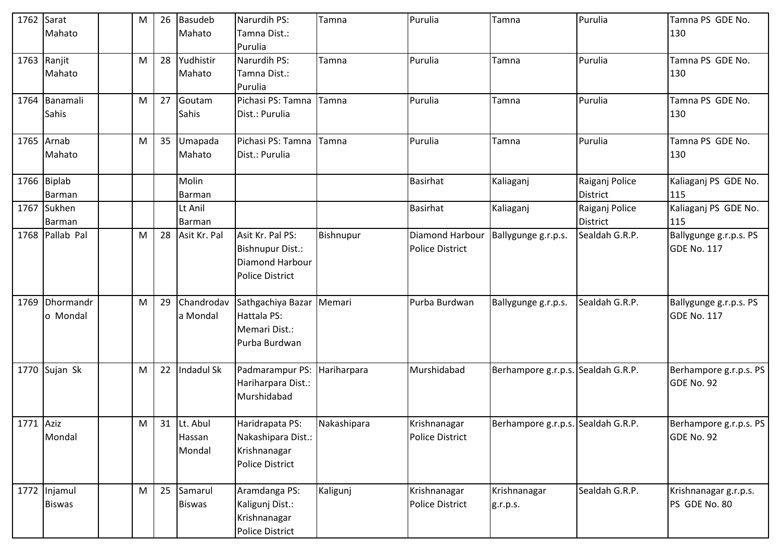| 1762 Sarat | Mahato                        | M | 26 | <b>Basudeb</b><br>Mahato        | Narurdih PS:<br>Tamna Dist.:<br>Purulia                                                  | Tamna       | Purulia                                   | Tamna                              | Purulia                           | Tamna PS GDE No.<br>130                      |
|------------|-------------------------------|---|----|---------------------------------|------------------------------------------------------------------------------------------|-------------|-------------------------------------------|------------------------------------|-----------------------------------|----------------------------------------------|
|            | 1763 Ranjit<br>Mahato         | M | 28 | Yudhistir<br>Mahato             | Narurdih PS:<br>Tamna Dist.:<br>Purulia                                                  | Tamna       | Purulia                                   | Tamna                              | Purulia                           | Tamna PS GDE No.<br>130                      |
|            | 1764 Banamali<br>Sahis        | M | 27 | Goutam<br>Sahis                 | Pichasi PS: Tamna<br>Dist.: Purulia                                                      | Tamna       | Purulia                                   | Tamna                              | Purulia                           | Tamna PS GDE No.<br>130                      |
|            | 1765 Arnab<br>Mahato          | M | 35 | Umapada<br>Mahato               | Pichasi PS: Tamna<br>Dist.: Purulia                                                      | Tamna       | Purulia                                   | Tamna                              | Purulia                           | Tamna PS GDE No.<br>130                      |
|            | 1766 Biplab<br>Barman         |   |    | Molin<br>Barman                 |                                                                                          |             | <b>Basirhat</b>                           | Kaliaganj                          | Raiganj Police<br><b>District</b> | Kaliaganj PS GDE No.<br>115                  |
|            | 1767 Sukhen<br>Barman         |   |    | Lt Anil<br>Barman               |                                                                                          |             | <b>Basirhat</b>                           | Kaliaganj                          | Raiganj Police<br><b>District</b> | Kaliaganj PS GDE No.<br>115                  |
|            | 1768 Pallab Pal               | M | 28 | Asit Kr. Pal                    | Asit Kr. Pal PS:<br><b>Bishnupur Dist.:</b><br>Diamond Harbour<br><b>Police District</b> | Bishnupur   | Diamond Harbour<br><b>Police District</b> | Ballygunge g.r.p.s.                | Sealdah G.R.P.                    | Ballygunge g.r.p.s. PS<br><b>GDE No. 117</b> |
|            | 1769 Dhormandr<br>o Mondal    | M | 29 | Chandrodav<br>a Mondal          | Sathgachiya Bazar Memari<br>Hattala PS:<br>Memari Dist.:<br>Purba Burdwan                |             | Purba Burdwan                             | Ballygunge g.r.p.s.                | Sealdah G.R.P.                    | Ballygunge g.r.p.s. PS<br><b>GDE No. 117</b> |
|            | 1770 Sujan Sk                 | M | 22 | Indadul Sk                      | Padmarampur PS: Hariharpara<br>Hariharpara Dist.:<br>Murshidabad                         |             | Murshidabad                               | Berhampore g.r.p.s. Sealdah G.R.P. |                                   | Berhampore g.r.p.s. PS<br>GDE No. 92         |
| 1771 Aziz  | Mondal                        | M |    | 31 Lt. Abul<br>Hassan<br>Mondal | Haridrapata PS:<br>Nakashipara Dist.:<br>Krishnanagar<br><b>Police District</b>          | Nakashipara | Krishnanagar<br><b>Police District</b>    | Berhampore g.r.p.s. Sealdah G.R.P. |                                   | Berhampore g.r.p.s. PS<br>GDE No. 92         |
|            | 1772 Injamul<br><b>Biswas</b> | M | 25 | Samarul<br><b>Biswas</b>        | Aramdanga PS:<br>Kaligunj Dist.:<br>Krishnanagar<br><b>Police District</b>               | Kaligunj    | Krishnanagar<br><b>Police District</b>    | Krishnanagar<br>g.r.p.s.           | Sealdah G.R.P.                    | Krishnanagar g.r.p.s.<br>PS GDE No. 80       |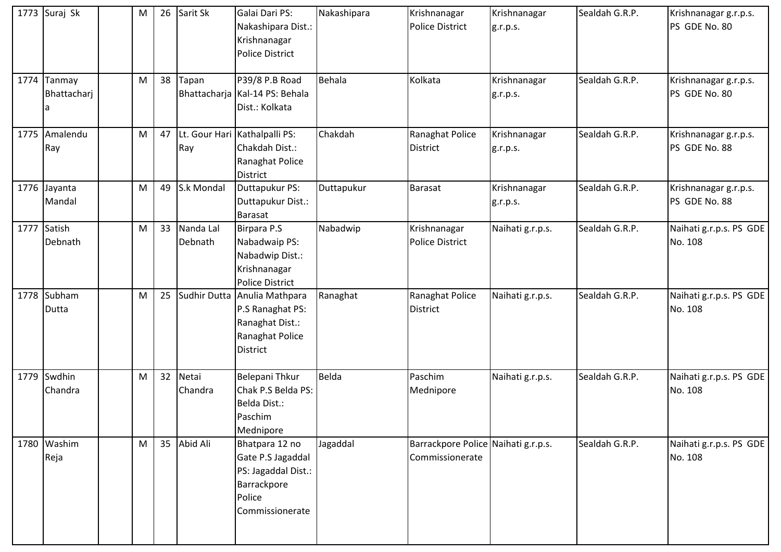|      | 1773 Suraj Sk              | M | 26 | Sarit Sk             | Galai Dari PS:<br>Nakashipara Dist.:<br>Krishnanagar<br><b>Police District</b>                            | Nakashipara | Krishnanagar<br><b>Police District</b>                 | Krishnanagar<br>g.r.p.s. | Sealdah G.R.P. | Krishnanagar g.r.p.s.<br>PS GDE No. 80 |
|------|----------------------------|---|----|----------------------|-----------------------------------------------------------------------------------------------------------|-------------|--------------------------------------------------------|--------------------------|----------------|----------------------------------------|
|      | 1774 Tanmay<br>Bhattacharj | M | 38 | Tapan                | P39/8 P.B Road<br>Bhattacharja   Kal-14 PS: Behala<br>Dist.: Kolkata                                      | Behala      | Kolkata                                                | Krishnanagar<br>g.r.p.s. | Sealdah G.R.P. | Krishnanagar g.r.p.s.<br>PS GDE No. 80 |
| 1775 | Amalendu<br>Ray            | M | 47 | Ray                  | Lt. Gour Hari Kathalpalli PS:<br>Chakdah Dist.:<br>Ranaghat Police<br>District                            | Chakdah     | Ranaghat Police<br><b>District</b>                     | Krishnanagar<br>g.r.p.s. | Sealdah G.R.P. | Krishnanagar g.r.p.s.<br>PS GDE No. 88 |
| 1776 | Jayanta<br>Mandal          | M | 49 | S.k Mondal           | Duttapukur PS:<br>Duttapukur Dist.:<br><b>Barasat</b>                                                     | Duttapukur  | Barasat                                                | Krishnanagar<br>g.r.p.s. | Sealdah G.R.P. | Krishnanagar g.r.p.s.<br>PS GDE No. 88 |
|      | 1777 Satish<br>Debnath     | M | 33 | Nanda Lal<br>Debnath | <b>Birpara P.S</b><br>Nabadwaip PS:<br>Nabadwip Dist.:<br>Krishnanagar<br><b>Police District</b>          | Nabadwip    | Krishnanagar<br><b>Police District</b>                 | Naihati g.r.p.s.         | Sealdah G.R.P. | Naihati g.r.p.s. PS GDE<br>No. 108     |
|      | 1778 Subham<br>Dutta       | M | 25 |                      | Sudhir Dutta Anulia Mathpara<br>P.S Ranaghat PS:<br>Ranaghat Dist.:<br>Ranaghat Police<br><b>District</b> | Ranaghat    | Ranaghat Police<br><b>District</b>                     | Naihati g.r.p.s.         | Sealdah G.R.P. | Naihati g.r.p.s. PS GDE<br>No. 108     |
| 1779 | Swdhin<br>Chandra          | M | 32 | Netai<br>Chandra     | Belepani Thkur<br>Chak P.S Belda PS:<br>Belda Dist.:<br>Paschim<br>Mednipore                              | Belda       | Paschim<br>Mednipore                                   | Naihati g.r.p.s.         | Sealdah G.R.P. | Naihati g.r.p.s. PS GDE<br>No. 108     |
|      | 1780 Washim<br>Reja        | M | 35 | Abid Ali             | Bhatpara 12 no<br>Gate P.S Jagaddal<br>PS: Jagaddal Dist.:<br>Barrackpore<br>Police<br>Commissionerate    | Jagaddal    | Barrackpore Police Naihati g.r.p.s.<br>Commissionerate |                          | Sealdah G.R.P. | Naihati g.r.p.s. PS GDE<br>No. 108     |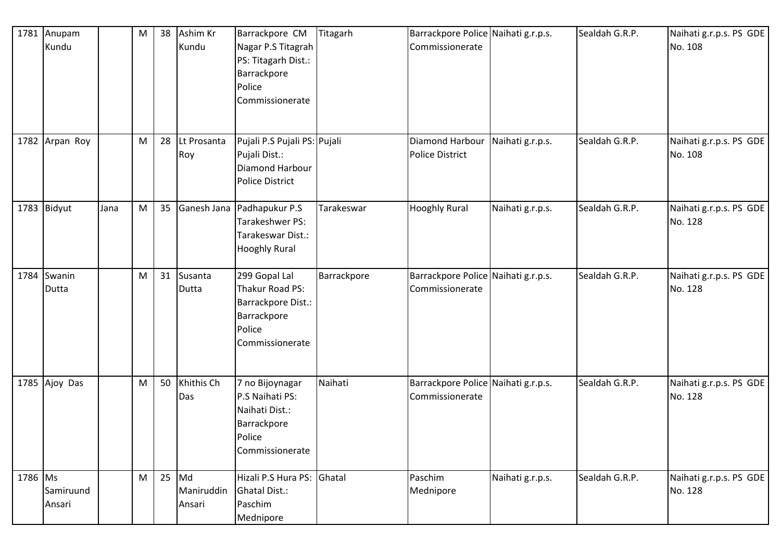|         | 1781 Anupam<br>Kundu |      | M | 38 | Ashim Kr<br>Kundu               | Barrackpore CM<br>Nagar P.S Titagrah<br>PS: Titagarh Dist.:<br>Barrackpore<br>Police<br>Commissionerate | Titagarh    | Barrackpore Police Naihati g.r.p.s.<br>Commissionerate |                  | Sealdah G.R.P. | Naihati g.r.p.s. PS GDE<br>No. 108 |
|---------|----------------------|------|---|----|---------------------------------|---------------------------------------------------------------------------------------------------------|-------------|--------------------------------------------------------|------------------|----------------|------------------------------------|
|         | 1782 Arpan Roy       |      | M | 28 | Lt Prosanta<br>Roy              | Pujali P.S Pujali PS: Pujali<br>Pujali Dist.:<br>Diamond Harbour<br><b>Police District</b>              |             | Diamond Harbour<br><b>Police District</b>              | Naihati g.r.p.s. | Sealdah G.R.P. | Naihati g.r.p.s. PS GDE<br>No. 108 |
|         | 1783 Bidyut          | Jana | M | 35 |                                 | Ganesh Jana Padhapukur P.S<br>Tarakeshwer PS:<br>Tarakeswar Dist.:<br><b>Hooghly Rural</b>              | Tarakeswar  | <b>Hooghly Rural</b>                                   | Naihati g.r.p.s. | Sealdah G.R.P. | Naihati g.r.p.s. PS GDE<br>No. 128 |
|         | 1784 Swanin<br>Dutta |      | M | 31 | Susanta<br>Dutta                | 299 Gopal Lal<br>Thakur Road PS:<br>Barrackpore Dist.:<br>Barrackpore<br>Police<br>Commissionerate      | Barrackpore | Barrackpore Police Naihati g.r.p.s.<br>Commissionerate |                  | Sealdah G.R.P. | Naihati g.r.p.s. PS GDE<br>No. 128 |
|         | 1785 Ajoy Das        |      | M | 50 | Khithis Ch<br>Das               | 7 no Bijoynagar<br>P.S Naihati PS:<br>Naihati Dist.:<br>Barrackpore<br>Police<br>Commissionerate        | Naihati     | Barrackpore Police Naihati g.r.p.s.<br>Commissionerate |                  | Sealdah G.R.P. | Naihati g.r.p.s. PS GDE<br>No. 128 |
| 1786 Ms | Samiruund<br>Ansari  |      | M |    | $25$ Md<br>Maniruddin<br>Ansari | Hizali P.S Hura PS: Ghatal<br><b>Ghatal Dist.:</b><br>Paschim<br>Mednipore                              |             | Paschim<br>Mednipore                                   | Naihati g.r.p.s. | Sealdah G.R.P. | Naihati g.r.p.s. PS GDE<br>No. 128 |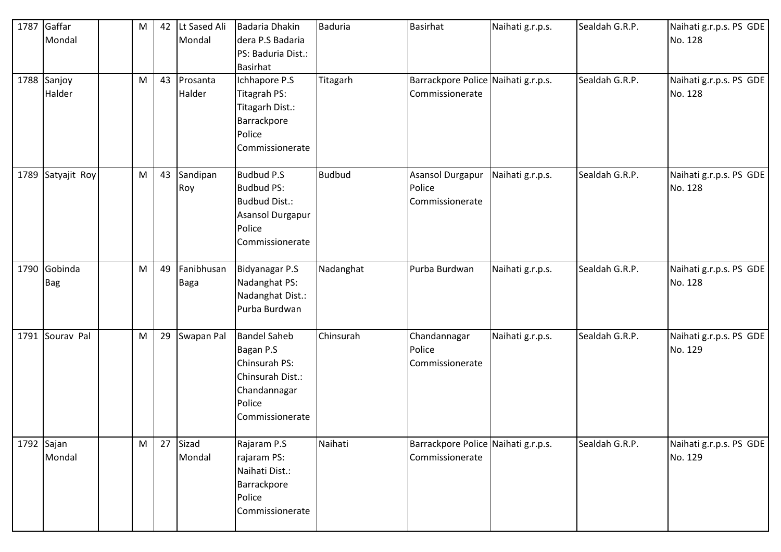|            | 1787 Gaffar<br>Mondal<br>1788 Sanjoy | M<br>M | 42<br>43 | Lt Sased Ali<br>Mondal<br>Prosanta | Badaria Dhakin<br>dera P.S Badaria<br>PS: Baduria Dist.:<br><b>Basirhat</b><br>Ichhapore P.S                       | Baduria<br>Titagarh | <b>Basirhat</b><br>Barrackpore Police Naihati g.r.p.s. | Naihati g.r.p.s. | Sealdah G.R.P.<br>Sealdah G.R.P. | Naihati g.r.p.s. PS GDE<br>No. 128<br>Naihati g.r.p.s. PS GDE |
|------------|--------------------------------------|--------|----------|------------------------------------|--------------------------------------------------------------------------------------------------------------------|---------------------|--------------------------------------------------------|------------------|----------------------------------|---------------------------------------------------------------|
|            | Halder                               |        |          | Halder                             | Titagrah PS:<br>Titagarh Dist.:<br>Barrackpore<br>Police<br>Commissionerate                                        |                     | Commissionerate                                        |                  |                                  | No. 128                                                       |
|            | 1789 Satyajit Roy                    | M      | 43       | Sandipan<br>Roy                    | <b>Budbud P.S</b><br><b>Budbud PS:</b><br><b>Budbud Dist.:</b><br>Asansol Durgapur<br>Police<br>Commissionerate    | Budbud              | Asansol Durgapur<br>Police<br>Commissionerate          | Naihati g.r.p.s. | Sealdah G.R.P.                   | Naihati g.r.p.s. PS GDE<br>No. 128                            |
|            | 1790 Gobinda<br><b>Bag</b>           | M      | 49       | Fanibhusan<br><b>Baga</b>          | Bidyanagar P.S<br>Nadanghat PS:<br>Nadanghat Dist.:<br>Purba Burdwan                                               | Nadanghat           | Purba Burdwan                                          | Naihati g.r.p.s. | Sealdah G.R.P.                   | Naihati g.r.p.s. PS GDE<br>No. 128                            |
|            | 1791 Sourav Pal                      | M      | 29       | Swapan Pal                         | <b>Bandel Saheb</b><br>Bagan P.S<br>Chinsurah PS:<br>Chinsurah Dist.:<br>Chandannagar<br>Police<br>Commissionerate | Chinsurah           | Chandannagar<br>Police<br>Commissionerate              | Naihati g.r.p.s. | Sealdah G.R.P.                   | Naihati g.r.p.s. PS GDE<br>No. 129                            |
| 1792 Sajan | Mondal                               | M      | 27       | Sizad<br>Mondal                    | Rajaram P.S<br>rajaram PS:<br>Naihati Dist.:<br>Barrackpore<br>Police<br>Commissionerate                           | Naihati             | Barrackpore Police Naihati g.r.p.s.<br>Commissionerate |                  | Sealdah G.R.P.                   | Naihati g.r.p.s. PS GDE<br>No. 129                            |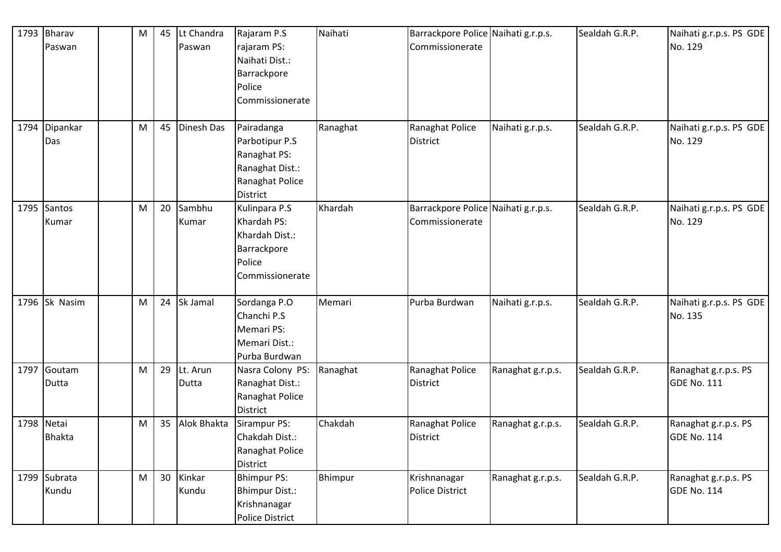| 1793 | Bharav        | M | 45 | Lt Chandra  | Rajaram P.S            | Naihati  | Barrackpore Police Naihati g.r.p.s. |                   | Sealdah G.R.P. | Naihati g.r.p.s. PS GDE |
|------|---------------|---|----|-------------|------------------------|----------|-------------------------------------|-------------------|----------------|-------------------------|
|      | Paswan        |   |    | Paswan      | rajaram PS:            |          | Commissionerate                     |                   |                | No. 129                 |
|      |               |   |    |             | Naihati Dist.:         |          |                                     |                   |                |                         |
|      |               |   |    |             | Barrackpore            |          |                                     |                   |                |                         |
|      |               |   |    |             | Police                 |          |                                     |                   |                |                         |
|      |               |   |    |             | Commissionerate        |          |                                     |                   |                |                         |
|      |               |   |    |             |                        |          |                                     |                   |                |                         |
| 1794 | Dipankar      | M | 45 | Dinesh Das  | Pairadanga             | Ranaghat | Ranaghat Police                     | Naihati g.r.p.s.  | Sealdah G.R.P. | Naihati g.r.p.s. PS GDE |
|      | Das           |   |    |             | Parbotipur P.S         |          | <b>District</b>                     |                   |                | No. 129                 |
|      |               |   |    |             | Ranaghat PS:           |          |                                     |                   |                |                         |
|      |               |   |    |             | Ranaghat Dist.:        |          |                                     |                   |                |                         |
|      |               |   |    |             | Ranaghat Police        |          |                                     |                   |                |                         |
|      |               |   |    |             | <b>District</b>        |          |                                     |                   |                |                         |
| 1795 | Santos        | M | 20 | Sambhu      | Kulinpara P.S          | Khardah  | Barrackpore Police Naihati g.r.p.s. |                   | Sealdah G.R.P. | Naihati g.r.p.s. PS GDE |
|      | Kumar         |   |    | Kumar       | Khardah PS:            |          | Commissionerate                     |                   |                | No. 129                 |
|      |               |   |    |             | Khardah Dist.:         |          |                                     |                   |                |                         |
|      |               |   |    |             | Barrackpore            |          |                                     |                   |                |                         |
|      |               |   |    |             | Police                 |          |                                     |                   |                |                         |
|      |               |   |    |             | Commissionerate        |          |                                     |                   |                |                         |
|      |               |   |    |             |                        |          |                                     |                   |                |                         |
|      | 1796 Sk Nasim | M | 24 | Sk Jamal    | Sordanga P.O           | Memari   | Purba Burdwan                       | Naihati g.r.p.s.  | Sealdah G.R.P. | Naihati g.r.p.s. PS GDE |
|      |               |   |    |             | Chanchi P.S            |          |                                     |                   |                | No. 135                 |
|      |               |   |    |             | <b>Memari PS:</b>      |          |                                     |                   |                |                         |
|      |               |   |    |             | Memari Dist.:          |          |                                     |                   |                |                         |
|      |               |   |    |             | Purba Burdwan          |          |                                     |                   |                |                         |
| 1797 | Goutam        | M | 29 | Lt. Arun    | Nasra Colony PS:       | Ranaghat | Ranaghat Police                     | Ranaghat g.r.p.s. | Sealdah G.R.P. | Ranaghat g.r.p.s. PS    |
|      | Dutta         |   |    | Dutta       | Ranaghat Dist.:        |          | <b>District</b>                     |                   |                | <b>GDE No. 111</b>      |
|      |               |   |    |             | Ranaghat Police        |          |                                     |                   |                |                         |
|      |               |   |    |             | District               |          |                                     |                   |                |                         |
|      | 1798 Netai    | M | 35 | Alok Bhakta | Sirampur PS:           | Chakdah  | Ranaghat Police                     | Ranaghat g.r.p.s. | Sealdah G.R.P. | Ranaghat g.r.p.s. PS    |
|      | <b>Bhakta</b> |   |    |             | Chakdah Dist.:         |          | <b>District</b>                     |                   |                | <b>GDE No. 114</b>      |
|      |               |   |    |             | Ranaghat Police        |          |                                     |                   |                |                         |
|      |               |   |    |             | District               |          |                                     |                   |                |                         |
|      | 1799 Subrata  | M | 30 | Kinkar      | <b>Bhimpur PS:</b>     | Bhimpur  | Krishnanagar                        | Ranaghat g.r.p.s. | Sealdah G.R.P. | Ranaghat g.r.p.s. PS    |
|      | Kundu         |   |    | Kundu       | <b>Bhimpur Dist.:</b>  |          | Police District                     |                   |                | <b>GDE No. 114</b>      |
|      |               |   |    |             | Krishnanagar           |          |                                     |                   |                |                         |
|      |               |   |    |             | <b>Police District</b> |          |                                     |                   |                |                         |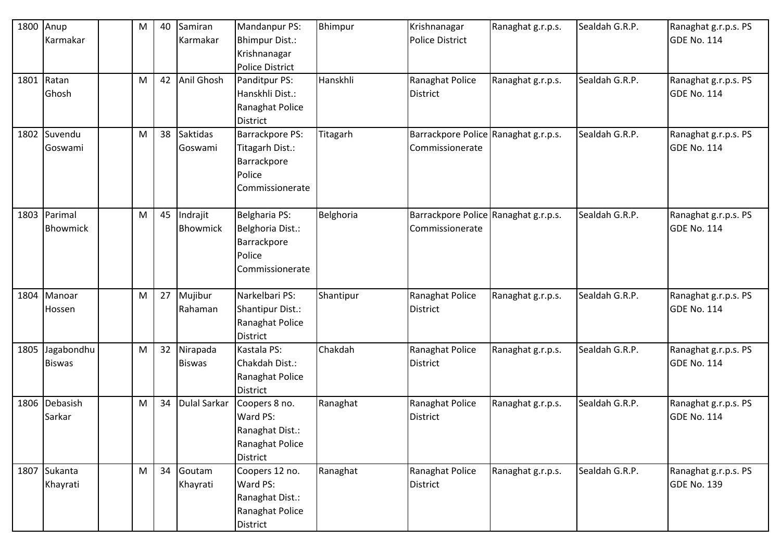| 1800 | Anup            | M | 40 | Samiran         | Mandanpur PS:           | Bhimpur   | Krishnanagar                         | Ranaghat g.r.p.s. | Sealdah G.R.P. | Ranaghat g.r.p.s. PS |
|------|-----------------|---|----|-----------------|-------------------------|-----------|--------------------------------------|-------------------|----------------|----------------------|
|      | Karmakar        |   |    | Karmakar        | <b>Bhimpur Dist.:</b>   |           | <b>Police District</b>               |                   |                | <b>GDE No. 114</b>   |
|      |                 |   |    |                 | Krishnanagar            |           |                                      |                   |                |                      |
|      |                 |   |    |                 | <b>Police District</b>  |           |                                      |                   |                |                      |
| 1801 | Ratan           | M | 42 | Anil Ghosh      | Panditpur PS:           | Hanskhli  | Ranaghat Police                      | Ranaghat g.r.p.s. | Sealdah G.R.P. | Ranaghat g.r.p.s. PS |
|      | Ghosh           |   |    |                 | Hanskhli Dist.:         |           | <b>District</b>                      |                   |                | <b>GDE No. 114</b>   |
|      |                 |   |    |                 | Ranaghat Police         |           |                                      |                   |                |                      |
|      |                 |   |    |                 | <b>District</b>         |           |                                      |                   |                |                      |
| 1802 | Suvendu         | M | 38 | <b>Saktidas</b> | <b>Barrackpore PS:</b>  | Titagarh  | Barrackpore Police Ranaghat g.r.p.s. |                   | Sealdah G.R.P. | Ranaghat g.r.p.s. PS |
|      | Goswami         |   |    | Goswami         | Titagarh Dist.:         |           | Commissionerate                      |                   |                | <b>GDE No. 114</b>   |
|      |                 |   |    |                 | Barrackpore             |           |                                      |                   |                |                      |
|      |                 |   |    |                 | Police                  |           |                                      |                   |                |                      |
|      |                 |   |    |                 | Commissionerate         |           |                                      |                   |                |                      |
| 1803 | Parimal         | M | 45 | Indrajit        | Belgharia PS:           | Belghoria | Barrackpore Police Ranaghat g.r.p.s. |                   | Sealdah G.R.P. | Ranaghat g.r.p.s. PS |
|      | <b>Bhowmick</b> |   |    | <b>Bhowmick</b> | Belghoria Dist.:        |           | Commissionerate                      |                   |                | <b>GDE No. 114</b>   |
|      |                 |   |    |                 | Barrackpore             |           |                                      |                   |                |                      |
|      |                 |   |    |                 | Police                  |           |                                      |                   |                |                      |
|      |                 |   |    |                 | Commissionerate         |           |                                      |                   |                |                      |
|      |                 |   |    |                 |                         |           |                                      |                   |                |                      |
| 1804 | Manoar          | M | 27 | Mujibur         | Narkelbari PS:          | Shantipur | Ranaghat Police                      | Ranaghat g.r.p.s. | Sealdah G.R.P. | Ranaghat g.r.p.s. PS |
|      | Hossen          |   |    | Rahaman         | <b>Shantipur Dist.:</b> |           | <b>District</b>                      |                   |                | <b>GDE No. 114</b>   |
|      |                 |   |    |                 | Ranaghat Police         |           |                                      |                   |                |                      |
|      |                 |   |    |                 | <b>District</b>         |           |                                      |                   |                |                      |
| 1805 | Jagabondhu      | M | 32 | Nirapada        | Kastala PS:             | Chakdah   | Ranaghat Police                      | Ranaghat g.r.p.s. | Sealdah G.R.P. | Ranaghat g.r.p.s. PS |
|      | <b>Biswas</b>   |   |    | <b>Biswas</b>   | Chakdah Dist.:          |           | <b>District</b>                      |                   |                | <b>GDE No. 114</b>   |
|      |                 |   |    |                 | Ranaghat Police         |           |                                      |                   |                |                      |
|      |                 |   |    |                 | <b>District</b>         |           |                                      |                   |                |                      |
| 1806 | Debasish        | M | 34 | Dulal Sarkar    | Coopers 8 no.           | Ranaghat  | Ranaghat Police                      | Ranaghat g.r.p.s. | Sealdah G.R.P. | Ranaghat g.r.p.s. PS |
|      | Sarkar          |   |    |                 | Ward PS:                |           | <b>District</b>                      |                   |                | <b>GDE No. 114</b>   |
|      |                 |   |    |                 | Ranaghat Dist.:         |           |                                      |                   |                |                      |
|      |                 |   |    |                 | Ranaghat Police         |           |                                      |                   |                |                      |
|      |                 |   |    |                 | District                |           |                                      |                   |                |                      |
|      | 1807 Sukanta    | M | 34 | Goutam          | Coopers 12 no.          | Ranaghat  | Ranaghat Police                      | Ranaghat g.r.p.s. | Sealdah G.R.P. | Ranaghat g.r.p.s. PS |
|      | Khayrati        |   |    | Khayrati        | Ward PS:                |           | <b>District</b>                      |                   |                | <b>GDE No. 139</b>   |
|      |                 |   |    |                 | Ranaghat Dist.:         |           |                                      |                   |                |                      |
|      |                 |   |    |                 | Ranaghat Police         |           |                                      |                   |                |                      |
|      |                 |   |    |                 | District                |           |                                      |                   |                |                      |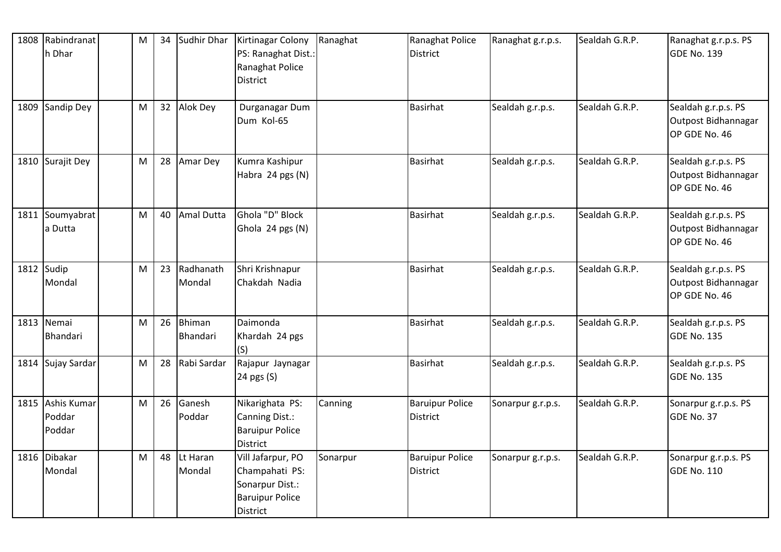| 1808 Rabindranat<br>h Dhar           | M | 34 | Sudhir Dhar         | Kirtinagar Colony<br>PS: Ranaghat Dist.:<br>Ranaghat Police<br><b>District</b>                      | Ranaghat | Ranaghat Police<br><b>District</b>        | Ranaghat g.r.p.s. | Sealdah G.R.P. | Ranaghat g.r.p.s. PS<br>GDE No. 139                         |
|--------------------------------------|---|----|---------------------|-----------------------------------------------------------------------------------------------------|----------|-------------------------------------------|-------------------|----------------|-------------------------------------------------------------|
| 1809 Sandip Dey                      | M | 32 | Alok Dey            | Durganagar Dum<br>Dum Kol-65                                                                        |          | <b>Basirhat</b>                           | Sealdah g.r.p.s.  | Sealdah G.R.P. | Sealdah g.r.p.s. PS<br>Outpost Bidhannagar<br>OP GDE No. 46 |
| 1810 Surajit Dey                     | M | 28 | Amar Dey            | Kumra Kashipur<br>Habra 24 pgs (N)                                                                  |          | <b>Basirhat</b>                           | Sealdah g.r.p.s.  | Sealdah G.R.P. | Sealdah g.r.p.s. PS<br>Outpost Bidhannagar<br>OP GDE No. 46 |
| 1811 Soumyabrat<br>a Dutta           | M | 40 | Amal Dutta          | Ghola "D" Block<br>Ghola 24 pgs (N)                                                                 |          | <b>Basirhat</b>                           | Sealdah g.r.p.s.  | Sealdah G.R.P. | Sealdah g.r.p.s. PS<br>Outpost Bidhannagar<br>OP GDE No. 46 |
| 1812 Sudip<br>Mondal                 | M | 23 | Radhanath<br>Mondal | Shri Krishnapur<br>Chakdah Nadia                                                                    |          | <b>Basirhat</b>                           | Sealdah g.r.p.s.  | Sealdah G.R.P. | Sealdah g.r.p.s. PS<br>Outpost Bidhannagar<br>OP GDE No. 46 |
| 1813 Nemai<br><b>IBhandari</b>       | M | 26 | Bhiman<br>Bhandari  | Daimonda<br>Khardah 24 pgs<br>(S)                                                                   |          | <b>Basirhat</b>                           | Sealdah g.r.p.s.  | Sealdah G.R.P. | Sealdah g.r.p.s. PS<br><b>GDE No. 135</b>                   |
| 1814 Sujay Sardar                    | M | 28 | Rabi Sardar         | Rajapur Jaynagar<br>24 pgs (S)                                                                      |          | <b>Basirhat</b>                           | Sealdah g.r.p.s.  | Sealdah G.R.P. | Sealdah g.r.p.s. PS<br><b>GDE No. 135</b>                   |
| 1815 Ashis Kumar<br>Poddar<br>Poddar | M | 26 | Ganesh<br>Poddar    | Nikarighata PS:<br>Canning Dist.:<br><b>Baruipur Police</b><br><b>District</b>                      | Canning  | <b>Baruipur Police</b><br>District        | Sonarpur g.r.p.s. | Sealdah G.R.P. | Sonarpur g.r.p.s. PS<br>GDE No. 37                          |
| 1816 Dibakar<br>Mondal               | M | 48 | Lt Haran<br>Mondal  | Vill Jafarpur, PO<br>Champahati PS:<br>Sonarpur Dist.:<br><b>Baruipur Police</b><br><b>District</b> | Sonarpur | <b>Baruipur Police</b><br><b>District</b> | Sonarpur g.r.p.s. | Sealdah G.R.P. | Sonarpur g.r.p.s. PS<br><b>GDE No. 110</b>                  |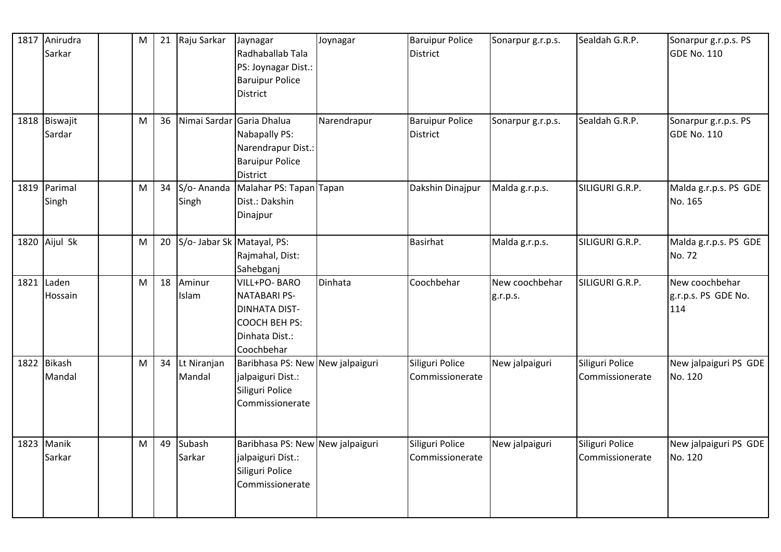| 1817 Anirudra<br>Sarkar      | M | 21 | Raju Sarkar                | Jaynagar<br>Radhaballab Tala<br>PS: Joynagar Dist.:<br><b>Baruipur Police</b><br><b>District</b>              | Joynagar    | <b>Baruipur Police</b><br><b>District</b> | Sonarpur g.r.p.s.          | Sealdah G.R.P.                     | Sonarpur g.r.p.s. PS<br><b>GDE No. 110</b>   |
|------------------------------|---|----|----------------------------|---------------------------------------------------------------------------------------------------------------|-------------|-------------------------------------------|----------------------------|------------------------------------|----------------------------------------------|
| 1818 Biswajit<br>Sardar      | M | 36 |                            | Nimai Sardar Garia Dhalua<br>Nabapally PS:<br>Narendrapur Dist.:<br><b>Baruipur Police</b><br><b>District</b> | Narendrapur | <b>Baruipur Police</b><br><b>District</b> | Sonarpur g.r.p.s.          | Sealdah G.R.P.                     | Sonarpur g.r.p.s. PS<br><b>GDE No. 110</b>   |
| 1819 Parimal<br>Singh        | M | 34 | S/o-Ananda<br>Singh        | Malahar PS: Tapan Tapan<br>Dist.: Dakshin<br>Dinajpur                                                         |             | Dakshin Dinajpur                          | Malda g.r.p.s.             | SILIGURI G.R.P.                    | Malda g.r.p.s. PS GDE<br>No. 165             |
| 1820 Aijul Sk                | M | 20 | S/o- Jabar Sk Matayal, PS: | Rajmahal, Dist:<br>Sahebganj                                                                                  |             | <b>Basirhat</b>                           | Malda g.r.p.s.             | SILIGURI G.R.P.                    | Malda g.r.p.s. PS GDE<br>No. 72              |
| 1821 Laden<br><b>Hossain</b> | M | 18 | Aminur<br>Islam            | VILL+PO-BARO<br><b>NATABARI PS-</b><br><b>DINHATA DIST-</b><br>COOCH BEH PS:<br>Dinhata Dist.:<br>Coochbehar  | Dinhata     | Coochbehar                                | New coochbehar<br>g.r.p.s. | SILIGURI G.R.P.                    | New coochbehar<br>g.r.p.s. PS GDE No.<br>114 |
| 1822 Bikash<br>Mandal        | M | 34 | Lt Niranjan<br>Mandal      | Baribhasa PS: New New jalpaiguri<br>jalpaiguri Dist.:<br>Siliguri Police<br>Commissionerate                   |             | Siliguri Police<br>Commissionerate        | New jalpaiguri             | Siliguri Police<br>Commissionerate | New jalpaiguri PS GDE<br>No. 120             |
| 1823 Manik<br>Sarkar         | M | 49 | Subash<br>Sarkar           | Baribhasa PS: New New jalpaiguri<br>jalpaiguri Dist.:<br>Siliguri Police<br>Commissionerate                   |             | Siliguri Police<br>Commissionerate        | New jalpaiguri             | Siliguri Police<br>Commissionerate | New jalpaiguri PS GDE<br>No. 120             |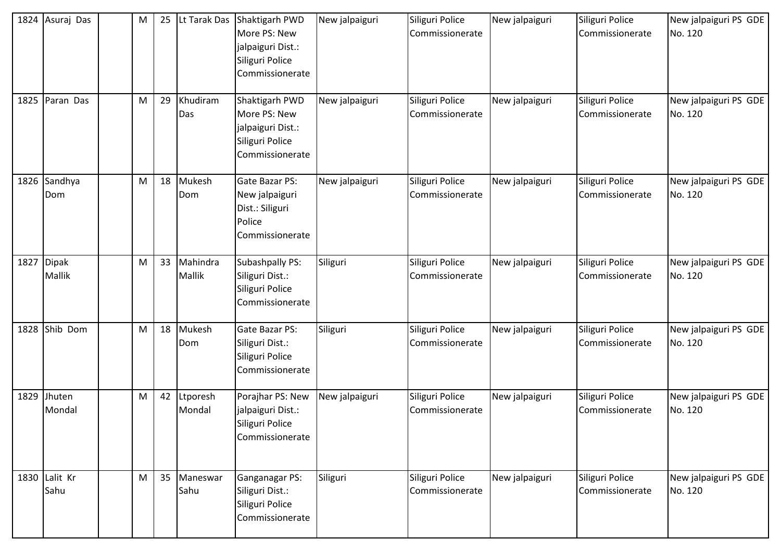| 1824 Asuraj Das             | M         | 25 | Lt Tarak Das       | Shaktigarh PWD<br>More PS: New<br>jalpaiguri Dist.:<br>Siliguri Police<br>Commissionerate | New jalpaiguri | Siliguri Police<br>Commissionerate | New jalpaiguri | Siliguri Police<br>Commissionerate | New jalpaiguri PS GDE<br>No. 120 |
|-----------------------------|-----------|----|--------------------|-------------------------------------------------------------------------------------------|----------------|------------------------------------|----------------|------------------------------------|----------------------------------|
| 1825 Paran Das              | M         | 29 | Khudiram<br>Das    | Shaktigarh PWD<br>More PS: New<br>jalpaiguri Dist.:<br>Siliguri Police<br>Commissionerate | New jalpaiguri | Siliguri Police<br>Commissionerate | New jalpaiguri | Siliguri Police<br>Commissionerate | New jalpaiguri PS GDE<br>No. 120 |
| 1826 Sandhya<br>Dom         | ${\sf M}$ | 18 | Mukesh<br>Dom      | <b>Gate Bazar PS:</b><br>New jalpaiguri<br>Dist.: Siliguri<br>Police<br>Commissionerate   | New jalpaiguri | Siliguri Police<br>Commissionerate | New jalpaiguri | Siliguri Police<br>Commissionerate | New jalpaiguri PS GDE<br>No. 120 |
| 1827 Dipak<br><b>Mallik</b> | M         | 33 | Mahindra<br>Mallik | Subashpally PS:<br>Siliguri Dist.:<br>Siliguri Police<br>Commissionerate                  | Siliguri       | Siliguri Police<br>Commissionerate | New jalpaiguri | Siliguri Police<br>Commissionerate | New jalpaiguri PS GDE<br>No. 120 |
| 1828 Shib Dom               | M         | 18 | Mukesh<br>Dom      | Gate Bazar PS:<br>Siliguri Dist.:<br>Siliguri Police<br>Commissionerate                   | Siliguri       | Siliguri Police<br>Commissionerate | New jalpaiguri | Siliguri Police<br>Commissionerate | New jalpaiguri PS GDE<br>No. 120 |
| 1829 Jhuten<br>Mondal       | M         | 42 | Ltporesh<br>Mondal | Porajhar PS: New<br>jalpaiguri Dist.:<br>Siliguri Police<br>Commissionerate               | New jalpaiguri | Siliguri Police<br>Commissionerate | New jalpaiguri | Siliguri Police<br>Commissionerate | New jalpaiguri PS GDE<br>No. 120 |
| 1830 Lalit Kr<br>Sahu       | M         | 35 | Maneswar<br>Sahu   | Ganganagar PS:<br>Siliguri Dist.:<br>Siliguri Police<br>Commissionerate                   | Siliguri       | Siliguri Police<br>Commissionerate | New jalpaiguri | Siliguri Police<br>Commissionerate | New jalpaiguri PS GDE<br>No. 120 |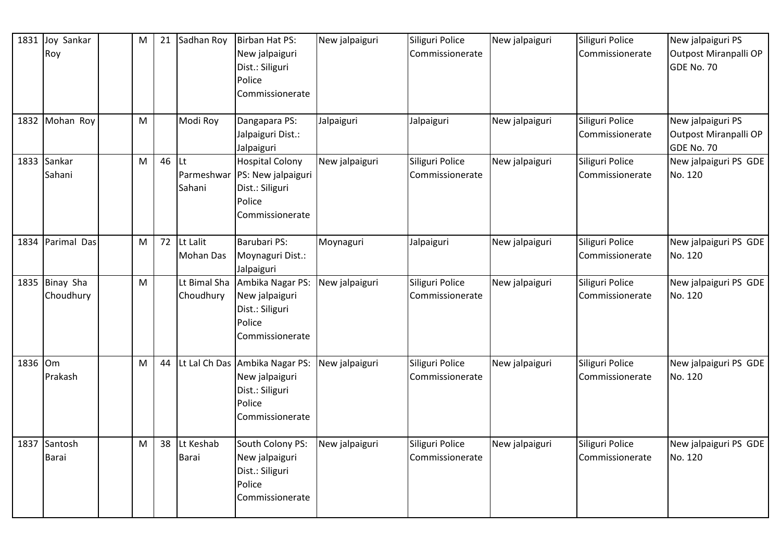| 1831    | Joy Sankar<br>Roy            | M | 21 | Sadhan Roy                        | Birban Hat PS:<br>New jalpaiguri<br>Dist.: Siliguri<br>Police<br>Commissionerate                 | New jalpaiguri | Siliguri Police<br>Commissionerate | New jalpaiguri | Siliguri Police<br>Commissionerate | New jalpaiguri PS<br>Outpost Miranpalli OP<br>GDE No. 70 |
|---------|------------------------------|---|----|-----------------------------------|--------------------------------------------------------------------------------------------------|----------------|------------------------------------|----------------|------------------------------------|----------------------------------------------------------|
|         | 1832 Mohan Roy               | M |    | Modi Roy                          | Dangapara PS:<br>Jalpaiguri Dist.:<br>Jalpaiguri                                                 | Jalpaiguri     | Jalpaiguri                         | New jalpaiguri | Siliguri Police<br>Commissionerate | New jalpaiguri PS<br>Outpost Miranpalli OP<br>GDE No. 70 |
|         | 1833 Sankar<br>Sahani        | M | 46 | <b>Lt</b><br>Parmeshwar<br>Sahani | <b>Hospital Colony</b><br>PS: New jalpaiguri<br>Dist.: Siliguri<br>Police<br>Commissionerate     | New jalpaiguri | Siliguri Police<br>Commissionerate | New jalpaiguri | Siliguri Police<br>Commissionerate | New jalpaiguri PS GDE<br>No. 120                         |
|         | 1834 Parimal Das             | M | 72 | Lt Lalit<br><b>Mohan Das</b>      | <b>Barubari PS:</b><br>Moynaguri Dist.:<br>Jalpaiguri                                            | Moynaguri      | Jalpaiguri                         | New jalpaiguri | Siliguri Police<br>Commissionerate | New jalpaiguri PS GDE<br>No. 120                         |
|         | 1835 Binay Sha<br>Choudhury  | M |    | Lt Bimal Sha<br>Choudhury         | Ambika Nagar PS:<br>New jalpaiguri<br>Dist.: Siliguri<br>Police<br>Commissionerate               | New jalpaiguri | Siliguri Police<br>Commissionerate | New jalpaiguri | Siliguri Police<br>Commissionerate | New jalpaiguri PS GDE<br>No. 120                         |
| 1836 Om | Prakash                      | M | 44 |                                   | Lt Lal Ch Das Ambika Nagar PS:<br>New jalpaiguri<br>Dist.: Siliguri<br>Police<br>Commissionerate | New jalpaiguri | Siliguri Police<br>Commissionerate | New jalpaiguri | Siliguri Police<br>Commissionerate | New jalpaiguri PS GDE<br>No. 120                         |
|         | 1837 Santosh<br><b>Barai</b> | M | 38 | Lt Keshab<br>Barai                | South Colony PS:<br>New jalpaiguri<br>Dist.: Siliguri<br>Police<br>Commissionerate               | New jalpaiguri | Siliguri Police<br>Commissionerate | New jalpaiguri | Siliguri Police<br>Commissionerate | New jalpaiguri PS GDE<br>No. 120                         |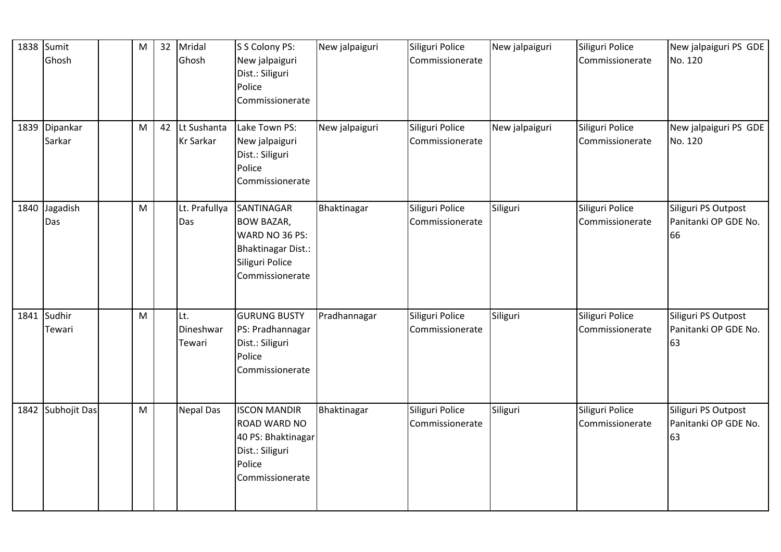|      | 1838 Sumit<br>Ghosh     | M | 32 | Mridal<br>Ghosh            | S S Colony PS:<br>New jalpaiguri<br>Dist.: Siliguri<br>Police<br>Commissionerate                                 | New jalpaiguri | Siliguri Police<br>Commissionerate | New jalpaiguri | Siliguri Police<br>Commissionerate | New jalpaiguri PS GDE<br>No. 120                  |
|------|-------------------------|---|----|----------------------------|------------------------------------------------------------------------------------------------------------------|----------------|------------------------------------|----------------|------------------------------------|---------------------------------------------------|
|      | 1839 Dipankar<br>Sarkar | M | 42 | Lt Sushanta<br>Kr Sarkar   | Lake Town PS:<br>New jalpaiguri<br>Dist.: Siliguri<br>Police<br>Commissionerate                                  | New jalpaiguri | Siliguri Police<br>Commissionerate | New jalpaiguri | Siliguri Police<br>Commissionerate | New jalpaiguri PS GDE<br>No. 120                  |
| 1840 | Jagadish<br>Das         | M |    | Lt. Prafullya<br>Das       | SANTINAGAR<br><b>BOW BAZAR,</b><br>WARD NO 36 PS:<br>Bhaktinagar Dist.:<br>Siliguri Police<br>Commissionerate    | Bhaktinagar    | Siliguri Police<br>Commissionerate | Siliguri       | Siliguri Police<br>Commissionerate | Siliguri PS Outpost<br>Panitanki OP GDE No.<br>66 |
|      | 1841 Sudhir<br>Tewari   | M |    | Lt.<br>Dineshwar<br>Tewari | <b>GURUNG BUSTY</b><br>PS: Pradhannagar<br>Dist.: Siliguri<br>Police<br>Commissionerate                          | Pradhannagar   | Siliguri Police<br>Commissionerate | Siliguri       | Siliguri Police<br>Commissionerate | Siliguri PS Outpost<br>Panitanki OP GDE No.<br>63 |
|      | 1842 Subhojit Das       | M |    | <b>Nepal Das</b>           | <b>ISCON MANDIR</b><br><b>ROAD WARD NO</b><br>40 PS: Bhaktinagar<br>Dist.: Siliguri<br>Police<br>Commissionerate | Bhaktinagar    | Siliguri Police<br>Commissionerate | Siliguri       | Siliguri Police<br>Commissionerate | Siliguri PS Outpost<br>Panitanki OP GDE No.<br>63 |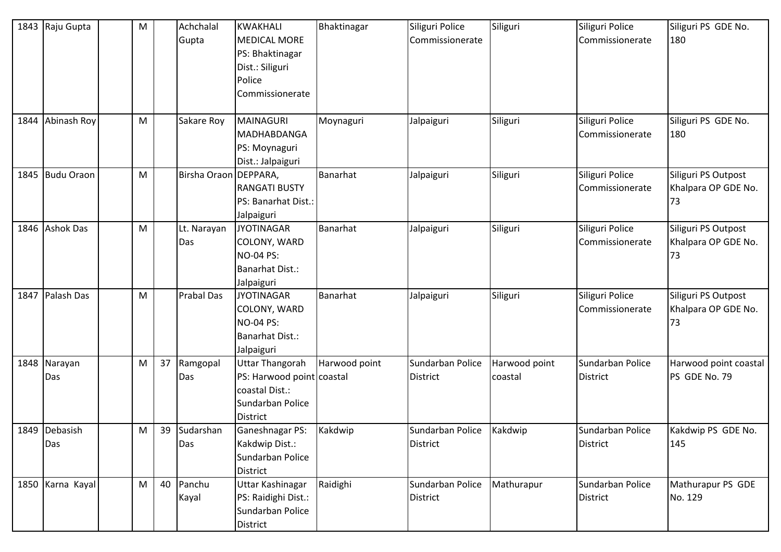|      | 1843 Raju Gupta      | M |    | Achchalal<br>Gupta      | KWAKHALI<br><b>MEDICAL MORE</b><br>PS: Bhaktinagar<br>Dist.: Siliguri<br>Police<br>Commissionerate           | Bhaktinagar   | Siliguri Police<br>Commissionerate  | Siliguri                 | Siliguri Police<br>Commissionerate  | Siliguri PS GDE No.<br>180                       |
|------|----------------------|---|----|-------------------------|--------------------------------------------------------------------------------------------------------------|---------------|-------------------------------------|--------------------------|-------------------------------------|--------------------------------------------------|
| 1844 | Abinash Roy          | M |    | Sakare Roy              | MAINAGURI<br>MADHABDANGA<br>PS: Moynaguri<br>Dist.: Jalpaiguri                                               | Moynaguri     | Jalpaiguri                          | Siliguri                 | Siliguri Police<br>Commissionerate  | Siliguri PS GDE No.<br>180                       |
|      | 1845 Budu Oraon      | M |    | Birsha Oraon   DEPPARA, | <b>RANGATI BUSTY</b><br>PS: Banarhat Dist.:<br>Jalpaiguri                                                    | Banarhat      | Jalpaiguri                          | Siliguri                 | Siliguri Police<br>Commissionerate  | Siliguri PS Outpost<br>Khalpara OP GDE No.<br>73 |
|      | 1846 Ashok Das       | M |    | Lt. Narayan<br>Das      | <b>JYOTINAGAR</b><br>COLONY, WARD<br>NO-04 PS:<br><b>Banarhat Dist.:</b><br>Jalpaiguri                       | Banarhat      | Jalpaiguri                          | Siliguri                 | Siliguri Police<br>Commissionerate  | Siliguri PS Outpost<br>Khalpara OP GDE No.<br>73 |
|      | 1847 Palash Das      | M |    | <b>Prabal Das</b>       | <b>JYOTINAGAR</b><br>COLONY, WARD<br><b>NO-04 PS:</b><br><b>Banarhat Dist.:</b><br>Jalpaiguri                | Banarhat      | Jalpaiguri                          | Siliguri                 | Siliguri Police<br>Commissionerate  | Siliguri PS Outpost<br>Khalpara OP GDE No.<br>73 |
|      | 1848 Narayan<br>Das  | M | 37 | Ramgopal<br>Das         | <b>Uttar Thangorah</b><br>PS: Harwood point coastal<br>coastal Dist.:<br>Sundarban Police<br><b>District</b> | Harwood point | Sundarban Police<br><b>District</b> | Harwood point<br>coastal | Sundarban Police<br><b>District</b> | Harwood point coastal<br>PS GDE No. 79           |
|      | 1849 Debasish<br>Das | M | 39 | Sudarshan<br>Das        | Ganeshnagar PS:<br>Kakdwip Dist.:<br>Sundarban Police<br><b>District</b>                                     | Kakdwip       | Sundarban Police<br><b>District</b> | Kakdwip                  | Sundarban Police<br><b>District</b> | Kakdwip PS GDE No.<br>145                        |
|      | 1850 Karna Kayal     | M | 40 | Panchu<br>Kayal         | <b>Uttar Kashinagar</b><br>PS: Raidighi Dist.:<br>Sundarban Police<br>District                               | Raidighi      | Sundarban Police<br><b>District</b> | Mathurapur               | Sundarban Police<br><b>District</b> | Mathurapur PS GDE<br>No. 129                     |